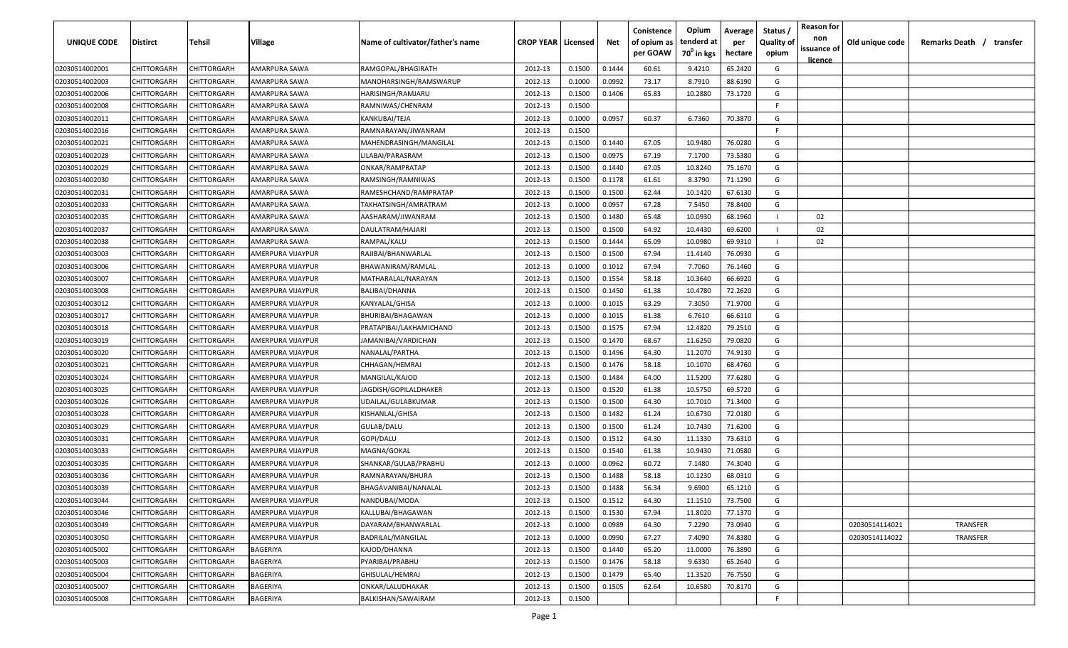| <b>UNIQUE CODE</b> | <b>Distirct</b>    | <b>Tehsil</b> | Village           | Name of cultivator/father's name | <b>CROP YEAR   Licensed</b> |        | Net    | Conistence<br>of opium as<br>per GOAW | Opium<br>tenderd at<br>70 <sup>0</sup> in kgs | Average<br>per<br>hectare | Status /<br><b>Quality of</b><br>opium | <b>Reason for</b><br>non<br>issuance of<br><u>licence</u> | Old unique code | Remarks Death /<br>transfer |
|--------------------|--------------------|---------------|-------------------|----------------------------------|-----------------------------|--------|--------|---------------------------------------|-----------------------------------------------|---------------------------|----------------------------------------|-----------------------------------------------------------|-----------------|-----------------------------|
| 02030514002001     | CHITTORGARH        | CHITTORGARH   | AMARPURA SAWA     | RAMGOPAL/BHAGIRATH               | 2012-13                     | 0.1500 | 0.1444 | 60.61                                 | 9.4210                                        | 65.2420                   | G                                      |                                                           |                 |                             |
| 02030514002003     | CHITTORGARH        | CHITTORGARH   | AMARPURA SAWA     | MANOHARSINGH/RAMSWARUP           | 2012-13                     | 0.1000 | 0.0992 | 73.17                                 | 8.7910                                        | 88.6190                   | G                                      |                                                           |                 |                             |
| 02030514002006     | CHITTORGARH        | CHITTORGARH   | AMARPURA SAWA     | HARISINGH/RAMJARU                | 2012-13                     | 0.1500 | 0.1406 | 65.83                                 | 10.2880                                       | 73.1720                   | G                                      |                                                           |                 |                             |
| 02030514002008     | CHITTORGARH        | CHITTORGARH   | AMARPURA SAWA     | RAMNIWAS/CHENRAM                 | 2012-13                     | 0.1500 |        |                                       |                                               |                           | -F.                                    |                                                           |                 |                             |
| 02030514002011     | CHITTORGARH        | CHITTORGARH   | AMARPURA SAWA     | KANKUBAI/TEJA                    | 2012-13                     | 0.1000 | 0.0957 | 60.37                                 | 6.7360                                        | 70.3870                   | G                                      |                                                           |                 |                             |
| 02030514002016     | CHITTORGARH        | CHITTORGARH   | AMARPURA SAWA     | RAMNARAYAN/JIWANRAM              | 2012-13                     | 0.1500 |        |                                       |                                               |                           | -F                                     |                                                           |                 |                             |
| 02030514002021     | CHITTORGARH        | CHITTORGARH   | AMARPURA SAWA     | MAHENDRASINGH/MANGILAL           | 2012-13                     | 0.1500 | 0.1440 | 67.05                                 | 10.9480                                       | 76.0280                   | G                                      |                                                           |                 |                             |
| 02030514002028     | CHITTORGARH        | CHITTORGARH   | AMARPURA SAWA     | LILABAI/PARASRAM                 | 2012-13                     | 0.1500 | 0.0975 | 67.19                                 | 7.1700                                        | 73.5380                   | G                                      |                                                           |                 |                             |
| 02030514002029     | CHITTORGARH        | CHITTORGARH   | AMARPURA SAWA     | ONKAR/RAMPRATAP                  | 2012-13                     | 0.1500 | 0.1440 | 67.05                                 | 10.8240                                       | 75.1670                   | G                                      |                                                           |                 |                             |
| 02030514002030     | CHITTORGARH        | CHITTORGARH   | AMARPURA SAWA     | RAMSINGH/RAMNIWAS                | 2012-13                     | 0.1500 | 0.1178 | 61.61                                 | 8.3790                                        | 71.1290                   | G                                      |                                                           |                 |                             |
| 02030514002031     | CHITTORGARH        | CHITTORGARH   | AMARPURA SAWA     | RAMESHCHAND/RAMPRATAP            | 2012-13                     | 0.1500 | 0.1500 | 62.44                                 | 10.1420                                       | 67.6130                   | G                                      |                                                           |                 |                             |
| 02030514002033     | CHITTORGARH        | CHITTORGARH   | AMARPURA SAWA     | TAKHATSINGH/AMRATRAM             | 2012-13                     | 0.1000 | 0.0957 | 67.28                                 | 7.5450                                        | 78.8400                   | G                                      |                                                           |                 |                             |
| 02030514002035     | CHITTORGARH        | CHITTORGARH   | AMARPURA SAWA     | AASHARAM/JIWANRAM                | 2012-13                     | 0.1500 | 0.1480 | 65.48                                 | 10.0930                                       | 68.1960                   |                                        | 02                                                        |                 |                             |
| 02030514002037     | CHITTORGARH        | CHITTORGARH   | AMARPURA SAWA     | DAULATRAM/HAJARI                 | 2012-13                     | 0.1500 | 0.1500 | 64.92                                 | 10.4430                                       | 69.6200                   |                                        | 02                                                        |                 |                             |
| 02030514002038     | CHITTORGARH        | CHITTORGARH   | AMARPURA SAWA     | RAMPAL/KALU                      | 2012-13                     | 0.1500 | 0.1444 | 65.09                                 | 10.0980                                       | 69.9310                   |                                        | 02                                                        |                 |                             |
| 02030514003003     | CHITTORGARH        | CHITTORGARH   | AMERPURA VIJAYPUR | RAJIBAI/BHANWARLAL               | 2012-13                     | 0.1500 | 0.1500 | 67.94                                 | 11.4140                                       | 76.0930                   | G                                      |                                                           |                 |                             |
| 02030514003006     | CHITTORGARH        | CHITTORGARH   | AMERPURA VIJAYPUR | BHAWANIRAM/RAMLAL                | 2012-13                     | 0.1000 | 0.1012 | 67.94                                 | 7.7060                                        | 76.1460                   | G                                      |                                                           |                 |                             |
| 02030514003007     | CHITTORGARH        | CHITTORGARH   | AMERPURA VIJAYPUR | MATHARALAL/NARAYAN               | 2012-13                     | 0.1500 | 0.1554 | 58.18                                 | 10.3640                                       | 66.6920                   | G                                      |                                                           |                 |                             |
| 02030514003008     | CHITTORGARH        | CHITTORGARH   | AMERPURA VIJAYPUR | BALIBAI/DHANNA                   | 2012-13                     | 0.1500 | 0.1450 | 61.38                                 | 10.4780                                       | 72.2620                   | G                                      |                                                           |                 |                             |
| 02030514003012     | CHITTORGARH        | CHITTORGARH   | AMERPURA VIJAYPUR | KANYALAL/GHISA                   | 2012-13                     | 0.1000 | 0.1015 | 63.29                                 | 7.3050                                        | 71.9700                   | G                                      |                                                           |                 |                             |
| 02030514003017     | CHITTORGARH        | CHITTORGARH   | AMERPURA VIJAYPUR | BHURIBAI/BHAGAWAN                | 2012-13                     | 0.1000 | 0.1015 | 61.38                                 | 6.7610                                        | 66.6110                   | G                                      |                                                           |                 |                             |
| 02030514003018     | CHITTORGARH        | CHITTORGARH   | AMERPURA VIJAYPUR | PRATAPIBAI/LAKHAMICHAND          | 2012-13                     | 0.1500 | 0.1575 | 67.94                                 | 12.4820                                       | 79.2510                   | G                                      |                                                           |                 |                             |
| 02030514003019     | CHITTORGARH        | CHITTORGARH   | AMERPURA VIJAYPUR | JAMANIBAI/VARDICHAN              | 2012-13                     | 0.1500 | 0.1470 | 68.67                                 | 11.6250                                       | 79.0820                   | G                                      |                                                           |                 |                             |
| 02030514003020     | CHITTORGARH        | CHITTORGARH   | AMERPURA VIJAYPUR | NANALAL/PARTHA                   | 2012-13                     | 0.1500 | 0.1496 | 64.30                                 | 11.2070                                       | 74.9130                   | G                                      |                                                           |                 |                             |
| 02030514003021     | CHITTORGARH        | CHITTORGARH   | AMERPURA VIJAYPUR | CHHAGAN/HEMRAJ                   | 2012-13                     | 0.1500 | 0.1476 | 58.18                                 | 10.1070                                       | 68.4760                   | G                                      |                                                           |                 |                             |
| 02030514003024     | CHITTORGARH        | CHITTORGARH   | AMERPURA VIJAYPUR | MANGILAL/KAJOD                   | 2012-13                     | 0.1500 | 0.1484 | 64.00                                 | 11.5200                                       | 77.6280                   | G                                      |                                                           |                 |                             |
| 02030514003025     | CHITTORGARH        | CHITTORGARH   | AMERPURA VIJAYPUR | JAGDISH/GOPILALDHAKER            | 2012-13                     | 0.1500 | 0.1520 | 61.38                                 | 10.5750                                       | 69.5720                   | G                                      |                                                           |                 |                             |
| 02030514003026     | CHITTORGARH        | CHITTORGARH   | AMERPURA VIJAYPUR | UDAILAL/GULABKUMAR               | 2012-13                     | 0.1500 | 0.1500 | 64.30                                 | 10.7010                                       | 71.3400                   | G                                      |                                                           |                 |                             |
| 02030514003028     | CHITTORGARH        | CHITTORGARH   | AMERPURA VIJAYPUR | KISHANLAL/GHISA                  | 2012-13                     | 0.1500 | 0.1482 | 61.24                                 | 10.6730                                       | 72.0180                   | G                                      |                                                           |                 |                             |
| 02030514003029     | CHITTORGARH        | CHITTORGARH   | AMERPURA VIJAYPUR | GULAB/DALU                       | 2012-13                     | 0.1500 | 0.1500 | 61.24                                 | 10.7430                                       | 71.6200                   | G                                      |                                                           |                 |                             |
| 02030514003031     | CHITTORGARH        | CHITTORGARH   | AMERPURA VIJAYPUR | GOPI/DALU                        | 2012-13                     | 0.1500 | 0.1512 | 64.30                                 | 11.1330                                       | 73.6310                   | G                                      |                                                           |                 |                             |
| 02030514003033     | CHITTORGARH        | CHITTORGARH   | AMERPURA VIJAYPUR | MAGNA/GOKAL                      | 2012-13                     | 0.1500 | 0.1540 | 61.38                                 | 10.9430                                       | 71.0580                   | G                                      |                                                           |                 |                             |
| 02030514003035     | CHITTORGARH        | CHITTORGARH   | AMERPURA VIJAYPUR | SHANKAR/GULAB/PRABHU             | 2012-13                     | 0.1000 | 0.0962 | 60.72                                 | 7.1480                                        | 74.3040                   | G                                      |                                                           |                 |                             |
| 02030514003036     | CHITTORGARH        | CHITTORGARH   | AMERPURA VIJAYPUR | RAMNARAYAN/BHURA                 | 2012-13                     | 0.1500 | 0.1488 | 58.18                                 | 10.1230                                       | 68.0310                   | G                                      |                                                           |                 |                             |
| 02030514003039     | CHITTORGARH        | CHITTORGARH   | AMERPURA VIJAYPUR | BHAGAVANIBAI/NANALAL             | 2012-13                     | 0.1500 | 0.1488 | 56.34                                 | 9.6900                                        | 65.1210                   | G                                      |                                                           |                 |                             |
| 02030514003044     | <b>CHITTORGARH</b> | CHITTORGARH   | AMERPURA VIJAYPUR | NANDUBAI/MODA                    | 2012-13                     | 0.1500 | 0.1512 | 64.30                                 | 11.1510                                       | 73.7500                   | G                                      |                                                           |                 |                             |
| 02030514003046     | <b>CHITTORGARH</b> | CHITTORGARH   | AMERPURA VIJAYPUR | KALLUBAI/BHAGAWAN                | 2012-13                     | 0.1500 | 0.1530 | 67.94                                 | 11.8020                                       | 77.1370                   | G                                      |                                                           |                 |                             |
| 02030514003049     | CHITTORGARH        | CHITTORGARH   | AMERPURA VIJAYPUR | DAYARAM/BHANWARLAL               | 2012-13                     | 0.1000 | 0.0989 | 64.30                                 | 7.2290                                        | 73.0940                   | G                                      |                                                           | 02030514114021  | TRANSFER                    |
| 02030514003050     | CHITTORGARH        | CHITTORGARH   | AMERPURA VIJAYPUR | BADRILAL/MANGILAL                | 2012-13                     | 0.1000 | 0.0990 | 67.27                                 | 7.4090                                        | 74.8380                   | G                                      |                                                           | 02030514114022  | TRANSFER                    |
| 02030514005002     | CHITTORGARH        | CHITTORGARH   | BAGERIYA          | KAJOD/DHANNA                     | 2012-13                     | 0.1500 | 0.1440 | 65.20                                 | 11.0000                                       | 76.3890                   | G                                      |                                                           |                 |                             |
| 02030514005003     | CHITTORGARH        | CHITTORGARH   | BAGERIYA          | PYARIBAI/PRABHU                  | 2012-13                     | 0.1500 | 0.1476 | 58.18                                 | 9.6330                                        | 65.2640                   | G                                      |                                                           |                 |                             |
| 02030514005004     | CHITTORGARH        | CHITTORGARH   | BAGERIYA          | GHISULAL/HEMRAJ                  | 2012-13                     | 0.1500 | 0.1479 | 65.40                                 | 11.3520                                       | 76.7550                   | G                                      |                                                           |                 |                             |
| 02030514005007     | CHITTORGARH        | CHITTORGARH   | BAGERIYA          | ONKAR/LALUDHAKAR                 | 2012-13                     | 0.1500 | 0.1505 | 62.64                                 | 10.6580                                       | 70.8170                   | G                                      |                                                           |                 |                             |
| 02030514005008     | <b>CHITTORGARH</b> | CHITTORGARH   | BAGERIYA          | BALKISHAN/SAWAIRAM               | 2012-13                     | 0.1500 |        |                                       |                                               |                           | F                                      |                                                           |                 |                             |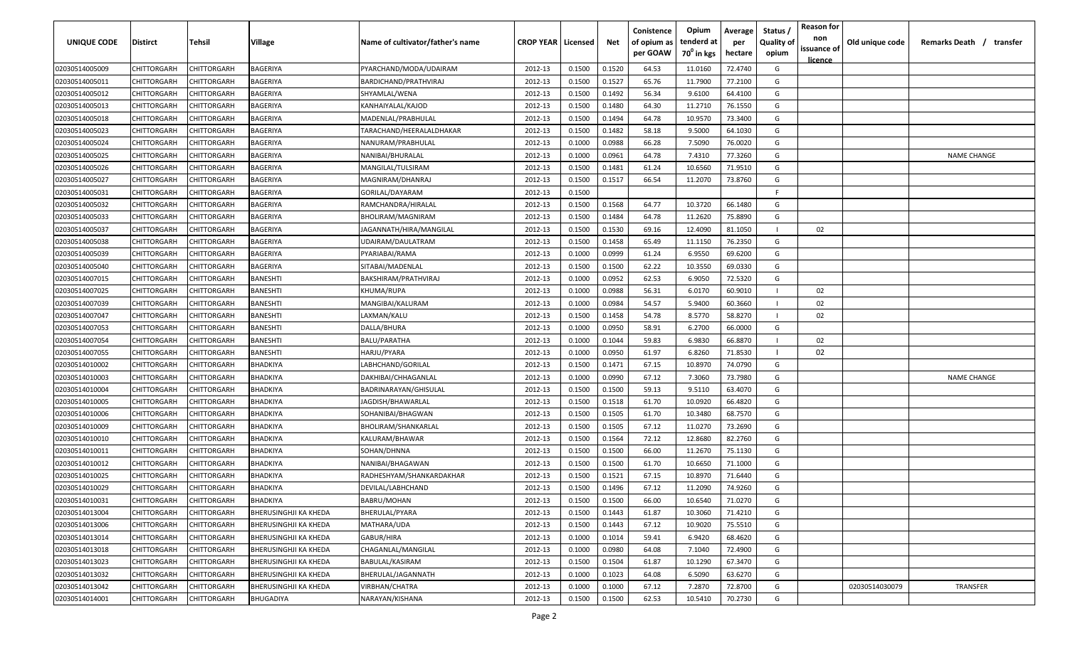| <b>UNIQUE CODE</b> | Distirct           | Tehsil      | Village               | Name of cultivator/father's name | <b>CROP YEAR   Licensed</b> |        | Net    | Conistence<br>of opium as<br>per GOAW | Opium<br>tenderd at<br>70 <sup>0</sup> in kgs | Average<br>per<br>hectare | Status /<br><b>Quality of</b><br>opium | <b>Reason for</b><br>non<br>issuance of | Old unique code | Remarks Death /<br>transfer |
|--------------------|--------------------|-------------|-----------------------|----------------------------------|-----------------------------|--------|--------|---------------------------------------|-----------------------------------------------|---------------------------|----------------------------------------|-----------------------------------------|-----------------|-----------------------------|
| 02030514005009     | CHITTORGARH        | CHITTORGARH | BAGERIYA              | PYARCHAND/MODA/UDAIRAM           | 2012-13                     | 0.1500 | 0.1520 | 64.53                                 | 11.0160                                       | 72.4740                   | G                                      | <u>licence</u>                          |                 |                             |
| 02030514005011     | CHITTORGARH        | CHITTORGARH | BAGERIYA              | BARDICHAND/PRATHVIRAJ            | 2012-13                     | 0.1500 | 0.1527 | 65.76                                 | 11.7900                                       | 77.2100                   | G                                      |                                         |                 |                             |
| 02030514005012     | CHITTORGARH        | CHITTORGARH | BAGERIYA              | SHYAMLAL/WENA                    | 2012-13                     | 0.1500 | 0.1492 | 56.34                                 | 9.6100                                        | 64.4100                   | G                                      |                                         |                 |                             |
| 02030514005013     | CHITTORGARH        | CHITTORGARH | BAGERIYA              | KANHAIYALAL/KAJOD                | 2012-13                     | 0.1500 | 0.1480 | 64.30                                 | 11.2710                                       | 76.1550                   | G                                      |                                         |                 |                             |
| 02030514005018     | CHITTORGARH        | CHITTORGARH | BAGERIYA              | MADENLAL/PRABHULAL               | 2012-13                     | 0.1500 | 0.1494 | 64.78                                 | 10.9570                                       | 73.3400                   | G                                      |                                         |                 |                             |
| 02030514005023     | CHITTORGARH        | CHITTORGARH | BAGERIYA              | TARACHAND/HEERALALDHAKAR         | 2012-13                     | 0.1500 | 0.1482 | 58.18                                 | 9.5000                                        | 64.1030                   | G                                      |                                         |                 |                             |
| 02030514005024     | CHITTORGARH        | CHITTORGARH | BAGERIYA              | NANURAM/PRABHULAL                | 2012-13                     | 0.1000 | 0.0988 | 66.28                                 | 7.5090                                        | 76.0020                   | G                                      |                                         |                 |                             |
| 02030514005025     | CHITTORGARH        | CHITTORGARH | BAGERIYA              | NANIBAI/BHURALAL                 | 2012-13                     | 0.1000 | 0.0961 | 64.78                                 | 7.4310                                        | 77.3260                   | G                                      |                                         |                 | <b>NAME CHANGE</b>          |
| 02030514005026     | CHITTORGARH        | CHITTORGARH | BAGERIYA              | MANGILAL/TULSIRAM                | 2012-13                     | 0.1500 | 0.1481 | 61.24                                 | 10.6560                                       | 71.9510                   | G                                      |                                         |                 |                             |
| 02030514005027     | CHITTORGARH        | CHITTORGARH | BAGERIYA              | MAGNIRAM/DHANRAJ                 | 2012-13                     | 0.1500 | 0.1517 | 66.54                                 | 11.2070                                       | 73.8760                   | G                                      |                                         |                 |                             |
| 02030514005031     | CHITTORGARH        | CHITTORGARH | BAGERIYA              | GORILAL/DAYARAM                  | 2012-13                     | 0.1500 |        |                                       |                                               |                           | F.                                     |                                         |                 |                             |
| 02030514005032     | CHITTORGARH        | CHITTORGARH | BAGERIYA              | RAMCHANDRA/HIRALAL               | 2012-13                     | 0.1500 | 0.1568 | 64.77                                 | 10.3720                                       | 66.1480                   | G                                      |                                         |                 |                             |
| 02030514005033     | CHITTORGARH        | CHITTORGARH | BAGERIYA              | BHOLIRAM/MAGNIRAM                | 2012-13                     | 0.1500 | 0.1484 | 64.78                                 | 11.2620                                       | 75.8890                   | G                                      |                                         |                 |                             |
| 02030514005037     | CHITTORGARH        | CHITTORGARH | BAGERIYA              | JAGANNATH/HIRA/MANGILAL          | 2012-13                     | 0.1500 | 0.1530 | 69.16                                 | 12.4090                                       | 81.1050                   |                                        | 02                                      |                 |                             |
| 02030514005038     | CHITTORGARH        | CHITTORGARH | BAGERIYA              | UDAIRAM/DAULATRAM                | 2012-13                     | 0.1500 | 0.1458 | 65.49                                 | 11.1150                                       | 76.2350                   | G                                      |                                         |                 |                             |
| 02030514005039     | CHITTORGARH        | CHITTORGARH | BAGERIYA              | PYARIABAI/RAMA                   | 2012-13                     | 0.1000 | 0.0999 | 61.24                                 | 6.9550                                        | 69.6200                   | G                                      |                                         |                 |                             |
| 02030514005040     | CHITTORGARH        | CHITTORGARH | BAGERIYA              | SITABAI/MADENLAL                 | 2012-13                     | 0.1500 | 0.1500 | 62.22                                 | 10.3550                                       | 69.0330                   | G                                      |                                         |                 |                             |
| 02030514007015     | CHITTORGARH        | CHITTORGARH | BANESHTI              | BAKSHIRAM/PRATHVIRAJ             | 2012-13                     | 0.1000 | 0.0952 | 62.53                                 | 6.9050                                        | 72.5320                   | G                                      |                                         |                 |                             |
| 02030514007025     | CHITTORGARH        | CHITTORGARH | BANESHTI              | KHUMA/RUPA                       | 2012-13                     | 0.1000 | 0.0988 | 56.31                                 | 6.0170                                        | 60.9010                   |                                        | 02                                      |                 |                             |
| 02030514007039     | CHITTORGARH        | CHITTORGARH | BANESHTI              | MANGIBAI/KALURAM                 | 2012-13                     | 0.1000 | 0.0984 | 54.57                                 | 5.9400                                        | 60.3660                   |                                        | 02                                      |                 |                             |
| 02030514007047     | CHITTORGARH        | CHITTORGARH | BANESHTI              | LAXMAN/KALU                      | 2012-13                     | 0.1500 | 0.1458 | 54.78                                 | 8.5770                                        | 58.8270                   |                                        | 02                                      |                 |                             |
| 02030514007053     | CHITTORGARH        | CHITTORGARH | BANESHTI              | DALLA/BHURA                      | 2012-13                     | 0.1000 | 0.0950 | 58.91                                 | 6.2700                                        | 66.0000                   | G                                      |                                         |                 |                             |
| 02030514007054     | CHITTORGARH        | CHITTORGARH | BANESHTI              | BALU/PARATHA                     | 2012-13                     | 0.1000 | 0.1044 | 59.83                                 | 6.9830                                        | 66.8870                   |                                        | 02                                      |                 |                             |
| 02030514007055     | CHITTORGARH        | CHITTORGARH | BANESHTI              | HARJU/PYARA                      | 2012-13                     | 0.1000 | 0.0950 | 61.97                                 | 6.8260                                        | 71.8530                   |                                        | 02                                      |                 |                             |
| 02030514010002     | CHITTORGARH        | CHITTORGARH | BHADKIYA              | LABHCHAND/GORILAL                | 2012-13                     | 0.1500 | 0.1471 | 67.15                                 | 10.8970                                       | 74.0790                   | G                                      |                                         |                 |                             |
| 02030514010003     | CHITTORGARH        | CHITTORGARH | BHADKIYA              | DAKHIBAI/CHHAGANLAL              | 2012-13                     | 0.1000 | 0.0990 | 67.12                                 | 7.3060                                        | 73.7980                   | G                                      |                                         |                 | <b>NAME CHANGE</b>          |
| 02030514010004     | CHITTORGARH        | CHITTORGARH | BHADKIYA              | BADRINARAYAN/GHISULAL            | 2012-13                     | 0.1500 | 0.1500 | 59.13                                 | 9.5110                                        | 63.4070                   | G                                      |                                         |                 |                             |
| 02030514010005     | CHITTORGARH        | CHITTORGARH | BHADKIYA              | IAGDISH/BHAWARLAL                | 2012-13                     | 0.1500 | 0.1518 | 61.70                                 | 10.0920                                       | 66.4820                   | G                                      |                                         |                 |                             |
| 02030514010006     | CHITTORGARH        | CHITTORGARH | BHADKIYA              | SOHANIBAI/BHAGWAN                | 2012-13                     | 0.1500 | 0.1505 | 61.70                                 | 10.3480                                       | 68.7570                   | G                                      |                                         |                 |                             |
| 02030514010009     | CHITTORGARH        | CHITTORGARH | BHADKIYA              | BHOLIRAM/SHANKARLAL              | 2012-13                     | 0.1500 | 0.1505 | 67.12                                 | 11.0270                                       | 73.2690                   | G                                      |                                         |                 |                             |
| 02030514010010     | CHITTORGARH        | CHITTORGARH | BHADKIYA              | KALURAM/BHAWAR                   | 2012-13                     | 0.1500 | 0.1564 | 72.12                                 | 12.8680                                       | 82.2760                   | G                                      |                                         |                 |                             |
| 02030514010011     | CHITTORGARH        | CHITTORGARH | BHADKIYA              | SOHAN/DHNNA                      | 2012-13                     | 0.1500 | 0.1500 | 66.00                                 | 11.2670                                       | 75.1130                   | G                                      |                                         |                 |                             |
| 02030514010012     | CHITTORGARH        | CHITTORGARH | BHADKIYA              | NANIBAI/BHAGAWAN                 | 2012-13                     | 0.1500 | 0.1500 | 61.70                                 | 10.6650                                       | 71.1000                   | G                                      |                                         |                 |                             |
| 02030514010025     | CHITTORGARH        | CHITTORGARH | BHADKIYA              | RADHESHYAM/SHANKARDAKHAR         | 2012-13                     | 0.1500 | 0.1521 | 67.15                                 | 10.8970                                       | 71.6440                   | G                                      |                                         |                 |                             |
| 02030514010029     | CHITTORGARH        | CHITTORGARH | <b>BHADKIYA</b>       | DEVILAL/LABHCHAND                | 2012-13                     | 0.1500 | 0.1496 | 67.12                                 | 11.2090                                       | 74.9260                   | G                                      |                                         |                 |                             |
|                    | <b>CHITTORGARH</b> | CHITTORGARH | BHADKIYA              | <b>BABRU/MOHAN</b>               | 2012-13                     | 0.1500 | 0.1500 | 66.00                                 | 10.6540                                       | 71.0270                   | G                                      |                                         |                 |                             |
| 02030514010031     |                    |             |                       | BHERULAL/PYARA                   |                             |        |        |                                       |                                               |                           |                                        |                                         |                 |                             |
| 02030514013004     | CHITTORGARH        | CHITTORGARH | BHERUSINGHJI KA KHEDA |                                  | 2012-13                     | 0.1500 | 0.1443 | 61.87                                 | 10.3060                                       | 71.4210                   | G                                      |                                         |                 |                             |
| 02030514013006     | CHITTORGARH        | CHITTORGARH | BHERUSINGHJI KA KHEDA | MATHARA/UDA                      | 2012-13                     | 0.1500 | 0.1443 | 67.12                                 | 10.9020                                       | 75.5510                   | G                                      |                                         |                 |                             |
| 02030514013014     | <b>CHITTORGARH</b> | CHITTORGARH | BHERUSINGHJI KA KHEDA | GABUR/HIRA                       | 2012-13                     | 0.1000 | 0.1014 | 59.41                                 | 6.9420                                        | 68.4620                   | G                                      |                                         |                 |                             |
| 02030514013018     | CHITTORGARH        | CHITTORGARH | BHERUSINGHJI KA KHEDA | CHAGANLAL/MANGILAL               | 2012-13                     | 0.1000 | 0.0980 | 64.08                                 | 7.1040                                        | 72.4900                   | G                                      |                                         |                 |                             |
| 02030514013023     | CHITTORGARH        | CHITTORGARH | BHERUSINGHJI KA KHEDA | <b>BABULAL/KASIRAM</b>           | 2012-13                     | 0.1500 | 0.1504 | 61.87                                 | 10.1290                                       | 67.3470                   | G                                      |                                         |                 |                             |
| 02030514013032     | CHITTORGARH        | CHITTORGARH | BHERUSINGHJI KA KHEDA | BHERULAL/JAGANNATH               | 2012-13                     | 0.1000 | 0.1023 | 64.08                                 | 6.5090                                        | 63.6270                   | G                                      |                                         |                 |                             |
| 02030514013042     | CHITTORGARH        | CHITTORGARH | BHERUSINGHJI KA KHEDA | VIRBHAN/CHATRA                   | 2012-13                     | 0.1000 | 0.1000 | 67.12                                 | 7.2870                                        | 72.8700                   | G                                      |                                         | 02030514030079  | TRANSFER                    |
| 02030514014001     | CHITTORGARH        | CHITTORGARH | <b>BHUGADIYA</b>      | NARAYAN/KISHANA                  | 2012-13                     | 0.1500 | 0.1500 | 62.53                                 | 10.5410                                       | 70.2730                   | G                                      |                                         |                 |                             |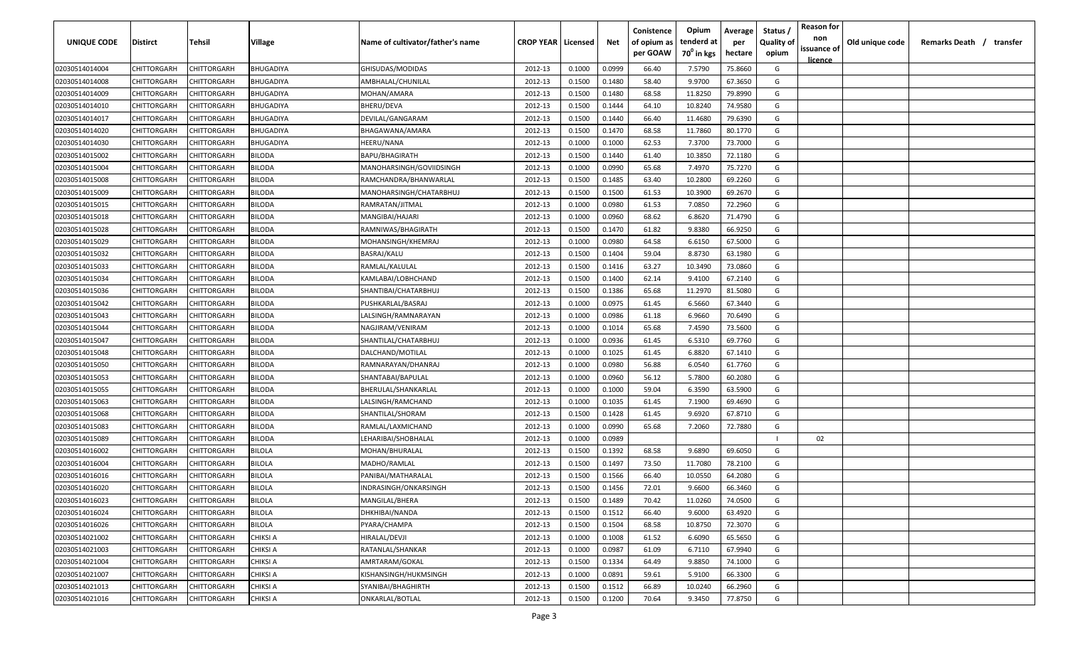| <b>UNIQUE CODE</b> | Distirct           | Tehsil             | Village          | Name of cultivator/father's name | <b>CROP YEAR   Licensed</b> |        | Net    | Conistence<br>of opium as | Opium<br>tenderd at    | Average<br>per | Status /<br><b>Quality of</b> | <b>Reason for</b><br>non | Old unique code | Remarks Death /<br>transfer |
|--------------------|--------------------|--------------------|------------------|----------------------------------|-----------------------------|--------|--------|---------------------------|------------------------|----------------|-------------------------------|--------------------------|-----------------|-----------------------------|
|                    |                    |                    |                  |                                  |                             |        |        | per GOAW                  | 70 <sup>0</sup> in kgs | hectare        | opium                         | issuance of              |                 |                             |
| 02030514014004     | CHITTORGARH        | CHITTORGARH        | <b>BHUGADIYA</b> | GHISUDAS/MODIDAS                 | 2012-13                     | 0.1000 | 0.0999 | 66.40                     | 7.5790                 | 75.8660        | G                             | <u>licence</u>           |                 |                             |
| 02030514014008     | CHITTORGARH        | CHITTORGARH        | BHUGADIYA        | AMBHALAL/CHUNILAL                | 2012-13                     | 0.1500 | 0.1480 | 58.40                     | 9.9700                 | 67.3650        | G                             |                          |                 |                             |
| 02030514014009     | CHITTORGARH        | CHITTORGARH        | BHUGADIYA        | MOHAN/AMARA                      | 2012-13                     | 0.1500 | 0.1480 | 68.58                     | 11.8250                | 79.8990        | G                             |                          |                 |                             |
| 02030514014010     | CHITTORGARH        | CHITTORGARH        | BHUGADIYA        | BHERU/DEVA                       | 2012-13                     | 0.1500 | 0.1444 | 64.10                     | 10.8240                | 74.9580        | G                             |                          |                 |                             |
| 02030514014017     | CHITTORGARH        | CHITTORGARH        | BHUGADIYA        | DEVILAL/GANGARAM                 | 2012-13                     | 0.1500 | 0.1440 | 66.40                     | 11.4680                | 79.6390        | G                             |                          |                 |                             |
| 02030514014020     | CHITTORGARH        | CHITTORGARH        | BHUGADIYA        | BHAGAWANA/AMARA                  | 2012-13                     | 0.1500 | 0.1470 | 68.58                     | 11.7860                | 80.1770        | G                             |                          |                 |                             |
| 02030514014030     | CHITTORGARH        | CHITTORGARH        | BHUGADIYA        | HEERU/NANA                       | 2012-13                     | 0.1000 | 0.1000 | 62.53                     | 7.3700                 | 73.7000        | G                             |                          |                 |                             |
| 02030514015002     | CHITTORGARH        | CHITTORGARH        | BILODA           | <b>BAPU/BHAGIRATH</b>            | 2012-13                     | 0.1500 | 0.1440 | 61.40                     | 10.3850                | 72.1180        | G                             |                          |                 |                             |
| 02030514015004     | CHITTORGARH        | CHITTORGARH        | BILODA           | MANOHARSINGH/GOVIIDSINGH         | 2012-13                     | 0.1000 | 0.0990 | 65.68                     | 7.4970                 | 75.7270        | G                             |                          |                 |                             |
| 02030514015008     | CHITTORGARH        | CHITTORGARH        | BILODA           | RAMCHANDRA/BHANWARLAL            | 2012-13                     | 0.1500 | 0.1485 | 63.40                     | 10.2800                | 69.2260        | G                             |                          |                 |                             |
| 02030514015009     | CHITTORGARH        | CHITTORGARH        | BILODA           | MANOHARSINGH/CHATARBHUJ          | 2012-13                     | 0.1500 | 0.1500 | 61.53                     | 10.3900                | 69.2670        | G                             |                          |                 |                             |
| 02030514015015     | CHITTORGARH        | CHITTORGARH        | BILODA           | RAMRATAN/JITMAL                  | 2012-13                     | 0.1000 | 0.0980 | 61.53                     | 7.0850                 | 72.2960        | G                             |                          |                 |                             |
| 02030514015018     | CHITTORGARH        | CHITTORGARH        | BILODA           | MANGIBAI/HAJARI                  | 2012-13                     | 0.1000 | 0.0960 | 68.62                     | 6.8620                 | 71.4790        | G                             |                          |                 |                             |
| 02030514015028     | CHITTORGARH        | CHITTORGARH        | BILODA           | RAMNIWAS/BHAGIRATH               | 2012-13                     | 0.1500 | 0.1470 | 61.82                     | 9.8380                 | 66.9250        | G                             |                          |                 |                             |
| 02030514015029     | CHITTORGARH        | CHITTORGARH        | <b>BILODA</b>    | MOHANSINGH/KHEMRAJ               | 2012-13                     | 0.1000 | 0.0980 | 64.58                     | 6.6150                 | 67.5000        | G                             |                          |                 |                             |
| 02030514015032     | CHITTORGARH        | CHITTORGARH        | <b>BILODA</b>    | BASRAJ/KALU                      | 2012-13                     | 0.1500 | 0.1404 | 59.04                     | 8.8730                 | 63.1980        | G                             |                          |                 |                             |
| 02030514015033     | CHITTORGARH        | CHITTORGARH        | <b>BILODA</b>    | RAMLAL/KALULAL                   | 2012-13                     | 0.1500 | 0.1416 | 63.27                     | 10.3490                | 73.0860        | G                             |                          |                 |                             |
| 02030514015034     | CHITTORGARH        | CHITTORGARH        | <b>BILODA</b>    | KAMLABAI/LOBHCHAND               | 2012-13                     | 0.1500 | 0.1400 | 62.14                     | 9.4100                 | 67.2140        | G                             |                          |                 |                             |
| 02030514015036     | CHITTORGARH        | CHITTORGARH        | BILODA           | SHANTIBAI/CHATARBHUJ             | 2012-13                     | 0.1500 | 0.1386 | 65.68                     | 11.2970                | 81.5080        | G                             |                          |                 |                             |
| 02030514015042     | CHITTORGARH        | CHITTORGARH        | BILODA           | PUSHKARLAL/BASRAJ                | 2012-13                     | 0.1000 | 0.0975 | 61.45                     | 6.5660                 | 67.3440        | G                             |                          |                 |                             |
| 02030514015043     | CHITTORGARH        | CHITTORGARH        | BILODA           | LALSINGH/RAMNARAYAN              | 2012-13                     | 0.1000 | 0.0986 | 61.18                     | 6.9660                 | 70.6490        | G                             |                          |                 |                             |
| 02030514015044     | CHITTORGARH        | CHITTORGARH        | BILODA           | NAGJIRAM/VENIRAM                 | 2012-13                     | 0.1000 | 0.1014 | 65.68                     | 7.4590                 | 73.5600        | G                             |                          |                 |                             |
| 02030514015047     | CHITTORGARH        | CHITTORGARH        | BILODA           | SHANTILAL/CHATARBHUJ             | 2012-13                     | 0.1000 | 0.0936 | 61.45                     | 6.5310                 | 69.7760        | G                             |                          |                 |                             |
| 02030514015048     | CHITTORGARH        | CHITTORGARH        | BILODA           | DALCHAND/MOTILAL                 | 2012-13                     | 0.1000 | 0.1025 | 61.45                     | 6.8820                 | 67.1410        | G                             |                          |                 |                             |
| 02030514015050     | CHITTORGARH        | CHITTORGARH        | BILODA           | RAMNARAYAN/DHANRAJ               | 2012-13                     | 0.1000 | 0.0980 | 56.88                     | 6.0540                 | 61.7760        | G                             |                          |                 |                             |
| 02030514015053     | CHITTORGARH        | CHITTORGARH        | BILODA           | SHANTABAI/BAPULAL                | 2012-13                     | 0.1000 | 0.0960 | 56.12                     | 5.7800                 | 60.2080        | G                             |                          |                 |                             |
| 02030514015055     | CHITTORGARH        | CHITTORGARH        | BILODA           | BHERULAL/SHANKARLAL              | 2012-13                     | 0.1000 | 0.1000 | 59.04                     | 6.3590                 | 63.5900        | G                             |                          |                 |                             |
| 02030514015063     | CHITTORGARH        | CHITTORGARH        | BILODA           | LALSINGH/RAMCHAND                | 2012-13                     | 0.1000 | 0.1035 | 61.45                     | 7.1900                 | 69.4690        | G                             |                          |                 |                             |
| 02030514015068     | CHITTORGARH        | CHITTORGARH        | BILODA           | SHANTILAL/SHORAM                 | 2012-13                     | 0.1500 | 0.1428 | 61.45                     | 9.6920                 | 67.8710        | G                             |                          |                 |                             |
| 02030514015083     | CHITTORGARH        | CHITTORGARH        | BILODA           | RAMLAL/LAXMICHAND                | 2012-13                     | 0.1000 | 0.0990 | 65.68                     | 7.2060                 | 72.7880        | G                             |                          |                 |                             |
| 02030514015089     | CHITTORGARH        | CHITTORGARH        | <b>BILODA</b>    | LEHARIBAI/SHOBHALAL              | 2012-13                     | 0.1000 | 0.0989 |                           |                        |                |                               | 02                       |                 |                             |
| 02030514016002     | CHITTORGARH        | CHITTORGARH        | <b>BILOLA</b>    | MOHAN/BHURALAL                   | 2012-13                     | 0.1500 | 0.1392 | 68.58                     | 9.6890                 | 69.6050        | G                             |                          |                 |                             |
| 02030514016004     | CHITTORGARH        | CHITTORGARH        | <b>BILOLA</b>    | MADHO/RAMLAL                     | 2012-13                     | 0.1500 | 0.1497 | 73.50                     | 11.7080                | 78.2100        | G                             |                          |                 |                             |
| 02030514016016     | CHITTORGARH        | CHITTORGARH        | <b>BILOLA</b>    | PANIBAI/MATHARALAL               | 2012-13                     | 0.1500 | 0.1566 | 66.40                     | 10.0550                | 64.2080        | G                             |                          |                 |                             |
| 02030514016020     | CHITTORGARH        | CHITTORGARH        | <b>BILOLA</b>    | INDRASINGH/ONKARSINGH            | 2012-13                     | 0.1500 | 0.1456 | 72.01                     | 9.6600                 | 66.3460        | G                             |                          |                 |                             |
| 02030514016023     | <b>CHITTORGARH</b> | CHITTORGARH        | <b>BILOLA</b>    | MANGILAL/BHERA                   | 2012-13                     | 0.1500 | 0.1489 | 70.42                     | 11.0260                | 74.0500        | G                             |                          |                 |                             |
| 02030514016024     | CHITTORGARH        | CHITTORGARH        | <b>BILOLA</b>    | DHKHIBAI/NANDA                   | 2012-13                     | 0.1500 | 0.1512 | 66.40                     | 9.6000                 | 63.4920        | G                             |                          |                 |                             |
| 02030514016026     | <b>CHITTORGARH</b> | CHITTORGARH        | <b>BILOLA</b>    | PYARA/CHAMPA                     | 2012-13                     | 0.1500 | 0.1504 | 68.58                     | 10.8750                | 72.3070        | G                             |                          |                 |                             |
| 02030514021002     | <b>CHITTORGARH</b> | CHITTORGARH        | <b>CHIKSI A</b>  | HIRALAL/DEVJI                    | 2012-13                     | 0.1000 | 0.1008 | 61.52                     | 6.6090                 | 65.5650        | G                             |                          |                 |                             |
| 02030514021003     | CHITTORGARH        | CHITTORGARH        | CHIKSI A         | RATANLAL/SHANKAR                 | 2012-13                     | 0.1000 | 0.0987 | 61.09                     | 6.7110                 | 67.9940        | G                             |                          |                 |                             |
| 02030514021004     | CHITTORGARH        | CHITTORGARH        | CHIKSI A         | AMRTARAM/GOKAL                   | 2012-13                     | 0.1500 | 0.1334 | 64.49                     | 9.8850                 | 74.1000        | G                             |                          |                 |                             |
| 02030514021007     | <b>CHITTORGARH</b> | CHITTORGARH        | CHIKSI A         | KISHANSINGH/HUKMSINGH            | 2012-13                     | 0.1000 | 0.0891 | 59.61                     | 5.9100                 | 66.3300        | G                             |                          |                 |                             |
| 02030514021013     | CHITTORGARH        | CHITTORGARH        | CHIKSI A         | SYANIBAI/BHAGHIRTH               | 2012-13                     | 0.1500 | 0.1512 | 66.89                     | 10.0240                | 66.2960        | G                             |                          |                 |                             |
| 02030514021016     | CHITTORGARH        | <b>CHITTORGARH</b> | CHIKSI A         | ONKARLAL/BOTLAL                  | 2012-13                     | 0.1500 | 0.1200 | 70.64                     | 9.3450                 | 77.8750        | G                             |                          |                 |                             |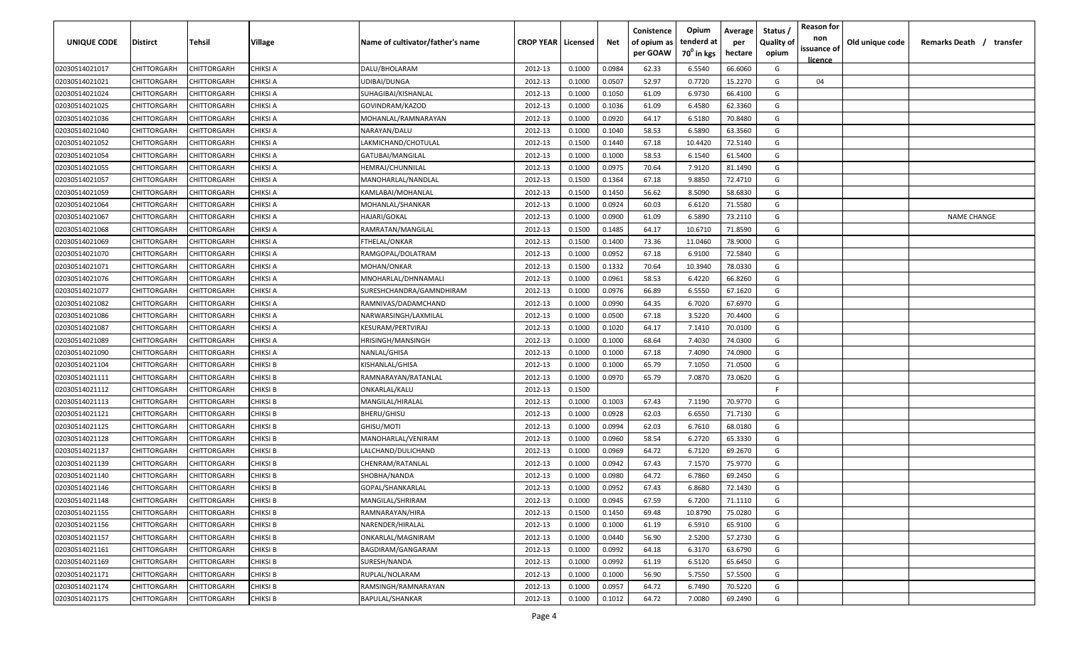| <b>UNIQUE CODE</b> | Distirct           | Tehsil             | Village         | Name of cultivator/father's name | <b>CROP YEAR   Licensed</b> |        | Net    | Conistence<br>of opium as | Opium<br>tenderd at    | Average<br>per | Status /<br><b>Quality of</b> | <b>Reason for</b><br>non      | Old unique code | Remarks Death / transfer |
|--------------------|--------------------|--------------------|-----------------|----------------------------------|-----------------------------|--------|--------|---------------------------|------------------------|----------------|-------------------------------|-------------------------------|-----------------|--------------------------|
|                    |                    |                    |                 |                                  |                             |        |        | per GOAW                  | 70 <sup>0</sup> in kgs | hectare        | opium                         | issuance of<br><u>licence</u> |                 |                          |
| 02030514021017     | CHITTORGARH        | CHITTORGARH        | <b>CHIKSI A</b> | DALU/BHOLARAM                    | 2012-13                     | 0.1000 | 0.0984 | 62.33                     | 6.5540                 | 66.6060        | G                             |                               |                 |                          |
| 02030514021021     | CHITTORGARH        | CHITTORGARH        | CHIKSI A        | UDIBAI/DUNGA                     | 2012-13                     | 0.1000 | 0.0507 | 52.97                     | 0.7720                 | 15.2270        | G                             | 04                            |                 |                          |
| 02030514021024     | CHITTORGARH        | CHITTORGARH        | CHIKSI A        | SUHAGIBAI/KISHANLAL              | 2012-13                     | 0.1000 | 0.1050 | 61.09                     | 6.9730                 | 66.4100        | G                             |                               |                 |                          |
| 02030514021025     | CHITTORGARH        | CHITTORGARH        | CHIKSI A        | GOVINDRAM/KAZOD                  | 2012-13                     | 0.1000 | 0.1036 | 61.09                     | 6.4580                 | 62.3360        | G                             |                               |                 |                          |
| 02030514021036     | CHITTORGARH        | CHITTORGARH        | CHIKSI A        | MOHANLAL/RAMNARAYAN              | 2012-13                     | 0.1000 | 0.0920 | 64.17                     | 6.5180                 | 70.8480        | G                             |                               |                 |                          |
| 02030514021040     | CHITTORGARH        | CHITTORGARH        | CHIKSI A        | NARAYAN/DALU                     | 2012-13                     | 0.1000 | 0.1040 | 58.53                     | 6.5890                 | 63.3560        | G                             |                               |                 |                          |
| 02030514021052     | CHITTORGARH        | CHITTORGARH        | CHIKSI A        | LAKMICHAND/CHOTULAL              | 2012-13                     | 0.1500 | 0.1440 | 67.18                     | 10.4420                | 72.5140        | G                             |                               |                 |                          |
| 02030514021054     | <b>CHITTORGARH</b> | CHITTORGARH        | CHIKSI A        | GATUBAI/MANGILAL                 | 2012-13                     | 0.1000 | 0.1000 | 58.53                     | 6.1540                 | 61.5400        | G                             |                               |                 |                          |
| 02030514021055     | CHITTORGARH        | CHITTORGARH        | CHIKSI A        | HEMRAJ/CHUNNILAL                 | 2012-13                     | 0.1000 | 0.0975 | 70.64                     | 7.9120                 | 81.1490        | G                             |                               |                 |                          |
| 02030514021057     | CHITTORGARH        | CHITTORGARH        | CHIKSI A        | MANOHARLAL/NANDLAL               | 2012-13                     | 0.1500 | 0.1364 | 67.18                     | 9.8850                 | 72.4710        | G                             |                               |                 |                          |
| 02030514021059     | CHITTORGARH        | CHITTORGARH        | CHIKSI A        | KAMLABAI/MOHANLAL                | 2012-13                     | 0.1500 | 0.1450 | 56.62                     | 8.5090                 | 58.6830        | G                             |                               |                 |                          |
| 02030514021064     | CHITTORGARH        | CHITTORGARH        | CHIKSI A        | MOHANLAL/SHANKAR                 | 2012-13                     | 0.1000 | 0.0924 | 60.03                     | 6.6120                 | 71.5580        | G                             |                               |                 |                          |
| 02030514021067     | CHITTORGARH        | CHITTORGARH        | CHIKSI A        | HAJARI/GOKAL                     | 2012-13                     | 0.1000 | 0.0900 | 61.09                     | 6.5890                 | 73.2110        | G                             |                               |                 | <b>NAME CHANGE</b>       |
| 02030514021068     | CHITTORGARH        | CHITTORGARH        | CHIKSI A        | RAMRATAN/MANGILAL                | 2012-13                     | 0.1500 | 0.1485 | 64.17                     | 10.6710                | 71.8590        | G                             |                               |                 |                          |
| 02030514021069     | CHITTORGARH        | CHITTORGARH        | CHIKSI A        | FTHELAL/ONKAR                    | 2012-13                     | 0.1500 | 0.1400 | 73.36                     | 11.0460                | 78.9000        | G                             |                               |                 |                          |
| 02030514021070     | CHITTORGARH        | CHITTORGARH        | CHIKSI A        | RAMGOPAL/DOLATRAM                | 2012-13                     | 0.1000 | 0.0952 | 67.18                     | 6.9100                 | 72.5840        | G                             |                               |                 |                          |
| 02030514021071     | CHITTORGARH        | CHITTORGARH        | CHIKSI A        | MOHAN/ONKAR                      | 2012-13                     | 0.1500 | 0.1332 | 70.64                     | 10.3940                | 78.0330        | G                             |                               |                 |                          |
| 02030514021076     | CHITTORGARH        | CHITTORGARH        | CHIKSI A        | MNOHARLAL/DHNNAMALI              | 2012-13                     | 0.1000 | 0.0961 | 58.53                     | 6.4220                 | 66.8260        | G                             |                               |                 |                          |
| 02030514021077     | <b>CHITTORGARH</b> | CHITTORGARH        | CHIKSI A        | SURESHCHANDRA/GAMNDHIRAM         | 2012-13                     | 0.1000 | 0.0976 | 66.89                     | 6.5550                 | 67.1620        | G                             |                               |                 |                          |
| 02030514021082     | CHITTORGARH        | CHITTORGARH        | CHIKSI A        | RAMNIVAS/DADAMCHAND              | 2012-13                     | 0.1000 | 0.0990 | 64.35                     | 6.7020                 | 67.6970        | G                             |                               |                 |                          |
| 02030514021086     | CHITTORGARH        | CHITTORGARH        | CHIKSI A        | NARWARSINGH/LAXMILAL             | 2012-13                     | 0.1000 | 0.0500 | 67.18                     | 3.5220                 | 70.4400        | G                             |                               |                 |                          |
| 02030514021087     | CHITTORGARH        | CHITTORGARH        | <b>CHIKSI A</b> | KESURAM/PERTVIRAJ                | 2012-13                     | 0.1000 | 0.1020 | 64.17                     | 7.1410                 | 70.0100        | G                             |                               |                 |                          |
| 02030514021089     | CHITTORGARH        | CHITTORGARH        | CHIKSI A        | HRISINGH/MANSINGH                | 2012-13                     | 0.1000 | 0.1000 | 68.64                     | 7.4030                 | 74.0300        | G                             |                               |                 |                          |
| 02030514021090     | CHITTORGARH        | CHITTORGARH        | CHIKSI A        | NANLAL/GHISA                     | 2012-13                     | 0.1000 | 0.1000 | 67.18                     | 7.4090                 | 74.0900        | G                             |                               |                 |                          |
| 02030514021104     | CHITTORGARH        | CHITTORGARH        | CHIKSI B        | KISHANLAL/GHISA                  | 2012-13                     | 0.1000 | 0.1000 | 65.79                     | 7.1050                 | 71.0500        | G                             |                               |                 |                          |
| 02030514021111     | CHITTORGARH        | CHITTORGARH        | CHIKSI B        | RAMNARAYAN/RATANLAL              | 2012-13                     | 0.1000 | 0.0970 | 65.79                     | 7.0870                 | 73.0620        | G                             |                               |                 |                          |
| 02030514021112     | CHITTORGARH        | CHITTORGARH        | CHIKSI B        | ONKARLAL/KALU                    | 2012-13                     | 0.1500 |        |                           |                        |                | F.                            |                               |                 |                          |
| 02030514021113     | CHITTORGARH        | CHITTORGARH        | CHIKSI B        | MANGILAL/HIRALAL                 | 2012-13                     | 0.1000 | 0.1003 | 67.43                     | 7.1190                 | 70.9770        | G                             |                               |                 |                          |
| 02030514021121     | CHITTORGARH        | CHITTORGARH        | CHIKSI B        | <b>BHERU/GHISU</b>               | 2012-13                     | 0.1000 | 0.0928 | 62.03                     | 6.6550                 | 71.7130        | G                             |                               |                 |                          |
| 02030514021125     | CHITTORGARH        | CHITTORGARH        | CHIKSI B        | GHISU/MOTI                       | 2012-13                     | 0.1000 | 0.0994 | 62.03                     | 6.7610                 | 68.0180        | G                             |                               |                 |                          |
| 02030514021128     | CHITTORGARH        | CHITTORGARH        | <b>CHIKSI B</b> | MANOHARLAL/VENIRAM               | 2012-13                     | 0.1000 | 0.0960 | 58.54                     | 6.2720                 | 65.3330        | G                             |                               |                 |                          |
| 02030514021137     | CHITTORGARH        | CHITTORGARH        | <b>CHIKSI B</b> | LALCHAND/DULICHAND               | 2012-13                     | 0.1000 | 0.0969 | 64.72                     | 6.7120                 | 69.2670        | G                             |                               |                 |                          |
| 02030514021139     | CHITTORGARH        | CHITTORGARH        | <b>CHIKSI B</b> | CHENRAM/RATANLAL                 | 2012-13                     | 0.1000 | 0.0942 | 67.43                     | 7.1570                 | 75.9770        | G                             |                               |                 |                          |
| 02030514021140     | CHITTORGARH        | CHITTORGARH        | <b>CHIKSI B</b> | SHOBHA/NANDA                     | 2012-13                     | 0.1000 | 0.0980 | 64.72                     | 6.7860                 | 69.2450        | G                             |                               |                 |                          |
| 02030514021146     | CHITTORGARH        | CHITTORGARH        | <b>CHIKSI B</b> | GOPAL/SHANKARLAL                 | 2012-13                     | 0.1000 | 0.0952 | 67.43                     | 6.8680                 | 72.1430        | G                             |                               |                 |                          |
| 02030514021148     | <b>CHITTORGARH</b> | <b>CHITTORGARH</b> | <b>CHIKSI B</b> | MANGILAL/SHRIRAM                 | 2012-13                     | 0.1000 | 0.0945 | 67.59                     | 6.7200                 | 71.1110        | G                             |                               |                 |                          |
| 02030514021155     | <b>CHITTORGARH</b> | CHITTORGARH        | <b>CHIKSI B</b> | RAMNARAYAN/HIRA                  | 2012-13                     | 0.1500 | 0.1450 | 69.48                     | 10.8790                | 75.0280        | G                             |                               |                 |                          |
| 02030514021156     | CHITTORGARH        | CHITTORGARH        | <b>CHIKSI B</b> | NARENDER/HIRALAL                 | 2012-13                     | 0.1000 | 0.1000 | 61.19                     | 6.5910                 | 65.9100        | G                             |                               |                 |                          |
| 02030514021157     | <b>CHITTORGARH</b> | CHITTORGARH        | <b>CHIKSI B</b> | ONKARLAL/MAGNIRAM                | 2012-13                     | 0.1000 | 0.0440 | 56.90                     | 2.5200                 | 57.2730        | G                             |                               |                 |                          |
| 02030514021161     | CHITTORGARH        | CHITTORGARH        | <b>CHIKSI B</b> | BAGDIRAM/GANGARAM                | 2012-13                     | 0.1000 | 0.0992 | 64.18                     | 6.3170                 | 63.6790        | G                             |                               |                 |                          |
| 02030514021169     | CHITTORGARH        | CHITTORGARH        | <b>CHIKSI B</b> | SURESH/NANDA                     | 2012-13                     | 0.1000 | 0.0992 | 61.19                     | 6.5120                 | 65.6450        | G                             |                               |                 |                          |
| 02030514021171     | CHITTORGARH        | CHITTORGARH        | <b>CHIKSI B</b> | RUPLAL/NOLARAM                   | 2012-13                     | 0.1000 | 0.1000 | 56.90                     | 5.7550                 | 57.5500        | G                             |                               |                 |                          |
| 02030514021174     | CHITTORGARH        | CHITTORGARH        | <b>CHIKSI B</b> | RAMSINGH/RAMNARAYAN              | 2012-13                     | 0.1000 | 0.0957 | 64.72                     | 6.7490                 | 70.5220        | G                             |                               |                 |                          |
| 02030514021175     | <b>CHITTORGARH</b> | CHITTORGARH        | <b>CHIKSI B</b> | <b>BAPULAL/SHANKAR</b>           | 2012-13                     | 0.1000 | 0.1012 | 64.72                     | 7.0080                 | 69.2490        | G                             |                               |                 |                          |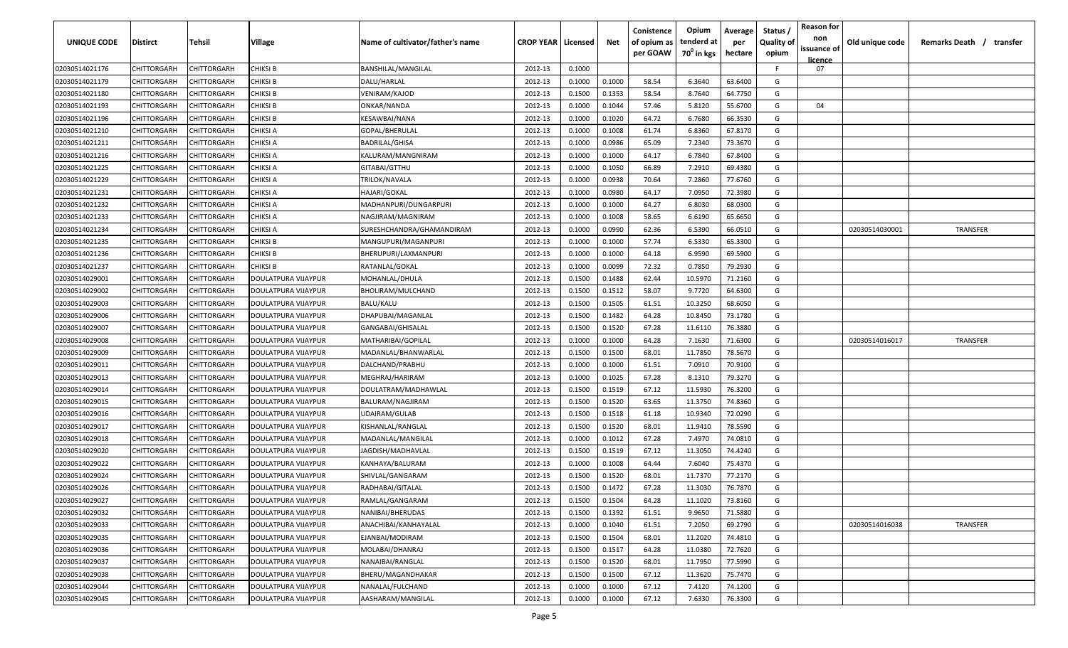| <b>UNIQUE CODE</b> | Distirct           | Tehsil             | Village             | Name of cultivator/father's name | <b>CROP YEAR   Licensed</b> |        | Net    | Conistence<br>of opium as | Opium<br>tenderd at    | Average<br>per | Status /<br><b>Quality of</b> | <b>Reason for</b><br>non | Old unique code | Remarks Death / transfer |
|--------------------|--------------------|--------------------|---------------------|----------------------------------|-----------------------------|--------|--------|---------------------------|------------------------|----------------|-------------------------------|--------------------------|-----------------|--------------------------|
|                    |                    |                    |                     |                                  |                             |        |        | per GOAW                  | 70 <sup>0</sup> in kgs | hectare        | opium                         | issuance of<br>licence   |                 |                          |
| 02030514021176     | CHITTORGARH        | CHITTORGARH        | <b>CHIKSI B</b>     | <b>BANSHILAL/MANGILAL</b>        | 2012-13                     | 0.1000 |        |                           |                        |                | F.                            | 07                       |                 |                          |
| 02030514021179     | CHITTORGARH        | CHITTORGARH        | CHIKSI B            | DALU/HARLAL                      | 2012-13                     | 0.1000 | 0.1000 | 58.54                     | 6.3640                 | 63.6400        | G                             |                          |                 |                          |
| 02030514021180     | CHITTORGARH        | CHITTORGARH        | <b>CHIKSI B</b>     | VENIRAM/KAJOD                    | 2012-13                     | 0.1500 | 0.1353 | 58.54                     | 8.7640                 | 64.7750        | G                             |                          |                 |                          |
| 02030514021193     | CHITTORGARH        | CHITTORGARH        | <b>CHIKSI B</b>     | ONKAR/NANDA                      | 2012-13                     | 0.1000 | 0.1044 | 57.46                     | 5.8120                 | 55.6700        | G                             | 04                       |                 |                          |
| 02030514021196     | CHITTORGARH        | CHITTORGARH        | <b>CHIKSI B</b>     | KESAWBAI/NANA                    | 2012-13                     | 0.1000 | 0.1020 | 64.72                     | 6.7680                 | 66.3530        | G                             |                          |                 |                          |
| 02030514021210     | CHITTORGARH        | CHITTORGARH        | CHIKSI A            | GOPAL/BHERULAL                   | 2012-13                     | 0.1000 | 0.1008 | 61.74                     | 6.8360                 | 67.8170        | G                             |                          |                 |                          |
| 02030514021211     | CHITTORGARH        | CHITTORGARH        | CHIKSI A            | BADRILAL/GHISA                   | 2012-13                     | 0.1000 | 0.0986 | 65.09                     | 7.2340                 | 73.3670        | G                             |                          |                 |                          |
| 02030514021216     | CHITTORGARH        | CHITTORGARH        | CHIKSI A            | KALURAM/MANGNIRAM                | 2012-13                     | 0.1000 | 0.1000 | 64.17                     | 6.7840                 | 67.8400        | G                             |                          |                 |                          |
| 02030514021225     | CHITTORGARH        | CHITTORGARH        | CHIKSI A            | GITABAI/GTTHU                    | 2012-13                     | 0.1000 | 0.1050 | 66.89                     | 7.2910                 | 69.4380        | G                             |                          |                 |                          |
| 02030514021229     | CHITTORGARH        | CHITTORGARH        | CHIKSI A            | TRILOK/NAVALA                    | 2012-13                     | 0.1000 | 0.0938 | 70.64                     | 7.2860                 | 77.6760        | G                             |                          |                 |                          |
| 02030514021231     | CHITTORGARH        | CHITTORGARH        | CHIKSI A            | HAJARI/GOKAL                     | 2012-13                     | 0.1000 | 0.0980 | 64.17                     | 7.0950                 | 72.3980        | G                             |                          |                 |                          |
| 02030514021232     | CHITTORGARH        | CHITTORGARH        | CHIKSI A            | MADHANPURI/DUNGARPURI            | 2012-13                     | 0.1000 | 0.1000 | 64.27                     | 6.8030                 | 68.0300        | G                             |                          |                 |                          |
| 02030514021233     | CHITTORGARH        | CHITTORGARH        | CHIKSI A            | NAGJIRAM/MAGNIRAM                | 2012-13                     | 0.1000 | 0.1008 | 58.65                     | 6.6190                 | 65.6650        | G                             |                          |                 |                          |
| 02030514021234     | CHITTORGARH        | CHITTORGARH        | CHIKSI A            | SURESHCHANDRA/GHAMANDIRAM        | 2012-13                     | 0.1000 | 0.0990 | 62.36                     | 6.5390                 | 66.0510        | G                             |                          | 02030514030001  | <b>TRANSFER</b>          |
| 02030514021235     | CHITTORGARH        | CHITTORGARH        | <b>CHIKSI B</b>     | MANGUPURI/MAGANPURI              | 2012-13                     | 0.1000 | 0.1000 | 57.74                     | 6.5330                 | 65.3300        | G                             |                          |                 |                          |
| 02030514021236     | CHITTORGARH        | CHITTORGARH        | <b>CHIKSI B</b>     | BHERUPURI/LAXMANPURI             | 2012-13                     | 0.1000 | 0.1000 | 64.18                     | 6.9590                 | 69.5900        | G                             |                          |                 |                          |
| 02030514021237     | CHITTORGARH        | CHITTORGARH        | <b>CHIKSI B</b>     | RATANLAL/GOKAL                   | 2012-13                     | 0.1000 | 0.0099 | 72.32                     | 0.7850                 | 79.2930        | G                             |                          |                 |                          |
| 02030514029001     | CHITTORGARH        | CHITTORGARH        | DOULATPURA VIJAYPUR | MOHANLAL/DHULA                   | 2012-13                     | 0.1500 | 0.1488 | 62.44                     | 10.5970                | 71.2160        | G                             |                          |                 |                          |
| 02030514029002     | CHITTORGARH        | CHITTORGARH        | DOULATPURA VIJAYPUR | BHOLIRAM/MULCHAND                | 2012-13                     | 0.1500 | 0.1512 | 58.07                     | 9.7720                 | 64.6300        | G                             |                          |                 |                          |
| 02030514029003     | CHITTORGARH        | CHITTORGARH        | DOULATPURA VIJAYPUR | BALU/KALU                        | 2012-13                     | 0.1500 | 0.1505 | 61.51                     | 10.3250                | 68.6050        | G                             |                          |                 |                          |
| 02030514029006     | CHITTORGARH        | CHITTORGARH        | DOULATPURA VIJAYPUR | DHAPUBAI/MAGANLAL                | 2012-13                     | 0.1500 | 0.1482 | 64.28                     | 10.8450                | 73.1780        | G                             |                          |                 |                          |
| 02030514029007     | CHITTORGARH        | CHITTORGARH        | DOULATPURA VIJAYPUR | GANGABAI/GHISALAL                | 2012-13                     | 0.1500 | 0.1520 | 67.28                     | 11.6110                | 76.3880        | G                             |                          |                 |                          |
| 02030514029008     | CHITTORGARH        | CHITTORGARH        | DOULATPURA VIJAYPUR | MATHARIBAI/GOPILAL               | 2012-13                     | 0.1000 | 0.1000 | 64.28                     | 7.1630                 | 71.6300        | G                             |                          | 02030514016017  | TRANSFER                 |
| 02030514029009     | CHITTORGARH        | CHITTORGARH        | DOULATPURA VIJAYPUR | MADANLAL/BHANWARLAL              | 2012-13                     | 0.1500 | 0.1500 | 68.01                     | 11.7850                | 78.5670        | G                             |                          |                 |                          |
| 02030514029011     | CHITTORGARH        | CHITTORGARH        | DOULATPURA VIJAYPUR | DALCHAND/PRABHU                  | 2012-13                     | 0.1000 | 0.1000 | 61.51                     | 7.0910                 | 70.9100        | G                             |                          |                 |                          |
| 02030514029013     | CHITTORGARH        | CHITTORGARH        | DOULATPURA VIJAYPUR | MEGHRAJ/HARIRAM                  | 2012-13                     | 0.1000 | 0.1025 | 67.28                     | 8.1310                 | 79.3270        | G                             |                          |                 |                          |
| 02030514029014     | CHITTORGARH        | CHITTORGARH        | DOULATPURA VIJAYPUR | DOULATRAM/MADHAWLAL              | 2012-13                     | 0.1500 | 0.1519 | 67.12                     | 11.5930                | 76.3200        | G                             |                          |                 |                          |
| 02030514029015     | CHITTORGARH        | CHITTORGARH        | DOULATPURA VIJAYPUR | BALURAM/NAGJIRAM                 | 2012-13                     | 0.1500 | 0.1520 | 63.65                     | 11.3750                | 74.8360        | G                             |                          |                 |                          |
| 02030514029016     | CHITTORGARH        | CHITTORGARH        | DOULATPURA VIJAYPUR | UDAIRAM/GULAB                    | 2012-13                     | 0.1500 | 0.1518 | 61.18                     | 10.9340                | 72.0290        | G                             |                          |                 |                          |
| 02030514029017     | CHITTORGARH        | CHITTORGARH        | DOULATPURA VIJAYPUR | KISHANLAL/RANGLAL                | 2012-13                     | 0.1500 | 0.1520 | 68.01                     | 11.9410                | 78.5590        | G                             |                          |                 |                          |
| 02030514029018     | CHITTORGARH        | CHITTORGARH        | DOULATPURA VIJAYPUR | MADANLAL/MANGILAL                | 2012-13                     | 0.1000 | 0.1012 | 67.28                     | 7.4970                 | 74.0810        | G                             |                          |                 |                          |
| 02030514029020     | CHITTORGARH        | CHITTORGARH        | DOULATPURA VIJAYPUR | JAGDISH/MADHAVLAL                | 2012-13                     | 0.1500 | 0.1519 | 67.12                     | 11.3050                | 74.4240        | G                             |                          |                 |                          |
| 02030514029022     | CHITTORGARH        | CHITTORGARH        | DOULATPURA VIJAYPUR | KANHAYA/BALURAM                  | 2012-13                     | 0.1000 | 0.1008 | 64.44                     | 7.6040                 | 75.4370        | G                             |                          |                 |                          |
| 02030514029024     | CHITTORGARH        | CHITTORGARH        | DOULATPURA VIJAYPUR | SHIVLAL/GANGARAM                 | 2012-13                     | 0.1500 | 0.1520 | 68.01                     | 11.7370                | 77.2170        | G                             |                          |                 |                          |
| 02030514029026     | CHITTORGARH        | CHITTORGARH        | DOULATPURA VIJAYPUR | RADHABAI/GITALAL                 | 2012-13                     | 0.1500 | 0.1472 | 67.28                     | 11.3030                | 76.7870        | G                             |                          |                 |                          |
| 02030514029027     | <b>CHITTORGARH</b> | <b>CHITTORGARH</b> | DOULATPURA VIJAYPUR | RAMLAL/GANGARAM                  | 2012-13                     | 0.1500 | 0.1504 | 64.28                     | 11.1020                | 73.8160        | G                             |                          |                 |                          |
| 02030514029032     | CHITTORGARH        | CHITTORGARH        | DOULATPURA VIJAYPUR | NANIBAI/BHERUDAS                 | 2012-13                     | 0.1500 | 0.1392 | 61.51                     | 9.9650                 | 71.5880        | G                             |                          |                 |                          |
| 02030514029033     | <b>CHITTORGARH</b> | CHITTORGARH        | DOULATPURA VIJAYPUR | ANACHIBAI/KANHAYALAL             | 2012-13                     | 0.1000 | 0.1040 | 61.51                     | 7.2050                 | 69.2790        | G                             |                          | 02030514016038  | TRANSFER                 |
| 02030514029035     | <b>CHITTORGARH</b> | CHITTORGARH        | DOULATPURA VIJAYPUR | EJANBAI/MODIRAM                  | 2012-13                     | 0.1500 | 0.1504 | 68.01                     | 11.2020                | 74.4810        | G                             |                          |                 |                          |
| 02030514029036     | CHITTORGARH        | CHITTORGARH        | DOULATPURA VIJAYPUR | MOLABAI/DHANRAJ                  | 2012-13                     | 0.1500 | 0.1517 | 64.28                     | 11.0380                | 72.7620        | G                             |                          |                 |                          |
| 02030514029037     | CHITTORGARH        | CHITTORGARH        | DOULATPURA VIJAYPUR | NANAIBAI/RANGLAL                 | 2012-13                     | 0.1500 | 0.1520 | 68.01                     | 11.7950                | 77.5990        | G                             |                          |                 |                          |
| 02030514029038     | CHITTORGARH        | CHITTORGARH        | DOULATPURA VIJAYPUR | BHERU/MAGANDHAKAR                | 2012-13                     | 0.1500 | 0.1500 | 67.12                     | 11.3620                | 75.7470        | G                             |                          |                 |                          |
| 02030514029044     | CHITTORGARH        | CHITTORGARH        | DOULATPURA VIJAYPUR | NANALAL/FULCHAND                 | 2012-13                     | 0.1000 | 0.1000 | 67.12                     | 7.4120                 | 74.1200        | G                             |                          |                 |                          |
| 02030514029045     | <b>CHITTORGARH</b> | CHITTORGARH        | DOULATPURA VIJAYPUR | AASHARAM/MANGILAL                | 2012-13                     | 0.1000 | 0.1000 | 67.12                     | 7.6330                 | 76.3300        | G                             |                          |                 |                          |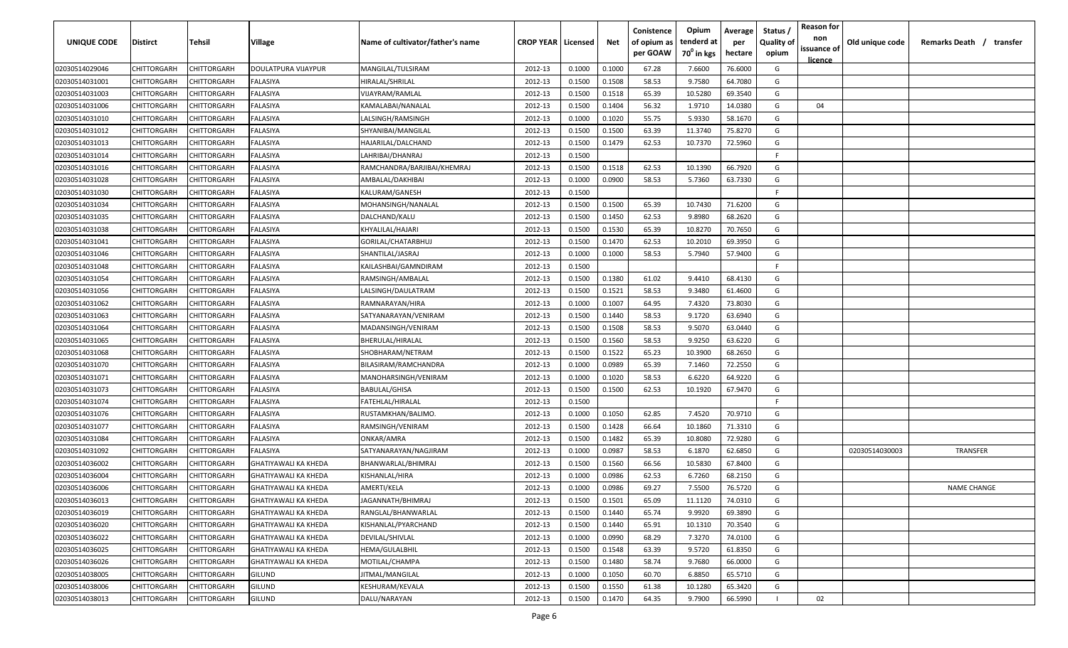| <b>UNIQUE CODE</b>               | <b>Distirct</b>                   | <b>Tehsil</b>              | Village                                                    | Name of cultivator/father's name        | <b>CROP YEAR   Licensed</b> |                  | Net    | Conistence<br>of opium as<br>per GOAW | Opium<br>tenderd at<br>70 <sup>0</sup> in kgs | Average<br>per<br>hectare | Status /<br><b>Quality of</b><br>opium | <b>Reason for</b><br>non<br>issuance of | Old unique code | Remarks Death /<br>transfer |
|----------------------------------|-----------------------------------|----------------------------|------------------------------------------------------------|-----------------------------------------|-----------------------------|------------------|--------|---------------------------------------|-----------------------------------------------|---------------------------|----------------------------------------|-----------------------------------------|-----------------|-----------------------------|
|                                  | CHITTORGARH                       | CHITTORGARH                | DOULATPURA VIJAYPUR                                        | MANGILAL/TULSIRAM                       | 2012-13                     | 0.1000           | 0.1000 | 67.28                                 | 7.6600                                        | 76.6000                   | G                                      | licence                                 |                 |                             |
| 02030514029046                   | CHITTORGARH                       | CHITTORGARH                | FALASIYA                                                   | HIRALAL/SHRILAL                         | 2012-13                     | 0.1500           | 0.1508 | 58.53                                 | 9.7580                                        | 64.7080                   | G                                      |                                         |                 |                             |
| 02030514031001                   |                                   | CHITTORGARH                | FALASIYA                                                   |                                         | 2012-13                     | 0.1500           | 0.1518 | 65.39                                 | 10.5280                                       | 69.3540                   | G                                      |                                         |                 |                             |
| 02030514031003                   | CHITTORGARH<br>CHITTORGARH        | CHITTORGARH                | FALASIYA                                                   | VIJAYRAM/RAMLAL                         | 2012-13                     | 0.1500           | 0.1404 | 56.32                                 | 1.9710                                        | 14.0380                   | G                                      | 04                                      |                 |                             |
| 02030514031006<br>02030514031010 | CHITTORGARH                       | CHITTORGARH                | FALASIYA                                                   | KAMALABAI/NANALAL<br>LALSINGH/RAMSINGH  | 2012-13                     | 0.1000           | 0.1020 | 55.75                                 | 5.9330                                        | 58.1670                   | G                                      |                                         |                 |                             |
| 02030514031012                   | CHITTORGARH                       | CHITTORGARH                | FALASIYA                                                   | SHYANIBAI/MANGILAL                      | 2012-13                     | 0.1500           | 0.1500 | 63.39                                 | 11.3740                                       | 75.8270                   | G                                      |                                         |                 |                             |
| 02030514031013                   | CHITTORGARH                       | CHITTORGARH                | FALASIYA                                                   | HAJARILAL/DALCHAND                      | 2012-13                     | 0.1500           | 0.1479 | 62.53                                 | 10.7370                                       | 72.5960                   | G                                      |                                         |                 |                             |
| 02030514031014                   | CHITTORGARH                       | CHITTORGARH                | FALASIYA                                                   | LAHRIBAI/DHANRAJ                        | 2012-13                     | 0.1500           |        |                                       |                                               |                           | -F.                                    |                                         |                 |                             |
| 02030514031016                   | CHITTORGARH                       | CHITTORGARH                | FALASIYA                                                   | RAMCHANDRA/BARJIBAI/KHEMRAJ             | 2012-13                     | 0.1500           | 0.1518 | 62.53                                 | 10.1390                                       | 66.7920                   | G                                      |                                         |                 |                             |
| 02030514031028                   | CHITTORGARH                       | CHITTORGARH                | FALASIYA                                                   | AMBALAL/DAKHIBAI                        | 2012-13                     | 0.1000           | 0.0900 | 58.53                                 | 5.7360                                        | 63.7330                   | G                                      |                                         |                 |                             |
| 02030514031030                   | CHITTORGARH                       | CHITTORGARH                | FALASIYA                                                   | KALURAM/GANESH                          | 2012-13                     | 0.1500           |        |                                       |                                               |                           | F.                                     |                                         |                 |                             |
| 02030514031034                   | CHITTORGARH                       | CHITTORGARH                | ALASIYA                                                    | MOHANSINGH/NANALAL                      | 2012-13                     | 0.1500           | 0.1500 | 65.39                                 | 10.7430                                       | 71.6200                   | G                                      |                                         |                 |                             |
| 02030514031035                   | CHITTORGARH                       | CHITTORGARH                | FALASIYA                                                   | DALCHAND/KALU                           | 2012-13                     | 0.1500           | 0.1450 | 62.53                                 | 9.8980                                        | 68.2620                   | G                                      |                                         |                 |                             |
| 02030514031038                   | CHITTORGARH                       | CHITTORGARH                | FALASIYA                                                   | KHYALILAL/HAJARI                        | 2012-13                     | 0.1500           | 0.1530 | 65.39                                 | 10.8270                                       | 70.7650                   | G                                      |                                         |                 |                             |
| 02030514031041                   | CHITTORGARH                       | CHITTORGARH                | FALASIYA                                                   | GORILAL/CHATARBHUJ                      | 2012-13                     | 0.1500           | 0.1470 | 62.53                                 | 10.2010                                       | 69.3950                   | G                                      |                                         |                 |                             |
| 02030514031046                   | CHITTORGARH                       | CHITTORGARH                | FALASIYA                                                   | SHANTILAL/JASRAJ                        | 2012-13                     | 0.1000           | 0.1000 | 58.53                                 | 5.7940                                        | 57.9400                   | G                                      |                                         |                 |                             |
| 02030514031048                   | CHITTORGARH                       | CHITTORGARF                | FALASIYA                                                   | KAILASHBAI/GAMNDIRAM                    | 2012-13                     | 0.1500           |        |                                       |                                               |                           | F.                                     |                                         |                 |                             |
| 02030514031054                   | CHITTORGARH                       | CHITTORGARH                | FALASIYA                                                   | RAMSINGH/AMBALAL                        | 2012-13                     | 0.1500           | 0.1380 | 61.02                                 | 9.4410                                        | 68.4130                   | G                                      |                                         |                 |                             |
|                                  | CHITTORGARH                       | CHITTORGARH                | FALASIYA                                                   | LALSINGH/DAULATRAM                      | 2012-13                     | 0.1500           | 0.1521 | 58.53                                 | 9.3480                                        | 61.4600                   | G                                      |                                         |                 |                             |
| 02030514031056                   |                                   |                            |                                                            |                                         |                             |                  | 0.1007 | 64.95                                 |                                               | 73.8030                   | G                                      |                                         |                 |                             |
| 02030514031062<br>02030514031063 | CHITTORGARH<br>CHITTORGARH        | CHITTORGARH<br>CHITTORGARH | FALASIYA<br>FALASIYA                                       | RAMNARAYAN/HIRA<br>SATYANARAYAN/VENIRAM | 2012-13<br>2012-13          | 0.1000<br>0.1500 | 0.1440 | 58.53                                 | 7.4320<br>9.1720                              | 63.6940                   | G                                      |                                         |                 |                             |
| 02030514031064                   | CHITTORGARH                       | CHITTORGARH                | FALASIYA                                                   | MADANSINGH/VENIRAM                      | 2012-13                     | 0.1500           | 0.1508 | 58.53                                 | 9.5070                                        | 63.0440                   | G                                      |                                         |                 |                             |
| 02030514031065                   | CHITTORGARH                       | CHITTORGARH                | FALASIYA                                                   | BHERULAL/HIRALAL                        | 2012-13                     | 0.1500           | 0.1560 | 58.53                                 | 9.9250                                        | 63.6220                   | G                                      |                                         |                 |                             |
| 02030514031068                   | CHITTORGARH                       | CHITTORGARH                | FALASIYA                                                   |                                         | 2012-13                     | 0.1500           | 0.1522 | 65.23                                 | 10.3900                                       | 68.2650                   | G                                      |                                         |                 |                             |
|                                  | CHITTORGARH                       |                            |                                                            | SHOBHARAM/NETRAM                        |                             | 0.1000           | 0.0989 | 65.39                                 |                                               | 72.2550                   | G                                      |                                         |                 |                             |
| 02030514031070                   |                                   | CHITTORGARH                | FALASIYA                                                   | BILASIRAM/RAMCHANDRA                    | 2012-13                     |                  |        |                                       | 7.1460<br>6.6220                              |                           |                                        |                                         |                 |                             |
| 02030514031071                   | CHITTORGARH                       | CHITTORGARH                | FALASIYA                                                   | MANOHARSINGH/VENIRAM                    | 2012-13                     | 0.1000           | 0.1020 | 58.53                                 |                                               | 64.9220                   | G                                      |                                         |                 |                             |
| 02030514031073                   | CHITTORGARH                       | CHITTORGARH                | FALASIYA                                                   | <b>BABULAL/GHISA</b>                    | 2012-13                     | 0.1500           | 0.1500 | 62.53                                 | 10.1920                                       | 67.9470                   | G<br>F.                                |                                         |                 |                             |
| 02030514031074                   | CHITTORGARH                       | CHITTORGARH                | FALASIYA                                                   | FATEHLAL/HIRALAL                        | 2012-13                     | 0.1500           |        |                                       |                                               |                           |                                        |                                         |                 |                             |
| 02030514031076                   | CHITTORGARH                       | CHITTORGARH                | <b>ALASIYA</b>                                             | RUSTAMKHAN/BALIMO.                      | 2012-13                     | 0.1000           | 0.1050 | 62.85                                 | 7.4520                                        | 70.9710                   | G                                      |                                         |                 |                             |
| 02030514031077                   | CHITTORGARH                       | CHITTORGARH                | FALASIYA                                                   | RAMSINGH/VENIRAM                        | 2012-13                     | 0.1500           | 0.1428 | 66.64                                 | 10.1860                                       | 71.3310                   | G                                      |                                         |                 |                             |
| 02030514031084                   | CHITTORGARH                       | CHITTORGARH                | FALASIYA                                                   | ONKAR/AMRA                              | 2012-13                     | 0.1500           | 0.1482 | 65.39                                 | 10.8080                                       | 72.9280                   | G<br>G                                 |                                         |                 |                             |
| 02030514031092                   | CHITTORGARH                       | CHITTORGARH                | FALASIYA                                                   | SATYANARAYAN/NAGJIRAM                   | 2012-13                     | 0.1000           | 0.0987 | 58.53                                 | 6.1870                                        | 62.6850                   |                                        |                                         | 02030514030003  | <b>TRANSFER</b>             |
| 02030514036002                   | CHITTORGARH                       | CHITTORGARH                | <b>GHATIYAWALI KA KHEDA</b><br><b>GHATIYAWALI KA KHEDA</b> | BHANWARLAL/BHIMRAJ                      | 2012-13                     | 0.1500           | 0.1560 | 66.56                                 | 10.5830                                       | 67.8400                   | G                                      |                                         |                 |                             |
| 02030514036004                   | CHITTORGARH                       | CHITTORGARH                |                                                            | KISHANLAL/HIRA                          | 2012-13                     | 0.1000           | 0.0986 | 62.53                                 | 6.7260                                        | 68.2150                   | G                                      |                                         |                 |                             |
| 02030514036006                   | <b>CHITTORGARH</b><br>CHITTORGARH | CHITTORGARH                | <b>GHATIYAWALI KA KHEDA</b>                                | AMERTI/KELA                             | 2012-13                     | 0.1000           | 0.0986 | 69.27                                 | 7.5500                                        | 76.5720                   | G                                      |                                         |                 | <b>NAME CHANGE</b>          |
| 02030514036013                   |                                   | <b>CHITTORGARH</b>         | <b>GHATIYAWALI KA KHEDA</b>                                | JAGANNATH/BHIMRAJ                       | 2012-13                     | 0.1500           | 0.1501 | 65.09                                 | 11.1120                                       | 74.0310                   | G                                      |                                         |                 |                             |
| 02030514036019                   | <b>CHITTORGARH</b>                | CHITTORGARH                | GHATIYAWALI KA KHEDA                                       | RANGLAL/BHANWARLAL                      | 2012-13                     | 0.1500           | 0.1440 | 65.74                                 | 9.9920                                        | 69.3890                   | G                                      |                                         |                 |                             |
| 02030514036020                   | <b>CHITTORGARH</b>                | CHITTORGARH                | GHATIYAWALI KA KHEDA                                       | KISHANLAL/PYARCHAND                     | 2012-13                     | 0.1500           | 0.1440 | 65.91                                 | 10.1310                                       | 70.3540                   | G                                      |                                         |                 |                             |
| 02030514036022                   | <b>CHITTORGARH</b>                | CHITTORGARH                | GHATIYAWALI KA KHEDA                                       | DEVILAL/SHIVLAL                         | 2012-13                     | 0.1000           | 0.0990 | 68.29                                 | 7.3270                                        | 74.0100                   | G                                      |                                         |                 |                             |
| 02030514036025                   | CHITTORGARH                       | CHITTORGARH                | GHATIYAWALI KA KHEDA                                       | HEMA/GULALBHIL                          | 2012-13                     | 0.1500           | 0.1548 | 63.39                                 | 9.5720                                        | 61.8350                   | G                                      |                                         |                 |                             |
| 02030514036026                   | CHITTORGARH                       | CHITTORGARH                | GHATIYAWALI KA KHEDA                                       | MOTILAL/CHAMPA                          | 2012-13                     | 0.1500           | 0.1480 | 58.74                                 | 9.7680                                        | 66.0000                   | G                                      |                                         |                 |                             |
| 02030514038005                   | CHITTORGARH                       | CHITTORGARH                | <b>GILUND</b>                                              | JITMAL/MANGILAL                         | 2012-13                     | 0.1000           | 0.1050 | 60.70                                 | 6.8850                                        | 65.5710                   | G                                      |                                         |                 |                             |
| 02030514038006                   | <b>CHITTORGARH</b>                | CHITTORGARH                | <b>GILUND</b>                                              | KESHURAM/KEVALA                         | 2012-13                     | 0.1500           | 0.1550 | 61.38                                 | 10.1280                                       | 65.3420                   | G                                      |                                         |                 |                             |
| 02030514038013                   | <b>CHITTORGARH</b>                | CHITTORGARH                | <b>GILUND</b>                                              | DALU/NARAYAN                            | 2012-13                     | 0.1500           | 0.1470 | 64.35                                 | 9.7900                                        | 66.5990                   |                                        | 02                                      |                 |                             |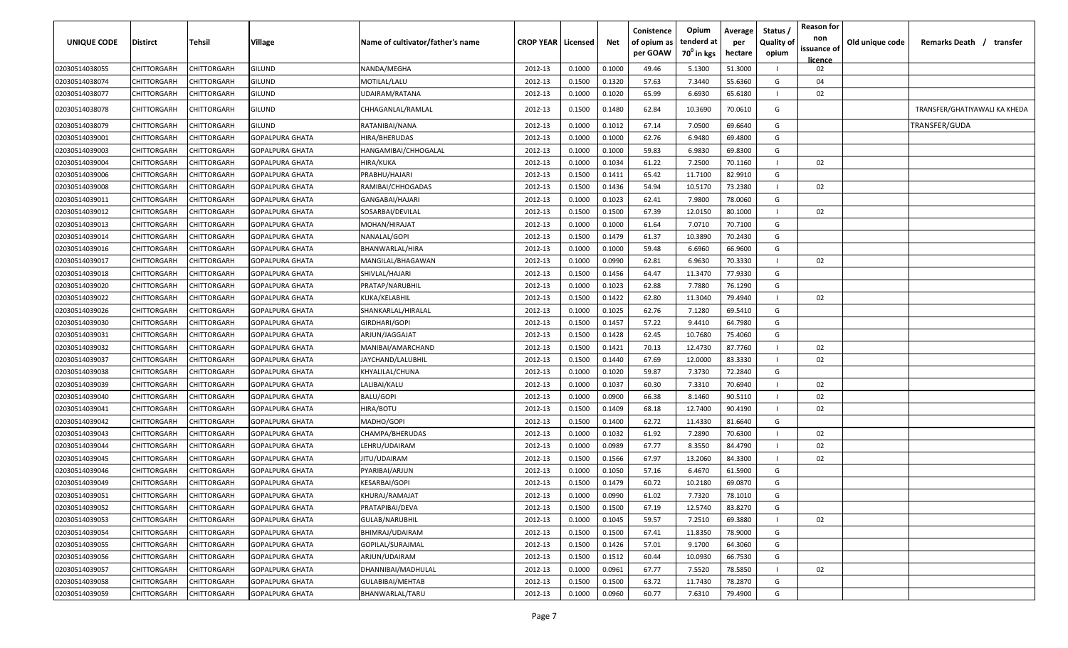| UNIQUE CODE    | Distirct           | Tehsil             | Village                | Name of cultivator/father's name | <b>CROP YEAR   Licensed</b> |        | Net    | Conistence<br>of opium as<br>per GOAW | Opium<br>tenderd at<br>70 <sup>0</sup> in kgs | Average<br>per<br>hectare | Status,<br><b>Quality of</b><br>opium | <b>Reason for</b><br>non<br>issuance of | Old unique code | Remarks Death / transfer      |
|----------------|--------------------|--------------------|------------------------|----------------------------------|-----------------------------|--------|--------|---------------------------------------|-----------------------------------------------|---------------------------|---------------------------------------|-----------------------------------------|-----------------|-------------------------------|
| 02030514038055 | CHITTORGARH        | CHITTORGARH        | GILUND                 | NANDA/MEGHA                      | 2012-13                     | 0.1000 | 0.1000 | 49.46                                 | 5.1300                                        | 51.3000                   |                                       | licence<br>02                           |                 |                               |
| 02030514038074 | CHITTORGARH        | CHITTORGARH        | GILUND                 | MOTILAL/LALU                     | 2012-13                     | 0.1500 | 0.1320 | 57.63                                 | 7.3440                                        | 55.6360                   | G                                     | 04                                      |                 |                               |
| 02030514038077 | CHITTORGARH        | CHITTORGARH        | GILUND                 | UDAIRAM/RATANA                   | 2012-13                     | 0.1000 | 0.1020 | 65.99                                 | 6.6930                                        | 65.6180                   |                                       | 02                                      |                 |                               |
|                |                    |                    |                        |                                  |                             |        |        |                                       |                                               |                           |                                       |                                         |                 |                               |
| 02030514038078 | CHITTORGARH        | CHITTORGARH        | GILUND                 | CHHAGANLAL/RAMLAL                | 2012-13                     | 0.1500 | 0.1480 | 62.84                                 | 10.3690                                       | 70.0610                   | G                                     |                                         |                 | TRANSFER/GHATIYAWALI KA KHEDA |
| 02030514038079 | CHITTORGARH        | CHITTORGARH        | GILUND                 | RATANIBAI/NANA                   | 2012-13                     | 0.1000 | 0.1012 | 67.14                                 | 7.0500                                        | 69.6640                   | G                                     |                                         |                 | TRANSFER/GUDA                 |
| 02030514039001 | CHITTORGARH        | CHITTORGARH        | <b>GOPALPURA GHATA</b> | HIRA/BHERUDAS                    | 2012-13                     | 0.1000 | 0.1000 | 62.76                                 | 6.9480                                        | 69.4800                   | G                                     |                                         |                 |                               |
| 02030514039003 | CHITTORGARH        | CHITTORGARH        | GOPALPURA GHATA        | HANGAMIBAI/CHHOGALAL             | 2012-13                     | 0.1000 | 0.1000 | 59.83                                 | 6.9830                                        | 69.8300                   | G                                     |                                         |                 |                               |
| 02030514039004 | CHITTORGARH        | CHITTORGARH        | <b>GOPALPURA GHATA</b> | HIRA/KUKA                        | 2012-13                     | 0.1000 | 0.1034 | 61.22                                 | 7.2500                                        | 70.1160                   |                                       | 02                                      |                 |                               |
| 02030514039006 | CHITTORGARH        | CHITTORGARH        | <b>GOPALPURA GHATA</b> | PRABHU/HAJARI                    | 2012-13                     | 0.1500 | 0.1411 | 65.42                                 | 11.7100                                       | 82.9910                   | G                                     |                                         |                 |                               |
| 02030514039008 | CHITTORGARH        | CHITTORGARH        | <b>GOPALPURA GHATA</b> | RAMIBAI/CHHOGADAS                | 2012-13                     | 0.1500 | 0.1436 | 54.94                                 | 10.5170                                       | 73.2380                   |                                       | 02                                      |                 |                               |
| 02030514039011 | CHITTORGARH        | CHITTORGARH        | GOPALPURA GHATA        | GANGABAI/HAJARI                  | 2012-13                     | 0.1000 | 0.1023 | 62.41                                 | 7.9800                                        | 78.0060                   | G                                     |                                         |                 |                               |
| 02030514039012 | CHITTORGARH        | CHITTORGARH        | GOPALPURA GHATA        | SOSARBAI/DEVILAL                 | 2012-13                     | 0.1500 | 0.1500 | 67.39                                 | 12.0150                                       | 80.1000                   |                                       | 02                                      |                 |                               |
| 02030514039013 | CHITTORGARH        | CHITTORGARH        | GOPALPURA GHATA        | MOHAN/HIRAJAT                    | 2012-13                     | 0.1000 | 0.1000 | 61.64                                 | 7.0710                                        | 70.7100                   | G                                     |                                         |                 |                               |
| 02030514039014 | CHITTORGARH        | CHITTORGARH        | GOPALPURA GHATA        | NANALAL/GOPI                     | 2012-13                     | 0.1500 | 0.1479 | 61.37                                 | 10.3890                                       | 70.2430                   | G                                     |                                         |                 |                               |
| 02030514039016 | CHITTORGARH        | CHITTORGARH        | GOPALPURA GHATA        | BHANWARLAL/HIRA                  | 2012-13                     | 0.1000 | 0.1000 | 59.48                                 | 6.6960                                        | 66.9600                   | G                                     |                                         |                 |                               |
| 02030514039017 | CHITTORGARH        | CHITTORGARH        | GOPALPURA GHATA        | MANGILAL/BHAGAWAN                | 2012-13                     | 0.1000 | 0.0990 | 62.81                                 | 6.9630                                        | 70.3330                   |                                       | 02                                      |                 |                               |
| 02030514039018 | CHITTORGARH        | CHITTORGARH        | GOPALPURA GHATA        | SHIVLAL/HAJARI                   | 2012-13                     | 0.1500 | 0.1456 | 64.47                                 | 11.3470                                       | 77.9330                   | G                                     |                                         |                 |                               |
| 02030514039020 | CHITTORGARH        | CHITTORGARH        | GOPALPURA GHATA        | PRATAP/NARUBHIL                  | 2012-13                     | 0.1000 | 0.1023 | 62.88                                 | 7.7880                                        | 76.1290                   | G                                     |                                         |                 |                               |
| 02030514039022 | CHITTORGARH        | CHITTORGARH        | GOPALPURA GHATA        | KUKA/KELABHIL                    | 2012-13                     | 0.1500 | 0.1422 | 62.80                                 | 11.3040                                       | 79.4940                   |                                       | 02                                      |                 |                               |
| 02030514039026 | CHITTORGARH        | CHITTORGARH        | GOPALPURA GHATA        | SHANKARLAL/HIRALAL               | 2012-13                     | 0.1000 | 0.1025 | 62.76                                 | 7.1280                                        | 69.5410                   | G                                     |                                         |                 |                               |
| 02030514039030 | CHITTORGARH        | CHITTORGARH        | GOPALPURA GHATA        | GIRDHARI/GOPI                    | 2012-13                     | 0.1500 | 0.1457 | 57.22                                 | 9.4410                                        | 64.7980                   | G                                     |                                         |                 |                               |
| 02030514039031 | CHITTORGARH        | CHITTORGARH        | GOPALPURA GHATA        | ARJUN/JAGGAJAT                   | 2012-13                     | 0.1500 | 0.1428 | 62.45                                 | 10.7680                                       | 75.4060                   | G                                     |                                         |                 |                               |
| 02030514039032 | CHITTORGARH        | CHITTORGARH        | <b>GOPALPURA GHATA</b> | MANIBAI/AMARCHAND                | 2012-13                     | 0.1500 | 0.1421 | 70.13                                 | 12.4730                                       | 87.7760                   |                                       | 02                                      |                 |                               |
| 02030514039037 | CHITTORGARH        | CHITTORGARH        | GOPALPURA GHATA        | JAYCHAND/LALUBHIL                | 2012-13                     | 0.1500 | 0.1440 | 67.69                                 | 12.0000                                       | 83.3330                   |                                       | 02                                      |                 |                               |
| 02030514039038 | CHITTORGARH        | CHITTORGARH        | GOPALPURA GHATA        | KHYALILAL/CHUNA                  | 2012-13                     | 0.1000 | 0.1020 | 59.87                                 | 7.3730                                        | 72.2840                   | G                                     |                                         |                 |                               |
| 02030514039039 | CHITTORGARH        | CHITTORGARH        | <b>GOPALPURA GHATA</b> | ALIBAI/KALU                      | 2012-13                     | 0.1000 | 0.1037 | 60.30                                 | 7.3310                                        | 70.6940                   |                                       | 02                                      |                 |                               |
| 02030514039040 | CHITTORGARH        | CHITTORGARH        | <b>GOPALPURA GHATA</b> | BALU/GOPI                        | 2012-13                     | 0.1000 | 0.0900 | 66.38                                 | 8.1460                                        | 90.5110                   |                                       | 02                                      |                 |                               |
| 02030514039041 | CHITTORGARH        | CHITTORGARH        | GOPALPURA GHATA        | <b>HIRA/BOTU</b>                 | 2012-13                     | 0.1500 | 0.1409 | 68.18                                 | 12.7400                                       | 90.4190                   |                                       | 02                                      |                 |                               |
| 02030514039042 | CHITTORGARH        | CHITTORGARH        | GOPALPURA GHATA        | MADHO/GOPI                       | 2012-13                     | 0.1500 | 0.1400 | 62.72                                 | 11.4330                                       | 81.6640                   | G                                     |                                         |                 |                               |
| 02030514039043 | CHITTORGARH        | CHITTORGARH        | GOPALPURA GHATA        | CHAMPA/BHERUDAS                  | 2012-13                     | 0.1000 | 0.1032 | 61.92                                 | 7.2890                                        | 70.6300                   |                                       | 02                                      |                 |                               |
| 02030514039044 | CHITTORGARH        | CHITTORGARH        | <b>GOPALPURA GHATA</b> | LEHRU/UDAIRAM                    | 2012-13                     | 0.1000 | 0.0989 | 67.77                                 | 8.3550                                        | 84.4790                   |                                       | 02                                      |                 |                               |
| 02030514039045 | CHITTORGARH        | CHITTORGARH        | GOPALPURA GHATA        | IITU/UDAIRAM                     | 2012-13                     | 0.1500 | 0.1566 | 67.97                                 | 13.2060                                       | 84.3300                   |                                       | 02                                      |                 |                               |
| 02030514039046 | CHITTORGARH        | CHITTORGARH        | GOPALPURA GHATA        | PYARIBAI/ARJUN                   | 2012-13                     | 0.1000 | 0.1050 | 57.16                                 | 6.4670                                        | 61.5900                   | G                                     |                                         |                 |                               |
| 02030514039049 | CHITTORGARH        | CHITTORGARH        | GOPALPURA GHATA        | KESARBAI/GOPI                    | 2012-13                     | 0.1500 | 0.1479 | 60.72                                 | 10.2180                                       | 69.0870                   | G                                     |                                         |                 |                               |
| 02030514039051 | CHITTORGARH        | <b>CHITTORGARH</b> | GOPALPURA GHATA        | KHURAJ/RAMAJAT                   | 2012-13                     | 0.1000 | 0.0990 | 61.02                                 | 7.7320                                        | 78.1010                   | G                                     |                                         |                 |                               |
| 02030514039052 | <b>CHITTORGARH</b> | <b>CHITTORGARH</b> | <b>GOPALPURA GHATA</b> | PRATAPIBAI/DEVA                  | 2012-13                     | 0.1500 | 0.1500 | 67.19                                 | 12.5740                                       | 83.8270                   | G                                     |                                         |                 |                               |
| 02030514039053 | <b>CHITTORGARH</b> | <b>CHITTORGARH</b> | <b>GOPALPURA GHATA</b> | <b>GULAB/NARUBHIL</b>            | 2012-13                     | 0.1000 | 0.1045 | 59.57                                 | 7.2510                                        | 69.3880                   |                                       | 02                                      |                 |                               |
| 02030514039054 | CHITTORGARH        | <b>CHITTORGARH</b> | <b>GOPALPURA GHATA</b> | BHIMRAJ/UDAIRAM                  | 2012-13                     | 0.1500 | 0.1500 | 67.41                                 | 11.8350                                       | 78.9000                   | G                                     |                                         |                 |                               |
| 02030514039055 | <b>CHITTORGARH</b> | CHITTORGARH        | GOPALPURA GHATA        | GOPILAL/SURAJMAL                 | 2012-13                     | 0.1500 | 0.1426 | 57.01                                 | 9.1700                                        | 64.3060                   | G                                     |                                         |                 |                               |
| 02030514039056 | CHITTORGARH        | CHITTORGARH        | GOPALPURA GHATA        | ARJUN/UDAIRAM                    | 2012-13                     | 0.1500 | 0.1512 | 60.44                                 | 10.0930                                       | 66.7530                   | G                                     |                                         |                 |                               |
| 02030514039057 | CHITTORGARH        | CHITTORGARH        | GOPALPURA GHATA        | DHANNIBAI/MADHULAL               | 2012-13                     | 0.1000 | 0.0961 | 67.77                                 | 7.5520                                        | 78.5850                   |                                       | 02                                      |                 |                               |
| 02030514039058 | CHITTORGARH        | CHITTORGARH        | <b>GOPALPURA GHATA</b> | GULABIBAI/MEHTAB                 | 2012-13                     | 0.1500 | 0.1500 | 63.72                                 | 11.7430                                       | 78.2870                   | G                                     |                                         |                 |                               |
| 02030514039059 | CHITTORGARH        | CHITTORGARH        | <b>GOPALPURA GHATA</b> | BHANWARLAL/TARU                  | 2012-13                     | 0.1000 | 0.0960 | 60.77                                 | 7.6310                                        | 79.4900                   | G                                     |                                         |                 |                               |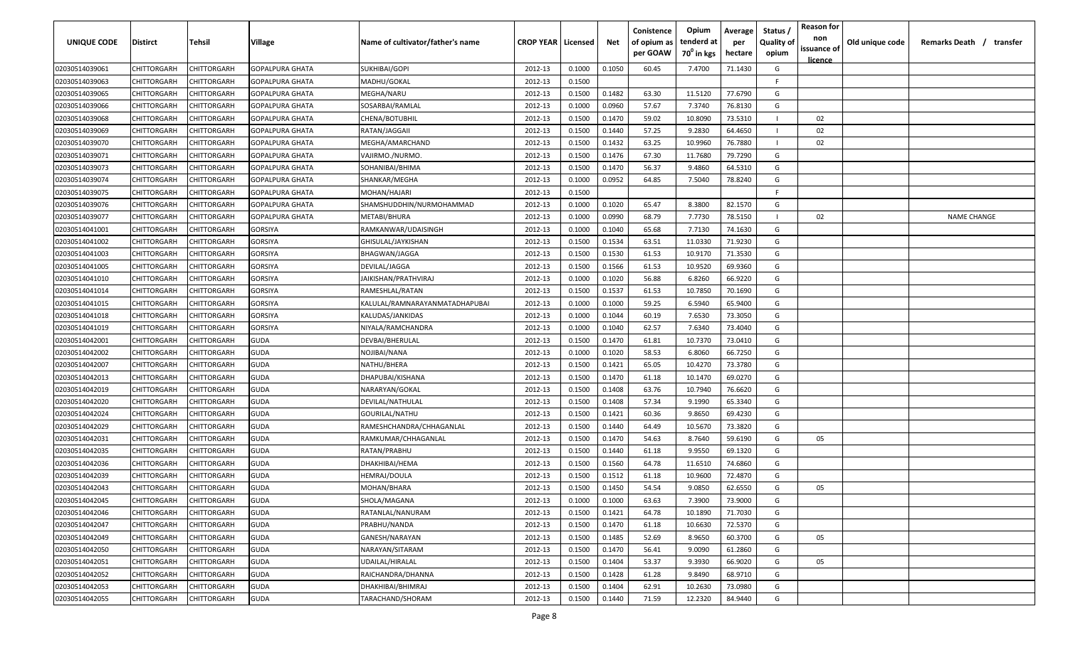| UNIQUE CODE    | Distirct    | Tehsil             | Village                | Name of cultivator/father's name | <b>CROP YEAR   Licensed</b> |        | Net    | Conistence<br>of opium as<br>per GOAW | Opium<br>tenderd at<br>70 <sup>°</sup> in kgs | Average<br>per<br>hectare | Status /<br><b>Quality of</b><br>opium | <b>Reason for</b><br>non<br>issuance of<br><u>licence</u> | Old unique code | Remarks Death /<br>transfer |
|----------------|-------------|--------------------|------------------------|----------------------------------|-----------------------------|--------|--------|---------------------------------------|-----------------------------------------------|---------------------------|----------------------------------------|-----------------------------------------------------------|-----------------|-----------------------------|
| 02030514039061 | CHITTORGARH | CHITTORGARH        | <b>GOPALPURA GHATA</b> | SUKHIBAI/GOPI                    | 2012-13                     | 0.1000 | 0.1050 | 60.45                                 | 7.4700                                        | 71.1430                   | G                                      |                                                           |                 |                             |
| 02030514039063 | CHITTORGARH | CHITTORGARH        | GOPALPURA GHATA        | MADHU/GOKAL                      | 2012-13                     | 0.1500 |        |                                       |                                               |                           | -F                                     |                                                           |                 |                             |
| 02030514039065 | CHITTORGARH | CHITTORGARH        | <b>GOPALPURA GHATA</b> | MEGHA/NARU                       | 2012-13                     | 0.1500 | 0.1482 | 63.30                                 | 11.5120                                       | 77.6790                   | G                                      |                                                           |                 |                             |
| 02030514039066 | CHITTORGARH | CHITTORGARH        | <b>GOPALPURA GHATA</b> | SOSARBAI/RAMLAL                  | 2012-13                     | 0.1000 | 0.0960 | 57.67                                 | 7.3740                                        | 76.8130                   | G                                      |                                                           |                 |                             |
| 02030514039068 | CHITTORGARH | CHITTORGARH        | GOPALPURA GHATA        | CHENA/BOTUBHIL                   | 2012-13                     | 0.1500 | 0.1470 | 59.02                                 | 10.8090                                       | 73.5310                   |                                        | 02                                                        |                 |                             |
| 02030514039069 | CHITTORGARH | CHITTORGARH        | GOPALPURA GHATA        | RATAN/JAGGAII                    | 2012-13                     | 0.1500 | 0.1440 | 57.25                                 | 9.2830                                        | 64.4650                   |                                        | 02                                                        |                 |                             |
| 02030514039070 | CHITTORGARH | CHITTORGARH        | <b>GOPALPURA GHATA</b> | MEGHA/AMARCHAND                  | 2012-13                     | 0.1500 | 0.1432 | 63.25                                 | 10.9960                                       | 76.7880                   |                                        | 02                                                        |                 |                             |
| 02030514039071 | CHITTORGARH | <b>CHITTORGARH</b> | <b>GOPALPURA GHATA</b> | VAJIRMO./NURMO.                  | 2012-13                     | 0.1500 | 0.1476 | 67.30                                 | 11.7680                                       | 79.7290                   | G                                      |                                                           |                 |                             |
| 02030514039073 | CHITTORGARH | CHITTORGARH        | GOPALPURA GHATA        | SOHANIBAI/BHIMA                  | 2012-13                     | 0.1500 | 0.1470 | 56.37                                 | 9.4860                                        | 64.5310                   | G                                      |                                                           |                 |                             |
| 02030514039074 | CHITTORGARH | CHITTORGARH        | GOPALPURA GHATA        | SHANKAR/MEGHA                    | 2012-13                     | 0.1000 | 0.0952 | 64.85                                 | 7.5040                                        | 78.8240                   | G                                      |                                                           |                 |                             |
| 02030514039075 | CHITTORGARH | CHITTORGARH        | GOPALPURA GHATA        | MOHAN/HAJARI                     | 2012-13                     | 0.1500 |        |                                       |                                               |                           | F.                                     |                                                           |                 |                             |
| 02030514039076 | CHITTORGARH | CHITTORGARH        | GOPALPURA GHATA        | SHAMSHUDDHIN/NURMOHAMMAD         | 2012-13                     | 0.1000 | 0.1020 | 65.47                                 | 8.3800                                        | 82.1570                   | G                                      |                                                           |                 |                             |
| 02030514039077 | CHITTORGARH | CHITTORGARH        | GOPALPURA GHATA        | METABI/BHURA                     | 2012-13                     | 0.1000 | 0.0990 | 68.79                                 | 7.7730                                        | 78.5150                   |                                        | 02                                                        |                 | <b>NAME CHANGE</b>          |
| 02030514041001 | CHITTORGARH | CHITTORGARH        | GORSIYA                | RAMKANWAR/UDAISINGH              | 2012-13                     | 0.1000 | 0.1040 | 65.68                                 | 7.7130                                        | 74.1630                   | G                                      |                                                           |                 |                             |
| 02030514041002 | CHITTORGARH | CHITTORGARH        | GORSIYA                | GHISULAL/JAYKISHAN               | 2012-13                     | 0.1500 | 0.1534 | 63.51                                 | 11.0330                                       | 71.9230                   | G                                      |                                                           |                 |                             |
| 02030514041003 | CHITTORGARH | CHITTORGARH        | GORSIYA                | BHAGWAN/JAGGA                    | 2012-13                     | 0.1500 | 0.1530 | 61.53                                 | 10.9170                                       | 71.3530                   | G                                      |                                                           |                 |                             |
| 02030514041005 | CHITTORGARH | CHITTORGARH        | GORSIYA                | DEVILAL/JAGGA                    | 2012-13                     | 0.1500 | 0.1566 | 61.53                                 | 10.9520                                       | 69.9360                   | G                                      |                                                           |                 |                             |
| 02030514041010 | CHITTORGARH | CHITTORGARH        | GORSIYA                | JAIKISHAN/PRATHVIRAJ             | 2012-13                     | 0.1000 | 0.1020 | 56.88                                 | 6.8260                                        | 66.9220                   | G                                      |                                                           |                 |                             |
| 02030514041014 | CHITTORGARH | CHITTORGARH        | GORSIYA                | RAMESHLAL/RATAN                  | 2012-13                     | 0.1500 | 0.1537 | 61.53                                 | 10.7850                                       | 70.1690                   | G                                      |                                                           |                 |                             |
| 02030514041015 | CHITTORGARH | CHITTORGARH        | GORSIYA                | KALULAL/RAMNARAYANMATADHAPUBAI   | 2012-13                     | 0.1000 | 0.1000 | 59.25                                 | 6.5940                                        | 65.9400                   | G                                      |                                                           |                 |                             |
| 02030514041018 | CHITTORGARH | CHITTORGARH        | GORSIYA                | KALUDAS/JANKIDAS                 | 2012-13                     | 0.1000 | 0.1044 | 60.19                                 | 7.6530                                        | 73.3050                   | G                                      |                                                           |                 |                             |
| 02030514041019 | CHITTORGARH | CHITTORGARH        | GORSIYA                | NIYALA/RAMCHANDRA                | 2012-13                     | 0.1000 | 0.1040 | 62.57                                 | 7.6340                                        | 73.4040                   | G                                      |                                                           |                 |                             |
| 02030514042001 | CHITTORGARH | CHITTORGARH        | GUDA                   | DEVBAI/BHERULAL                  | 2012-13                     | 0.1500 | 0.1470 | 61.81                                 | 10.7370                                       | 73.0410                   | G                                      |                                                           |                 |                             |
| 02030514042002 | CHITTORGARH | CHITTORGARH        | GUDA                   | NOJIBAI/NANA                     | 2012-13                     | 0.1000 | 0.1020 | 58.53                                 | 6.8060                                        | 66.7250                   | G                                      |                                                           |                 |                             |
| 02030514042007 | CHITTORGARH | CHITTORGARH        | GUDA                   | NATHU/BHERA                      | 2012-13                     | 0.1500 | 0.1421 | 65.05                                 | 10.4270                                       | 73.3780                   | G                                      |                                                           |                 |                             |
| 02030514042013 | CHITTORGARH | CHITTORGARH        | GUDA                   | DHAPUBAI/KISHANA                 | 2012-13                     | 0.1500 | 0.1470 | 61.18                                 | 10.1470                                       | 69.0270                   | G                                      |                                                           |                 |                             |
| 02030514042019 | CHITTORGARH | CHITTORGARH        | GUDA                   | NARARYAN/GOKAL                   | 2012-13                     | 0.1500 | 0.1408 | 63.76                                 | 10.7940                                       | 76.6620                   | G                                      |                                                           |                 |                             |
| 02030514042020 | CHITTORGARH | CHITTORGARH        | GUDA                   | DEVILAL/NATHULAL                 | 2012-13                     | 0.1500 | 0.1408 | 57.34                                 | 9.1990                                        | 65.3340                   | G                                      |                                                           |                 |                             |
| 02030514042024 | CHITTORGARH | CHITTORGARH        | GUDA                   | GOURILAL/NATHU                   | 2012-13                     | 0.1500 | 0.1421 | 60.36                                 | 9.8650                                        | 69.4230                   | G                                      |                                                           |                 |                             |
| 02030514042029 | CHITTORGARH | CHITTORGARH        | GUDA                   | RAMESHCHANDRA/CHHAGANLAL         | 2012-13                     | 0.1500 | 0.1440 | 64.49                                 | 10.5670                                       | 73.3820                   | G                                      |                                                           |                 |                             |
| 02030514042031 | CHITTORGARH | CHITTORGARH        | GUDA                   | RAMKUMAR/CHHAGANLAL              | 2012-13                     | 0.1500 | 0.1470 | 54.63                                 | 8.7640                                        | 59.6190                   | G                                      | 05                                                        |                 |                             |
| 02030514042035 | CHITTORGARH | <b>CHITTORGARH</b> | GUDA                   | RATAN/PRABHU                     | 2012-13                     | 0.1500 | 0.1440 | 61.18                                 | 9.9550                                        | 69.1320                   | G                                      |                                                           |                 |                             |
| 02030514042036 | CHITTORGARH | CHITTORGARH        | <b>GUDA</b>            | DHAKHIBAI/HEMA                   | 2012-13                     | 0.1500 | 0.1560 | 64.78                                 | 11.6510                                       | 74.6860                   | G                                      |                                                           |                 |                             |
| 02030514042039 | CHITTORGARH | CHITTORGARH        | <b>GUDA</b>            | HEMRAJ/DOULA                     | 2012-13                     | 0.1500 | 0.1512 | 61.18                                 | 10.9600                                       | 72.4870                   | G                                      |                                                           |                 |                             |
| 02030514042043 | CHITTORGARH | CHITTORGARH        | GUDA                   | MOHAN/BHARA                      | 2012-13                     | 0.1500 | 0.1450 | 54.54                                 | 9.0850                                        | 62.6550                   | G                                      | 05                                                        |                 |                             |
| 02030514042045 | CHITTORGARH | <b>CHITTORGARH</b> | <b>GUDA</b>            | SHOLA/MAGANA                     | 2012-13                     | 0.1000 | 0.1000 | 63.63                                 | 7.3900                                        | 73.9000                   | G                                      |                                                           |                 |                             |
| 02030514042046 | CHITTORGARH | <b>CHITTORGARH</b> | GUDA                   | RATANLAL/NANURAM                 | 2012-13                     | 0.1500 | 0.1421 | 64.78                                 | 10.1890                                       | 71.7030                   | G                                      |                                                           |                 |                             |
| 02030514042047 | CHITTORGARH | <b>CHITTORGARH</b> | <b>GUDA</b>            | PRABHU/NANDA                     | 2012-13                     | 0.1500 | 0.1470 | 61.18                                 | 10.6630                                       | 72.5370                   | G                                      |                                                           |                 |                             |
| 02030514042049 | CHITTORGARH | CHITTORGARH        | <b>GUDA</b>            | GANESH/NARAYAN                   | 2012-13                     | 0.1500 | 0.1485 | 52.69                                 | 8.9650                                        | 60.3700                   | G                                      | 05                                                        |                 |                             |
| 02030514042050 | CHITTORGARH | CHITTORGARH        | GUDA                   | NARAYAN/SITARAM                  | 2012-13                     | 0.1500 | 0.1470 | 56.41                                 | 9.0090                                        | 61.2860                   | G                                      |                                                           |                 |                             |
| 02030514042051 | CHITTORGARH | CHITTORGARH        | GUDA                   | UDAILAL/HIRALAL                  | 2012-13                     | 0.1500 | 0.1404 | 53.37                                 | 9.3930                                        | 66.9020                   | G                                      | 05                                                        |                 |                             |
| 02030514042052 | CHITTORGARH | CHITTORGARH        | <b>GUDA</b>            | RAICHANDRA/DHANNA                | 2012-13                     | 0.1500 | 0.1428 | 61.28                                 | 9.8490                                        | 68.9710                   | G                                      |                                                           |                 |                             |
| 02030514042053 | CHITTORGARH | CHITTORGARH        | GUDA                   | DHAKHIBAI/BHIMRAJ                | 2012-13                     | 0.1500 | 0.1404 | 62.91                                 | 10.2630                                       | 73.0980                   | G                                      |                                                           |                 |                             |
| 02030514042055 | CHITTORGARH | CHITTORGARH        | GUDA                   | TARACHAND/SHORAM                 | 2012-13                     | 0.1500 | 0.1440 | 71.59                                 | 12.2320                                       | 84.9440                   | G                                      |                                                           |                 |                             |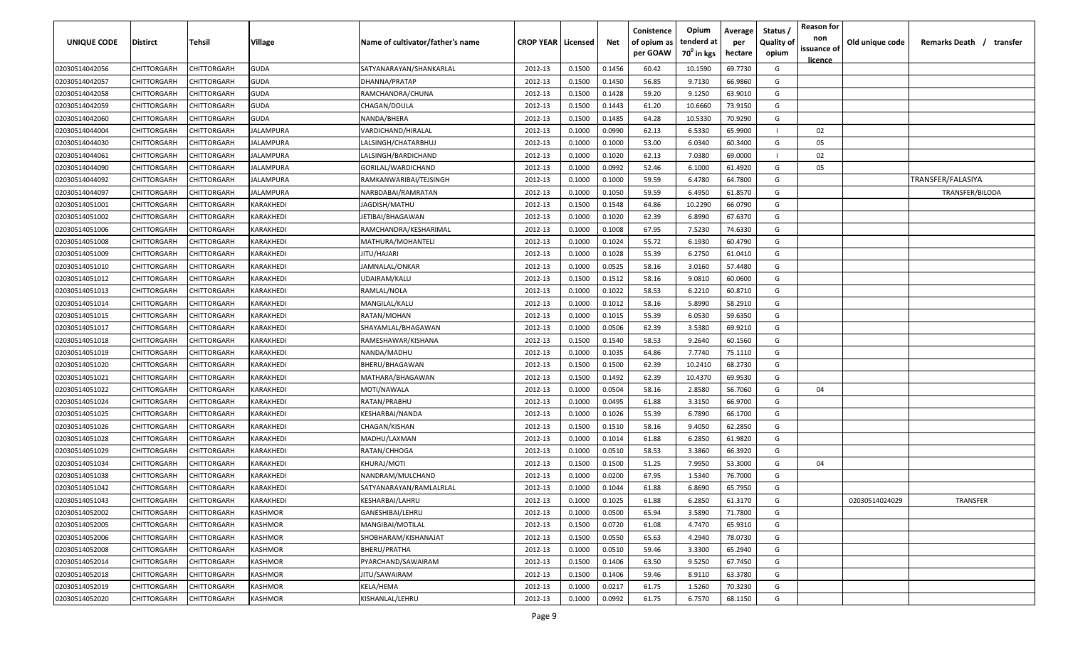| <b>UNIQUE CODE</b> | Distirct           | Tehsil             | Village          | Name of cultivator/father's name | <b>CROP YEAR   Licensed</b> |        | Net    | Conistence<br>of opium as | Opium<br>tenderd at    | Average<br>per | Status /<br><b>Quality of</b> | <b>Reason for</b><br>non      | Old unique code | Remarks Death /<br>transfer |
|--------------------|--------------------|--------------------|------------------|----------------------------------|-----------------------------|--------|--------|---------------------------|------------------------|----------------|-------------------------------|-------------------------------|-----------------|-----------------------------|
|                    |                    |                    |                  |                                  |                             |        |        | per GOAW                  | 70 <sup>0</sup> in kgs | hectare        | opium                         | issuance of<br><u>licence</u> |                 |                             |
| 02030514042056     | CHITTORGARH        | CHITTORGARH        | <b>GUDA</b>      | SATYANARAYAN/SHANKARLAL          | 2012-13                     | 0.1500 | 0.1456 | 60.42                     | 10.1590                | 69.7730        | G                             |                               |                 |                             |
| 02030514042057     | CHITTORGARH        | CHITTORGARH        | <b>GUDA</b>      | DHANNA/PRATAP                    | 2012-13                     | 0.1500 | 0.1450 | 56.85                     | 9.7130                 | 66.9860        | G                             |                               |                 |                             |
| 02030514042058     | CHITTORGARH        | CHITTORGARH        | <b>GUDA</b>      | RAMCHANDRA/CHUNA                 | 2012-13                     | 0.1500 | 0.1428 | 59.20                     | 9.1250                 | 63.9010        | G                             |                               |                 |                             |
| 02030514042059     | CHITTORGARH        | CHITTORGARH        | <b>GUDA</b>      | CHAGAN/DOULA                     | 2012-13                     | 0.1500 | 0.1443 | 61.20                     | 10.6660                | 73.9150        | G                             |                               |                 |                             |
| 02030514042060     | CHITTORGARH        | CHITTORGARH        | <b>GUDA</b>      | NANDA/BHERA                      | 2012-13                     | 0.1500 | 0.1485 | 64.28                     | 10.5330                | 70.9290        | G                             |                               |                 |                             |
| 02030514044004     | CHITTORGARH        | CHITTORGARH        | JALAMPURA        | VARDICHAND/HIRALAL               | 2012-13                     | 0.1000 | 0.0990 | 62.13                     | 6.5330                 | 65.9900        |                               | 02                            |                 |                             |
| 02030514044030     | CHITTORGARH        | <b>CHITTORGARH</b> | <b>IALAMPURA</b> | LALSINGH/CHATARBHUJ              | 2012-13                     | 0.1000 | 0.1000 | 53.00                     | 6.0340                 | 60.3400        | G                             | 05                            |                 |                             |
| 02030514044061     | CHITTORGARH        | CHITTORGARH        | <b>IALAMPURA</b> | LALSINGH/BARDICHAND              | 2012-13                     | 0.1000 | 0.1020 | 62.13                     | 7.0380                 | 69.0000        |                               | 02                            |                 |                             |
| 02030514044090     | CHITTORGARH        | CHITTORGARH        | IALAMPURA        | GORILAL/WARDICHAND               | 2012-13                     | 0.1000 | 0.0992 | 52.46                     | 6.1000                 | 61.4920        | G                             | 05                            |                 |                             |
| 02030514044092     | CHITTORGARH        | CHITTORGARH        | IALAMPURA        | RAMKANWARIBAI/TEJSINGH           | 2012-13                     | 0.1000 | 0.1000 | 59.59                     | 6.4780                 | 64.7800        | G                             |                               |                 | TRANSFER/FALASIYA           |
| 02030514044097     | CHITTORGARH        | CHITTORGARH        | IALAMPURA        | NARBDABAI/RAMRATAN               | 2012-13                     | 0.1000 | 0.1050 | 59.59                     | 6.4950                 | 61.8570        | G                             |                               |                 | TRANSFER/BILODA             |
| 02030514051001     | CHITTORGARH        | CHITTORGARH        | KARAKHEDI        | IAGDISH/MATHU                    | 2012-13                     | 0.1500 | 0.1548 | 64.86                     | 10.2290                | 66.0790        | G                             |                               |                 |                             |
| 02030514051002     | CHITTORGARH        | CHITTORGARH        | KARAKHEDI        | JETIBAI/BHAGAWAN                 | 2012-13                     | 0.1000 | 0.1020 | 62.39                     | 6.8990                 | 67.6370        | G                             |                               |                 |                             |
| 02030514051006     | CHITTORGARH        | CHITTORGARH        | KARAKHEDI        | RAMCHANDRA/KESHARIMAL            | 2012-13                     | 0.1000 | 0.1008 | 67.95                     | 7.5230                 | 74.6330        | G                             |                               |                 |                             |
| 02030514051008     | CHITTORGARH        | CHITTORGARH        | KARAKHEDI        | MATHURA/MOHANTEL                 | 2012-13                     | 0.1000 | 0.1024 | 55.72                     | 6.1930                 | 60.4790        | G                             |                               |                 |                             |
| 02030514051009     | CHITTORGARH        | CHITTORGARH        | KARAKHEDI        | JITU/HAJARI                      | 2012-13                     | 0.1000 | 0.1028 | 55.39                     | 6.2750                 | 61.0410        | G                             |                               |                 |                             |
| 02030514051010     | CHITTORGARH        | CHITTORGARH        | KARAKHEDI        | JAMNALAL/ONKAR                   | 2012-13                     | 0.1000 | 0.0525 | 58.16                     | 3.0160                 | 57.4480        | G                             |                               |                 |                             |
| 02030514051012     | CHITTORGARH        | CHITTORGARH        | KARAKHEDI        | UDAIRAM/KALU                     | 2012-13                     | 0.1500 | 0.1512 | 58.16                     | 9.0810                 | 60.0600        | G                             |                               |                 |                             |
| 02030514051013     | <b>CHITTORGARH</b> | CHITTORGARH        | KARAKHEDI        | RAMLAL/NOLA                      | 2012-13                     | 0.1000 | 0.1022 | 58.53                     | 6.2210                 | 60.8710        | G                             |                               |                 |                             |
| 02030514051014     | CHITTORGARH        | CHITTORGARH        | KARAKHEDI        | MANGILAL/KALU                    | 2012-13                     | 0.1000 | 0.1012 | 58.16                     | 5.8990                 | 58.2910        | G                             |                               |                 |                             |
| 02030514051015     | CHITTORGARH        | CHITTORGARH        | KARAKHEDI        | RATAN/MOHAN                      | 2012-13                     | 0.1000 | 0.1015 | 55.39                     | 6.0530                 | 59.6350        | G                             |                               |                 |                             |
| 02030514051017     | CHITTORGARH        | CHITTORGARH        | KARAKHEDI        | SHAYAMLAL/BHAGAWAN               | 2012-13                     | 0.1000 | 0.0506 | 62.39                     | 3.5380                 | 69.9210        | G                             |                               |                 |                             |
| 02030514051018     | CHITTORGARH        | CHITTORGARH        | KARAKHEDI        | RAMESHAWAR/KISHANA               | 2012-13                     | 0.1500 | 0.1540 | 58.53                     | 9.2640                 | 60.1560        | G                             |                               |                 |                             |
| 02030514051019     | CHITTORGARH        | CHITTORGARH        | KARAKHEDI        | NANDA/MADHU                      | 2012-13                     | 0.1000 | 0.1035 | 64.86                     | 7.7740                 | 75.1110        | G                             |                               |                 |                             |
| 02030514051020     | CHITTORGARH        | CHITTORGARH        | KARAKHEDI        | BHERU/BHAGAWAN                   | 2012-13                     | 0.1500 | 0.1500 | 62.39                     | 10.2410                | 68.2730        | G                             |                               |                 |                             |
| 02030514051021     | CHITTORGARH        | CHITTORGARH        | KARAKHEDI        | MATHARA/BHAGAWAN                 | 2012-13                     | 0.1500 | 0.1492 | 62.39                     | 10.4370                | 69.9530        | G                             |                               |                 |                             |
| 02030514051022     | CHITTORGARH        | CHITTORGARH        | KARAKHEDI        | MOTI/NAWALA                      | 2012-13                     | 0.1000 | 0.0504 | 58.16                     | 2.8580                 | 56.7060        | G                             | 04                            |                 |                             |
| 02030514051024     | CHITTORGARH        | CHITTORGARH        | KARAKHEDI        | RATAN/PRABHU                     | 2012-13                     | 0.1000 | 0.0495 | 61.88                     | 3.3150                 | 66.9700        | G                             |                               |                 |                             |
| 02030514051025     | CHITTORGARH        | CHITTORGARH        | KARAKHEDI        | KESHARBAI/NANDA                  | 2012-13                     | 0.1000 | 0.1026 | 55.39                     | 6.7890                 | 66.1700        | G                             |                               |                 |                             |
| 02030514051026     | CHITTORGARH        | CHITTORGARH        | KARAKHEDI        | CHAGAN/KISHAN                    | 2012-13                     | 0.1500 | 0.1510 | 58.16                     | 9.4050                 | 62.2850        | G                             |                               |                 |                             |
| 02030514051028     | CHITTORGARH        | CHITTORGARH        | KARAKHEDI        | MADHU/LAXMAN                     | 2012-13                     | 0.1000 | 0.1014 | 61.88                     | 6.2850                 | 61.9820        | G                             |                               |                 |                             |
| 02030514051029     | CHITTORGARH        | CHITTORGARF        | KARAKHEDI        | RATAN/CHHOGA                     | 2012-13                     | 0.1000 | 0.0510 | 58.53                     | 3.3860                 | 66.3920        | G                             |                               |                 |                             |
| 02030514051034     | CHITTORGARH        | CHITTORGARH        | KARAKHEDI        | KHURAJ/MOTI                      | 2012-13                     | 0.1500 | 0.1500 | 51.25                     | 7.9950                 | 53.3000        | G                             | 04                            |                 |                             |
| 02030514051038     | CHITTORGARH        | CHITTORGARH        | KARAKHEDI        | NANDRAM/MULCHAND                 | 2012-13                     | 0.1000 | 0.0200 | 67.95                     | 1.5340                 | 76.7000        | G                             |                               |                 |                             |
| 02030514051042     | CHITTORGARH        | CHITTORGARH        | KARAKHEDI        | SATYANARAYAN/RAMLALRLAL          | 2012-13                     | 0.1000 | 0.1044 | 61.88                     | 6.8690                 | 65.7950        | G                             |                               |                 |                             |
| 02030514051043     | <b>CHITTORGARH</b> | CHITTORGARH        | KARAKHEDI        | KESHARBAI/LAHRU                  | 2012-13                     | 0.1000 | 0.1025 | 61.88                     | 6.2850                 | 61.3170        | G                             |                               | 02030514024029  | TRANSFER                    |
| 02030514052002     | CHITTORGARH        | CHITTORGARH        | KASHMOR          | GANESHIBAI/LEHRU                 | 2012-13                     | 0.1000 | 0.0500 | 65.94                     | 3.5890                 | 71.7800        | G                             |                               |                 |                             |
| 02030514052005     | <b>CHITTORGARH</b> | CHITTORGARH        | KASHMOR          | MANGIBAI/MOTILAL                 | 2012-13                     | 0.1500 | 0.0720 | 61.08                     | 4.7470                 | 65.9310        | G                             |                               |                 |                             |
| 02030514052006     | <b>CHITTORGARH</b> | CHITTORGARH        | KASHMOR          | SHOBHARAM/KISHANAJAT             | 2012-13                     | 0.1500 | 0.0550 | 65.63                     | 4.2940                 | 78.0730        | G                             |                               |                 |                             |
| 02030514052008     | CHITTORGARH        | CHITTORGARH        | KASHMOR          | BHERU/PRATHA                     | 2012-13                     | 0.1000 | 0.0510 | 59.46                     | 3.3300                 | 65.2940        | G                             |                               |                 |                             |
| 02030514052014     | CHITTORGARH        | CHITTORGARH        | KASHMOR          | PYARCHAND/SAWAIRAM               | 2012-13                     | 0.1500 | 0.1406 | 63.50                     | 9.5250                 | 67.7450        | G                             |                               |                 |                             |
| 02030514052018     | CHITTORGARH        | CHITTORGARH        | KASHMOR          | JITU/SAWAIRAM                    | 2012-13                     | 0.1500 | 0.1406 | 59.46                     | 8.9110                 | 63.3780        | G                             |                               |                 |                             |
| 02030514052019     | CHITTORGARH        | CHITTORGARH        | KASHMOR          | KELA/HEMA                        | 2012-13                     | 0.1000 | 0.0217 | 61.75                     | 1.5260                 | 70.3230        | G                             |                               |                 |                             |
| 02030514052020     | <b>CHITTORGARH</b> | CHITTORGARH        | KASHMOR          | KISHANLAL/LEHRU                  | 2012-13                     | 0.1000 | 0.0992 | 61.75                     | 6.7570                 | 68.1150        | G                             |                               |                 |                             |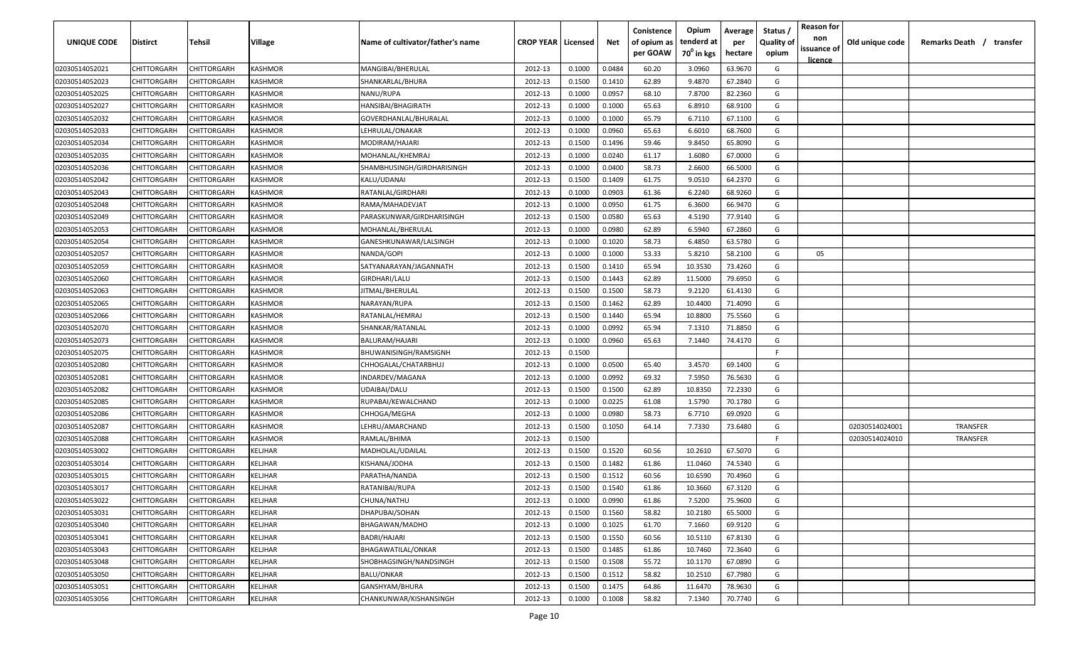| UNIQUE CODE    | Distirct           | Tehsil      | Village | Name of cultivator/father's name | <b>CROP YEAR   Licensed</b> |        | Net    | Conistence<br>of opium as | Opium<br>tenderd at    | Average<br>per | Status /<br><b>Quality of</b> | <b>Reason for</b><br>non      | Old unique code | Remarks Death /<br>transfer |
|----------------|--------------------|-------------|---------|----------------------------------|-----------------------------|--------|--------|---------------------------|------------------------|----------------|-------------------------------|-------------------------------|-----------------|-----------------------------|
|                |                    |             |         |                                  |                             |        |        | per GOAW                  | 70 <sup>0</sup> in kgs | hectare        | opium                         | issuance of<br><u>licence</u> |                 |                             |
| 02030514052021 | CHITTORGARH        | CHITTORGARH | KASHMOR | MANGIBAI/BHERULAL                | 2012-13                     | 0.1000 | 0.0484 | 60.20                     | 3.0960                 | 63.9670        | G                             |                               |                 |                             |
| 02030514052023 | CHITTORGARH        | CHITTORGARH | KASHMOR | SHANKARLAL/BHURA                 | 2012-13                     | 0.1500 | 0.1410 | 62.89                     | 9.4870                 | 67.2840        | G                             |                               |                 |                             |
| 02030514052025 | CHITTORGARH        | CHITTORGARH | KASHMOR | NANU/RUPA                        | 2012-13                     | 0.1000 | 0.0957 | 68.10                     | 7.8700                 | 82.2360        | G                             |                               |                 |                             |
| 02030514052027 | CHITTORGARH        | CHITTORGARH | KASHMOR | HANSIBAI/BHAGIRATH               | 2012-13                     | 0.1000 | 0.1000 | 65.63                     | 6.8910                 | 68.9100        | G                             |                               |                 |                             |
| 02030514052032 | CHITTORGARH        | CHITTORGARH | KASHMOR | GOVERDHANLAL/BHURALAL            | 2012-13                     | 0.1000 | 0.1000 | 65.79                     | 6.7110                 | 67.1100        | G                             |                               |                 |                             |
| 02030514052033 | CHITTORGARH        | CHITTORGARH | KASHMOR | LEHRULAL/ONAKAR                  | 2012-13                     | 0.1000 | 0.0960 | 65.63                     | 6.6010                 | 68.7600        | G                             |                               |                 |                             |
| 02030514052034 | CHITTORGARH        | CHITTORGARH | KASHMOR | MODIRAM/HAJARI                   | 2012-13                     | 0.1500 | 0.1496 | 59.46                     | 9.8450                 | 65.8090        | G                             |                               |                 |                             |
| 02030514052035 | CHITTORGARH        | CHITTORGARH | KASHMOR | MOHANLAL/KHEMRAJ                 | 2012-13                     | 0.1000 | 0.0240 | 61.17                     | 1.6080                 | 67.0000        | G                             |                               |                 |                             |
| 02030514052036 | CHITTORGARH        | CHITTORGARH | KASHMOR | SHAMBHUSINGH/GIRDHARISINGH       | 2012-13                     | 0.1000 | 0.0400 | 58.73                     | 2.6600                 | 66.5000        | G                             |                               |                 |                             |
| 02030514052042 | CHITTORGARH        | CHITTORGARH | KASHMOR | KALU/UDANAI                      | 2012-13                     | 0.1500 | 0.1409 | 61.75                     | 9.0510                 | 64.2370        | G                             |                               |                 |                             |
| 02030514052043 | CHITTORGARH        | CHITTORGARH | KASHMOR | RATANLAL/GIRDHARI                | 2012-13                     | 0.1000 | 0.0903 | 61.36                     | 6.2240                 | 68.9260        | G                             |                               |                 |                             |
| 02030514052048 | CHITTORGARH        | CHITTORGARH | KASHMOR | RAMA/MAHADEVJAT                  | 2012-13                     | 0.1000 | 0.0950 | 61.75                     | 6.3600                 | 66.9470        | G                             |                               |                 |                             |
| 02030514052049 | CHITTORGARH        | CHITTORGARH | KASHMOR | PARASKUNWAR/GIRDHARISINGH        | 2012-13                     | 0.1500 | 0.0580 | 65.63                     | 4.5190                 | 77.9140        | G                             |                               |                 |                             |
| 02030514052053 | CHITTORGARH        | CHITTORGARH | KASHMOR | MOHANLAL/BHERULAL                | 2012-13                     | 0.1000 | 0.0980 | 62.89                     | 6.5940                 | 67.2860        | G                             |                               |                 |                             |
| 02030514052054 | CHITTORGARH        | CHITTORGARH | KASHMOR | GANESHKUNAWAR/LALSINGH           | 2012-13                     | 0.1000 | 0.1020 | 58.73                     | 6.4850                 | 63.5780        | G                             |                               |                 |                             |
| 02030514052057 | CHITTORGARH        | CHITTORGARH | KASHMOR | NANDA/GOPI                       | 2012-13                     | 0.1000 | 0.1000 | 53.33                     | 5.8210                 | 58.2100        | G                             | 05                            |                 |                             |
| 02030514052059 | CHITTORGARH        | CHITTORGARH | KASHMOR | SATYANARAYAN/JAGANNATH           | 2012-13                     | 0.1500 | 0.1410 | 65.94                     | 10.3530                | 73.4260        | G                             |                               |                 |                             |
| 02030514052060 | CHITTORGARH        | CHITTORGARH | KASHMOR | GIRDHARI/LALU                    | 2012-13                     | 0.1500 | 0.1443 | 62.89                     | 11.5000                | 79.6950        | G                             |                               |                 |                             |
| 02030514052063 | CHITTORGARH        | CHITTORGARH | KASHMOR | JITMAL/BHERULAL                  | 2012-13                     | 0.1500 | 0.1500 | 58.73                     | 9.2120                 | 61.4130        | G                             |                               |                 |                             |
| 02030514052065 | CHITTORGARH        | CHITTORGARH | KASHMOR | NARAYAN/RUPA                     | 2012-13                     | 0.1500 | 0.1462 | 62.89                     | 10.4400                | 71.4090        | G                             |                               |                 |                             |
| 02030514052066 | CHITTORGARH        | CHITTORGARH | KASHMOR | RATANLAL/HEMRAJ                  | 2012-13                     | 0.1500 | 0.1440 | 65.94                     | 10.8800                | 75.5560        | G                             |                               |                 |                             |
| 02030514052070 | CHITTORGARH        | CHITTORGARH | KASHMOR | SHANKAR/RATANLAL                 | 2012-13                     | 0.1000 | 0.0992 | 65.94                     | 7.1310                 | 71.8850        | G                             |                               |                 |                             |
| 02030514052073 | CHITTORGARH        | CHITTORGARH | KASHMOR | BALURAM/HAJARI                   | 2012-13                     | 0.1000 | 0.0960 | 65.63                     | 7.1440                 | 74.4170        | G                             |                               |                 |                             |
| 02030514052075 | CHITTORGARH        | CHITTORGARH | KASHMOR | BHUWANISINGH/RAMSIGNH            | 2012-13                     | 0.1500 |        |                           |                        |                | -F.                           |                               |                 |                             |
| 02030514052080 | CHITTORGARH        | CHITTORGARH | KASHMOR | CHHOGALAL/CHATARBHUJ             | 2012-13                     | 0.1000 | 0.0500 | 65.40                     | 3.4570                 | 69.1400        | G                             |                               |                 |                             |
| 02030514052081 | CHITTORGARH        | CHITTORGARH | KASHMOR | INDARDEV/MAGANA                  | 2012-13                     | 0.1000 | 0.0992 | 69.32                     | 7.5950                 | 76.5630        | G                             |                               |                 |                             |
| 02030514052082 | CHITTORGARH        | CHITTORGARH | KASHMOR | UDAIBAI/DALU                     | 2012-13                     | 0.1500 | 0.1500 | 62.89                     | 10.8350                | 72.2330        | G                             |                               |                 |                             |
| 02030514052085 | CHITTORGARH        | CHITTORGARH | KASHMOR | RUPABAI/KEWALCHAND               | 2012-13                     | 0.1000 | 0.0225 | 61.08                     | 1.5790                 | 70.1780        | G                             |                               |                 |                             |
| 02030514052086 | CHITTORGARH        | CHITTORGARH | KASHMOR | CHHOGA/MEGHA                     | 2012-13                     | 0.1000 | 0.0980 | 58.73                     | 6.7710                 | 69.0920        | G                             |                               |                 |                             |
| 02030514052087 | CHITTORGARH        | CHITTORGARH | KASHMOR | LEHRU/AMARCHAND                  | 2012-13                     | 0.1500 | 0.1050 | 64.14                     | 7.7330                 | 73.6480        | G                             |                               | 02030514024001  | TRANSFER                    |
| 02030514052088 | CHITTORGARH        | CHITTORGARH | KASHMOR | RAMLAL/BHIMA                     | 2012-13                     | 0.1500 |        |                           |                        |                | -F.                           |                               | 02030514024010  | <b>TRANSFER</b>             |
| 02030514053002 | CHITTORGARH        | CHITTORGARH | KELJHAR | MADHOLAL/UDAILAL                 | 2012-13                     | 0.1500 | 0.1520 | 60.56                     | 10.2610                | 67.5070        | G                             |                               |                 |                             |
| 02030514053014 | CHITTORGARH        | CHITTORGARH | KELJHAR | KISHANA/JODHA                    | 2012-13                     | 0.1500 | 0.1482 | 61.86                     | 11.0460                | 74.5340        | G                             |                               |                 |                             |
| 02030514053015 | CHITTORGARH        | CHITTORGARH | KELJHAR | PARATHA/NANDA                    | 2012-13                     | 0.1500 | 0.1512 | 60.56                     | 10.6590                | 70.4960        | G                             |                               |                 |                             |
| 02030514053017 | CHITTORGARH        | CHITTORGARH | KELJHAR | RATANIBAI/RUPA                   | 2012-13                     | 0.1500 | 0.1540 | 61.86                     | 10.3660                | 67.3120        | G                             |                               |                 |                             |
| 02030514053022 | <b>CHITTORGARH</b> | CHITTORGARH | KELJHAR | CHUNA/NATHU                      | 2012-13                     | 0.1000 | 0.0990 | 61.86                     | 7.5200                 | 75.9600        | G                             |                               |                 |                             |
| 02030514053031 | CHITTORGARH        | CHITTORGARH | KELJHAR | DHAPUBAI/SOHAN                   | 2012-13                     | 0.1500 | 0.1560 | 58.82                     | 10.2180                | 65.5000        | G                             |                               |                 |                             |
| 02030514053040 | <b>CHITTORGARH</b> | CHITTORGARH | KELJHAR | BHAGAWAN/MADHO                   | 2012-13                     | 0.1000 | 0.1025 | 61.70                     | 7.1660                 | 69.9120        | G                             |                               |                 |                             |
| 02030514053041 | <b>CHITTORGARH</b> | CHITTORGARH | KELJHAR | <b>BADRI/HAJARI</b>              | 2012-13                     | 0.1500 | 0.1550 | 60.56                     | 10.5110                | 67.8130        | G                             |                               |                 |                             |
| 02030514053043 | CHITTORGARH        | CHITTORGARH | KELJHAR | BHAGAWATILAL/ONKAR               | 2012-13                     | 0.1500 | 0.1485 | 61.86                     | 10.7460                | 72.3640        | G                             |                               |                 |                             |
| 02030514053048 | CHITTORGARH        | CHITTORGARH | KELJHAR | SHOBHAGSINGH/NANDSINGH           | 2012-13                     | 0.1500 | 0.1508 | 55.72                     | 10.1170                | 67.0890        | G                             |                               |                 |                             |
| 02030514053050 | CHITTORGARH        | CHITTORGARH | KELJHAR | BALU/ONKAR                       | 2012-13                     | 0.1500 | 0.1512 | 58.82                     | 10.2510                | 67.7980        | G                             |                               |                 |                             |
| 02030514053051 | CHITTORGARH        | CHITTORGARH | KELJHAR | GANSHYAM/BHURA                   | 2012-13                     | 0.1500 | 0.1475 | 64.86                     | 11.6470                | 78.9630        | G                             |                               |                 |                             |
| 02030514053056 | CHITTORGARH        | CHITTORGARH | KELJHAR | CHANKUNWAR/KISHANSINGH           | 2012-13                     | 0.1000 | 0.1008 | 58.82                     | 7.1340                 | 70.7740        | G                             |                               |                 |                             |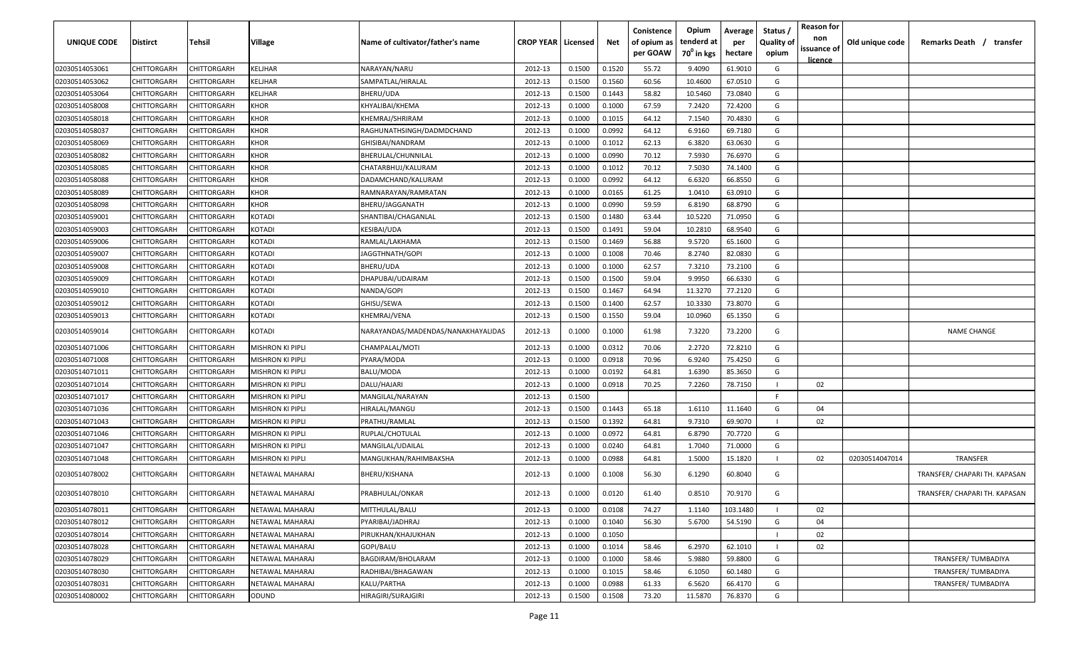| UNIQUE CODE    | <b>Distirct</b>    | Tehsil             | <b>Village</b>          | Name of cultivator/father's name   | <b>CROP YEAR   Licensed</b> |        | Net    | Conistence<br>of opium as<br>per GOAW | Opium<br>tenderd at<br>$70^0$ in kgs | Average<br>per<br>hectare | Status /<br><b>Quality of</b><br>opium | <b>Reason for</b><br>non<br>issuance of<br>licence | Old unique code | Remarks Death /<br>transfer   |
|----------------|--------------------|--------------------|-------------------------|------------------------------------|-----------------------------|--------|--------|---------------------------------------|--------------------------------------|---------------------------|----------------------------------------|----------------------------------------------------|-----------------|-------------------------------|
| 02030514053061 | CHITTORGARH        | CHITTORGARH        | <b>KELJHAR</b>          | NARAYAN/NARU                       | 2012-13                     | 0.1500 | 0.1520 | 55.72                                 | 9.4090                               | 61.9010                   | G                                      |                                                    |                 |                               |
| 02030514053062 | CHITTORGARH        | CHITTORGARH        | <b>KELJHAR</b>          | SAMPATLAL/HIRALAL                  | 2012-13                     | 0.1500 | 0.1560 | 60.56                                 | 10.4600                              | 67.0510                   | G                                      |                                                    |                 |                               |
| 02030514053064 | CHITTORGARH        | CHITTORGARH        | <b>KELJHAR</b>          | BHERU/UDA                          | 2012-13                     | 0.1500 | 0.1443 | 58.82                                 | 10.5460                              | 73.0840                   | G                                      |                                                    |                 |                               |
| 02030514058008 | CHITTORGARH        | CHITTORGARH        | <b>KHOR</b>             | KHYALIBAI/KHEMA                    | 2012-13                     | 0.1000 | 0.1000 | 67.59                                 | 7.2420                               | 72.4200                   | G                                      |                                                    |                 |                               |
| 02030514058018 | CHITTORGARH        | CHITTORGARH        | <b>KHOR</b>             | KHEMRAJ/SHRIRAM                    | 2012-13                     | 0.1000 | 0.1015 | 64.12                                 | 7.1540                               | 70.4830                   | G                                      |                                                    |                 |                               |
| 02030514058037 | CHITTORGARH        | CHITTORGARH        | <b>KHOR</b>             | RAGHUNATHSINGH/DADMDCHAND          | 2012-13                     | 0.1000 | 0.0992 | 64.12                                 | 6.9160                               | 69.7180                   | G                                      |                                                    |                 |                               |
| 02030514058069 | <b>CHITTORGARH</b> | CHITTORGARH        | <b>KHOR</b>             | GHISIBAI/NANDRAM                   | 2012-13                     | 0.1000 | 0.1012 | 62.13                                 | 6.3820                               | 63.0630                   | G                                      |                                                    |                 |                               |
| 02030514058082 | CHITTORGARH        | CHITTORGARH        | <b>KHOR</b>             | BHERULAL/CHUNNILAL                 | 2012-13                     | 0.1000 | 0.0990 | 70.12                                 | 7.5930                               | 76.6970                   | G                                      |                                                    |                 |                               |
| 02030514058085 | CHITTORGARH        | CHITTORGARH        | <b>KHOR</b>             | CHATARBHUJ/KALURAM                 | 2012-13                     | 0.1000 | 0.1012 | 70.12                                 | 7.5030                               | 74.1400                   | G                                      |                                                    |                 |                               |
| 02030514058088 | CHITTORGARH        | CHITTORGARH        | <b>KHOR</b>             | DADAMCHAND/KALURAM                 | 2012-13                     | 0.1000 | 0.0992 | 64.12                                 | 6.6320                               | 66.8550                   | G                                      |                                                    |                 |                               |
| 02030514058089 | CHITTORGARH        | CHITTORGARH        | <b>KHOR</b>             | RAMNARAYAN/RAMRATAN                | 2012-13                     | 0.1000 | 0.0165 | 61.25                                 | 1.0410                               | 63.0910                   | G                                      |                                                    |                 |                               |
| 02030514058098 | CHITTORGARH        | CHITTORGARH        | <b>KHOR</b>             | BHERU/JAGGANATH                    | 2012-13                     | 0.1000 | 0.0990 | 59.59                                 | 6.8190                               | 68.8790                   | G                                      |                                                    |                 |                               |
| 02030514059001 | CHITTORGARH        | CHITTORGARH        | <b>KOTADI</b>           | SHANTIBAI/CHAGANLAL                | 2012-13                     | 0.1500 | 0.1480 | 63.44                                 | 10.5220                              | 71.0950                   | G                                      |                                                    |                 |                               |
| 02030514059003 | CHITTORGARH        | CHITTORGARH        | <b>KOTADI</b>           | KESIBAI/UDA                        | 2012-13                     | 0.1500 | 0.1491 | 59.04                                 | 10.2810                              | 68.9540                   | G                                      |                                                    |                 |                               |
| 02030514059006 | CHITTORGARH        | CHITTORGARH        | <b>KOTADI</b>           | RAMLAL/LAKHAMA                     | 2012-13                     | 0.1500 | 0.1469 | 56.88                                 | 9.5720                               | 65.1600                   | G                                      |                                                    |                 |                               |
| 02030514059007 | CHITTORGARH        | CHITTORGARH        | <b>KOTADI</b>           | JAGGTHNATH/GOPI                    | 2012-13                     | 0.1000 | 0.1008 | 70.46                                 | 8.2740                               | 82.0830                   | G                                      |                                                    |                 |                               |
| 02030514059008 | CHITTORGARH        | CHITTORGARH        | <b>KOTADI</b>           | BHERU/UDA                          | 2012-13                     | 0.1000 | 0.1000 | 62.57                                 | 7.3210                               | 73.2100                   | G                                      |                                                    |                 |                               |
| 02030514059009 | CHITTORGARH        | CHITTORGARH        | <b>KOTADI</b>           | DHAPUBAI/UDAIRAM                   | 2012-13                     | 0.1500 | 0.1500 | 59.04                                 | 9.9950                               | 66.6330                   | G                                      |                                                    |                 |                               |
| 02030514059010 | CHITTORGARH        | CHITTORGARH        | <b>KOTADI</b>           | NANDA/GOPI                         | 2012-13                     | 0.1500 | 0.1467 | 64.94                                 | 11.3270                              | 77.2120                   | G                                      |                                                    |                 |                               |
| 02030514059012 | CHITTORGARH        | CHITTORGARH        | <b>KOTADI</b>           | GHISU/SEWA                         | 2012-13                     | 0.1500 | 0.1400 | 62.57                                 | 10.3330                              | 73.8070                   | G                                      |                                                    |                 |                               |
| 02030514059013 | CHITTORGARH        | CHITTORGARH        | <b>KOTADI</b>           | KHEMRAJ/VENA                       | 2012-13                     | 0.1500 | 0.1550 | 59.04                                 | 10.0960                              | 65.1350                   | G                                      |                                                    |                 |                               |
| 02030514059014 | CHITTORGARH        | CHITTORGARH        | <b>KOTADI</b>           | NARAYANDAS/MADENDAS/NANAKHAYALIDAS | 2012-13                     | 0.1000 | 0.1000 | 61.98                                 | 7.3220                               | 73.2200                   | G                                      |                                                    |                 | <b>NAME CHANGE</b>            |
| 02030514071006 | CHITTORGARH        | CHITTORGARH        | <b>MISHRON KI PIPLI</b> | CHAMPALAL/MOTI                     | 2012-13                     | 0.1000 | 0.0312 | 70.06                                 | 2.2720                               | 72.8210                   | G                                      |                                                    |                 |                               |
| 02030514071008 | CHITTORGARH        | CHITTORGARH        | <b>MISHRON KI PIPLI</b> | PYARA/MODA                         | 2012-13                     | 0.1000 | 0.0918 | 70.96                                 | 6.9240                               | 75.4250                   | G                                      |                                                    |                 |                               |
| 02030514071011 | CHITTORGARH        | CHITTORGARH        | <b>MISHRON KI PIPLI</b> | BALU/MODA                          | 2012-13                     | 0.1000 | 0.0192 | 64.81                                 | 1.6390                               | 85.3650                   | G                                      |                                                    |                 |                               |
| 02030514071014 | <b>CHITTORGARH</b> | CHITTORGARH        | <b>MISHRON KI PIPLI</b> | DALU/HAJARI                        | 2012-13                     | 0.1000 | 0.0918 | 70.25                                 | 7.2260                               | 78.7150                   |                                        | 02                                                 |                 |                               |
| 02030514071017 | CHITTORGARH        | CHITTORGARH        | <b>MISHRON KI PIPLI</b> | MANGILAL/NARAYAN                   | 2012-13                     | 0.1500 |        |                                       |                                      |                           |                                        |                                                    |                 |                               |
| 02030514071036 | CHITTORGARH        | CHITTORGARH        | MISHRON KI PIPLI        | HIRALAL/MANGU                      | 2012-13                     | 0.1500 | 0.1443 | 65.18                                 | 1.6110                               | 11.1640                   | G                                      | 04                                                 |                 |                               |
| 02030514071043 | CHITTORGARH        | CHITTORGARH        | MISHRON KI PIPLI        | PRATHU/RAMLAL                      | 2012-13                     | 0.1500 | 0.1392 | 64.81                                 | 9.7310                               | 69.9070                   |                                        | 02                                                 |                 |                               |
| 02030514071046 | CHITTORGARH        | CHITTORGARH        | MISHRON KI PIPLI        | RUPLAL/CHOTULAL                    | 2012-13                     | 0.1000 | 0.0972 | 64.81                                 | 6.8790                               | 70.7720                   | G                                      |                                                    |                 |                               |
| 02030514071047 | CHITTORGARH        | CHITTORGARH        | MISHRON KI PIPLI        | MANGILAL/UDAILAL                   | 2012-13                     | 0.1000 | 0.0240 | 64.81                                 | 1.7040                               | 71.0000                   | G                                      |                                                    |                 |                               |
| 02030514071048 | CHITTORGARH        | CHITTORGARH        | <b>MISHRON KI PIPLI</b> | MANGUKHAN/RAHIMBAKSHA              | 2012-13                     | 0.1000 | 0.0988 | 64.81                                 | 1.5000                               | 15.1820                   |                                        | 02                                                 | 02030514047014  | TRANSFER                      |
| 02030514078002 | CHITTORGARH        | CHITTORGARH        | NETAWAL MAHARAJ         | BHERU/KISHANA                      | 2012-13                     | 0.1000 | 0.1008 | 56.30                                 | 6.1290                               | 60.8040                   | G                                      |                                                    |                 | TRANSFER/ CHAPARI TH. KAPASAN |
| 02030514078010 | CHITTORGARH        | <b>CHITTORGARH</b> | NETAWAL MAHARAJ         | PRABHULAL/ONKAR                    | 2012-13                     | 0.1000 | 0.0120 | 61.40                                 | 0.8510                               | 70.9170                   | G                                      |                                                    |                 | TRANSFER/ CHAPARI TH. KAPASAN |
| 02030514078011 | CHITTORGARH        | CHITTORGARH        | NETAWAL MAHARAJ         | MITTHULAL/BALU                     | 2012-13                     | 0.1000 | 0.0108 | 74.27                                 | 1.1140                               | 103.1480                  |                                        | 02                                                 |                 |                               |
| 02030514078012 | CHITTORGARH        | CHITTORGARH        | NETAWAL MAHARAJ         | PYARIBAI/JADHRAJ                   | 2012-13                     | 0.1000 | 0.1040 | 56.30                                 | 5.6700                               | 54.5190                   | G                                      | 04                                                 |                 |                               |
| 02030514078014 | CHITTORGARH        | CHITTORGARH        | NETAWAL MAHARAJ         | PIRUKHAN/KHAJUKHAN                 | 2012-13                     | 0.1000 | 0.1050 |                                       |                                      |                           |                                        | 02                                                 |                 |                               |
| 02030514078028 | CHITTORGARH        | CHITTORGARH        | NETAWAL MAHARAJ         | GOPI/BALU                          | 2012-13                     | 0.1000 | 0.1014 | 58.46                                 | 6.2970                               | 62.1010                   |                                        | 02                                                 |                 |                               |
| 02030514078029 | CHITTORGARH        | CHITTORGARH        | NETAWAL MAHARAJ         | BAGDIRAM/BHOLARAM                  | 2012-13                     | 0.1000 | 0.1000 | 58.46                                 | 5.9880                               | 59.8800                   | G                                      |                                                    |                 | TRANSFER/TUMBADIYA            |
| 02030514078030 | CHITTORGARH        | CHITTORGARH        | NETAWAL MAHARAJ         | RADHIBAI/BHAGAWAN                  | 2012-13                     | 0.1000 | 0.1015 | 58.46                                 | 6.1050                               | 60.1480                   | G                                      |                                                    |                 | TRANSFER/TUMBADIYA            |
| 02030514078031 | CHITTORGARH        | CHITTORGARH        | NETAWAL MAHARAJ         | KALU/PARTHA                        | 2012-13                     | 0.1000 | 0.0988 | 61.33                                 | 6.5620                               | 66.4170                   | G                                      |                                                    |                 | TRANSFER/TUMBADIYA            |
| 02030514080002 | CHITTORGARH        | CHITTORGARH        | ODUND                   | HIRAGIRI/SURAJGIRI                 | 2012-13                     | 0.1500 | 0.1508 | 73.20                                 | 11.5870                              | 76.8370                   | G                                      |                                                    |                 |                               |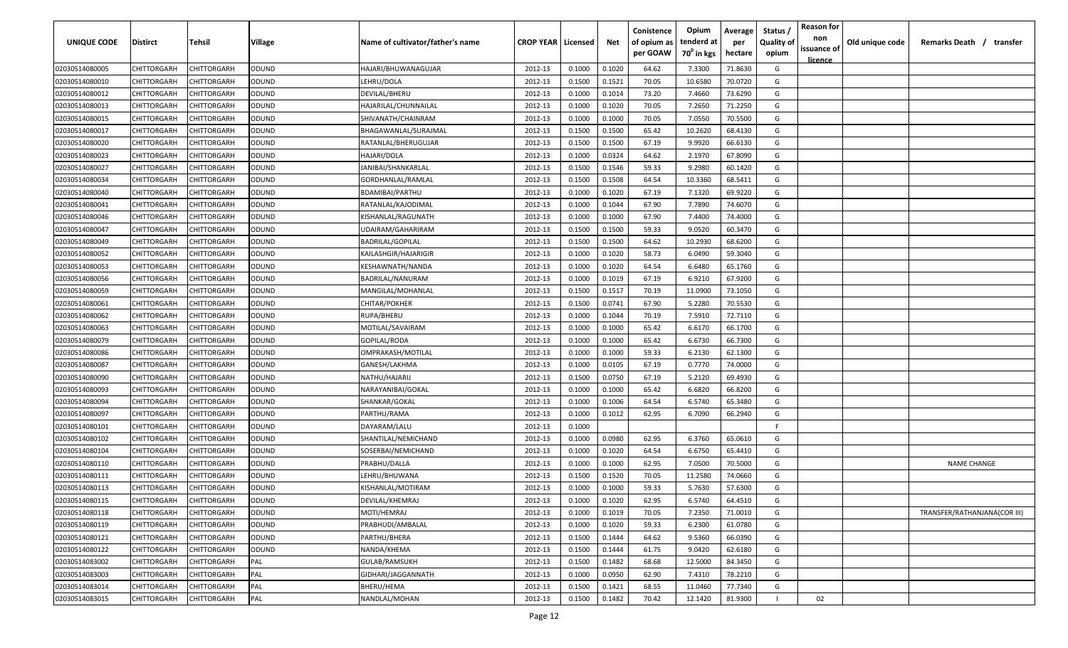| <b>UNIQUE CODE</b> | Distirct           | Tehsil      | Village      | Name of cultivator/father's name | <b>CROP YEAR   Licensed</b> |        | Net    | Conistence<br>of opium as | Opium<br>tenderd at | Average<br>per | Status /<br><b>Quality of</b> | <b>Reason for</b><br>non | Old unique code | Remarks Death /<br>transfer  |
|--------------------|--------------------|-------------|--------------|----------------------------------|-----------------------------|--------|--------|---------------------------|---------------------|----------------|-------------------------------|--------------------------|-----------------|------------------------------|
|                    |                    |             |              |                                  |                             |        |        | per GOAW                  | $70^0$ in kgs       | hectare        | opium                         | issuance of              |                 |                              |
| 02030514080005     | CHITTORGARH        | CHITTORGARH | ODUND        | HAJARI/BHUWANAGUJAR              | 2012-13                     | 0.1000 | 0.1020 | 64.62                     | 7.3300              | 71.8630        | G                             | <u>licence</u>           |                 |                              |
| 02030514080010     | CHITTORGARH        | CHITTORGARH | ODUND        | LEHRU/DOLA                       | 2012-13                     | 0.1500 | 0.1521 | 70.05                     | 10.6580             | 70.0720        | G                             |                          |                 |                              |
| 02030514080012     | CHITTORGARH        | CHITTORGARH | ODUND        | DEVILAL/BHERU                    | 2012-13                     | 0.1000 | 0.1014 | 73.20                     | 7.4660              | 73.6290        | G                             |                          |                 |                              |
| 02030514080013     | CHITTORGARH        | CHITTORGARH | ODUND        | HAJARILAL/CHUNNAILAL             | 2012-13                     | 0.1000 | 0.1020 | 70.05                     | 7.2650              | 71.2250        | G                             |                          |                 |                              |
| 02030514080015     | CHITTORGARH        | CHITTORGARH | ODUND        | SHIVANATH/CHAINRAM               | 2012-13                     | 0.1000 | 0.1000 | 70.05                     | 7.0550              | 70.5500        | G                             |                          |                 |                              |
| 02030514080017     | CHITTORGARH        | CHITTORGARH | ODUND        | BHAGAWANLAL/SURAJMAL             | 2012-13                     | 0.1500 | 0.1500 | 65.42                     | 10.2620             | 68.4130        | G                             |                          |                 |                              |
| 02030514080020     | CHITTORGARH        | CHITTORGARH | ODUND        | RATANLAL/BHERUGUJAR              | 2012-13                     | 0.1500 | 0.1500 | 67.19                     | 9.9920              | 66.6130        | G                             |                          |                 |                              |
| 02030514080023     | CHITTORGARH        | CHITTORGARH | ODUND        | HAJARI/DOLA                      | 2012-13                     | 0.1000 | 0.0324 | 64.62                     | 2.1970              | 67.8090        | G                             |                          |                 |                              |
| 02030514080027     | CHITTORGARH        | CHITTORGARH | ODUND        | JANIBAI/SHANKARLAL               | 2012-13                     | 0.1500 | 0.1546 | 59.33                     | 9.2980              | 60.1420        | G                             |                          |                 |                              |
| 02030514080034     | CHITTORGARH        | CHITTORGARH | ODUND        | GORDHANLAL/RAMLAL                | 2012-13                     | 0.1500 | 0.1508 | 64.54                     | 10.3360             | 68.5411        | G                             |                          |                 |                              |
| 02030514080040     | CHITTORGARH        | CHITTORGARH | ODUND        | BDAMIBAI/PARTHU                  | 2012-13                     | 0.1000 | 0.1020 | 67.19                     | 7.1320              | 69.9220        | G                             |                          |                 |                              |
| 02030514080041     | CHITTORGARH        | CHITTORGARH | ODUND        | RATANLAL/KAJODIMAL               | 2012-13                     | 0.1000 | 0.1044 | 67.90                     | 7.7890              | 74.6070        | G                             |                          |                 |                              |
| 02030514080046     | CHITTORGARH        | CHITTORGARH | ODUND        | KISHANLAL/RAGUNATH               | 2012-13                     | 0.1000 | 0.1000 | 67.90                     | 7.4400              | 74.4000        | G                             |                          |                 |                              |
| 02030514080047     | CHITTORGARH        | CHITTORGARH | ODUND        | UDAIRAM/GAHARIRAM                | 2012-13                     | 0.1500 | 0.1500 | 59.33                     | 9.0520              | 60.3470        | G                             |                          |                 |                              |
| 02030514080049     | CHITTORGARH        | CHITTORGARH | ODUND        | <b>BADRILAL/GOPILAL</b>          | 2012-13                     | 0.1500 | 0.1500 | 64.62                     | 10.2930             | 68.6200        | G                             |                          |                 |                              |
| 02030514080052     | CHITTORGARH        | CHITTORGARH | ODUND        | KAILASHGIR/HAJARIGIR             | 2012-13                     | 0.1000 | 0.1020 | 58.73                     | 6.0490              | 59.3040        | G                             |                          |                 |                              |
| 02030514080053     | CHITTORGARH        | CHITTORGARH | ODUND        | KESHAWNATH/NANDA                 | 2012-13                     | 0.1000 | 0.1020 | 64.54                     | 6.6480              | 65.1760        | G                             |                          |                 |                              |
| 02030514080056     | CHITTORGARH        | CHITTORGARH | ODUND        | BADRILAL/NANURAM                 | 2012-13                     | 0.1000 | 0.1019 | 67.19                     | 6.9210              | 67.9200        | G                             |                          |                 |                              |
| 02030514080059     | CHITTORGARH        | CHITTORGARH | ODUND        | MANGILAL/MOHANLAL                | 2012-13                     | 0.1500 | 0.1517 | 70.19                     | 11.0900             | 73.1050        | G                             |                          |                 |                              |
| 02030514080061     | CHITTORGARH        | CHITTORGARH | ODUND        | CHITAR/POKHER                    | 2012-13                     | 0.1500 | 0.0741 | 67.90                     | 5.2280              | 70.5530        | G                             |                          |                 |                              |
| 02030514080062     | CHITTORGARH        | CHITTORGARH | ODUND        | RUPA/BHERU                       | 2012-13                     | 0.1000 | 0.1044 | 70.19                     | 7.5910              | 72.7110        | G                             |                          |                 |                              |
| 02030514080063     | CHITTORGARH        | CHITTORGARH | ODUND        | MOTILAL/SAVAIRAM                 | 2012-13                     | 0.1000 | 0.1000 | 65.42                     | 6.6170              | 66.1700        | G                             |                          |                 |                              |
| 02030514080079     | CHITTORGARH        | CHITTORGARH | ODUND        | GOPILAL/RODA                     | 2012-13                     | 0.1000 | 0.1000 | 65.42                     | 6.6730              | 66.7300        | G                             |                          |                 |                              |
| 02030514080086     | CHITTORGARH        | CHITTORGARH | ODUND        | OMPRAKASH/MOTILAL                | 2012-13                     | 0.1000 | 0.1000 | 59.33                     | 6.2130              | 62.1300        | G                             |                          |                 |                              |
| 02030514080087     | CHITTORGARH        | CHITTORGARH | ODUND        | GANESH/LAKHMA                    | 2012-13                     | 0.1000 | 0.0105 | 67.19                     | 0.7770              | 74.0000        | G                             |                          |                 |                              |
| 02030514080090     | CHITTORGARH        | CHITTORGARH | ODUND        | NATHU/HAJARIJ                    | 2012-13                     | 0.1500 | 0.0750 | 67.19                     | 5.2120              | 69.4930        | G                             |                          |                 |                              |
| 02030514080093     | CHITTORGARH        | CHITTORGARH | ODUND        | NARAYANIBAI/GOKAL                | 2012-13                     | 0.1000 | 0.1000 | 65.42                     | 6.6820              | 66.8200        | G                             |                          |                 |                              |
| 02030514080094     | CHITTORGARH        | CHITTORGARH | ODUND        | SHANKAR/GOKAL                    | 2012-13                     | 0.1000 | 0.1006 | 64.54                     | 6.5740              | 65.3480        | G                             |                          |                 |                              |
| 02030514080097     | CHITTORGARH        | CHITTORGARH | ODUND        | PARTHU/RAMA                      | 2012-13                     | 0.1000 | 0.1012 | 62.95                     | 6.7090              | 66.2940        | G                             |                          |                 |                              |
| 02030514080101     | CHITTORGARH        | CHITTORGARH | ODUND        | DAYARAM/LALU                     | 2012-13                     | 0.1000 |        |                           |                     |                | -F.                           |                          |                 |                              |
| 02030514080102     | CHITTORGARH        | CHITTORGARH | ODUND        | SHANTILAL/NEMICHAND              | 2012-13                     | 0.1000 | 0.0980 | 62.95                     | 6.3760              | 65.0610        | G                             |                          |                 |                              |
| 02030514080104     | CHITTORGARH        | CHITTORGARH | ODUND        | SOSERBAI/NEMICHAND               | 2012-13                     | 0.1000 | 0.1020 | 64.54                     | 6.6750              | 65.4410        | G                             |                          |                 |                              |
| 02030514080110     | CHITTORGARH        | CHITTORGARH | ODUND        | PRABHU/DALLA                     | 2012-13                     | 0.1000 | 0.1000 | 62.95                     | 7.0500              | 70.5000        | G                             |                          |                 | <b>NAME CHANGE</b>           |
| 02030514080111     | CHITTORGARH        | CHITTORGARH | ODUND        | LEHRU/BHUWANA                    | 2012-13                     | 0.1500 | 0.1520 | 70.05                     | 11.2580             | 74.0660        | G                             |                          |                 |                              |
| 02030514080113     | CHITTORGARH        | CHITTORGARH | ODUND        | KISHANLAL/MOTIRAM                | 2012-13                     | 0.1000 | 0.1000 | 59.33                     | 5.7630              | 57.6300        | G                             |                          |                 |                              |
| 02030514080115     | <b>CHITTORGARH</b> | CHITTORGARH | <b>ODUND</b> | DEVILAL/KHEMRAJ                  | 2012-13                     | 0.1000 | 0.1020 | 62.95                     | 6.5740              | 64.4510        | G                             |                          |                 |                              |
| 02030514080118     | <b>CHITTORGARH</b> | CHITTORGARH | ODUND        | MOTI/HEMRAJ                      | 2012-13                     | 0.1000 | 0.1019 | 70.05                     | 7.2350              | 71.0010        | G                             |                          |                 | TRANSFER/RATHANJANA(COR III) |
| 02030514080119     | <b>CHITTORGARH</b> | CHITTORGARH | ODUND        | PRABHUDI/AMBALAL                 | 2012-13                     | 0.1000 | 0.1020 | 59.33                     | 6.2300              | 61.0780        | G                             |                          |                 |                              |
| 02030514080121     | <b>CHITTORGARH</b> | CHITTORGARH | ODUND        | PARTHU/BHERA                     | 2012-13                     | 0.1500 | 0.1444 | 64.62                     | 9.5360              | 66.0390        | G                             |                          |                 |                              |
| 02030514080122     | CHITTORGARH        | CHITTORGARH | ODUND        | NANDA/KHEMA                      | 2012-13                     | 0.1500 | 0.1444 | 61.75                     | 9.0420              | 62.6180        | G                             |                          |                 |                              |
| 02030514083002     | CHITTORGARH        | CHITTORGARH | PAL          | GULAB/RAMSUKH                    | 2012-13                     | 0.1500 | 0.1482 | 68.68                     | 12.5000             | 84.3450        | G                             |                          |                 |                              |
| 02030514083003     | CHITTORGARH        | CHITTORGARH | PAL          | GIDHARI/JAGGANNATH               | 2012-13                     | 0.1000 | 0.0950 | 62.90                     | 7.4310              | 78.2210        | G                             |                          |                 |                              |
| 02030514083014     | CHITTORGARH        | CHITTORGARH | PAL          | BHERU/HEMA                       | 2012-13                     | 0.1500 | 0.1421 | 68.55                     | 11.0460             | 77.7340        | G                             |                          |                 |                              |
| 02030514083015     | CHITTORGARH        | CHITTORGARH | PAL          | NANDLAL/MOHAN                    | 2012-13                     | 0.1500 | 0.1482 | 70.42                     | 12.1420             | 81.9300        |                               | 02                       |                 |                              |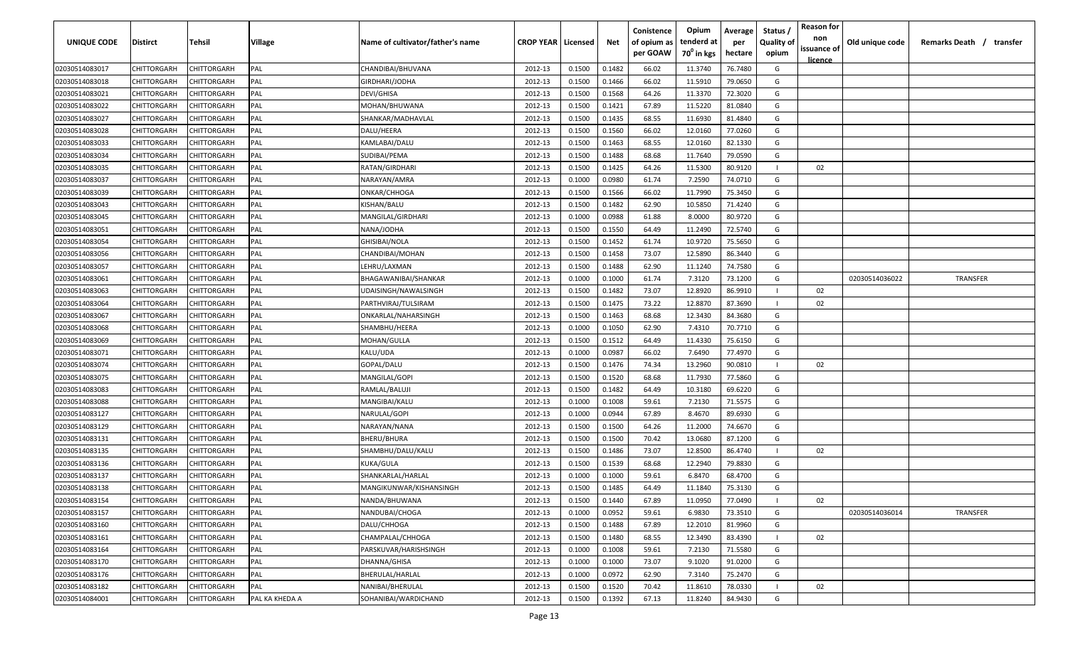| UNIQUE CODE    | Distirct    | Tehsil             | Village        | Name of cultivator/father's name | <b>CROP YEAR   Licensed</b> |        | Net    | Conistence<br>of opium as | Opium<br>tenderd at    | Average<br>per | Status /<br><b>Quality of</b> | <b>Reason for</b><br>non      | Old unique code | Remarks Death /<br>transfer |
|----------------|-------------|--------------------|----------------|----------------------------------|-----------------------------|--------|--------|---------------------------|------------------------|----------------|-------------------------------|-------------------------------|-----------------|-----------------------------|
|                |             |                    |                |                                  |                             |        |        | per GOAW                  | 70 <sup>0</sup> in kgs | hectare        | opium                         | issuance of<br><u>licence</u> |                 |                             |
| 02030514083017 | CHITTORGARH | CHITTORGARH        | PAL            | CHANDIBAI/BHUVANA                | 2012-13                     | 0.1500 | 0.1482 | 66.02                     | 11.3740                | 76.7480        | G                             |                               |                 |                             |
| 02030514083018 | CHITTORGARH | CHITTORGARH        | PAL            | GIRDHARI/JODHA                   | 2012-13                     | 0.1500 | 0.1466 | 66.02                     | 11.5910                | 79.0650        | G                             |                               |                 |                             |
| 02030514083021 | CHITTORGARH | CHITTORGARH        | PAL            | DEVI/GHISA                       | 2012-13                     | 0.1500 | 0.1568 | 64.26                     | 11.3370                | 72.3020        | G                             |                               |                 |                             |
| 02030514083022 | CHITTORGARH | CHITTORGARH        | PAL            | MOHAN/BHUWANA                    | 2012-13                     | 0.1500 | 0.1421 | 67.89                     | 11.5220                | 81.0840        | G                             |                               |                 |                             |
| 02030514083027 | CHITTORGARH | CHITTORGARH        | PAL            | SHANKAR/MADHAVLAL                | 2012-13                     | 0.1500 | 0.1435 | 68.55                     | 11.6930                | 81.4840        | G                             |                               |                 |                             |
| 02030514083028 | CHITTORGARH | CHITTORGARH        | PAL            | DALU/HEERA                       | 2012-13                     | 0.1500 | 0.1560 | 66.02                     | 12.0160                | 77.0260        | G                             |                               |                 |                             |
| 02030514083033 | CHITTORGARH | <b>CHITTORGARH</b> | PAL            | KAMLABAI/DALU                    | 2012-13                     | 0.1500 | 0.1463 | 68.55                     | 12.0160                | 82.1330        | G                             |                               |                 |                             |
| 02030514083034 | CHITTORGARH | <b>CHITTORGARH</b> | PAL            | SUDIBAI/PEMA                     | 2012-13                     | 0.1500 | 0.1488 | 68.68                     | 11.7640                | 79.0590        | G                             |                               |                 |                             |
| 02030514083035 | CHITTORGARH | CHITTORGARH        | PAL            | RATAN/GIRDHARI                   | 2012-13                     | 0.1500 | 0.1425 | 64.26                     | 11.5300                | 80.9120        | $\mathbf{I}$                  | 02                            |                 |                             |
| 02030514083037 | CHITTORGARH | CHITTORGARH        | PAL            | NARAYAN/AMRA                     | 2012-13                     | 0.1000 | 0.0980 | 61.74                     | 7.2590                 | 74.0710        | G                             |                               |                 |                             |
| 02030514083039 | CHITTORGARH | CHITTORGARH        | PAL            | ONKAR/CHHOGA                     | 2012-13                     | 0.1500 | 0.1566 | 66.02                     | 11.7990                | 75.3450        | G                             |                               |                 |                             |
| 02030514083043 | CHITTORGARH | CHITTORGARH        | PAL            | KISHAN/BALU                      | 2012-13                     | 0.1500 | 0.1482 | 62.90                     | 10.5850                | 71.4240        | G                             |                               |                 |                             |
| 02030514083045 | CHITTORGARH | CHITTORGARH        | PAL            | MANGILAL/GIRDHARI                | 2012-13                     | 0.1000 | 0.0988 | 61.88                     | 8.0000                 | 80.9720        | G                             |                               |                 |                             |
| 02030514083051 | CHITTORGARH | CHITTORGARH        | PAL            | NANA/JODHA                       | 2012-13                     | 0.1500 | 0.1550 | 64.49                     | 11.2490                | 72.5740        | G                             |                               |                 |                             |
| 02030514083054 | CHITTORGARH | CHITTORGARH        | PAL            | GHISIBAI/NOLA                    | 2012-13                     | 0.1500 | 0.1452 | 61.74                     | 10.9720                | 75.5650        | G                             |                               |                 |                             |
| 02030514083056 | CHITTORGARH | CHITTORGARH        | PAL            | CHANDIBAI/MOHAN                  | 2012-13                     | 0.1500 | 0.1458 | 73.07                     | 12.5890                | 86.3440        | G                             |                               |                 |                             |
| 02030514083057 | CHITTORGARH | CHITTORGARH        | PAL            | LEHRU/LAXMAN                     | 2012-13                     | 0.1500 | 0.1488 | 62.90                     | 11.1240                | 74.7580        | G                             |                               |                 |                             |
| 02030514083061 | CHITTORGARH | CHITTORGARH        | PAL            | <b>BHAGAWANIBAI/SHANKAR</b>      | 2012-13                     | 0.1000 | 0.1000 | 61.74                     | 7.3120                 | 73.1200        | G                             |                               | 02030514036022  | <b>TRANSFER</b>             |
| 02030514083063 | CHITTORGARH | CHITTORGARH        | PAL            | UDAISINGH/NAWALSINGH             | 2012-13                     | 0.1500 | 0.1482 | 73.07                     | 12.8920                | 86.9910        |                               | 02                            |                 |                             |
| 02030514083064 | CHITTORGARH | CHITTORGARH        | PAL            | PARTHVIRAJ/TULSIRAM              | 2012-13                     | 0.1500 | 0.1475 | 73.22                     | 12.8870                | 87.3690        |                               | 02                            |                 |                             |
| 02030514083067 | CHITTORGARH | CHITTORGARH        | PAL            | ONKARLAL/NAHARSINGH              | 2012-13                     | 0.1500 | 0.1463 | 68.68                     | 12.3430                | 84.3680        | G                             |                               |                 |                             |
| 02030514083068 | CHITTORGARH | CHITTORGARH        | PAL            | SHAMBHU/HEERA                    | 2012-13                     | 0.1000 | 0.1050 | 62.90                     | 7.4310                 | 70.7710        | G                             |                               |                 |                             |
| 02030514083069 | CHITTORGARH | CHITTORGARH        | PAL            | MOHAN/GULLA                      | 2012-13                     | 0.1500 | 0.1512 | 64.49                     | 11.4330                | 75.6150        | G                             |                               |                 |                             |
| 02030514083071 | CHITTORGARH | CHITTORGARH        | PAL            | KALU/UDA                         | 2012-13                     | 0.1000 | 0.0987 | 66.02                     | 7.6490                 | 77.4970        | G                             |                               |                 |                             |
| 02030514083074 | CHITTORGARH | CHITTORGARH        | PAL            | GOPAL/DALU                       | 2012-13                     | 0.1500 | 0.1476 | 74.34                     | 13.2960                | 90.0810        |                               | 02                            |                 |                             |
| 02030514083075 | CHITTORGARH | CHITTORGARH        | PAL            | MANGILAL/GOPI                    | 2012-13                     | 0.1500 | 0.1520 | 68.68                     | 11.7930                | 77.5860        | G                             |                               |                 |                             |
| 02030514083083 | CHITTORGARH | CHITTORGARH        | PAL            | RAMLAL/BALUJI                    | 2012-13                     | 0.1500 | 0.1482 | 64.49                     | 10.3180                | 69.6220        | G                             |                               |                 |                             |
| 02030514083088 | CHITTORGARH | CHITTORGARH        | PAL            | MANGIBAI/KALU                    | 2012-13                     | 0.1000 | 0.1008 | 59.61                     | 7.2130                 | 71.5575        | G                             |                               |                 |                             |
| 02030514083127 | CHITTORGARH | CHITTORGARH        | PAL            | NARULAL/GOPI                     | 2012-13                     | 0.1000 | 0.0944 | 67.89                     | 8.4670                 | 89.6930        | G                             |                               |                 |                             |
| 02030514083129 | CHITTORGARH | CHITTORGARH        | PAL            | NARAYAN/NANA                     | 2012-13                     | 0.1500 | 0.1500 | 64.26                     | 11.2000                | 74.6670        | G                             |                               |                 |                             |
| 02030514083131 | CHITTORGARH | CHITTORGARH        | PAL            | BHERU/BHURA                      | 2012-13                     | 0.1500 | 0.1500 | 70.42                     | 13.0680                | 87.1200        | G                             |                               |                 |                             |
| 02030514083135 | CHITTORGARH | <b>CHITTORGARH</b> | PAL            | SHAMBHU/DALU/KALU                | 2012-13                     | 0.1500 | 0.1486 | 73.07                     | 12.8500                | 86.4740        |                               | 02                            |                 |                             |
| 02030514083136 | CHITTORGARH | CHITTORGARH        | PAL            | KUKA/GULA                        | 2012-13                     | 0.1500 | 0.1539 | 68.68                     | 12.2940                | 79.8830        | G                             |                               |                 |                             |
| 02030514083137 | CHITTORGARH | CHITTORGARH        | PAL            | SHANKARLAL/HARLAL                | 2012-13                     | 0.1000 | 0.1000 | 59.61                     | 6.8470                 | 68.4700        | G                             |                               |                 |                             |
| 02030514083138 | CHITTORGARH | CHITTORGARH        | PAL            | MANGIKUNWAR/KISHANSINGH          | 2012-13                     | 0.1500 | 0.1485 | 64.49                     | 11.1840                | 75.3130        | G                             |                               |                 |                             |
| 02030514083154 | CHITTORGARH | CHITTORGARH        | PAL            | NANDA/BHUWANA                    | 2012-13                     | 0.1500 | 0.1440 | 67.89                     | 11.0950                | 77.0490        | $\mathbf{I}$                  | 02                            |                 |                             |
| 02030514083157 | CHITTORGARH | <b>CHITTORGARH</b> | PAL            | NANDUBAI/CHOGA                   | 2012-13                     | 0.1000 | 0.0952 | 59.61                     | 6.9830                 | 73.3510        | G                             |                               | 02030514036014  | TRANSFER                    |
| 02030514083160 | CHITTORGARH | <b>CHITTORGARH</b> | PAL            | DALU/CHHOGA                      | 2012-13                     | 0.1500 | 0.1488 | 67.89                     | 12.2010                | 81.9960        | G                             |                               |                 |                             |
| 02030514083161 | CHITTORGARH | CHITTORGARH        | PAL            | CHAMPALAL/CHHOGA                 | 2012-13                     | 0.1500 | 0.1480 | 68.55                     | 12.3490                | 83.4390        | $\blacksquare$                | 02                            |                 |                             |
| 02030514083164 | CHITTORGARH | CHITTORGARH        | PAL            | PARSKUVAR/HARISHSINGH            | 2012-13                     | 0.1000 | 0.1008 | 59.61                     | 7.2130                 | 71.5580        | G                             |                               |                 |                             |
| 02030514083170 | CHITTORGARH | CHITTORGARH        | PAL            | <b>DHANNA/GHISA</b>              | 2012-13                     | 0.1000 | 0.1000 | 73.07                     | 9.1020                 | 91.0200        | G                             |                               |                 |                             |
| 02030514083176 | CHITTORGARH | CHITTORGARH        | PAL            | <b>BHERULAL/HARLAL</b>           | 2012-13                     | 0.1000 | 0.0972 | 62.90                     | 7.3140                 | 75.2470        | G                             |                               |                 |                             |
| 02030514083182 | CHITTORGARH | CHITTORGARH        | PAL            | NANIBAI/BHERULAL                 | 2012-13                     | 0.1500 | 0.1520 | 70.42                     | 11.8610                | 78.0330        | $\mathbf{I}$                  | 02                            |                 |                             |
| 02030514084001 | CHITTORGARH | CHITTORGARH        | PAL KA KHEDA A | SOHANIBAI/WARDICHAND             | 2012-13                     | 0.1500 | 0.1392 | 67.13                     | 11.8240                | 84.9430        | G                             |                               |                 |                             |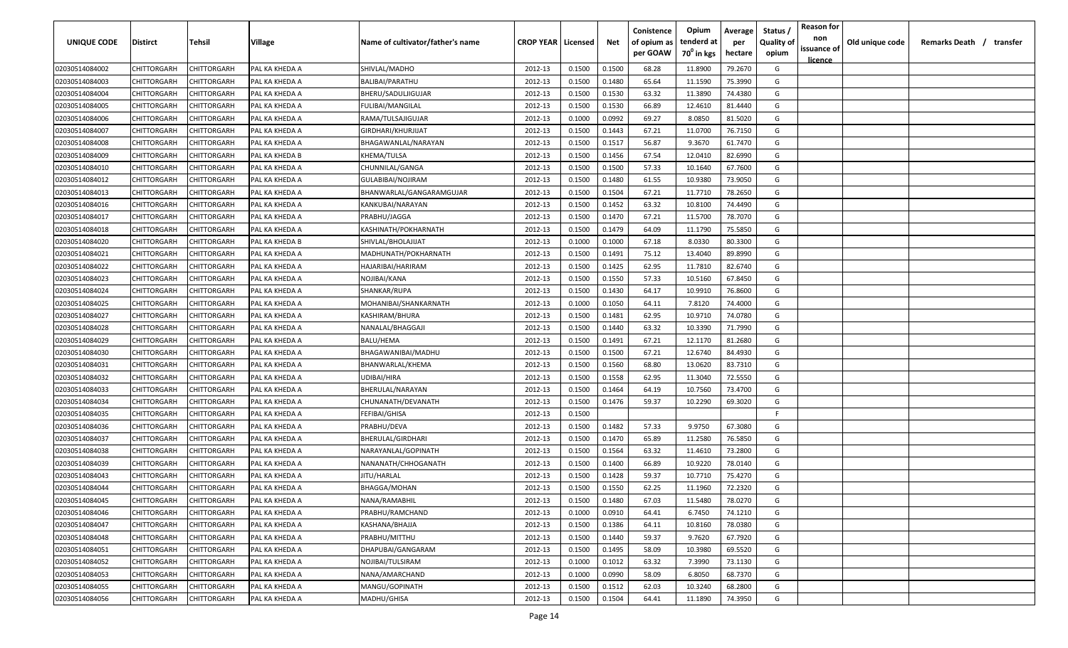| <b>UNIQUE CODE</b> | <b>Distirct</b>    | <b>Tehsil</b>      | Village        | Name of cultivator/father's name | <b>CROP YEAR   Licensed</b> |        | Net    | Conistence<br>of opium as<br>per GOAW | Opium<br>tenderd at<br>70 <sup>0</sup> in kgs | Average<br>per<br>hectare | Status /<br>Quality of<br>opium | <b>Reason for</b><br>non<br>issuance of<br>licence | Old unique code | Remarks Death /<br>transfer |  |
|--------------------|--------------------|--------------------|----------------|----------------------------------|-----------------------------|--------|--------|---------------------------------------|-----------------------------------------------|---------------------------|---------------------------------|----------------------------------------------------|-----------------|-----------------------------|--|
| 02030514084002     | CHITTORGARH        | CHITTORGARH        | PAL KA KHEDA A | SHIVLAL/MADHO                    | 2012-13                     | 0.1500 | 0.1500 | 68.28                                 | 11.8900                                       | 79.2670                   | G                               |                                                    |                 |                             |  |
| 02030514084003     | CHITTORGARH        | CHITTORGARH        | PAL KA KHEDA A | <b>BALIBAI/PARATHU</b>           | 2012-13                     | 0.1500 | 0.1480 | 65.64                                 | 11.1590                                       | 75.3990                   | G                               |                                                    |                 |                             |  |
| 02030514084004     | CHITTORGARH        | CHITTORGARH        | PAL KA KHEDA A | BHERU/SADULJIGUJAR               | 2012-13                     | 0.1500 | 0.1530 | 63.32                                 | 11.3890                                       | 74.4380                   | G                               |                                                    |                 |                             |  |
| 02030514084005     | CHITTORGARH        | CHITTORGARH        | PAL KA KHEDA A | <b>FULIBAI/MANGILAL</b>          | 2012-13                     | 0.1500 | 0.1530 | 66.89                                 | 12.4610                                       | 81.4440                   | G                               |                                                    |                 |                             |  |
| 02030514084006     | CHITTORGARH        | CHITTORGARH        | PAL KA KHEDA A | RAMA/TULSAJIGUJAR                | 2012-13                     | 0.1000 | 0.0992 | 69.27                                 | 8.0850                                        | 81.5020                   | G                               |                                                    |                 |                             |  |
| 02030514084007     | CHITTORGARH        | CHITTORGARH        | PAL KA KHEDA A | GIRDHARI/KHURJIJAT               | 2012-13                     | 0.1500 | 0.1443 | 67.21                                 | 11.0700                                       | 76.7150                   | G                               |                                                    |                 |                             |  |
| 02030514084008     | CHITTORGARH        | CHITTORGARH        | PAL KA KHEDA A | BHAGAWANLAL/NARAYAN              | 2012-13                     | 0.1500 | 0.1517 | 56.87                                 | 9.3670                                        | 61.7470                   | G                               |                                                    |                 |                             |  |
| 02030514084009     | CHITTORGARH        | CHITTORGARH        | PAL KA KHEDA B | KHEMA/TULSA                      | 2012-13                     | 0.1500 | 0.1456 | 67.54                                 | 12.0410                                       | 82.6990                   | G                               |                                                    |                 |                             |  |
| 02030514084010     | CHITTORGARH        | CHITTORGARH        | PAL KA KHEDA A | CHUNNILAL/GANGA                  | 2012-13                     | 0.1500 | 0.1500 | 57.33                                 | 10.1640                                       | 67.7600                   | G                               |                                                    |                 |                             |  |
| 02030514084012     | CHITTORGARH        | CHITTORGARH        | PAL KA KHEDA A | GULABIBAI/NOJIRAM                | 2012-13                     | 0.1500 | 0.1480 | 61.55                                 | 10.9380                                       | 73.9050                   | G                               |                                                    |                 |                             |  |
| 02030514084013     | CHITTORGARH        | CHITTORGARH        | PAL KA KHEDA A | BHANWARLAL/GANGARAMGUJAR         | 2012-13                     | 0.1500 | 0.1504 | 67.21                                 | 11.7710                                       | 78.2650                   | G                               |                                                    |                 |                             |  |
| 02030514084016     | CHITTORGARH        | CHITTORGARH        | PAL KA KHEDA A | KANKUBAI/NARAYAN                 | 2012-13                     | 0.1500 | 0.1452 | 63.32                                 | 10.8100                                       | 74.4490                   | G                               |                                                    |                 |                             |  |
| 02030514084017     | CHITTORGARH        | CHITTORGARH        | PAL KA KHEDA A | PRABHU/JAGGA                     | 2012-13                     | 0.1500 | 0.1470 | 67.21                                 | 11.5700                                       | 78.7070                   | G                               |                                                    |                 |                             |  |
| 02030514084018     | CHITTORGARH        | CHITTORGARH        | PAL KA KHEDA A | KASHINATH/POKHARNATH             | 2012-13                     | 0.1500 | 0.1479 | 64.09                                 | 11.1790                                       | 75.5850                   | G                               |                                                    |                 |                             |  |
| 02030514084020     | CHITTORGARH        | CHITTORGARH        | PAL KA KHEDA B | SHIVLAL/BHOLAJIJAT               | 2012-13                     | 0.1000 | 0.1000 | 67.18                                 | 8.0330                                        | 80.3300                   | G                               |                                                    |                 |                             |  |
| 02030514084021     | CHITTORGARH        | CHITTORGARH        | PAL KA KHEDA A | MADHUNATH/POKHARNATH             | 2012-13                     | 0.1500 | 0.1491 | 75.12                                 | 13.4040                                       | 89.8990                   | G                               |                                                    |                 |                             |  |
| 02030514084022     | CHITTORGARH        | CHITTORGARF        | PAL KA KHEDA A | HAJARIBAI/HARIRAM                | 2012-13                     | 0.1500 | 0.1425 | 62.95                                 | 11.7810                                       | 82.6740                   | G                               |                                                    |                 |                             |  |
| 02030514084023     | CHITTORGARH        | CHITTORGARH        | PAL KA KHEDA A | NOJIBAI/KANA                     | 2012-13                     | 0.1500 | 0.1550 | 57.33                                 | 10.5160                                       | 67.8450                   | G                               |                                                    |                 |                             |  |
| 02030514084024     | CHITTORGARH        | CHITTORGARH        | PAL KA KHEDA A | SHANKAR/RUPA                     | 2012-13                     | 0.1500 | 0.1430 | 64.17                                 | 10.9910                                       | 76.8600                   | G                               |                                                    |                 |                             |  |
| 02030514084025     | CHITTORGARH        | CHITTORGARH        | PAL KA KHEDA A | MOHANIBAI/SHANKARNATH            | 2012-13                     | 0.1000 | 0.1050 | 64.11                                 | 7.8120                                        | 74.4000                   | G                               |                                                    |                 |                             |  |
| 02030514084027     | CHITTORGARH        | CHITTORGARH        | PAL KA KHEDA A | KASHIRAM/BHURA                   | 2012-13                     | 0.1500 | 0.1481 | 62.95                                 | 10.9710                                       | 74.0780                   | G                               |                                                    |                 |                             |  |
| 02030514084028     | CHITTORGARH        | CHITTORGARH        | PAL KA KHEDA A | NANALAL/BHAGGAJI                 | 2012-13                     | 0.1500 | 0.1440 | 63.32                                 | 10.3390                                       | 71.7990                   | G                               |                                                    |                 |                             |  |
| 02030514084029     | CHITTORGARH        | CHITTORGARH        | PAL KA KHEDA A | BALU/HEMA                        | 2012-13                     | 0.1500 | 0.1491 | 67.21                                 | 12.1170                                       | 81.2680                   | G                               |                                                    |                 |                             |  |
| 02030514084030     | CHITTORGARH        | CHITTORGARH        | PAL KA KHEDA A | BHAGAWANIBAI/MADHU               | 2012-13                     | 0.1500 | 0.1500 | 67.21                                 | 12.6740                                       | 84.4930                   | G                               |                                                    |                 |                             |  |
| 02030514084031     | CHITTORGARH        | CHITTORGARH        | PAL KA KHEDA A | BHANWARLAL/KHEMA                 | 2012-13                     | 0.1500 | 0.1560 | 68.80                                 | 13.0620                                       | 83.7310                   | G                               |                                                    |                 |                             |  |
| 02030514084032     | CHITTORGARH        | CHITTORGARH        | PAL KA KHEDA A | UDIBAI/HIRA                      | 2012-13                     | 0.1500 | 0.1558 | 62.95                                 | 11.3040                                       | 72.5550                   | G                               |                                                    |                 |                             |  |
| 02030514084033     | CHITTORGARH        | CHITTORGARH        | PAL KA KHEDA A | BHERULAL/NARAYAN                 | 2012-13                     | 0.1500 | 0.1464 | 64.19                                 | 10.7560                                       | 73.4700                   | G                               |                                                    |                 |                             |  |
| 02030514084034     | CHITTORGARH        | CHITTORGARH        | PAL KA KHEDA A | CHUNANATH/DEVANATH               | 2012-13                     | 0.1500 | 0.1476 | 59.37                                 | 10.2290                                       | 69.3020                   | G                               |                                                    |                 |                             |  |
| 02030514084035     | CHITTORGARH        | CHITTORGARH        | PAL KA KHEDA A | FEFIBAI/GHISA                    | 2012-13                     | 0.1500 |        |                                       |                                               |                           | -F.                             |                                                    |                 |                             |  |
| 02030514084036     | CHITTORGARH        | CHITTORGARH        | PAL KA KHEDA A | PRABHU/DEVA                      | 2012-13                     | 0.1500 | 0.1482 | 57.33                                 | 9.9750                                        | 67.3080                   | G                               |                                                    |                 |                             |  |
| 02030514084037     | CHITTORGARH        | CHITTORGARH        | PAL KA KHEDA A | BHERULAL/GIRDHARI                | 2012-13                     | 0.1500 | 0.1470 | 65.89                                 | 11.2580                                       | 76.5850                   | G                               |                                                    |                 |                             |  |
| 02030514084038     | CHITTORGARH        | CHITTORGARH        | PAL KA KHEDA A | NARAYANLAL/GOPINATH              | 2012-13                     | 0.1500 | 0.1564 | 63.32                                 | 11.4610                                       | 73.2800                   | G                               |                                                    |                 |                             |  |
| 02030514084039     | CHITTORGARH        | CHITTORGARH        | PAL KA KHEDA A | NANANATH/CHHOGANATH              | 2012-13                     | 0.1500 | 0.1400 | 66.89                                 | 10.9220                                       | 78.0140                   | G                               |                                                    |                 |                             |  |
| 02030514084043     | CHITTORGARH        | CHITTORGARH        | PAL KA KHEDA A | JITU/HARLAL                      | 2012-13                     | 0.1500 | 0.1428 | 59.37                                 | 10.7710                                       | 75.4270                   | G                               |                                                    |                 |                             |  |
| 02030514084044     | <b>CHITTORGARH</b> | CHITTORGARH        | PAL KA KHEDA A | BHAGGA/MOHAN                     | 2012-13                     | 0.1500 | 0.1550 | 62.25                                 | 11.1960                                       | 72.2320                   | G                               |                                                    |                 |                             |  |
| 02030514084045     | CHITTORGARH        | <b>CHITTORGARH</b> | PAL KA KHEDA A | NANA/RAMABHIL                    | 2012-13                     | 0.1500 | 0.1480 | 67.03                                 | 11.5480                                       | 78.0270                   | G                               |                                                    |                 |                             |  |
| 02030514084046     | <b>CHITTORGARH</b> | CHITTORGARH        | PAL KA KHEDA A | PRABHU/RAMCHAND                  | 2012-13                     | 0.1000 | 0.0910 | 64.41                                 | 6.7450                                        | 74.1210                   | G                               |                                                    |                 |                             |  |
| 02030514084047     | CHITTORGARH        | CHITTORGARH        | PAL KA KHEDA A | KASHANA/BHAJJA                   | 2012-13                     | 0.1500 | 0.1386 | 64.11                                 | 10.8160                                       | 78.0380                   | G                               |                                                    |                 |                             |  |
| 02030514084048     | CHITTORGARH        | CHITTORGARH        | PAL KA KHEDA A | PRABHU/MITTHU                    | 2012-13                     | 0.1500 | 0.1440 | 59.37                                 | 9.7620                                        | 67.7920                   | G                               |                                                    |                 |                             |  |
| 02030514084051     | CHITTORGARH        | CHITTORGARH        | PAL KA KHEDA A | DHAPUBAI/GANGARAM                | 2012-13                     | 0.1500 | 0.1495 | 58.09                                 | 10.3980                                       | 69.5520                   | G                               |                                                    |                 |                             |  |
| 02030514084052     | CHITTORGARH        | CHITTORGARH        | PAL KA KHEDA A | NOJIBAI/TULSIRAM                 | 2012-13                     | 0.1000 | 0.1012 | 63.32                                 | 7.3990                                        | 73.1130                   | G                               |                                                    |                 |                             |  |
| 02030514084053     | CHITTORGARH        | CHITTORGARH        | PAL KA KHEDA A | NANA/AMARCHAND                   | 2012-13                     | 0.1000 | 0.0990 | 58.09                                 | 6.8050                                        | 68.7370                   | G                               |                                                    |                 |                             |  |
| 02030514084055     | <b>CHITTORGARH</b> | CHITTORGARH        | PAL KA KHEDA A | MANGU/GOPINATH                   | 2012-13                     | 0.1500 | 0.1512 | 62.03                                 | 10.3240                                       | 68.2800                   | G                               |                                                    |                 |                             |  |
| 02030514084056     | <b>CHITTORGARH</b> | CHITTORGARH        | PAL KA KHEDA A | MADHU/GHISA                      | 2012-13                     | 0.1500 | 0.1504 | 64.41                                 | 11.1890                                       | 74.3950                   | G                               |                                                    |                 |                             |  |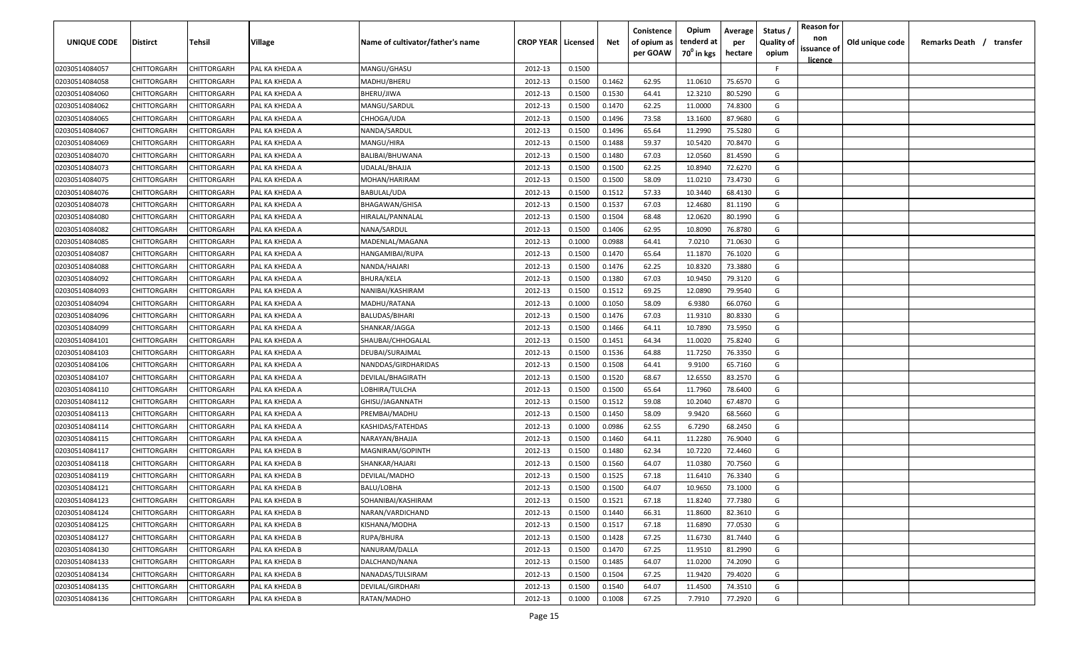| UNIQUE CODE    | Distirct           | Tehsil             | Village        | Name of cultivator/father's name | <b>CROP YEAR   Licensed</b> |        | Net    | Conistence<br>of opium as | Opium<br>tenderd at    | Average<br>per | Status /<br><b>Quality of</b> | <b>Reason for</b><br>non | Old unique code | Remarks Death / transfer |
|----------------|--------------------|--------------------|----------------|----------------------------------|-----------------------------|--------|--------|---------------------------|------------------------|----------------|-------------------------------|--------------------------|-----------------|--------------------------|
|                |                    |                    |                |                                  |                             |        |        | per GOAW                  | 70 <sup>0</sup> in kgs | hectare        | opium                         | issuance of              |                 |                          |
| 02030514084057 | CHITTORGARH        | CHITTORGARH        | PAL KA KHEDA A | MANGU/GHASU                      | 2012-13                     | 0.1500 |        |                           |                        |                | F                             | <u>licence</u>           |                 |                          |
| 02030514084058 | CHITTORGARH        | CHITTORGARH        | PAL KA KHEDA A | MADHU/BHERU                      | 2012-13                     | 0.1500 | 0.1462 | 62.95                     | 11.0610                | 75.6570        | G                             |                          |                 |                          |
| 02030514084060 | CHITTORGARH        | CHITTORGARH        | PAL KA KHEDA A | BHERU/JIWA                       | 2012-13                     | 0.1500 | 0.1530 | 64.41                     | 12.3210                | 80.5290        | G                             |                          |                 |                          |
| 02030514084062 | CHITTORGARH        | CHITTORGARH        | PAL KA KHEDA A | MANGU/SARDUL                     | 2012-13                     | 0.1500 | 0.1470 | 62.25                     | 11.0000                | 74.8300        | G                             |                          |                 |                          |
| 02030514084065 | CHITTORGARH        | CHITTORGARH        | PAL KA KHEDA A | CHHOGA/UDA                       | 2012-13                     | 0.1500 | 0.1496 | 73.58                     | 13.1600                | 87.9680        | G                             |                          |                 |                          |
| 02030514084067 | CHITTORGARH        | CHITTORGARH        | PAL KA KHEDA A | NANDA/SARDUL                     | 2012-13                     | 0.1500 | 0.1496 | 65.64                     | 11.2990                | 75.5280        | G                             |                          |                 |                          |
| 02030514084069 | CHITTORGARH        | CHITTORGARH        | PAL KA KHEDA A | MANGU/HIRA                       | 2012-13                     | 0.1500 | 0.1488 | 59.37                     | 10.5420                | 70.8470        | G                             |                          |                 |                          |
| 02030514084070 | CHITTORGARH        | CHITTORGARH        | PAL KA KHEDA A | BALIBAI/BHUWANA                  | 2012-13                     | 0.1500 | 0.1480 | 67.03                     | 12.0560                | 81.4590        | G                             |                          |                 |                          |
| 02030514084073 | CHITTORGARH        | CHITTORGARH        | PAL KA KHEDA A | UDALAL/BHAJJA                    | 2012-13                     | 0.1500 | 0.1500 | 62.25                     | 10.8940                | 72.6270        | G                             |                          |                 |                          |
| 02030514084075 | CHITTORGARH        | CHITTORGARH        | PAL KA KHEDA A | MOHAN/HARIRAM                    | 2012-13                     | 0.1500 | 0.1500 | 58.09                     | 11.0210                | 73.4730        | G                             |                          |                 |                          |
| 02030514084076 | CHITTORGARH        | CHITTORGARH        | PAL KA KHEDA A | BABULAL/UDA                      | 2012-13                     | 0.1500 | 0.1512 | 57.33                     | 10.3440                | 68.4130        | G                             |                          |                 |                          |
| 02030514084078 | CHITTORGARH        | CHITTORGARH        | PAL KA KHEDA A | BHAGAWAN/GHISA                   | 2012-13                     | 0.1500 | 0.1537 | 67.03                     | 12.4680                | 81.1190        | G                             |                          |                 |                          |
| 02030514084080 | CHITTORGARH        | CHITTORGARH        | PAL KA KHEDA A | HIRALAL/PANNALAL                 | 2012-13                     | 0.1500 | 0.1504 | 68.48                     | 12.0620                | 80.1990        | G                             |                          |                 |                          |
| 02030514084082 | CHITTORGARH        | CHITTORGARH        | PAL KA KHEDA A | NANA/SARDUL                      | 2012-13                     | 0.1500 | 0.1406 | 62.95                     | 10.8090                | 76.8780        | G                             |                          |                 |                          |
| 02030514084085 | CHITTORGARH        | CHITTORGARH        | PAL KA KHEDA A | MADENLAL/MAGANA                  | 2012-13                     | 0.1000 | 0.0988 | 64.41                     | 7.0210                 | 71.0630        | G                             |                          |                 |                          |
| 02030514084087 | CHITTORGARH        | CHITTORGARH        | PAL KA KHEDA A | HANGAMIBAI/RUPA                  | 2012-13                     | 0.1500 | 0.1470 | 65.64                     | 11.1870                | 76.1020        | G                             |                          |                 |                          |
| 02030514084088 | CHITTORGARH        | CHITTORGARH        | PAL KA KHEDA A | NANDA/HAJARI                     | 2012-13                     | 0.1500 | 0.1476 | 62.25                     | 10.8320                | 73.3880        | G                             |                          |                 |                          |
| 02030514084092 | CHITTORGARH        | CHITTORGARH        | PAL KA KHEDA A | <b>BHURA/KELA</b>                | 2012-13                     | 0.1500 | 0.1380 | 67.03                     | 10.9450                | 79.3120        | G                             |                          |                 |                          |
| 02030514084093 | CHITTORGARH        | CHITTORGARH        | PAL KA KHEDA A | NANIBAI/KASHIRAM                 | 2012-13                     | 0.1500 | 0.1512 | 69.25                     | 12.0890                | 79.9540        | G                             |                          |                 |                          |
| 02030514084094 | CHITTORGARH        | CHITTORGARH        | PAL KA KHEDA A | MADHU/RATANA                     | 2012-13                     | 0.1000 | 0.1050 | 58.09                     | 6.9380                 | 66.0760        | G                             |                          |                 |                          |
| 02030514084096 | CHITTORGARH        | CHITTORGARH        | PAL KA KHEDA A | BALUDAS/BIHARI                   | 2012-13                     | 0.1500 | 0.1476 | 67.03                     | 11.9310                | 80.8330        | G                             |                          |                 |                          |
| 02030514084099 | CHITTORGARH        | CHITTORGARH        | PAL KA KHEDA A | SHANKAR/JAGGA                    | 2012-13                     | 0.1500 | 0.1466 | 64.11                     | 10.7890                | 73.5950        | G                             |                          |                 |                          |
| 02030514084101 | CHITTORGARH        | CHITTORGARH        | PAL KA KHEDA A | SHAUBAI/CHHOGALAL                | 2012-13                     | 0.1500 | 0.1451 | 64.34                     | 11.0020                | 75.8240        | G                             |                          |                 |                          |
| 02030514084103 | CHITTORGARH        | CHITTORGARH        | PAL KA KHEDA A | DEUBAI/SURAJMAL                  | 2012-13                     | 0.1500 | 0.1536 | 64.88                     | 11.7250                | 76.3350        | G                             |                          |                 |                          |
| 02030514084106 | CHITTORGARH        | CHITTORGARH        | PAL KA KHEDA A | NANDDAS/GIRDHARIDAS              | 2012-13                     | 0.1500 | 0.1508 | 64.41                     | 9.9100                 | 65.7160        | G                             |                          |                 |                          |
| 02030514084107 | CHITTORGARH        | CHITTORGARH        | PAL KA KHEDA A | DEVILAL/BHAGIRATH                | 2012-13                     | 0.1500 | 0.1520 | 68.67                     | 12.6550                | 83.2570        | G                             |                          |                 |                          |
| 02030514084110 | CHITTORGARH        | CHITTORGARH        | PAL KA KHEDA A | LOBHIRA/TULCHA                   | 2012-13                     | 0.1500 | 0.1500 | 65.64                     | 11.7960                | 78.6400        | G                             |                          |                 |                          |
| 02030514084112 | CHITTORGARH        | CHITTORGARH        | PAL KA KHEDA A | GHISU/JAGANNATH                  | 2012-13                     | 0.1500 | 0.1512 | 59.08                     | 10.2040                | 67.4870        | G                             |                          |                 |                          |
| 02030514084113 | CHITTORGARH        | CHITTORGARH        | PAL KA KHEDA A | PREMBAI/MADHU                    | 2012-13                     | 0.1500 | 0.1450 | 58.09                     | 9.9420                 | 68.5660        | G                             |                          |                 |                          |
| 02030514084114 | CHITTORGARH        | CHITTORGARH        | PAL KA KHEDA A | KASHIDAS/FATEHDAS                | 2012-13                     | 0.1000 | 0.0986 | 62.55                     | 6.7290                 | 68.2450        | G                             |                          |                 |                          |
| 02030514084115 | CHITTORGARH        | CHITTORGARH        | PAL KA KHEDA A | NARAYAN/BHAJJA                   | 2012-13                     | 0.1500 | 0.1460 | 64.11                     | 11.2280                | 76.9040        | G                             |                          |                 |                          |
| 02030514084117 | CHITTORGARH        | CHITTORGARH        | PAL KA KHEDA B | MAGNIRAM/GOPINTH                 | 2012-13                     | 0.1500 | 0.1480 | 62.34                     | 10.7220                | 72.4460        | G                             |                          |                 |                          |
| 02030514084118 | CHITTORGARH        | CHITTORGARH        | PAL KA KHEDA B | SHANKAR/HAJARI                   | 2012-13                     | 0.1500 | 0.1560 | 64.07                     | 11.0380                | 70.7560        | G                             |                          |                 |                          |
| 02030514084119 | CHITTORGARH        | CHITTORGARH        | PAL KA KHEDA B | DEVILAL/MADHO                    | 2012-13                     | 0.1500 | 0.1525 | 67.18                     | 11.6410                | 76.3340        | G                             |                          |                 |                          |
| 02030514084121 | CHITTORGARH        | CHITTORGARH        | PAL KA KHEDA B | BALU/LOBHA                       | 2012-13                     | 0.1500 | 0.1500 | 64.07                     | 10.9650                | 73.1000        | G                             |                          |                 |                          |
| 02030514084123 | <b>CHITTORGARH</b> | <b>CHITTORGARH</b> | PAL KA KHEDA B | SOHANIBAI/KASHIRAM               | 2012-13                     | 0.1500 | 0.1521 | 67.18                     | 11.8240                | 77.7380        | G                             |                          |                 |                          |
| 02030514084124 | <b>CHITTORGARH</b> | CHITTORGARH        | PAL KA KHEDA B | NARAN/VARDICHAND                 | 2012-13                     | 0.1500 | 0.1440 | 66.31                     | 11.8600                | 82.3610        | G                             |                          |                 |                          |
| 02030514084125 | CHITTORGARH        | <b>CHITTORGARH</b> | PAL KA KHEDA B | KISHANA/MODHA                    | 2012-13                     | 0.1500 | 0.1517 | 67.18                     | 11.6890                | 77.0530        | G                             |                          |                 |                          |
| 02030514084127 | <b>CHITTORGARH</b> | CHITTORGARH        | PAL KA KHEDA B | RUPA/BHURA                       | 2012-13                     | 0.1500 | 0.1428 | 67.25                     | 11.6730                | 81.7440        | G                             |                          |                 |                          |
| 02030514084130 | CHITTORGARH        | CHITTORGARH        | PAL KA KHEDA B | NANURAM/DALLA                    | 2012-13                     | 0.1500 | 0.1470 | 67.25                     | 11.9510                | 81.2990        | G                             |                          |                 |                          |
| 02030514084133 | CHITTORGARH        | CHITTORGARH        | PAL KA KHEDA B | DALCHAND/NANA                    | 2012-13                     | 0.1500 | 0.1485 | 64.07                     | 11.0200                | 74.2090        | G                             |                          |                 |                          |
| 02030514084134 | CHITTORGARH        | CHITTORGARH        | PAL KA KHEDA B | NANADAS/TULSIRAM                 | 2012-13                     | 0.1500 | 0.1504 | 67.25                     | 11.9420                | 79.4020        | G                             |                          |                 |                          |
| 02030514084135 | CHITTORGARH        | CHITTORGARH        | PAL KA KHEDA B | DEVILAL/GIRDHARI                 | 2012-13                     | 0.1500 | 0.1540 | 64.07                     | 11.4500                | 74.3510        | G                             |                          |                 |                          |
| 02030514084136 | <b>CHITTORGARH</b> | CHITTORGARH        | PAL KA KHEDA B | RATAN/MADHO                      | 2012-13                     | 0.1000 | 0.1008 | 67.25                     | 7.7910                 | 77.2920        | G                             |                          |                 |                          |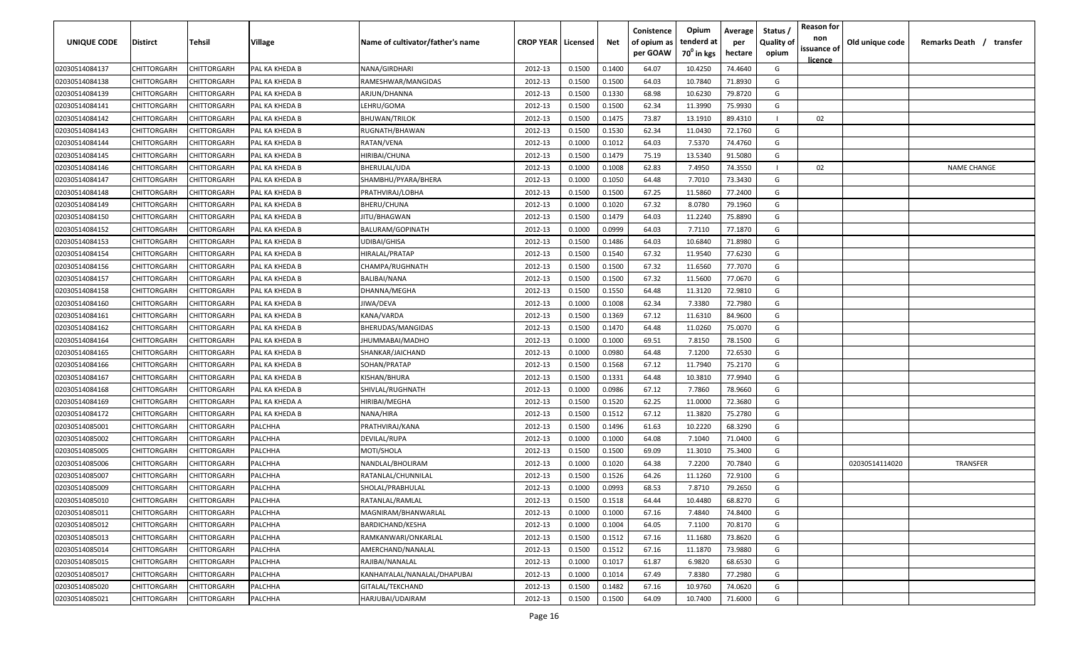| UNIQUE CODE    | Distirct           | Tehsil             | Village        | Name of cultivator/father's name | <b>CROP YEAR   Licensed</b> |        | Net    | Conistence<br>of opium as<br>per GOAW | Opium<br>tenderd at<br>70 <sup>0</sup> in kgs | Average<br>per<br>hectare | Status /<br><b>Quality of</b><br>opium | <b>Reason for</b><br>non<br>issuance of | Old unique code | Remarks Death / transfer |
|----------------|--------------------|--------------------|----------------|----------------------------------|-----------------------------|--------|--------|---------------------------------------|-----------------------------------------------|---------------------------|----------------------------------------|-----------------------------------------|-----------------|--------------------------|
| 02030514084137 | CHITTORGARH        | CHITTORGARH        | PAL KA KHEDA B | NANA/GIRDHARI                    | 2012-13                     | 0.1500 | 0.1400 | 64.07                                 | 10.4250                                       | 74.4640                   | G                                      | <u>licence</u>                          |                 |                          |
| 02030514084138 | CHITTORGARH        | CHITTORGARH        | PAL KA KHEDA B | RAMESHWAR/MANGIDAS               | 2012-13                     | 0.1500 | 0.1500 | 64.03                                 | 10.7840                                       | 71.8930                   | G                                      |                                         |                 |                          |
| 02030514084139 | CHITTORGARH        | CHITTORGARH        | PAL KA KHEDA B | ARJUN/DHANNA                     | 2012-13                     | 0.1500 | 0.1330 | 68.98                                 | 10.6230                                       | 79.8720                   | G                                      |                                         |                 |                          |
| 02030514084141 | CHITTORGARH        | CHITTORGARH        | PAL KA KHEDA B | LEHRU/GOMA                       | 2012-13                     | 0.1500 | 0.1500 | 62.34                                 | 11.3990                                       | 75.9930                   | G                                      |                                         |                 |                          |
| 02030514084142 | CHITTORGARH        | CHITTORGARH        | PAL KA KHEDA B | <b>BHUWAN/TRILOK</b>             | 2012-13                     | 0.1500 | 0.1475 | 73.87                                 | 13.1910                                       | 89.4310                   |                                        | 02                                      |                 |                          |
| 02030514084143 | CHITTORGARH        | CHITTORGARH        | PAL KA KHEDA B | RUGNATH/BHAWAN                   | 2012-13                     | 0.1500 | 0.1530 | 62.34                                 | 11.0430                                       | 72.1760                   | G                                      |                                         |                 |                          |
| 02030514084144 | CHITTORGARH        | CHITTORGARH        | PAL KA KHEDA B | RATAN/VENA                       | 2012-13                     | 0.1000 | 0.1012 | 64.03                                 | 7.5370                                        | 74.4760                   | G                                      |                                         |                 |                          |
| 02030514084145 | CHITTORGARH        | CHITTORGARH        | PAL KA KHEDA B | HIRIBAI/CHUNA                    | 2012-13                     | 0.1500 | 0.1479 | 75.19                                 | 13.5340                                       | 91.5080                   | G                                      |                                         |                 |                          |
| 02030514084146 | CHITTORGARH        | CHITTORGARH        | PAL KA KHEDA B | BHERULAL/UDA                     | 2012-13                     | 0.1000 | 0.1008 | 62.83                                 | 7.4950                                        | 74.3550                   |                                        | 02                                      |                 | <b>NAME CHANGE</b>       |
| 02030514084147 | CHITTORGARH        | CHITTORGARH        | PAL KA KHEDA B | SHAMBHU/PYARA/BHERA              | 2012-13                     | 0.1000 | 0.1050 | 64.48                                 | 7.7010                                        | 73.3430                   | G                                      |                                         |                 |                          |
| 02030514084148 | CHITTORGARH        | CHITTORGARH        | PAL KA KHEDA B | PRATHVIRAJ/LOBHA                 | 2012-13                     | 0.1500 | 0.1500 | 67.25                                 | 11.5860                                       | 77.2400                   | G                                      |                                         |                 |                          |
| 02030514084149 | CHITTORGARH        | CHITTORGARH        | PAL KA KHEDA B | BHERU/CHUNA                      | 2012-13                     | 0.1000 | 0.1020 | 67.32                                 | 8.0780                                        | 79.1960                   | G                                      |                                         |                 |                          |
| 02030514084150 | CHITTORGARH        | CHITTORGARH        | PAL KA KHEDA B | JITU/BHAGWAN                     | 2012-13                     | 0.1500 | 0.1479 | 64.03                                 | 11.2240                                       | 75.8890                   | G                                      |                                         |                 |                          |
| 02030514084152 | CHITTORGARH        | CHITTORGARH        | PAL KA KHEDA B | BALURAM/GOPINATH                 | 2012-13                     | 0.1000 | 0.0999 | 64.03                                 | 7.7110                                        | 77.1870                   | G                                      |                                         |                 |                          |
| 02030514084153 | CHITTORGARH        | CHITTORGARH        | PAL KA KHEDA B | UDIBAI/GHISA                     | 2012-13                     | 0.1500 | 0.1486 | 64.03                                 | 10.6840                                       | 71.8980                   | G                                      |                                         |                 |                          |
| 02030514084154 | CHITTORGARH        | CHITTORGARH        | PAL KA KHEDA B | HIRALAL/PRATAP                   | 2012-13                     | 0.1500 | 0.1540 | 67.32                                 | 11.9540                                       | 77.6230                   | G                                      |                                         |                 |                          |
| 02030514084156 | CHITTORGARH        | CHITTORGARH        | PAL KA KHEDA B | CHAMPA/RUGHNATH                  | 2012-13                     | 0.1500 | 0.1500 | 67.32                                 | 11.6560                                       | 77.7070                   | G                                      |                                         |                 |                          |
| 02030514084157 | CHITTORGARH        | CHITTORGARH        | PAL KA KHEDA B | <b>BALIBAI/NANA</b>              | 2012-13                     | 0.1500 | 0.1500 | 67.32                                 | 11.5600                                       | 77.0670                   | G                                      |                                         |                 |                          |
| 02030514084158 | CHITTORGARH        | CHITTORGARH        | PAL KA KHEDA B | DHANNA/MEGHA                     | 2012-13                     | 0.1500 | 0.1550 | 64.48                                 | 11.3120                                       | 72.9810                   | G                                      |                                         |                 |                          |
| 02030514084160 | CHITTORGARH        | CHITTORGARH        | PAL KA KHEDA B | JIWA/DEVA                        | 2012-13                     | 0.1000 | 0.1008 | 62.34                                 | 7.3380                                        | 72.7980                   | G                                      |                                         |                 |                          |
| 02030514084161 | CHITTORGARH        | CHITTORGARH        | PAL KA KHEDA B | KANA/VARDA                       | 2012-13                     | 0.1500 | 0.1369 | 67.12                                 | 11.6310                                       | 84.9600                   | G                                      |                                         |                 |                          |
| 02030514084162 | CHITTORGARH        | CHITTORGARH        | PAL KA KHEDA B | BHERUDAS/MANGIDAS                | 2012-13                     | 0.1500 | 0.1470 | 64.48                                 | 11.0260                                       | 75.0070                   | G                                      |                                         |                 |                          |
| 02030514084164 | CHITTORGARH        | CHITTORGARH        | PAL KA KHEDA B | IHUMMABAI/MADHO                  | 2012-13                     | 0.1000 | 0.1000 | 69.51                                 | 7.8150                                        | 78.1500                   | G                                      |                                         |                 |                          |
| 02030514084165 | CHITTORGARH        | CHITTORGARH        | PAL KA KHEDA B | SHANKAR/JAICHAND                 | 2012-13                     | 0.1000 | 0.0980 | 64.48                                 | 7.1200                                        | 72.6530                   | G                                      |                                         |                 |                          |
| 02030514084166 | CHITTORGARH        | CHITTORGARH        | PAL KA KHEDA B | SOHAN/PRATAP                     | 2012-13                     | 0.1500 | 0.1568 | 67.12                                 | 11.7940                                       | 75.2170                   | G                                      |                                         |                 |                          |
| 02030514084167 | CHITTORGARH        | CHITTORGARH        | PAL KA KHEDA B | KISHAN/BHURA                     | 2012-13                     | 0.1500 | 0.1331 | 64.48                                 | 10.3810                                       | 77.9940                   | G                                      |                                         |                 |                          |
| 02030514084168 | CHITTORGARH        | CHITTORGARH        | PAL KA KHEDA B | SHIVLAL/RUGHNATH                 | 2012-13                     | 0.1000 | 0.0986 | 67.12                                 | 7.7860                                        | 78.9660                   | G                                      |                                         |                 |                          |
| 02030514084169 | CHITTORGARH        | CHITTORGARH        | PAL KA KHEDA A | HIRIBAI/MEGHA                    | 2012-13                     | 0.1500 | 0.1520 | 62.25                                 | 11.0000                                       | 72.3680                   | G                                      |                                         |                 |                          |
| 02030514084172 | CHITTORGARH        | CHITTORGARH        | PAL KA KHEDA B | NANA/HIRA                        | 2012-13                     | 0.1500 | 0.1512 | 67.12                                 | 11.3820                                       | 75.2780                   | G                                      |                                         |                 |                          |
| 02030514085001 | CHITTORGARH        | CHITTORGARH        | PALCHHA        | PRATHVIRAJ/KANA                  | 2012-13                     | 0.1500 | 0.1496 | 61.63                                 | 10.2220                                       | 68.3290                   | G                                      |                                         |                 |                          |
| 02030514085002 | CHITTORGARH        | CHITTORGARH        | PALCHHA        | DEVILAL/RUPA                     | 2012-13                     | 0.1000 | 0.1000 | 64.08                                 | 7.1040                                        | 71.0400                   | G                                      |                                         |                 |                          |
| 02030514085005 | CHITTORGARH        | CHITTORGARH        | PALCHHA        | MOTI/SHOLA                       | 2012-13                     | 0.1500 | 0.1500 | 69.09                                 | 11.3010                                       | 75.3400                   | G                                      |                                         |                 |                          |
| 02030514085006 | CHITTORGARH        | CHITTORGARH        | PALCHHA        | NANDLAL/BHOLIRAM                 | 2012-13                     | 0.1000 | 0.1020 | 64.38                                 | 7.2200                                        | 70.7840                   | G                                      |                                         | 02030514114020  | <b>TRANSFER</b>          |
| 02030514085007 | CHITTORGARH        | CHITTORGARH        | PALCHHA        | RATANLAL/CHUNNILAL               | 2012-13                     | 0.1500 | 0.1526 | 64.26                                 | 11.1260                                       | 72.9100                   | G                                      |                                         |                 |                          |
| 02030514085009 | CHITTORGARH        | CHITTORGARH        | PALCHHA        | SHOLAL/PRABHULAL                 | 2012-13                     | 0.1000 | 0.0993 | 68.53                                 | 7.8710                                        | 79.2650                   | G                                      |                                         |                 |                          |
| 02030514085010 | <b>CHITTORGARH</b> | <b>CHITTORGARH</b> | PALCHHA        | RATANLAL/RAMLAL                  | 2012-13                     | 0.1500 | 0.1518 | 64.44                                 | 10.4480                                       | 68.8270                   | G                                      |                                         |                 |                          |
| 02030514085011 | CHITTORGARH        | CHITTORGARH        | PALCHHA        | MAGNIRAM/BHANWARLAL              | 2012-13                     | 0.1000 | 0.1000 | 67.16                                 | 7.4840                                        | 74.8400                   | G                                      |                                         |                 |                          |
| 02030514085012 | CHITTORGARH        | CHITTORGARH        | PALCHHA        | <b>BARDICHAND/KESHA</b>          | 2012-13                     | 0.1000 | 0.1004 | 64.05                                 | 7.1100                                        | 70.8170                   | G                                      |                                         |                 |                          |
| 02030514085013 | <b>CHITTORGARH</b> | CHITTORGARH        | PALCHHA        | RAMKANWARI/ONKARLAL              | 2012-13                     | 0.1500 | 0.1512 | 67.16                                 | 11.1680                                       | 73.8620                   | G                                      |                                         |                 |                          |
| 02030514085014 | CHITTORGARH        | CHITTORGARH        | PALCHHA        | AMERCHAND/NANALAL                | 2012-13                     | 0.1500 | 0.1512 | 67.16                                 | 11.1870                                       | 73.9880                   | G                                      |                                         |                 |                          |
| 02030514085015 | CHITTORGARH        | CHITTORGARH        | PALCHHA        | RAJIBAI/NANALAL                  | 2012-13                     | 0.1000 | 0.1017 | 61.87                                 | 6.9820                                        | 68.6530                   | G                                      |                                         |                 |                          |
| 02030514085017 | CHITTORGARH        | CHITTORGARH        | PALCHHA        | KANHAIYALAL/NANALAL/DHAPUBAI     | 2012-13                     | 0.1000 | 0.1014 | 67.49                                 | 7.8380                                        | 77.2980                   | G                                      |                                         |                 |                          |
| 02030514085020 | CHITTORGARH        | CHITTORGARH        | PALCHHA        | GITALAL/TEKCHAND                 | 2012-13                     | 0.1500 | 0.1482 | 67.16                                 | 10.9760                                       | 74.0620                   | G                                      |                                         |                 |                          |
| 02030514085021 | CHITTORGARH        | <b>CHITTORGARH</b> | PALCHHA        | HARJUBAI/UDAIRAM                 | 2012-13                     | 0.1500 | 0.1500 | 64.09                                 | 10.7400                                       | 71.6000                   | G                                      |                                         |                 |                          |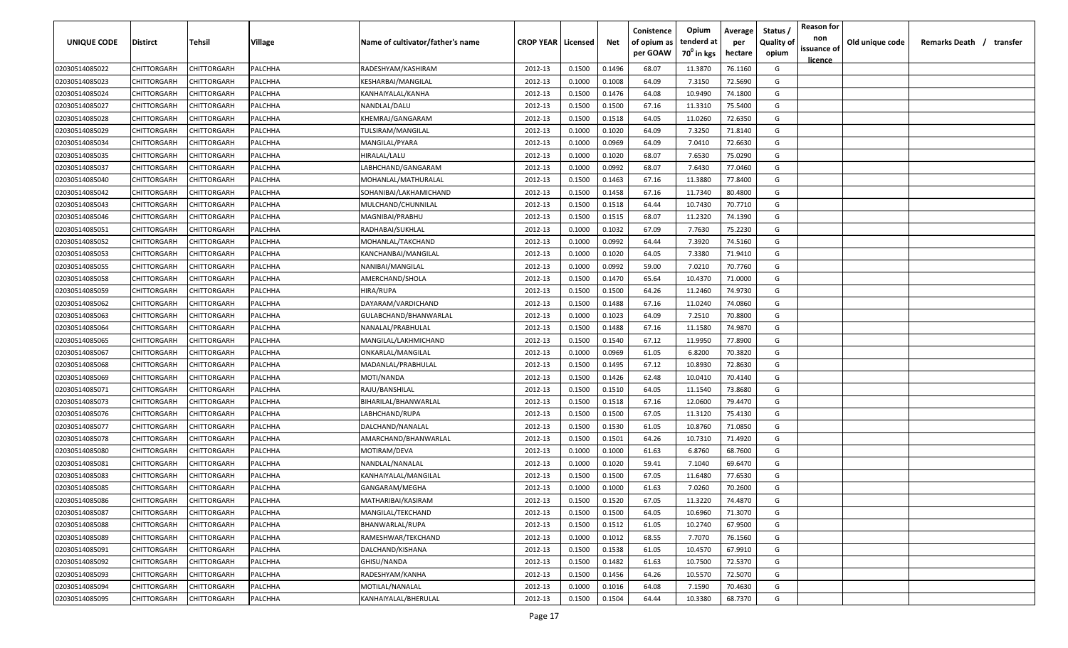| <b>UNIQUE CODE</b> | Distirct           | Tehsil             | Village | Name of cultivator/father's name | <b>CROP YEAR   Licensed</b> |        | Net    | Conistence<br>of opium as | Opium<br>tenderd at    | Average<br>per | Status /<br><b>Quality of</b> | <b>Reason for</b><br>non<br>issuance of | Old unique code | Remarks Death / transfer |
|--------------------|--------------------|--------------------|---------|----------------------------------|-----------------------------|--------|--------|---------------------------|------------------------|----------------|-------------------------------|-----------------------------------------|-----------------|--------------------------|
|                    |                    |                    |         |                                  |                             |        |        | per GOAW                  | 70 <sup>0</sup> in kgs | hectare        | opium                         | <u>licence</u>                          |                 |                          |
| 02030514085022     | CHITTORGARH        | CHITTORGARH        | PALCHHA | RADESHYAM/KASHIRAM               | 2012-13                     | 0.1500 | 0.1496 | 68.07                     | 11.3870                | 76.1160        | G                             |                                         |                 |                          |
| 02030514085023     | CHITTORGARH        | CHITTORGARH        | PALCHHA | KESHARBAI/MANGILAL               | 2012-13                     | 0.1000 | 0.1008 | 64.09                     | 7.3150                 | 72.5690        | G                             |                                         |                 |                          |
| 02030514085024     | CHITTORGARH        | CHITTORGARH        | PALCHHA | KANHAIYALAL/KANHA                | 2012-13                     | 0.1500 | 0.1476 | 64.08                     | 10.9490                | 74.1800        | G                             |                                         |                 |                          |
| 02030514085027     | CHITTORGARH        | CHITTORGARH        | PALCHHA | NANDLAL/DALU                     | 2012-13                     | 0.1500 | 0.1500 | 67.16                     | 11.3310                | 75.5400        | G                             |                                         |                 |                          |
| 02030514085028     | CHITTORGARH        | CHITTORGARH        | PALCHHA | KHEMRAJ/GANGARAM                 | 2012-13                     | 0.1500 | 0.1518 | 64.05                     | 11.0260                | 72.6350        | G                             |                                         |                 |                          |
| 02030514085029     | CHITTORGARH        | CHITTORGARH        | PALCHHA | TULSIRAM/MANGILAL                | 2012-13                     | 0.1000 | 0.1020 | 64.09                     | 7.3250                 | 71.8140        | G                             |                                         |                 |                          |
| 02030514085034     | CHITTORGARH        | CHITTORGARH        | PALCHHA | MANGILAL/PYARA                   | 2012-13                     | 0.1000 | 0.0969 | 64.09                     | 7.0410                 | 72.6630        | G                             |                                         |                 |                          |
| 02030514085035     | CHITTORGARH        | CHITTORGARH        | PALCHHA | HIRALAL/LALU                     | 2012-13                     | 0.1000 | 0.1020 | 68.07                     | 7.6530                 | 75.0290        | G                             |                                         |                 |                          |
| 02030514085037     | CHITTORGARH        | CHITTORGARH        | PALCHHA | LABHCHAND/GANGARAM               | 2012-13                     | 0.1000 | 0.0992 | 68.07                     | 7.6430                 | 77.0460        | G                             |                                         |                 |                          |
| 02030514085040     | CHITTORGARH        | CHITTORGARH        | PALCHHA | MOHANLAL/MATHURALAL              | 2012-13                     | 0.1500 | 0.1463 | 67.16                     | 11.3880                | 77.8400        | G                             |                                         |                 |                          |
| 02030514085042     | CHITTORGARH        | CHITTORGARH        | PALCHHA | SOHANIBAI/LAKHAMICHAND           | 2012-13                     | 0.1500 | 0.1458 | 67.16                     | 11.7340                | 80.4800        | G                             |                                         |                 |                          |
| 02030514085043     | CHITTORGARH        | CHITTORGARH        | PALCHHA | MULCHAND/CHUNNILAL               | 2012-13                     | 0.1500 | 0.1518 | 64.44                     | 10.7430                | 70.7710        | G                             |                                         |                 |                          |
| 02030514085046     | CHITTORGARH        | CHITTORGARH        | PALCHHA | MAGNIBAI/PRABHU                  | 2012-13                     | 0.1500 | 0.1515 | 68.07                     | 11.2320                | 74.1390        | G                             |                                         |                 |                          |
| 02030514085051     | CHITTORGARH        | CHITTORGARH        | PALCHHA | RADHABAI/SUKHLAL                 | 2012-13                     | 0.1000 | 0.1032 | 67.09                     | 7.7630                 | 75.2230        | G                             |                                         |                 |                          |
| 02030514085052     | CHITTORGARH        | CHITTORGARH        | PALCHHA | MOHANLAL/TAKCHAND                | 2012-13                     | 0.1000 | 0.0992 | 64.44                     | 7.3920                 | 74.5160        | G                             |                                         |                 |                          |
| 02030514085053     | CHITTORGARH        | CHITTORGARH        | PALCHHA | KANCHANBAI/MANGILAL              | 2012-13                     | 0.1000 | 0.1020 | 64.05                     | 7.3380                 | 71.9410        | G                             |                                         |                 |                          |
| 02030514085055     | CHITTORGARH        | CHITTORGARH        | PALCHHA | NANIBAI/MANGILAL                 | 2012-13                     | 0.1000 | 0.0992 | 59.00                     | 7.0210                 | 70.7760        | G                             |                                         |                 |                          |
| 02030514085058     | CHITTORGARH        | CHITTORGARH        | PALCHHA | AMERCHAND/SHOLA                  | 2012-13                     | 0.1500 | 0.1470 | 65.64                     | 10.4370                | 71.0000        | G                             |                                         |                 |                          |
| 02030514085059     | <b>CHITTORGARH</b> | CHITTORGARH        | PALCHHA | HIRA/RUPA                        | 2012-13                     | 0.1500 | 0.1500 | 64.26                     | 11.2460                | 74.9730        | G                             |                                         |                 |                          |
| 02030514085062     | CHITTORGARH        | CHITTORGARH        | PALCHHA | DAYARAM/VARDICHAND               | 2012-13                     | 0.1500 | 0.1488 | 67.16                     | 11.0240                | 74.0860        | G                             |                                         |                 |                          |
| 02030514085063     | CHITTORGARH        | CHITTORGARH        | PALCHHA | GULABCHAND/BHANWARLAL            | 2012-13                     | 0.1000 | 0.1023 | 64.09                     | 7.2510                 | 70.8800        | G                             |                                         |                 |                          |
| 02030514085064     | CHITTORGARH        | CHITTORGARH        | PALCHHA | NANALAL/PRABHULAL                | 2012-13                     | 0.1500 | 0.1488 | 67.16                     | 11.1580                | 74.9870        | G                             |                                         |                 |                          |
| 02030514085065     | CHITTORGARH        | CHITTORGARH        | PALCHHA | MANGILAL/LAKHMICHAND             | 2012-13                     | 0.1500 | 0.1540 | 67.12                     | 11.9950                | 77.8900        | G                             |                                         |                 |                          |
| 02030514085067     | CHITTORGARH        | CHITTORGARH        | PALCHHA | ONKARLAL/MANGILAL                | 2012-13                     | 0.1000 | 0.0969 | 61.05                     | 6.8200                 | 70.3820        | G                             |                                         |                 |                          |
| 02030514085068     | CHITTORGARH        | CHITTORGARH        | PALCHHA | MADANLAL/PRABHULAL               | 2012-13                     | 0.1500 | 0.1495 | 67.12                     | 10.8930                | 72.8630        | G                             |                                         |                 |                          |
| 02030514085069     | CHITTORGARH        | CHITTORGARH        | PALCHHA | MOTI/NANDA                       | 2012-13                     | 0.1500 | 0.1426 | 62.48                     | 10.0410                | 70.4140        | G                             |                                         |                 |                          |
| 02030514085071     | CHITTORGARH        | CHITTORGARH        | PALCHHA | RAJU/BANSHILAL                   | 2012-13                     | 0.1500 | 0.1510 | 64.05                     | 11.1540                | 73.8680        | G                             |                                         |                 |                          |
| 02030514085073     | CHITTORGARH        | CHITTORGARH        | PALCHHA | BIHARILAL/BHANWARLAL             | 2012-13                     | 0.1500 | 0.1518 | 67.16                     | 12.0600                | 79.4470        | G                             |                                         |                 |                          |
| 02030514085076     | CHITTORGARH        | CHITTORGARH        | PALCHHA | LABHCHAND/RUPA                   | 2012-13                     | 0.1500 | 0.1500 | 67.05                     | 11.3120                | 75.4130        | G                             |                                         |                 |                          |
| 02030514085077     | CHITTORGARH        | CHITTORGARH        | PALCHHA | DALCHAND/NANALAL                 | 2012-13                     | 0.1500 | 0.1530 | 61.05                     | 10.8760                | 71.0850        | G                             |                                         |                 |                          |
| 02030514085078     | CHITTORGARH        | CHITTORGARH        | PALCHHA | AMARCHAND/BHANWARLAL             | 2012-13                     | 0.1500 | 0.1501 | 64.26                     | 10.7310                | 71.4920        | G                             |                                         |                 |                          |
| 02030514085080     | CHITTORGARH        | CHITTORGARH        | PALCHHA | MOTIRAM/DEVA                     | 2012-13                     | 0.1000 | 0.1000 | 61.63                     | 6.8760                 | 68.7600        | G                             |                                         |                 |                          |
| 02030514085081     | CHITTORGARH        | CHITTORGARH        | PALCHHA | NANDLAL/NANALAL                  | 2012-13                     | 0.1000 | 0.1020 | 59.41                     | 7.1040                 | 69.6470        | G                             |                                         |                 |                          |
| 02030514085083     | CHITTORGARH        | CHITTORGARH        | PALCHHA | KANHAIYALAL/MANGILAL             | 2012-13                     | 0.1500 | 0.1500 | 67.05                     | 11.6480                | 77.6530        | G                             |                                         |                 |                          |
| 02030514085085     | CHITTORGARH        | CHITTORGARH        | PALCHHA | GANGARAM/MEGHA                   | 2012-13                     | 0.1000 | 0.1000 | 61.63                     | 7.0260                 | 70.2600        | G                             |                                         |                 |                          |
| 02030514085086     | <b>CHITTORGARH</b> | <b>CHITTORGARH</b> | PALCHHA | MATHARIBAI/KASIRAM               | 2012-13                     | 0.1500 | 0.1520 | 67.05                     | 11.3220                | 74.4870        | G                             |                                         |                 |                          |
| 02030514085087     | CHITTORGARH        | CHITTORGARH        | PALCHHA | MANGILAL/TEKCHAND                | 2012-13                     | 0.1500 | 0.1500 | 64.05                     | 10.6960                | 71.3070        | G                             |                                         |                 |                          |
| 02030514085088     | <b>CHITTORGARH</b> | CHITTORGARH        | PALCHHA | BHANWARLAL/RUPA                  | 2012-13                     | 0.1500 | 0.1512 | 61.05                     | 10.2740                | 67.9500        | G                             |                                         |                 |                          |
| 02030514085089     | <b>CHITTORGARH</b> | CHITTORGARH        | PALCHHA | RAMESHWAR/TEKCHAND               | 2012-13                     | 0.1000 | 0.1012 | 68.55                     | 7.7070                 | 76.1560        | G                             |                                         |                 |                          |
| 02030514085091     | CHITTORGARH        | CHITTORGARH        | PALCHHA | DALCHAND/KISHANA                 | 2012-13                     | 0.1500 | 0.1538 | 61.05                     | 10.4570                | 67.9910        | G                             |                                         |                 |                          |
| 02030514085092     | CHITTORGARH        | CHITTORGARH        | PALCHHA | GHISU/NANDA                      | 2012-13                     | 0.1500 | 0.1482 | 61.63                     | 10.7500                | 72.5370        | G                             |                                         |                 |                          |
| 02030514085093     | CHITTORGARH        | CHITTORGARH        | PALCHHA | RADESHYAM/KANHA                  | 2012-13                     | 0.1500 | 0.1456 | 64.26                     | 10.5570                | 72.5070        | G                             |                                         |                 |                          |
| 02030514085094     | CHITTORGARH        | CHITTORGARH        | PALCHHA | MOTILAL/NANALAL                  | 2012-13                     | 0.1000 | 0.1016 | 64.08                     | 7.1590                 | 70.4630        | G                             |                                         |                 |                          |
| 02030514085095     | CHITTORGARH        | <b>CHITTORGARH</b> | PALCHHA | KANHAIYALAL/BHERULAL             | 2012-13                     | 0.1500 | 0.1504 | 64.44                     | 10.3380                | 68.7370        | G                             |                                         |                 |                          |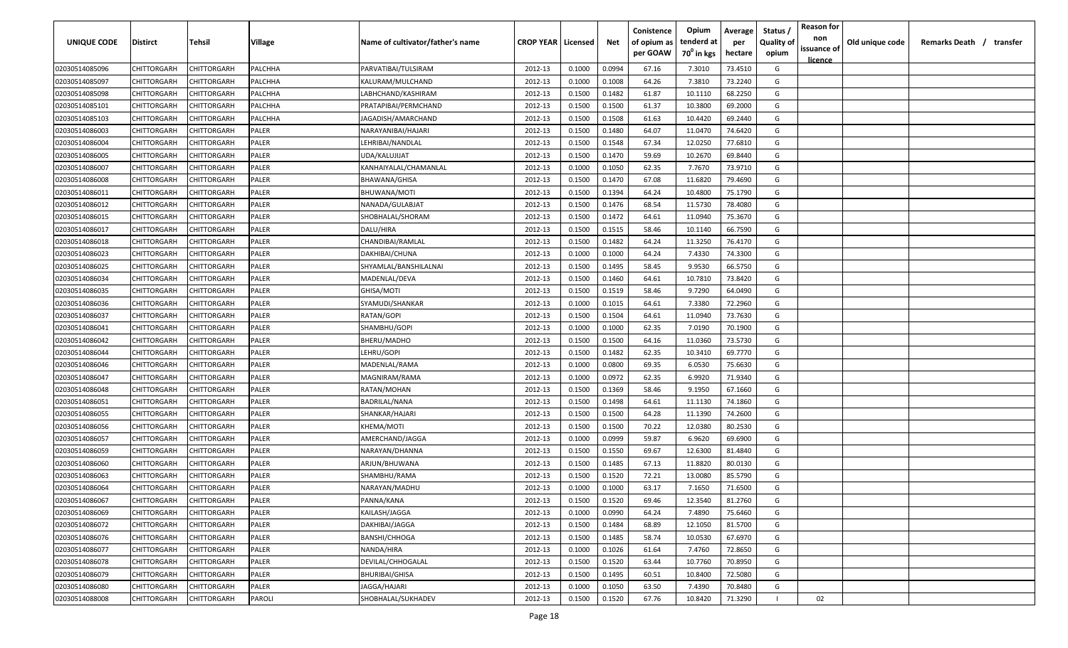| <b>UNIQUE CODE</b> | Distirct           | Tehsil             | Village      | Name of cultivator/father's name | <b>CROP YEAR   Licensed</b> |        | Net    | Conistence<br>of opium as | Opium<br>tenderd at    | Average<br>per | Status /<br><b>Quality of</b> | <b>Reason for</b><br>non      | Old unique code | Remarks Death /<br>transfer |
|--------------------|--------------------|--------------------|--------------|----------------------------------|-----------------------------|--------|--------|---------------------------|------------------------|----------------|-------------------------------|-------------------------------|-----------------|-----------------------------|
|                    |                    |                    |              |                                  |                             |        |        | per GOAW                  | 70 <sup>0</sup> in kgs | hectare        | opium                         | issuance of<br><u>licence</u> |                 |                             |
| 02030514085096     | CHITTORGARH        | CHITTORGARH        | PALCHHA      | PARVATIBAI/TULSIRAM              | 2012-13                     | 0.1000 | 0.0994 | 67.16                     | 7.3010                 | 73.4510        | G                             |                               |                 |                             |
| 02030514085097     | CHITTORGARH        | CHITTORGARH        | PALCHHA      | KALURAM/MULCHAND                 | 2012-13                     | 0.1000 | 0.1008 | 64.26                     | 7.3810                 | 73.2240        | G                             |                               |                 |                             |
| 02030514085098     | CHITTORGARH        | CHITTORGARH        | PALCHHA      | LABHCHAND/KASHIRAM               | 2012-13                     | 0.1500 | 0.1482 | 61.87                     | 10.1110                | 68.2250        | G                             |                               |                 |                             |
| 02030514085101     | CHITTORGARH        | CHITTORGARH        | PALCHHA      | PRATAPIBAI/PERMCHAND             | 2012-13                     | 0.1500 | 0.1500 | 61.37                     | 10.3800                | 69.2000        | G                             |                               |                 |                             |
| 02030514085103     | CHITTORGARH        | CHITTORGARH        | PALCHHA      | JAGADISH/AMARCHAND               | 2012-13                     | 0.1500 | 0.1508 | 61.63                     | 10.4420                | 69.2440        | G                             |                               |                 |                             |
| 02030514086003     | CHITTORGARH        | CHITTORGARH        | PALER        | NARAYANIBAI/HAJARI               | 2012-13                     | 0.1500 | 0.1480 | 64.07                     | 11.0470                | 74.6420        | G                             |                               |                 |                             |
| 02030514086004     | CHITTORGARH        | CHITTORGARH        | PALER        | LEHRIBAI/NANDLAL                 | 2012-13                     | 0.1500 | 0.1548 | 67.34                     | 12.0250                | 77.6810        | G                             |                               |                 |                             |
| 02030514086005     | CHITTORGARH        | CHITTORGARH        | PALER        | UDA/KALUJIJAT                    | 2012-13                     | 0.1500 | 0.1470 | 59.69                     | 10.2670                | 69.8440        | G                             |                               |                 |                             |
| 02030514086007     | CHITTORGARH        | CHITTORGARH        | PALER        | KANHAIYALAL/CHAMANLAL            | 2012-13                     | 0.1000 | 0.1050 | 62.35                     | 7.7670                 | 73.9710        | G                             |                               |                 |                             |
| 02030514086008     | CHITTORGARH        | CHITTORGARH        | PALER        | BHAWANA/GHISA                    | 2012-13                     | 0.1500 | 0.1470 | 67.08                     | 11.6820                | 79.4690        | G                             |                               |                 |                             |
| 02030514086011     | CHITTORGARH        | CHITTORGARH        | PALER        | BHUWANA/MOTI                     | 2012-13                     | 0.1500 | 0.1394 | 64.24                     | 10.4800                | 75.1790        | G                             |                               |                 |                             |
| 02030514086012     | CHITTORGARH        | CHITTORGARH        | PALER        | NANADA/GULABJAT                  | 2012-13                     | 0.1500 | 0.1476 | 68.54                     | 11.5730                | 78.4080        | G                             |                               |                 |                             |
| 02030514086015     | CHITTORGARH        | CHITTORGARH        | PALER        | SHOBHALAL/SHORAM                 | 2012-13                     | 0.1500 | 0.1472 | 64.61                     | 11.0940                | 75.3670        | G                             |                               |                 |                             |
| 02030514086017     | CHITTORGARH        | CHITTORGARH        | PALER        | DALU/HIRA                        | 2012-13                     | 0.1500 | 0.1515 | 58.46                     | 10.1140                | 66.7590        | G                             |                               |                 |                             |
| 02030514086018     | CHITTORGARH        | CHITTORGARH        | PALER        | CHANDIBAI/RAMLAL                 | 2012-13                     | 0.1500 | 0.1482 | 64.24                     | 11.3250                | 76.4170        | G                             |                               |                 |                             |
| 02030514086023     | CHITTORGARH        | CHITTORGARH        | PALER        | DAKHIBAI/CHUNA                   | 2012-13                     | 0.1000 | 0.1000 | 64.24                     | 7.4330                 | 74.3300        | G                             |                               |                 |                             |
| 02030514086025     | CHITTORGARH        | CHITTORGARH        | PALER        | SHYAMLAL/BANSHILALNAI            | 2012-13                     | 0.1500 | 0.1495 | 58.45                     | 9.9530                 | 66.5750        | G                             |                               |                 |                             |
| 02030514086034     | CHITTORGARH        | CHITTORGARH        | PALER        | MADENLAL/DEVA                    | 2012-13                     | 0.1500 | 0.1460 | 64.61                     | 10.7810                | 73.8420        | G                             |                               |                 |                             |
| 02030514086035     | CHITTORGARH        | CHITTORGARH        | PALER        | GHISA/MOTI                       | 2012-13                     | 0.1500 | 0.1519 | 58.46                     | 9.7290                 | 64.0490        | G                             |                               |                 |                             |
| 02030514086036     | CHITTORGARH        | CHITTORGARH        | PALER        | SYAMUDI/SHANKAR                  | 2012-13                     | 0.1000 | 0.1015 | 64.61                     | 7.3380                 | 72.2960        | G                             |                               |                 |                             |
| 02030514086037     | CHITTORGARH        | CHITTORGARH        | PALER        | RATAN/GOPI                       | 2012-13                     | 0.1500 | 0.1504 | 64.61                     | 11.0940                | 73.7630        | G                             |                               |                 |                             |
| 02030514086041     | CHITTORGARH        | CHITTORGARH        | PALER        | SHAMBHU/GOPI                     | 2012-13                     | 0.1000 | 0.1000 | 62.35                     | 7.0190                 | 70.1900        | G                             |                               |                 |                             |
| 02030514086042     | CHITTORGARH        | CHITTORGARH        | PALER        | BHERU/MADHO                      | 2012-13                     | 0.1500 | 0.1500 | 64.16                     | 11.0360                | 73.5730        | G                             |                               |                 |                             |
| 02030514086044     | CHITTORGARH        | CHITTORGARH        | PALER        | LEHRU/GOPI                       | 2012-13                     | 0.1500 | 0.1482 | 62.35                     | 10.3410                | 69.7770        | G                             |                               |                 |                             |
| 02030514086046     | CHITTORGARH        | CHITTORGARH        | PALER        | MADENLAL/RAMA                    | 2012-13                     | 0.1000 | 0.0800 | 69.35                     | 6.0530                 | 75.6630        | G                             |                               |                 |                             |
| 02030514086047     | CHITTORGARH        | CHITTORGARH        | PALER        | MAGNIRAM/RAMA                    | 2012-13                     | 0.1000 | 0.0972 | 62.35                     | 6.9920                 | 71.9340        | G                             |                               |                 |                             |
| 02030514086048     | CHITTORGARH        | CHITTORGARH        | PALER        | RATAN/MOHAN                      | 2012-13                     | 0.1500 | 0.1369 | 58.46                     | 9.1950                 | 67.1660        | G                             |                               |                 |                             |
| 02030514086051     | CHITTORGARH        | CHITTORGARH        | PALER        | BADRILAL/NANA                    | 2012-13                     | 0.1500 | 0.1498 | 64.61                     | 11.1130                | 74.1860        | G                             |                               |                 |                             |
| 02030514086055     | CHITTORGARH        | CHITTORGARH        | PALER        | SHANKAR/HAJARI                   | 2012-13                     | 0.1500 | 0.1500 | 64.28                     | 11.1390                | 74.2600        | G                             |                               |                 |                             |
| 02030514086056     | CHITTORGARH        | CHITTORGARH        | PALER        | KHEMA/MOTI                       | 2012-13                     | 0.1500 | 0.1500 | 70.22                     | 12.0380                | 80.2530        | G                             |                               |                 |                             |
| 02030514086057     | CHITTORGARH        | CHITTORGARH        | PALER        | AMERCHAND/JAGGA                  | 2012-13                     | 0.1000 | 0.0999 | 59.87                     | 6.9620                 | 69.6900        | G                             |                               |                 |                             |
| 02030514086059     | CHITTORGARH        | CHITTORGARH        | PALER        | NARAYAN/DHANNA                   | 2012-13                     | 0.1500 | 0.1550 | 69.67                     | 12.6300                | 81.4840        | G                             |                               |                 |                             |
| 02030514086060     | CHITTORGARH        | CHITTORGARH        | PALER        | ARJUN/BHUWANA                    | 2012-13                     | 0.1500 | 0.1485 | 67.13                     | 11.8820                | 80.0130        | G                             |                               |                 |                             |
| 02030514086063     | CHITTORGARH        | CHITTORGARH        | PALER        | SHAMBHU/RAMA                     | 2012-13                     | 0.1500 | 0.1520 | 72.21                     | 13.0080                | 85.5790        | G                             |                               |                 |                             |
| 02030514086064     | CHITTORGARH        | CHITTORGARH        | PALER        | NARAYAN/MADHU                    | 2012-13                     | 0.1000 | 0.1000 | 63.17                     | 7.1650                 | 71.6500        | G                             |                               |                 |                             |
| 02030514086067     | <b>CHITTORGARH</b> | <b>CHITTORGARH</b> | PALER        | PANNA/KANA                       | 2012-13                     | 0.1500 | 0.1520 | 69.46                     | 12.3540                | 81.2760        | G                             |                               |                 |                             |
| 02030514086069     | <b>CHITTORGARH</b> | CHITTORGARH        | PALER        | KAILASH/JAGGA                    | 2012-13                     | 0.1000 | 0.0990 | 64.24                     | 7.4890                 | 75.6460        | G                             |                               |                 |                             |
| 02030514086072     | <b>CHITTORGARH</b> | <b>CHITTORGARH</b> | <b>PALER</b> | DAKHIBAI/JAGGA                   | 2012-13                     | 0.1500 | 0.1484 | 68.89                     | 12.1050                | 81.5700        | G                             |                               |                 |                             |
| 02030514086076     | <b>CHITTORGARH</b> | CHITTORGARH        | PALER        | BANSHI/CHHOGA                    | 2012-13                     | 0.1500 | 0.1485 | 58.74                     | 10.0530                | 67.6970        | G                             |                               |                 |                             |
| 02030514086077     | CHITTORGARH        | CHITTORGARH        | PALER        | NANDA/HIRA                       | 2012-13                     | 0.1000 | 0.1026 | 61.64                     | 7.4760                 | 72.8650        | G                             |                               |                 |                             |
| 02030514086078     | CHITTORGARH        | CHITTORGARH        | PALER        | DEVILAL/CHHOGALAL                | 2012-13                     | 0.1500 | 0.1520 | 63.44                     | 10.7760                | 70.8950        | G                             |                               |                 |                             |
| 02030514086079     | CHITTORGARH        | CHITTORGARH        | PALER        | <b>BHURIBAI/GHISA</b>            | 2012-13                     | 0.1500 | 0.1495 | 60.51                     | 10.8400                | 72.5080        | G                             |                               |                 |                             |
| 02030514086080     | CHITTORGARH        | CHITTORGARH        | PALER        | JAGGA/HAJARI                     | 2012-13                     | 0.1000 | 0.1050 | 63.50                     | 7.4390                 | 70.8480        | G                             |                               |                 |                             |
| 02030514088008     | CHITTORGARH        | <b>CHITTORGARH</b> | PAROLI       | SHOBHALAL/SUKHADEV               | 2012-13                     | 0.1500 | 0.1520 | 67.76                     | 10.8420                | 71.3290        |                               | 02                            |                 |                             |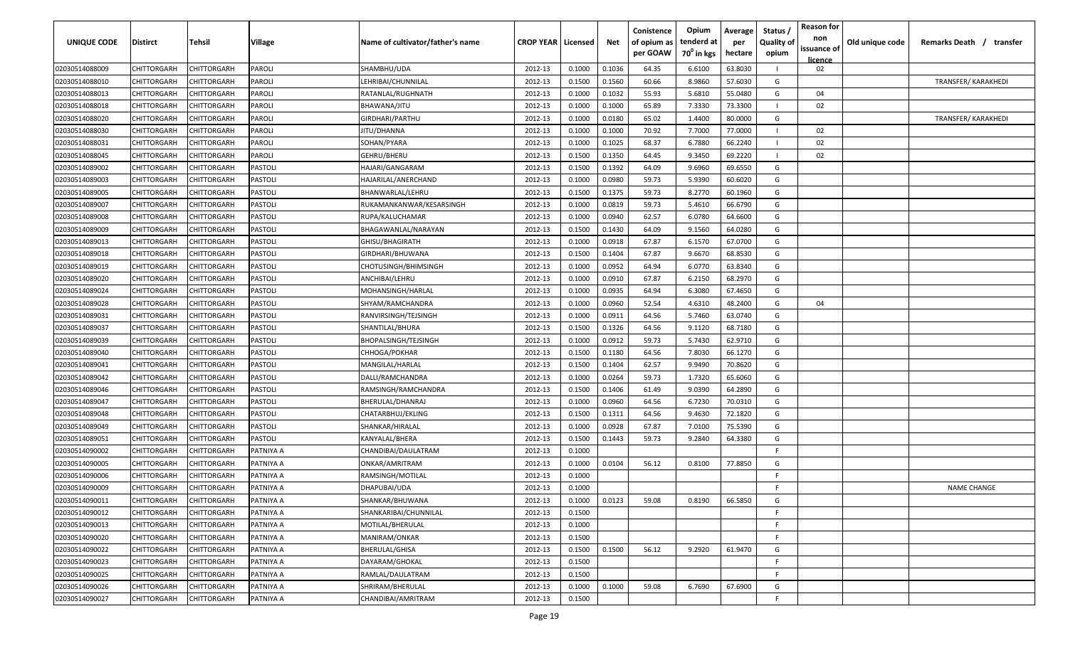| <b>UNIQUE CODE</b> | Distirct           | Tehsil             | Village   | Name of cultivator/father's name | <b>CROP YEAR   Licensed</b> |        | Net    | Conistence<br>of opium as | Opium<br>tenderd at    | Average<br>per | Status /<br><b>Quality of</b> | <b>Reason for</b><br>non | Old unique code | Remarks Death /<br>transfer |
|--------------------|--------------------|--------------------|-----------|----------------------------------|-----------------------------|--------|--------|---------------------------|------------------------|----------------|-------------------------------|--------------------------|-----------------|-----------------------------|
|                    |                    |                    |           |                                  |                             |        |        | per GOAW                  | 70 <sup>°</sup> in kgs | hectare        | opium                         | issuance of<br>licence   |                 |                             |
| 02030514088009     | CHITTORGARH        | CHITTORGARH        | PAROLI    | SHAMBHU/UDA                      | 2012-13                     | 0.1000 | 0.1036 | 64.35                     | 6.6100                 | 63.8030        |                               | 02                       |                 |                             |
| 02030514088010     | CHITTORGARH        | CHITTORGARH        | PAROLI    | LEHRIBAI/CHUNNILAL               | 2012-13                     | 0.1500 | 0.1560 | 60.66                     | 8.9860                 | 57.6030        | G                             |                          |                 | <b>TRANSFER/ KARAKHEDI</b>  |
| 02030514088013     | CHITTORGARH        | CHITTORGARH        | PAROLI    | RATANLAL/RUGHNATH                | 2012-13                     | 0.1000 | 0.1032 | 55.93                     | 5.6810                 | 55.0480        | G                             | 04                       |                 |                             |
| 02030514088018     | CHITTORGARH        | CHITTORGARH        | PAROLI    | BHAWANA/JITU                     | 2012-13                     | 0.1000 | 0.1000 | 65.89                     | 7.3330                 | 73.3300        |                               | 02                       |                 |                             |
| 02030514088020     | CHITTORGARH        | CHITTORGARH        | PAROLI    | GIRDHARI/PARTHU                  | 2012-13                     | 0.1000 | 0.0180 | 65.02                     | 1.4400                 | 80.0000        | G                             |                          |                 | <b>TRANSFER/ KARAKHEDI</b>  |
| 02030514088030     | CHITTORGARH        | CHITTORGARH        | PAROLI    | JITU/DHANNA                      | 2012-13                     | 0.1000 | 0.1000 | 70.92                     | 7.7000                 | 77.0000        |                               | 02                       |                 |                             |
| 02030514088031     | <b>CHITTORGARH</b> | CHITTORGARH        | PAROLI    | SOHAN/PYARA                      | 2012-13                     | 0.1000 | 0.1025 | 68.37                     | 6.7880                 | 66.2240        |                               | 02                       |                 |                             |
| 02030514088045     | CHITTORGARH        | CHITTORGARH        | PAROLI    | GEHRU/BHERU                      | 2012-13                     | 0.1500 | 0.1350 | 64.45                     | 9.3450                 | 69.2220        |                               | 02                       |                 |                             |
| 02030514089002     | CHITTORGARH        | CHITTORGARH        | PASTOLI   | HAJARI/GANGARAM                  | 2012-13                     | 0.1500 | 0.1392 | 64.09                     | 9.6960                 | 69.6550        | G                             |                          |                 |                             |
| 02030514089003     | CHITTORGARH        | CHITTORGARH        | PASTOLI   | HAJARILAL/ANERCHAND              | 2012-13                     | 0.1000 | 0.0980 | 59.73                     | 5.9390                 | 60.6020        | G                             |                          |                 |                             |
| 02030514089005     | CHITTORGARH        | CHITTORGARH        | PASTOLI   | BHANWARLAL/LEHRU                 | 2012-13                     | 0.1500 | 0.1375 | 59.73                     | 8.2770                 | 60.1960        | G                             |                          |                 |                             |
| 02030514089007     | CHITTORGARH        | CHITTORGARH        | PASTOLI   | RUKAMANKANWAR/KESARSINGH         | 2012-13                     | 0.1000 | 0.0819 | 59.73                     | 5.4610                 | 66.6790        | G                             |                          |                 |                             |
| 02030514089008     | CHITTORGARH        | CHITTORGARH        | PASTOLI   | RUPA/KALUCHAMAR                  | 2012-13                     | 0.1000 | 0.0940 | 62.57                     | 6.0780                 | 64.6600        | G                             |                          |                 |                             |
| 02030514089009     | CHITTORGARH        | CHITTORGARH        | PASTOLI   | BHAGAWANLAL/NARAYAN              | 2012-13                     | 0.1500 | 0.1430 | 64.09                     | 9.1560                 | 64.0280        | G                             |                          |                 |                             |
| 02030514089013     | CHITTORGARH        | CHITTORGARH        | PASTOLI   | GHISU/BHAGIRATH                  | 2012-13                     | 0.1000 | 0.0918 | 67.87                     | 6.1570                 | 67.0700        | G                             |                          |                 |                             |
| 02030514089018     | CHITTORGARH        | CHITTORGARH        | PASTOLI   | GIRDHARI/BHUWANA                 | 2012-13                     | 0.1500 | 0.1404 | 67.87                     | 9.6670                 | 68.8530        | G                             |                          |                 |                             |
| 02030514089019     | CHITTORGARH        | CHITTORGARH        | PASTOLI   | CHOTUSINGH/BHIMSINGH             | 2012-13                     | 0.1000 | 0.0952 | 64.94                     | 6.0770                 | 63.8340        | G                             |                          |                 |                             |
| 02030514089020     | CHITTORGARH        | CHITTORGARH        | PASTOLI   | ANCHIBAI/LEHRU                   | 2012-13                     | 0.1000 | 0.0910 | 67.87                     | 6.2150                 | 68.2970        | G                             |                          |                 |                             |
| 02030514089024     | CHITTORGARH        | CHITTORGARH        | PASTOLI   | MOHANSINGH/HARLAL                | 2012-13                     | 0.1000 | 0.0935 | 64.94                     | 6.3080                 | 67.4650        | G                             |                          |                 |                             |
| 02030514089028     | CHITTORGARH        | CHITTORGARH        | PASTOLI   | SHYAM/RAMCHANDRA                 | 2012-13                     | 0.1000 | 0.0960 | 52.54                     | 4.6310                 | 48.2400        | G                             | 04                       |                 |                             |
| 02030514089031     | CHITTORGARH        | CHITTORGARH        | PASTOLI   | RANVIRSINGH/TEJSINGH             | 2012-13                     | 0.1000 | 0.0911 | 64.56                     | 5.7460                 | 63.0740        | G                             |                          |                 |                             |
| 02030514089037     | CHITTORGARH        | CHITTORGARH        | PASTOLI   | SHANTILAL/BHURA                  | 2012-13                     | 0.1500 | 0.1326 | 64.56                     | 9.1120                 | 68.7180        | G                             |                          |                 |                             |
| 02030514089039     | CHITTORGARH        | CHITTORGARH        | PASTOLI   | BHOPALSINGH/TEJSINGH             | 2012-13                     | 0.1000 | 0.0912 | 59.73                     | 5.7430                 | 62.9710        | G                             |                          |                 |                             |
| 02030514089040     | CHITTORGARH        | CHITTORGARH        | PASTOLI   | CHHOGA/POKHAR                    | 2012-13                     | 0.1500 | 0.1180 | 64.56                     | 7.8030                 | 66.1270        | G                             |                          |                 |                             |
| 02030514089041     | CHITTORGARH        | CHITTORGARH        | PASTOLI   | MANGILAL/HARLAL                  | 2012-13                     | 0.1500 | 0.1404 | 62.57                     | 9.9490                 | 70.8620        | G                             |                          |                 |                             |
| 02030514089042     | CHITTORGARH        | CHITTORGARH        | PASTOLI   | DALLI/RAMCHANDRA                 | 2012-13                     | 0.1000 | 0.0264 | 59.73                     | 1.7320                 | 65.6060        | G                             |                          |                 |                             |
| 02030514089046     | CHITTORGARH        | CHITTORGARH        | PASTOLI   | RAMSINGH/RAMCHANDRA              | 2012-13                     | 0.1500 | 0.1406 | 61.49                     | 9.0390                 | 64.2890        | G                             |                          |                 |                             |
| 02030514089047     | CHITTORGARH        | CHITTORGARH        | PASTOLI   | BHERULAL/DHANRAJ                 | 2012-13                     | 0.1000 | 0.0960 | 64.56                     | 6.7230                 | 70.0310        | G                             |                          |                 |                             |
| 02030514089048     | CHITTORGARH        | CHITTORGARH        | PASTOLI   | CHATARBHUJ/EKLING                | 2012-13                     | 0.1500 | 0.1311 | 64.56                     | 9.4630                 | 72.1820        | G                             |                          |                 |                             |
| 02030514089049     | CHITTORGARH        | CHITTORGARH        | PASTOLI   | SHANKAR/HIRALAL                  | 2012-13                     | 0.1000 | 0.0928 | 67.87                     | 7.0100                 | 75.5390        | G                             |                          |                 |                             |
| 02030514089051     | CHITTORGARH        | CHITTORGARH        | PASTOLI   | KANYALAL/BHERA                   | 2012-13                     | 0.1500 | 0.1443 | 59.73                     | 9.2840                 | 64.3380        | G                             |                          |                 |                             |
| 02030514090002     | CHITTORGARH        | CHITTORGARF        | PATNIYA A | CHANDIBAI/DAULATRAM              | 2012-13                     | 0.1000 |        |                           |                        |                | -F.                           |                          |                 |                             |
| 02030514090005     | CHITTORGARH        | CHITTORGARH        | PATNIYA A | ONKAR/AMRITRAM                   | 2012-13                     | 0.1000 | 0.0104 | 56.12                     | 0.8100                 | 77.8850        | G                             |                          |                 |                             |
| 02030514090006     | CHITTORGARH        | CHITTORGARH        | PATNIYA A | RAMSINGH/MOTILAL                 | 2012-13                     | 0.1000 |        |                           |                        |                | -F.                           |                          |                 |                             |
| 02030514090009     | CHITTORGARH        | CHITTORGARH        | PATNIYA A | DHAPUBAI/UDA                     | 2012-13                     | 0.1000 |        |                           |                        |                | E                             |                          |                 | <b>NAME CHANGE</b>          |
| 02030514090011     | <b>CHITTORGARH</b> | <b>CHITTORGARH</b> | PATNIYA A | SHANKAR/BHUWANA                  | 2012-13                     | 0.1000 | 0.0123 | 59.08                     | 0.8190                 | 66.5850        | G                             |                          |                 |                             |
| 02030514090012     | <b>CHITTORGARH</b> | CHITTORGARH        | PATNIYA A | SHANKARIBAI/CHUNNILAL            | 2012-13                     | 0.1500 |        |                           |                        |                | F.                            |                          |                 |                             |
| 02030514090013     | CHITTORGARH        | CHITTORGARH        | PATNIYA A | MOTILAL/BHERULAL                 | 2012-13                     | 0.1000 |        |                           |                        |                | F.                            |                          |                 |                             |
| 02030514090020     | <b>CHITTORGARH</b> | CHITTORGARH        | PATNIYA A | MANIRAM/ONKAR                    | 2012-13                     | 0.1500 |        |                           |                        |                | F.                            |                          |                 |                             |
| 02030514090022     | CHITTORGARH        | CHITTORGARH        | PATNIYA A | BHERULAL/GHISA                   | 2012-13                     | 0.1500 | 0.1500 | 56.12                     | 9.2920                 | 61.9470        | G                             |                          |                 |                             |
| 02030514090023     | CHITTORGARH        | CHITTORGARH        | PATNIYA A | DAYARAM/GHOKAL                   | 2012-13                     | 0.1500 |        |                           |                        |                | F.                            |                          |                 |                             |
| 02030514090025     | CHITTORGARH        | CHITTORGARH        | PATNIYA A | RAMLAL/DAULATRAM                 | 2012-13                     | 0.1500 |        |                           |                        |                | F.                            |                          |                 |                             |
| 02030514090026     | CHITTORGARH        | CHITTORGARH        | PATNIYA A | SHRIRAM/BHERULAL                 | 2012-13                     | 0.1000 | 0.1000 | 59.08                     | 6.7690                 | 67.6900        | G                             |                          |                 |                             |
| 02030514090027     | <b>CHITTORGARH</b> | CHITTORGARH        | PATNIYA A | CHANDIBAI/AMRITRAM               | 2012-13                     | 0.1500 |        |                           |                        |                | F.                            |                          |                 |                             |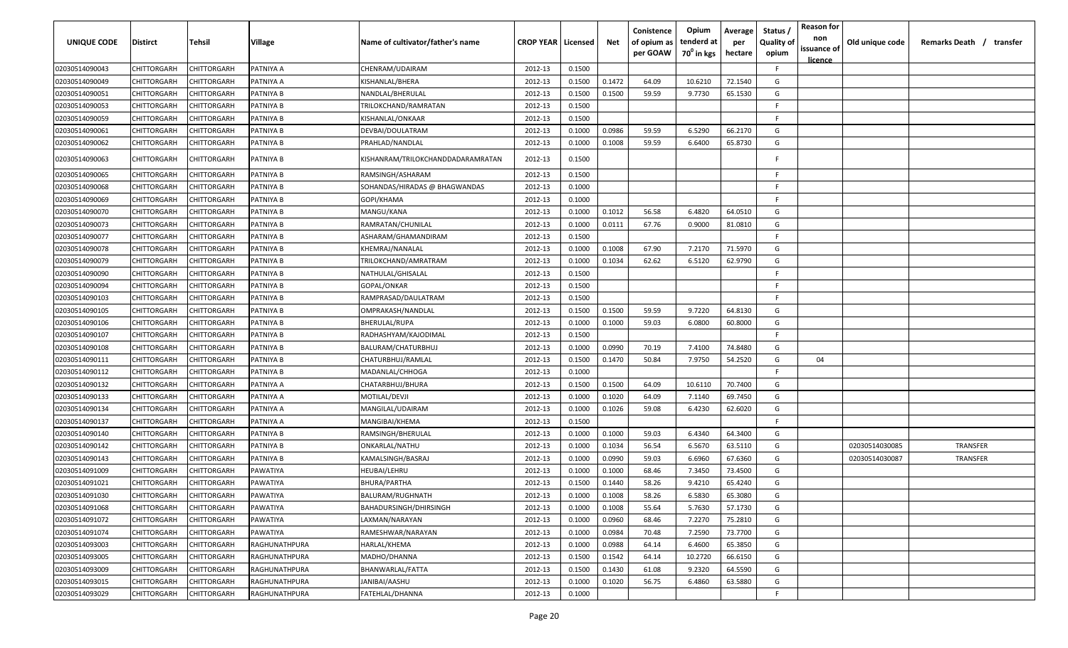| <b>UNIQUE CODE</b> | Distirct           | Tehsil             | Village       | Name of cultivator/father's name  | <b>CROP YEAR Licensed</b> |        | Net    | Conistence<br>of opium as<br>per GOAW | Opium<br>tenderd at<br>70 <sup>0</sup> in kgs | Average<br>per<br>hectare | Status /<br><b>Quality of</b><br>opium | <b>Reason for</b><br>non<br>issuance of<br><u>licence</u> | Old unique code | Remarks Death / transfer |
|--------------------|--------------------|--------------------|---------------|-----------------------------------|---------------------------|--------|--------|---------------------------------------|-----------------------------------------------|---------------------------|----------------------------------------|-----------------------------------------------------------|-----------------|--------------------------|
| 02030514090043     | CHITTORGARH        | CHITTORGARH        | PATNIYA A     | CHENRAM/UDAIRAM                   | 2012-13                   | 0.1500 |        |                                       |                                               |                           | F.                                     |                                                           |                 |                          |
| 02030514090049     | CHITTORGARH        | CHITTORGARH        | PATNIYA A     | KISHANLAL/BHERA                   | 2012-13                   | 0.1500 | 0.1472 | 64.09                                 | 10.6210                                       | 72.1540                   | G                                      |                                                           |                 |                          |
| 02030514090051     | CHITTORGARH        | CHITTORGARH        | PATNIYA B     | NANDLAL/BHERULAL                  | 2012-13                   | 0.1500 | 0.1500 | 59.59                                 | 9.7730                                        | 65.1530                   | G                                      |                                                           |                 |                          |
| 02030514090053     | CHITTORGARH        | CHITTORGARH        | PATNIYA B     | TRILOKCHAND/RAMRATAN              | 2012-13                   | 0.1500 |        |                                       |                                               |                           | -F.                                    |                                                           |                 |                          |
| 02030514090059     | CHITTORGARH        | CHITTORGARH        | PATNIYA B     | KISHANLAL/ONKAAR                  | 2012-13                   | 0.1500 |        |                                       |                                               |                           | -F.                                    |                                                           |                 |                          |
| 02030514090061     | CHITTORGARH        | CHITTORGARH        | PATNIYA B     | DEVBAI/DOULATRAM                  | 2012-13                   | 0.1000 | 0.0986 | 59.59                                 | 6.5290                                        | 66.2170                   | G                                      |                                                           |                 |                          |
| 02030514090062     | CHITTORGARH        | CHITTORGARH        | PATNIYA B     | PRAHLAD/NANDLAL                   | 2012-13                   | 0.1000 | 0.1008 | 59.59                                 | 6.6400                                        | 65.8730                   | G                                      |                                                           |                 |                          |
| 02030514090063     | CHITTORGARH        | CHITTORGARH        | PATNIYA B     | KISHANRAM/TRILOKCHANDDADARAMRATAN | 2012-13                   | 0.1500 |        |                                       |                                               |                           | E                                      |                                                           |                 |                          |
| 02030514090065     | CHITTORGARH        | CHITTORGARH        | PATNIYA B     | RAMSINGH/ASHARAM                  | 2012-13                   | 0.1500 |        |                                       |                                               |                           | -F.                                    |                                                           |                 |                          |
| 02030514090068     | CHITTORGARH        | CHITTORGARH        | PATNIYA B     | SOHANDAS/HIRADAS @ BHAGWANDAS     | 2012-13                   | 0.1000 |        |                                       |                                               |                           | -F                                     |                                                           |                 |                          |
| 02030514090069     | CHITTORGARH        | CHITTORGARH        | PATNIYA B     | GOPI/KHAMA                        | 2012-13                   | 0.1000 |        |                                       |                                               |                           | -F.                                    |                                                           |                 |                          |
| 02030514090070     | CHITTORGARH        | CHITTORGARH        | PATNIYA B     | MANGU/KANA                        | 2012-13                   | 0.1000 | 0.1012 | 56.58                                 | 6.4820                                        | 64.0510                   | G                                      |                                                           |                 |                          |
| 02030514090073     | CHITTORGARH        | CHITTORGARH        | PATNIYA B     | RAMRATAN/CHUNILAL                 | 2012-13                   | 0.1000 | 0.0111 | 67.76                                 | 0.9000                                        | 81.0810                   | G                                      |                                                           |                 |                          |
| 02030514090077     | CHITTORGARH        | CHITTORGARH        | PATNIYA B     | ASHARAM/GHAMANDIRAM               | 2012-13                   | 0.1500 |        |                                       |                                               |                           | F                                      |                                                           |                 |                          |
| 02030514090078     | CHITTORGARH        | CHITTORGARH        | PATNIYA B     | KHEMRAJ/NANALAL                   | 2012-13                   | 0.1000 | 0.1008 | 67.90                                 | 7.2170                                        | 71.5970                   | G                                      |                                                           |                 |                          |
| 02030514090079     | CHITTORGARH        | CHITTORGARH        | PATNIYA B     | TRILOKCHAND/AMRATRAM              | 2012-13                   | 0.1000 | 0.1034 | 62.62                                 | 6.5120                                        | 62.9790                   | G                                      |                                                           |                 |                          |
| 02030514090090     | CHITTORGARH        | CHITTORGARH        | PATNIYA B     | NATHULAL/GHISALAL                 | 2012-13                   | 0.1500 |        |                                       |                                               |                           | E                                      |                                                           |                 |                          |
| 02030514090094     | CHITTORGARH        | CHITTORGARH        | PATNIYA B     | GOPAL/ONKAR                       | 2012-13                   | 0.1500 |        |                                       |                                               |                           | E                                      |                                                           |                 |                          |
| 02030514090103     | CHITTORGARH        | CHITTORGARH        | PATNIYA B     | RAMPRASAD/DAULATRAM               | 2012-13                   | 0.1500 |        |                                       |                                               |                           | -F                                     |                                                           |                 |                          |
| 02030514090105     | CHITTORGARH        | CHITTORGARH        | PATNIYA B     | OMPRAKASH/NANDLAL                 | 2012-13                   | 0.1500 | 0.1500 | 59.59                                 | 9.7220                                        | 64.8130                   | G                                      |                                                           |                 |                          |
| 02030514090106     | CHITTORGARH        | CHITTORGARH        | PATNIYA B     | <b>BHERULAL/RUPA</b>              | 2012-13                   | 0.1000 | 0.1000 | 59.03                                 | 6.0800                                        | 60.8000                   | G                                      |                                                           |                 |                          |
| 02030514090107     | CHITTORGARH        | CHITTORGARH        | PATNIYA B     | RADHASHYAM/KAJODIMAL              | 2012-13                   | 0.1500 |        |                                       |                                               |                           | -F.                                    |                                                           |                 |                          |
| 02030514090108     | CHITTORGARH        | CHITTORGARH        | PATNIYA B     | BALURAM/CHATURBHUJ                | 2012-13                   | 0.1000 | 0.0990 | 70.19                                 | 7.4100                                        | 74.8480                   | G                                      |                                                           |                 |                          |
| 02030514090111     | CHITTORGARH        | CHITTORGARH        | PATNIYA B     | CHATURBHUJ/RAMLAL                 | 2012-13                   | 0.1500 | 0.1470 | 50.84                                 | 7.9750                                        | 54.2520                   | G                                      | 04                                                        |                 |                          |
| 02030514090112     | CHITTORGARH        | CHITTORGARH        | PATNIYA B     | MADANLAL/CHHOGA                   | 2012-13                   | 0.1000 |        |                                       |                                               |                           | -F                                     |                                                           |                 |                          |
| 02030514090132     | CHITTORGARH        | CHITTORGARH        | PATNIYA A     | CHATARBHUJ/BHURA                  | 2012-13                   | 0.1500 | 0.1500 | 64.09                                 | 10.6110                                       | 70.7400                   | G                                      |                                                           |                 |                          |
| 02030514090133     | CHITTORGARH        | CHITTORGARH        | PATNIYA A     | MOTILAL/DEVJI                     | 2012-13                   | 0.1000 | 0.1020 | 64.09                                 | 7.1140                                        | 69.7450                   | G                                      |                                                           |                 |                          |
| 02030514090134     | CHITTORGARH        | CHITTORGARH        | PATNIYA A     | MANGILAL/UDAIRAM                  | 2012-13                   | 0.1000 | 0.1026 | 59.08                                 | 6.4230                                        | 62.6020                   | G                                      |                                                           |                 |                          |
| 02030514090137     | CHITTORGARH        | CHITTORGARH        | PATNIYA A     | MANGIBAI/KHEMA                    | 2012-13                   | 0.1500 |        |                                       |                                               |                           | F.                                     |                                                           |                 |                          |
| 02030514090140     | CHITTORGARH        | CHITTORGARH        | PATNIYA B     | RAMSINGH/BHERULAL                 | 2012-13                   | 0.1000 | 0.1000 | 59.03                                 | 6.4340                                        | 64.3400                   | G                                      |                                                           |                 |                          |
| 02030514090142     | CHITTORGARH        | CHITTORGARH        | PATNIYA B     | ONKARLAL/NATHU                    | 2012-13                   | 0.1000 | 0.1034 | 56.54                                 | 6.5670                                        | 63.5110                   | G                                      |                                                           | 02030514030085  | TRANSFER                 |
| 02030514090143     | CHITTORGARH        | CHITTORGARH        | PATNIYA B     | KAMALSINGH/BASRAJ                 | 2012-13                   | 0.1000 | 0.0990 | 59.03                                 | 6.6960                                        | 67.6360                   | G                                      |                                                           | 02030514030087  | TRANSFER                 |
| 02030514091009     | CHITTORGARH        | CHITTORGARH        | PAWATIYA      | HEUBAI/LEHRU                      | 2012-13                   | 0.1000 | 0.1000 | 68.46                                 | 7.3450                                        | 73.4500                   | G                                      |                                                           |                 |                          |
| 02030514091021     | CHITTORGARH        | CHITTORGARH        | PAWATIYA      | BHURA/PARTHA                      | 2012-13                   | 0.1500 | 0.1440 | 58.26                                 | 9.4210                                        | 65.4240                   | G                                      |                                                           |                 |                          |
| 02030514091030     | CHITTORGARH        | <b>CHITTORGARH</b> | PAWATIYA      | BALURAM/RUGHNATH                  | 2012-13                   | 0.1000 | 0.1008 | 58.26                                 | 6.5830                                        | 65.3080                   | G                                      |                                                           |                 |                          |
| 02030514091068     | <b>CHITTORGARH</b> | <b>CHITTORGARH</b> | PAWATIYA      | <b>BAHADURSINGH/DHIRSINGH</b>     | 2012-13                   | 0.1000 | 0.1008 | 55.64                                 | 5.7630                                        | 57.1730                   | G                                      |                                                           |                 |                          |
| 02030514091072     | <b>CHITTORGARH</b> | CHITTORGARH        | PAWATIYA      | LAXMAN/NARAYAN                    | 2012-13                   | 0.1000 | 0.0960 | 68.46                                 | 7.2270                                        | 75.2810                   | G                                      |                                                           |                 |                          |
| 02030514091074     | <b>CHITTORGARH</b> | CHITTORGARH        | PAWATIYA      | RAMESHWAR/NARAYAN                 | 2012-13                   | 0.1000 | 0.0984 | 70.48                                 | 7.2590                                        | 73.7700                   | G                                      |                                                           |                 |                          |
| 02030514093003     | CHITTORGARH        | CHITTORGARH        | RAGHUNATHPURA | HARLAL/KHEMA                      | 2012-13                   | 0.1000 | 0.0988 | 64.14                                 | 6.4600                                        | 65.3850                   | G                                      |                                                           |                 |                          |
| 02030514093005     | CHITTORGARH        | CHITTORGARH        | RAGHUNATHPURA | MADHO/DHANNA                      | 2012-13                   | 0.1500 | 0.1542 | 64.14                                 | 10.2720                                       | 66.6150                   | G                                      |                                                           |                 |                          |
| 02030514093009     | CHITTORGARH        | CHITTORGARH        | RAGHUNATHPURA | BHANWARLAL/FATTA                  | 2012-13                   | 0.1500 | 0.1430 | 61.08                                 | 9.2320                                        | 64.5590                   | G                                      |                                                           |                 |                          |
| 02030514093015     | CHITTORGARH        | CHITTORGARH        | RAGHUNATHPURA | JANIBAI/AASHU                     | 2012-13                   | 0.1000 | 0.1020 | 56.75                                 | 6.4860                                        | 63.5880                   | G                                      |                                                           |                 |                          |
| 02030514093029     | CHITTORGARH        | CHITTORGARH        | RAGHUNATHPURA | FATEHLAL/DHANNA                   | 2012-13                   | 0.1000 |        |                                       |                                               |                           | -F                                     |                                                           |                 |                          |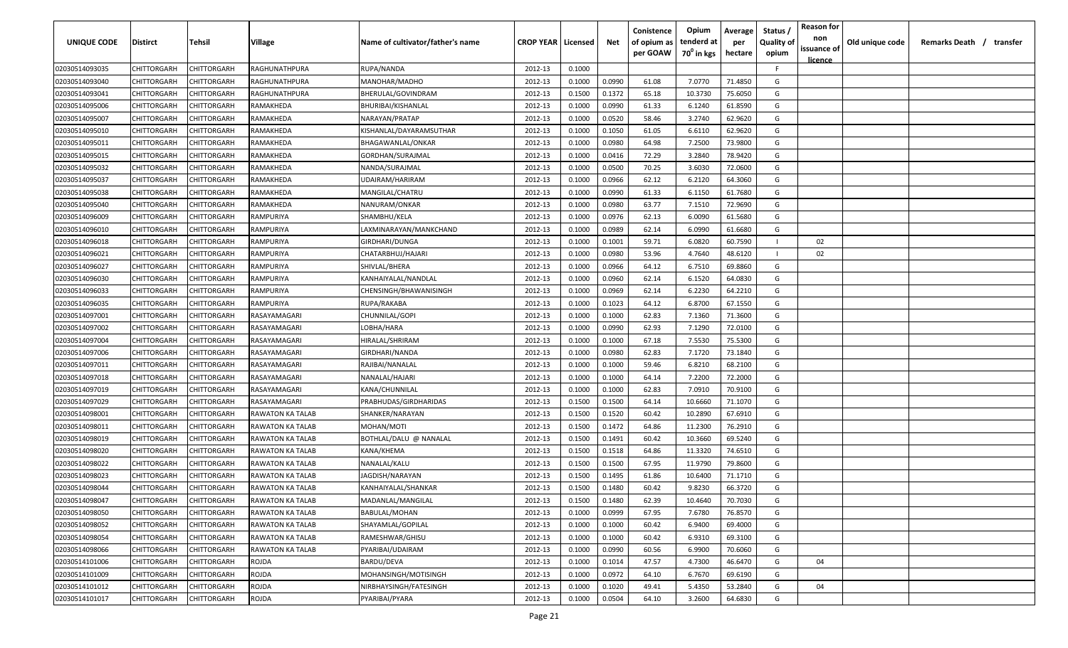| UNIQUE CODE    | Distirct           | Tehsil             | Village                 | Name of cultivator/father's name | <b>CROP YEAR   Licensed</b> |        | Net    | Conistence<br>of opium as | Opium<br>tenderd at    | Average<br>per | Status /<br><b>Quality of</b> | <b>Reason for</b><br>non | Old unique code | Remarks Death / transfer |
|----------------|--------------------|--------------------|-------------------------|----------------------------------|-----------------------------|--------|--------|---------------------------|------------------------|----------------|-------------------------------|--------------------------|-----------------|--------------------------|
|                |                    |                    |                         |                                  |                             |        |        | per GOAW                  | 70 <sup>0</sup> in kgs | hectare        | opium                         | issuance of              |                 |                          |
| 02030514093035 | CHITTORGARH        | CHITTORGARH        | RAGHUNATHPURA           | RUPA/NANDA                       | 2012-13                     | 0.1000 |        |                           |                        |                | F.                            | <u>licence</u>           |                 |                          |
| 02030514093040 | CHITTORGARH        | CHITTORGARH        | RAGHUNATHPURA           | MANOHAR/MADHO                    | 2012-13                     | 0.1000 | 0.0990 | 61.08                     | 7.0770                 | 71.4850        | G                             |                          |                 |                          |
| 02030514093041 | CHITTORGARH        | CHITTORGARH        | RAGHUNATHPURA           | BHERULAL/GOVINDRAM               | 2012-13                     | 0.1500 | 0.1372 | 65.18                     | 10.3730                | 75.6050        | G                             |                          |                 |                          |
| 02030514095006 | CHITTORGARH        | CHITTORGARH        | RAMAKHEDA               | BHURIBAI/KISHANLAL               | 2012-13                     | 0.1000 | 0.0990 | 61.33                     | 6.1240                 | 61.8590        | G                             |                          |                 |                          |
| 02030514095007 | CHITTORGARH        | CHITTORGARH        | RAMAKHEDA               | NARAYAN/PRATAP                   | 2012-13                     | 0.1000 | 0.0520 | 58.46                     | 3.2740                 | 62.9620        | G                             |                          |                 |                          |
| 02030514095010 | CHITTORGARH        | CHITTORGARH        | RAMAKHEDA               | KISHANLAL/DAYARAMSUTHAR          | 2012-13                     | 0.1000 | 0.1050 | 61.05                     | 6.6110                 | 62.9620        | G                             |                          |                 |                          |
| 02030514095011 | CHITTORGARH        | CHITTORGARH        | RAMAKHEDA               | BHAGAWANLAL/ONKAR                | 2012-13                     | 0.1000 | 0.0980 | 64.98                     | 7.2500                 | 73.9800        | G                             |                          |                 |                          |
| 02030514095015 | CHITTORGARH        | CHITTORGARH        | RAMAKHEDA               | GORDHAN/SURAJMAL                 | 2012-13                     | 0.1000 | 0.0416 | 72.29                     | 3.2840                 | 78.9420        | G                             |                          |                 |                          |
| 02030514095032 | CHITTORGARH        | CHITTORGARH        | RAMAKHEDA               | NANDA/SURAJMAL                   | 2012-13                     | 0.1000 | 0.0500 | 70.25                     | 3.6030                 | 72.0600        | G                             |                          |                 |                          |
| 02030514095037 | CHITTORGARH        | CHITTORGARH        | RAMAKHEDA               | UDAIRAM/HARIRAM                  | 2012-13                     | 0.1000 | 0.0966 | 62.12                     | 6.2120                 | 64.3060        | G                             |                          |                 |                          |
| 02030514095038 | CHITTORGARH        | CHITTORGARH        | RAMAKHEDA               | MANGILAL/CHATRU                  | 2012-13                     | 0.1000 | 0.0990 | 61.33                     | 6.1150                 | 61.7680        | G                             |                          |                 |                          |
| 02030514095040 | CHITTORGARH        | CHITTORGARH        | RAMAKHEDA               | NANURAM/ONKAR                    | 2012-13                     | 0.1000 | 0.0980 | 63.77                     | 7.1510                 | 72.9690        | G                             |                          |                 |                          |
| 02030514096009 | CHITTORGARH        | CHITTORGARH        | RAMPURIYA               | SHAMBHU/KELA                     | 2012-13                     | 0.1000 | 0.0976 | 62.13                     | 6.0090                 | 61.5680        | G                             |                          |                 |                          |
| 02030514096010 | CHITTORGARH        | CHITTORGARH        | RAMPURIYA               | LAXMINARAYAN/MANKCHAND           | 2012-13                     | 0.1000 | 0.0989 | 62.14                     | 6.0990                 | 61.6680        | G                             |                          |                 |                          |
| 02030514096018 | CHITTORGARH        | CHITTORGARH        | RAMPURIYA               | GIRDHARI/DUNGA                   | 2012-13                     | 0.1000 | 0.1001 | 59.71                     | 6.0820                 | 60.7590        |                               | 02                       |                 |                          |
| 02030514096021 | CHITTORGARH        | CHITTORGARH        | RAMPURIYA               | CHATARBHUJ/HAJARI                | 2012-13                     | 0.1000 | 0.0980 | 53.96                     | 4.7640                 | 48.6120        |                               | 02                       |                 |                          |
| 02030514096027 | CHITTORGARH        | CHITTORGARH        | RAMPURIYA               | SHIVLAL/BHERA                    | 2012-13                     | 0.1000 | 0.0966 | 64.12                     | 6.7510                 | 69.8860        | G                             |                          |                 |                          |
| 02030514096030 | CHITTORGARH        | CHITTORGARH        | RAMPURIYA               | KANHAIYALAL/NANDLAL              | 2012-13                     | 0.1000 | 0.0960 | 62.14                     | 6.1520                 | 64.0830        | G                             |                          |                 |                          |
| 02030514096033 | CHITTORGARH        | CHITTORGARH        | RAMPURIYA               | CHENSINGH/BHAWANISINGH           | 2012-13                     | 0.1000 | 0.0969 | 62.14                     | 6.2230                 | 64.2210        | G                             |                          |                 |                          |
| 02030514096035 | CHITTORGARH        | CHITTORGARH        | RAMPURIYA               | RUPA/RAKABA                      | 2012-13                     | 0.1000 | 0.1023 | 64.12                     | 6.8700                 | 67.1550        | G                             |                          |                 |                          |
| 02030514097001 | CHITTORGARH        | CHITTORGARH        | RASAYAMAGARI            | CHUNNILAL/GOPI                   | 2012-13                     | 0.1000 | 0.1000 | 62.83                     | 7.1360                 | 71.3600        | G                             |                          |                 |                          |
| 02030514097002 | CHITTORGARH        | CHITTORGARH        | RASAYAMAGARI            | LOBHA/HARA                       | 2012-13                     | 0.1000 | 0.0990 | 62.93                     | 7.1290                 | 72.0100        | G                             |                          |                 |                          |
| 02030514097004 | CHITTORGARH        | CHITTORGARH        | RASAYAMAGARI            | HIRALAL/SHRIRAM                  | 2012-13                     | 0.1000 | 0.1000 | 67.18                     | 7.5530                 | 75.5300        | G                             |                          |                 |                          |
| 02030514097006 | CHITTORGARH        | CHITTORGARH        | RASAYAMAGARI            | GIRDHARI/NANDA                   | 2012-13                     | 0.1000 | 0.0980 | 62.83                     | 7.1720                 | 73.1840        | G                             |                          |                 |                          |
| 02030514097011 | CHITTORGARH        | CHITTORGARH        | RASAYAMAGARI            | RAJIBAI/NANALAL                  | 2012-13                     | 0.1000 | 0.1000 | 59.46                     | 6.8210                 | 68.2100        | G                             |                          |                 |                          |
| 02030514097018 | CHITTORGARH        | CHITTORGARH        | RASAYAMAGARI            | NANALAL/HAJARI                   | 2012-13                     | 0.1000 | 0.1000 | 64.14                     | 7.2200                 | 72.2000        | G                             |                          |                 |                          |
| 02030514097019 | CHITTORGARH        | CHITTORGARH        | RASAYAMAGARI            | KANA/CHUNNILAL                   | 2012-13                     | 0.1000 | 0.1000 | 62.83                     | 7.0910                 | 70.9100        | G                             |                          |                 |                          |
| 02030514097029 | CHITTORGARH        | CHITTORGARH        | RASAYAMAGARI            | PRABHUDAS/GIRDHARIDAS            | 2012-13                     | 0.1500 | 0.1500 | 64.14                     | 10.6660                | 71.1070        | G                             |                          |                 |                          |
| 02030514098001 | CHITTORGARH        | CHITTORGARH        | RAWATON KA TALAB        | SHANKER/NARAYAN                  | 2012-13                     | 0.1500 | 0.1520 | 60.42                     | 10.2890                | 67.6910        | G                             |                          |                 |                          |
| 02030514098011 | CHITTORGARH        | CHITTORGARH        | RAWATON KA TALAB        | MOHAN/MOTI                       | 2012-13                     | 0.1500 | 0.1472 | 64.86                     | 11.2300                | 76.2910        | G                             |                          |                 |                          |
| 02030514098019 | CHITTORGARH        | CHITTORGARH        | RAWATON KA TALAB        | BOTHLAL/DALU @ NANALAL           | 2012-13                     | 0.1500 | 0.1491 | 60.42                     | 10.3660                | 69.5240        | G                             |                          |                 |                          |
| 02030514098020 | CHITTORGARH        | CHITTORGARH        | RAWATON KA TALAB        | KANA/KHEMA                       | 2012-13                     | 0.1500 | 0.1518 | 64.86                     | 11.3320                | 74.6510        | G                             |                          |                 |                          |
| 02030514098022 | CHITTORGARH        | CHITTORGARH        | RAWATON KA TALAB        | NANALAL/KALU                     | 2012-13                     | 0.1500 | 0.1500 | 67.95                     | 11.9790                | 79.8600        | G                             |                          |                 |                          |
| 02030514098023 | CHITTORGARH        | CHITTORGARH        | RAWATON KA TALAB        | JAGDISH/NARAYAN                  | 2012-13                     | 0.1500 | 0.1495 | 61.86                     | 10.6400                | 71.1710        | G                             |                          |                 |                          |
| 02030514098044 | CHITTORGARH        | CHITTORGARH        | RAWATON KA TALAB        | KANHAIYALAL/SHANKAR              | 2012-13                     | 0.1500 | 0.1480 | 60.42                     | 9.8230                 | 66.3720        | G                             |                          |                 |                          |
| 02030514098047 | <b>CHITTORGARH</b> | <b>CHITTORGARH</b> | RAWATON KA TALAB        | MADANLAL/MANGILAL                | 2012-13                     | 0.1500 | 0.1480 | 62.39                     | 10.4640                | 70.7030        | G                             |                          |                 |                          |
| 02030514098050 | <b>CHITTORGARH</b> | CHITTORGARH        | RAWATON KA TALAB        | BABULAL/MOHAN                    | 2012-13                     | 0.1000 | 0.0999 | 67.95                     | 7.6780                 | 76.8570        | G                             |                          |                 |                          |
| 02030514098052 | CHITTORGARH        | CHITTORGARH        | <b>RAWATON KA TALAB</b> | SHAYAMLAL/GOPILAL                | 2012-13                     | 0.1000 | 0.1000 | 60.42                     | 6.9400                 | 69.4000        | G                             |                          |                 |                          |
| 02030514098054 | <b>CHITTORGARH</b> | CHITTORGARH        | RAWATON KA TALAB        | RAMESHWAR/GHISU                  | 2012-13                     | 0.1000 | 0.1000 | 60.42                     | 6.9310                 | 69.3100        | G                             |                          |                 |                          |
| 02030514098066 | CHITTORGARH        | CHITTORGARH        | <b>RAWATON KA TALAB</b> | PYARIBAI/UDAIRAM                 | 2012-13                     | 0.1000 | 0.0990 | 60.56                     | 6.9900                 | 70.6060        | G                             |                          |                 |                          |
| 02030514101006 | CHITTORGARH        | CHITTORGARH        | ROJDA                   | BARDU/DEVA                       | 2012-13                     | 0.1000 | 0.1014 | 47.57                     | 4.7300                 | 46.6470        | G                             | 04                       |                 |                          |
| 02030514101009 | CHITTORGARH        | CHITTORGARH        | ROJDA                   | MOHANSINGH/MOTISINGH             | 2012-13                     | 0.1000 | 0.0972 | 64.10                     | 6.7670                 | 69.6190        | G                             |                          |                 |                          |
| 02030514101012 | CHITTORGARH        | CHITTORGARH        | ROJDA                   | NIRBHAYSINGH/FATESINGH           | 2012-13                     | 0.1000 | 0.1020 | 49.41                     | 5.4350                 | 53.2840        | G                             | 04                       |                 |                          |
| 02030514101017 | <b>CHITTORGARH</b> | CHITTORGARH        | ROJDA                   | PYARIBAI/PYARA                   | 2012-13                     | 0.1000 | 0.0504 | 64.10                     | 3.2600                 | 64.6830        | G                             |                          |                 |                          |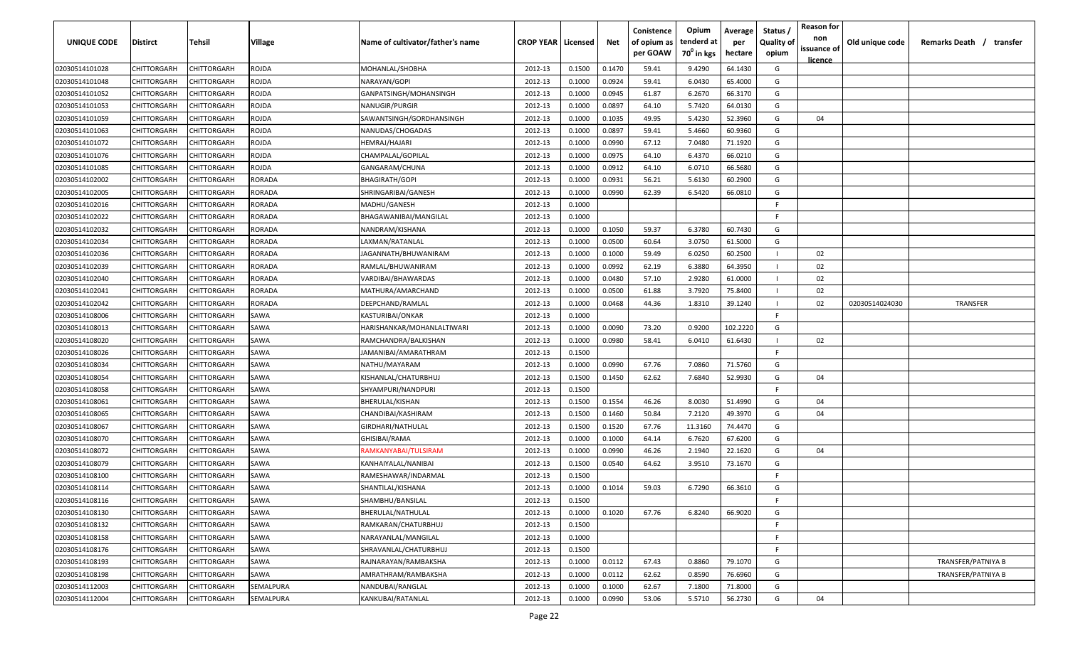| <b>UNIQUE CODE</b> | Distirct           | Tehsil      | Village   | Name of cultivator/father's name | <b>CROP YEAR   Licensed</b> |        | Net    | Conistence<br>of opium as | Opium<br>tenderd at    | Average<br>per | Status /<br><b>Quality of</b> | <b>Reason for</b><br>non      | Old unique code | Remarks Death / transfer |
|--------------------|--------------------|-------------|-----------|----------------------------------|-----------------------------|--------|--------|---------------------------|------------------------|----------------|-------------------------------|-------------------------------|-----------------|--------------------------|
|                    |                    |             |           |                                  |                             |        |        | per GOAW                  | 70 <sup>0</sup> in kgs | hectare        | opium                         | issuance of<br><u>licence</u> |                 |                          |
| 02030514101028     | CHITTORGARH        | CHITTORGARH | ROJDA     | MOHANLAL/SHOBHA                  | 2012-13                     | 0.1500 | 0.1470 | 59.41                     | 9.4290                 | 64.1430        | G                             |                               |                 |                          |
| 02030514101048     | CHITTORGARH        | CHITTORGARH | ROJDA     | NARAYAN/GOPI                     | 2012-13                     | 0.1000 | 0.0924 | 59.41                     | 6.0430                 | 65.4000        | G                             |                               |                 |                          |
| 02030514101052     | CHITTORGARH        | CHITTORGARH | ROJDA     | GANPATSINGH/MOHANSINGH           | 2012-13                     | 0.1000 | 0.0945 | 61.87                     | 6.2670                 | 66.3170        | G                             |                               |                 |                          |
| 02030514101053     | CHITTORGARH        | CHITTORGARH | rojda     | NANUGIR/PURGIR                   | 2012-13                     | 0.1000 | 0.0897 | 64.10                     | 5.7420                 | 64.0130        | G                             |                               |                 |                          |
| 02030514101059     | CHITTORGARH        | CHITTORGARH | ROJDA     | SAWANTSINGH/GORDHANSINGH         | 2012-13                     | 0.1000 | 0.1035 | 49.95                     | 5.4230                 | 52.3960        | G                             | 04                            |                 |                          |
| 02030514101063     | CHITTORGARH        | CHITTORGARH | ROJDA     | NANUDAS/CHOGADAS                 | 2012-13                     | 0.1000 | 0.0897 | 59.41                     | 5.4660                 | 60.9360        | G                             |                               |                 |                          |
| 02030514101072     | CHITTORGARH        | CHITTORGARH | ROJDA     | HEMRAJ/HAJARI                    | 2012-13                     | 0.1000 | 0.0990 | 67.12                     | 7.0480                 | 71.1920        | G                             |                               |                 |                          |
| 02030514101076     | CHITTORGARH        | CHITTORGARH | ROJDA     | CHAMPALAL/GOPILAL                | 2012-13                     | 0.1000 | 0.0975 | 64.10                     | 6.4370                 | 66.0210        | G                             |                               |                 |                          |
| 02030514101085     | CHITTORGARH        | CHITTORGARH | ROJDA     | GANGARAM/CHUNA                   | 2012-13                     | 0.1000 | 0.0912 | 64.10                     | 6.0710                 | 66.5680        | G                             |                               |                 |                          |
| 02030514102002     | CHITTORGARH        | CHITTORGARH | RORADA    | BHAGIRATH/GOPI                   | 2012-13                     | 0.1000 | 0.0931 | 56.21                     | 5.6130                 | 60.2900        | G                             |                               |                 |                          |
| 02030514102005     | CHITTORGARH        | CHITTORGARH | RORADA    | SHRINGARIBAI/GANESH              | 2012-13                     | 0.1000 | 0.0990 | 62.39                     | 6.5420                 | 66.0810        | G                             |                               |                 |                          |
| 02030514102016     | CHITTORGARH        | CHITTORGARH | RORADA    | MADHU/GANESH                     | 2012-13                     | 0.1000 |        |                           |                        |                | F.                            |                               |                 |                          |
| 02030514102022     | CHITTORGARH        | CHITTORGARH | RORADA    | BHAGAWANIBAI/MANGILAL            | 2012-13                     | 0.1000 |        |                           |                        |                | -F.                           |                               |                 |                          |
| 02030514102032     | CHITTORGARH        | CHITTORGARH | RORADA    | NANDRAM/KISHANA                  | 2012-13                     | 0.1000 | 0.1050 | 59.37                     | 6.3780                 | 60.7430        | G                             |                               |                 |                          |
| 02030514102034     | CHITTORGARH        | CHITTORGARH | RORADA    | LAXMAN/RATANLAL                  | 2012-13                     | 0.1000 | 0.0500 | 60.64                     | 3.0750                 | 61.5000        | G                             |                               |                 |                          |
| 02030514102036     | CHITTORGARH        | CHITTORGARH | RORADA    | JAGANNATH/BHUWANIRAM             | 2012-13                     | 0.1000 | 0.1000 | 59.49                     | 6.0250                 | 60.2500        |                               | 02                            |                 |                          |
| 02030514102039     | CHITTORGARH        | CHITTORGARH | RORADA    | RAMLAL/BHUWANIRAM                | 2012-13                     | 0.1000 | 0.0992 | 62.19                     | 6.3880                 | 64.3950        |                               | 02                            |                 |                          |
| 02030514102040     | CHITTORGARH        | CHITTORGARH | RORADA    | VARDIBAI/BHAWARDAS               | 2012-13                     | 0.1000 | 0.0480 | 57.10                     | 2.9280                 | 61.0000        |                               | 02                            |                 |                          |
| 02030514102041     | <b>CHITTORGARH</b> | CHITTORGARH | RORADA    | MATHURA/AMARCHAND                | 2012-13                     | 0.1000 | 0.0500 | 61.88                     | 3.7920                 | 75.8400        |                               | 02                            |                 |                          |
| 02030514102042     | CHITTORGARH        | CHITTORGARH | RORADA    | DEEPCHAND/RAMLAL                 | 2012-13                     | 0.1000 | 0.0468 | 44.36                     | 1.8310                 | 39.1240        |                               | 02                            | 02030514024030  | <b>TRANSFER</b>          |
| 02030514108006     | CHITTORGARH        | CHITTORGARH | SAWA      | KASTURIBAI/ONKAR                 | 2012-13                     | 0.1000 |        |                           |                        |                | -F.                           |                               |                 |                          |
| 02030514108013     | CHITTORGARH        | CHITTORGARH | SAWA      | HARISHANKAR/MOHANLALTIWARI       | 2012-13                     | 0.1000 | 0.0090 | 73.20                     | 0.9200                 | 102.2220       | G                             |                               |                 |                          |
| 02030514108020     | CHITTORGARH        | CHITTORGARH | SAWA      | RAMCHANDRA/BALKISHAN             | 2012-13                     | 0.1000 | 0.0980 | 58.41                     | 6.0410                 | 61.6430        |                               | 02                            |                 |                          |
| 02030514108026     | CHITTORGARH        | CHITTORGARH | SAWA      | JAMANIBAI/AMARATHRAM             | 2012-13                     | 0.1500 |        |                           |                        |                | -F                            |                               |                 |                          |
| 02030514108034     | CHITTORGARH        | CHITTORGARH | SAWA      | NATHU/MAYARAM                    | 2012-13                     | 0.1000 | 0.0990 | 67.76                     | 7.0860                 | 71.5760        | G                             |                               |                 |                          |
| 02030514108054     | CHITTORGARH        | CHITTORGARH | SAWA      | KISHANLAL/CHATURBHUJ             | 2012-13                     | 0.1500 | 0.1450 | 62.62                     | 7.6840                 | 52.9930        | G                             | 04                            |                 |                          |
| 02030514108058     | CHITTORGARH        | CHITTORGARH | SAWA      | SHYAMPURI/NANDPURI               | 2012-13                     | 0.1500 |        |                           |                        |                | F.                            |                               |                 |                          |
| 02030514108061     | CHITTORGARH        | CHITTORGARH | SAWA      | BHERULAL/KISHAN                  | 2012-13                     | 0.1500 | 0.1554 | 46.26                     | 8.0030                 | 51.4990        | G                             | 04                            |                 |                          |
| 02030514108065     | CHITTORGARH        | CHITTORGARH | SAWA      | CHANDIBAI/KASHIRAM               | 2012-13                     | 0.1500 | 0.1460 | 50.84                     | 7.2120                 | 49.3970        | G                             | 04                            |                 |                          |
| 02030514108067     | CHITTORGARH        | CHITTORGARH | SAWA      | GIRDHARI/NATHULAL                | 2012-13                     | 0.1500 | 0.1520 | 67.76                     | 11.3160                | 74.4470        | G                             |                               |                 |                          |
| 02030514108070     | CHITTORGARH        | CHITTORGARH | SAWA      | GHISIBAI/RAMA                    | 2012-13                     | 0.1000 | 0.1000 | 64.14                     | 6.7620                 | 67.6200        | G                             |                               |                 |                          |
| 02030514108072     | CHITTORGARH        | CHITTORGARH | SAWA      | RAMKANYABAI/TULSIRAM             | 2012-13                     | 0.1000 | 0.0990 | 46.26                     | 2.1940                 | 22.1620        | G                             | 04                            |                 |                          |
| 02030514108079     | CHITTORGARH        | CHITTORGARH | SAWA      | KANHAIYALAL/NANIBAI              | 2012-13                     | 0.1500 | 0.0540 | 64.62                     | 3.9510                 | 73.1670        | G                             |                               |                 |                          |
| 02030514108100     | CHITTORGARH        | CHITTORGARH | SAWA      | RAMESHAWAR/INDARMAL              | 2012-13                     | 0.1500 |        |                           |                        |                | -F.                           |                               |                 |                          |
| 02030514108114     | CHITTORGARH        | CHITTORGARH | SAWA      | SHANTILAL/KISHANA                | 2012-13                     | 0.1000 | 0.1014 | 59.03                     | 6.7290                 | 66.3610        | G                             |                               |                 |                          |
| 02030514108116     | CHITTORGARH        | CHITTORGARH | SAWA      | SHAMBHU/BANSILAL                 | 2012-13                     | 0.1500 |        |                           |                        |                | F.                            |                               |                 |                          |
| 02030514108130     | <b>CHITTORGARH</b> | CHITTORGARH | SAWA      | BHERULAL/NATHULAL                | 2012-13                     | 0.1000 | 0.1020 | 67.76                     | 6.8240                 | 66.9020        | G                             |                               |                 |                          |
| 02030514108132     | <b>CHITTORGARH</b> | CHITTORGARH | SAWA      | RAMKARAN/CHATURBHUJ              | 2012-13                     | 0.1500 |        |                           |                        |                | F.                            |                               |                 |                          |
| 02030514108158     | <b>CHITTORGARH</b> | CHITTORGARH | SAWA      | NARAYANLAL/MANGILAL              | 2012-13                     | 0.1000 |        |                           |                        |                | F.                            |                               |                 |                          |
| 02030514108176     | CHITTORGARH        | CHITTORGARH | SAWA      | SHRAVANLAL/CHATURBHUJ            | 2012-13                     | 0.1500 |        |                           |                        |                | F.                            |                               |                 |                          |
| 02030514108193     | CHITTORGARH        | CHITTORGARH | SAWA      | RAJNARAYAN/RAMBAKSHA             | 2012-13                     | 0.1000 | 0.0112 | 67.43                     | 0.8860                 | 79.1070        | G                             |                               |                 | TRANSFER/PATNIYA B       |
| 02030514108198     | CHITTORGARH        | CHITTORGARH | SAWA      | AMRATHRAM/RAMBAKSHA              | 2012-13                     | 0.1000 | 0.0112 | 62.62                     | 0.8590                 | 76.6960        | G                             |                               |                 | TRANSFER/PATNIYA B       |
| 02030514112003     | CHITTORGARH        | CHITTORGARH | SEMALPURA | NANDUBAI/RANGLAL                 | 2012-13                     | 0.1000 | 0.1000 | 62.67                     | 7.1800                 | 71.8000        | G                             |                               |                 |                          |
| 02030514112004     | <b>CHITTORGARH</b> | CHITTORGARH | SEMALPURA | KANKUBAI/RATANLAL                | 2012-13                     | 0.1000 | 0.0990 | 53.06                     | 5.5710                 | 56.2730        | G                             | 04                            |                 |                          |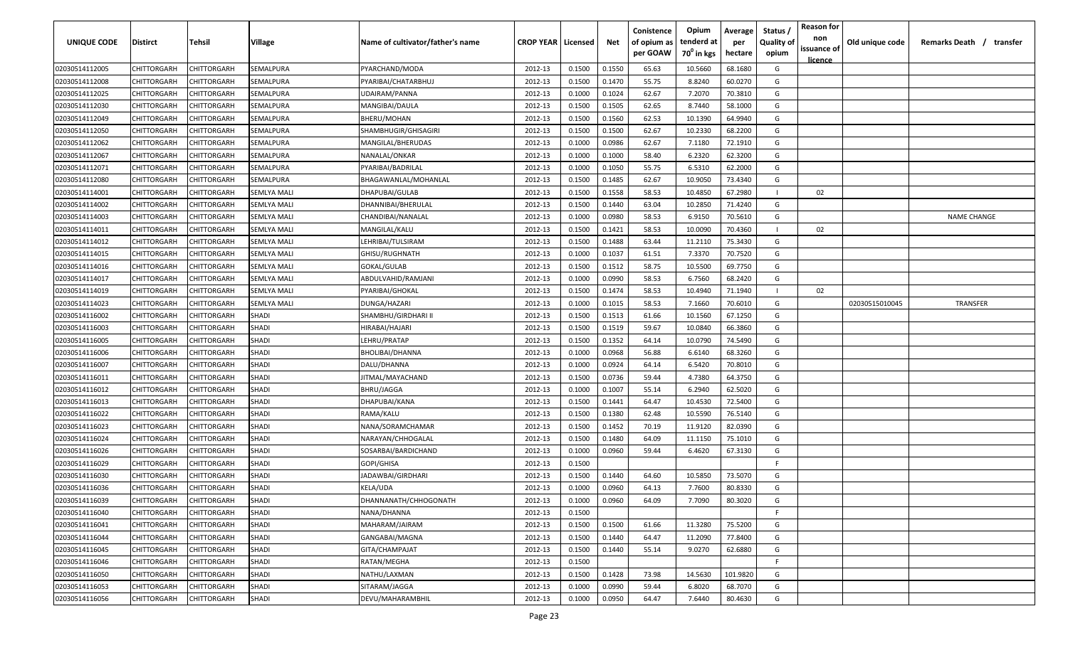| issuance of<br>per GOAW<br>70 <sup>0</sup> in kgs<br>hectare<br>opium<br><u>licence</u><br>68.1680<br>02030514112005<br>CHITTORGARH<br>CHITTORGARH<br>SEMALPURA<br>PYARCHAND/MODA<br>2012-13<br>0.1500<br>0.1550<br>65.63<br>10.5660<br>G<br>0.1470<br>55.75<br>8.8240<br>60.0270<br>G<br>02030514112008<br>CHITTORGARH<br>CHITTORGARH<br>SEMALPURA<br>PYARIBAI/CHATARBHUJ<br>2012-13<br>0.1500<br>62.67<br>02030514112025<br>CHITTORGARH<br>CHITTORGARH<br>2012-13<br>0.1000<br>0.1024<br>7.2070<br>70.3810<br>G<br>SEMALPURA<br>UDAIRAM/PANNA<br>62.65<br>02030514112030<br>CHITTORGARH<br>CHITTORGARH<br>SEMALPURA<br>MANGIBAI/DAULA<br>2012-13<br>0.1500<br>0.1505<br>8.7440<br>58.1000<br>G<br>62.53<br>02030514112049<br>CHITTORGARH<br>CHITTORGARH<br>SEMALPURA<br>BHERU/MOHAN<br>2012-13<br>0.1500<br>0.1560<br>10.1390<br>64.9940<br>G<br>02030514112050<br>CHITTORGARH<br>CHITTORGARH<br>2012-13<br>0.1500<br>0.1500<br>62.67<br>10.2330<br>68.2200<br>G<br>SEMALPURA<br>SHAMBHUGIR/GHISAGIRI<br>02030514112062<br>CHITTORGARH<br>CHITTORGARH<br>2012-13<br>0.1000<br>0.0986<br>62.67<br>7.1180<br>72.1910<br>SEMALPURA<br>MANGILAL/BHERUDAS<br>G<br>0.1000<br>0.1000<br>6.2320<br>62.3200<br>02030514112067<br><b>CHITTORGARH</b><br>CHITTORGARH<br>SEMALPURA<br>NANALAL/ONKAR<br>2012-13<br>58.40<br>G<br>55.75<br>02030514112071<br>CHITTORGARH<br>CHITTORGARH<br>PYARIBAI/BADRILAL<br>2012-13<br>0.1000<br>0.1050<br>6.5310<br>62.2000<br>G<br>SEMALPURA<br>0.1485<br>62.67<br>10.9050<br>G<br>CHITTORGARH<br>2012-13<br>0.1500<br>73.4340<br>02030514112080<br>CHITTORGARH<br>SEMALPURA<br>BHAGAWANLAL/MOHANLAL<br>0.1558<br>58.53<br>CHITTORGARH<br>CHITTORGARH<br>2012-13<br>0.1500<br>10.4850<br>67.2980<br>02<br>02030514114001<br>DHAPUBAI/GULAB<br>SEMLYA MALI<br>63.04<br>10.2850<br>71.4240<br>G<br>02030514114002<br>CHITTORGARH<br>CHITTORGARH<br>2012-13<br>0.1500<br>0.1440<br>SEMLYA MALI<br>DHANNIBAI/BHERULAL<br>58.53<br>CHITTORGARH<br>CHITTORGARH<br><b>SEMLYA MALI</b><br>2012-13<br>0.1000<br>0.0980<br>6.9150<br>70.5610<br>G<br><b>NAME CHANGE</b><br>02030514114003<br>CHANDIBAI/NANALAL<br>58.53<br>2012-13<br>0.1421<br>10.0090<br>70.4360<br>CHITTORGARH<br>CHITTORGARH<br><b>SEMLYA MALI</b><br>MANGILAL/KALU<br>0.1500<br>02<br>02030514114011<br>0.1500<br>0.1488<br>63.44<br>11.2110<br>75.3430<br>CHITTORGARH<br>CHITTORGARH<br><b>SEMLYA MALI</b><br>LEHRIBAI/TULSIRAM<br>2012-13<br>G<br>02030514114012<br>CHITTORGARH<br>CHITTORGARH<br>0.1000<br>0.1037<br>61.51<br>7.3370<br>70.7520<br>G<br>02030514114015<br><b>SEMLYA MALI</b><br>GHISU/RUGHNATH<br>2012-13<br>58.75<br>69.7750<br>02030514114016<br>CHITTORGARH<br>CHITTORGARH<br><b>SEMLYA MALI</b><br>GOKAL/GULAB<br>2012-13<br>0.1500<br>0.1512<br>10.5500<br>G<br>0.0990<br>58.53<br>68.2420<br>G<br>02030514114017<br>CHITTORGARH<br>CHITTORGARH<br>ABDULVAHID/RAMJANI<br>2012-13<br>0.1000<br>6.7560<br>SEMLYA MALI<br>CHITTORGARH<br>0.1474<br>58.53<br>10.4940<br>71.1940<br>02<br>02030514114019<br>CHITTORGARH<br>SEMLYA MALI<br>PYARIBAI/GHOKAL<br>2012-13<br>0.1500<br>58.53<br>70.6010<br>G<br><b>TRANSFER</b><br>02030514114023<br>CHITTORGARH<br>CHITTORGARH<br>DUNGA/HAZARI<br>2012-13<br>0.1000<br>0.1015<br>7.1660<br>SEMLYA MALI<br>02030515010045<br>CHITTORGARH<br><b>SHADI</b><br>61.66<br>67.1250<br>02030514116002<br>CHITTORGARH<br>SHAMBHU/GIRDHARI II<br>2012-13<br>0.1500<br>0.1513<br>10.1560<br>G<br>CHITTORGARH<br><b>SHADI</b><br>2012-13<br>0.1500<br>0.1519<br>59.67<br>10.0840<br>66.3860<br>G<br>02030514116003<br>CHITTORGARH<br>HIRABAI/HAJARI<br>02030514116005<br>CHITTORGARH<br>CHITTORGARH<br>SHADI<br>2012-13<br>0.1500<br>0.1352<br>64.14<br>10.0790<br>74.5490<br>LEHRU/PRATAP<br>G<br>CHITTORGARH<br>CHITTORGARH<br><b>SHADI</b><br>2012-13<br>0.1000<br>0.0968<br>56.88<br>6.6140<br>68.3260<br>G<br>02030514116006<br>BHOLIBAI/DHANNA<br>02030514116007<br>CHITTORGARH<br>CHITTORGARH<br>SHADI<br>DALU/DHANNA<br>2012-13<br>0.1000<br>0.0924<br>64.14<br>6.5420<br>70.8010<br>G<br>02030514116011<br>CHITTORGARH<br>CHITTORGARH<br>SHADI<br>2012-13<br>0.1500<br>0.0736<br>59.44<br>4.7380<br>64.3750<br>G<br>JITMAL/MAYACHAND<br>55.14<br>G<br><b>SHADI</b><br>2012-13<br>0.1007<br>6.2940<br>62.5020<br>02030514116012<br>CHITTORGARH<br>CHITTORGARH<br>BHRU/JAGGA<br>0.1000<br>CHITTORGARH<br>SHADI<br>2012-13<br>0.1500<br>0.1441<br>64.47<br>10.4530<br>72.5400<br>G<br>02030514116013<br>CHITTORGARH<br>DHAPUBAI/KANA<br>0.1380<br>62.48<br>G<br>02030514116022<br>CHITTORGARH<br>CHITTORGARH<br>SHADI<br>RAMA/KALU<br>2012-13<br>0.1500<br>10.5590<br>76.5140<br>70.19<br>CHITTORGARH<br>CHITTORGARH<br>SHADI<br>2012-13<br>0.1500<br>0.1452<br>11.9120<br>82.0390<br>G<br>02030514116023<br>NANA/SORAMCHAMAR<br><b>SHADI</b><br>0.1480<br>64.09<br>G<br>02030514116024<br>CHITTORGARH<br>CHITTORGARH<br>2012-13<br>0.1500<br>11.1150<br>75.1010<br>NARAYAN/CHHOGALAL<br><b>SHADI</b><br>67.3130<br>02030514116026<br>CHITTORGARH<br>CHITTORGARH<br>2012-13<br>0.1000<br>0.0960<br>59.44<br>6.4620<br>G<br>SOSARBAI/BARDICHAND<br>02030514116029<br>CHITTORGARH<br>CHITTORGARH<br>SHADI<br>GOPI/GHISA<br>2012-13<br>0.1500<br>-F<br>SHADI<br>JADAWBAI/GIRDHARI<br>2012-13<br>0.1500<br>0.1440<br>64.60<br>10.5850<br>73.5070<br>G<br>02030514116030<br>CHITTORGARH<br>CHITTORGARH<br>G<br>SHADI<br>KELA/UDA<br>2012-13<br>0.0960<br>64.13<br>80.8330<br>02030514116036<br>CHITTORGARH<br>CHITTORGARH<br>0.1000<br>7.7600<br><b>SHADI</b><br>0.0960<br>80.3020<br>02030514116039<br><b>CHITTORGARH</b><br><b>CHITTORGARH</b><br>DHANNANATH/CHHOGONATH<br>2012-13<br>0.1000<br>64.09<br>7.7090<br>G<br><b>SHADI</b><br>2012-13<br>F.<br>02030514116040<br>CHITTORGARH<br>CHITTORGARH<br>NANA/DHANNA<br>0.1500<br>0.1500<br>11.3280<br>02030514116041<br><b>CHITTORGARH</b><br>CHITTORGARH<br><b>SHADI</b><br>MAHARAM/JAIRAM<br>2012-13<br>0.1500<br>61.66<br>75.5200<br>G<br>0.1440<br>02030514116044<br><b>CHITTORGARH</b><br>CHITTORGARH<br><b>SHADI</b><br>GANGABAI/MAGNA<br>2012-13<br>0.1500<br>64.47<br>11.2090<br>77.8400<br>G<br>02030514116045<br>CHITTORGARH<br>CHITTORGARH<br><b>SHADI</b><br>GITA/CHAMPAJAT<br>2012-13<br>0.1500<br>0.1440<br>55.14<br>9.0270<br>62.6880<br>G<br>02030514116046<br>CHITTORGARH<br>CHITTORGARH<br>SHADI<br>RATAN/MEGHA<br>2012-13<br>0.1500<br>F.<br>02030514116050<br>CHITTORGARH<br>CHITTORGARH<br>SHADI<br>NATHU/LAXMAN<br>2012-13<br>0.1500<br>0.1428<br>73.98<br>14.5630<br>101.9820<br>G<br>02030514116053<br>SHADI<br>0.1000<br>0.0990<br>59.44<br>6.8020<br>68.7070<br>G<br>CHITTORGARH<br>CHITTORGARH<br>SITARAM/JAGGA<br>2012-13<br>G<br>0.0950<br>80.4630<br>02030514116056<br>CHITTORGARH<br>CHITTORGARH<br><b>SHADI</b><br>DEVU/MAHARAMBHIL<br>2012-13<br>0.1000<br>64.47<br>7.6440 | <b>UNIQUE CODE</b> | Distirct | Tehsil | Village | Name of cultivator/father's name | <b>CROP YEAR   Licensed</b> | Net | Conistence<br>of opium as | Opium<br>tenderd at | Average<br>per | Status /<br><b>Quality of</b> | <b>Reason for</b><br>non | Old unique code | Remarks Death /<br>transfer |
|---------------------------------------------------------------------------------------------------------------------------------------------------------------------------------------------------------------------------------------------------------------------------------------------------------------------------------------------------------------------------------------------------------------------------------------------------------------------------------------------------------------------------------------------------------------------------------------------------------------------------------------------------------------------------------------------------------------------------------------------------------------------------------------------------------------------------------------------------------------------------------------------------------------------------------------------------------------------------------------------------------------------------------------------------------------------------------------------------------------------------------------------------------------------------------------------------------------------------------------------------------------------------------------------------------------------------------------------------------------------------------------------------------------------------------------------------------------------------------------------------------------------------------------------------------------------------------------------------------------------------------------------------------------------------------------------------------------------------------------------------------------------------------------------------------------------------------------------------------------------------------------------------------------------------------------------------------------------------------------------------------------------------------------------------------------------------------------------------------------------------------------------------------------------------------------------------------------------------------------------------------------------------------------------------------------------------------------------------------------------------------------------------------------------------------------------------------------------------------------------------------------------------------------------------------------------------------------------------------------------------------------------------------------------------------------------------------------------------------------------------------------------------------------------------------------------------------------------------------------------------------------------------------------------------------------------------------------------------------------------------------------------------------------------------------------------------------------------------------------------------------------------------------------------------------------------------------------------------------------------------------------------------------------------------------------------------------------------------------------------------------------------------------------------------------------------------------------------------------------------------------------------------------------------------------------------------------------------------------------------------------------------------------------------------------------------------------------------------------------------------------------------------------------------------------------------------------------------------------------------------------------------------------------------------------------------------------------------------------------------------------------------------------------------------------------------------------------------------------------------------------------------------------------------------------------------------------------------------------------------------------------------------------------------------------------------------------------------------------------------------------------------------------------------------------------------------------------------------------------------------------------------------------------------------------------------------------------------------------------------------------------------------------------------------------------------------------------------------------------------------------------------------------------------------------------------------------------------------------------------------------------------------------------------------------------------------------------------------------------------------------------------------------------------------------------------------------------------------------------------------------------------------------------------------------------------------------------------------------------------------------------------------------------------------------------------------------------------------------------------------------------------------------------------------------------------------------------------------------------------------------------------------------------------------------------------------------------------------------------------------------------------------------------------------------------------------------------------------------------------------------------------------------------------------------------------------------------------------------------------------------------------------------------------------------------------------------------------------------------------------------------------------------------------------------------------------------------------------------------------------------------------------------------------------------------------------------------------------------------------------------------------------------------------------------------------------------------------------------------------------------------------------------------------------------------------------------------------------------------------------------------------------------------------------------------------------------------------------------------------------------------------------------------------------------------------------------------------------------------------------------------------------------------------------------|--------------------|----------|--------|---------|----------------------------------|-----------------------------|-----|---------------------------|---------------------|----------------|-------------------------------|--------------------------|-----------------|-----------------------------|
|                                                                                                                                                                                                                                                                                                                                                                                                                                                                                                                                                                                                                                                                                                                                                                                                                                                                                                                                                                                                                                                                                                                                                                                                                                                                                                                                                                                                                                                                                                                                                                                                                                                                                                                                                                                                                                                                                                                                                                                                                                                                                                                                                                                                                                                                                                                                                                                                                                                                                                                                                                                                                                                                                                                                                                                                                                                                                                                                                                                                                                                                                                                                                                                                                                                                                                                                                                                                                                                                                                                                                                                                                                                                                                                                                                                                                                                                                                                                                                                                                                                                                                                                                                                                                                                                                                                                                                                                                                                                                                                                                                                                                                                                                                                                                                                                                                                                                                                                                                                                                                                                                                                                                                                                                                                                                                                                                                                                                                                                                                                                                                                                                                                                                                                                                                                                                                                                                                                                                                                                                                                                                                                                                                                                                                                                                                                                                                                                                                                                                                                                                                                                                                                                                                                                                                                                         |                    |          |        |         |                                  |                             |     |                           |                     |                |                               |                          |                 |                             |
|                                                                                                                                                                                                                                                                                                                                                                                                                                                                                                                                                                                                                                                                                                                                                                                                                                                                                                                                                                                                                                                                                                                                                                                                                                                                                                                                                                                                                                                                                                                                                                                                                                                                                                                                                                                                                                                                                                                                                                                                                                                                                                                                                                                                                                                                                                                                                                                                                                                                                                                                                                                                                                                                                                                                                                                                                                                                                                                                                                                                                                                                                                                                                                                                                                                                                                                                                                                                                                                                                                                                                                                                                                                                                                                                                                                                                                                                                                                                                                                                                                                                                                                                                                                                                                                                                                                                                                                                                                                                                                                                                                                                                                                                                                                                                                                                                                                                                                                                                                                                                                                                                                                                                                                                                                                                                                                                                                                                                                                                                                                                                                                                                                                                                                                                                                                                                                                                                                                                                                                                                                                                                                                                                                                                                                                                                                                                                                                                                                                                                                                                                                                                                                                                                                                                                                                                         |                    |          |        |         |                                  |                             |     |                           |                     |                |                               |                          |                 |                             |
|                                                                                                                                                                                                                                                                                                                                                                                                                                                                                                                                                                                                                                                                                                                                                                                                                                                                                                                                                                                                                                                                                                                                                                                                                                                                                                                                                                                                                                                                                                                                                                                                                                                                                                                                                                                                                                                                                                                                                                                                                                                                                                                                                                                                                                                                                                                                                                                                                                                                                                                                                                                                                                                                                                                                                                                                                                                                                                                                                                                                                                                                                                                                                                                                                                                                                                                                                                                                                                                                                                                                                                                                                                                                                                                                                                                                                                                                                                                                                                                                                                                                                                                                                                                                                                                                                                                                                                                                                                                                                                                                                                                                                                                                                                                                                                                                                                                                                                                                                                                                                                                                                                                                                                                                                                                                                                                                                                                                                                                                                                                                                                                                                                                                                                                                                                                                                                                                                                                                                                                                                                                                                                                                                                                                                                                                                                                                                                                                                                                                                                                                                                                                                                                                                                                                                                                                         |                    |          |        |         |                                  |                             |     |                           |                     |                |                               |                          |                 |                             |
|                                                                                                                                                                                                                                                                                                                                                                                                                                                                                                                                                                                                                                                                                                                                                                                                                                                                                                                                                                                                                                                                                                                                                                                                                                                                                                                                                                                                                                                                                                                                                                                                                                                                                                                                                                                                                                                                                                                                                                                                                                                                                                                                                                                                                                                                                                                                                                                                                                                                                                                                                                                                                                                                                                                                                                                                                                                                                                                                                                                                                                                                                                                                                                                                                                                                                                                                                                                                                                                                                                                                                                                                                                                                                                                                                                                                                                                                                                                                                                                                                                                                                                                                                                                                                                                                                                                                                                                                                                                                                                                                                                                                                                                                                                                                                                                                                                                                                                                                                                                                                                                                                                                                                                                                                                                                                                                                                                                                                                                                                                                                                                                                                                                                                                                                                                                                                                                                                                                                                                                                                                                                                                                                                                                                                                                                                                                                                                                                                                                                                                                                                                                                                                                                                                                                                                                                         |                    |          |        |         |                                  |                             |     |                           |                     |                |                               |                          |                 |                             |
|                                                                                                                                                                                                                                                                                                                                                                                                                                                                                                                                                                                                                                                                                                                                                                                                                                                                                                                                                                                                                                                                                                                                                                                                                                                                                                                                                                                                                                                                                                                                                                                                                                                                                                                                                                                                                                                                                                                                                                                                                                                                                                                                                                                                                                                                                                                                                                                                                                                                                                                                                                                                                                                                                                                                                                                                                                                                                                                                                                                                                                                                                                                                                                                                                                                                                                                                                                                                                                                                                                                                                                                                                                                                                                                                                                                                                                                                                                                                                                                                                                                                                                                                                                                                                                                                                                                                                                                                                                                                                                                                                                                                                                                                                                                                                                                                                                                                                                                                                                                                                                                                                                                                                                                                                                                                                                                                                                                                                                                                                                                                                                                                                                                                                                                                                                                                                                                                                                                                                                                                                                                                                                                                                                                                                                                                                                                                                                                                                                                                                                                                                                                                                                                                                                                                                                                                         |                    |          |        |         |                                  |                             |     |                           |                     |                |                               |                          |                 |                             |
|                                                                                                                                                                                                                                                                                                                                                                                                                                                                                                                                                                                                                                                                                                                                                                                                                                                                                                                                                                                                                                                                                                                                                                                                                                                                                                                                                                                                                                                                                                                                                                                                                                                                                                                                                                                                                                                                                                                                                                                                                                                                                                                                                                                                                                                                                                                                                                                                                                                                                                                                                                                                                                                                                                                                                                                                                                                                                                                                                                                                                                                                                                                                                                                                                                                                                                                                                                                                                                                                                                                                                                                                                                                                                                                                                                                                                                                                                                                                                                                                                                                                                                                                                                                                                                                                                                                                                                                                                                                                                                                                                                                                                                                                                                                                                                                                                                                                                                                                                                                                                                                                                                                                                                                                                                                                                                                                                                                                                                                                                                                                                                                                                                                                                                                                                                                                                                                                                                                                                                                                                                                                                                                                                                                                                                                                                                                                                                                                                                                                                                                                                                                                                                                                                                                                                                                                         |                    |          |        |         |                                  |                             |     |                           |                     |                |                               |                          |                 |                             |
|                                                                                                                                                                                                                                                                                                                                                                                                                                                                                                                                                                                                                                                                                                                                                                                                                                                                                                                                                                                                                                                                                                                                                                                                                                                                                                                                                                                                                                                                                                                                                                                                                                                                                                                                                                                                                                                                                                                                                                                                                                                                                                                                                                                                                                                                                                                                                                                                                                                                                                                                                                                                                                                                                                                                                                                                                                                                                                                                                                                                                                                                                                                                                                                                                                                                                                                                                                                                                                                                                                                                                                                                                                                                                                                                                                                                                                                                                                                                                                                                                                                                                                                                                                                                                                                                                                                                                                                                                                                                                                                                                                                                                                                                                                                                                                                                                                                                                                                                                                                                                                                                                                                                                                                                                                                                                                                                                                                                                                                                                                                                                                                                                                                                                                                                                                                                                                                                                                                                                                                                                                                                                                                                                                                                                                                                                                                                                                                                                                                                                                                                                                                                                                                                                                                                                                                                         |                    |          |        |         |                                  |                             |     |                           |                     |                |                               |                          |                 |                             |
|                                                                                                                                                                                                                                                                                                                                                                                                                                                                                                                                                                                                                                                                                                                                                                                                                                                                                                                                                                                                                                                                                                                                                                                                                                                                                                                                                                                                                                                                                                                                                                                                                                                                                                                                                                                                                                                                                                                                                                                                                                                                                                                                                                                                                                                                                                                                                                                                                                                                                                                                                                                                                                                                                                                                                                                                                                                                                                                                                                                                                                                                                                                                                                                                                                                                                                                                                                                                                                                                                                                                                                                                                                                                                                                                                                                                                                                                                                                                                                                                                                                                                                                                                                                                                                                                                                                                                                                                                                                                                                                                                                                                                                                                                                                                                                                                                                                                                                                                                                                                                                                                                                                                                                                                                                                                                                                                                                                                                                                                                                                                                                                                                                                                                                                                                                                                                                                                                                                                                                                                                                                                                                                                                                                                                                                                                                                                                                                                                                                                                                                                                                                                                                                                                                                                                                                                         |                    |          |        |         |                                  |                             |     |                           |                     |                |                               |                          |                 |                             |
|                                                                                                                                                                                                                                                                                                                                                                                                                                                                                                                                                                                                                                                                                                                                                                                                                                                                                                                                                                                                                                                                                                                                                                                                                                                                                                                                                                                                                                                                                                                                                                                                                                                                                                                                                                                                                                                                                                                                                                                                                                                                                                                                                                                                                                                                                                                                                                                                                                                                                                                                                                                                                                                                                                                                                                                                                                                                                                                                                                                                                                                                                                                                                                                                                                                                                                                                                                                                                                                                                                                                                                                                                                                                                                                                                                                                                                                                                                                                                                                                                                                                                                                                                                                                                                                                                                                                                                                                                                                                                                                                                                                                                                                                                                                                                                                                                                                                                                                                                                                                                                                                                                                                                                                                                                                                                                                                                                                                                                                                                                                                                                                                                                                                                                                                                                                                                                                                                                                                                                                                                                                                                                                                                                                                                                                                                                                                                                                                                                                                                                                                                                                                                                                                                                                                                                                                         |                    |          |        |         |                                  |                             |     |                           |                     |                |                               |                          |                 |                             |
|                                                                                                                                                                                                                                                                                                                                                                                                                                                                                                                                                                                                                                                                                                                                                                                                                                                                                                                                                                                                                                                                                                                                                                                                                                                                                                                                                                                                                                                                                                                                                                                                                                                                                                                                                                                                                                                                                                                                                                                                                                                                                                                                                                                                                                                                                                                                                                                                                                                                                                                                                                                                                                                                                                                                                                                                                                                                                                                                                                                                                                                                                                                                                                                                                                                                                                                                                                                                                                                                                                                                                                                                                                                                                                                                                                                                                                                                                                                                                                                                                                                                                                                                                                                                                                                                                                                                                                                                                                                                                                                                                                                                                                                                                                                                                                                                                                                                                                                                                                                                                                                                                                                                                                                                                                                                                                                                                                                                                                                                                                                                                                                                                                                                                                                                                                                                                                                                                                                                                                                                                                                                                                                                                                                                                                                                                                                                                                                                                                                                                                                                                                                                                                                                                                                                                                                                         |                    |          |        |         |                                  |                             |     |                           |                     |                |                               |                          |                 |                             |
|                                                                                                                                                                                                                                                                                                                                                                                                                                                                                                                                                                                                                                                                                                                                                                                                                                                                                                                                                                                                                                                                                                                                                                                                                                                                                                                                                                                                                                                                                                                                                                                                                                                                                                                                                                                                                                                                                                                                                                                                                                                                                                                                                                                                                                                                                                                                                                                                                                                                                                                                                                                                                                                                                                                                                                                                                                                                                                                                                                                                                                                                                                                                                                                                                                                                                                                                                                                                                                                                                                                                                                                                                                                                                                                                                                                                                                                                                                                                                                                                                                                                                                                                                                                                                                                                                                                                                                                                                                                                                                                                                                                                                                                                                                                                                                                                                                                                                                                                                                                                                                                                                                                                                                                                                                                                                                                                                                                                                                                                                                                                                                                                                                                                                                                                                                                                                                                                                                                                                                                                                                                                                                                                                                                                                                                                                                                                                                                                                                                                                                                                                                                                                                                                                                                                                                                                         |                    |          |        |         |                                  |                             |     |                           |                     |                |                               |                          |                 |                             |
|                                                                                                                                                                                                                                                                                                                                                                                                                                                                                                                                                                                                                                                                                                                                                                                                                                                                                                                                                                                                                                                                                                                                                                                                                                                                                                                                                                                                                                                                                                                                                                                                                                                                                                                                                                                                                                                                                                                                                                                                                                                                                                                                                                                                                                                                                                                                                                                                                                                                                                                                                                                                                                                                                                                                                                                                                                                                                                                                                                                                                                                                                                                                                                                                                                                                                                                                                                                                                                                                                                                                                                                                                                                                                                                                                                                                                                                                                                                                                                                                                                                                                                                                                                                                                                                                                                                                                                                                                                                                                                                                                                                                                                                                                                                                                                                                                                                                                                                                                                                                                                                                                                                                                                                                                                                                                                                                                                                                                                                                                                                                                                                                                                                                                                                                                                                                                                                                                                                                                                                                                                                                                                                                                                                                                                                                                                                                                                                                                                                                                                                                                                                                                                                                                                                                                                                                         |                    |          |        |         |                                  |                             |     |                           |                     |                |                               |                          |                 |                             |
|                                                                                                                                                                                                                                                                                                                                                                                                                                                                                                                                                                                                                                                                                                                                                                                                                                                                                                                                                                                                                                                                                                                                                                                                                                                                                                                                                                                                                                                                                                                                                                                                                                                                                                                                                                                                                                                                                                                                                                                                                                                                                                                                                                                                                                                                                                                                                                                                                                                                                                                                                                                                                                                                                                                                                                                                                                                                                                                                                                                                                                                                                                                                                                                                                                                                                                                                                                                                                                                                                                                                                                                                                                                                                                                                                                                                                                                                                                                                                                                                                                                                                                                                                                                                                                                                                                                                                                                                                                                                                                                                                                                                                                                                                                                                                                                                                                                                                                                                                                                                                                                                                                                                                                                                                                                                                                                                                                                                                                                                                                                                                                                                                                                                                                                                                                                                                                                                                                                                                                                                                                                                                                                                                                                                                                                                                                                                                                                                                                                                                                                                                                                                                                                                                                                                                                                                         |                    |          |        |         |                                  |                             |     |                           |                     |                |                               |                          |                 |                             |
|                                                                                                                                                                                                                                                                                                                                                                                                                                                                                                                                                                                                                                                                                                                                                                                                                                                                                                                                                                                                                                                                                                                                                                                                                                                                                                                                                                                                                                                                                                                                                                                                                                                                                                                                                                                                                                                                                                                                                                                                                                                                                                                                                                                                                                                                                                                                                                                                                                                                                                                                                                                                                                                                                                                                                                                                                                                                                                                                                                                                                                                                                                                                                                                                                                                                                                                                                                                                                                                                                                                                                                                                                                                                                                                                                                                                                                                                                                                                                                                                                                                                                                                                                                                                                                                                                                                                                                                                                                                                                                                                                                                                                                                                                                                                                                                                                                                                                                                                                                                                                                                                                                                                                                                                                                                                                                                                                                                                                                                                                                                                                                                                                                                                                                                                                                                                                                                                                                                                                                                                                                                                                                                                                                                                                                                                                                                                                                                                                                                                                                                                                                                                                                                                                                                                                                                                         |                    |          |        |         |                                  |                             |     |                           |                     |                |                               |                          |                 |                             |
|                                                                                                                                                                                                                                                                                                                                                                                                                                                                                                                                                                                                                                                                                                                                                                                                                                                                                                                                                                                                                                                                                                                                                                                                                                                                                                                                                                                                                                                                                                                                                                                                                                                                                                                                                                                                                                                                                                                                                                                                                                                                                                                                                                                                                                                                                                                                                                                                                                                                                                                                                                                                                                                                                                                                                                                                                                                                                                                                                                                                                                                                                                                                                                                                                                                                                                                                                                                                                                                                                                                                                                                                                                                                                                                                                                                                                                                                                                                                                                                                                                                                                                                                                                                                                                                                                                                                                                                                                                                                                                                                                                                                                                                                                                                                                                                                                                                                                                                                                                                                                                                                                                                                                                                                                                                                                                                                                                                                                                                                                                                                                                                                                                                                                                                                                                                                                                                                                                                                                                                                                                                                                                                                                                                                                                                                                                                                                                                                                                                                                                                                                                                                                                                                                                                                                                                                         |                    |          |        |         |                                  |                             |     |                           |                     |                |                               |                          |                 |                             |
|                                                                                                                                                                                                                                                                                                                                                                                                                                                                                                                                                                                                                                                                                                                                                                                                                                                                                                                                                                                                                                                                                                                                                                                                                                                                                                                                                                                                                                                                                                                                                                                                                                                                                                                                                                                                                                                                                                                                                                                                                                                                                                                                                                                                                                                                                                                                                                                                                                                                                                                                                                                                                                                                                                                                                                                                                                                                                                                                                                                                                                                                                                                                                                                                                                                                                                                                                                                                                                                                                                                                                                                                                                                                                                                                                                                                                                                                                                                                                                                                                                                                                                                                                                                                                                                                                                                                                                                                                                                                                                                                                                                                                                                                                                                                                                                                                                                                                                                                                                                                                                                                                                                                                                                                                                                                                                                                                                                                                                                                                                                                                                                                                                                                                                                                                                                                                                                                                                                                                                                                                                                                                                                                                                                                                                                                                                                                                                                                                                                                                                                                                                                                                                                                                                                                                                                                         |                    |          |        |         |                                  |                             |     |                           |                     |                |                               |                          |                 |                             |
|                                                                                                                                                                                                                                                                                                                                                                                                                                                                                                                                                                                                                                                                                                                                                                                                                                                                                                                                                                                                                                                                                                                                                                                                                                                                                                                                                                                                                                                                                                                                                                                                                                                                                                                                                                                                                                                                                                                                                                                                                                                                                                                                                                                                                                                                                                                                                                                                                                                                                                                                                                                                                                                                                                                                                                                                                                                                                                                                                                                                                                                                                                                                                                                                                                                                                                                                                                                                                                                                                                                                                                                                                                                                                                                                                                                                                                                                                                                                                                                                                                                                                                                                                                                                                                                                                                                                                                                                                                                                                                                                                                                                                                                                                                                                                                                                                                                                                                                                                                                                                                                                                                                                                                                                                                                                                                                                                                                                                                                                                                                                                                                                                                                                                                                                                                                                                                                                                                                                                                                                                                                                                                                                                                                                                                                                                                                                                                                                                                                                                                                                                                                                                                                                                                                                                                                                         |                    |          |        |         |                                  |                             |     |                           |                     |                |                               |                          |                 |                             |
|                                                                                                                                                                                                                                                                                                                                                                                                                                                                                                                                                                                                                                                                                                                                                                                                                                                                                                                                                                                                                                                                                                                                                                                                                                                                                                                                                                                                                                                                                                                                                                                                                                                                                                                                                                                                                                                                                                                                                                                                                                                                                                                                                                                                                                                                                                                                                                                                                                                                                                                                                                                                                                                                                                                                                                                                                                                                                                                                                                                                                                                                                                                                                                                                                                                                                                                                                                                                                                                                                                                                                                                                                                                                                                                                                                                                                                                                                                                                                                                                                                                                                                                                                                                                                                                                                                                                                                                                                                                                                                                                                                                                                                                                                                                                                                                                                                                                                                                                                                                                                                                                                                                                                                                                                                                                                                                                                                                                                                                                                                                                                                                                                                                                                                                                                                                                                                                                                                                                                                                                                                                                                                                                                                                                                                                                                                                                                                                                                                                                                                                                                                                                                                                                                                                                                                                                         |                    |          |        |         |                                  |                             |     |                           |                     |                |                               |                          |                 |                             |
|                                                                                                                                                                                                                                                                                                                                                                                                                                                                                                                                                                                                                                                                                                                                                                                                                                                                                                                                                                                                                                                                                                                                                                                                                                                                                                                                                                                                                                                                                                                                                                                                                                                                                                                                                                                                                                                                                                                                                                                                                                                                                                                                                                                                                                                                                                                                                                                                                                                                                                                                                                                                                                                                                                                                                                                                                                                                                                                                                                                                                                                                                                                                                                                                                                                                                                                                                                                                                                                                                                                                                                                                                                                                                                                                                                                                                                                                                                                                                                                                                                                                                                                                                                                                                                                                                                                                                                                                                                                                                                                                                                                                                                                                                                                                                                                                                                                                                                                                                                                                                                                                                                                                                                                                                                                                                                                                                                                                                                                                                                                                                                                                                                                                                                                                                                                                                                                                                                                                                                                                                                                                                                                                                                                                                                                                                                                                                                                                                                                                                                                                                                                                                                                                                                                                                                                                         |                    |          |        |         |                                  |                             |     |                           |                     |                |                               |                          |                 |                             |
|                                                                                                                                                                                                                                                                                                                                                                                                                                                                                                                                                                                                                                                                                                                                                                                                                                                                                                                                                                                                                                                                                                                                                                                                                                                                                                                                                                                                                                                                                                                                                                                                                                                                                                                                                                                                                                                                                                                                                                                                                                                                                                                                                                                                                                                                                                                                                                                                                                                                                                                                                                                                                                                                                                                                                                                                                                                                                                                                                                                                                                                                                                                                                                                                                                                                                                                                                                                                                                                                                                                                                                                                                                                                                                                                                                                                                                                                                                                                                                                                                                                                                                                                                                                                                                                                                                                                                                                                                                                                                                                                                                                                                                                                                                                                                                                                                                                                                                                                                                                                                                                                                                                                                                                                                                                                                                                                                                                                                                                                                                                                                                                                                                                                                                                                                                                                                                                                                                                                                                                                                                                                                                                                                                                                                                                                                                                                                                                                                                                                                                                                                                                                                                                                                                                                                                                                         |                    |          |        |         |                                  |                             |     |                           |                     |                |                               |                          |                 |                             |
|                                                                                                                                                                                                                                                                                                                                                                                                                                                                                                                                                                                                                                                                                                                                                                                                                                                                                                                                                                                                                                                                                                                                                                                                                                                                                                                                                                                                                                                                                                                                                                                                                                                                                                                                                                                                                                                                                                                                                                                                                                                                                                                                                                                                                                                                                                                                                                                                                                                                                                                                                                                                                                                                                                                                                                                                                                                                                                                                                                                                                                                                                                                                                                                                                                                                                                                                                                                                                                                                                                                                                                                                                                                                                                                                                                                                                                                                                                                                                                                                                                                                                                                                                                                                                                                                                                                                                                                                                                                                                                                                                                                                                                                                                                                                                                                                                                                                                                                                                                                                                                                                                                                                                                                                                                                                                                                                                                                                                                                                                                                                                                                                                                                                                                                                                                                                                                                                                                                                                                                                                                                                                                                                                                                                                                                                                                                                                                                                                                                                                                                                                                                                                                                                                                                                                                                                         |                    |          |        |         |                                  |                             |     |                           |                     |                |                               |                          |                 |                             |
|                                                                                                                                                                                                                                                                                                                                                                                                                                                                                                                                                                                                                                                                                                                                                                                                                                                                                                                                                                                                                                                                                                                                                                                                                                                                                                                                                                                                                                                                                                                                                                                                                                                                                                                                                                                                                                                                                                                                                                                                                                                                                                                                                                                                                                                                                                                                                                                                                                                                                                                                                                                                                                                                                                                                                                                                                                                                                                                                                                                                                                                                                                                                                                                                                                                                                                                                                                                                                                                                                                                                                                                                                                                                                                                                                                                                                                                                                                                                                                                                                                                                                                                                                                                                                                                                                                                                                                                                                                                                                                                                                                                                                                                                                                                                                                                                                                                                                                                                                                                                                                                                                                                                                                                                                                                                                                                                                                                                                                                                                                                                                                                                                                                                                                                                                                                                                                                                                                                                                                                                                                                                                                                                                                                                                                                                                                                                                                                                                                                                                                                                                                                                                                                                                                                                                                                                         |                    |          |        |         |                                  |                             |     |                           |                     |                |                               |                          |                 |                             |
|                                                                                                                                                                                                                                                                                                                                                                                                                                                                                                                                                                                                                                                                                                                                                                                                                                                                                                                                                                                                                                                                                                                                                                                                                                                                                                                                                                                                                                                                                                                                                                                                                                                                                                                                                                                                                                                                                                                                                                                                                                                                                                                                                                                                                                                                                                                                                                                                                                                                                                                                                                                                                                                                                                                                                                                                                                                                                                                                                                                                                                                                                                                                                                                                                                                                                                                                                                                                                                                                                                                                                                                                                                                                                                                                                                                                                                                                                                                                                                                                                                                                                                                                                                                                                                                                                                                                                                                                                                                                                                                                                                                                                                                                                                                                                                                                                                                                                                                                                                                                                                                                                                                                                                                                                                                                                                                                                                                                                                                                                                                                                                                                                                                                                                                                                                                                                                                                                                                                                                                                                                                                                                                                                                                                                                                                                                                                                                                                                                                                                                                                                                                                                                                                                                                                                                                                         |                    |          |        |         |                                  |                             |     |                           |                     |                |                               |                          |                 |                             |
|                                                                                                                                                                                                                                                                                                                                                                                                                                                                                                                                                                                                                                                                                                                                                                                                                                                                                                                                                                                                                                                                                                                                                                                                                                                                                                                                                                                                                                                                                                                                                                                                                                                                                                                                                                                                                                                                                                                                                                                                                                                                                                                                                                                                                                                                                                                                                                                                                                                                                                                                                                                                                                                                                                                                                                                                                                                                                                                                                                                                                                                                                                                                                                                                                                                                                                                                                                                                                                                                                                                                                                                                                                                                                                                                                                                                                                                                                                                                                                                                                                                                                                                                                                                                                                                                                                                                                                                                                                                                                                                                                                                                                                                                                                                                                                                                                                                                                                                                                                                                                                                                                                                                                                                                                                                                                                                                                                                                                                                                                                                                                                                                                                                                                                                                                                                                                                                                                                                                                                                                                                                                                                                                                                                                                                                                                                                                                                                                                                                                                                                                                                                                                                                                                                                                                                                                         |                    |          |        |         |                                  |                             |     |                           |                     |                |                               |                          |                 |                             |
|                                                                                                                                                                                                                                                                                                                                                                                                                                                                                                                                                                                                                                                                                                                                                                                                                                                                                                                                                                                                                                                                                                                                                                                                                                                                                                                                                                                                                                                                                                                                                                                                                                                                                                                                                                                                                                                                                                                                                                                                                                                                                                                                                                                                                                                                                                                                                                                                                                                                                                                                                                                                                                                                                                                                                                                                                                                                                                                                                                                                                                                                                                                                                                                                                                                                                                                                                                                                                                                                                                                                                                                                                                                                                                                                                                                                                                                                                                                                                                                                                                                                                                                                                                                                                                                                                                                                                                                                                                                                                                                                                                                                                                                                                                                                                                                                                                                                                                                                                                                                                                                                                                                                                                                                                                                                                                                                                                                                                                                                                                                                                                                                                                                                                                                                                                                                                                                                                                                                                                                                                                                                                                                                                                                                                                                                                                                                                                                                                                                                                                                                                                                                                                                                                                                                                                                                         |                    |          |        |         |                                  |                             |     |                           |                     |                |                               |                          |                 |                             |
|                                                                                                                                                                                                                                                                                                                                                                                                                                                                                                                                                                                                                                                                                                                                                                                                                                                                                                                                                                                                                                                                                                                                                                                                                                                                                                                                                                                                                                                                                                                                                                                                                                                                                                                                                                                                                                                                                                                                                                                                                                                                                                                                                                                                                                                                                                                                                                                                                                                                                                                                                                                                                                                                                                                                                                                                                                                                                                                                                                                                                                                                                                                                                                                                                                                                                                                                                                                                                                                                                                                                                                                                                                                                                                                                                                                                                                                                                                                                                                                                                                                                                                                                                                                                                                                                                                                                                                                                                                                                                                                                                                                                                                                                                                                                                                                                                                                                                                                                                                                                                                                                                                                                                                                                                                                                                                                                                                                                                                                                                                                                                                                                                                                                                                                                                                                                                                                                                                                                                                                                                                                                                                                                                                                                                                                                                                                                                                                                                                                                                                                                                                                                                                                                                                                                                                                                         |                    |          |        |         |                                  |                             |     |                           |                     |                |                               |                          |                 |                             |
|                                                                                                                                                                                                                                                                                                                                                                                                                                                                                                                                                                                                                                                                                                                                                                                                                                                                                                                                                                                                                                                                                                                                                                                                                                                                                                                                                                                                                                                                                                                                                                                                                                                                                                                                                                                                                                                                                                                                                                                                                                                                                                                                                                                                                                                                                                                                                                                                                                                                                                                                                                                                                                                                                                                                                                                                                                                                                                                                                                                                                                                                                                                                                                                                                                                                                                                                                                                                                                                                                                                                                                                                                                                                                                                                                                                                                                                                                                                                                                                                                                                                                                                                                                                                                                                                                                                                                                                                                                                                                                                                                                                                                                                                                                                                                                                                                                                                                                                                                                                                                                                                                                                                                                                                                                                                                                                                                                                                                                                                                                                                                                                                                                                                                                                                                                                                                                                                                                                                                                                                                                                                                                                                                                                                                                                                                                                                                                                                                                                                                                                                                                                                                                                                                                                                                                                                         |                    |          |        |         |                                  |                             |     |                           |                     |                |                               |                          |                 |                             |
|                                                                                                                                                                                                                                                                                                                                                                                                                                                                                                                                                                                                                                                                                                                                                                                                                                                                                                                                                                                                                                                                                                                                                                                                                                                                                                                                                                                                                                                                                                                                                                                                                                                                                                                                                                                                                                                                                                                                                                                                                                                                                                                                                                                                                                                                                                                                                                                                                                                                                                                                                                                                                                                                                                                                                                                                                                                                                                                                                                                                                                                                                                                                                                                                                                                                                                                                                                                                                                                                                                                                                                                                                                                                                                                                                                                                                                                                                                                                                                                                                                                                                                                                                                                                                                                                                                                                                                                                                                                                                                                                                                                                                                                                                                                                                                                                                                                                                                                                                                                                                                                                                                                                                                                                                                                                                                                                                                                                                                                                                                                                                                                                                                                                                                                                                                                                                                                                                                                                                                                                                                                                                                                                                                                                                                                                                                                                                                                                                                                                                                                                                                                                                                                                                                                                                                                                         |                    |          |        |         |                                  |                             |     |                           |                     |                |                               |                          |                 |                             |
|                                                                                                                                                                                                                                                                                                                                                                                                                                                                                                                                                                                                                                                                                                                                                                                                                                                                                                                                                                                                                                                                                                                                                                                                                                                                                                                                                                                                                                                                                                                                                                                                                                                                                                                                                                                                                                                                                                                                                                                                                                                                                                                                                                                                                                                                                                                                                                                                                                                                                                                                                                                                                                                                                                                                                                                                                                                                                                                                                                                                                                                                                                                                                                                                                                                                                                                                                                                                                                                                                                                                                                                                                                                                                                                                                                                                                                                                                                                                                                                                                                                                                                                                                                                                                                                                                                                                                                                                                                                                                                                                                                                                                                                                                                                                                                                                                                                                                                                                                                                                                                                                                                                                                                                                                                                                                                                                                                                                                                                                                                                                                                                                                                                                                                                                                                                                                                                                                                                                                                                                                                                                                                                                                                                                                                                                                                                                                                                                                                                                                                                                                                                                                                                                                                                                                                                                         |                    |          |        |         |                                  |                             |     |                           |                     |                |                               |                          |                 |                             |
|                                                                                                                                                                                                                                                                                                                                                                                                                                                                                                                                                                                                                                                                                                                                                                                                                                                                                                                                                                                                                                                                                                                                                                                                                                                                                                                                                                                                                                                                                                                                                                                                                                                                                                                                                                                                                                                                                                                                                                                                                                                                                                                                                                                                                                                                                                                                                                                                                                                                                                                                                                                                                                                                                                                                                                                                                                                                                                                                                                                                                                                                                                                                                                                                                                                                                                                                                                                                                                                                                                                                                                                                                                                                                                                                                                                                                                                                                                                                                                                                                                                                                                                                                                                                                                                                                                                                                                                                                                                                                                                                                                                                                                                                                                                                                                                                                                                                                                                                                                                                                                                                                                                                                                                                                                                                                                                                                                                                                                                                                                                                                                                                                                                                                                                                                                                                                                                                                                                                                                                                                                                                                                                                                                                                                                                                                                                                                                                                                                                                                                                                                                                                                                                                                                                                                                                                         |                    |          |        |         |                                  |                             |     |                           |                     |                |                               |                          |                 |                             |
|                                                                                                                                                                                                                                                                                                                                                                                                                                                                                                                                                                                                                                                                                                                                                                                                                                                                                                                                                                                                                                                                                                                                                                                                                                                                                                                                                                                                                                                                                                                                                                                                                                                                                                                                                                                                                                                                                                                                                                                                                                                                                                                                                                                                                                                                                                                                                                                                                                                                                                                                                                                                                                                                                                                                                                                                                                                                                                                                                                                                                                                                                                                                                                                                                                                                                                                                                                                                                                                                                                                                                                                                                                                                                                                                                                                                                                                                                                                                                                                                                                                                                                                                                                                                                                                                                                                                                                                                                                                                                                                                                                                                                                                                                                                                                                                                                                                                                                                                                                                                                                                                                                                                                                                                                                                                                                                                                                                                                                                                                                                                                                                                                                                                                                                                                                                                                                                                                                                                                                                                                                                                                                                                                                                                                                                                                                                                                                                                                                                                                                                                                                                                                                                                                                                                                                                                         |                    |          |        |         |                                  |                             |     |                           |                     |                |                               |                          |                 |                             |
|                                                                                                                                                                                                                                                                                                                                                                                                                                                                                                                                                                                                                                                                                                                                                                                                                                                                                                                                                                                                                                                                                                                                                                                                                                                                                                                                                                                                                                                                                                                                                                                                                                                                                                                                                                                                                                                                                                                                                                                                                                                                                                                                                                                                                                                                                                                                                                                                                                                                                                                                                                                                                                                                                                                                                                                                                                                                                                                                                                                                                                                                                                                                                                                                                                                                                                                                                                                                                                                                                                                                                                                                                                                                                                                                                                                                                                                                                                                                                                                                                                                                                                                                                                                                                                                                                                                                                                                                                                                                                                                                                                                                                                                                                                                                                                                                                                                                                                                                                                                                                                                                                                                                                                                                                                                                                                                                                                                                                                                                                                                                                                                                                                                                                                                                                                                                                                                                                                                                                                                                                                                                                                                                                                                                                                                                                                                                                                                                                                                                                                                                                                                                                                                                                                                                                                                                         |                    |          |        |         |                                  |                             |     |                           |                     |                |                               |                          |                 |                             |
|                                                                                                                                                                                                                                                                                                                                                                                                                                                                                                                                                                                                                                                                                                                                                                                                                                                                                                                                                                                                                                                                                                                                                                                                                                                                                                                                                                                                                                                                                                                                                                                                                                                                                                                                                                                                                                                                                                                                                                                                                                                                                                                                                                                                                                                                                                                                                                                                                                                                                                                                                                                                                                                                                                                                                                                                                                                                                                                                                                                                                                                                                                                                                                                                                                                                                                                                                                                                                                                                                                                                                                                                                                                                                                                                                                                                                                                                                                                                                                                                                                                                                                                                                                                                                                                                                                                                                                                                                                                                                                                                                                                                                                                                                                                                                                                                                                                                                                                                                                                                                                                                                                                                                                                                                                                                                                                                                                                                                                                                                                                                                                                                                                                                                                                                                                                                                                                                                                                                                                                                                                                                                                                                                                                                                                                                                                                                                                                                                                                                                                                                                                                                                                                                                                                                                                                                         |                    |          |        |         |                                  |                             |     |                           |                     |                |                               |                          |                 |                             |
|                                                                                                                                                                                                                                                                                                                                                                                                                                                                                                                                                                                                                                                                                                                                                                                                                                                                                                                                                                                                                                                                                                                                                                                                                                                                                                                                                                                                                                                                                                                                                                                                                                                                                                                                                                                                                                                                                                                                                                                                                                                                                                                                                                                                                                                                                                                                                                                                                                                                                                                                                                                                                                                                                                                                                                                                                                                                                                                                                                                                                                                                                                                                                                                                                                                                                                                                                                                                                                                                                                                                                                                                                                                                                                                                                                                                                                                                                                                                                                                                                                                                                                                                                                                                                                                                                                                                                                                                                                                                                                                                                                                                                                                                                                                                                                                                                                                                                                                                                                                                                                                                                                                                                                                                                                                                                                                                                                                                                                                                                                                                                                                                                                                                                                                                                                                                                                                                                                                                                                                                                                                                                                                                                                                                                                                                                                                                                                                                                                                                                                                                                                                                                                                                                                                                                                                                         |                    |          |        |         |                                  |                             |     |                           |                     |                |                               |                          |                 |                             |
|                                                                                                                                                                                                                                                                                                                                                                                                                                                                                                                                                                                                                                                                                                                                                                                                                                                                                                                                                                                                                                                                                                                                                                                                                                                                                                                                                                                                                                                                                                                                                                                                                                                                                                                                                                                                                                                                                                                                                                                                                                                                                                                                                                                                                                                                                                                                                                                                                                                                                                                                                                                                                                                                                                                                                                                                                                                                                                                                                                                                                                                                                                                                                                                                                                                                                                                                                                                                                                                                                                                                                                                                                                                                                                                                                                                                                                                                                                                                                                                                                                                                                                                                                                                                                                                                                                                                                                                                                                                                                                                                                                                                                                                                                                                                                                                                                                                                                                                                                                                                                                                                                                                                                                                                                                                                                                                                                                                                                                                                                                                                                                                                                                                                                                                                                                                                                                                                                                                                                                                                                                                                                                                                                                                                                                                                                                                                                                                                                                                                                                                                                                                                                                                                                                                                                                                                         |                    |          |        |         |                                  |                             |     |                           |                     |                |                               |                          |                 |                             |
|                                                                                                                                                                                                                                                                                                                                                                                                                                                                                                                                                                                                                                                                                                                                                                                                                                                                                                                                                                                                                                                                                                                                                                                                                                                                                                                                                                                                                                                                                                                                                                                                                                                                                                                                                                                                                                                                                                                                                                                                                                                                                                                                                                                                                                                                                                                                                                                                                                                                                                                                                                                                                                                                                                                                                                                                                                                                                                                                                                                                                                                                                                                                                                                                                                                                                                                                                                                                                                                                                                                                                                                                                                                                                                                                                                                                                                                                                                                                                                                                                                                                                                                                                                                                                                                                                                                                                                                                                                                                                                                                                                                                                                                                                                                                                                                                                                                                                                                                                                                                                                                                                                                                                                                                                                                                                                                                                                                                                                                                                                                                                                                                                                                                                                                                                                                                                                                                                                                                                                                                                                                                                                                                                                                                                                                                                                                                                                                                                                                                                                                                                                                                                                                                                                                                                                                                         |                    |          |        |         |                                  |                             |     |                           |                     |                |                               |                          |                 |                             |
|                                                                                                                                                                                                                                                                                                                                                                                                                                                                                                                                                                                                                                                                                                                                                                                                                                                                                                                                                                                                                                                                                                                                                                                                                                                                                                                                                                                                                                                                                                                                                                                                                                                                                                                                                                                                                                                                                                                                                                                                                                                                                                                                                                                                                                                                                                                                                                                                                                                                                                                                                                                                                                                                                                                                                                                                                                                                                                                                                                                                                                                                                                                                                                                                                                                                                                                                                                                                                                                                                                                                                                                                                                                                                                                                                                                                                                                                                                                                                                                                                                                                                                                                                                                                                                                                                                                                                                                                                                                                                                                                                                                                                                                                                                                                                                                                                                                                                                                                                                                                                                                                                                                                                                                                                                                                                                                                                                                                                                                                                                                                                                                                                                                                                                                                                                                                                                                                                                                                                                                                                                                                                                                                                                                                                                                                                                                                                                                                                                                                                                                                                                                                                                                                                                                                                                                                         |                    |          |        |         |                                  |                             |     |                           |                     |                |                               |                          |                 |                             |
|                                                                                                                                                                                                                                                                                                                                                                                                                                                                                                                                                                                                                                                                                                                                                                                                                                                                                                                                                                                                                                                                                                                                                                                                                                                                                                                                                                                                                                                                                                                                                                                                                                                                                                                                                                                                                                                                                                                                                                                                                                                                                                                                                                                                                                                                                                                                                                                                                                                                                                                                                                                                                                                                                                                                                                                                                                                                                                                                                                                                                                                                                                                                                                                                                                                                                                                                                                                                                                                                                                                                                                                                                                                                                                                                                                                                                                                                                                                                                                                                                                                                                                                                                                                                                                                                                                                                                                                                                                                                                                                                                                                                                                                                                                                                                                                                                                                                                                                                                                                                                                                                                                                                                                                                                                                                                                                                                                                                                                                                                                                                                                                                                                                                                                                                                                                                                                                                                                                                                                                                                                                                                                                                                                                                                                                                                                                                                                                                                                                                                                                                                                                                                                                                                                                                                                                                         |                    |          |        |         |                                  |                             |     |                           |                     |                |                               |                          |                 |                             |
|                                                                                                                                                                                                                                                                                                                                                                                                                                                                                                                                                                                                                                                                                                                                                                                                                                                                                                                                                                                                                                                                                                                                                                                                                                                                                                                                                                                                                                                                                                                                                                                                                                                                                                                                                                                                                                                                                                                                                                                                                                                                                                                                                                                                                                                                                                                                                                                                                                                                                                                                                                                                                                                                                                                                                                                                                                                                                                                                                                                                                                                                                                                                                                                                                                                                                                                                                                                                                                                                                                                                                                                                                                                                                                                                                                                                                                                                                                                                                                                                                                                                                                                                                                                                                                                                                                                                                                                                                                                                                                                                                                                                                                                                                                                                                                                                                                                                                                                                                                                                                                                                                                                                                                                                                                                                                                                                                                                                                                                                                                                                                                                                                                                                                                                                                                                                                                                                                                                                                                                                                                                                                                                                                                                                                                                                                                                                                                                                                                                                                                                                                                                                                                                                                                                                                                                                         |                    |          |        |         |                                  |                             |     |                           |                     |                |                               |                          |                 |                             |
|                                                                                                                                                                                                                                                                                                                                                                                                                                                                                                                                                                                                                                                                                                                                                                                                                                                                                                                                                                                                                                                                                                                                                                                                                                                                                                                                                                                                                                                                                                                                                                                                                                                                                                                                                                                                                                                                                                                                                                                                                                                                                                                                                                                                                                                                                                                                                                                                                                                                                                                                                                                                                                                                                                                                                                                                                                                                                                                                                                                                                                                                                                                                                                                                                                                                                                                                                                                                                                                                                                                                                                                                                                                                                                                                                                                                                                                                                                                                                                                                                                                                                                                                                                                                                                                                                                                                                                                                                                                                                                                                                                                                                                                                                                                                                                                                                                                                                                                                                                                                                                                                                                                                                                                                                                                                                                                                                                                                                                                                                                                                                                                                                                                                                                                                                                                                                                                                                                                                                                                                                                                                                                                                                                                                                                                                                                                                                                                                                                                                                                                                                                                                                                                                                                                                                                                                         |                    |          |        |         |                                  |                             |     |                           |                     |                |                               |                          |                 |                             |
|                                                                                                                                                                                                                                                                                                                                                                                                                                                                                                                                                                                                                                                                                                                                                                                                                                                                                                                                                                                                                                                                                                                                                                                                                                                                                                                                                                                                                                                                                                                                                                                                                                                                                                                                                                                                                                                                                                                                                                                                                                                                                                                                                                                                                                                                                                                                                                                                                                                                                                                                                                                                                                                                                                                                                                                                                                                                                                                                                                                                                                                                                                                                                                                                                                                                                                                                                                                                                                                                                                                                                                                                                                                                                                                                                                                                                                                                                                                                                                                                                                                                                                                                                                                                                                                                                                                                                                                                                                                                                                                                                                                                                                                                                                                                                                                                                                                                                                                                                                                                                                                                                                                                                                                                                                                                                                                                                                                                                                                                                                                                                                                                                                                                                                                                                                                                                                                                                                                                                                                                                                                                                                                                                                                                                                                                                                                                                                                                                                                                                                                                                                                                                                                                                                                                                                                                         |                    |          |        |         |                                  |                             |     |                           |                     |                |                               |                          |                 |                             |
|                                                                                                                                                                                                                                                                                                                                                                                                                                                                                                                                                                                                                                                                                                                                                                                                                                                                                                                                                                                                                                                                                                                                                                                                                                                                                                                                                                                                                                                                                                                                                                                                                                                                                                                                                                                                                                                                                                                                                                                                                                                                                                                                                                                                                                                                                                                                                                                                                                                                                                                                                                                                                                                                                                                                                                                                                                                                                                                                                                                                                                                                                                                                                                                                                                                                                                                                                                                                                                                                                                                                                                                                                                                                                                                                                                                                                                                                                                                                                                                                                                                                                                                                                                                                                                                                                                                                                                                                                                                                                                                                                                                                                                                                                                                                                                                                                                                                                                                                                                                                                                                                                                                                                                                                                                                                                                                                                                                                                                                                                                                                                                                                                                                                                                                                                                                                                                                                                                                                                                                                                                                                                                                                                                                                                                                                                                                                                                                                                                                                                                                                                                                                                                                                                                                                                                                                         |                    |          |        |         |                                  |                             |     |                           |                     |                |                               |                          |                 |                             |
|                                                                                                                                                                                                                                                                                                                                                                                                                                                                                                                                                                                                                                                                                                                                                                                                                                                                                                                                                                                                                                                                                                                                                                                                                                                                                                                                                                                                                                                                                                                                                                                                                                                                                                                                                                                                                                                                                                                                                                                                                                                                                                                                                                                                                                                                                                                                                                                                                                                                                                                                                                                                                                                                                                                                                                                                                                                                                                                                                                                                                                                                                                                                                                                                                                                                                                                                                                                                                                                                                                                                                                                                                                                                                                                                                                                                                                                                                                                                                                                                                                                                                                                                                                                                                                                                                                                                                                                                                                                                                                                                                                                                                                                                                                                                                                                                                                                                                                                                                                                                                                                                                                                                                                                                                                                                                                                                                                                                                                                                                                                                                                                                                                                                                                                                                                                                                                                                                                                                                                                                                                                                                                                                                                                                                                                                                                                                                                                                                                                                                                                                                                                                                                                                                                                                                                                                         |                    |          |        |         |                                  |                             |     |                           |                     |                |                               |                          |                 |                             |
|                                                                                                                                                                                                                                                                                                                                                                                                                                                                                                                                                                                                                                                                                                                                                                                                                                                                                                                                                                                                                                                                                                                                                                                                                                                                                                                                                                                                                                                                                                                                                                                                                                                                                                                                                                                                                                                                                                                                                                                                                                                                                                                                                                                                                                                                                                                                                                                                                                                                                                                                                                                                                                                                                                                                                                                                                                                                                                                                                                                                                                                                                                                                                                                                                                                                                                                                                                                                                                                                                                                                                                                                                                                                                                                                                                                                                                                                                                                                                                                                                                                                                                                                                                                                                                                                                                                                                                                                                                                                                                                                                                                                                                                                                                                                                                                                                                                                                                                                                                                                                                                                                                                                                                                                                                                                                                                                                                                                                                                                                                                                                                                                                                                                                                                                                                                                                                                                                                                                                                                                                                                                                                                                                                                                                                                                                                                                                                                                                                                                                                                                                                                                                                                                                                                                                                                                         |                    |          |        |         |                                  |                             |     |                           |                     |                |                               |                          |                 |                             |
|                                                                                                                                                                                                                                                                                                                                                                                                                                                                                                                                                                                                                                                                                                                                                                                                                                                                                                                                                                                                                                                                                                                                                                                                                                                                                                                                                                                                                                                                                                                                                                                                                                                                                                                                                                                                                                                                                                                                                                                                                                                                                                                                                                                                                                                                                                                                                                                                                                                                                                                                                                                                                                                                                                                                                                                                                                                                                                                                                                                                                                                                                                                                                                                                                                                                                                                                                                                                                                                                                                                                                                                                                                                                                                                                                                                                                                                                                                                                                                                                                                                                                                                                                                                                                                                                                                                                                                                                                                                                                                                                                                                                                                                                                                                                                                                                                                                                                                                                                                                                                                                                                                                                                                                                                                                                                                                                                                                                                                                                                                                                                                                                                                                                                                                                                                                                                                                                                                                                                                                                                                                                                                                                                                                                                                                                                                                                                                                                                                                                                                                                                                                                                                                                                                                                                                                                         |                    |          |        |         |                                  |                             |     |                           |                     |                |                               |                          |                 |                             |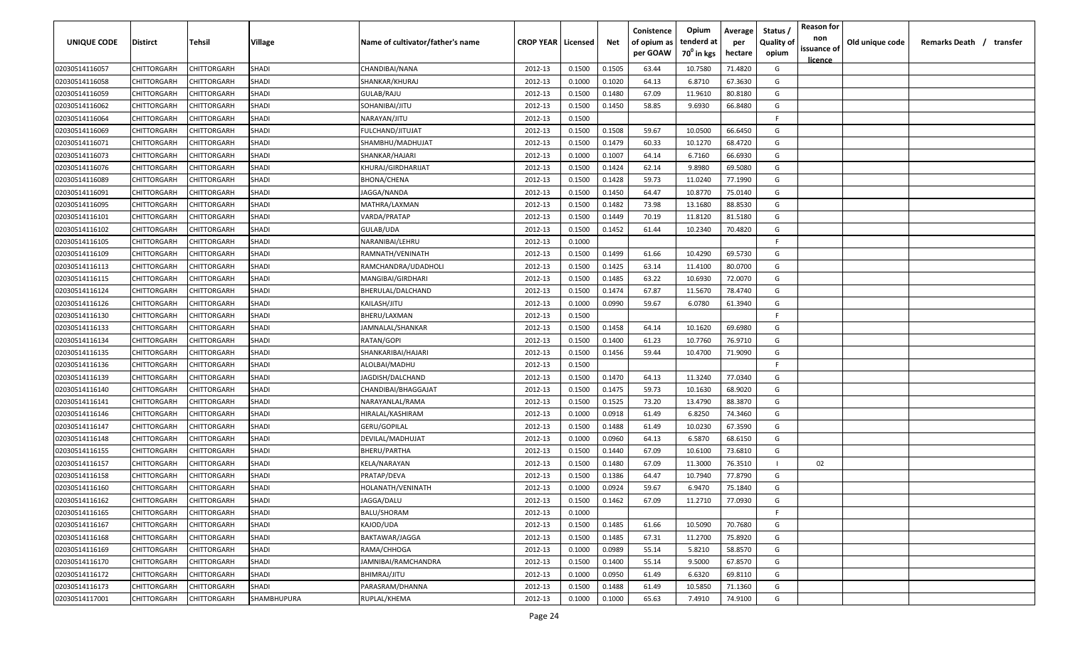| <b>UNIQUE CODE</b> | Distirct           | Tehsil             | Village      | Name of cultivator/father's name | <b>CROP YEAR   Licensed</b> |        | Net    | Conistence<br>of opium as | Opium<br>tenderd at    | Average<br>per | Status /<br><b>Quality of</b> | <b>Reason for</b><br>non<br>issuance of | Old unique code | Remarks Death /<br>transfer |
|--------------------|--------------------|--------------------|--------------|----------------------------------|-----------------------------|--------|--------|---------------------------|------------------------|----------------|-------------------------------|-----------------------------------------|-----------------|-----------------------------|
|                    |                    |                    |              |                                  |                             |        |        | per GOAW                  | 70 <sup>0</sup> in kgs | hectare        | opium                         | <u>licence</u>                          |                 |                             |
| 02030514116057     | CHITTORGARH        | CHITTORGARH        | SHADI        | CHANDIBAI/NANA                   | 2012-13                     | 0.1500 | 0.1505 | 63.44                     | 10.7580                | 71.4820        | G                             |                                         |                 |                             |
| 02030514116058     | CHITTORGARH        | CHITTORGARH        | <b>SHADI</b> | SHANKAR/KHURAJ                   | 2012-13                     | 0.1000 | 0.1020 | 64.13                     | 6.8710                 | 67.3630        | G                             |                                         |                 |                             |
| 02030514116059     | CHITTORGARH        | CHITTORGARH        | <b>SHADI</b> | GULAB/RAJU                       | 2012-13                     | 0.1500 | 0.1480 | 67.09                     | 11.9610                | 80.8180        | G                             |                                         |                 |                             |
| 02030514116062     | CHITTORGARH        | CHITTORGARH        | SHADI        | SOHANIBAI/JITU                   | 2012-13                     | 0.1500 | 0.1450 | 58.85                     | 9.6930                 | 66.8480        | G                             |                                         |                 |                             |
| 02030514116064     | CHITTORGARH        | CHITTORGARH        | SHADI        | NARAYAN/JITU                     | 2012-13                     | 0.1500 |        |                           |                        |                | -F.                           |                                         |                 |                             |
| 02030514116069     | CHITTORGARH        | CHITTORGARH        | <b>SHADI</b> | FULCHAND/JITUJAT                 | 2012-13                     | 0.1500 | 0.1508 | 59.67                     | 10.0500                | 66.6450        | G                             |                                         |                 |                             |
| 02030514116071     | CHITTORGARH        | CHITTORGARH        | SHADI        | SHAMBHU/MADHUJAT                 | 2012-13                     | 0.1500 | 0.1479 | 60.33                     | 10.1270                | 68.4720        | G                             |                                         |                 |                             |
| 02030514116073     | CHITTORGARH        | CHITTORGARH        | SHADI        | SHANKAR/HAJARI                   | 2012-13                     | 0.1000 | 0.1007 | 64.14                     | 6.7160                 | 66.6930        | G                             |                                         |                 |                             |
| 02030514116076     | CHITTORGARH        | CHITTORGARH        | SHADI        | KHURAJ/GIRDHARIJAT               | 2012-13                     | 0.1500 | 0.1424 | 62.14                     | 9.8980                 | 69.5080        | G                             |                                         |                 |                             |
| 02030514116089     | CHITTORGARH        | CHITTORGARH        | <b>SHADI</b> | BHONA/CHENA                      | 2012-13                     | 0.1500 | 0.1428 | 59.73                     | 11.0240                | 77.1990        | G                             |                                         |                 |                             |
| 02030514116091     | CHITTORGARH        | CHITTORGARH        | SHADI        | IAGGA/NANDA                      | 2012-13                     | 0.1500 | 0.1450 | 64.47                     | 10.8770                | 75.0140        | G                             |                                         |                 |                             |
| 02030514116095     | CHITTORGARH        | CHITTORGARH        | SHADI        | MATHRA/LAXMAN                    | 2012-13                     | 0.1500 | 0.1482 | 73.98                     | 13.1680                | 88.8530        | G                             |                                         |                 |                             |
| 02030514116101     | CHITTORGARH        | CHITTORGARH        | SHADI        | VARDA/PRATAP                     | 2012-13                     | 0.1500 | 0.1449 | 70.19                     | 11.8120                | 81.5180        | G                             |                                         |                 |                             |
| 02030514116102     | CHITTORGARH        | CHITTORGARH        | <b>SHADI</b> | GULAB/UDA                        | 2012-13                     | 0.1500 | 0.1452 | 61.44                     | 10.2340                | 70.4820        | G                             |                                         |                 |                             |
| 02030514116105     | CHITTORGARH        | CHITTORGARH        | <b>SHADI</b> | NARANIBAI/LEHRU                  | 2012-13                     | 0.1000 |        |                           |                        |                | -F.                           |                                         |                 |                             |
| 02030514116109     | CHITTORGARH        | CHITTORGARH        | <b>SHADI</b> | RAMNATH/VENINATH                 | 2012-13                     | 0.1500 | 0.1499 | 61.66                     | 10.4290                | 69.5730        | G                             |                                         |                 |                             |
| 02030514116113     | CHITTORGARH        | CHITTORGARH        | <b>SHADI</b> | RAMCHANDRA/UDADHOLI              | 2012-13                     | 0.1500 | 0.1425 | 63.14                     | 11.4100                | 80.0700        | G                             |                                         |                 |                             |
| 02030514116115     | CHITTORGARH        | CHITTORGARH        | <b>SHADI</b> | MANGIBAI/GIRDHARI                | 2012-13                     | 0.1500 | 0.1485 | 63.22                     | 10.6930                | 72.0070        | G                             |                                         |                 |                             |
| 02030514116124     | CHITTORGARH        | CHITTORGARH        | <b>SHADI</b> | BHERULAL/DALCHAND                | 2012-13                     | 0.1500 | 0.1474 | 67.87                     | 11.5670                | 78.4740        | G                             |                                         |                 |                             |
| 02030514116126     | CHITTORGARH        | CHITTORGARH        | SHADI        | KAILASH/JITU                     | 2012-13                     | 0.1000 | 0.0990 | 59.67                     | 6.0780                 | 61.3940        | G                             |                                         |                 |                             |
| 02030514116130     | CHITTORGARH        | CHITTORGARH        | <b>SHADI</b> | BHERU/LAXMAN                     | 2012-13                     | 0.1500 |        |                           |                        |                | -F.                           |                                         |                 |                             |
| 02030514116133     | CHITTORGARH        | CHITTORGARH        | <b>SHADI</b> | JAMNALAL/SHANKAR                 | 2012-13                     | 0.1500 | 0.1458 | 64.14                     | 10.1620                | 69.6980        | G                             |                                         |                 |                             |
| 02030514116134     | CHITTORGARH        | CHITTORGARH        | SHADI        | RATAN/GOPI                       | 2012-13                     | 0.1500 | 0.1400 | 61.23                     | 10.7760                | 76.9710        | G                             |                                         |                 |                             |
| 02030514116135     | CHITTORGARH        | CHITTORGARH        | <b>SHADI</b> | SHANKARIBAI/HAJARI               | 2012-13                     | 0.1500 | 0.1456 | 59.44                     | 10.4700                | 71.9090        | G                             |                                         |                 |                             |
| 02030514116136     | CHITTORGARH        | CHITTORGARH        | SHADI        | ALOLBAI/MADHU                    | 2012-13                     | 0.1500 |        |                           |                        |                | -F                            |                                         |                 |                             |
| 02030514116139     | CHITTORGARH        | CHITTORGARH        | SHADI        | JAGDISH/DALCHAND                 | 2012-13                     | 0.1500 | 0.1470 | 64.13                     | 11.3240                | 77.0340        | G                             |                                         |                 |                             |
| 02030514116140     | CHITTORGARH        | CHITTORGARH        | <b>SHADI</b> | CHANDIBAI/BHAGGAJAT              | 2012-13                     | 0.1500 | 0.1475 | 59.73                     | 10.1630                | 68.9020        | G                             |                                         |                 |                             |
| 02030514116141     | CHITTORGARH        | CHITTORGARH        | SHADI        | NARAYANLAL/RAMA                  | 2012-13                     | 0.1500 | 0.1525 | 73.20                     | 13.4790                | 88.3870        | G                             |                                         |                 |                             |
| 02030514116146     | CHITTORGARH        | CHITTORGARH        | SHADI        | HIRALAL/KASHIRAM                 | 2012-13                     | 0.1000 | 0.0918 | 61.49                     | 6.8250                 | 74.3460        | G                             |                                         |                 |                             |
| 02030514116147     | CHITTORGARH        | CHITTORGARH        | SHADI        | GERU/GOPILAL                     | 2012-13                     | 0.1500 | 0.1488 | 61.49                     | 10.0230                | 67.3590        | G                             |                                         |                 |                             |
| 02030514116148     | CHITTORGARH        | CHITTORGARH        | SHADI        | DEVILAL/MADHUJAT                 | 2012-13                     | 0.1000 | 0.0960 | 64.13                     | 6.5870                 | 68.6150        | G                             |                                         |                 |                             |
| 02030514116155     | CHITTORGARH        | CHITTORGARH        | SHADI        | BHERU/PARTHA                     | 2012-13                     | 0.1500 | 0.1440 | 67.09                     | 10.6100                | 73.6810        | G                             |                                         |                 |                             |
| 02030514116157     | CHITTORGARH        | CHITTORGARH        | SHADI        | KELA/NARAYAN                     | 2012-13                     | 0.1500 | 0.1480 | 67.09                     | 11.3000                | 76.3510        |                               | 02                                      |                 |                             |
| 02030514116158     | CHITTORGARH        | CHITTORGARH        | SHADI        | PRATAP/DEVA                      | 2012-13                     | 0.1500 | 0.1386 | 64.47                     | 10.7940                | 77.8790        | G                             |                                         |                 |                             |
| 02030514116160     | CHITTORGARH        | CHITTORGARH        | SHADI        | HOLANATH/VENINATH                | 2012-13                     | 0.1000 | 0.0924 | 59.67                     | 6.9470                 | 75.1840        | G                             |                                         |                 |                             |
| 02030514116162     | CHITTORGARH        | <b>CHITTORGARH</b> | <b>SHADI</b> | JAGGA/DALU                       | 2012-13                     | 0.1500 | 0.1462 | 67.09                     | 11.2710                | 77.0930        | G                             |                                         |                 |                             |
| 02030514116165     | <b>CHITTORGARH</b> | CHITTORGARH        | <b>SHADI</b> | BALU/SHORAM                      | 2012-13                     | 0.1000 |        |                           |                        |                | F.                            |                                         |                 |                             |
| 02030514116167     | <b>CHITTORGARH</b> | CHITTORGARH        | <b>SHADI</b> | KAJOD/UDA                        | 2012-13                     | 0.1500 | 0.1485 | 61.66                     | 10.5090                | 70.7680        | G                             |                                         |                 |                             |
| 02030514116168     | <b>CHITTORGARH</b> | CHITTORGARH        | <b>SHADI</b> | BAKTAWAR/JAGGA                   | 2012-13                     | 0.1500 | 0.1485 | 67.31                     | 11.2700                | 75.8920        | G                             |                                         |                 |                             |
| 02030514116169     | CHITTORGARH        | CHITTORGARH        | SHADI        | RAMA/CHHOGA                      | 2012-13                     | 0.1000 | 0.0989 | 55.14                     | 5.8210                 | 58.8570        | G                             |                                         |                 |                             |
| 02030514116170     | CHITTORGARH        | CHITTORGARH        | <b>SHADI</b> | JAMNIBAI/RAMCHANDRA              | 2012-13                     | 0.1500 | 0.1400 | 55.14                     | 9.5000                 | 67.8570        | G                             |                                         |                 |                             |
| 02030514116172     | CHITTORGARH        | CHITTORGARH        | SHADI        | BHIMRAJ/JITU                     | 2012-13                     | 0.1000 | 0.0950 | 61.49                     | 6.6320                 | 69.8110        | G                             |                                         |                 |                             |
| 02030514116173     | CHITTORGARH        | CHITTORGARH        | SHADI        | PARASRAM/DHANNA                  | 2012-13                     | 0.1500 | 0.1488 | 61.49                     | 10.5850                | 71.1360        | G                             |                                         |                 |                             |
| 02030514117001     | <b>CHITTORGARH</b> | CHITTORGARH        | SHAMBHUPURA  | RUPLAL/KHEMA                     | 2012-13                     | 0.1000 | 0.1000 | 65.63                     | 7.4910                 | 74.9100        | G                             |                                         |                 |                             |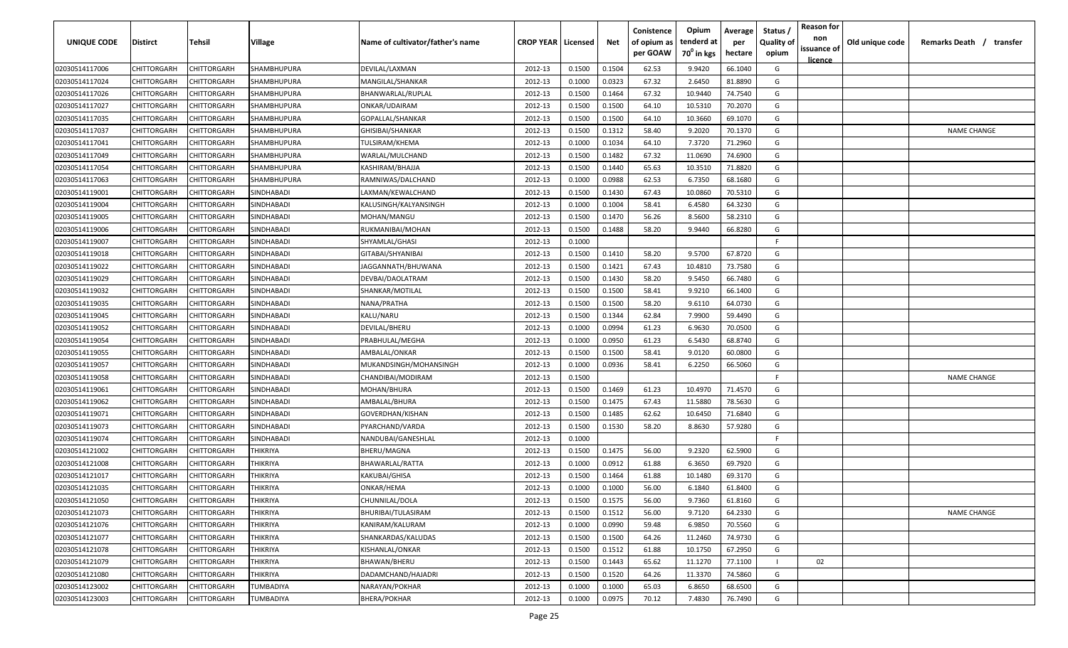| <b>UNIQUE CODE</b><br>Distirct       | Tehsil      | Village                | Name of cultivator/father's name | <b>CROP YEAR   Licensed</b> |        | Net    | Conistence<br>of opium as | Opium<br>tenderd at    | Average<br>per | Status /<br><b>Quality of</b> | <b>Reason for</b><br>non      | Old unique code | Remarks Death / transfer |
|--------------------------------------|-------------|------------------------|----------------------------------|-----------------------------|--------|--------|---------------------------|------------------------|----------------|-------------------------------|-------------------------------|-----------------|--------------------------|
|                                      |             |                        |                                  |                             |        |        | per GOAW                  | 70 <sup>0</sup> in kgs | hectare        | opium                         | issuance of<br><u>licence</u> |                 |                          |
| CHITTORGARH<br>02030514117006        | CHITTORGARH | SHAMBHUPURA            | DEVILAL/LAXMAN                   | 2012-13                     | 0.1500 | 0.1504 | 62.53                     | 9.9420                 | 66.1040        | G                             |                               |                 |                          |
| 02030514117024<br>CHITTORGARH        | CHITTORGARH | SHAMBHUPURA            | <b>MANGILAL/SHANKAR</b>          | 2012-13                     | 0.1000 | 0.0323 | 67.32                     | 2.6450                 | 81.8890        | G                             |                               |                 |                          |
| 02030514117026<br>CHITTORGARH        | CHITTORGARH | SHAMBHUPURA            | BHANWARLAL/RUPLAL                | 2012-13                     | 0.1500 | 0.1464 | 67.32                     | 10.9440                | 74.7540        | G                             |                               |                 |                          |
| 02030514117027<br>CHITTORGARH        | CHITTORGARH | SHAMBHUPURA            | ONKAR/UDAIRAM                    | 2012-13                     | 0.1500 | 0.1500 | 64.10                     | 10.5310                | 70.2070        | G                             |                               |                 |                          |
| 02030514117035<br>CHITTORGARH        | CHITTORGARH | SHAMBHUPURA            | GOPALLAL/SHANKAR                 | 2012-13                     | 0.1500 | 0.1500 | 64.10                     | 10.3660                | 69.1070        | G                             |                               |                 |                          |
| 02030514117037<br>CHITTORGARH        | CHITTORGARH | SHAMBHUPURA            | GHISIBAI/SHANKAR                 | 2012-13                     | 0.1500 | 0.1312 | 58.40                     | 9.2020                 | 70.1370        | G                             |                               |                 | <b>NAME CHANGE</b>       |
| CHITTORGARH<br>02030514117041        | CHITTORGARH | SHAMBHUPURA            | TULSIRAM/KHEMA                   | 2012-13                     | 0.1000 | 0.1034 | 64.10                     | 7.3720                 | 71.2960        | G                             |                               |                 |                          |
| 02030514117049<br>CHITTORGARH        | CHITTORGARH | SHAMBHUPURA            | WARLAL/MULCHAND                  | 2012-13                     | 0.1500 | 0.1482 | 67.32                     | 11.0690                | 74.6900        | G                             |                               |                 |                          |
| 02030514117054<br>CHITTORGARH        | CHITTORGARH | SHAMBHUPURA            | KASHIRAM/BHAJJA                  | 2012-13                     | 0.1500 | 0.1440 | 65.63                     | 10.3510                | 71.8820        | G                             |                               |                 |                          |
| 02030514117063<br>CHITTORGARH        | CHITTORGARH | SHAMBHUPURA            | RAMNIWAS/DALCHAND                | 2012-13                     | 0.1000 | 0.0988 | 62.53                     | 6.7350                 | 68.1680        | G                             |                               |                 |                          |
| CHITTORGARH<br>02030514119001        | CHITTORGARH | SINDHABADI             | LAXMAN/KEWALCHAND                | 2012-13                     | 0.1500 | 0.1430 | 67.43                     | 10.0860                | 70.5310        | G                             |                               |                 |                          |
| 02030514119004<br>CHITTORGARH        | CHITTORGARH | SINDHABADI             | KALUSINGH/KALYANSINGH            | 2012-13                     | 0.1000 | 0.1004 | 58.41                     | 6.4580                 | 64.3230        | G                             |                               |                 |                          |
| CHITTORGARH<br>02030514119005        | CHITTORGARH | SINDHABADI             | MOHAN/MANGU                      | 2012-13                     | 0.1500 | 0.1470 | 56.26                     | 8.5600                 | 58.2310        | G                             |                               |                 |                          |
| CHITTORGARH<br>02030514119006        | CHITTORGARH | SINDHABADI             | RUKMANIBAI/MOHAN                 | 2012-13                     | 0.1500 | 0.1488 | 58.20                     | 9.9440                 | 66.8280        | G                             |                               |                 |                          |
| CHITTORGARH<br>02030514119007        | CHITTORGARH | SINDHABADI             | SHYAMLAL/GHASI                   | 2012-13                     | 0.1000 |        |                           |                        |                | -F.                           |                               |                 |                          |
| CHITTORGARH<br>02030514119018        | CHITTORGARH | SINDHABADI             | GITABAI/SHYANIBAI                | 2012-13                     | 0.1500 | 0.1410 | 58.20                     | 9.5700                 | 67.8720        | G                             |                               |                 |                          |
| 02030514119022<br>CHITTORGARH        | CHITTORGARH | SINDHABADI             | JAGGANNATH/BHUWANA               | 2012-13                     | 0.1500 | 0.1421 | 67.43                     | 10.4810                | 73.7580        | G                             |                               |                 |                          |
| 02030514119029<br>CHITTORGARH        | CHITTORGARH | SINDHABADI             | DEVBAI/DAOLATRAM                 | 2012-13                     | 0.1500 | 0.1430 | 58.20                     | 9.5450                 | 66.7480        | G                             |                               |                 |                          |
| CHITTORGARH<br>02030514119032        | CHITTORGARH | SINDHABADI             | SHANKAR/MOTILAL                  | 2012-13                     | 0.1500 | 0.1500 | 58.41                     | 9.9210                 | 66.1400        | G                             |                               |                 |                          |
| 02030514119035<br>CHITTORGARH        | CHITTORGARH | SINDHABADI             | NANA/PRATHA                      | 2012-13                     | 0.1500 | 0.1500 | 58.20                     | 9.6110                 | 64.0730        | G                             |                               |                 |                          |
| CHITTORGARH<br>02030514119045        | CHITTORGARH | SINDHABADI             | KALU/NARU                        | 2012-13                     | 0.1500 | 0.1344 | 62.84                     | 7.9900                 | 59.4490        | G                             |                               |                 |                          |
| CHITTORGARH<br>02030514119052        | CHITTORGARH | SINDHABADI             | DEVILAL/BHERU                    | 2012-13                     | 0.1000 | 0.0994 | 61.23                     | 6.9630                 | 70.0500        | G                             |                               |                 |                          |
| CHITTORGARH<br>02030514119054        | CHITTORGARH | SINDHABADI             | PRABHULAL/MEGHA                  | 2012-13                     | 0.1000 | 0.0950 | 61.23                     | 6.5430                 | 68.8740        | G                             |                               |                 |                          |
| 02030514119055<br>CHITTORGARH        | CHITTORGARH | SINDHABADI             | AMBALAL/ONKAR                    | 2012-13                     | 0.1500 | 0.1500 | 58.41                     | 9.0120                 | 60.0800        | G                             |                               |                 |                          |
| 02030514119057<br>CHITTORGARH        | CHITTORGARH | SINDHABADI             | MUKANDSINGH/MOHANSINGH           | 2012-13                     | 0.1000 | 0.0936 | 58.41                     | 6.2250                 | 66.5060        | G                             |                               |                 |                          |
| 02030514119058<br>CHITTORGARH        | CHITTORGARH | SINDHABADI             | CHANDIBAI/MODIRAM                | 2012-13                     | 0.1500 |        |                           |                        |                | -F.                           |                               |                 | <b>NAME CHANGE</b>       |
| 02030514119061<br>CHITTORGARH        | CHITTORGARH | SINDHABADI             | MOHAN/BHURA                      | 2012-13                     | 0.1500 | 0.1469 | 61.23                     | 10.4970                | 71.4570        | G                             |                               |                 |                          |
| 02030514119062<br>CHITTORGARH        | CHITTORGARH | SINDHABADI             | AMBALAL/BHURA                    | 2012-13                     | 0.1500 | 0.1475 | 67.43                     | 11.5880                | 78.5630        | G                             |                               |                 |                          |
| 02030514119071<br>CHITTORGARH        | CHITTORGARH | SINDHABADI             | GOVERDHAN/KISHAN                 | 2012-13                     | 0.1500 | 0.1485 | 62.62                     | 10.6450                | 71.6840        | G                             |                               |                 |                          |
| CHITTORGARH<br>02030514119073        | CHITTORGARH | SINDHABADI             | PYARCHAND/VARDA                  | 2012-13                     | 0.1500 | 0.1530 | 58.20                     | 8.8630                 | 57.9280        | G                             |                               |                 |                          |
| CHITTORGARH<br>02030514119074        | CHITTORGARH | SINDHABADI             | NANDUBAI/GANESHLAL               | 2012-13                     | 0.1000 |        |                           |                        |                | -F.                           |                               |                 |                          |
| 02030514121002<br>CHITTORGARH        | CHITTORGARH | THIKRIYA               | BHERU/MAGNA                      | 2012-13                     | 0.1500 | 0.1475 | 56.00                     | 9.2320                 | 62.5900        | G                             |                               |                 |                          |
| 02030514121008<br>CHITTORGARH        | CHITTORGARH | THIKRIYA               | BHAWARLAL/RATTA                  | 2012-13                     | 0.1000 | 0.0912 | 61.88                     | 6.3650                 | 69.7920        | G                             |                               |                 |                          |
| 02030514121017<br>CHITTORGARH        | CHITTORGARH | THIKRIYA               | KAKUBAI/GHISA                    | 2012-13                     | 0.1500 | 0.1464 | 61.88                     | 10.1480                | 69.3170        | G                             |                               |                 |                          |
| 02030514121035<br>CHITTORGARH        | CHITTORGARH | THIKRIYA               | ONKAR/HEMA                       | 2012-13                     | 0.1000 | 0.1000 | 56.00                     | 6.1840                 | 61.8400        | G                             |                               |                 |                          |
| 02030514121050<br><b>CHITTORGARH</b> | CHITTORGARH | THIKRIYA               | CHUNNILAL/DOLA                   | 2012-13                     | 0.1500 | 0.1575 | 56.00                     | 9.7360                 | 61.8160        | G                             |                               |                 |                          |
| <b>CHITTORGARH</b><br>02030514121073 | CHITTORGARH | THIKRIYA               | BHURIBAI/TULASIRAM               | 2012-13                     | 0.1500 | 0.1512 | 56.00                     | 9.7120                 | 64.2330        | G                             |                               |                 | <b>NAME CHANGE</b>       |
| 02030514121076<br><b>CHITTORGARH</b> | CHITTORGARH | THIKRIYA               | KANIRAM/KALURAM                  | 2012-13                     | 0.1000 | 0.0990 | 59.48                     | 6.9850                 | 70.5560        | G                             |                               |                 |                          |
| 02030514121077<br><b>CHITTORGARH</b> | CHITTORGARH | THIKRIYA               | SHANKARDAS/KALUDAS               | 2012-13                     | 0.1500 | 0.1500 | 64.26                     | 11.2460                | 74.9730        | G                             |                               |                 |                          |
| 02030514121078<br>CHITTORGARH        | CHITTORGARH | <b><i>THIKRIYA</i></b> | KISHANLAL/ONKAR                  | 2012-13                     | 0.1500 | 0.1512 | 61.88                     | 10.1750                | 67.2950        | G                             |                               |                 |                          |
| 02030514121079<br>CHITTORGARH        | CHITTORGARH | THIKRIYA               | <b>BHAWAN/BHERU</b>              | 2012-13                     | 0.1500 | 0.1443 | 65.62                     | 11.1270                | 77.1100        |                               | 02                            |                 |                          |
| 02030514121080<br>CHITTORGARH        | CHITTORGARH | THIKRIYA               | DADAMCHAND/HAJADRI               | 2012-13                     | 0.1500 | 0.1520 | 64.26                     | 11.3370                | 74.5860        | G                             |                               |                 |                          |
| 02030514123002<br>CHITTORGARH        | CHITTORGARH | TUMBADIYA              | NARAYAN/POKHAR                   | 2012-13                     | 0.1000 | 0.1000 | 65.03                     | 6.8650                 | 68.6500        | G                             |                               |                 |                          |
| 02030514123003<br>CHITTORGARH        | CHITTORGARH | TUMBADIYA              | BHERA/POKHAR                     | 2012-13                     | 0.1000 | 0.0975 | 70.12                     | 7.4830                 | 76.7490        | G                             |                               |                 |                          |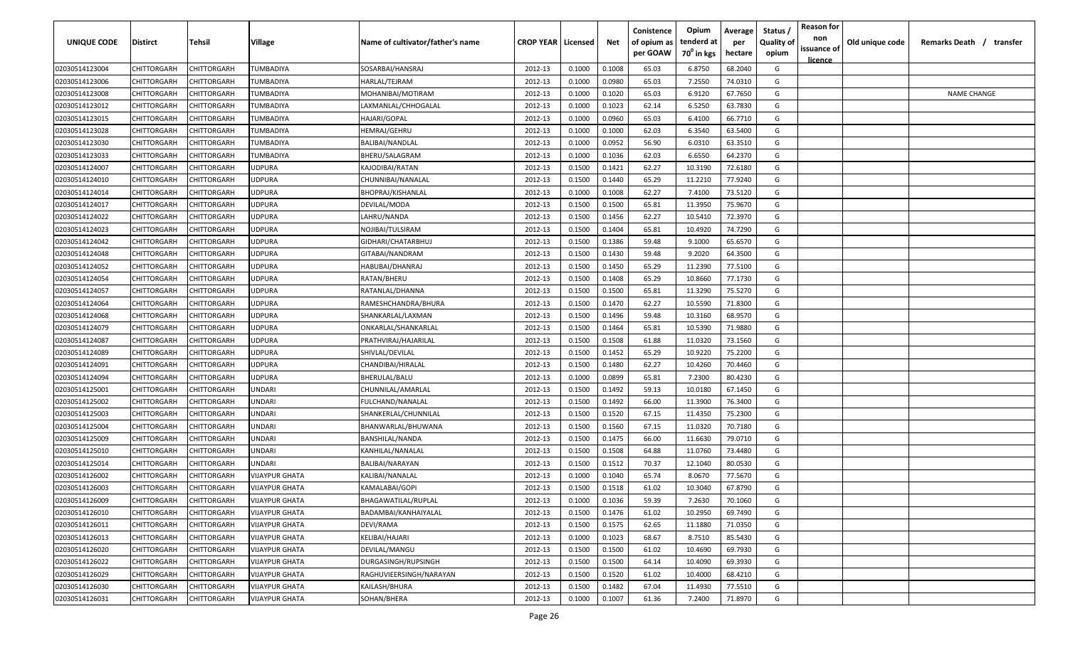| <b>UNIQUE CODE</b> | Distirct           | Tehsil             | Village               | Name of cultivator/father's name | <b>CROP YEAR   Licensed</b> |        | Net    | Conistence<br>of opium as<br>per GOAW | Opium<br>tenderd at<br>70 <sup>0</sup> in kgs | Average<br>per<br>hectare | Status /<br><b>Quality of</b><br>opium | <b>Reason for</b><br>non<br>issuance of | Old unique code | Remarks Death /<br>transfer |
|--------------------|--------------------|--------------------|-----------------------|----------------------------------|-----------------------------|--------|--------|---------------------------------------|-----------------------------------------------|---------------------------|----------------------------------------|-----------------------------------------|-----------------|-----------------------------|
|                    |                    |                    |                       |                                  |                             |        |        |                                       |                                               |                           |                                        | <u>licence</u>                          |                 |                             |
| 02030514123004     | CHITTORGARH        | CHITTORGARH        | TUMBADIYA             | SOSARBAI/HANSRAJ                 | 2012-13                     | 0.1000 | 0.1008 | 65.03                                 | 6.8750                                        | 68.2040                   | G                                      |                                         |                 |                             |
| 02030514123006     | CHITTORGARH        | CHITTORGARH        | TUMBADIYA             | HARLAL/TEJRAM                    | 2012-13                     | 0.1000 | 0.0980 | 65.03                                 | 7.2550                                        | 74.0310                   | G                                      |                                         |                 |                             |
| 02030514123008     | CHITTORGARH        | CHITTORGARH        | TUMBADIYA             | MOHANIBAI/MOTIRAM                | 2012-13                     | 0.1000 | 0.1020 | 65.03                                 | 6.9120                                        | 67.7650                   | G                                      |                                         |                 | <b>NAME CHANGE</b>          |
| 02030514123012     | CHITTORGARH        | CHITTORGARH        | TUMBADIYA             | LAXMANLAL/CHHOGALAL              | 2012-13                     | 0.1000 | 0.1023 | 62.14                                 | 6.5250                                        | 63.7830                   | G                                      |                                         |                 |                             |
| 02030514123015     | CHITTORGARH        | CHITTORGARH        | TUMBADIYA             | HAJARI/GOPAL                     | 2012-13                     | 0.1000 | 0.0960 | 65.03                                 | 6.4100                                        | 66.7710                   | G                                      |                                         |                 |                             |
| 02030514123028     | CHITTORGARH        | CHITTORGARH        | TUMBADIYA             | HEMRAJ/GEHRU                     | 2012-13                     | 0.1000 | 0.1000 | 62.03                                 | 6.3540                                        | 63.5400                   | G                                      |                                         |                 |                             |
| 02030514123030     | CHITTORGARH        | CHITTORGARH        | TUMBADIYA             | BALIBAI/NANDLAL                  | 2012-13                     | 0.1000 | 0.0952 | 56.90                                 | 6.0310                                        | 63.3510                   | G                                      |                                         |                 |                             |
| 02030514123033     | CHITTORGARH        | CHITTORGARH        | TUMBADIYA             | BHERU/SALAGRAM                   | 2012-13                     | 0.1000 | 0.1036 | 62.03                                 | 6.6550                                        | 64.2370                   | G                                      |                                         |                 |                             |
| 02030514124007     | CHITTORGARH        | CHITTORGARH        | <b>JDPURA</b>         | KAJODIBAI/RATAN                  | 2012-13                     | 0.1500 | 0.1421 | 62.27                                 | 10.3190                                       | 72.6180                   | G                                      |                                         |                 |                             |
| 02030514124010     | CHITTORGARH        | CHITTORGARH        | JDPURA                | CHUNNIBAI/NANALAL                | 2012-13                     | 0.1500 | 0.1440 | 65.29                                 | 11.2210                                       | 77.9240                   | G                                      |                                         |                 |                             |
| 02030514124014     | CHITTORGARH        | CHITTORGARH        | JDPURA                | BHOPRAJ/KISHANLAL                | 2012-13                     | 0.1000 | 0.1008 | 62.27                                 | 7.4100                                        | 73.5120                   | G                                      |                                         |                 |                             |
| 02030514124017     | CHITTORGARH        | CHITTORGARH        | JDPURA                | DEVILAL/MODA                     | 2012-13                     | 0.1500 | 0.1500 | 65.81                                 | 11.3950                                       | 75.9670                   | G                                      |                                         |                 |                             |
| 02030514124022     | CHITTORGARH        | CHITTORGARH        | <b>JDPURA</b>         | LAHRU/NANDA                      | 2012-13                     | 0.1500 | 0.1456 | 62.27                                 | 10.5410                                       | 72.3970                   | G                                      |                                         |                 |                             |
| 02030514124023     | CHITTORGARH        | CHITTORGARH        | <b>JDPURA</b>         | NOJIBAI/TULSIRAM                 | 2012-13                     | 0.1500 | 0.1404 | 65.81                                 | 10.4920                                       | 74.7290                   | G                                      |                                         |                 |                             |
| 02030514124042     | CHITTORGARH        | CHITTORGARH        | <b>JDPURA</b>         | GIDHARI/CHATARBHUJ               | 2012-13                     | 0.1500 | 0.1386 | 59.48                                 | 9.1000                                        | 65.6570                   | G                                      |                                         |                 |                             |
| 02030514124048     | CHITTORGARH        | CHITTORGARH        | <b>JDPURA</b>         | GITABAI/NANDRAM                  | 2012-13                     | 0.1500 | 0.1430 | 59.48                                 | 9.2020                                        | 64.3500                   | G                                      |                                         |                 |                             |
| 02030514124052     | CHITTORGARH        | CHITTORGARH        | <b>JDPURA</b>         | HABUBAI/DHANRAJ                  | 2012-13                     | 0.1500 | 0.1450 | 65.29                                 | 11.2390                                       | 77.5100                   | G                                      |                                         |                 |                             |
| 02030514124054     | CHITTORGARH        | CHITTORGARH        | <b>JDPURA</b>         | RATAN/BHERU                      | 2012-13                     | 0.1500 | 0.1408 | 65.29                                 | 10.8660                                       | 77.1730                   | G                                      |                                         |                 |                             |
| 02030514124057     | CHITTORGARH        | CHITTORGARH        | JDPURA                | RATANLAL/DHANNA                  | 2012-13                     | 0.1500 | 0.1500 | 65.81                                 | 11.3290                                       | 75.5270                   | G                                      |                                         |                 |                             |
| 02030514124064     | CHITTORGARH        | CHITTORGARH        | <b>JDPURA</b>         | RAMESHCHANDRA/BHURA              | 2012-13                     | 0.1500 | 0.1470 | 62.27                                 | 10.5590                                       | 71.8300                   | G                                      |                                         |                 |                             |
| 02030514124068     | CHITTORGARH        | CHITTORGARH        | <b>JDPURA</b>         | SHANKARLAL/LAXMAN                | 2012-13                     | 0.1500 | 0.1496 | 59.48                                 | 10.3160                                       | 68.9570                   | G                                      |                                         |                 |                             |
| 02030514124079     | CHITTORGARH        | CHITTORGARH        | <b>JDPURA</b>         | ONKARLAL/SHANKARLAL              | 2012-13                     | 0.1500 | 0.1464 | 65.81                                 | 10.5390                                       | 71.9880                   | G                                      |                                         |                 |                             |
| 02030514124087     | CHITTORGARH        | CHITTORGARH        | <b>JDPURA</b>         | PRATHVIRAJ/HAJARILAL             | 2012-13                     | 0.1500 | 0.1508 | 61.88                                 | 11.0320                                       | 73.1560                   | G                                      |                                         |                 |                             |
| 02030514124089     | CHITTORGARH        | CHITTORGARH        | <b>JDPURA</b>         | SHIVLAL/DEVILAL                  | 2012-13                     | 0.1500 | 0.1452 | 65.29                                 | 10.9220                                       | 75.2200                   | G                                      |                                         |                 |                             |
| 02030514124091     | CHITTORGARH        | CHITTORGARH        | <b>JDPURA</b>         | CHANDIBAI/HIRALAL                | 2012-13                     | 0.1500 | 0.1480 | 62.27                                 | 10.4260                                       | 70.4460                   | G                                      |                                         |                 |                             |
| 02030514124094     | CHITTORGARH        | CHITTORGARH        | <b>JDPURA</b>         | BHERULAL/BALU                    | 2012-13                     | 0.1000 | 0.0899 | 65.81                                 | 7.2300                                        | 80.4230                   | G                                      |                                         |                 |                             |
| 02030514125001     | CHITTORGARH        | CHITTORGARH        | JNDARI                | CHUNNILAL/AMARLAL                | 2012-13                     | 0.1500 | 0.1492 | 59.13                                 | 10.0180                                       | 67.1450                   | G                                      |                                         |                 |                             |
| 02030514125002     | CHITTORGARH        | CHITTORGARH        | JNDARI                | FULCHAND/NANALAL                 | 2012-13                     | 0.1500 | 0.1492 | 66.00                                 | 11.3900                                       | 76.3400                   | G                                      |                                         |                 |                             |
| 02030514125003     | CHITTORGARH        | CHITTORGARH        | JNDARI                | SHANKERLAL/CHUNNILAL             | 2012-13                     | 0.1500 | 0.1520 | 67.15                                 | 11.4350                                       | 75.2300                   | G                                      |                                         |                 |                             |
| 02030514125004     | CHITTORGARH        | CHITTORGARH        | <b>JNDARI</b>         | BHANWARLAL/BHUWANA               | 2012-13                     | 0.1500 | 0.1560 | 67.15                                 | 11.0320                                       | 70.7180                   | G                                      |                                         |                 |                             |
| 02030514125009     | CHITTORGARH        | CHITTORGARH        | <b>JNDARI</b>         | BANSHILAL/NANDA                  | 2012-13                     | 0.1500 | 0.1475 | 66.00                                 | 11.6630                                       | 79.0710                   | G                                      |                                         |                 |                             |
| 02030514125010     | CHITTORGARH        | CHITTORGARH        | <b>JNDARI</b>         | KANHILAL/NANALAL                 | 2012-13                     | 0.1500 | 0.1508 | 64.88                                 | 11.0760                                       | 73.4480                   | G                                      |                                         |                 |                             |
| 02030514125014     | CHITTORGARH        | CHITTORGARH        | <b>JNDARI</b>         | <b>BALIBAI/NARAYAN</b>           | 2012-13                     | 0.1500 | 0.1512 | 70.37                                 | 12.1040                                       | 80.0530                   | G                                      |                                         |                 |                             |
| 02030514126002     | CHITTORGARH        | CHITTORGARH        | VIJAYPUR GHATA        | KALIBAI/NANALAL                  | 2012-13                     | 0.1000 | 0.1040 | 65.74                                 | 8.0670                                        | 77.5670                   | G                                      |                                         |                 |                             |
| 02030514126003     | CHITTORGARH        | CHITTORGARH        | <b>VIJAYPUR GHATA</b> | KAMALABAI/GOPI                   | 2012-13                     | 0.1500 | 0.1518 | 61.02                                 | 10.3040                                       | 67.8790                   | G                                      |                                         |                 |                             |
| 02030514126009     | <b>CHITTORGARH</b> | <b>CHITTORGARH</b> | <b>VIJAYPUR GHATA</b> | BHAGAWATILAL/RUPLAL              | 2012-13                     | 0.1000 | 0.1036 | 59.39                                 | 7.2630                                        | 70.1060                   | G                                      |                                         |                 |                             |
| 02030514126010     | <b>CHITTORGARH</b> | CHITTORGARH        | <b>VIJAYPUR GHATA</b> | BADAMBAI/KANHAIYALAL             | 2012-13                     | 0.1500 | 0.1476 | 61.02                                 | 10.2950                                       | 69.7490                   | G                                      |                                         |                 |                             |
| 02030514126011     | CHITTORGARH        | CHITTORGARH        | <b>VIJAYPUR GHATA</b> | DEVI/RAMA                        | 2012-13                     | 0.1500 | 0.1575 | 62.65                                 | 11.1880                                       | 71.0350                   | G                                      |                                         |                 |                             |
| 02030514126013     | <b>CHITTORGARH</b> | CHITTORGARH        | <b>VIJAYPUR GHATA</b> | KELIBAI/HAJARI                   | 2012-13                     | 0.1000 | 0.1023 | 68.67                                 | 8.7510                                        | 85.5430                   | G                                      |                                         |                 |                             |
| 02030514126020     | CHITTORGARH        | CHITTORGARH        | VIJAYPUR GHATA        | DEVILAL/MANGU                    | 2012-13                     | 0.1500 | 0.1500 | 61.02                                 | 10.4690                                       | 69.7930                   | G                                      |                                         |                 |                             |
| 02030514126022     | CHITTORGARH        | CHITTORGARH        | <b>VIJAYPUR GHATA</b> | DURGASINGH/RUPSINGH              | 2012-13                     | 0.1500 | 0.1500 | 64.14                                 | 10.4090                                       | 69.3930                   | G                                      |                                         |                 |                             |
| 02030514126029     | CHITTORGARH        | CHITTORGARH        | VIJAYPUR GHATA        | RAGHUVIEERSINGH/NARAYAN          | 2012-13                     | 0.1500 | 0.1520 | 61.02                                 | 10.4000                                       | 68.4210                   | G                                      |                                         |                 |                             |
| 02030514126030     | CHITTORGARH        | CHITTORGARH        | VIJAYPUR GHATA        | KAILASH/BHURA                    | 2012-13                     | 0.1500 | 0.1482 | 67.04                                 | 11.4930                                       | 77.5510                   | G                                      |                                         |                 |                             |
| 02030514126031     | CHITTORGARH        | CHITTORGARH        | VIJAYPUR GHATA        | SOHAN/BHERA                      | 2012-13                     | 0.1000 | 0.1007 | 61.36                                 | 7.2400                                        | 71.8970                   | G                                      |                                         |                 |                             |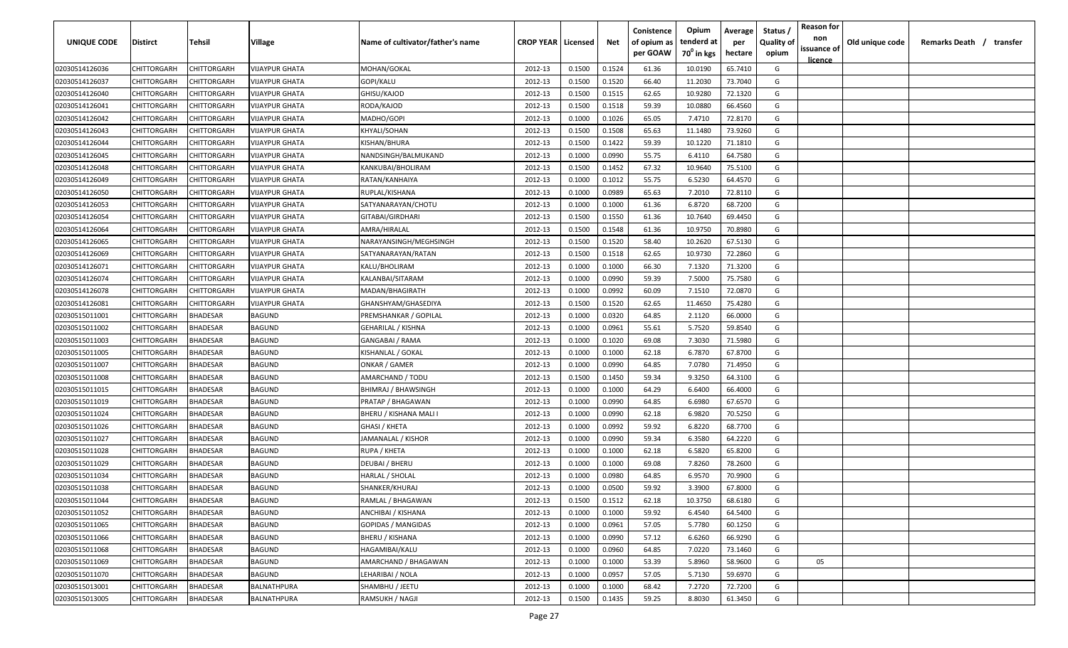| UNIQUE CODE    | Distirct           | Tehsil          | Village               | Name of cultivator/father's name | <b>CROP YEAR   Licensed</b> |        | Net    | Conistence<br>of opium as | Opium<br>tenderd at    | Average<br>per | Status /<br><b>Quality of</b> | <b>Reason for</b><br>non      | Old unique code | Remarks Death / transfer |
|----------------|--------------------|-----------------|-----------------------|----------------------------------|-----------------------------|--------|--------|---------------------------|------------------------|----------------|-------------------------------|-------------------------------|-----------------|--------------------------|
|                |                    |                 |                       |                                  |                             |        |        | per GOAW                  | 70 <sup>0</sup> in kgs | hectare        | opium                         | issuance of<br><u>licence</u> |                 |                          |
| 02030514126036 | CHITTORGARH        | CHITTORGARH     | <b>VIJAYPUR GHATA</b> | MOHAN/GOKAL                      | 2012-13                     | 0.1500 | 0.1524 | 61.36                     | 10.0190                | 65.7410        | G                             |                               |                 |                          |
| 02030514126037 | CHITTORGARH        | CHITTORGARH     | VIJAYPUR GHATA        | GOPI/KALU                        | 2012-13                     | 0.1500 | 0.1520 | 66.40                     | 11.2030                | 73.7040        | G                             |                               |                 |                          |
| 02030514126040 | CHITTORGARH        | CHITTORGARH     | <b>VIJAYPUR GHATA</b> | GHISU/KAJOD                      | 2012-13                     | 0.1500 | 0.1515 | 62.65                     | 10.9280                | 72.1320        | G                             |                               |                 |                          |
| 02030514126041 | CHITTORGARH        | CHITTORGARH     | <b>VIJAYPUR GHATA</b> | RODA/KAJOD                       | 2012-13                     | 0.1500 | 0.1518 | 59.39                     | 10.0880                | 66.4560        | G                             |                               |                 |                          |
| 02030514126042 | CHITTORGARH        | CHITTORGARH     | VIJAYPUR GHATA        | MADHO/GOPI                       | 2012-13                     | 0.1000 | 0.1026 | 65.05                     | 7.4710                 | 72.8170        | G                             |                               |                 |                          |
| 02030514126043 | CHITTORGARH        | CHITTORGARH     | VIJAYPUR GHATA        | KHYALI/SOHAN                     | 2012-13                     | 0.1500 | 0.1508 | 65.63                     | 11.1480                | 73.9260        | G                             |                               |                 |                          |
| 02030514126044 | CHITTORGARH        | CHITTORGARH     | <b>VIJAYPUR GHATA</b> | KISHAN/BHURA                     | 2012-13                     | 0.1500 | 0.1422 | 59.39                     | 10.1220                | 71.1810        | G                             |                               |                 |                          |
| 02030514126045 | CHITTORGARH        | CHITTORGARH     | <b>VIJAYPUR GHATA</b> | NANDSINGH/BALMUKAND              | 2012-13                     | 0.1000 | 0.0990 | 55.75                     | 6.4110                 | 64.7580        | G                             |                               |                 |                          |
| 02030514126048 | CHITTORGARH        | CHITTORGARH     | VIJAYPUR GHATA        | KANKUBAI/BHOLIRAM                | 2012-13                     | 0.1500 | 0.1452 | 67.32                     | 10.9640                | 75.5100        | G                             |                               |                 |                          |
| 02030514126049 | CHITTORGARH        | CHITTORGARH     | VIJAYPUR GHATA        | RATAN/KANHAIYA                   | 2012-13                     | 0.1000 | 0.1012 | 55.75                     | 6.5230                 | 64.4570        | G                             |                               |                 |                          |
| 02030514126050 | CHITTORGARH        | CHITTORGARH     | VIJAYPUR GHATA        | RUPLAL/KISHANA                   | 2012-13                     | 0.1000 | 0.0989 | 65.63                     | 7.2010                 | 72.8110        | G                             |                               |                 |                          |
| 02030514126053 | CHITTORGARH        | CHITTORGARH     | VIJAYPUR GHATA        | SATYANARAYAN/CHOTU               | 2012-13                     | 0.1000 | 0.1000 | 61.36                     | 6.8720                 | 68.7200        | G                             |                               |                 |                          |
| 02030514126054 | CHITTORGARH        | CHITTORGARH     | VIJAYPUR GHATA        | GITABAI/GIRDHARI                 | 2012-13                     | 0.1500 | 0.1550 | 61.36                     | 10.7640                | 69.4450        | G                             |                               |                 |                          |
| 02030514126064 | CHITTORGARH        | CHITTORGARH     | VIJAYPUR GHATA        | AMRA/HIRALAL                     | 2012-13                     | 0.1500 | 0.1548 | 61.36                     | 10.9750                | 70.8980        | G                             |                               |                 |                          |
| 02030514126065 | CHITTORGARH        | CHITTORGARH     | VIJAYPUR GHATA        | NARAYANSINGH/MEGHSINGH           | 2012-13                     | 0.1500 | 0.1520 | 58.40                     | 10.2620                | 67.5130        | G                             |                               |                 |                          |
| 02030514126069 | CHITTORGARH        | CHITTORGARH     | VIJAYPUR GHATA        | SATYANARAYAN/RATAN               | 2012-13                     | 0.1500 | 0.1518 | 62.65                     | 10.9730                | 72.2860        | G                             |                               |                 |                          |
| 02030514126071 | CHITTORGARH        | CHITTORGARH     | <b>VIJAYPUR GHATA</b> | KALU/BHOLIRAM                    | 2012-13                     | 0.1000 | 0.1000 | 66.30                     | 7.1320                 | 71.3200        | G                             |                               |                 |                          |
| 02030514126074 | CHITTORGARH        | CHITTORGARH     | <b>VIJAYPUR GHATA</b> | KALANBAI/SITARAM                 | 2012-13                     | 0.1000 | 0.0990 | 59.39                     | 7.5000                 | 75.7580        | G                             |                               |                 |                          |
| 02030514126078 | CHITTORGARH        | CHITTORGARH     | VIJAYPUR GHATA        | MADAN/BHAGIRATH                  | 2012-13                     | 0.1000 | 0.0992 | 60.09                     | 7.1510                 | 72.0870        | G                             |                               |                 |                          |
| 02030514126081 | CHITTORGARH        | CHITTORGARH     | <b>VIJAYPUR GHATA</b> | GHANSHYAM/GHASEDIYA              | 2012-13                     | 0.1500 | 0.1520 | 62.65                     | 11.4650                | 75.4280        | G                             |                               |                 |                          |
| 02030515011001 | CHITTORGARH        | <b>BHADESAR</b> | BAGUND                | PREMSHANKAR / GOPILAL            | 2012-13                     | 0.1000 | 0.0320 | 64.85                     | 2.1120                 | 66.0000        | G                             |                               |                 |                          |
| 02030515011002 | CHITTORGARH        | <b>BHADESAR</b> | BAGUND                | GEHARILAL / KISHNA               | 2012-13                     | 0.1000 | 0.0961 | 55.61                     | 5.7520                 | 59.8540        | G                             |                               |                 |                          |
| 02030515011003 | CHITTORGARH        | <b>BHADESAR</b> | BAGUND                | GANGABAI / RAMA                  | 2012-13                     | 0.1000 | 0.1020 | 69.08                     | 7.3030                 | 71.5980        | G                             |                               |                 |                          |
| 02030515011005 | CHITTORGARH        | BHADESAR        | BAGUND                | KISHANLAL / GOKAL                | 2012-13                     | 0.1000 | 0.1000 | 62.18                     | 6.7870                 | 67.8700        | G                             |                               |                 |                          |
| 02030515011007 | CHITTORGARH        | BHADESAR        | BAGUND                | ONKAR / GAMER                    | 2012-13                     | 0.1000 | 0.0990 | 64.85                     | 7.0780                 | 71.4950        | G                             |                               |                 |                          |
| 02030515011008 | CHITTORGARH        | BHADESAR        | BAGUND                | AMARCHAND / TODU                 | 2012-13                     | 0.1500 | 0.1450 | 59.34                     | 9.3250                 | 64.3100        | G                             |                               |                 |                          |
| 02030515011015 | CHITTORGARH        | BHADESAR        | BAGUND                | BHIMRAJ / BHAWSINGH              | 2012-13                     | 0.1000 | 0.1000 | 64.29                     | 6.6400                 | 66.4000        | G                             |                               |                 |                          |
| 02030515011019 | CHITTORGARH        | <b>BHADESAR</b> | BAGUND                | PRATAP / BHAGAWAN                | 2012-13                     | 0.1000 | 0.0990 | 64.85                     | 6.6980                 | 67.6570        | G                             |                               |                 |                          |
| 02030515011024 | CHITTORGARH        | BHADESAR        | BAGUND                | BHERU / KISHANA MALI I           | 2012-13                     | 0.1000 | 0.0990 | 62.18                     | 6.9820                 | 70.5250        | G                             |                               |                 |                          |
| 02030515011026 | CHITTORGARH        | BHADESAR        | BAGUND                | GHASI / KHETA                    | 2012-13                     | 0.1000 | 0.0992 | 59.92                     | 6.8220                 | 68.7700        | G                             |                               |                 |                          |
| 02030515011027 | CHITTORGARH        | BHADESAR        | BAGUND                | JAMANALAL / KISHOR               | 2012-13                     | 0.1000 | 0.0990 | 59.34                     | 6.3580                 | 64.2220        | G                             |                               |                 |                          |
| 02030515011028 | CHITTORGARH        | BHADESAR        | BAGUND                | RUPA / KHETA                     | 2012-13                     | 0.1000 | 0.1000 | 62.18                     | 6.5820                 | 65.8200        | G                             |                               |                 |                          |
| 02030515011029 | CHITTORGARH        | BHADESAR        | BAGUND                | DEUBAI / BHERU                   | 2012-13                     | 0.1000 | 0.1000 | 69.08                     | 7.8260                 | 78.2600        | G                             |                               |                 |                          |
| 02030515011034 | CHITTORGARH        | BHADESAR        | BAGUND                | HARLAL / SHOLAL                  | 2012-13                     | 0.1000 | 0.0980 | 64.85                     | 6.9570                 | 70.9900        | G                             |                               |                 |                          |
| 02030515011038 | <b>CHITTORGARH</b> | BHADESAR        | BAGUND                | SHANKER/KHURAJ                   | 2012-13                     | 0.1000 | 0.0500 | 59.92                     | 3.3900                 | 67.8000        | G                             |                               |                 |                          |
| 02030515011044 | <b>CHITTORGARH</b> | <b>BHADESAR</b> | BAGUND                | RAMLAL / BHAGAWAN                | 2012-13                     | 0.1500 | 0.1512 | 62.18                     | 10.3750                | 68.6180        | G                             |                               |                 |                          |
| 02030515011052 | CHITTORGARH        | <b>BHADESAR</b> | BAGUND                | ANCHIBAI / KISHANA               | 2012-13                     | 0.1000 | 0.1000 | 59.92                     | 6.4540                 | 64.5400        | G                             |                               |                 |                          |
| 02030515011065 | CHITTORGARH        | <b>BHADESAR</b> | <b>BAGUND</b>         | <b>GOPIDAS / MANGIDAS</b>        | 2012-13                     | 0.1000 | 0.0961 | 57.05                     | 5.7780                 | 60.1250        | G                             |                               |                 |                          |
| 02030515011066 | <b>CHITTORGARH</b> | <b>BHADESAR</b> | BAGUND                | <b>BHERU / KISHANA</b>           | 2012-13                     | 0.1000 | 0.0990 | 57.12                     | 6.6260                 | 66.9290        | G                             |                               |                 |                          |
| 02030515011068 | CHITTORGARH        | BHADESAR        | BAGUND                | HAGAMIBAI/KALU                   | 2012-13                     | 0.1000 | 0.0960 | 64.85                     | 7.0220                 | 73.1460        | G                             |                               |                 |                          |
| 02030515011069 | CHITTORGARH        | BHADESAR        | <b>BAGUND</b>         | AMARCHAND / BHAGAWAN             | 2012-13                     | 0.1000 | 0.1000 | 53.39                     | 5.8960                 | 58.9600        | G                             | 05                            |                 |                          |
| 02030515011070 | <b>CHITTORGARH</b> | <b>BHADESAR</b> | BAGUND                | LEHARIBAI / NOLA                 | 2012-13                     | 0.1000 | 0.0957 | 57.05                     | 5.7130                 | 59.6970        | G                             |                               |                 |                          |
| 02030515013001 | CHITTORGARH        | BHADESAR        | BALNATHPURA           | SHAMBHU / JEETU                  | 2012-13                     | 0.1000 | 0.1000 | 68.42                     | 7.2720                 | 72.7200        | G                             |                               |                 |                          |
| 02030515013005 | <b>CHITTORGARH</b> | <b>BHADESAR</b> | BALNATHPURA           | RAMSUKH / NAGJI                  | 2012-13                     | 0.1500 | 0.1435 | 59.25                     | 8.8030                 | 61.3450        | G                             |                               |                 |                          |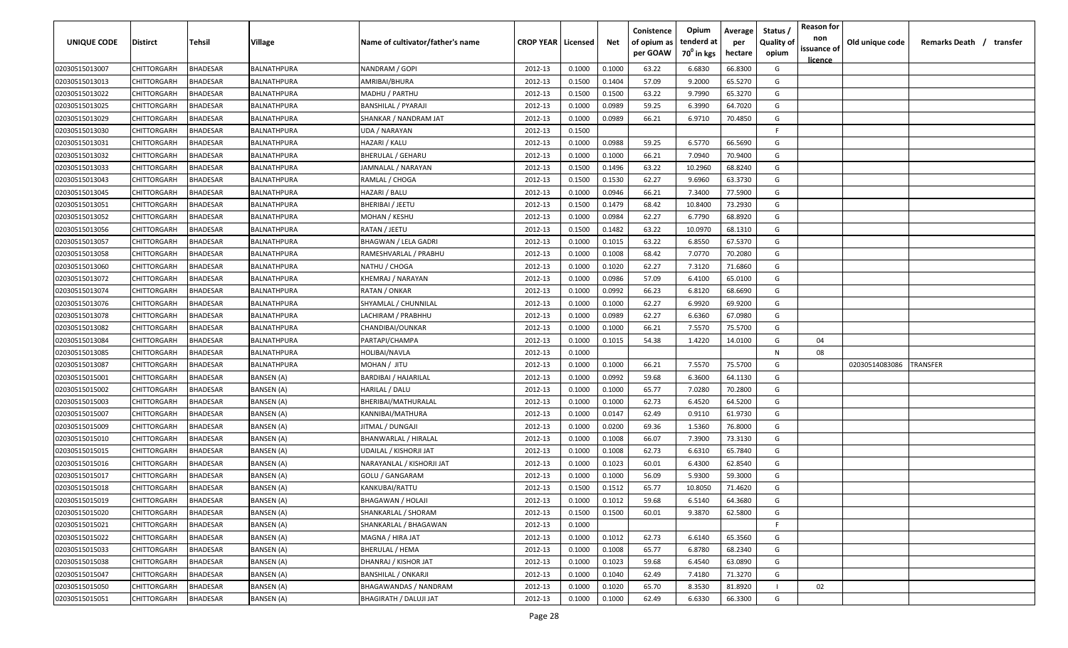| <b>UNIQUE CODE</b> | Distirct           | Tehsil          | Village           | Name of cultivator/father's name | <b>CROP YEAR Licensed</b> |        | Net    | Conistence<br>of opium as | Opium<br>tenderd at    | Average<br>per | Status /<br><b>Quality of</b> | <b>Reason for</b><br>non      | Old unique code | Remarks Death / transfer |
|--------------------|--------------------|-----------------|-------------------|----------------------------------|---------------------------|--------|--------|---------------------------|------------------------|----------------|-------------------------------|-------------------------------|-----------------|--------------------------|
|                    |                    |                 |                   |                                  |                           |        |        | per GOAW                  | 70 <sup>0</sup> in kgs | hectare        | opium                         | issuance of<br><u>licence</u> |                 |                          |
| 02030515013007     | CHITTORGARH        | <b>BHADESAR</b> | BALNATHPURA       | NANDRAM / GOPI                   | 2012-13                   | 0.1000 | 0.1000 | 63.22                     | 6.6830                 | 66.8300        | G                             |                               |                 |                          |
| 02030515013013     | CHITTORGARH        | BHADESAR        | BALNATHPURA       | AMRIBAI/BHURA                    | 2012-13                   | 0.1500 | 0.1404 | 57.09                     | 9.2000                 | 65.5270        | G                             |                               |                 |                          |
| 02030515013022     | CHITTORGARH        | BHADESAR        | BALNATHPURA       | MADHU / PARTHU                   | 2012-13                   | 0.1500 | 0.1500 | 63.22                     | 9.7990                 | 65.3270        | G                             |                               |                 |                          |
| 02030515013025     | CHITTORGARH        | <b>BHADESAR</b> | BALNATHPURA       | <b>BANSHILAL / PYARAJI</b>       | 2012-13                   | 0.1000 | 0.0989 | 59.25                     | 6.3990                 | 64.7020        | G                             |                               |                 |                          |
| 02030515013029     | CHITTORGARH        | BHADESAR        | BALNATHPURA       | SHANKAR / NANDRAM JAT            | 2012-13                   | 0.1000 | 0.0989 | 66.21                     | 6.9710                 | 70.4850        | G                             |                               |                 |                          |
| 02030515013030     | CHITTORGARH        | <b>BHADESAR</b> | BALNATHPURA       | UDA / NARAYAN                    | 2012-13                   | 0.1500 |        |                           |                        |                | E                             |                               |                 |                          |
| 02030515013031     | CHITTORGARH        | <b>BHADESAR</b> | BALNATHPURA       | HAZARI / KALU                    | 2012-13                   | 0.1000 | 0.0988 | 59.25                     | 6.5770                 | 66.5690        | G                             |                               |                 |                          |
| 02030515013032     | CHITTORGARH        | BHADESAR        | BALNATHPURA       | <b>BHERULAL / GEHARU</b>         | 2012-13                   | 0.1000 | 0.1000 | 66.21                     | 7.0940                 | 70.9400        | G                             |                               |                 |                          |
| 02030515013033     | CHITTORGARH        | BHADESAR        | BALNATHPURA       | JAMNALAL / NARAYAN               | 2012-13                   | 0.1500 | 0.1496 | 63.22                     | 10.2960                | 68.8240        | G                             |                               |                 |                          |
| 02030515013043     | CHITTORGARH        | BHADESAR        | BALNATHPURA       | RAMLAL / CHOGA                   | 2012-13                   | 0.1500 | 0.1530 | 62.27                     | 9.6960                 | 63.3730        | G                             |                               |                 |                          |
| 02030515013045     | CHITTORGARH        | BHADESAR        | BALNATHPURA       | HAZARI / BALU                    | 2012-13                   | 0.1000 | 0.0946 | 66.21                     | 7.3400                 | 77.5900        | G                             |                               |                 |                          |
| 02030515013051     | CHITTORGARH        | BHADESAR        | BALNATHPURA       | BHERIBAI / JEETU                 | 2012-13                   | 0.1500 | 0.1479 | 68.42                     | 10.8400                | 73.2930        | G                             |                               |                 |                          |
| 02030515013052     | CHITTORGARH        | BHADESAR        | BALNATHPURA       | MOHAN / KESHU                    | 2012-13                   | 0.1000 | 0.0984 | 62.27                     | 6.7790                 | 68.8920        | G                             |                               |                 |                          |
| 02030515013056     | CHITTORGARH        | <b>BHADESAR</b> | BALNATHPURA       | RATAN / JEETU                    | 2012-13                   | 0.1500 | 0.1482 | 63.22                     | 10.0970                | 68.1310        | G                             |                               |                 |                          |
| 02030515013057     | CHITTORGARH        | BHADESAR        | BALNATHPURA       | <b>BHAGWAN / LELA GADRI</b>      | 2012-13                   | 0.1000 | 0.1015 | 63.22                     | 6.8550                 | 67.5370        | G                             |                               |                 |                          |
| 02030515013058     | CHITTORGARH        | <b>BHADESAR</b> | BALNATHPURA       | RAMESHVARLAL / PRABHU            | 2012-13                   | 0.1000 | 0.1008 | 68.42                     | 7.0770                 | 70.2080        | G                             |                               |                 |                          |
| 02030515013060     | CHITTORGARH        | BHADESAR        | BALNATHPURA       | NATHU / CHOGA                    | 2012-13                   | 0.1000 | 0.1020 | 62.27                     | 7.3120                 | 71.6860        | G                             |                               |                 |                          |
| 02030515013072     | CHITTORGARH        | BHADESAR        | BALNATHPURA       | KHEMRAJ / NARAYAN                | 2012-13                   | 0.1000 | 0.0986 | 57.09                     | 6.4100                 | 65.0100        | G                             |                               |                 |                          |
| 02030515013074     | CHITTORGARH        | BHADESAR        | BALNATHPURA       | RATAN / ONKAR                    | 2012-13                   | 0.1000 | 0.0992 | 66.23                     | 6.8120                 | 68.6690        | G                             |                               |                 |                          |
| 02030515013076     | CHITTORGARH        | BHADESAR        | BALNATHPURA       | SHYAMLAL / CHUNNILAL             | 2012-13                   | 0.1000 | 0.1000 | 62.27                     | 6.9920                 | 69.9200        | G                             |                               |                 |                          |
| 02030515013078     | CHITTORGARH        | <b>BHADESAR</b> | BALNATHPURA       | LACHIRAM / PRABHHU               | 2012-13                   | 0.1000 | 0.0989 | 62.27                     | 6.6360                 | 67.0980        | G                             |                               |                 |                          |
| 02030515013082     | CHITTORGARH        | <b>BHADESAR</b> | BALNATHPURA       | CHANDIBAI/OUNKAR                 | 2012-13                   | 0.1000 | 0.1000 | 66.21                     | 7.5570                 | 75.5700        | G                             |                               |                 |                          |
| 02030515013084     | CHITTORGARH        | <b>BHADESAR</b> | BALNATHPURA       | PARTAPI/CHAMPA                   | 2012-13                   | 0.1000 | 0.1015 | 54.38                     | 1.4220                 | 14.0100        | G                             | 04                            |                 |                          |
| 02030515013085     | CHITTORGARH        | <b>BHADESAR</b> | BALNATHPURA       | HOLIBAI/NAVLA                    | 2012-13                   | 0.1000 |        |                           |                        |                | N                             | 08                            |                 |                          |
| 02030515013087     | CHITTORGARH        | BHADESAR        | BALNATHPURA       | MOHAN / JITU                     | 2012-13                   | 0.1000 | 0.1000 | 66.21                     | 7.5570                 | 75.5700        | G                             |                               | 02030514083086  | TRANSFER                 |
| 02030515015001     | CHITTORGARH        | BHADESAR        | BANSEN (A)        | <b>BARDIBAI / HAJARILAL</b>      | 2012-13                   | 0.1000 | 0.0992 | 59.68                     | 6.3600                 | 64.1130        | G                             |                               |                 |                          |
| 02030515015002     | CHITTORGARH        | BHADESAR        | BANSEN (A)        | HARILAL / DALU                   | 2012-13                   | 0.1000 | 0.1000 | 65.77                     | 7.0280                 | 70.2800        | G                             |                               |                 |                          |
| 02030515015003     | CHITTORGARH        | <b>BHADESAR</b> | BANSEN (A)        | BHERIBAI/MATHURALAL              | 2012-13                   | 0.1000 | 0.1000 | 62.73                     | 6.4520                 | 64.5200        | G                             |                               |                 |                          |
| 02030515015007     | CHITTORGARH        | BHADESAR        | BANSEN (A)        | KANNIBAI/MATHURA                 | 2012-13                   | 0.1000 | 0.0147 | 62.49                     | 0.9110                 | 61.9730        | G                             |                               |                 |                          |
| 02030515015009     | CHITTORGARH        | BHADESAR        | BANSEN (A)        | JITMAL / DUNGAJI                 | 2012-13                   | 0.1000 | 0.0200 | 69.36                     | 1.5360                 | 76.8000        | G                             |                               |                 |                          |
| 02030515015010     | CHITTORGARH        | BHADESAR        | <b>BANSEN (A)</b> | <b>BHANWARLAL / HIRALAL</b>      | 2012-13                   | 0.1000 | 0.1008 | 66.07                     | 7.3900                 | 73.3130        | G                             |                               |                 |                          |
| 02030515015015     | CHITTORGARH        | <b>BHADESAR</b> | <b>BANSEN</b> (A) | UDAILAL / KISHORJI JAT           | 2012-13                   | 0.1000 | 0.1008 | 62.73                     | 6.6310                 | 65.7840        | G                             |                               |                 |                          |
| 02030515015016     | CHITTORGARH        | BHADESAR        | <b>BANSEN</b> (A) | NARAYANLAL / KISHORJI JAT        | 2012-13                   | 0.1000 | 0.1023 | 60.01                     | 6.4300                 | 62.8540        | G                             |                               |                 |                          |
| 02030515015017     | CHITTORGARH        | BHADESAR        | <b>BANSEN (A)</b> | GOLU / GANGARAM                  | 2012-13                   | 0.1000 | 0.1000 | 56.09                     | 5.9300                 | 59.3000        | G                             |                               |                 |                          |
| 02030515015018     | CHITTORGARH        | BHADESAR        | BANSEN (A)        | KANKUBAI/RATTU                   | 2012-13                   | 0.1500 | 0.1512 | 65.77                     | 10.8050                | 71.4620        | G                             |                               |                 |                          |
| 02030515015019     | <b>CHITTORGARH</b> | <b>BHADESAR</b> | <b>BANSEN (A)</b> | BHAGAWAN / HOLAJI                | 2012-13                   | 0.1000 | 0.1012 | 59.68                     | 6.5140                 | 64.3680        | G                             |                               |                 |                          |
| 02030515015020     | CHITTORGARH        | <b>BHADESAR</b> | <b>BANSEN</b> (A) | SHANKARLAL / SHORAM              | 2012-13                   | 0.1500 | 0.1500 | 60.01                     | 9.3870                 | 62.5800        | G                             |                               |                 |                          |
| 02030515015021     | CHITTORGARH        | <b>BHADESAR</b> | <b>BANSEN (A)</b> | SHANKARLAL / BHAGAWAN            | 2012-13                   | 0.1000 |        |                           |                        |                | F.                            |                               |                 |                          |
| 02030515015022     | CHITTORGARH        | <b>BHADESAR</b> | <b>BANSEN (A)</b> | MAGNA / HIRA JAT                 | 2012-13                   | 0.1000 | 0.1012 | 62.73                     | 6.6140                 | 65.3560        | G                             |                               |                 |                          |
| 02030515015033     | CHITTORGARH        | BHADESAR        | <b>BANSEN (A)</b> | BHERULAL / HEMA                  | 2012-13                   | 0.1000 | 0.1008 | 65.77                     | 6.8780                 | 68.2340        | G                             |                               |                 |                          |
| 02030515015038     | <b>CHITTORGARH</b> | BHADESAR        | <b>BANSEN (A)</b> | DHANRAJ / KISHOR JAT             | 2012-13                   | 0.1000 | 0.1023 | 59.68                     | 6.4540                 | 63.0890        | G                             |                               |                 |                          |
| 02030515015047     | CHITTORGARH        | BHADESAR        | <b>BANSEN (A)</b> | <b>BANSHILAL / ONKARJI</b>       | 2012-13                   | 0.1000 | 0.1040 | 62.49                     | 7.4180                 | 71.3270        | G                             |                               |                 |                          |
| 02030515015050     | CHITTORGARH        | BHADESAR        | BANSEN (A)        | BHAGAWANDAS / NANDRAM            | 2012-13                   | 0.1000 | 0.1020 | 65.70                     | 8.3530                 | 81.8920        |                               | 02                            |                 |                          |
| 02030515015051     | CHITTORGARH        | <b>BHADESAR</b> | BANSEN (A)        | <b>BHAGIRATH / DALUJI JAT</b>    | 2012-13                   | 0.1000 | 0.1000 | 62.49                     | 6.6330                 | 66.3300        | G                             |                               |                 |                          |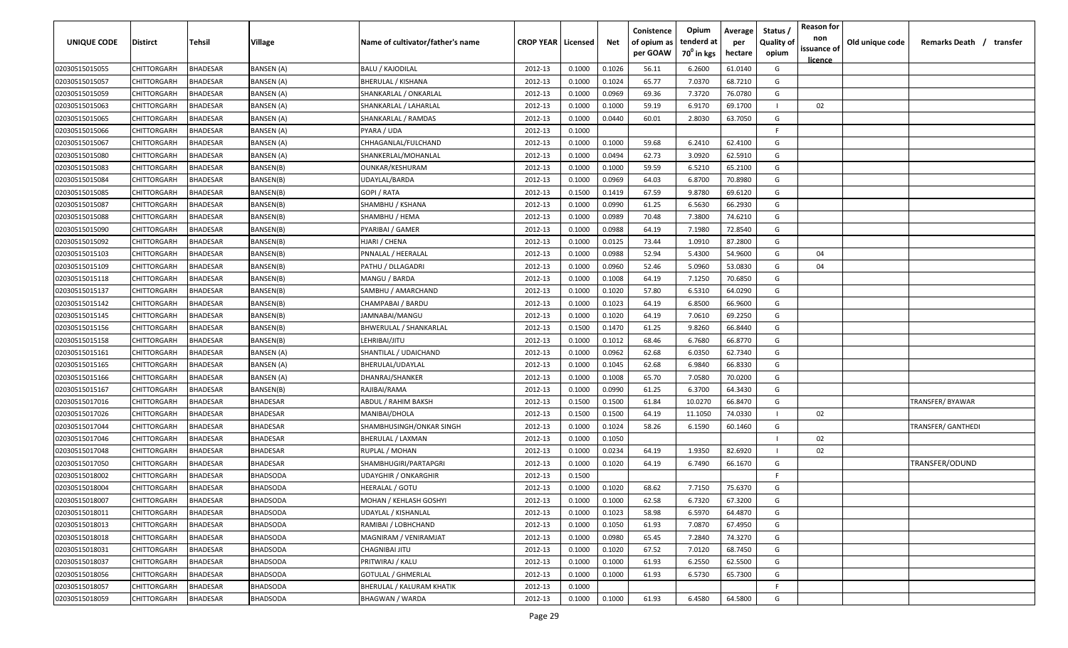| <b>UNIQUE CODE</b> | <b>Distirct</b>    | <b>Tehsil</b>   | Village           | Name of cultivator/father's name | <b>CROP YEAR   Licensed</b> |        | Net    | Conistence<br>of opium as<br>per GOAW | Opium<br>tenderd at<br>70 <sup>0</sup> in kgs | Average<br>per<br>hectare | Status /<br><b>Quality of</b><br>opium | <b>Reason for</b><br>non<br>issuance of | Old unique code | Remarks Death /<br>transfer |
|--------------------|--------------------|-----------------|-------------------|----------------------------------|-----------------------------|--------|--------|---------------------------------------|-----------------------------------------------|---------------------------|----------------------------------------|-----------------------------------------|-----------------|-----------------------------|
|                    |                    |                 |                   |                                  |                             |        |        |                                       |                                               |                           |                                        | licence                                 |                 |                             |
| 02030515015055     | CHITTORGARH        | <b>BHADESAR</b> | <b>BANSEN (A)</b> | <b>BALU / KAJODILAL</b>          | 2012-13                     | 0.1000 | 0.1026 | 56.11                                 | 6.2600                                        | 61.0140                   | G                                      |                                         |                 |                             |
| 02030515015057     | CHITTORGARH        | BHADESAR        | <b>BANSEN (A)</b> | <b>BHERULAL / KISHANA</b>        | 2012-13                     | 0.1000 | 0.1024 | 65.77                                 | 7.0370                                        | 68.7210                   | G                                      |                                         |                 |                             |
| 02030515015059     | CHITTORGARH        | BHADESAR        | BANSEN (A)        | SHANKARLAL / ONKARLAL            | 2012-13                     | 0.1000 | 0.0969 | 69.36                                 | 7.3720                                        | 76.0780                   | G                                      |                                         |                 |                             |
| 02030515015063     | CHITTORGARH        | BHADESAR        | BANSEN (A)        | SHANKARLAL / LAHARLAL            | 2012-13                     | 0.1000 | 0.1000 | 59.19                                 | 6.9170                                        | 69.1700                   |                                        | 02                                      |                 |                             |
| 02030515015065     | CHITTORGARH        | BHADESAR        | BANSEN (A)        | SHANKARLAL / RAMDAS              | 2012-13                     | 0.1000 | 0.0440 | 60.01                                 | 2.8030                                        | 63.7050                   | G                                      |                                         |                 |                             |
| 02030515015066     | CHITTORGARH        | BHADESAR        | BANSEN (A)        | PYARA / UDA                      | 2012-13                     | 0.1000 |        |                                       |                                               |                           | -F                                     |                                         |                 |                             |
| 02030515015067     | CHITTORGARH        | BHADESAR        | BANSEN (A)        | CHHAGANLAL/FULCHAND              | 2012-13                     | 0.1000 | 0.1000 | 59.68                                 | 6.2410                                        | 62.4100                   | G                                      |                                         |                 |                             |
| 02030515015080     | <b>CHITTORGARH</b> | BHADESAR        | BANSEN (A)        | SHANKERLAL/MOHANLAL              | 2012-13                     | 0.1000 | 0.0494 | 62.73                                 | 3.0920                                        | 62.5910                   | G                                      |                                         |                 |                             |
| 02030515015083     | CHITTORGARH        | BHADESAR        | BANSEN(B)         | OUNKAR/KESHURAM                  | 2012-13                     | 0.1000 | 0.1000 | 59.59                                 | 6.5210                                        | 65.2100                   | G                                      |                                         |                 |                             |
| 02030515015084     | CHITTORGARH        | <b>BHADESAR</b> | BANSEN(B)         | UDAYLAL/BARDA                    | 2012-13                     | 0.1000 | 0.0969 | 64.03                                 | 6.8700                                        | 70.8980                   | G                                      |                                         |                 |                             |
| 02030515015085     | CHITTORGARH        | BHADESAR        | BANSEN(B)         | GOPI / RATA                      | 2012-13                     | 0.1500 | 0.1419 | 67.59                                 | 9.8780                                        | 69.6120                   | G                                      |                                         |                 |                             |
| 02030515015087     | CHITTORGARH        | <b>BHADESAR</b> | BANSEN(B)         | SHAMBHU / KSHANA                 | 2012-13                     | 0.1000 | 0.0990 | 61.25                                 | 6.5630                                        | 66.2930                   | G                                      |                                         |                 |                             |
| 02030515015088     | CHITTORGARH        | BHADESAR        | BANSEN(B)         | SHAMBHU / HEMA                   | 2012-13                     | 0.1000 | 0.0989 | 70.48                                 | 7.3800                                        | 74.6210                   | G                                      |                                         |                 |                             |
| 02030515015090     | CHITTORGARH        | BHADESAR        | BANSEN(B)         | PYARIBAI / GAMER                 | 2012-13                     | 0.1000 | 0.0988 | 64.19                                 | 7.1980                                        | 72.8540                   | G                                      |                                         |                 |                             |
| 02030515015092     | CHITTORGARH        | BHADESAR        | BANSEN(B)         | HJARI / CHENA                    | 2012-13                     | 0.1000 | 0.0125 | 73.44                                 | 1.0910                                        | 87.2800                   | G                                      |                                         |                 |                             |
| 02030515015103     | CHITTORGARH        | BHADESAR        | BANSEN(B)         | PNNALAL / HEERALAL               | 2012-13                     | 0.1000 | 0.0988 | 52.94                                 | 5.4300                                        | 54.9600                   | G                                      | 04                                      |                 |                             |
| 02030515015109     | CHITTORGARH        | <b>BHADESAR</b> | BANSEN(B)         | PATHU / DLLAGADRI                | 2012-13                     | 0.1000 | 0.0960 | 52.46                                 | 5.0960                                        | 53.0830                   | G                                      | 04                                      |                 |                             |
| 02030515015118     | CHITTORGARH        | BHADESAR        | BANSEN(B)         | MANGU / BARDA                    | 2012-13                     | 0.1000 | 0.1008 | 64.19                                 | 7.1250                                        | 70.6850                   | G                                      |                                         |                 |                             |
| 02030515015137     | CHITTORGARH        | BHADESAR        | BANSEN(B)         | SAMBHU / AMARCHAND               | 2012-13                     | 0.1000 | 0.1020 | 57.80                                 | 6.5310                                        | 64.0290                   | G                                      |                                         |                 |                             |
| 02030515015142     | CHITTORGARH        | BHADESAR        | BANSEN(B)         | CHAMPABAI / BARDU                | 2012-13                     | 0.1000 | 0.1023 | 64.19                                 | 6.8500                                        | 66.9600                   | G                                      |                                         |                 |                             |
| 02030515015145     | CHITTORGARH        | <b>BHADESAR</b> | BANSEN(B)         | JAMNABAI/MANGU                   | 2012-13                     | 0.1000 | 0.1020 | 64.19                                 | 7.0610                                        | 69.2250                   | G                                      |                                         |                 |                             |
| 02030515015156     | CHITTORGARH        | BHADESAR        | BANSEN(B)         | <b>BHWERULAL / SHANKARLAL</b>    | 2012-13                     | 0.1500 | 0.1470 | 61.25                                 | 9.8260                                        | 66.8440                   | G                                      |                                         |                 |                             |
| 02030515015158     | CHITTORGARH        | BHADESAR        | BANSEN(B)         | LEHRIBAI/JITU                    | 2012-13                     | 0.1000 | 0.1012 | 68.46                                 | 6.7680                                        | 66.8770                   | G                                      |                                         |                 |                             |
| 02030515015161     | CHITTORGARH        | BHADESAR        | BANSEN (A)        | SHANTILAL / UDAICHAND            | 2012-13                     | 0.1000 | 0.0962 | 62.68                                 | 6.0350                                        | 62.7340                   | G                                      |                                         |                 |                             |
| 02030515015165     | CHITTORGARH        | BHADESAR        | BANSEN (A)        | BHERULAL/UDAYLAL                 | 2012-13                     | 0.1000 | 0.1045 | 62.68                                 | 6.9840                                        | 66.8330                   | G                                      |                                         |                 |                             |
| 02030515015166     | CHITTORGARH        | BHADESAR        | BANSEN (A)        | DHANRAJ/SHANKER                  | 2012-13                     | 0.1000 | 0.1008 | 65.70                                 | 7.0580                                        | 70.0200                   | G                                      |                                         |                 |                             |
| 02030515015167     | CHITTORGARH        | BHADESAR        | BANSEN(B)         | RAJIBAI/RAMA                     | 2012-13                     | 0.1000 | 0.0990 | 61.25                                 | 6.3700                                        | 64.3430                   | G                                      |                                         |                 |                             |
| 02030515017016     | CHITTORGARH        | BHADESAR        | BHADESAR          | ABDUL / RAHIM BAKSH              | 2012-13                     | 0.1500 | 0.1500 | 61.84                                 | 10.0270                                       | 66.8470                   | G                                      |                                         |                 | TRANSFER/BYAWAR             |
| 02030515017026     | CHITTORGARH        | BHADESAR        | BHADESAR          | MANIBAI/DHOLA                    | 2012-13                     | 0.1500 | 0.1500 | 64.19                                 | 11.1050                                       | 74.0330                   |                                        | 02                                      |                 |                             |
| 02030515017044     | CHITTORGARH        | BHADESAR        | BHADESAR          | SHAMBHUSINGH/ONKAR SINGH         | 2012-13                     | 0.1000 | 0.1024 | 58.26                                 | 6.1590                                        | 60.1460                   | G                                      |                                         |                 | TRANSFER/ GANTHEDI          |
| 02030515017046     | CHITTORGARH        | BHADESAR        | BHADESAR          | BHERULAL / LAXMAN                | 2012-13                     | 0.1000 | 0.1050 |                                       |                                               |                           |                                        | 02                                      |                 |                             |
| 02030515017048     | CHITTORGARH        | <b>BHADESAR</b> | BHADESAR          | RUPLAL / MOHAN                   | 2012-13                     | 0.1000 | 0.0234 | 64.19                                 | 1.9350                                        | 82.6920                   |                                        | 02                                      |                 |                             |
| 02030515017050     | CHITTORGARH        | BHADESAR        | BHADESAR          | SHAMBHUGIRI/PARTAPGRI            | 2012-13                     | 0.1000 | 0.1020 | 64.19                                 | 6.7490                                        | 66.1670                   | G                                      |                                         |                 | TRANSFER/ODUND              |
| 02030515018002     | CHITTORGARH        | BHADESAR        | <b>BHADSODA</b>   | <b>UDAYGHIR / ONKARGHIR</b>      | 2012-13                     | 0.1500 |        |                                       |                                               |                           | -F                                     |                                         |                 |                             |
| 02030515018004     | CHITTORGARH        | BHADESAR        | <b>BHADSODA</b>   | HEERALAL / GOTU                  | 2012-13                     | 0.1000 | 0.1020 | 68.62                                 | 7.7150                                        | 75.6370                   | G                                      |                                         |                 |                             |
| 02030515018007     | CHITTORGARH        | <b>BHADESAR</b> | <b>BHADSODA</b>   | MOHAN / KEHLASH GOSHYI           | 2012-13                     | 0.1000 | 0.1000 | 62.58                                 | 6.7320                                        | 67.3200                   | G                                      |                                         |                 |                             |
| 02030515018011     | <b>CHITTORGARH</b> | <b>BHADESAR</b> | <b>BHADSODA</b>   | <b>UDAYLAL / KISHANLAL</b>       | 2012-13                     | 0.1000 | 0.1023 | 58.98                                 | 6.5970                                        | 64.4870                   | G                                      |                                         |                 |                             |
| 02030515018013     | CHITTORGARH        | <b>BHADESAR</b> | <b>BHADSODA</b>   | RAMIBAI / LOBHCHAND              | 2012-13                     | 0.1000 | 0.1050 | 61.93                                 | 7.0870                                        | 67.4950                   | G                                      |                                         |                 |                             |
| 02030515018018     | CHITTORGARH        | <b>BHADESAR</b> | <b>BHADSODA</b>   | MAGNIRAM / VENIRAMJAT            | 2012-13                     | 0.1000 | 0.0980 | 65.45                                 | 7.2840                                        | 74.3270                   | G                                      |                                         |                 |                             |
| 02030515018031     | CHITTORGARH        | <b>BHADESAR</b> | <b>BHADSODA</b>   | CHAGNIBAI JITU                   | 2012-13                     | 0.1000 | 0.1020 | 67.52                                 | 7.0120                                        | 68.7450                   | G                                      |                                         |                 |                             |
| 02030515018037     | CHITTORGARH        | <b>BHADESAR</b> | <b>BHADSODA</b>   | PRITWIRAJ / KALU                 | 2012-13                     | 0.1000 | 0.1000 | 61.93                                 | 6.2550                                        | 62.5500                   | G                                      |                                         |                 |                             |
| 02030515018056     | CHITTORGARH        | BHADESAR        | <b>BHADSODA</b>   | <b>GOTULAL / GHMERLAL</b>        | 2012-13                     | 0.1000 | 0.1000 | 61.93                                 | 6.5730                                        | 65.7300                   | G                                      |                                         |                 |                             |
| 02030515018057     | CHITTORGARH        | BHADESAR        | <b>BHADSODA</b>   | <b>BHERULAL / KALURAM KHATIK</b> | 2012-13                     | 0.1000 |        |                                       |                                               |                           | F.                                     |                                         |                 |                             |
| 02030515018059     | CHITTORGARH        | <b>BHADESAR</b> | <b>BHADSODA</b>   | <b>BHAGWAN / WARDA</b>           | 2012-13                     | 0.1000 | 0.1000 | 61.93                                 | 6.4580                                        | 64.5800                   | G                                      |                                         |                 |                             |
|                    |                    |                 |                   |                                  |                             |        |        |                                       |                                               |                           |                                        |                                         |                 |                             |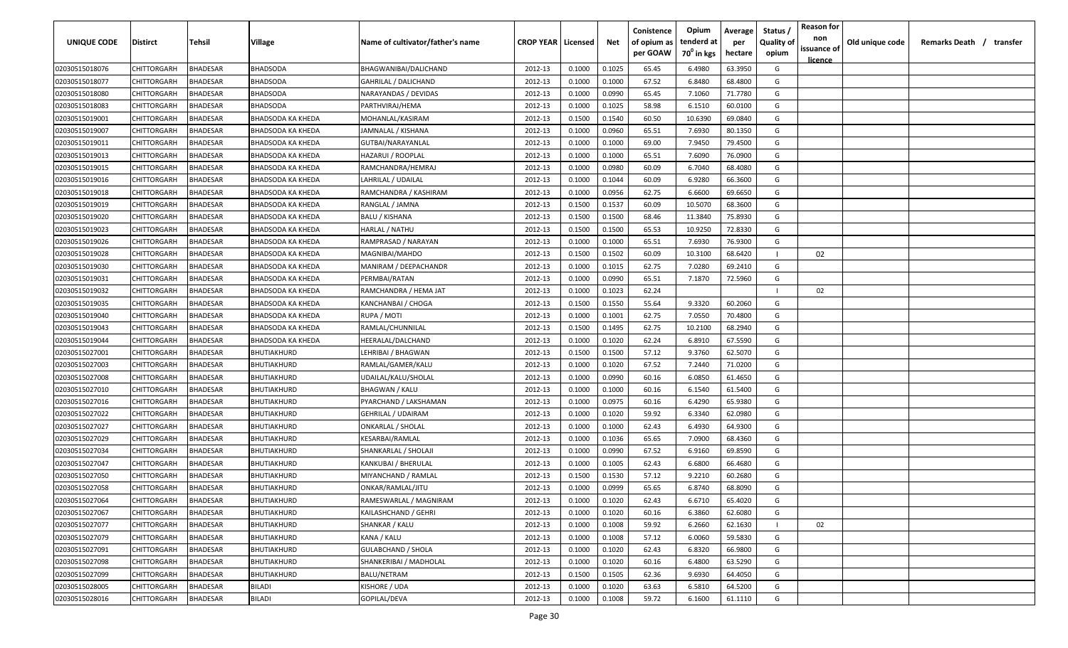| <b>UNIQUE CODE</b> | <b>Distirct</b>    | <b>Tehsil</b>   | Village                  | Name of cultivator/father's name | <b>CROP YEAR   Licensed</b> |        | Net    | Conistence<br>of opium as | Opium<br>tenderd at    | Average<br>per | Status /<br><b>Quality of</b> | <b>Reason for</b><br>non<br>issuance of | Old unique code | Remarks Death / transfer |  |
|--------------------|--------------------|-----------------|--------------------------|----------------------------------|-----------------------------|--------|--------|---------------------------|------------------------|----------------|-------------------------------|-----------------------------------------|-----------------|--------------------------|--|
|                    |                    |                 |                          |                                  |                             |        |        | per GOAW                  | 70 <sup>0</sup> in kgs | hectare        | opium                         | <u>licence</u>                          |                 |                          |  |
| 02030515018076     | CHITTORGARH        | <b>BHADESAR</b> | <b>BHADSODA</b>          | BHAGWANIBAI/DALICHAND            | 2012-13                     | 0.1000 | 0.1025 | 65.45                     | 6.4980                 | 63.3950        | G                             |                                         |                 |                          |  |
| 02030515018077     | CHITTORGARH        | BHADESAR        | <b>BHADSODA</b>          | <b>GAHRILAL / DALICHAND</b>      | 2012-13                     | 0.1000 | 0.1000 | 67.52                     | 6.8480                 | 68.4800        | G                             |                                         |                 |                          |  |
| 02030515018080     | CHITTORGARH        | BHADESAR        | <b>BHADSODA</b>          | NARAYANDAS / DEVIDAS             | 2012-13                     | 0.1000 | 0.0990 | 65.45                     | 7.1060                 | 71.7780        | G                             |                                         |                 |                          |  |
| 02030515018083     | CHITTORGARH        | BHADESAR        | BHADSODA                 | PARTHVIRAJ/HEMA                  | 2012-13                     | 0.1000 | 0.1025 | 58.98                     | 6.1510                 | 60.0100        | G                             |                                         |                 |                          |  |
| 02030515019001     | CHITTORGARH        | BHADESAR        | BHADSODA KA KHEDA        | MOHANLAL/KASIRAM                 | 2012-13                     | 0.1500 | 0.1540 | 60.50                     | 10.6390                | 69.0840        | G                             |                                         |                 |                          |  |
| 02030515019007     | CHITTORGARH        | BHADESAR        | <b>BHADSODA KA KHEDA</b> | JAMNALAL / KISHANA               | 2012-13                     | 0.1000 | 0.0960 | 65.51                     | 7.6930                 | 80.1350        | G                             |                                         |                 |                          |  |
| 02030515019011     | CHITTORGARH        | BHADESAR        | BHADSODA KA KHEDA        | GUTBAI/NARAYANLAL                | 2012-13                     | 0.1000 | 0.1000 | 69.00                     | 7.9450                 | 79.4500        | G                             |                                         |                 |                          |  |
| 02030515019013     | CHITTORGARH        | BHADESAR        | BHADSODA KA KHEDA        | HAZARUI / ROOPLAL                | 2012-13                     | 0.1000 | 0.1000 | 65.51                     | 7.6090                 | 76.0900        | G                             |                                         |                 |                          |  |
| 02030515019015     | CHITTORGARH        | BHADESAR        | BHADSODA KA KHEDA        | RAMCHANDRA/HEMRAJ                | 2012-13                     | 0.1000 | 0.0980 | 60.09                     | 6.7040                 | 68.4080        | G                             |                                         |                 |                          |  |
| 02030515019016     | CHITTORGARH        | BHADESAR        | BHADSODA KA KHEDA        | LAHRILAL / UDAILAL               | 2012-13                     | 0.1000 | 0.1044 | 60.09                     | 6.9280                 | 66.3600        | G                             |                                         |                 |                          |  |
| 02030515019018     | CHITTORGARH        | BHADESAR        | BHADSODA KA KHEDA        | RAMCHANDRA / KASHIRAM            | 2012-13                     | 0.1000 | 0.0956 | 62.75                     | 6.6600                 | 69.6650        | G                             |                                         |                 |                          |  |
| 02030515019019     | CHITTORGARH        | BHADESAR        | BHADSODA KA KHEDA        | RANGLAL / JAMNA                  | 2012-13                     | 0.1500 | 0.1537 | 60.09                     | 10.5070                | 68.3600        | G                             |                                         |                 |                          |  |
| 02030515019020     | CHITTORGARH        | BHADESAR        | BHADSODA KA KHEDA        | BALU / KISHANA                   | 2012-13                     | 0.1500 | 0.1500 | 68.46                     | 11.3840                | 75.8930        | G                             |                                         |                 |                          |  |
| 02030515019023     | CHITTORGARH        | BHADESAR        | BHADSODA KA KHEDA        | HARLAL / NATHU                   | 2012-13                     | 0.1500 | 0.1500 | 65.53                     | 10.9250                | 72.8330        | G                             |                                         |                 |                          |  |
| 02030515019026     | CHITTORGARH        | BHADESAR        | BHADSODA KA KHEDA        | RAMPRASAD / NARAYAN              | 2012-13                     | 0.1000 | 0.1000 | 65.51                     | 7.6930                 | 76.9300        | G                             |                                         |                 |                          |  |
| 02030515019028     | CHITTORGARH        | BHADESAR        | BHADSODA KA KHEDA        | MAGNIBAI/MAHDO                   | 2012-13                     | 0.1500 | 0.1502 | 60.09                     | 10.3100                | 68.6420        |                               | 02                                      |                 |                          |  |
| 02030515019030     | CHITTORGARH        | BHADESAR        | BHADSODA KA KHEDA        | MANIRAM / DEEPACHANDR            | 2012-13                     | 0.1000 | 0.1015 | 62.75                     | 7.0280                 | 69.2410        | G                             |                                         |                 |                          |  |
| 02030515019031     | CHITTORGARH        | BHADESAR        | BHADSODA KA KHEDA        | PERMBAI/RATAN                    | 2012-13                     | 0.1000 | 0.0990 | 65.51                     | 7.1870                 | 72.5960        | G                             |                                         |                 |                          |  |
| 02030515019032     | CHITTORGARH        | BHADESAR        | <b>BHADSODA KA KHEDA</b> | RAMCHANDRA / HEMA JAT            | 2012-13                     | 0.1000 | 0.1023 | 62.24                     |                        |                |                               | 02                                      |                 |                          |  |
| 02030515019035     | CHITTORGARH        | BHADESAR        | <b>BHADSODA KA KHEDA</b> | KANCHANBAI / CHOGA               | 2012-13                     | 0.1500 | 0.1550 | 55.64                     | 9.3320                 | 60.2060        | G                             |                                         |                 |                          |  |
| 02030515019040     | CHITTORGARH        | BHADESAR        | BHADSODA KA KHEDA        | RUPA / MOTI                      | 2012-13                     | 0.1000 | 0.1001 | 62.75                     | 7.0550                 | 70.4800        | G                             |                                         |                 |                          |  |
| 02030515019043     | CHITTORGARH        | BHADESAR        | BHADSODA KA KHEDA        | RAMLAL/CHUNNILAL                 | 2012-13                     | 0.1500 | 0.1495 | 62.75                     | 10.2100                | 68.2940        | G                             |                                         |                 |                          |  |
| 02030515019044     | CHITTORGARH        | BHADESAR        | BHADSODA KA KHEDA        | HEERALAL/DALCHAND                | 2012-13                     | 0.1000 | 0.1020 | 62.24                     | 6.8910                 | 67.5590        | G                             |                                         |                 |                          |  |
| 02030515027001     | CHITTORGARH        | BHADESAR        | BHUTIAKHURD              | LEHRIBAI / BHAGWAN               | 2012-13                     | 0.1500 | 0.1500 | 57.12                     | 9.3760                 | 62.5070        | G                             |                                         |                 |                          |  |
| 02030515027003     | CHITTORGARH        | BHADESAR        | BHUTIAKHURD              | RAMLAL/GAMER/KALU                | 2012-13                     | 0.1000 | 0.1020 | 67.52                     | 7.2440                 | 71.0200        | G                             |                                         |                 |                          |  |
| 02030515027008     | CHITTORGARH        | BHADESAR        | BHUTIAKHURD              | UDAILAL/KALU/SHOLAL              | 2012-13                     | 0.1000 | 0.0990 | 60.16                     | 6.0850                 | 61.4650        | G                             |                                         |                 |                          |  |
| 02030515027010     | CHITTORGARH        | BHADESAR        | BHUTIAKHURD              | <b>BHAGWAN / KALU</b>            | 2012-13                     | 0.1000 | 0.1000 | 60.16                     | 6.1540                 | 61.5400        | G                             |                                         |                 |                          |  |
| 02030515027016     | CHITTORGARH        | BHADESAR        | BHUTIAKHURD              | PYARCHAND / LAKSHAMAN            | 2012-13                     | 0.1000 | 0.0975 | 60.16                     | 6.4290                 | 65.9380        | G                             |                                         |                 |                          |  |
| 02030515027022     | CHITTORGARH        | BHADESAR        | BHUTIAKHURD              | GEHRILAL / UDAIRAM               | 2012-13                     | 0.1000 | 0.1020 | 59.92                     | 6.3340                 | 62.0980        | G                             |                                         |                 |                          |  |
| 02030515027027     | CHITTORGARH        | BHADESAR        | BHUTIAKHURD              | ONKARLAL / SHOLAL                | 2012-13                     | 0.1000 | 0.1000 | 62.43                     | 6.4930                 | 64.9300        | G                             |                                         |                 |                          |  |
| 02030515027029     | CHITTORGARH        | BHADESAR        | BHUTIAKHURD              | KESARBAI/RAMLAL                  | 2012-13                     | 0.1000 | 0.1036 | 65.65                     | 7.0900                 | 68.4360        | G                             |                                         |                 |                          |  |
| 02030515027034     | CHITTORGARH        | BHADESAR        | BHUTIAKHURD              | SHANKARLAL / SHOLAJI             | 2012-13                     | 0.1000 | 0.0990 | 67.52                     | 6.9160                 | 69.8590        | G                             |                                         |                 |                          |  |
| 02030515027047     | CHITTORGARH        | BHADESAR        | BHUTIAKHURD              | KANKUBAI / BHERULAL              | 2012-13                     | 0.1000 | 0.1005 | 62.43                     | 6.6800                 | 66.4680        | G                             |                                         |                 |                          |  |
| 02030515027050     | CHITTORGARH        | BHADESAR        | BHUTIAKHURD              | MIYANCHAND / RAMLAL              | 2012-13                     | 0.1500 | 0.1530 | 57.12                     | 9.2210                 | 60.2680        | G                             |                                         |                 |                          |  |
| 02030515027058     | CHITTORGARH        | BHADESAR        | BHUTIAKHURD              | ONKAR/RAMLAL/JITU                | 2012-13                     | 0.1000 | 0.0999 | 65.65                     | 6.8740                 | 68.8090        | G                             |                                         |                 |                          |  |
| 02030515027064     | <b>CHITTORGARH</b> | <b>BHADESAR</b> | BHUTIAKHURD              | RAMESWARLAL / MAGNIRAM           | 2012-13                     | 0.1000 | 0.1020 | 62.43                     | 6.6710                 | 65.4020        | G                             |                                         |                 |                          |  |
| 02030515027067     | <b>CHITTORGARH</b> | <b>BHADESAR</b> | BHUTIAKHURD              | KAILASHCHAND / GEHRI             | 2012-13                     | 0.1000 | 0.1020 | 60.16                     | 6.3860                 | 62.6080        | G                             |                                         |                 |                          |  |
| 02030515027077     | <b>CHITTORGARH</b> | <b>BHADESAR</b> | BHUTIAKHURD              | SHANKAR / KALU                   | 2012-13                     | 0.1000 | 0.1008 | 59.92                     | 6.2660                 | 62.1630        |                               | 02                                      |                 |                          |  |
| 02030515027079     | CHITTORGARH        | <b>BHADESAR</b> | BHUTIAKHURD              | KANA / KALU                      | 2012-13                     | 0.1000 | 0.1008 | 57.12                     | 6.0060                 | 59.5830        | G                             |                                         |                 |                          |  |
| 02030515027091     | CHITTORGARH        | <b>BHADESAR</b> | BHUTIAKHURD              | <b>GULABCHAND / SHOLA</b>        | 2012-13                     | 0.1000 | 0.1020 | 62.43                     | 6.8320                 | 66.9800        | G                             |                                         |                 |                          |  |
| 02030515027098     | CHITTORGARH        | <b>BHADESAR</b> | BHUTIAKHURD              | SHANKERIBAI / MADHOLAL           | 2012-13                     | 0.1000 | 0.1020 | 60.16                     | 6.4800                 | 63.5290        | G                             |                                         |                 |                          |  |
| 02030515027099     | CHITTORGARH        | <b>BHADESAR</b> | BHUTIAKHURD              | BALU/NETRAM                      | 2012-13                     | 0.1500 | 0.1505 | 62.36                     | 9.6930                 | 64.4050        | G                             |                                         |                 |                          |  |
| 02030515028005     | <b>CHITTORGARH</b> | <b>BHADESAR</b> | BILADI                   | KISHORE / UDA                    | 2012-13                     | 0.1000 | 0.1020 | 63.63                     | 6.5810                 | 64.5200        | G                             |                                         |                 |                          |  |
| 02030515028016     | CHITTORGARH        | <b>BHADESAR</b> | BILADI                   | GOPILAL/DEVA                     | 2012-13                     | 0.1000 | 0.1008 | 59.72                     | 6.1600                 | 61.1110        | G                             |                                         |                 |                          |  |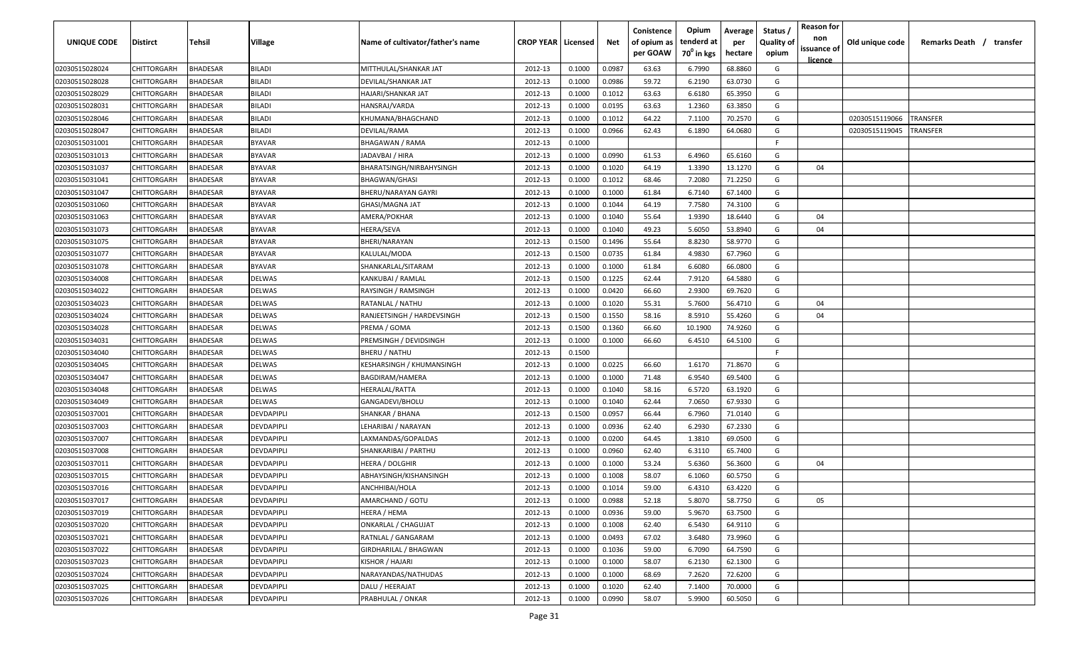| UNIQUE CODE    | <b>Distirct</b>    | Tehsil          | <b>Village</b>    | Name of cultivator/father's name | <b>CROP YEAR   Licensed</b> |        | Net    | Conistence<br>of opium as<br>per GOAW | Opium<br>tenderd at<br>70 <sup>°</sup> in kgs | Average<br>per<br>hectare | Status<br><b>Quality of</b><br>opium | <b>Reason for</b><br>non<br>issuance of<br><u>licence</u> | Old unique code | Remarks Death / transfer |
|----------------|--------------------|-----------------|-------------------|----------------------------------|-----------------------------|--------|--------|---------------------------------------|-----------------------------------------------|---------------------------|--------------------------------------|-----------------------------------------------------------|-----------------|--------------------------|
| 02030515028024 | CHITTORGARH        | <b>BHADESAR</b> | <b>BILADI</b>     | MITTHULAL/SHANKAR JAT            | 2012-13                     | 0.1000 | 0.0987 | 63.63                                 | 6.7990                                        | 68.8860                   | G                                    |                                                           |                 |                          |
| 02030515028028 | CHITTORGARH        | BHADESAR        | <b>BILADI</b>     | DEVILAL/SHANKAR JAT              | 2012-13                     | 0.1000 | 0.0986 | 59.72                                 | 6.2190                                        | 63.0730                   | G                                    |                                                           |                 |                          |
| 02030515028029 | CHITTORGARH        | <b>BHADESAR</b> | <b>BILADI</b>     | HAJARI/SHANKAR JAT               | 2012-13                     | 0.1000 | 0.1012 | 63.63                                 | 6.6180                                        | 65.3950                   | G                                    |                                                           |                 |                          |
| 02030515028031 | CHITTORGARH        | <b>BHADESAR</b> | <b>BILADI</b>     | HANSRAJ/VARDA                    | 2012-13                     | 0.1000 | 0.0195 | 63.63                                 | 1.2360                                        | 63.3850                   | G                                    |                                                           |                 |                          |
| 02030515028046 | CHITTORGARH        | BHADESAR        | <b>BILADI</b>     | KHUMANA/BHAGCHAND                | 2012-13                     | 0.1000 | 0.1012 | 64.22                                 | 7.1100                                        | 70.2570                   | G                                    |                                                           | 02030515119066  | <b><i>FRANSFER</i></b>   |
| 02030515028047 | CHITTORGARH        | <b>BHADESAR</b> | <b>BILADI</b>     | DEVILAL/RAMA                     | 2012-13                     | 0.1000 | 0.0966 | 62.43                                 | 6.1890                                        | 64.0680                   | G                                    |                                                           | 02030515119045  | TRANSFER                 |
| 02030515031001 | CHITTORGARH        | <b>BHADESAR</b> | <b>BYAVAR</b>     | BHAGAWAN / RAMA                  | 2012-13                     | 0.1000 |        |                                       |                                               |                           | F.                                   |                                                           |                 |                          |
| 02030515031013 | CHITTORGARH        | <b>BHADESAR</b> | <b>BYAVAR</b>     | IADAVBAI / HIRA                  | 2012-13                     | 0.1000 | 0.0990 | 61.53                                 | 6.4960                                        | 65.6160                   | G                                    |                                                           |                 |                          |
| 02030515031037 | CHITTORGARH        | 3HADESAR        | <b>BYAVAR</b>     | BHARATSINGH/NIRBAHYSINGH         | 2012-13                     | 0.1000 | 0.1020 | 64.19                                 | 1.3390                                        | 13.1270                   | G                                    | 04                                                        |                 |                          |
| 02030515031041 | CHITTORGARH        | <b>BHADESAR</b> | <b>BYAVAR</b>     | BHAGWAN/GHASI                    | 2012-13                     | 0.1000 | 0.1012 | 68.46                                 | 7.2080                                        | 71.2250                   | G                                    |                                                           |                 |                          |
| 02030515031047 | CHITTORGARH        | <b>BHADESAR</b> | <b>BYAVAR</b>     | BHERU/NARAYAN GAYRI              | 2012-13                     | 0.1000 | 0.1000 | 61.84                                 | 6.7140                                        | 67.1400                   | G                                    |                                                           |                 |                          |
| 02030515031060 | CHITTORGARH        | BHADESAR        | <b>BYAVAR</b>     | GHASI/MAGNA JAT                  | 2012-13                     | 0.1000 | 0.1044 | 64.19                                 | 7.7580                                        | 74.3100                   | G                                    |                                                           |                 |                          |
| 02030515031063 | CHITTORGARH        | BHADESAR        | <b>BYAVAR</b>     | AMERA/POKHAR                     | 2012-13                     | 0.1000 | 0.1040 | 55.64                                 | 1.9390                                        | 18.6440                   | G                                    | 04                                                        |                 |                          |
| 02030515031073 | CHITTORGARH        | <b>BHADESAR</b> | <b>BYAVAR</b>     | HEERA/SEVA                       | 2012-13                     | 0.1000 | 0.1040 | 49.23                                 | 5.6050                                        | 53.8940                   | G                                    | 04                                                        |                 |                          |
| 02030515031075 | CHITTORGARH        | <b>BHADESAR</b> | <b>BYAVAR</b>     | BHERI/NARAYAN                    | 2012-13                     | 0.1500 | 0.1496 | 55.64                                 | 8.8230                                        | 58.9770                   | G                                    |                                                           |                 |                          |
| 02030515031077 | CHITTORGARH        | <b>BHADESAR</b> | <b>BYAVAR</b>     | KALULAL/MODA                     | 2012-13                     | 0.1500 | 0.0735 | 61.84                                 | 4.9830                                        | 67.7960                   | G                                    |                                                           |                 |                          |
| 02030515031078 | CHITTORGARH        | BHADESAR        | <b>BYAVAR</b>     | SHANKARLAL/SITARAM               | 2012-13                     | 0.1000 | 0.1000 | 61.84                                 | 6.6080                                        | 66.0800                   | G                                    |                                                           |                 |                          |
| 02030515034008 | CHITTORGARH        | BHADESAR        | <b>DELWAS</b>     | KANKUBAI / RAMLAL                | 2012-13                     | 0.1500 | 0.1225 | 62.44                                 | 7.9120                                        | 64.5880                   | G                                    |                                                           |                 |                          |
| 02030515034022 | CHITTORGARH        | BHADESAR        | <b>DELWAS</b>     | RAYSINGH / RAMSINGH              | 2012-13                     | 0.1000 | 0.0420 | 66.60                                 | 2.9300                                        | 69.7620                   | G                                    |                                                           |                 |                          |
| 02030515034023 | CHITTORGARH        | <b>BHADESAR</b> | <b>DELWAS</b>     | RATANLAL / NATHU                 | 2012-13                     | 0.1000 | 0.1020 | 55.31                                 | 5.7600                                        | 56.4710                   | G                                    | 04                                                        |                 |                          |
| 02030515034024 | CHITTORGARH        | <b>BHADESAR</b> | <b>DELWAS</b>     | RANJEETSINGH / HARDEVSINGH       | 2012-13                     | 0.1500 | 0.1550 | 58.16                                 | 8.5910                                        | 55.4260                   | G                                    | 04                                                        |                 |                          |
| 02030515034028 | CHITTORGARH        | <b>BHADESAR</b> | <b>DELWAS</b>     | PREMA / GOMA                     | 2012-13                     | 0.1500 | 0.1360 | 66.60                                 | 10.1900                                       | 74.9260                   | G                                    |                                                           |                 |                          |
| 02030515034031 | CHITTORGARH        | <b>BHADESAR</b> | <b>DELWAS</b>     | PREMSINGH / DEVIDSINGH           | 2012-13                     | 0.1000 | 0.1000 | 66.60                                 | 6.4510                                        | 64.5100                   | G                                    |                                                           |                 |                          |
| 02030515034040 | CHITTORGARH        | <b>BHADESAR</b> | <b>DELWAS</b>     | BHERU / NATHU                    | 2012-13                     | 0.1500 |        |                                       |                                               |                           | F                                    |                                                           |                 |                          |
| 02030515034045 | CHITTORGARH        | BHADESAR        | <b>DELWAS</b>     | KESHARSINGH / KHUMANSINGH        | 2012-13                     | 0.1000 | 0.0225 | 66.60                                 | 1.6170                                        | 71.8670                   | G                                    |                                                           |                 |                          |
| 02030515034047 | CHITTORGARH        | <b>BHADESAR</b> | DELWAS            | BAGDIRAM/HAMERA                  | 2012-13                     | 0.1000 | 0.1000 | 71.48                                 | 6.9540                                        | 69.5400                   | G                                    |                                                           |                 |                          |
| 02030515034048 | CHITTORGARH        | <b>BHADESAR</b> | <b>DELWAS</b>     | HEERALAL/RATTA                   | 2012-13                     | 0.1000 | 0.1040 | 58.16                                 | 6.5720                                        | 63.1920                   | G                                    |                                                           |                 |                          |
| 02030515034049 | <b>CHITTORGARH</b> | <b>HADESAR</b>  | <b>DELWAS</b>     | GANGADEVI/BHOLU                  | 2012-13                     | 0.1000 | 0.1040 | 62.44                                 | 7.0650                                        | 67.9330                   | G                                    |                                                           |                 |                          |
| 02030515037001 | <b>CHITTORGARH</b> | BHADESAR        | <b>DEVDAPIPLI</b> | SHANKAR / BHANA                  | 2012-13                     | 0.1500 | 0.0957 | 66.44                                 | 6.7960                                        | 71.0140                   | G                                    |                                                           |                 |                          |
| 02030515037003 | CHITTORGARH        | BHADESAR        | <b>DEVDAPIPLI</b> | LEHARIBAI / NARAYAN              | 2012-13                     | 0.1000 | 0.0936 | 62.40                                 | 6.2930                                        | 67.2330                   | G                                    |                                                           |                 |                          |
| 02030515037007 | CHITTORGARH        | BHADESAR        | <b>DEVDAPIPLI</b> | LAXMANDAS/GOPALDAS               | 2012-13                     | 0.1000 | 0.0200 | 64.45                                 | 1.3810                                        | 69.0500                   | G                                    |                                                           |                 |                          |
| 02030515037008 | CHITTORGARH        | <b>BHADESAR</b> | <b>DEVDAPIPLI</b> | SHANKARIBAI / PARTHU             | 2012-13                     | 0.1000 | 0.0960 | 62.40                                 | 6.3110                                        | 65.7400                   | G                                    |                                                           |                 |                          |
| 02030515037011 | CHITTORGARH        | BHADESAR        | DEVDAPIPLI        | HEERA / DOLGHIR                  | 2012-13                     | 0.1000 | 0.1000 | 53.24                                 | 5.6360                                        | 56.3600                   | G                                    | 04                                                        |                 |                          |
| 02030515037015 | CHITTORGARH        | BHADESAR        | <b>DEVDAPIPLI</b> | ABHAYSINGH/KISHANSINGH           | 2012-13                     | 0.1000 | 0.1008 | 58.07                                 | 6.1060                                        | 60.5750                   | G                                    |                                                           |                 |                          |
| 02030515037016 | CHITTORGARH        | BHADESAR        | <b>DEVDAPIPLI</b> | ANCHHIBAI/HOLA                   | 2012-13                     | 0.1000 | 0.1014 | 59.00                                 | 6.4310                                        | 63.4220                   | G                                    |                                                           |                 |                          |
| 02030515037017 | CHITTORGARH        | <b>BHADESAR</b> | DEVDAPIPLI        | AMARCHAND / GOTU                 | 2012-13                     | 0.1000 | 0.0988 | 52.18                                 | 5.8070                                        | 58.7750                   | G                                    | 05                                                        |                 |                          |
| 02030515037019 | CHITTORGARH        | <b>BHADESAR</b> | <b>DEVDAPIPLI</b> | HEERA / HEMA                     | 2012-13                     | 0.1000 | 0.0936 | 59.00                                 | 5.9670                                        | 63.7500                   | G                                    |                                                           |                 |                          |
| 02030515037020 | CHITTORGARH        | <b>BHADESAR</b> | <b>DEVDAPIPLI</b> | <b>ONKARLAL / CHAGUJAT</b>       | 2012-13                     | 0.1000 | 0.1008 | 62.40                                 | 6.5430                                        | 64.9110                   | G                                    |                                                           |                 |                          |
| 02030515037021 | CHITTORGARH        | <b>BHADESAR</b> | <b>DEVDAPIPLI</b> | RATNLAL / GANGARAM               | 2012-13                     | 0.1000 | 0.0493 | 67.02                                 | 3.6480                                        | 73.9960                   | G                                    |                                                           |                 |                          |
| 02030515037022 | CHITTORGARH        | <b>BHADESAR</b> | DEVDAPIPLI        | GIRDHARILAL / BHAGWAN            | 2012-13                     | 0.1000 | 0.1036 | 59.00                                 | 6.7090                                        | 64.7590                   | G                                    |                                                           |                 |                          |
| 02030515037023 | CHITTORGARH        | <b>BHADESAR</b> | DEVDAPIPLI        | KISHOR / HAJARI                  | 2012-13                     | 0.1000 | 0.1000 | 58.07                                 | 6.2130                                        | 62.1300                   | G                                    |                                                           |                 |                          |
| 02030515037024 | CHITTORGARH        | <b>BHADESAR</b> | DEVDAPIPLI        | NARAYANDAS/NATHUDAS              | 2012-13                     | 0.1000 | 0.1000 | 68.69                                 | 7.2620                                        | 72.6200                   | G                                    |                                                           |                 |                          |
| 02030515037025 | CHITTORGARH        | BHADESAR        | <b>DEVDAPIPLI</b> | DALU / HEERAJAT                  | 2012-13                     | 0.1000 | 0.1020 | 62.40                                 | 7.1400                                        | 70.0000                   | G                                    |                                                           |                 |                          |
| 02030515037026 | CHITTORGARH        | <b>BHADESAR</b> | DEVDAPIPLI        | PRABHULAL / ONKAR                | 2012-13                     | 0.1000 | 0.0990 | 58.07                                 | 5.9900                                        | 60.5050                   | G                                    |                                                           |                 |                          |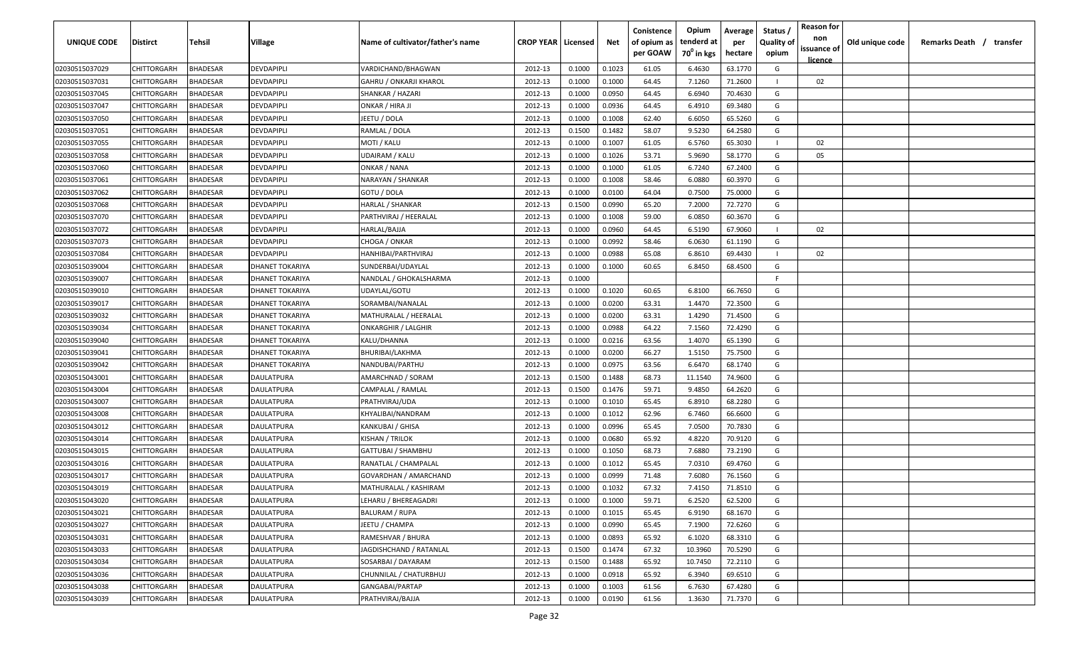| <b>UNIQUE CODE</b> | Distirct           | Tehsil          | Village         | Name of cultivator/father's name | <b>CROP YEAR Licensed</b> |        | Net    | Conistence<br>of opium as | Opium<br>tenderd at    | Average<br>per | Status /<br><b>Quality of</b> | <b>Reason for</b><br>non<br>issuance of | Old unique code | Remarks Death / transfer |
|--------------------|--------------------|-----------------|-----------------|----------------------------------|---------------------------|--------|--------|---------------------------|------------------------|----------------|-------------------------------|-----------------------------------------|-----------------|--------------------------|
|                    |                    |                 |                 |                                  |                           |        |        | per GOAW                  | 70 <sup>0</sup> in kgs | hectare        | opium                         | <u>licence</u>                          |                 |                          |
| 02030515037029     | CHITTORGARH        | <b>BHADESAR</b> | DEVDAPIPLI      | VARDICHAND/BHAGWAN               | 2012-13                   | 0.1000 | 0.1023 | 61.05                     | 6.4630                 | 63.1770        | G                             |                                         |                 |                          |
| 02030515037031     | CHITTORGARH        | BHADESAR        | DEVDAPIPLI      | <b>GAHRU / ONKARJI KHAROL</b>    | 2012-13                   | 0.1000 | 0.1000 | 64.45                     | 7.1260                 | 71.2600        |                               | 02                                      |                 |                          |
| 02030515037045     | CHITTORGARH        | BHADESAR        | DEVDAPIPLI      | SHANKAR / HAZARI                 | 2012-13                   | 0.1000 | 0.0950 | 64.45                     | 6.6940                 | 70.4630        | G                             |                                         |                 |                          |
| 02030515037047     | CHITTORGARH        | BHADESAR        | DEVDAPIPLI      | ONKAR / HIRA JI                  | 2012-13                   | 0.1000 | 0.0936 | 64.45                     | 6.4910                 | 69.3480        | G                             |                                         |                 |                          |
| 02030515037050     | CHITTORGARH        | BHADESAR        | DEVDAPIPLI      | JEETU / DOLA                     | 2012-13                   | 0.1000 | 0.1008 | 62.40                     | 6.6050                 | 65.5260        | G                             |                                         |                 |                          |
| 02030515037051     | CHITTORGARH        | <b>BHADESAR</b> | DEVDAPIPLI      | RAMLAL / DOLA                    | 2012-13                   | 0.1500 | 0.1482 | 58.07                     | 9.5230                 | 64.2580        | G                             |                                         |                 |                          |
| 02030515037055     | CHITTORGARH        | <b>BHADESAR</b> | DEVDAPIPLI      | MOTI / KALU                      | 2012-13                   | 0.1000 | 0.1007 | 61.05                     | 6.5760                 | 65.3030        |                               | 02                                      |                 |                          |
| 02030515037058     | CHITTORGARH        | BHADESAR        | DEVDAPIPLI      | UDAIRAM / KALU                   | 2012-13                   | 0.1000 | 0.1026 | 53.71                     | 5.9690                 | 58.1770        | G                             | 05                                      |                 |                          |
| 02030515037060     | CHITTORGARH        | BHADESAR        | DEVDAPIPLI      | ONKAR / NANA                     | 2012-13                   | 0.1000 | 0.1000 | 61.05                     | 6.7240                 | 67.2400        | G                             |                                         |                 |                          |
| 02030515037061     | CHITTORGARH        | BHADESAR        | DEVDAPIPLI      | NARAYAN / SHANKAR                | 2012-13                   | 0.1000 | 0.1008 | 58.46                     | 6.0880                 | 60.3970        | G                             |                                         |                 |                          |
| 02030515037062     | CHITTORGARH        | BHADESAR        | DEVDAPIPLI      | GOTU / DOLA                      | 2012-13                   | 0.1000 | 0.0100 | 64.04                     | 0.7500                 | 75.0000        | G                             |                                         |                 |                          |
| 02030515037068     | CHITTORGARH        | BHADESAR        | DEVDAPIPLI      | HARLAL / SHANKAR                 | 2012-13                   | 0.1500 | 0.0990 | 65.20                     | 7.2000                 | 72.7270        | G                             |                                         |                 |                          |
| 02030515037070     | CHITTORGARH        | BHADESAR        | DEVDAPIPLI      | PARTHVIRAJ / HEERALAL            | 2012-13                   | 0.1000 | 0.1008 | 59.00                     | 6.0850                 | 60.3670        | G                             |                                         |                 |                          |
| 02030515037072     | CHITTORGARH        | <b>BHADESAR</b> | DEVDAPIPLI      | HARLAL/BAJJA                     | 2012-13                   | 0.1000 | 0.0960 | 64.45                     | 6.5190                 | 67.9060        |                               | 02                                      |                 |                          |
| 02030515037073     | CHITTORGARH        | BHADESAR        | DEVDAPIPLI      | CHOGA / ONKAR                    | 2012-13                   | 0.1000 | 0.0992 | 58.46                     | 6.0630                 | 61.1190        | G                             |                                         |                 |                          |
| 02030515037084     | CHITTORGARH        | <b>BHADESAR</b> | DEVDAPIPLI      | HANHIBAI/PARTHVIRAJ              | 2012-13                   | 0.1000 | 0.0988 | 65.08                     | 6.8610                 | 69.4430        |                               | 02                                      |                 |                          |
| 02030515039004     | CHITTORGARH        | <b>BHADESAR</b> | DHANET TOKARIYA | SUNDERBAI/UDAYLAL                | 2012-13                   | 0.1000 | 0.1000 | 60.65                     | 6.8450                 | 68.4500        | G                             |                                         |                 |                          |
| 02030515039007     | CHITTORGARH        | BHADESAR        | DHANET TOKARIYA | NANDLAL / GHOKALSHARMA           | 2012-13                   | 0.1000 |        |                           |                        |                | F.                            |                                         |                 |                          |
| 02030515039010     | <b>CHITTORGARH</b> | BHADESAR        | DHANET TOKARIYA | UDAYLAL/GOTU                     | 2012-13                   | 0.1000 | 0.1020 | 60.65                     | 6.8100                 | 66.7650        | G                             |                                         |                 |                          |
| 02030515039017     | CHITTORGARH        | BHADESAR        | DHANET TOKARIYA | SORAMBAI/NANALAL                 | 2012-13                   | 0.1000 | 0.0200 | 63.31                     | 1.4470                 | 72.3500        | G                             |                                         |                 |                          |
| 02030515039032     | CHITTORGARH        | <b>BHADESAR</b> | DHANET TOKARIYA | MATHURALAL / HEERALAL            | 2012-13                   | 0.1000 | 0.0200 | 63.31                     | 1.4290                 | 71.4500        | G                             |                                         |                 |                          |
| 02030515039034     | CHITTORGARH        | <b>BHADESAR</b> | DHANET TOKARIYA | <b>ONKARGHIR / LALGHIR</b>       | 2012-13                   | 0.1000 | 0.0988 | 64.22                     | 7.1560                 | 72.4290        | G                             |                                         |                 |                          |
| 02030515039040     | CHITTORGARH        | <b>BHADESAR</b> | DHANET TOKARIYA | KALU/DHANNA                      | 2012-13                   | 0.1000 | 0.0216 | 63.56                     | 1.4070                 | 65.1390        | G                             |                                         |                 |                          |
| 02030515039041     | CHITTORGARH        | <b>BHADESAR</b> | DHANET TOKARIYA | BHURIBAI/LAKHMA                  | 2012-13                   | 0.1000 | 0.0200 | 66.27                     | 1.5150                 | 75.7500        | G                             |                                         |                 |                          |
| 02030515039042     | CHITTORGARH        | BHADESAR        | DHANET TOKARIYA | NANDUBAI/PARTHU                  | 2012-13                   | 0.1000 | 0.0975 | 63.56                     | 6.6470                 | 68.1740        | G                             |                                         |                 |                          |
| 02030515043001     | CHITTORGARH        | BHADESAR        | DAULATPURA      | AMARCHNAD / SORAM                | 2012-13                   | 0.1500 | 0.1488 | 68.73                     | 11.1540                | 74.9600        | G                             |                                         |                 |                          |
| 02030515043004     | CHITTORGARH        | BHADESAR        | DAULATPURA      | CAMPALAL / RAMLAL                | 2012-13                   | 0.1500 | 0.1476 | 59.71                     | 9.4850                 | 64.2620        | G                             |                                         |                 |                          |
| 02030515043007     | CHITTORGARH        | BHADESAR        | DAULATPURA      | PRATHVIRAJ/UDA                   | 2012-13                   | 0.1000 | 0.1010 | 65.45                     | 6.8910                 | 68.2280        | G                             |                                         |                 |                          |
| 02030515043008     | CHITTORGARH        | BHADESAR        | DAULATPURA      | KHYALIBAI/NANDRAM                | 2012-13                   | 0.1000 | 0.1012 | 62.96                     | 6.7460                 | 66.6600        | G                             |                                         |                 |                          |
| 02030515043012     | CHITTORGARH        | BHADESAR        | DAULATPURA      | KANKUBAI / GHISA                 | 2012-13                   | 0.1000 | 0.0996 | 65.45                     | 7.0500                 | 70.7830        | G                             |                                         |                 |                          |
| 02030515043014     | CHITTORGARH        | BHADESAR        | DAULATPURA      | KISHAN / TRILOK                  | 2012-13                   | 0.1000 | 0.0680 | 65.92                     | 4.8220                 | 70.9120        | G                             |                                         |                 |                          |
| 02030515043015     | CHITTORGARH        | BHADESAR        | DAULATPURA      | <b>GATTUBAI / SHAMBHU</b>        | 2012-13                   | 0.1000 | 0.1050 | 68.73                     | 7.6880                 | 73.2190        | G                             |                                         |                 |                          |
| 02030515043016     | CHITTORGARH        | BHADESAR        | DAULATPURA      | RANATLAL / CHAMPALAL             | 2012-13                   | 0.1000 | 0.1012 | 65.45                     | 7.0310                 | 69.4760        | G                             |                                         |                 |                          |
| 02030515043017     | CHITTORGARH        | BHADESAR        | DAULATPURA      | GOVARDHAN / AMARCHAND            | 2012-13                   | 0.1000 | 0.0999 | 71.48                     | 7.6080                 | 76.1560        | G                             |                                         |                 |                          |
| 02030515043019     | <b>CHITTORGARH</b> | BHADESAR        | DAULATPURA      | MATHURALAL / KASHIRAM            | 2012-13                   | 0.1000 | 0.1032 | 67.32                     | 7.4150                 | 71.8510        | G                             |                                         |                 |                          |
| 02030515043020     | <b>CHITTORGARH</b> | <b>BHADESAR</b> | DAULATPURA      | LEHARU / BHEREAGADRI             | 2012-13                   | 0.1000 | 0.1000 | 59.71                     | 6.2520                 | 62.5200        | G                             |                                         |                 |                          |
| 02030515043021     | CHITTORGARH        | <b>BHADESAR</b> | DAULATPURA      | <b>BALURAM / RUPA</b>            | 2012-13                   | 0.1000 | 0.1015 | 65.45                     | 6.9190                 | 68.1670        | G                             |                                         |                 |                          |
| 02030515043027     | CHITTORGARH        | <b>BHADESAR</b> | DAULATPURA      | JEETU / CHAMPA                   | 2012-13                   | 0.1000 | 0.0990 | 65.45                     | 7.1900                 | 72.6260        | G                             |                                         |                 |                          |
| 02030515043031     | <b>CHITTORGARH</b> | <b>BHADESAR</b> | DAULATPURA      | RAMESHVAR / BHURA                | 2012-13                   | 0.1000 | 0.0893 | 65.92                     | 6.1020                 | 68.3310        | G                             |                                         |                 |                          |
| 02030515043033     | <b>CHITTORGARH</b> | BHADESAR        | DAULATPURA      | JAGDISHCHAND / RATANLAL          | 2012-13                   | 0.1500 | 0.1474 | 67.32                     | 10.3960                | 70.5290        | G                             |                                         |                 |                          |
| 02030515043034     | CHITTORGARH        | BHADESAR        | DAULATPURA      | SOSARBAI / DAYARAM               | 2012-13                   | 0.1500 | 0.1488 | 65.92                     | 10.7450                | 72.2110        | G                             |                                         |                 |                          |
| 02030515043036     | <b>CHITTORGARH</b> | <b>BHADESAR</b> | DAULATPURA      | CHUNNILAL / CHATURBHUJ           | 2012-13                   | 0.1000 | 0.0918 | 65.92                     | 6.3940                 | 69.6510        | G                             |                                         |                 |                          |
| 02030515043038     | CHITTORGARH        | BHADESAR        | DAULATPURA      | GANGABAI/PARTAP                  | 2012-13                   | 0.1000 | 0.1003 | 61.56                     | 6.7630                 | 67.4280        | G                             |                                         |                 |                          |
| 02030515043039     | CHITTORGARH        | <b>BHADESAR</b> | DAULATPURA      | PRATHVIRAJ/BAJJA                 | 2012-13                   | 0.1000 | 0.0190 | 61.56                     | 1.3630                 | 71.7370        | G                             |                                         |                 |                          |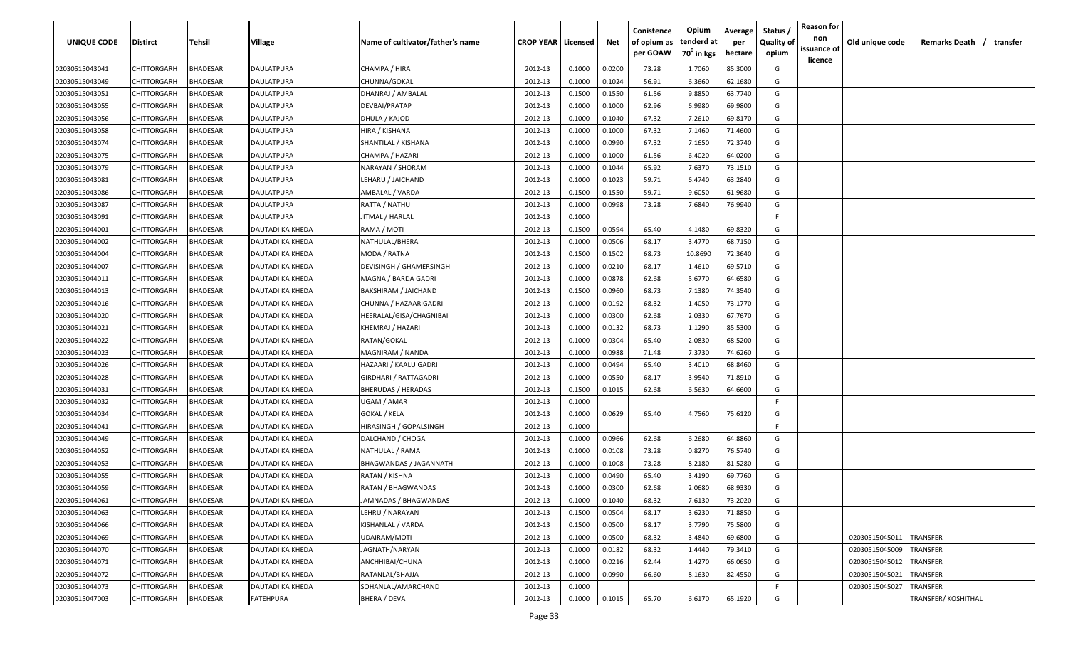| <b>UNIQUE CODE</b> | <b>Distirct</b>    | <b>Tehsil</b>   | Village          | Name of cultivator/father's name | <b>CROP YEAR   Licensed</b> |        | Net    | Conistence<br>of opium as<br>per GOAW | Opium<br>tenderd at<br>70 <sup>°</sup> in kgs | Average<br>per<br>hectare | Status /<br><b>Quality of</b><br>opium | <b>Reason for</b><br>non<br>issuance of<br><u>licence</u> | Old unique code | Remarks Death / transfer |
|--------------------|--------------------|-----------------|------------------|----------------------------------|-----------------------------|--------|--------|---------------------------------------|-----------------------------------------------|---------------------------|----------------------------------------|-----------------------------------------------------------|-----------------|--------------------------|
| 02030515043041     | CHITTORGARH        | <b>BHADESAR</b> | DAULATPURA       | CHAMPA / HIRA                    | 2012-13                     | 0.1000 | 0.0200 | 73.28                                 | 1.7060                                        | 85.3000                   | G                                      |                                                           |                 |                          |
| 02030515043049     | CHITTORGARH        | BHADESAR        | DAULATPURA       | CHUNNA/GOKAL                     | 2012-13                     | 0.1000 | 0.1024 | 56.91                                 | 6.3660                                        | 62.1680                   | G                                      |                                                           |                 |                          |
| 02030515043051     | CHITTORGARH        | BHADESAR        | DAULATPURA       | DHANRAJ / AMBALAL                | 2012-13                     | 0.1500 | 0.1550 | 61.56                                 | 9.8850                                        | 63.7740                   | G                                      |                                                           |                 |                          |
| 02030515043055     | CHITTORGARH        | BHADESAR        | DAULATPURA       | DEVBAI/PRATAP                    | 2012-13                     | 0.1000 | 0.1000 | 62.96                                 | 6.9980                                        | 69.9800                   | G                                      |                                                           |                 |                          |
| 02030515043056     | CHITTORGARH        | BHADESAR        | DAULATPURA       | DHULA / KAJOD                    | 2012-13                     | 0.1000 | 0.1040 | 67.32                                 | 7.2610                                        | 69.8170                   | G                                      |                                                           |                 |                          |
| 02030515043058     | CHITTORGARH        | BHADESAR        | DAULATPURA       | HIRA / KISHANA                   | 2012-13                     | 0.1000 | 0.1000 | 67.32                                 | 7.1460                                        | 71.4600                   | G                                      |                                                           |                 |                          |
| 02030515043074     | CHITTORGARH        | BHADESAR        | DAULATPURA       | SHANTILAL / KISHANA              | 2012-13                     | 0.1000 | 0.0990 | 67.32                                 | 7.1650                                        | 72.3740                   | G                                      |                                                           |                 |                          |
| 02030515043075     | CHITTORGARH        | BHADESAR        | DAULATPURA       | CHAMPA / HAZARI                  | 2012-13                     | 0.1000 | 0.1000 | 61.56                                 | 6.4020                                        | 64.0200                   | G                                      |                                                           |                 |                          |
| 02030515043079     | CHITTORGARH        | BHADESAR        | DAULATPURA       | NARAYAN / SHORAM                 | 2012-13                     | 0.1000 | 0.1044 | 65.92                                 | 7.6370                                        | 73.1510                   | G                                      |                                                           |                 |                          |
| 02030515043081     | CHITTORGARH        | BHADESAR        | DAULATPURA       | LEHARU / JAICHAND                | 2012-13                     | 0.1000 | 0.1023 | 59.71                                 | 6.4740                                        | 63.2840                   | G                                      |                                                           |                 |                          |
| 02030515043086     | CHITTORGARH        | BHADESAR        | DAULATPURA       | AMBALAL / VARDA                  | 2012-13                     | 0.1500 | 0.1550 | 59.71                                 | 9.6050                                        | 61.9680                   | G                                      |                                                           |                 |                          |
| 02030515043087     | CHITTORGARH        | BHADESAR        | DAULATPURA       | RATTA / NATHU                    | 2012-13                     | 0.1000 | 0.0998 | 73.28                                 | 7.6840                                        | 76.9940                   | G                                      |                                                           |                 |                          |
| 02030515043091     | CHITTORGARH        | BHADESAR        | DAULATPURA       | JITMAL / HARLAL                  | 2012-13                     | 0.1000 |        |                                       |                                               |                           | -F.                                    |                                                           |                 |                          |
| 02030515044001     | CHITTORGARH        | BHADESAR        | DAUTADI KA KHEDA | RAMA / MOTI                      | 2012-13                     | 0.1500 | 0.0594 | 65.40                                 | 4.1480                                        | 69.8320                   | G                                      |                                                           |                 |                          |
| 02030515044002     | CHITTORGARH        | BHADESAR        | DAUTADI KA KHEDA | NATHULAL/BHERA                   | 2012-13                     | 0.1000 | 0.0506 | 68.17                                 | 3.4770                                        | 68.7150                   | G                                      |                                                           |                 |                          |
| 02030515044004     | CHITTORGARH        | BHADESAR        | DAUTADI KA KHEDA | MODA / RATNA                     | 2012-13                     | 0.1500 | 0.1502 | 68.73                                 | 10.8690                                       | 72.3640                   | G                                      |                                                           |                 |                          |
| 02030515044007     | CHITTORGARH        | BHADESAR        | DAUTADI KA KHEDA | DEVISINGH / GHAMERSINGH          | 2012-13                     | 0.1000 | 0.0210 | 68.17                                 | 1.4610                                        | 69.5710                   | G                                      |                                                           |                 |                          |
| 02030515044011     | CHITTORGARH        | BHADESAR        | DAUTADI KA KHEDA | MAGNA / BARDA GADRI              | 2012-13                     | 0.1000 | 0.0878 | 62.68                                 | 5.6770                                        | 64.6580                   | G                                      |                                                           |                 |                          |
| 02030515044013     | CHITTORGARH        | BHADESAR        | DAUTADI KA KHEDA | BAKSHIRAM / JAICHAND             | 2012-13                     | 0.1500 | 0.0960 | 68.73                                 | 7.1380                                        | 74.3540                   | G                                      |                                                           |                 |                          |
| 02030515044016     | CHITTORGARH        | BHADESAR        | DAUTADI KA KHEDA | CHUNNA / HAZAARIGADRI            | 2012-13                     | 0.1000 | 0.0192 | 68.32                                 | 1.4050                                        | 73.1770                   | G                                      |                                                           |                 |                          |
| 02030515044020     | CHITTORGARH        | BHADESAR        | DAUTADI KA KHEDA | HEERALAL/GISA/CHAGNIBAI          | 2012-13                     | 0.1000 | 0.0300 | 62.68                                 | 2.0330                                        | 67.7670                   | G                                      |                                                           |                 |                          |
| 02030515044021     | CHITTORGARH        | BHADESAR        | DAUTADI KA KHEDA | KHEMRAJ / HAZARI                 | 2012-13                     | 0.1000 | 0.0132 | 68.73                                 | 1.1290                                        | 85.5300                   | G                                      |                                                           |                 |                          |
| 02030515044022     | CHITTORGARH        | BHADESAR        | DAUTADI KA KHEDA | RATAN/GOKAL                      | 2012-13                     | 0.1000 | 0.0304 | 65.40                                 | 2.0830                                        | 68.5200                   | G                                      |                                                           |                 |                          |
| 02030515044023     | CHITTORGARH        | BHADESAR        | DAUTADI KA KHEDA | MAGNIRAM / NANDA                 | 2012-13                     | 0.1000 | 0.0988 | 71.48                                 | 7.3730                                        | 74.6260                   | G                                      |                                                           |                 |                          |
| 02030515044026     | CHITTORGARH        | BHADESAR        | DAUTADI KA KHEDA | HAZAARI / KAALU GADRI            | 2012-13                     | 0.1000 | 0.0494 | 65.40                                 | 3.4010                                        | 68.8460                   | G                                      |                                                           |                 |                          |
| 02030515044028     | CHITTORGARH        | BHADESAR        | DAUTADI KA KHEDA | GIRDHARI / RATTAGADRI            | 2012-13                     | 0.1000 | 0.0550 | 68.17                                 | 3.9540                                        | 71.8910                   | G                                      |                                                           |                 |                          |
| 02030515044031     | CHITTORGARH        | BHADESAR        | DAUTADI KA KHEDA | <b>BHERUDAS / HERADAS</b>        | 2012-13                     | 0.1500 | 0.1015 | 62.68                                 | 6.5630                                        | 64.6600                   | G                                      |                                                           |                 |                          |
| 02030515044032     | CHITTORGARH        | BHADESAR        | DAUTADI KA KHEDA | UGAM / AMAR                      | 2012-13                     | 0.1000 |        |                                       |                                               |                           | F.                                     |                                                           |                 |                          |
| 02030515044034     | CHITTORGARH        | BHADESAR        | DAUTADI KA KHEDA | GOKAL / KELA                     | 2012-13                     | 0.1000 | 0.0629 | 65.40                                 | 4.7560                                        | 75.6120                   | G                                      |                                                           |                 |                          |
| 02030515044041     | CHITTORGARH        | BHADESAR        | DAUTADI KA KHEDA | HIRASINGH / GOPALSINGH           | 2012-13                     | 0.1000 |        |                                       |                                               |                           | -F.                                    |                                                           |                 |                          |
| 02030515044049     | CHITTORGARH        | BHADESAR        | DAUTADI KA KHEDA | DALCHAND / CHOGA                 | 2012-13                     | 0.1000 | 0.0966 | 62.68                                 | 6.2680                                        | 64.8860                   | G                                      |                                                           |                 |                          |
| 02030515044052     | CHITTORGARH        | <b>BHADESAR</b> | DAUTADI KA KHEDA | NATHULAL / RAMA                  | 2012-13                     | 0.1000 | 0.0108 | 73.28                                 | 0.8270                                        | 76.5740                   | G                                      |                                                           |                 |                          |
| 02030515044053     | CHITTORGARH        | BHADESAR        | DAUTADI KA KHEDA | BHAGWANDAS / JAGANNATH           | 2012-13                     | 0.1000 | 0.1008 | 73.28                                 | 8.2180                                        | 81.5280                   | G                                      |                                                           |                 |                          |
| 02030515044055     | CHITTORGARH        | BHADESAR        | DAUTADI KA KHEDA | RATAN / KISHNA                   | 2012-13                     | 0.1000 | 0.0490 | 65.40                                 | 3.4190                                        | 69.7760                   | G                                      |                                                           |                 |                          |
| 02030515044059     | CHITTORGARH        | BHADESAR        | DAUTADI KA KHEDA | <b>RATAN / BHAGWANDAS</b>        | 2012-13                     | 0.1000 | 0.0300 | 62.68                                 | 2.0680                                        | 68.9330                   | G                                      |                                                           |                 |                          |
| 02030515044061     | <b>CHITTORGARH</b> | <b>BHADESAR</b> | DAUTADI KA KHEDA | JAMNADAS / BHAGWANDAS            | 2012-13                     | 0.1000 | 0.1040 | 68.32                                 | 7.6130                                        | 73.2020                   | G                                      |                                                           |                 |                          |
| 02030515044063     | <b>CHITTORGARH</b> | <b>BHADESAR</b> | DAUTADI KA KHEDA | LEHRU / NARAYAN                  | 2012-13                     | 0.1500 | 0.0504 | 68.17                                 | 3.6230                                        | 71.8850                   | G                                      |                                                           |                 |                          |
| 02030515044066     | CHITTORGARH        | <b>BHADESAR</b> | DAUTADI KA KHEDA | KISHANLAL / VARDA                | 2012-13                     | 0.1500 | 0.0500 | 68.17                                 | 3.7790                                        | 75.5800                   | G                                      |                                                           |                 |                          |
| 02030515044069     | CHITTORGARH        | <b>BHADESAR</b> | DAUTADI KA KHEDA | UDAIRAM/MOTI                     | 2012-13                     | 0.1000 | 0.0500 | 68.32                                 | 3.4840                                        | 69.6800                   | G                                      |                                                           | 02030515045011  | <b>TRANSFER</b>          |
| 02030515044070     | CHITTORGARH        | <b>BHADESAR</b> | DAUTADI KA KHEDA | JAGNATH/NARYAN                   | 2012-13                     | 0.1000 | 0.0182 | 68.32                                 | 1.4440                                        | 79.3410                   | G                                      |                                                           | 02030515045009  | TRANSFER                 |
| 02030515044071     | CHITTORGARH        | <b>BHADESAR</b> | DAUTADI KA KHEDA | ANCHHIBAI/CHUNA                  | 2012-13                     | 0.1000 | 0.0216 | 62.44                                 | 1.4270                                        | 66.0650                   | G                                      |                                                           | 02030515045012  | TRANSFER                 |
| 02030515044072     | CHITTORGARH        | BHADESAR        | DAUTADI KA KHEDA | RATANLAL/BHAJJA                  | 2012-13                     | 0.1000 | 0.0990 | 66.60                                 | 8.1630                                        | 82.4550                   | G                                      |                                                           | 02030515045021  | TRANSFER                 |
| 02030515044073     | CHITTORGARH        | BHADESAR        | DAUTADI KA KHEDA | SOHANLAL/AMARCHAND               | 2012-13                     | 0.1000 |        |                                       |                                               |                           | F.                                     |                                                           | 02030515045027  | TRANSFER                 |
| 02030515047003     | CHITTORGARH        | <b>BHADESAR</b> | FATEHPURA        | BHERA / DEVA                     | 2012-13                     | 0.1000 | 0.1015 | 65.70                                 | 6.6170                                        | 65.1920                   | G                                      |                                                           |                 | TRANSFER/ KOSHITHAL      |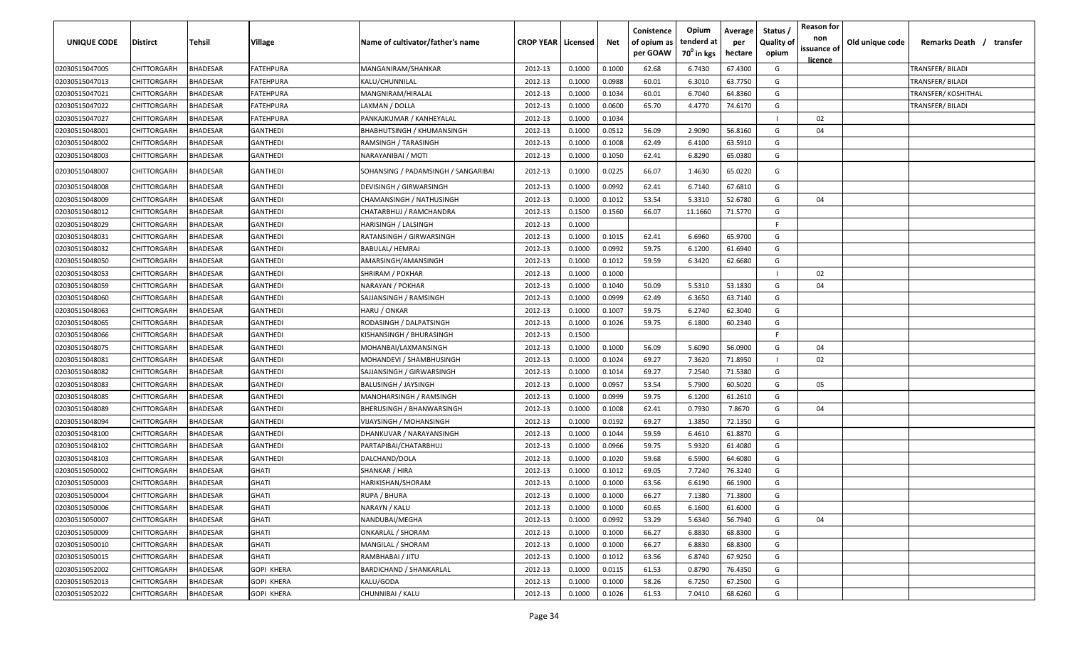| UNIQUE CODE    | Distirct           | Tehsil          | Village         | Name of cultivator/father's name    | <b>CROP YEAR   Licensed</b> |        | Net    | Conistence<br>of opium as<br>per GOAW | Opium<br>tenderd at<br>70 <sup>0</sup> in kgs | Average<br>per<br>hectare | Status,<br><b>Quality of</b><br>opium | <b>Reason for</b><br>non<br>issuance of<br>licence | Old unique code | Remarks Death / transfer |
|----------------|--------------------|-----------------|-----------------|-------------------------------------|-----------------------------|--------|--------|---------------------------------------|-----------------------------------------------|---------------------------|---------------------------------------|----------------------------------------------------|-----------------|--------------------------|
| 02030515047005 | CHITTORGARH        | <b>BHADESAR</b> | FATEHPURA       | MANGANIRAM/SHANKAR                  | 2012-13                     | 0.1000 | 0.1000 | 62.68                                 | 6.7430                                        | 67.4300                   | G                                     |                                                    |                 | TRANSFER/ BILADI         |
| 02030515047013 | CHITTORGARH        | BHADESAR        | FATEHPURA       | KALU/CHUNNILAL                      | 2012-13                     | 0.1000 | 0.0988 | 60.01                                 | 6.3010                                        | 63.7750                   | G                                     |                                                    |                 | TRANSFER/ BILADI         |
| 02030515047021 | CHITTORGARH        | <b>BHADESAR</b> | FATEHPURA       | MANGNIRAM/HIRALAL                   | 2012-13                     | 0.1000 | 0.1034 | 60.01                                 | 6.7040                                        | 64.8360                   | G                                     |                                                    |                 | TRANSFER/ KOSHITHAL      |
| 02030515047022 | CHITTORGARH        | <b>BHADESAR</b> | FATEHPURA       | LAXMAN / DOLLA                      | 2012-13                     | 0.1000 | 0.0600 | 65.70                                 | 4.4770                                        | 74.6170                   | G                                     |                                                    |                 | TRANSFER/ BILADI         |
| 02030515047027 | CHITTORGARH        | <b>BHADESAR</b> | FATEHPURA       | PANKAJKUMAR / KANHEYALAL            | 2012-13                     | 0.1000 | 0.1034 |                                       |                                               |                           |                                       | 02                                                 |                 |                          |
| 02030515048001 | CHITTORGARH        | <b>BHADESAR</b> | GANTHEDI        | BHABHUTSINGH / KHUMANSINGH          | 2012-13                     | 0.1000 | 0.0512 | 56.09                                 | 2.9090                                        | 56.8160                   | G                                     | 04                                                 |                 |                          |
| 02030515048002 | CHITTORGARH        | BHADESAR        | GANTHEDI        | RAMSINGH / TARASINGH                | 2012-13                     | 0.1000 | 0.1008 | 62.49                                 | 6.4100                                        | 63.5910                   | G                                     |                                                    |                 |                          |
| 02030515048003 | CHITTORGARH        | <b>BHADESAR</b> | GANTHEDI        | NARAYANIBAI / MOTI                  | 2012-13                     | 0.1000 | 0.1050 | 62.41                                 | 6.8290                                        | 65.0380                   | G                                     |                                                    |                 |                          |
| 02030515048007 | CHITTORGARH        | <b>BHADESAR</b> | GANTHEDI        | SOHANSING / PADAMSINGH / SANGARIBAI | 2012-13                     | 0.1000 | 0.0225 | 66.07                                 | 1.4630                                        | 65.0220                   | G                                     |                                                    |                 |                          |
| 02030515048008 | CHITTORGARH        | <b>BHADESAR</b> | GANTHEDI        | DEVISINGH / GIRWARSINGH             | 2012-13                     | 0.1000 | 0.0992 | 62.41                                 | 6.7140                                        | 67.6810                   | G                                     |                                                    |                 |                          |
| 02030515048009 | CHITTORGARH        | <b>BHADESAR</b> | GANTHEDI        | CHAMANSINGH / NATHUSINGH            | 2012-13                     | 0.1000 | 0.1012 | 53.54                                 | 5.3310                                        | 52.6780                   | G                                     | 04                                                 |                 |                          |
| 02030515048012 | CHITTORGARH        | <b>BHADESAR</b> | GANTHEDI        | CHATARBHUJ / RAMCHANDRA             | 2012-13                     | 0.1500 | 0.1560 | 66.07                                 | 11.1660                                       | 71.5770                   | G                                     |                                                    |                 |                          |
| 02030515048029 | CHITTORGARH        | BHADESAR        | GANTHEDI        | HARISINGH / LALSINGH                | 2012-13                     | 0.1000 |        |                                       |                                               |                           | E                                     |                                                    |                 |                          |
| 02030515048031 | CHITTORGARH        | BHADESAR        | GANTHEDI        | RATANSINGH / GIRWARSINGH            | 2012-13                     | 0.1000 | 0.1015 | 62.41                                 | 6.6960                                        | 65.9700                   | G                                     |                                                    |                 |                          |
| 02030515048032 | CHITTORGARH        | <b>BHADESAR</b> | GANTHEDI        | BABULAL/ HEMRAJ                     | 2012-13                     | 0.1000 | 0.0992 | 59.75                                 | 6.1200                                        | 61.6940                   | G                                     |                                                    |                 |                          |
| 02030515048050 | CHITTORGARH        | <b>BHADESAR</b> | GANTHEDI        | AMARSINGH/AMANSINGH                 | 2012-13                     | 0.1000 | 0.1012 | 59.59                                 | 6.3420                                        | 62.6680                   | G                                     |                                                    |                 |                          |
| 02030515048053 | CHITTORGARH        | <b>BHADESAR</b> | GANTHEDI        | SHRIRAM / POKHAR                    | 2012-13                     | 0.1000 | 0.1000 |                                       |                                               |                           |                                       | 02                                                 |                 |                          |
| 02030515048059 | CHITTORGARH        | <b>BHADESAR</b> | GANTHEDI        | NARAYAN / POKHAR                    | 2012-13                     | 0.1000 | 0.1040 | 50.09                                 | 5.5310                                        | 53.1830                   | G                                     | 04                                                 |                 |                          |
| 02030515048060 | CHITTORGARH        | <b>BHADESAR</b> | GANTHEDI        | SAJJANSINGH / RAMSINGH              | 2012-13                     | 0.1000 | 0.0999 | 62.49                                 | 6.3650                                        | 63.7140                   | G                                     |                                                    |                 |                          |
| 02030515048063 | CHITTORGARH        | <b>BHADESAR</b> | <b>GANTHEDI</b> | HARU / ONKAR                        | 2012-13                     | 0.1000 | 0.1007 | 59.75                                 | 6.2740                                        | 62.3040                   | G                                     |                                                    |                 |                          |
| 02030515048065 | CHITTORGARH        | <b>BHADESAR</b> | GANTHEDI        | RODASINGH / DALPATSINGH             | 2012-13                     | 0.1000 | 0.1026 | 59.75                                 | 6.1800                                        | 60.2340                   | G                                     |                                                    |                 |                          |
| 02030515048066 | CHITTORGARH        | <b>BHADESAR</b> | GANTHEDI        | KISHANSINGH / BHURASINGH            | 2012-13                     | 0.1500 |        |                                       |                                               |                           | E                                     |                                                    |                 |                          |
| 02030515048075 | CHITTORGARH        | BHADESAR        | GANTHEDI        | MOHANBAI/LAXMANSINGH                | 2012-13                     | 0.1000 | 0.1000 | 56.09                                 | 5.6090                                        | 56.0900                   | G                                     | 04                                                 |                 |                          |
| 02030515048081 | CHITTORGARH        | <b>BHADESAR</b> | GANTHEDI        | MOHANDEVI / SHAMBHUSINGH            | 2012-13                     | 0.1000 | 0.1024 | 69.27                                 | 7.3620                                        | 71.8950                   |                                       | 02                                                 |                 |                          |
| 02030515048082 | CHITTORGARH        | <b>BHADESAR</b> | GANTHEDI        | SAJJANSINGH / GIRWARSINGH           | 2012-13                     | 0.1000 | 0.1014 | 69.27                                 | 7.2540                                        | 71.5380                   | G                                     |                                                    |                 |                          |
| 02030515048083 | CHITTORGARH        | <b>BHADESAR</b> | GANTHEDI        | BALUSINGH / JAYSINGH                | 2012-13                     | 0.1000 | 0.0957 | 53.54                                 | 5.7900                                        | 60.5020                   | G                                     | 05                                                 |                 |                          |
| 02030515048085 | CHITTORGARH        | <b>BHADESAR</b> | GANTHEDI        | MANOHARSINGH / RAMSINGH             | 2012-13                     | 0.1000 | 0.0999 | 59.75                                 | 6.1200                                        | 61.2610                   | G                                     |                                                    |                 |                          |
| 02030515048089 | CHITTORGARH        | <b>BHADESAR</b> | GANTHEDI        | BHERUSINGH / BHANWARSINGH           | 2012-13                     | 0.1000 | 0.1008 | 62.41                                 | 0.7930                                        | 7.8670                    | G                                     | 04                                                 |                 |                          |
| 02030515048094 | CHITTORGARH        | <b>BHADESAR</b> | GANTHEDI        | VIJAYSINGH / MOHANSINGH             | 2012-13                     | 0.1000 | 0.0192 | 69.27                                 | 1.3850                                        | 72.1350                   | G                                     |                                                    |                 |                          |
| 02030515048100 | CHITTORGARH        | <b>BHADESAR</b> | GANTHEDI        | DHANKUVAR / NARAYANSINGH            | 2012-13                     | 0.1000 | 0.1044 | 59.59                                 | 6.4610                                        | 61.8870                   | G                                     |                                                    |                 |                          |
| 02030515048102 | CHITTORGARH        | <b>BHADESAR</b> | GANTHEDI        | PARTAPIBAI/CHATARBHUJ               | 2012-13                     | 0.1000 | 0.0966 | 59.75                                 | 5.9320                                        | 61.4080                   | G                                     |                                                    |                 |                          |
| 02030515048103 | CHITTORGARH        | <b>BHADESAR</b> | GANTHEDI        | DALCHAND/DOLA                       | 2012-13                     | 0.1000 | 0.1020 | 59.68                                 | 6.5900                                        | 64.6080                   | G                                     |                                                    |                 |                          |
| 02030515050002 | CHITTORGARH        | <b>BHADESAR</b> | GHATI           | SHANKAR / HIRA                      | 2012-13                     | 0.1000 | 0.1012 | 69.05                                 | 7.7240                                        | 76.3240                   | G                                     |                                                    |                 |                          |
| 02030515050003 | CHITTORGARH        | <b>BHADESAR</b> | GHATI           | HARIKISHAN/SHORAM                   | 2012-13                     | 0.1000 | 0.1000 | 63.56                                 | 6.6190                                        | 66.1900                   | G                                     |                                                    |                 |                          |
| 02030515050004 | CHITTORGARH        | <b>BHADESAR</b> | GHATI           | RUPA / BHURA                        | 2012-13                     | 0.1000 | 0.1000 | 66.27                                 | 7.1380                                        | 71.3800                   | G                                     |                                                    |                 |                          |
| 02030515050006 | CHITTORGARH        | <b>BHADESAR</b> | <b>GHATI</b>    | NARAYN / KALU                       | 2012-13                     | 0.1000 | 0.1000 | 60.65                                 | 6.1600                                        | 61.6000                   | G                                     |                                                    |                 |                          |
| 02030515050007 | CHITTORGARH        | <b>BHADESAR</b> | <b>GHATI</b>    | NANDUBAI/MEGHA                      | 2012-13                     | 0.1000 | 0.0992 | 53.29                                 | 5.6340                                        | 56.7940                   | G                                     | 04                                                 |                 |                          |
| 02030515050009 | <b>CHITTORGARH</b> | <b>BHADESAR</b> | <b>GHATI</b>    | ONKARLAL / SHORAM                   | 2012-13                     | 0.1000 | 0.1000 | 66.27                                 | 6.8830                                        | 68.8300                   | G                                     |                                                    |                 |                          |
| 02030515050010 | CHITTORGARH        | <b>BHADESAR</b> | GHATI           | MANGILAL / SHORAM                   | 2012-13                     | 0.1000 | 0.1000 | 66.27                                 | 6.8830                                        | 68.8300                   | G                                     |                                                    |                 |                          |
| 02030515050015 | CHITTORGARH        | <b>BHADESAR</b> | GHATI           | RAMBHABAI / JITU                    | 2012-13                     | 0.1000 | 0.1012 | 63.56                                 | 6.8740                                        | 67.9250                   | G                                     |                                                    |                 |                          |
| 02030515052002 | CHITTORGARH        | <b>BHADESAR</b> | GOPI KHERA      | <b>BARDICHAND / SHANKARLAL</b>      | 2012-13                     | 0.1000 | 0.0115 | 61.53                                 | 0.8790                                        | 76.4350                   | G                                     |                                                    |                 |                          |
| 02030515052013 | CHITTORGARH        | <b>BHADESAR</b> | GOPI KHERA      | KALU/GODA                           | 2012-13                     | 0.1000 | 0.1000 | 58.26                                 | 6.7250                                        | 67.2500                   | G                                     |                                                    |                 |                          |
| 02030515052022 | CHITTORGARH        | <b>BHADESAR</b> | GOPI KHERA      | CHUNNIBAI / KALU                    | 2012-13                     | 0.1000 | 0.1026 | 61.53                                 | 7.0410                                        | 68.6260                   | G                                     |                                                    |                 |                          |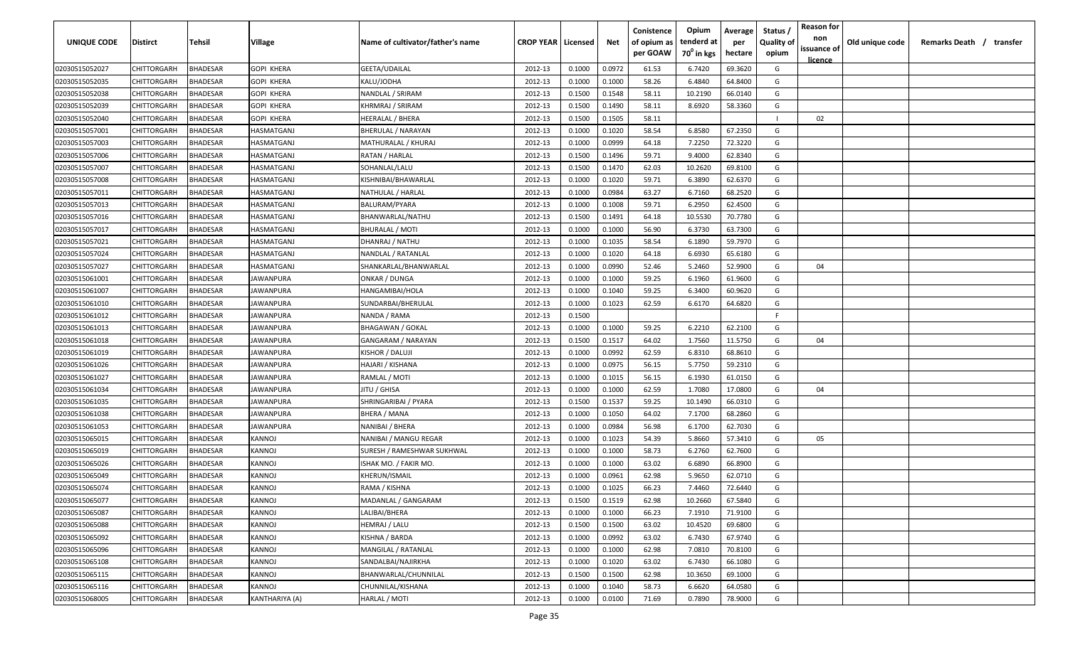| <b>UNIQUE CODE</b> | Distirct           | Tehsil          | Village           | Name of cultivator/father's name | <b>CROP YEAR Licensed</b> |        | Net    | Conistence<br>of opium as | Opium<br>tenderd at    | Average<br>per | Status /<br><b>Quality of</b> | <b>Reason for</b><br>non      | Old unique code | Remarks Death / transfer |
|--------------------|--------------------|-----------------|-------------------|----------------------------------|---------------------------|--------|--------|---------------------------|------------------------|----------------|-------------------------------|-------------------------------|-----------------|--------------------------|
|                    |                    |                 |                   |                                  |                           |        |        | per GOAW                  | 70 <sup>0</sup> in kgs | hectare        | opium                         | issuance of<br><u>licence</u> |                 |                          |
| 02030515052027     | CHITTORGARH        | <b>BHADESAR</b> | <b>GOPI KHERA</b> | GEETA/UDAILAL                    | 2012-13                   | 0.1000 | 0.0972 | 61.53                     | 6.7420                 | 69.3620        | G                             |                               |                 |                          |
| 02030515052035     | CHITTORGARH        | BHADESAR        | <b>GOPI KHERA</b> | KALU/JODHA                       | 2012-13                   | 0.1000 | 0.1000 | 58.26                     | 6.4840                 | 64.8400        | G                             |                               |                 |                          |
| 02030515052038     | CHITTORGARH        | BHADESAR        | GOPI KHERA        | NANDLAL / SRIRAM                 | 2012-13                   | 0.1500 | 0.1548 | 58.11                     | 10.2190                | 66.0140        | G                             |                               |                 |                          |
| 02030515052039     | CHITTORGARH        | <b>BHADESAR</b> | GOPI KHERA        | KHRMRAJ / SRIRAM                 | 2012-13                   | 0.1500 | 0.1490 | 58.11                     | 8.6920                 | 58.3360        | G                             |                               |                 |                          |
| 02030515052040     | CHITTORGARH        | BHADESAR        | GOPI KHERA        | HEERALAL / BHERA                 | 2012-13                   | 0.1500 | 0.1505 | 58.11                     |                        |                |                               | 02                            |                 |                          |
| 02030515057001     | CHITTORGARH        | <b>BHADESAR</b> | HASMATGANJ        | <b>BHERULAL / NARAYAN</b>        | 2012-13                   | 0.1000 | 0.1020 | 58.54                     | 6.8580                 | 67.2350        | G                             |                               |                 |                          |
| 02030515057003     | CHITTORGARH        | <b>BHADESAR</b> | IASMATGANJ        | MATHURALAL / KHURAJ              | 2012-13                   | 0.1000 | 0.0999 | 64.18                     | 7.2250                 | 72.3220        | G                             |                               |                 |                          |
| 02030515057006     | CHITTORGARH        | BHADESAR        | IASMATGANJ        | RATAN / HARLAL                   | 2012-13                   | 0.1500 | 0.1496 | 59.71                     | 9.4000                 | 62.8340        | G                             |                               |                 |                          |
| 02030515057007     | CHITTORGARH        | BHADESAR        | IASMATGANJ        | SOHANLAL/LALU                    | 2012-13                   | 0.1500 | 0.1470 | 62.03                     | 10.2620                | 69.8100        | G                             |                               |                 |                          |
| 02030515057008     | CHITTORGARH        | BHADESAR        | IASMATGANJ        | KISHNIBAI/BHAWARLAL              | 2012-13                   | 0.1000 | 0.1020 | 59.71                     | 6.3890                 | 62.6370        | G                             |                               |                 |                          |
| 02030515057011     | CHITTORGARH        | BHADESAR        | IASMATGANJ        | NATHULAL / HARLAL                | 2012-13                   | 0.1000 | 0.0984 | 63.27                     | 6.7160                 | 68.2520        | G                             |                               |                 |                          |
| 02030515057013     | CHITTORGARH        | BHADESAR        | IASMATGANJ        | BALURAM/PYARA                    | 2012-13                   | 0.1000 | 0.1008 | 59.71                     | 6.2950                 | 62.4500        | G                             |                               |                 |                          |
| 02030515057016     | CHITTORGARH        | BHADESAR        | HASMATGANJ        | BHANWARLAL/NATHU                 | 2012-13                   | 0.1500 | 0.1491 | 64.18                     | 10.5530                | 70.7780        | G                             |                               |                 |                          |
| 02030515057017     | CHITTORGARH        | <b>BHADESAR</b> | IASMATGANJ        | <b>BHURALAL / MOTI</b>           | 2012-13                   | 0.1000 | 0.1000 | 56.90                     | 6.3730                 | 63.7300        | G                             |                               |                 |                          |
| 02030515057021     | CHITTORGARH        | BHADESAR        | <b>ASMATGANJ</b>  | DHANRAJ / NATHU                  | 2012-13                   | 0.1000 | 0.1035 | 58.54                     | 6.1890                 | 59.7970        | G                             |                               |                 |                          |
| 02030515057024     | CHITTORGARH        | <b>BHADESAR</b> | HASMATGANJ        | NANDLAL / RATANLAL               | 2012-13                   | 0.1000 | 0.1020 | 64.18                     | 6.6930                 | 65.6180        | G                             |                               |                 |                          |
| 02030515057027     | CHITTORGARH        | <b>BHADESAR</b> | HASMATGANJ        | SHANKARLAL/BHANWARLAL            | 2012-13                   | 0.1000 | 0.0990 | 52.46                     | 5.2460                 | 52.9900        | G                             | 04                            |                 |                          |
| 02030515061001     | CHITTORGARH        | BHADESAR        | JAWANPURA         | <b>ONKAR / DUNGA</b>             | 2012-13                   | 0.1000 | 0.1000 | 59.25                     | 6.1960                 | 61.9600        | G                             |                               |                 |                          |
| 02030515061007     | CHITTORGARH        | BHADESAR        | JAWANPURA         | HANGAMIBAI/HOLA                  | 2012-13                   | 0.1000 | 0.1040 | 59.25                     | 6.3400                 | 60.9620        | G                             |                               |                 |                          |
| 02030515061010     | CHITTORGARH        | <b>BHADESAR</b> | <b>IAWANPURA</b>  | SUNDARBAI/BHERULAL               | 2012-13                   | 0.1000 | 0.1023 | 62.59                     | 6.6170                 | 64.6820        | G                             |                               |                 |                          |
| 02030515061012     | CHITTORGARH        | <b>BHADESAR</b> | JAWANPURA         | NANDA / RAMA                     | 2012-13                   | 0.1500 |        |                           |                        |                | -F.                           |                               |                 |                          |
| 02030515061013     | CHITTORGARH        | <b>BHADESAR</b> | JAWANPURA         | <b>BHAGAWAN / GOKAL</b>          | 2012-13                   | 0.1000 | 0.1000 | 59.25                     | 6.2210                 | 62.2100        | G                             |                               |                 |                          |
| 02030515061018     | CHITTORGARH        | <b>BHADESAR</b> | <b>IAWANPURA</b>  | GANGARAM / NARAYAN               | 2012-13                   | 0.1500 | 0.1517 | 64.02                     | 1.7560                 | 11.5750        | G                             | 04                            |                 |                          |
| 02030515061019     | CHITTORGARH        | <b>BHADESAR</b> | <b>IAWANPURA</b>  | KISHOR / DALUJI                  | 2012-13                   | 0.1000 | 0.0992 | 62.59                     | 6.8310                 | 68.8610        | G                             |                               |                 |                          |
| 02030515061026     | CHITTORGARH        | BHADESAR        | JAWANPURA         | HAJARI / KISHANA                 | 2012-13                   | 0.1000 | 0.0975 | 56.15                     | 5.7750                 | 59.2310        | G                             |                               |                 |                          |
| 02030515061027     | CHITTORGARH        | BHADESAR        | IAWANPURA         | RAMLAL / MOTI                    | 2012-13                   | 0.1000 | 0.1015 | 56.15                     | 6.1930                 | 61.0150        | G                             |                               |                 |                          |
| 02030515061034     | CHITTORGARH        | BHADESAR        | IAWANPURA         | JITU / GHISA                     | 2012-13                   | 0.1000 | 0.1000 | 62.59                     | 1.7080                 | 17.0800        | G                             | 04                            |                 |                          |
| 02030515061035     | CHITTORGARH        | BHADESAR        | IAWANPURA         | SHRINGARIBAI / PYARA             | 2012-13                   | 0.1500 | 0.1537 | 59.25                     | 10.1490                | 66.0310        | G                             |                               |                 |                          |
| 02030515061038     | CHITTORGARH        | BHADESAR        | IAWANPURA         | BHERA / MANA                     | 2012-13                   | 0.1000 | 0.1050 | 64.02                     | 7.1700                 | 68.2860        | G                             |                               |                 |                          |
| 02030515061053     | CHITTORGARH        | BHADESAR        | IAWANPURA         | NANIBAI / BHERA                  | 2012-13                   | 0.1000 | 0.0984 | 56.98                     | 6.1700                 | 62.7030        | G                             |                               |                 |                          |
| 02030515065015     | CHITTORGARH        | BHADESAR        | KANNOJ            | NANIBAI / MANGU REGAR            | 2012-13                   | 0.1000 | 0.1023 | 54.39                     | 5.8660                 | 57.3410        | G                             | 05                            |                 |                          |
| 02030515065019     | CHITTORGARH        | BHADESAR        | KANNOJ            | SURESH / RAMESHWAR SUKHWAL       | 2012-13                   | 0.1000 | 0.1000 | 58.73                     | 6.2760                 | 62.7600        | G                             |                               |                 |                          |
| 02030515065026     | CHITTORGARH        | BHADESAR        | KANNOJ            | ISHAK MO. / FAKIR MO.            | 2012-13                   | 0.1000 | 0.1000 | 63.02                     | 6.6890                 | 66.8900        | G                             |                               |                 |                          |
| 02030515065049     | CHITTORGARH        | BHADESAR        | KANNOJ            | KHERUN/ISMAIL                    | 2012-13                   | 0.1000 | 0.0961 | 62.98                     | 5.9650                 | 62.0710        | G                             |                               |                 |                          |
| 02030515065074     | CHITTORGARH        | BHADESAR        | <b>KANNOJ</b>     | RAMA / KISHNA                    | 2012-13                   | 0.1000 | 0.1025 | 66.23                     | 7.4460                 | 72.6440        | G                             |                               |                 |                          |
| 02030515065077     | <b>CHITTORGARH</b> | <b>BHADESAR</b> | <b>KANNOJ</b>     | MADANLAL / GANGARAM              | 2012-13                   | 0.1500 | 0.1519 | 62.98                     | 10.2660                | 67.5840        | G                             |                               |                 |                          |
| 02030515065087     | CHITTORGARH        | <b>BHADESAR</b> | KANNOJ            | LALIBAI/BHERA                    | 2012-13                   | 0.1000 | 0.1000 | 66.23                     | 7.1910                 | 71.9100        | G                             |                               |                 |                          |
| 02030515065088     | CHITTORGARH        | <b>BHADESAR</b> | KANNOJ            | HEMRAJ / LALU                    | 2012-13                   | 0.1500 | 0.1500 | 63.02                     | 10.4520                | 69.6800        | G                             |                               |                 |                          |
| 02030515065092     | <b>CHITTORGARH</b> | <b>BHADESAR</b> | KANNOJ            | KISHNA / BARDA                   | 2012-13                   | 0.1000 | 0.0992 | 63.02                     | 6.7430                 | 67.9740        | G                             |                               |                 |                          |
| 02030515065096     | <b>CHITTORGARH</b> | BHADESAR        | KANNOJ            | MANGILAL / RATANLAL              | 2012-13                   | 0.1000 | 0.1000 | 62.98                     | 7.0810                 | 70.8100        | G                             |                               |                 |                          |
| 02030515065108     | <b>CHITTORGARH</b> | BHADESAR        | KANNOJ            | SANDALBAI/NAJIRKHA               | 2012-13                   | 0.1000 | 0.1020 | 63.02                     | 6.7430                 | 66.1080        | G                             |                               |                 |                          |
| 02030515065115     | <b>CHITTORGARH</b> | <b>BHADESAR</b> | KANNOJ            | BHANWARLAL/CHUNNILAL             | 2012-13                   | 0.1500 | 0.1500 | 62.98                     | 10.3650                | 69.1000        | G                             |                               |                 |                          |
| 02030515065116     | CHITTORGARH        | BHADESAR        | KANNOJ            | CHUNNILAL/KISHANA                | 2012-13                   | 0.1000 | 0.1040 | 58.73                     | 6.6620                 | 64.0580        | G                             |                               |                 |                          |
| 02030515068005     | CHITTORGARH        | <b>BHADESAR</b> | KANTHARIYA (A)    | HARLAL / MOTI                    | 2012-13                   | 0.1000 | 0.0100 | 71.69                     | 0.7890                 | 78.9000        | G                             |                               |                 |                          |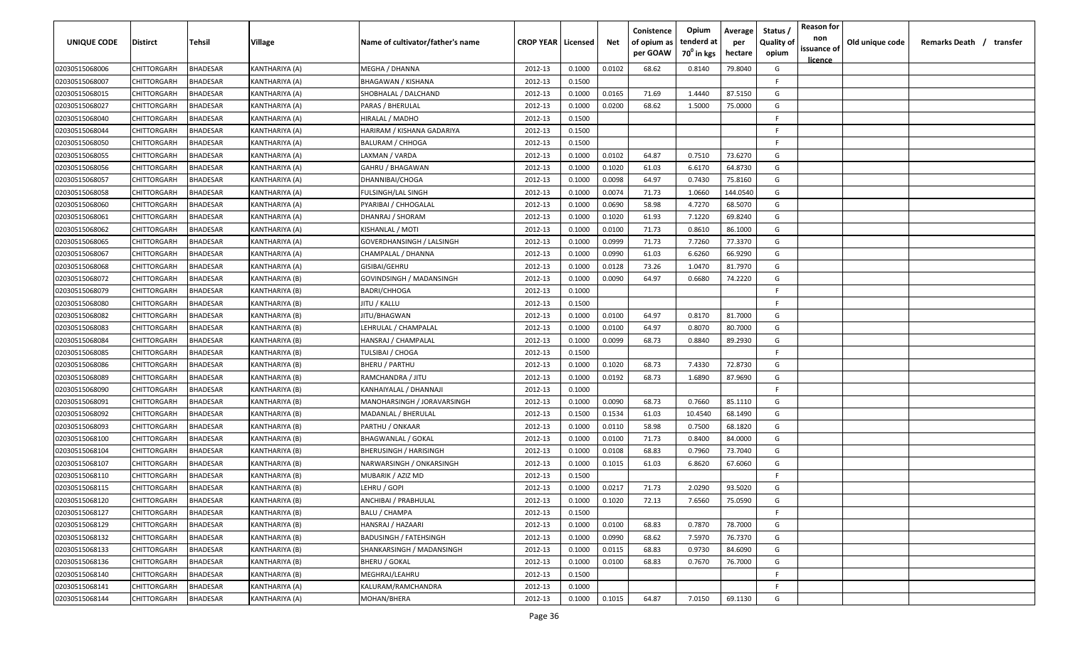| UNIQUE CODE    | Distirct           | Tehsil          | Village        | Name of cultivator/father's name | <b>CROP YEAR   Licensed</b> |        | Net    | Conistence<br>of opium as<br>per GOAW | Opium<br>tenderd at<br>70 <sup>0</sup> in kgs | Average<br>per<br>hectare | Status /<br><b>Quality of</b><br>opium | <b>Reason for</b><br>non<br>issuance of | Old unique code | Remarks Death / transfer |
|----------------|--------------------|-----------------|----------------|----------------------------------|-----------------------------|--------|--------|---------------------------------------|-----------------------------------------------|---------------------------|----------------------------------------|-----------------------------------------|-----------------|--------------------------|
| 02030515068006 | CHITTORGARH        | <b>BHADESAR</b> | KANTHARIYA (A) | MEGHA / DHANNA                   | 2012-13                     | 0.1000 | 0.0102 | 68.62                                 | 0.8140                                        | 79.8040                   | G                                      | <u>licence</u>                          |                 |                          |
| 02030515068007 | CHITTORGARH        | BHADESAR        | KANTHARIYA (A) | <b>BHAGAWAN / KISHANA</b>        | 2012-13                     | 0.1500 |        |                                       |                                               |                           | -F.                                    |                                         |                 |                          |
| 02030515068015 | CHITTORGARH        | BHADESAR        | KANTHARIYA (A) | SHOBHALAL / DALCHAND             | 2012-13                     | 0.1000 | 0.0165 | 71.69                                 | 1.4440                                        | 87.5150                   | G                                      |                                         |                 |                          |
| 02030515068027 | CHITTORGARH        | BHADESAR        | KANTHARIYA (A) | PARAS / BHERULAL                 | 2012-13                     | 0.1000 | 0.0200 | 68.62                                 | 1.5000                                        | 75.0000                   | G                                      |                                         |                 |                          |
| 02030515068040 | CHITTORGARH        | BHADESAR        | KANTHARIYA (A) | HIRALAL / MADHO                  | 2012-13                     | 0.1500 |        |                                       |                                               |                           | -F.                                    |                                         |                 |                          |
| 02030515068044 | CHITTORGARH        | BHADESAR        | KANTHARIYA (A) | HARIRAM / KISHANA GADARIYA       | 2012-13                     | 0.1500 |        |                                       |                                               |                           | -F.                                    |                                         |                 |                          |
| 02030515068050 | CHITTORGARH        | <b>BHADESAR</b> | KANTHARIYA (A) | <b>BALURAM / CHHOGA</b>          | 2012-13                     | 0.1500 |        |                                       |                                               |                           | -F                                     |                                         |                 |                          |
| 02030515068055 | CHITTORGARH        | BHADESAR        | KANTHARIYA (A) | LAXMAN / VARDA                   | 2012-13                     | 0.1000 | 0.0102 | 64.87                                 | 0.7510                                        | 73.6270                   | G                                      |                                         |                 |                          |
| 02030515068056 | CHITTORGARH        | BHADESAR        | KANTHARIYA (A) | GAHRU / BHAGAWAN                 | 2012-13                     | 0.1000 | 0.1020 | 61.03                                 | 6.6170                                        | 64.8730                   | G                                      |                                         |                 |                          |
| 02030515068057 | CHITTORGARH        | BHADESAR        | KANTHARIYA (A) | DHANNIBAI/CHOGA                  | 2012-13                     | 0.1000 | 0.0098 | 64.97                                 | 0.7430                                        | 75.8160                   | G                                      |                                         |                 |                          |
| 02030515068058 | CHITTORGARH        | BHADESAR        | KANTHARIYA (A) | FULSINGH/LAL SINGH               | 2012-13                     | 0.1000 | 0.0074 | 71.73                                 | 1.0660                                        | 144.0540                  | G                                      |                                         |                 |                          |
| 02030515068060 | CHITTORGARH        | BHADESAR        | KANTHARIYA (A) | PYARIBAI / CHHOGALAL             | 2012-13                     | 0.1000 | 0.0690 | 58.98                                 | 4.7270                                        | 68.5070                   | G                                      |                                         |                 |                          |
| 02030515068061 | CHITTORGARH        | BHADESAR        | KANTHARIYA (A) | DHANRAJ / SHORAM                 | 2012-13                     | 0.1000 | 0.1020 | 61.93                                 | 7.1220                                        | 69.8240                   | G                                      |                                         |                 |                          |
| 02030515068062 | CHITTORGARH        | BHADESAR        | KANTHARIYA (A) | KISHANLAL / MOTI                 | 2012-13                     | 0.1000 | 0.0100 | 71.73                                 | 0.8610                                        | 86.1000                   | G                                      |                                         |                 |                          |
| 02030515068065 | CHITTORGARH        | BHADESAR        | KANTHARIYA (A) | GOVERDHANSINGH / LALSINGH        | 2012-13                     | 0.1000 | 0.0999 | 71.73                                 | 7.7260                                        | 77.3370                   | G                                      |                                         |                 |                          |
| 02030515068067 | CHITTORGARH        | <b>BHADESAR</b> | KANTHARIYA (A) | CHAMPALAL / DHANNA               | 2012-13                     | 0.1000 | 0.0990 | 61.03                                 | 6.6260                                        | 66.9290                   | G                                      |                                         |                 |                          |
| 02030515068068 | CHITTORGARH        | <b>BHADESAR</b> | KANTHARIYA (A) | GISIBAI/GEHRU                    | 2012-13                     | 0.1000 | 0.0128 | 73.26                                 | 1.0470                                        | 81.7970                   | G                                      |                                         |                 |                          |
| 02030515068072 | CHITTORGARH        | <b>BHADESAR</b> | KANTHARIYA (B) | GOVINDSINGH / MADANSINGH         | 2012-13                     | 0.1000 | 0.0090 | 64.97                                 | 0.6680                                        | 74.2220                   | G                                      |                                         |                 |                          |
| 02030515068079 | CHITTORGARH        | BHADESAR        | KANTHARIYA (B) | <b>BADRI/CHHOGA</b>              | 2012-13                     | 0.1000 |        |                                       |                                               |                           | E                                      |                                         |                 |                          |
| 02030515068080 | CHITTORGARH        | BHADESAR        | KANTHARIYA (B) | JITU / KALLU                     | 2012-13                     | 0.1500 |        |                                       |                                               |                           | F.                                     |                                         |                 |                          |
| 02030515068082 | CHITTORGARH        | <b>BHADESAR</b> | KANTHARIYA (B) | JITU/BHAGWAN                     | 2012-13                     | 0.1000 | 0.0100 | 64.97                                 | 0.8170                                        | 81.7000                   | G                                      |                                         |                 |                          |
| 02030515068083 | CHITTORGARH        | <b>BHADESAR</b> | KANTHARIYA (B) | LEHRULAL / CHAMPALAL             | 2012-13                     | 0.1000 | 0.0100 | 64.97                                 | 0.8070                                        | 80.7000                   | G                                      |                                         |                 |                          |
| 02030515068084 | CHITTORGARH        | <b>BHADESAR</b> | KANTHARIYA (B) | HANSRAJ / CHAMPALAL              | 2012-13                     | 0.1000 | 0.0099 | 68.73                                 | 0.8840                                        | 89.2930                   | G                                      |                                         |                 |                          |
| 02030515068085 | CHITTORGARH        | BHADESAR        | KANTHARIYA (B) | TULSIBAI / CHOGA                 | 2012-13                     | 0.1500 |        |                                       |                                               |                           | -F.                                    |                                         |                 |                          |
| 02030515068086 | CHITTORGARH        | BHADESAR        | KANTHARIYA (B) | <b>BHERU / PARTHU</b>            | 2012-13                     | 0.1000 | 0.1020 | 68.73                                 | 7.4330                                        | 72.8730                   | G                                      |                                         |                 |                          |
| 02030515068089 | CHITTORGARH        | BHADESAR        | KANTHARIYA (B) | RAMCHANDRA / JITU                | 2012-13                     | 0.1000 | 0.0192 | 68.73                                 | 1.6890                                        | 87.9690                   | G                                      |                                         |                 |                          |
| 02030515068090 | CHITTORGARH        | BHADESAR        | KANTHARIYA (B) | KANHAIYALAL / DHANNAJI           | 2012-13                     | 0.1000 |        |                                       |                                               |                           | -F.                                    |                                         |                 |                          |
| 02030515068091 | CHITTORGARH        | BHADESAR        | KANTHARIYA (B) | MANOHARSINGH / JORAVARSINGH      | 2012-13                     | 0.1000 | 0.0090 | 68.73                                 | 0.7660                                        | 85.1110                   | G                                      |                                         |                 |                          |
| 02030515068092 | CHITTORGARH        | BHADESAR        | KANTHARIYA (B) | MADANLAL / BHERULAL              | 2012-13                     | 0.1500 | 0.1534 | 61.03                                 | 10.4540                                       | 68.1490                   | G                                      |                                         |                 |                          |
| 02030515068093 | CHITTORGARH        | BHADESAR        | KANTHARIYA (B) | PARTHU / ONKAAR                  | 2012-13                     | 0.1000 | 0.0110 | 58.98                                 | 0.7500                                        | 68.1820                   | G                                      |                                         |                 |                          |
| 02030515068100 | CHITTORGARH        | BHADESAR        | KANTHARIYA (B) | <b>BHAGWANLAL / GOKAL</b>        | 2012-13                     | 0.1000 | 0.0100 | 71.73                                 | 0.8400                                        | 84.0000                   | G                                      |                                         |                 |                          |
| 02030515068104 | CHITTORGARH        | BHADESAR        | KANTHARIYA (B) | <b>BHERUSINGH / HARISINGH</b>    | 2012-13                     | 0.1000 | 0.0108 | 68.83                                 | 0.7960                                        | 73.7040                   | G                                      |                                         |                 |                          |
| 02030515068107 | CHITTORGARH        | BHADESAR        | KANTHARIYA (B) | NARWARSINGH / ONKARSINGH         | 2012-13                     | 0.1000 | 0.1015 | 61.03                                 | 6.8620                                        | 67.6060                   | G                                      |                                         |                 |                          |
| 02030515068110 | CHITTORGARH        | BHADESAR        | KANTHARIYA (B) | MUBARIK / AZIZ MD                | 2012-13                     | 0.1500 |        |                                       |                                               |                           | -F.                                    |                                         |                 |                          |
| 02030515068115 | <b>CHITTORGARH</b> | BHADESAR        | KANTHARIYA (B) | LEHRU / GOPI                     | 2012-13                     | 0.1000 | 0.0217 | 71.73                                 | 2.0290                                        | 93.5020                   | G                                      |                                         |                 |                          |
| 02030515068120 | <b>CHITTORGARH</b> | <b>BHADESAR</b> | KANTHARIYA (B) | ANCHIBAI / PRABHULAL             | 2012-13                     | 0.1000 | 0.1020 | 72.13                                 | 7.6560                                        | 75.0590                   | G                                      |                                         |                 |                          |
| 02030515068127 | CHITTORGARH        | <b>BHADESAR</b> | KANTHARIYA (B) | <b>BALU / CHAMPA</b>             | 2012-13                     | 0.1500 |        |                                       |                                               |                           | F                                      |                                         |                 |                          |
| 02030515068129 | <b>CHITTORGARH</b> | <b>BHADESAR</b> | KANTHARIYA (B) | HANSRAJ / HAZAARI                | 2012-13                     | 0.1000 | 0.0100 | 68.83                                 | 0.7870                                        | 78.7000                   | G                                      |                                         |                 |                          |
| 02030515068132 | CHITTORGARH        | <b>BHADESAR</b> | KANTHARIYA (B) | <b>BADUSINGH / FATEHSINGH</b>    | 2012-13                     | 0.1000 | 0.0990 | 68.62                                 | 7.5970                                        | 76.7370                   | G                                      |                                         |                 |                          |
| 02030515068133 | CHITTORGARH        | BHADESAR        | KANTHARIYA (B) | SHANKARSINGH / MADANSINGH        | 2012-13                     | 0.1000 | 0.0115 | 68.83                                 | 0.9730                                        | 84.6090                   | G                                      |                                         |                 |                          |
| 02030515068136 | <b>CHITTORGARH</b> | BHADESAR        | KANTHARIYA (B) | <b>BHERU / GOKAL</b>             | 2012-13                     | 0.1000 | 0.0100 | 68.83                                 | 0.7670                                        | 76.7000                   | G                                      |                                         |                 |                          |
| 02030515068140 | CHITTORGARH        | <b>BHADESAR</b> | KANTHARIYA (B) | MEGHRAJ/LEAHRU                   | 2012-13                     | 0.1500 |        |                                       |                                               |                           | F.                                     |                                         |                 |                          |
| 02030515068141 | CHITTORGARH        | BHADESAR        | KANTHARIYA (A) | KALURAM/RAMCHANDRA               | 2012-13                     | 0.1000 |        |                                       |                                               |                           | F.                                     |                                         |                 |                          |
| 02030515068144 | CHITTORGARH        | <b>BHADESAR</b> | KANTHARIYA (A) | MOHAN/BHERA                      | 2012-13                     | 0.1000 | 0.1015 | 64.87                                 | 7.0150                                        | 69.1130                   | G                                      |                                         |                 |                          |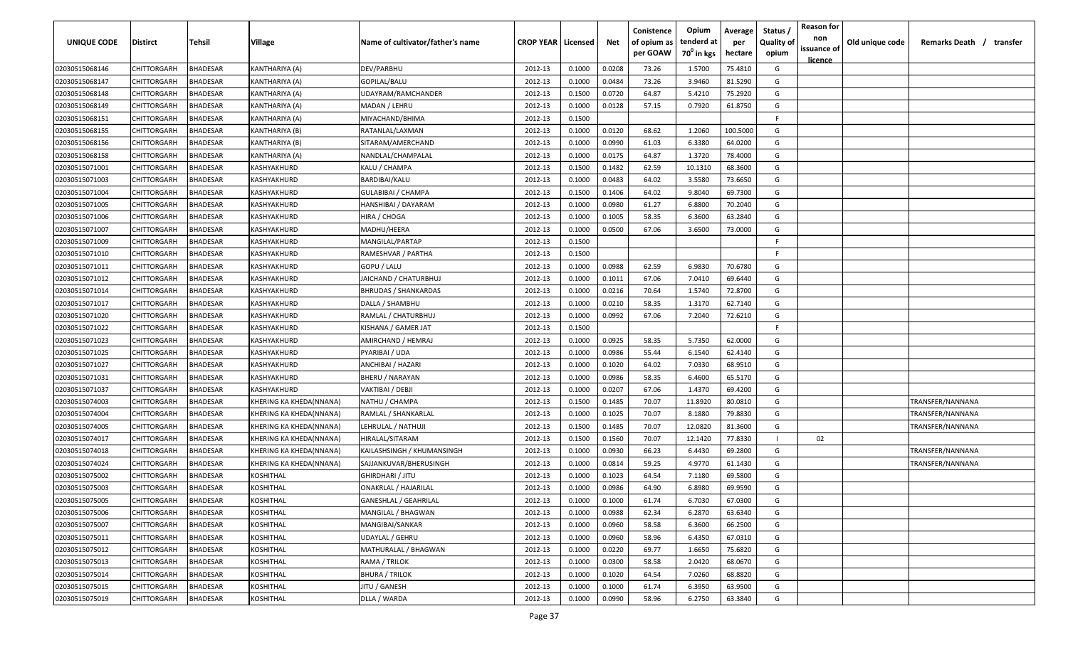| <b>UNIQUE CODE</b> | Distirct           | Tehsil          | Village                 | Name of cultivator/father's name | <b>CROP YEAR   Licensed</b> |        | Net    | Conistence<br>of opium as | Opium<br>tenderd at    | Average<br>per | Status /<br><b>Quality of</b> | <b>Reason for</b><br>non<br>issuance of | Old unique code | Remarks Death / transfer |
|--------------------|--------------------|-----------------|-------------------------|----------------------------------|-----------------------------|--------|--------|---------------------------|------------------------|----------------|-------------------------------|-----------------------------------------|-----------------|--------------------------|
|                    |                    |                 |                         |                                  |                             |        |        | per GOAW                  | 70 <sup>0</sup> in kgs | hectare        | opium                         | <u>licence</u>                          |                 |                          |
| 02030515068146     | CHITTORGARH        | <b>BHADESAR</b> | KANTHARIYA (A)          | DEV/PARBHU                       | 2012-13                     | 0.1000 | 0.0208 | 73.26                     | 1.5700                 | 75.4810        | G                             |                                         |                 |                          |
| 02030515068147     | CHITTORGARH        | BHADESAR        | KANTHARIYA (A)          | GOPILAL/BALU                     | 2012-13                     | 0.1000 | 0.0484 | 73.26                     | 3.9460                 | 81.5290        | G                             |                                         |                 |                          |
| 02030515068148     | CHITTORGARH        | BHADESAR        | KANTHARIYA (A)          | UDAYRAM/RAMCHANDER               | 2012-13                     | 0.1500 | 0.0720 | 64.87                     | 5.4210                 | 75.2920        | G                             |                                         |                 |                          |
| 02030515068149     | CHITTORGARH        | BHADESAR        | KANTHARIYA (A)          | MADAN / LEHRU                    | 2012-13                     | 0.1000 | 0.0128 | 57.15                     | 0.7920                 | 61.8750        | G                             |                                         |                 |                          |
| 02030515068151     | CHITTORGARH        | BHADESAR        | KANTHARIYA (A)          | MIYACHAND/BHIMA                  | 2012-13                     | 0.1500 |        |                           |                        |                | -F.                           |                                         |                 |                          |
| 02030515068155     | CHITTORGARH        | <b>BHADESAR</b> | KANTHARIYA (B)          | RATANLAL/LAXMAN                  | 2012-13                     | 0.1000 | 0.0120 | 68.62                     | 1.2060                 | 100.5000       | G                             |                                         |                 |                          |
| 02030515068156     | CHITTORGARH        | <b>BHADESAR</b> | KANTHARIYA (B)          | SITARAM/AMERCHAND                | 2012-13                     | 0.1000 | 0.0990 | 61.03                     | 6.3380                 | 64.0200        | G                             |                                         |                 |                          |
| 02030515068158     | CHITTORGARH        | BHADESAR        | KANTHARIYA (A)          | NANDLAL/CHAMPALAL                | 2012-13                     | 0.1000 | 0.0175 | 64.87                     | 1.3720                 | 78.4000        | G                             |                                         |                 |                          |
| 02030515071001     | CHITTORGARH        | BHADESAR        | KASHYAKHURD             | KALU / CHAMPA                    | 2012-13                     | 0.1500 | 0.1482 | 62.59                     | 10.1310                | 68.3600        | G                             |                                         |                 |                          |
| 02030515071003     | CHITTORGARH        | BHADESAR        | KASHYAKHURD             | BARDIBAI/KALU                    | 2012-13                     | 0.1000 | 0.0483 | 64.02                     | 3.5580                 | 73.6650        | G                             |                                         |                 |                          |
| 02030515071004     | CHITTORGARH        | BHADESAR        | KASHYAKHURD             | GULABIBAI / CHAMPA               | 2012-13                     | 0.1500 | 0.1406 | 64.02                     | 9.8040                 | 69.7300        | G                             |                                         |                 |                          |
| 02030515071005     | CHITTORGARH        | BHADESAR        | KASHYAKHURD             | HANSHIBAI / DAYARAM              | 2012-13                     | 0.1000 | 0.0980 | 61.27                     | 6.8800                 | 70.2040        | G                             |                                         |                 |                          |
| 02030515071006     | CHITTORGARH        | BHADESAR        | KASHYAKHURD             | HIRA / CHOGA                     | 2012-13                     | 0.1000 | 0.1005 | 58.35                     | 6.3600                 | 63.2840        | G                             |                                         |                 |                          |
| 02030515071007     | CHITTORGARH        | <b>BHADESAR</b> | KASHYAKHURD             | MADHU/HEERA                      | 2012-13                     | 0.1000 | 0.0500 | 67.06                     | 3.6500                 | 73.0000        | G                             |                                         |                 |                          |
| 02030515071009     | CHITTORGARH        | BHADESAR        | KASHYAKHURD             | MANGILAL/PARTAP                  | 2012-13                     | 0.1500 |        |                           |                        |                | -F.                           |                                         |                 |                          |
| 02030515071010     | CHITTORGARH        | <b>BHADESAR</b> | KASHYAKHURD             | RAMESHVAR / PARTHA               | 2012-13                     | 0.1500 |        |                           |                        |                | -F.                           |                                         |                 |                          |
| 02030515071011     | CHITTORGARH        | <b>BHADESAR</b> | KASHYAKHURD             | GOPU / LALU                      | 2012-13                     | 0.1000 | 0.0988 | 62.59                     | 6.9830                 | 70.6780        | G                             |                                         |                 |                          |
| 02030515071012     | CHITTORGARH        | BHADESAR        | KASHYAKHURD             | JAICHAND / CHATURBHUJ            | 2012-13                     | 0.1000 | 0.1011 | 67.06                     | 7.0410                 | 69.6440        | G                             |                                         |                 |                          |
| 02030515071014     | CHITTORGARH        | BHADESAR        | KASHYAKHURD             | <b>BHRUDAS / SHANKARDAS</b>      | 2012-13                     | 0.1000 | 0.0216 | 70.64                     | 1.5740                 | 72.8700        | G                             |                                         |                 |                          |
| 02030515071017     | CHITTORGARH        | <b>BHADESAR</b> | KASHYAKHURD             | DALLA / SHAMBHU                  | 2012-13                     | 0.1000 | 0.0210 | 58.35                     | 1.3170                 | 62.7140        | G                             |                                         |                 |                          |
| 02030515071020     | CHITTORGARH        | <b>BHADESAR</b> | KASHYAKHURD             | RAMLAL / CHATURBHUJ              | 2012-13                     | 0.1000 | 0.0992 | 67.06                     | 7.2040                 | 72.6210        | G                             |                                         |                 |                          |
| 02030515071022     | CHITTORGARH        | <b>BHADESAR</b> | KASHYAKHURD             | KISHANA / GAMER JAT              | 2012-13                     | 0.1500 |        |                           |                        |                | -F.                           |                                         |                 |                          |
| 02030515071023     | CHITTORGARH        | BHADESAR        | KASHYAKHURD             | AMIRCHAND / HEMRAJ               | 2012-13                     | 0.1000 | 0.0925 | 58.35                     | 5.7350                 | 62.0000        | G                             |                                         |                 |                          |
| 02030515071025     | CHITTORGARH        | <b>BHADESAR</b> | KASHYAKHURD             | PYARIBAI / UDA                   | 2012-13                     | 0.1000 | 0.0986 | 55.44                     | 6.1540                 | 62.4140        | G                             |                                         |                 |                          |
| 02030515071027     | CHITTORGARH        | BHADESAR        | KASHYAKHURD             | ANCHIBAI / HAZARI                | 2012-13                     | 0.1000 | 0.1020 | 64.02                     | 7.0330                 | 68.9510        | G                             |                                         |                 |                          |
| 02030515071031     | CHITTORGARH        | BHADESAR        | KASHYAKHURD             | BHERU / NARAYAN                  | 2012-13                     | 0.1000 | 0.0986 | 58.35                     | 6.4600                 | 65.5170        | G                             |                                         |                 |                          |
| 02030515071037     | CHITTORGARH        | BHADESAR        | KASHYAKHURD             | VAKTIBAI / DEBJI                 | 2012-13                     | 0.1000 | 0.0207 | 67.06                     | 1.4370                 | 69.4200        | G                             |                                         |                 |                          |
| 02030515074003     | CHITTORGARH        | BHADESAR        | KHERING KA KHEDA(NNANA) | NATHU / CHAMPA                   | 2012-13                     | 0.1500 | 0.1485 | 70.07                     | 11.8920                | 80.0810        | G                             |                                         |                 | TRANSFER/NANNANA         |
| 02030515074004     | CHITTORGARH        | BHADESAR        | KHERING KA KHEDA(NNANA) | RAMLAL / SHANKARLAL              | 2012-13                     | 0.1000 | 0.1025 | 70.07                     | 8.1880                 | 79.8830        | G                             |                                         |                 | TRANSFER/NANNANA         |
| 02030515074005     | CHITTORGARH        | BHADESAR        | KHERING KA KHEDA(NNANA) | LEHRULAL / NATHUJI               | 2012-13                     | 0.1500 | 0.1485 | 70.07                     | 12.0820                | 81.3600        | G                             |                                         |                 | TRANSFER/NANNANA         |
| 02030515074017     | CHITTORGARH        | BHADESAR        | KHERING KA KHEDA(NNANA) | HIRALAL/SITARAM                  | 2012-13                     | 0.1500 | 0.1560 | 70.07                     | 12.1420                | 77.8330        |                               | 02                                      |                 |                          |
| 02030515074018     | CHITTORGARH        | BHADESAR        | KHERING KA KHEDA(NNANA) | KAILASHSINGH / KHUMANSINGH       | 2012-13                     | 0.1000 | 0.0930 | 66.23                     | 6.4430                 | 69.2800        | G                             |                                         |                 | TRANSFER/NANNANA         |
| 02030515074024     | CHITTORGARH        | BHADESAR        | KHERING KA KHEDA(NNANA) | SAJJANKUVAR/BHERUSINGH           | 2012-13                     | 0.1000 | 0.0814 | 59.25                     | 4.9770                 | 61.1430        | G                             |                                         |                 | TRANSFER/NANNANA         |
| 02030515075002     | CHITTORGARH        | BHADESAR        | KOSHITHAL               | <b>GHIRDHARI / JITU</b>          | 2012-13                     | 0.1000 | 0.1023 | 64.54                     | 7.1180                 | 69.5800        | G                             |                                         |                 |                          |
| 02030515075003     | CHITTORGARH        | BHADESAR        | KOSHITHAL               | <b>ONAKRLAL / HAJARILAL</b>      | 2012-13                     | 0.1000 | 0.0986 | 64.90                     | 6.8980                 | 69.9590        | G                             |                                         |                 |                          |
| 02030515075005     | <b>CHITTORGARH</b> | <b>BHADESAR</b> | KOSHITHAL               | <b>GANESHLAL / GEAHRILAL</b>     | 2012-13                     | 0.1000 | 0.1000 | 61.74                     | 6.7030                 | 67.0300        | G                             |                                         |                 |                          |
| 02030515075006     | <b>CHITTORGARH</b> | <b>BHADESAR</b> | KOSHITHAL               | MANGILAL / BHAGWAN               | 2012-13                     | 0.1000 | 0.0988 | 62.34                     | 6.2870                 | 63.6340        | G                             |                                         |                 |                          |
| 02030515075007     | <b>CHITTORGARH</b> | <b>BHADESAR</b> | KOSHITHAL               | MANGIBAI/SANKAR                  | 2012-13                     | 0.1000 | 0.0960 | 58.58                     | 6.3600                 | 66.2500        | G                             |                                         |                 |                          |
| 02030515075011     | <b>CHITTORGARH</b> | <b>BHADESAR</b> | KOSHITHAL               | <b>UDAYLAL / GEHRU</b>           | 2012-13                     | 0.1000 | 0.0960 | 58.96                     | 6.4350                 | 67.0310        | G                             |                                         |                 |                          |
| 02030515075012     | CHITTORGARH        | BHADESAR        | KOSHITHAL               | MATHURALAL / BHAGWAN             | 2012-13                     | 0.1000 | 0.0220 | 69.77                     | 1.6650                 | 75.6820        | G                             |                                         |                 |                          |
| 02030515075013     | CHITTORGARH        | <b>BHADESAR</b> | KOSHITHAL               | RAMA / TRILOK                    | 2012-13                     | 0.1000 | 0.0300 | 58.58                     | 2.0420                 | 68.0670        | G                             |                                         |                 |                          |
| 02030515075014     | CHITTORGARH        | <b>BHADESAR</b> | KOSHITHAL               | <b>BHURA / TRILOK</b>            | 2012-13                     | 0.1000 | 0.1020 | 64.54                     | 7.0260                 | 68.8820        | G                             |                                         |                 |                          |
| 02030515075015     | CHITTORGARH        | BHADESAR        | KOSHITHAL               | JITU / GANESH                    | 2012-13                     | 0.1000 | 0.1000 | 61.74                     | 6.3950                 | 63.9500        | G                             |                                         |                 |                          |
| 02030515075019     | CHITTORGARH        | <b>BHADESAR</b> | KOSHITHAL               | DLLA / WARDA                     | 2012-13                     | 0.1000 | 0.0990 | 58.96                     | 6.2750                 | 63.3840        | G                             |                                         |                 |                          |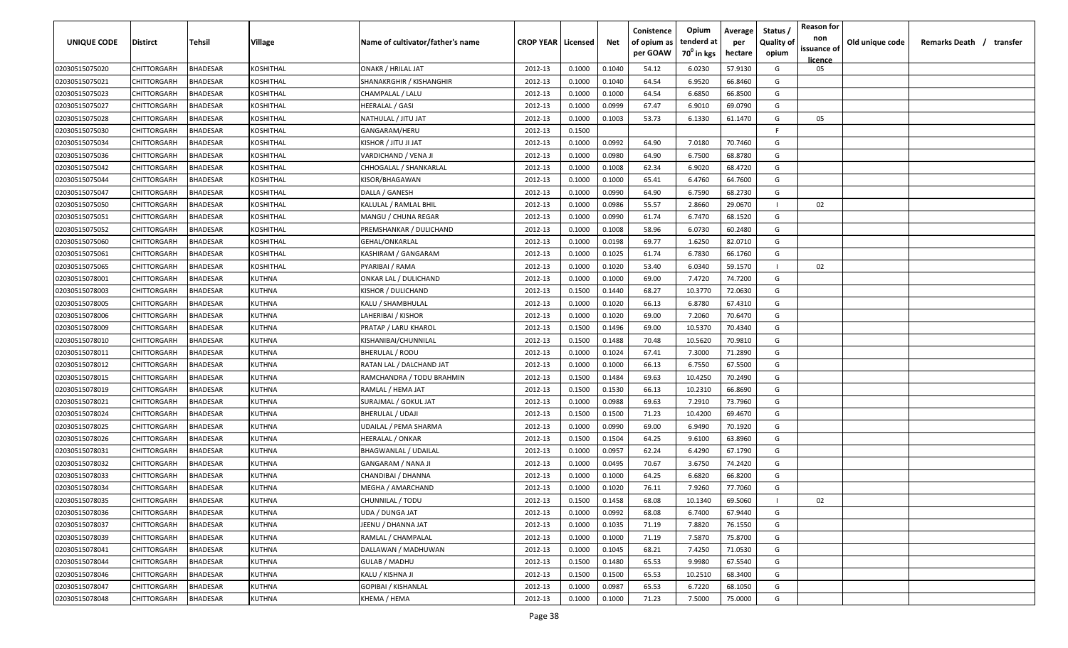| <b>UNIQUE CODE</b> | Distirct           | Tehsil          | Village       | Name of cultivator/father's name | <b>CROP YEAR Licensed</b> |        | Net    | Conistence<br>of opium as | Opium<br>tenderd at    | Average<br>per | Status /<br><b>Quality of</b> | <b>Reason for</b><br>non | Old unique code | Remarks Death / transfer |
|--------------------|--------------------|-----------------|---------------|----------------------------------|---------------------------|--------|--------|---------------------------|------------------------|----------------|-------------------------------|--------------------------|-----------------|--------------------------|
|                    |                    |                 |               |                                  |                           |        |        | per GOAW                  | 70 <sup>0</sup> in kgs | hectare        | opium                         | issuance of<br>licence   |                 |                          |
| 02030515075020     | CHITTORGARH        | <b>BHADESAR</b> | KOSHITHAL     | <b>ONAKR / HRILAL JAT</b>        | 2012-13                   | 0.1000 | 0.1040 | 54.12                     | 6.0230                 | 57.9130        | G                             | 05                       |                 |                          |
| 02030515075021     | CHITTORGARH        | BHADESAR        | KOSHITHAL     | SHANAKRGHIR / KISHANGHIR         | 2012-13                   | 0.1000 | 0.1040 | 64.54                     | 6.9520                 | 66.8460        | G                             |                          |                 |                          |
| 02030515075023     | CHITTORGARH        | BHADESAR        | KOSHITHAL     | CHAMPALAL / LALU                 | 2012-13                   | 0.1000 | 0.1000 | 64.54                     | 6.6850                 | 66.8500        | G                             |                          |                 |                          |
| 02030515075027     | CHITTORGARH        | <b>BHADESAR</b> | KOSHITHAL     | <b>HEERALAL / GASI</b>           | 2012-13                   | 0.1000 | 0.0999 | 67.47                     | 6.9010                 | 69.0790        | G                             |                          |                 |                          |
| 02030515075028     | CHITTORGARH        | BHADESAR        | KOSHITHAL     | NATHULAL / JITU JAT              | 2012-13                   | 0.1000 | 0.1003 | 53.73                     | 6.1330                 | 61.1470        | G                             | 05                       |                 |                          |
| 02030515075030     | CHITTORGARH        | <b>BHADESAR</b> | KOSHITHAL     | GANGARAM/HERU                    | 2012-13                   | 0.1500 |        |                           |                        |                | E                             |                          |                 |                          |
| 02030515075034     | CHITTORGARH        | <b>BHADESAR</b> | KOSHITHAL     | TAL IL UTIL \ ROHZIN             | 2012-13                   | 0.1000 | 0.0992 | 64.90                     | 7.0180                 | 70.7460        | G                             |                          |                 |                          |
| 02030515075036     | CHITTORGARH        | BHADESAR        | KOSHITHAL     | VARDICHAND / VENA JI             | 2012-13                   | 0.1000 | 0.0980 | 64.90                     | 6.7500                 | 68.8780        | G                             |                          |                 |                          |
| 02030515075042     | CHITTORGARH        | BHADESAR        | KOSHITHAL     | CHHOGALAL / SHANKARLAL           | 2012-13                   | 0.1000 | 0.1008 | 62.34                     | 6.9020                 | 68.4720        | G                             |                          |                 |                          |
| 02030515075044     | CHITTORGARH        | BHADESAR        | KOSHITHAL     | KISOR/BHAGAWAN                   | 2012-13                   | 0.1000 | 0.1000 | 65.41                     | 6.4760                 | 64.7600        | G                             |                          |                 |                          |
| 02030515075047     | CHITTORGARH        | BHADESAR        | KOSHITHAL     | DALLA / GANESH                   | 2012-13                   | 0.1000 | 0.0990 | 64.90                     | 6.7590                 | 68.2730        | G                             |                          |                 |                          |
| 02030515075050     | CHITTORGARH        | BHADESAR        | KOSHITHAL     | KALULAL / RAMLAL BHIL            | 2012-13                   | 0.1000 | 0.0986 | 55.57                     | 2.8660                 | 29.0670        |                               | 02                       |                 |                          |
| 02030515075051     | CHITTORGARH        | BHADESAR        | KOSHITHAL     | MANGU / CHUNA REGAR              | 2012-13                   | 0.1000 | 0.0990 | 61.74                     | 6.7470                 | 68.1520        | G                             |                          |                 |                          |
| 02030515075052     | CHITTORGARH        | <b>BHADESAR</b> | KOSHITHAL     | PREMSHANKAR / DULICHAND          | 2012-13                   | 0.1000 | 0.1008 | 58.96                     | 6.0730                 | 60.2480        | G                             |                          |                 |                          |
| 02030515075060     | CHITTORGARH        | BHADESAR        | KOSHITHAL     | GEHAL/ONKARLAL                   | 2012-13                   | 0.1000 | 0.0198 | 69.77                     | 1.6250                 | 82.0710        | G                             |                          |                 |                          |
| 02030515075061     | CHITTORGARH        | <b>BHADESAR</b> | KOSHITHAL     | KASHIRAM / GANGARAM              | 2012-13                   | 0.1000 | 0.1025 | 61.74                     | 6.7830                 | 66.1760        | G                             |                          |                 |                          |
| 02030515075065     | CHITTORGARH        | <b>BHADESAR</b> | KOSHITHAL     | PYARIBAI / RAMA                  | 2012-13                   | 0.1000 | 0.1020 | 53.40                     | 6.0340                 | 59.1570        |                               | 02                       |                 |                          |
| 02030515078001     | CHITTORGARH        | <b>BHADESAR</b> | <b>KUTHNA</b> | ONKAR LAL / DULICHAND            | 2012-13                   | 0.1000 | 0.1000 | 69.00                     | 7.4720                 | 74.7200        | G                             |                          |                 |                          |
| 02030515078003     | CHITTORGARH        | BHADESAR        | KUTHNA        | KISHOR / DULICHAND               | 2012-13                   | 0.1500 | 0.1440 | 68.27                     | 10.3770                | 72.0630        | G                             |                          |                 |                          |
| 02030515078005     | CHITTORGARH        | BHADESAR        | KUTHNA        | KALU / SHAMBHULAL                | 2012-13                   | 0.1000 | 0.1020 | 66.13                     | 6.8780                 | 67.4310        | G                             |                          |                 |                          |
| 02030515078006     | CHITTORGARH        | <b>BHADESAR</b> | KUTHNA        | LAHERIBAI / KISHOR               | 2012-13                   | 0.1000 | 0.1020 | 69.00                     | 7.2060                 | 70.6470        | G                             |                          |                 |                          |
| 02030515078009     | CHITTORGARH        | <b>BHADESAR</b> | KUTHNA        | PRATAP / LARU KHAROL             | 2012-13                   | 0.1500 | 0.1496 | 69.00                     | 10.5370                | 70.4340        | G                             |                          |                 |                          |
| 02030515078010     | CHITTORGARH        | <b>BHADESAR</b> | KUTHNA        | KISHANIBAI/CHUNNILAL             | 2012-13                   | 0.1500 | 0.1488 | 70.48                     | 10.5620                | 70.9810        | G                             |                          |                 |                          |
| 02030515078011     | CHITTORGARH        | <b>BHADESAR</b> | KUTHNA        | <b>BHERULAL / RODU</b>           | 2012-13                   | 0.1000 | 0.1024 | 67.41                     | 7.3000                 | 71.2890        | G                             |                          |                 |                          |
| 02030515078012     | CHITTORGARH        | BHADESAR        | KUTHNA        | RATAN LAL / DALCHAND JAT         | 2012-13                   | 0.1000 | 0.1000 | 66.13                     | 6.7550                 | 67.5500        | G                             |                          |                 |                          |
| 02030515078015     | CHITTORGARH        | BHADESAR        | KUTHNA        | RAMCHANDRA / TODU BRAHMIN        | 2012-13                   | 0.1500 | 0.1484 | 69.63                     | 10.4250                | 70.2490        | G                             |                          |                 |                          |
| 02030515078019     | CHITTORGARH        | BHADESAR        | KUTHNA        | RAMLAL / HEMA JAT                | 2012-13                   | 0.1500 | 0.1530 | 66.13                     | 10.2310                | 66.8690        | G                             |                          |                 |                          |
| 02030515078021     | CHITTORGARH        | <b>BHADESAR</b> | KUTHNA        | SURAJMAL / GOKUL JAT             | 2012-13                   | 0.1000 | 0.0988 | 69.63                     | 7.2910                 | 73.7960        | G                             |                          |                 |                          |
| 02030515078024     | CHITTORGARH        | BHADESAR        | KUTHNA        | BHERULAL / UDAJI                 | 2012-13                   | 0.1500 | 0.1500 | 71.23                     | 10.4200                | 69.4670        | G                             |                          |                 |                          |
| 02030515078025     | CHITTORGARH        | BHADESAR        | KUTHNA        | UDAILAL / PEMA SHARMA            | 2012-13                   | 0.1000 | 0.0990 | 69.00                     | 6.9490                 | 70.1920        | G                             |                          |                 |                          |
| 02030515078026     | CHITTORGARH        | BHADESAR        | KUTHNA        | HEERALAL / ONKAR                 | 2012-13                   | 0.1500 | 0.1504 | 64.25                     | 9.6100                 | 63.8960        | G                             |                          |                 |                          |
| 02030515078031     | CHITTORGARH        | BHADESAR        | KUTHNA        | <b>BHAGWANLAL / UDAILAL</b>      | 2012-13                   | 0.1000 | 0.0957 | 62.24                     | 6.4290                 | 67.1790        | G                             |                          |                 |                          |
| 02030515078032     | CHITTORGARH        | BHADESAR        | KUTHNA        | <b>GANGARAM / NANA JI</b>        | 2012-13                   | 0.1000 | 0.0495 | 70.67                     | 3.6750                 | 74.2420        | G                             |                          |                 |                          |
| 02030515078033     | CHITTORGARH        | BHADESAR        | KUTHNA        | CHANDIBAI / DHANNA               | 2012-13                   | 0.1000 | 0.1000 | 64.25                     | 6.6820                 | 66.8200        | G                             |                          |                 |                          |
| 02030515078034     | <b>CHITTORGARH</b> | BHADESAR        | KUTHNA        | MEGHA / AMARCHAND                | 2012-13                   | 0.1000 | 0.1020 | 76.11                     | 7.9260                 | 77.7060        | G                             |                          |                 |                          |
| 02030515078035     | <b>CHITTORGARH</b> | <b>BHADESAR</b> | KUTHNA        | CHUNNILAL / TODU                 | 2012-13                   | 0.1500 | 0.1458 | 68.08                     | 10.1340                | 69.5060        |                               | 02                       |                 |                          |
| 02030515078036     | <b>CHITTORGARH</b> | <b>BHADESAR</b> | <b>KUTHNA</b> | UDA / DUNGA JAT                  | 2012-13                   | 0.1000 | 0.0992 | 68.08                     | 6.7400                 | 67.9440        | G                             |                          |                 |                          |
| 02030515078037     | <b>CHITTORGARH</b> | <b>BHADESAR</b> | KUTHNA        | JEENU / DHANNA JAT               | 2012-13                   | 0.1000 | 0.1035 | 71.19                     | 7.8820                 | 76.1550        | G                             |                          |                 |                          |
| 02030515078039     | CHITTORGARH        | <b>BHADESAR</b> | KUTHNA        | RAMLAL / CHAMPALAL               | 2012-13                   | 0.1000 | 0.1000 | 71.19                     | 7.5870                 | 75.8700        | G                             |                          |                 |                          |
| 02030515078041     | CHITTORGARH        | BHADESAR        | KUTHNA        | DALLAWAN / MADHUWAN              | 2012-13                   | 0.1000 | 0.1045 | 68.21                     | 7.4250                 | 71.0530        | G                             |                          |                 |                          |
| 02030515078044     | <b>CHITTORGARH</b> | <b>BHADESAR</b> | KUTHNA        | <b>GULAB / MADHU</b>             | 2012-13                   | 0.1500 | 0.1480 | 65.53                     | 9.9980                 | 67.5540        | G                             |                          |                 |                          |
| 02030515078046     | <b>CHITTORGARH</b> | <b>BHADESAR</b> | KUTHNA        | KALU / KISHNA JI                 | 2012-13                   | 0.1500 | 0.1500 | 65.53                     | 10.2510                | 68.3400        | G                             |                          |                 |                          |
| 02030515078047     | CHITTORGARH        | <b>BHADESAR</b> | KUTHNA        | GOPIBAI / KISHANLAL              | 2012-13                   | 0.1000 | 0.0987 | 65.53                     | 6.7220                 | 68.1050        | G                             |                          |                 |                          |
| 02030515078048     | CHITTORGARH        | <b>BHADESAR</b> | KUTHNA        | KHEMA / HEMA                     | 2012-13                   | 0.1000 | 0.1000 | 71.23                     | 7.5000                 | 75.0000        | G                             |                          |                 |                          |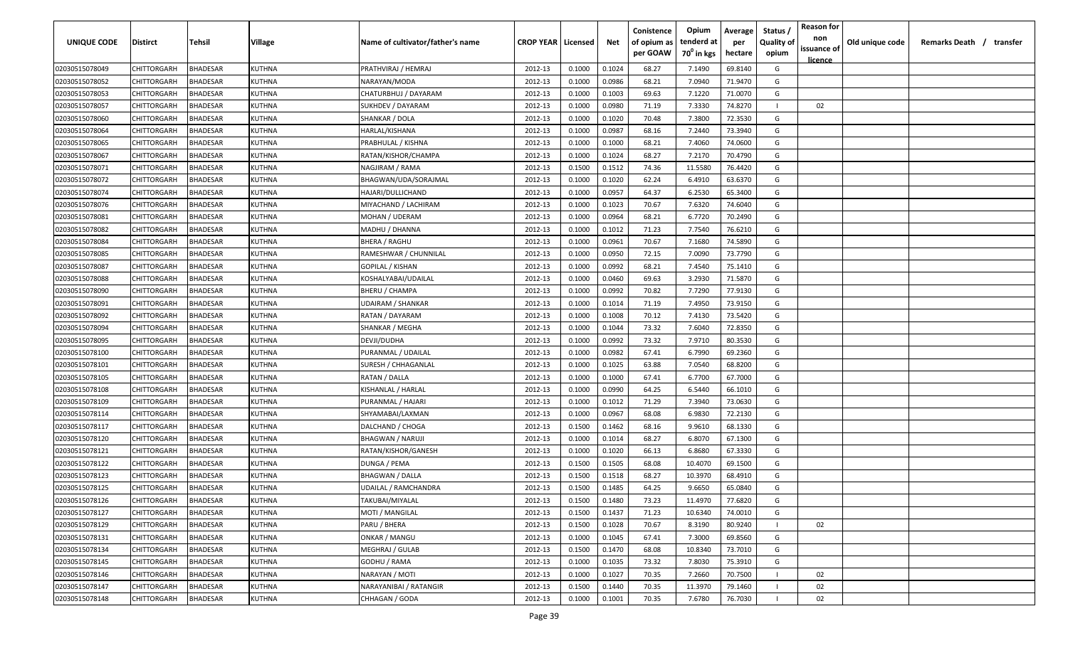| <b>UNIQUE CODE</b> | Distirct           | Tehsil          | Village       | Name of cultivator/father's name | <b>CROP YEAR Licensed</b> |        | Net    | Conistence<br>of opium as | Opium<br>tenderd at    | Average<br>per | Status /<br><b>Quality of</b> | <b>Reason for</b><br>non      | Old unique code | Remarks Death / transfer |
|--------------------|--------------------|-----------------|---------------|----------------------------------|---------------------------|--------|--------|---------------------------|------------------------|----------------|-------------------------------|-------------------------------|-----------------|--------------------------|
|                    |                    |                 |               |                                  |                           |        |        | per GOAW                  | 70 <sup>0</sup> in kgs | hectare        | opium                         | issuance of<br><u>licence</u> |                 |                          |
| 02030515078049     | CHITTORGARH        | <b>BHADESAR</b> | <b>KUTHNA</b> | PRATHVIRAJ / HEMRAJ              | 2012-13                   | 0.1000 | 0.1024 | 68.27                     | 7.1490                 | 69.8140        | G                             |                               |                 |                          |
| 02030515078052     | CHITTORGARH        | BHADESAR        | KUTHNA        | NARAYAN/MODA                     | 2012-13                   | 0.1000 | 0.0986 | 68.21                     | 7.0940                 | 71.9470        | G                             |                               |                 |                          |
| 02030515078053     | CHITTORGARH        | BHADESAR        | KUTHNA        | CHATURBHUJ / DAYARAM             | 2012-13                   | 0.1000 | 0.1003 | 69.63                     | 7.1220                 | 71.0070        | G                             |                               |                 |                          |
| 02030515078057     | CHITTORGARH        | <b>BHADESAR</b> | KUTHNA        | SUKHDEV / DAYARAM                | 2012-13                   | 0.1000 | 0.0980 | 71.19                     | 7.3330                 | 74.8270        |                               | 02                            |                 |                          |
| 02030515078060     | CHITTORGARH        | BHADESAR        | KUTHNA        | SHANKAR / DOLA                   | 2012-13                   | 0.1000 | 0.1020 | 70.48                     | 7.3800                 | 72.3530        | G                             |                               |                 |                          |
| 02030515078064     | CHITTORGARH        | <b>BHADESAR</b> | KUTHNA        | HARLAL/KISHANA                   | 2012-13                   | 0.1000 | 0.0987 | 68.16                     | 7.2440                 | 73.3940        | G                             |                               |                 |                          |
| 02030515078065     | CHITTORGARH        | <b>BHADESAR</b> | KUTHNA        | PRABHULAL / KISHNA               | 2012-13                   | 0.1000 | 0.1000 | 68.21                     | 7.4060                 | 74.0600        | G                             |                               |                 |                          |
| 02030515078067     | CHITTORGARH        | BHADESAR        | KUTHNA        | RATAN/KISHOR/CHAMPA              | 2012-13                   | 0.1000 | 0.1024 | 68.27                     | 7.2170                 | 70.4790        | G                             |                               |                 |                          |
| 02030515078071     | CHITTORGARH        | BHADESAR        | KUTHNA        | NAGJIRAM / RAMA                  | 2012-13                   | 0.1500 | 0.1512 | 74.36                     | 11.5580                | 76.4420        | G                             |                               |                 |                          |
| 02030515078072     | CHITTORGARH        | BHADESAR        | KUTHNA        | BHAGWAN/UDA/SORAJMAL             | 2012-13                   | 0.1000 | 0.1020 | 62.24                     | 6.4910                 | 63.6370        | G                             |                               |                 |                          |
| 02030515078074     | CHITTORGARH        | BHADESAR        | KUTHNA        | HAJARI/DULLICHAND                | 2012-13                   | 0.1000 | 0.0957 | 64.37                     | 6.2530                 | 65.3400        | G                             |                               |                 |                          |
| 02030515078076     | CHITTORGARH        | BHADESAR        | KUTHNA        | MIYACHAND / LACHIRAM             | 2012-13                   | 0.1000 | 0.1023 | 70.67                     | 7.6320                 | 74.6040        | G                             |                               |                 |                          |
| 02030515078081     | CHITTORGARH        | BHADESAR        | KUTHNA        | MOHAN / UDERAM                   | 2012-13                   | 0.1000 | 0.0964 | 68.21                     | 6.7720                 | 70.2490        | G                             |                               |                 |                          |
| 02030515078082     | CHITTORGARH        | <b>BHADESAR</b> | KUTHNA        | MADHU / DHANNA                   | 2012-13                   | 0.1000 | 0.1012 | 71.23                     | 7.7540                 | 76.6210        | G                             |                               |                 |                          |
| 02030515078084     | CHITTORGARH        | BHADESAR        | KUTHNA        | BHERA / RAGHU                    | 2012-13                   | 0.1000 | 0.0961 | 70.67                     | 7.1680                 | 74.5890        | G                             |                               |                 |                          |
| 02030515078085     | CHITTORGARH        | <b>BHADESAR</b> | KUTHNA        | RAMESHWAR / CHUNNILAL            | 2012-13                   | 0.1000 | 0.0950 | 72.15                     | 7.0090                 | 73.7790        | G                             |                               |                 |                          |
| 02030515078087     | CHITTORGARH        | BHADESAR        | KUTHNA        | GOPILAL / KISHAN                 | 2012-13                   | 0.1000 | 0.0992 | 68.21                     | 7.4540                 | 75.1410        | G                             |                               |                 |                          |
| 02030515078088     | CHITTORGARH        | BHADESAR        | <b>KUTHNA</b> | KOSHALYABAI/UDAILAL              | 2012-13                   | 0.1000 | 0.0460 | 69.63                     | 3.2930                 | 71.5870        | G                             |                               |                 |                          |
| 02030515078090     | <b>CHITTORGARH</b> | BHADESAR        | KUTHNA        | BHERU / CHAMPA                   | 2012-13                   | 0.1000 | 0.0992 | 70.82                     | 7.7290                 | 77.9130        | G                             |                               |                 |                          |
| 02030515078091     | CHITTORGARH        | <b>BHADESAR</b> | KUTHNA        | UDAIRAM / SHANKAR                | 2012-13                   | 0.1000 | 0.1014 | 71.19                     | 7.4950                 | 73.9150        | G                             |                               |                 |                          |
| 02030515078092     | CHITTORGARH        | <b>BHADESAR</b> | KUTHNA        | RATAN / DAYARAM                  | 2012-13                   | 0.1000 | 0.1008 | 70.12                     | 7.4130                 | 73.5420        | G                             |                               |                 |                          |
| 02030515078094     | CHITTORGARH        | <b>BHADESAR</b> | KUTHNA        | SHANKAR / MEGHA                  | 2012-13                   | 0.1000 | 0.1044 | 73.32                     | 7.6040                 | 72.8350        | G                             |                               |                 |                          |
| 02030515078095     | CHITTORGARH        | <b>BHADESAR</b> | KUTHNA        | DEVJI/DUDHA                      | 2012-13                   | 0.1000 | 0.0992 | 73.32                     | 7.9710                 | 80.3530        | G                             |                               |                 |                          |
| 02030515078100     | CHITTORGARH        | <b>BHADESAR</b> | KUTHNA        | PURANMAL / UDAILAL               | 2012-13                   | 0.1000 | 0.0982 | 67.41                     | 6.7990                 | 69.2360        | G                             |                               |                 |                          |
| 02030515078101     | CHITTORGARH        | BHADESAR        | KUTHNA        | SURESH / CHHAGANLAL              | 2012-13                   | 0.1000 | 0.1025 | 63.88                     | 7.0540                 | 68.8200        | G                             |                               |                 |                          |
| 02030515078105     | CHITTORGARH        | BHADESAR        | KUTHNA        | RATAN / DALLA                    | 2012-13                   | 0.1000 | 0.1000 | 67.41                     | 6.7700                 | 67.7000        | G                             |                               |                 |                          |
| 02030515078108     | CHITTORGARH        | BHADESAR        | KUTHNA        | KISHANLAL / HARLAL               | 2012-13                   | 0.1000 | 0.0990 | 64.25                     | 6.5440                 | 66.1010        | G                             |                               |                 |                          |
| 02030515078109     | CHITTORGARH        | BHADESAR        | KUTHNA        | PURANMAL / HAJARI                | 2012-13                   | 0.1000 | 0.1012 | 71.29                     | 7.3940                 | 73.0630        | G                             |                               |                 |                          |
| 02030515078114     | CHITTORGARH        | BHADESAR        | KUTHNA        | SHYAMABAI/LAXMAN                 | 2012-13                   | 0.1000 | 0.0967 | 68.08                     | 6.9830                 | 72.2130        | G                             |                               |                 |                          |
| 02030515078117     | CHITTORGARH        | BHADESAR        | KUTHNA        | DALCHAND / CHOGA                 | 2012-13                   | 0.1500 | 0.1462 | 68.16                     | 9.9610                 | 68.1330        | G                             |                               |                 |                          |
| 02030515078120     | CHITTORGARH        | BHADESAR        | KUTHNA        | <b>BHAGWAN / NARUJI</b>          | 2012-13                   | 0.1000 | 0.1014 | 68.27                     | 6.8070                 | 67.1300        | G                             |                               |                 |                          |
| 02030515078121     | CHITTORGARH        | <b>BHADESAR</b> | KUTHNA        | RATAN/KISHOR/GANESH              | 2012-13                   | 0.1000 | 0.1020 | 66.13                     | 6.8680                 | 67.3330        | G                             |                               |                 |                          |
| 02030515078122     | CHITTORGARH        | BHADESAR        | KUTHNA        | DUNGA / PEMA                     | 2012-13                   | 0.1500 | 0.1505 | 68.08                     | 10.4070                | 69.1500        | G                             |                               |                 |                          |
| 02030515078123     | CHITTORGARH        | BHADESAR        | KUTHNA        | BHAGWAN / DALLA                  | 2012-13                   | 0.1500 | 0.1518 | 68.27                     | 10.3970                | 68.4910        | G                             |                               |                 |                          |
| 02030515078125     | CHITTORGARH        | BHADESAR        | KUTHNA        | UDAILAL / RAMCHANDRA             | 2012-13                   | 0.1500 | 0.1485 | 64.25                     | 9.6650                 | 65.0840        | G                             |                               |                 |                          |
| 02030515078126     | <b>CHITTORGARH</b> | <b>BHADESAR</b> | KUTHNA        | TAKUBAI/MIYALAL                  | 2012-13                   | 0.1500 | 0.1480 | 73.23                     | 11.4970                | 77.6820        | G                             |                               |                 |                          |
| 02030515078127     | CHITTORGARH        | <b>BHADESAR</b> | KUTHNA        | <b>MOTI / MANGILAL</b>           | 2012-13                   | 0.1500 | 0.1437 | 71.23                     | 10.6340                | 74.0010        | G                             |                               |                 |                          |
| 02030515078129     | <b>CHITTORGARH</b> | <b>BHADESAR</b> | <b>KUTHNA</b> | PARU / BHERA                     | 2012-13                   | 0.1500 | 0.1028 | 70.67                     | 8.3190                 | 80.9240        |                               | 02                            |                 |                          |
| 02030515078131     | <b>CHITTORGARH</b> | <b>BHADESAR</b> | KUTHNA        | ONKAR / MANGU                    | 2012-13                   | 0.1000 | 0.1045 | 67.41                     | 7.3000                 | 69.8560        | G                             |                               |                 |                          |
| 02030515078134     | CHITTORGARH        | BHADESAR        | KUTHNA        | MEGHRAJ / GULAB                  | 2012-13                   | 0.1500 | 0.1470 | 68.08                     | 10.8340                | 73.7010        | G                             |                               |                 |                          |
| 02030515078145     | CHITTORGARH        | BHADESAR        | KUTHNA        | GODHU / RAMA                     | 2012-13                   | 0.1000 | 0.1035 | 73.32                     | 7.8030                 | 75.3910        | G                             |                               |                 |                          |
| 02030515078146     | CHITTORGARH        | <b>BHADESAR</b> | KUTHNA        | NARAYAN / MOTI                   | 2012-13                   | 0.1000 | 0.1027 | 70.35                     | 7.2660                 | 70.7500        |                               | 02                            |                 |                          |
| 02030515078147     | CHITTORGARH        | BHADESAR        | KUTHNA        | NARAYANIBAI / RATANGIR           | 2012-13                   | 0.1500 | 0.1440 | 70.35                     | 11.3970                | 79.1460        |                               | 02                            |                 |                          |
| 02030515078148     | CHITTORGARH        | <b>BHADESAR</b> | KUTHNA        | CHHAGAN / GODA                   | 2012-13                   | 0.1000 | 0.1001 | 70.35                     | 7.6780                 | 76.7030        |                               | 02                            |                 |                          |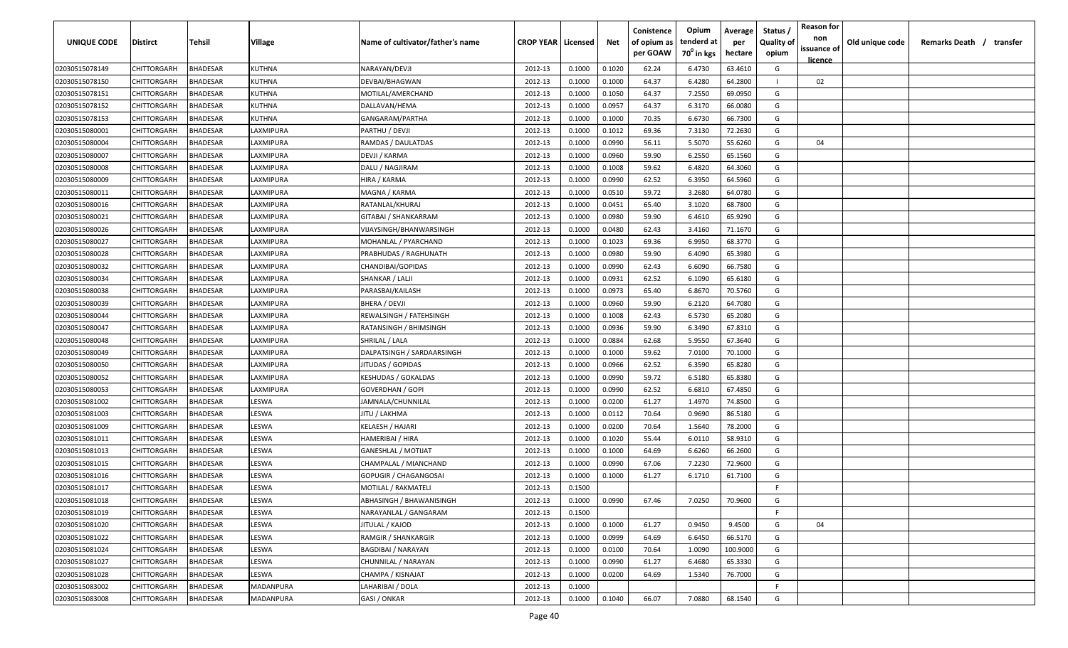| <b>UNIQUE CODE</b> | Distirct           | Tehsil          | Village         | Name of cultivator/father's name | <b>CROP YEAR Licensed</b> |        | Net    | Conistence<br>of opium as | Opium<br>tenderd at    | Average<br>per | Status /<br><b>Quality of</b> | <b>Reason for</b><br>non<br>issuance of | Old unique code | Remarks Death / transfer |
|--------------------|--------------------|-----------------|-----------------|----------------------------------|---------------------------|--------|--------|---------------------------|------------------------|----------------|-------------------------------|-----------------------------------------|-----------------|--------------------------|
|                    |                    |                 |                 |                                  |                           |        |        | per GOAW                  | 70 <sup>0</sup> in kgs | hectare        | opium                         | <u>licence</u>                          |                 |                          |
| 02030515078149     | CHITTORGARH        | <b>BHADESAR</b> | <b>KUTHNA</b>   | NARAYAN/DEVJI                    | 2012-13                   | 0.1000 | 0.1020 | 62.24                     | 6.4730                 | 63.4610        | G                             |                                         |                 |                          |
| 02030515078150     | CHITTORGARH        | BHADESAR        | KUTHNA          | DEVBAI/BHAGWAN                   | 2012-13                   | 0.1000 | 0.1000 | 64.37                     | 6.4280                 | 64.2800        |                               | 02                                      |                 |                          |
| 02030515078151     | CHITTORGARH        | BHADESAR        | KUTHNA          | MOTILAL/AMERCHAND                | 2012-13                   | 0.1000 | 0.1050 | 64.37                     | 7.2550                 | 69.0950        | G                             |                                         |                 |                          |
| 02030515078152     | CHITTORGARH        | BHADESAR        | KUTHNA          | DALLAVAN/HEMA                    | 2012-13                   | 0.1000 | 0.0957 | 64.37                     | 6.3170                 | 66.0080        | G                             |                                         |                 |                          |
| 02030515078153     | CHITTORGARH        | BHADESAR        | KUTHNA          | GANGARAM/PARTHA                  | 2012-13                   | 0.1000 | 0.1000 | 70.35                     | 6.6730                 | 66.7300        | G                             |                                         |                 |                          |
| 02030515080001     | CHITTORGARH        | <b>BHADESAR</b> | LAXMIPURA       | PARTHU / DEVJI                   | 2012-13                   | 0.1000 | 0.1012 | 69.36                     | 7.3130                 | 72.2630        | G                             |                                         |                 |                          |
| 02030515080004     | CHITTORGARH        | <b>BHADESAR</b> | LAXMIPURA       | RAMDAS / DAULATDAS               | 2012-13                   | 0.1000 | 0.0990 | 56.11                     | 5.5070                 | 55.6260        | G                             | 04                                      |                 |                          |
| 02030515080007     | CHITTORGARH        | BHADESAR        | <b>AXMIPURA</b> | DEVJI / KARMA                    | 2012-13                   | 0.1000 | 0.0960 | 59.90                     | 6.2550                 | 65.1560        | G                             |                                         |                 |                          |
| 02030515080008     | CHITTORGARH        | BHADESAR        | AXMIPURA        | DALU / NAGJIRAM                  | 2012-13                   | 0.1000 | 0.1008 | 59.62                     | 6.4820                 | 64.3060        | G                             |                                         |                 |                          |
| 02030515080009     | CHITTORGARH        | BHADESAR        | LAXMIPURA       | HIRA / KARMA                     | 2012-13                   | 0.1000 | 0.0990 | 62.52                     | 6.3950                 | 64.5960        | G                             |                                         |                 |                          |
| 02030515080011     | CHITTORGARH        | BHADESAR        | AXMIPURA        | MAGNA / KARMA                    | 2012-13                   | 0.1000 | 0.0510 | 59.72                     | 3.2680                 | 64.0780        | G                             |                                         |                 |                          |
| 02030515080016     | CHITTORGARH        | BHADESAR        | AXMIPURA        | RATANLAL/KHURAJ                  | 2012-13                   | 0.1000 | 0.0451 | 65.40                     | 3.1020                 | 68.7800        | G                             |                                         |                 |                          |
| 02030515080021     | CHITTORGARH        | BHADESAR        | LAXMIPURA       | GITABAI / SHANKARRAM             | 2012-13                   | 0.1000 | 0.0980 | 59.90                     | 6.4610                 | 65.9290        | G                             |                                         |                 |                          |
| 02030515080026     | CHITTORGARH        | <b>BHADESAR</b> | LAXMIPURA       | VIJAYSINGH/BHANWARSINGH          | 2012-13                   | 0.1000 | 0.0480 | 62.43                     | 3.4160                 | 71.1670        | G                             |                                         |                 |                          |
| 02030515080027     | CHITTORGARH        | BHADESAR        | LAXMIPURA       | MOHANLAL / PYARCHAND             | 2012-13                   | 0.1000 | 0.1023 | 69.36                     | 6.9950                 | 68.3770        | G                             |                                         |                 |                          |
| 02030515080028     | CHITTORGARH        | <b>BHADESAR</b> | LAXMIPURA       | PRABHUDAS / RAGHUNATH            | 2012-13                   | 0.1000 | 0.0980 | 59.90                     | 6.4090                 | 65.3980        | G                             |                                         |                 |                          |
| 02030515080032     | CHITTORGARH        | BHADESAR        | LAXMIPURA       | CHANDIBAI/GOPIDAS                | 2012-13                   | 0.1000 | 0.0990 | 62.43                     | 6.6090                 | 66.7580        | G                             |                                         |                 |                          |
| 02030515080034     | CHITTORGARH        | BHADESAR        | LAXMIPURA       | SHANKAR / LALJI                  | 2012-13                   | 0.1000 | 0.0931 | 62.52                     | 6.1090                 | 65.6180        | G                             |                                         |                 |                          |
| 02030515080038     | CHITTORGARH        | BHADESAR        | LAXMIPURA       | PARASBAI/KAILASH                 | 2012-13                   | 0.1000 | 0.0973 | 65.40                     | 6.8670                 | 70.5760        | G                             |                                         |                 |                          |
| 02030515080039     | CHITTORGARH        | BHADESAR        | LAXMIPURA       | BHERA / DEVJI                    | 2012-13                   | 0.1000 | 0.0960 | 59.90                     | 6.2120                 | 64.7080        | G                             |                                         |                 |                          |
| 02030515080044     | CHITTORGARH        | <b>BHADESAR</b> | LAXMIPURA       | REWALSINGH / FATEHSINGH          | 2012-13                   | 0.1000 | 0.1008 | 62.43                     | 6.5730                 | 65.2080        | G                             |                                         |                 |                          |
| 02030515080047     | CHITTORGARH        | <b>BHADESAR</b> | LAXMIPURA       | RATANSINGH / BHIMSINGH           | 2012-13                   | 0.1000 | 0.0936 | 59.90                     | 6.3490                 | 67.8310        | G                             |                                         |                 |                          |
| 02030515080048     | CHITTORGARH        | <b>BHADESAR</b> | LAXMIPURA       | SHRILAL / LALA                   | 2012-13                   | 0.1000 | 0.0884 | 62.68                     | 5.9550                 | 67.3640        | G                             |                                         |                 |                          |
| 02030515080049     | CHITTORGARH        | <b>BHADESAR</b> | LAXMIPURA       | DALPATSINGH / SARDAARSINGH       | 2012-13                   | 0.1000 | 0.1000 | 59.62                     | 7.0100                 | 70.1000        | G                             |                                         |                 |                          |
| 02030515080050     | CHITTORGARH        | BHADESAR        | LAXMIPURA       | JITUDAS / GOPIDAS                | 2012-13                   | 0.1000 | 0.0966 | 62.52                     | 6.3590                 | 65.8280        | G                             |                                         |                 |                          |
| 02030515080052     | CHITTORGARH        | BHADESAR        | LAXMIPURA       | KESHUDAS / GOKALDAS              | 2012-13                   | 0.1000 | 0.0990 | 59.72                     | 6.5180                 | 65.8380        | G                             |                                         |                 |                          |
| 02030515080053     | CHITTORGARH        | BHADESAR        | LAXMIPURA       | GOVERDHAN / GOPI                 | 2012-13                   | 0.1000 | 0.0990 | 62.52                     | 6.6810                 | 67.4850        | G                             |                                         |                 |                          |
| 02030515081002     | CHITTORGARH        | BHADESAR        | LESWA           | IAMNALA/CHUNNILAL                | 2012-13                   | 0.1000 | 0.0200 | 61.27                     | 1.4970                 | 74.8500        | G                             |                                         |                 |                          |
| 02030515081003     | CHITTORGARH        | BHADESAR        | LESWA           | JITU / LAKHMA                    | 2012-13                   | 0.1000 | 0.0112 | 70.64                     | 0.9690                 | 86.5180        | G                             |                                         |                 |                          |
| 02030515081009     | CHITTORGARH        | BHADESAR        | LESWA           | KELAESH / HAJARI                 | 2012-13                   | 0.1000 | 0.0200 | 70.64                     | 1.5640                 | 78.2000        | G                             |                                         |                 |                          |
| 02030515081011     | CHITTORGARH        | BHADESAR        | LESWA           | HAMERIBAI / HIRA                 | 2012-13                   | 0.1000 | 0.1020 | 55.44                     | 6.0110                 | 58.9310        | G                             |                                         |                 |                          |
| 02030515081013     | CHITTORGARH        | BHADESAR        | LESWA           | <b>GANESHLAL / MOTIJAT</b>       | 2012-13                   | 0.1000 | 0.1000 | 64.69                     | 6.6260                 | 66.2600        | G                             |                                         |                 |                          |
| 02030515081015     | CHITTORGARH        | BHADESAR        | LESWA           | CHAMPALAL / MIANCHAND            | 2012-13                   | 0.1000 | 0.0990 | 67.06                     | 7.2230                 | 72.9600        | G                             |                                         |                 |                          |
| 02030515081016     | CHITTORGARH        | BHADESAR        | LESWA           | GOPUGIR / CHAGANGOSAI            | 2012-13                   | 0.1000 | 0.1000 | 61.27                     | 6.1710                 | 61.7100        | G                             |                                         |                 |                          |
| 02030515081017     | CHITTORGARH        | BHADESAR        | LESWA           | MOTILAL / RAKMATELI              | 2012-13                   | 0.1500 |        |                           |                        |                | F                             |                                         |                 |                          |
| 02030515081018     | <b>CHITTORGARH</b> | <b>BHADESAR</b> | LESWA           | ABHASINGH / BHAWANISINGH         | 2012-13                   | 0.1000 | 0.0990 | 67.46                     | 7.0250                 | 70.9600        | G                             |                                         |                 |                          |
| 02030515081019     | CHITTORGARH        | <b>BHADESAR</b> | LESWA           | NARAYANLAL / GANGARAM            | 2012-13                   | 0.1500 |        |                           |                        |                | F.                            |                                         |                 |                          |
| 02030515081020     | <b>CHITTORGARH</b> | <b>BHADESAR</b> | LESWA           | JITULAL / KAJOD                  | 2012-13                   | 0.1000 | 0.1000 | 61.27                     | 0.9450                 | 9.4500         | G                             | 04                                      |                 |                          |
| 02030515081022     | <b>CHITTORGARH</b> | <b>BHADESAR</b> | LESWA           | RAMGIR / SHANKARGIR              | 2012-13                   | 0.1000 | 0.0999 | 64.69                     | 6.6450                 | 66.5170        | G                             |                                         |                 |                          |
| 02030515081024     | <b>CHITTORGARH</b> | BHADESAR        | LESWA           | <b>BAGDIBAI / NARAYAN</b>        | 2012-13                   | 0.1000 | 0.0100 | 70.64                     | 1.0090                 | 100.9000       | G                             |                                         |                 |                          |
| 02030515081027     | <b>CHITTORGARH</b> | BHADESAR        | LESWA           | CHUNNILAL / NARAYAN              | 2012-13                   | 0.1000 | 0.0990 | 61.27                     | 6.4680                 | 65.3330        | G                             |                                         |                 |                          |
| 02030515081028     | CHITTORGARH        | <b>BHADESAR</b> | LESWA           | CHAMPA / KISNAJAT                | 2012-13                   | 0.1000 | 0.0200 | 64.69                     | 1.5340                 | 76.7000        | G                             |                                         |                 |                          |
| 02030515083002     | CHITTORGARH        | BHADESAR        | MADANPURA       | LAHARIBAI / DOLA                 | 2012-13                   | 0.1000 |        |                           |                        |                | F.                            |                                         |                 |                          |
| 02030515083008     | <b>CHITTORGARH</b> | <b>BHADESAR</b> | MADANPURA       | GASI / ONKAR                     | 2012-13                   | 0.1000 | 0.1040 | 66.07                     | 7.0880                 | 68.1540        | G                             |                                         |                 |                          |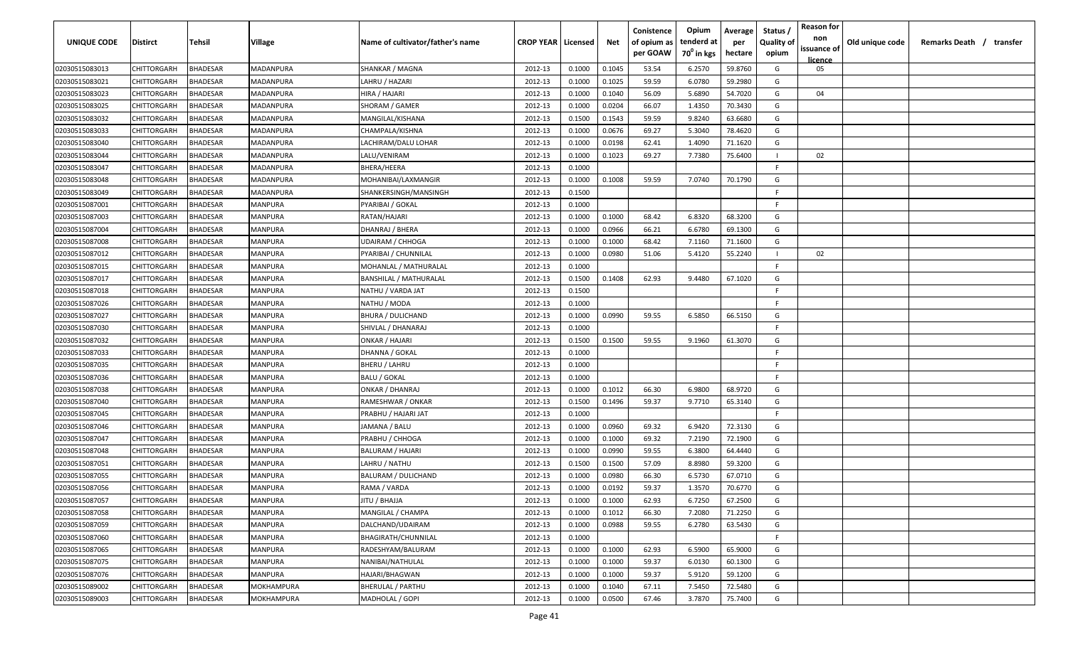| <b>UNIQUE CODE</b> | Distirct           | Tehsil          | Village    | Name of cultivator/father's name | <b>CROP YEAR Licensed</b> |        | Net    | Conistence<br>of opium as | Opium<br>tenderd at    | Average<br>per | Status /<br><b>Quality of</b> | <b>Reason for</b><br>non<br>issuance of | Old unique code | Remarks Death / transfer |
|--------------------|--------------------|-----------------|------------|----------------------------------|---------------------------|--------|--------|---------------------------|------------------------|----------------|-------------------------------|-----------------------------------------|-----------------|--------------------------|
|                    |                    |                 |            |                                  |                           |        |        | per GOAW                  | 70 <sup>0</sup> in kgs | hectare        | opium                         | <u>licence</u>                          |                 |                          |
| 02030515083013     | CHITTORGARH        | <b>BHADESAR</b> | MADANPURA  | SHANKAR / MAGNA                  | 2012-13                   | 0.1000 | 0.1045 | 53.54                     | 6.2570                 | 59.8760        | G                             | 05                                      |                 |                          |
| 02030515083021     | CHITTORGARH        | BHADESAR        | MADANPURA  | LAHRU / HAZARI                   | 2012-13                   | 0.1000 | 0.1025 | 59.59                     | 6.0780                 | 59.2980        | G                             |                                         |                 |                          |
| 02030515083023     | CHITTORGARH        | BHADESAR        | MADANPURA  | HIRA / HAJARI                    | 2012-13                   | 0.1000 | 0.1040 | 56.09                     | 5.6890                 | 54.7020        | G                             | 04                                      |                 |                          |
| 02030515083025     | CHITTORGARH        | <b>BHADESAR</b> | MADANPURA  | SHORAM / GAMER                   | 2012-13                   | 0.1000 | 0.0204 | 66.07                     | 1.4350                 | 70.3430        | G                             |                                         |                 |                          |
| 02030515083032     | CHITTORGARH        | BHADESAR        | MADANPURA  | MANGILAL/KISHANA                 | 2012-13                   | 0.1500 | 0.1543 | 59.59                     | 9.8240                 | 63.6680        | G                             |                                         |                 |                          |
| 02030515083033     | CHITTORGARH        | <b>BHADESAR</b> | MADANPURA  | CHAMPALA/KISHNA                  | 2012-13                   | 0.1000 | 0.0676 | 69.27                     | 5.3040                 | 78.4620        | G                             |                                         |                 |                          |
| 02030515083040     | CHITTORGARH        | <b>BHADESAR</b> | MADANPURA  | LACHIRAM/DALU LOHAR              | 2012-13                   | 0.1000 | 0.0198 | 62.41                     | 1.4090                 | 71.1620        | G                             |                                         |                 |                          |
| 02030515083044     | CHITTORGARH        | BHADESAR        | MADANPURA  | LALU/VENIRAM                     | 2012-13                   | 0.1000 | 0.1023 | 69.27                     | 7.7380                 | 75.6400        |                               | 02                                      |                 |                          |
| 02030515083047     | CHITTORGARH        | BHADESAR        | MADANPURA  | BHERA/HEERA                      | 2012-13                   | 0.1000 |        |                           |                        |                | -F.                           |                                         |                 |                          |
| 02030515083048     | CHITTORGARH        | BHADESAR        | MADANPURA  | MOHANIBAI/LAXMANGIR              | 2012-13                   | 0.1000 | 0.1008 | 59.59                     | 7.0740                 | 70.1790        | G                             |                                         |                 |                          |
| 02030515083049     | CHITTORGARH        | BHADESAR        | MADANPURA  | SHANKERSINGH/MANSINGH            | 2012-13                   | 0.1500 |        |                           |                        |                | -F.                           |                                         |                 |                          |
| 02030515087001     | CHITTORGARH        | BHADESAR        | MANPURA    | PYARIBAI / GOKAL                 | 2012-13                   | 0.1000 |        |                           |                        |                | F.                            |                                         |                 |                          |
| 02030515087003     | CHITTORGARH        | BHADESAR        | MANPURA    | RATAN/HAJARI                     | 2012-13                   | 0.1000 | 0.1000 | 68.42                     | 6.8320                 | 68.3200        | G                             |                                         |                 |                          |
| 02030515087004     | CHITTORGARH        | <b>BHADESAR</b> | MANPURA    | DHANRAJ / BHERA                  | 2012-13                   | 0.1000 | 0.0966 | 66.21                     | 6.6780                 | 69.1300        | G                             |                                         |                 |                          |
| 02030515087008     | CHITTORGARH        | BHADESAR        | MANPURA    | UDAIRAM / CHHOGA                 | 2012-13                   | 0.1000 | 0.1000 | 68.42                     | 7.1160                 | 71.1600        | G                             |                                         |                 |                          |
| 02030515087012     | CHITTORGARH        | <b>BHADESAR</b> | MANPURA    | PYARIBAI / CHUNNILAL             | 2012-13                   | 0.1000 | 0.0980 | 51.06                     | 5.4120                 | 55.2240        |                               | 02                                      |                 |                          |
| 02030515087015     | CHITTORGARH        | BHADESAR        | MANPURA    | MOHANLAL / MATHURALAL            | 2012-13                   | 0.1000 |        |                           |                        |                | -F.                           |                                         |                 |                          |
| 02030515087017     | CHITTORGARH        | BHADESAR        | MANPURA    | <b>BANSHILAL / MATHURALAL</b>    | 2012-13                   | 0.1500 | 0.1408 | 62.93                     | 9.4480                 | 67.1020        | G                             |                                         |                 |                          |
| 02030515087018     | CHITTORGARH        | BHADESAR        | MANPURA    | NATHU / VARDA JAT                | 2012-13                   | 0.1500 |        |                           |                        |                | E                             |                                         |                 |                          |
| 02030515087026     | CHITTORGARH        | BHADESAR        | MANPURA    | NATHU / MODA                     | 2012-13                   | 0.1000 |        |                           |                        |                | F.                            |                                         |                 |                          |
| 02030515087027     | CHITTORGARH        | <b>BHADESAR</b> | MANPURA    | BHURA / DULICHAND                | 2012-13                   | 0.1000 | 0.0990 | 59.55                     | 6.5850                 | 66.5150        | G                             |                                         |                 |                          |
| 02030515087030     | CHITTORGARH        | <b>BHADESAR</b> | MANPURA    | SHIVLAL / DHANARAJ               | 2012-13                   | 0.1000 |        |                           |                        |                | -F.                           |                                         |                 |                          |
| 02030515087032     | CHITTORGARH        | <b>BHADESAR</b> | MANPURA    | ONKAR / HAJARI                   | 2012-13                   | 0.1500 | 0.1500 | 59.55                     | 9.1960                 | 61.3070        | G                             |                                         |                 |                          |
| 02030515087033     | CHITTORGARH        | BHADESAR        | MANPURA    | DHANNA / GOKAL                   | 2012-13                   | 0.1000 |        |                           |                        |                | -F.                           |                                         |                 |                          |
| 02030515087035     | CHITTORGARH        | BHADESAR        | MANPURA    | BHERU / LAHRU                    | 2012-13                   | 0.1000 |        |                           |                        |                | -F                            |                                         |                 |                          |
| 02030515087036     | CHITTORGARH        | BHADESAR        | MANPURA    | <b>BALU / GOKAL</b>              | 2012-13                   | 0.1000 |        |                           |                        |                | -F.                           |                                         |                 |                          |
| 02030515087038     | CHITTORGARH        | BHADESAR        | MANPURA    | ONKAR / DHANRAJ                  | 2012-13                   | 0.1000 | 0.1012 | 66.30                     | 6.9800                 | 68.9720        | G                             |                                         |                 |                          |
| 02030515087040     | CHITTORGARH        | BHADESAR        | MANPURA    | RAMESHWAR / ONKAR                | 2012-13                   | 0.1500 | 0.1496 | 59.37                     | 9.7710                 | 65.3140        | G                             |                                         |                 |                          |
| 02030515087045     | CHITTORGARH        | BHADESAR        | MANPURA    | PRABHU / HAJARI JAT              | 2012-13                   | 0.1000 |        |                           |                        |                | -F.                           |                                         |                 |                          |
| 02030515087046     | CHITTORGARH        | BHADESAR        | MANPURA    | JAMANA / BALU                    | 2012-13                   | 0.1000 | 0.0960 | 69.32                     | 6.9420                 | 72.3130        | G                             |                                         |                 |                          |
| 02030515087047     | CHITTORGARH        | BHADESAR        | MANPURA    | PRABHU / CHHOGA                  | 2012-13                   | 0.1000 | 0.1000 | 69.32                     | 7.2190                 | 72.1900        | G                             |                                         |                 |                          |
| 02030515087048     | CHITTORGARH        | BHADESAR        | MANPURA    | <b>BALURAM / HAJARI</b>          | 2012-13                   | 0.1000 | 0.0990 | 59.55                     | 6.3800                 | 64.4440        | G                             |                                         |                 |                          |
| 02030515087051     | CHITTORGARH        | BHADESAR        | MANPURA    | LAHRU / NATHU                    | 2012-13                   | 0.1500 | 0.1500 | 57.09                     | 8.8980                 | 59.3200        | G                             |                                         |                 |                          |
| 02030515087055     | CHITTORGARH        | BHADESAR        | MANPURA    | BALURAM / DULICHAND              | 2012-13                   | 0.1000 | 0.0980 | 66.30                     | 6.5730                 | 67.0710        | G                             |                                         |                 |                          |
| 02030515087056     | CHITTORGARH        | BHADESAR        | MANPURA    | RAMA / VARDA                     | 2012-13                   | 0.1000 | 0.0192 | 59.37                     | 1.3570                 | 70.6770        | G                             |                                         |                 |                          |
| 02030515087057     | <b>CHITTORGARH</b> | <b>BHADESAR</b> | MANPURA    | JITU / BHAJJA                    | 2012-13                   | 0.1000 | 0.1000 | 62.93                     | 6.7250                 | 67.2500        | G                             |                                         |                 |                          |
| 02030515087058     | CHITTORGARH        | <b>BHADESAR</b> | MANPURA    | MANGILAL / CHAMPA                | 2012-13                   | 0.1000 | 0.1012 | 66.30                     | 7.2080                 | 71.2250        | G                             |                                         |                 |                          |
| 02030515087059     | <b>CHITTORGARH</b> | <b>BHADESAR</b> | MANPURA    | DALCHAND/UDAIRAM                 | 2012-13                   | 0.1000 | 0.0988 | 59.55                     | 6.2780                 | 63.5430        | G                             |                                         |                 |                          |
| 02030515087060     | <b>CHITTORGARH</b> | <b>BHADESAR</b> | MANPURA    | BHAGIRATH/CHUNNILAL              | 2012-13                   | 0.1000 |        |                           |                        |                | F.                            |                                         |                 |                          |
| 02030515087065     | CHITTORGARH        | BHADESAR        | MANPURA    | RADESHYAM/BALURAM                | 2012-13                   | 0.1000 | 0.1000 | 62.93                     | 6.5900                 | 65.9000        | G                             |                                         |                 |                          |
| 02030515087075     | CHITTORGARH        | <b>BHADESAR</b> | MANPURA    | NANIBAI/NATHULAL                 | 2012-13                   | 0.1000 | 0.1000 | 59.37                     | 6.0130                 | 60.1300        | G                             |                                         |                 |                          |
| 02030515087076     | CHITTORGARH        | <b>BHADESAR</b> | MANPURA    | HAJARI/BHAGWAN                   | 2012-13                   | 0.1000 | 0.1000 | 59.37                     | 5.9120                 | 59.1200        | G                             |                                         |                 |                          |
| 02030515089002     | CHITTORGARH        | BHADESAR        | MOKHAMPURA | <b>BHERULAL / PARTHU</b>         | 2012-13                   | 0.1000 | 0.1040 | 67.11                     | 7.5450                 | 72.5480        | G                             |                                         |                 |                          |
| 02030515089003     | CHITTORGARH        | <b>BHADESAR</b> | MOKHAMPURA | MADHOLAL / GOPI                  | 2012-13                   | 0.1000 | 0.0500 | 67.46                     | 3.7870                 | 75.7400        | G                             |                                         |                 |                          |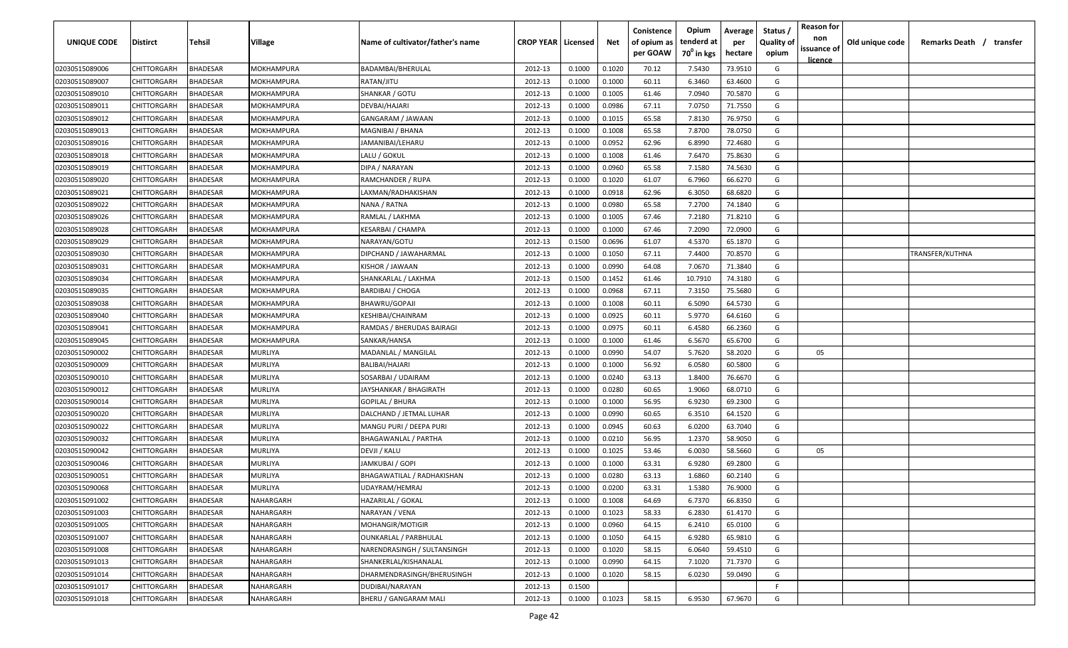| <b>UNIQUE CODE</b> | Distirct           | Tehsil          | Village           | Name of cultivator/father's name | <b>CROP YEAR Licensed</b> |        | Net    | Conistence<br>of opium as | Opium<br>tenderd at    | Average<br>per | Status /<br><b>Quality of</b> | <b>Reason for</b><br>non      | Old unique code | Remarks Death / transfer |
|--------------------|--------------------|-----------------|-------------------|----------------------------------|---------------------------|--------|--------|---------------------------|------------------------|----------------|-------------------------------|-------------------------------|-----------------|--------------------------|
|                    |                    |                 |                   |                                  |                           |        |        | per GOAW                  | 70 <sup>0</sup> in kgs | hectare        | opium                         | issuance of<br><u>licence</u> |                 |                          |
| 02030515089006     | CHITTORGARH        | <b>BHADESAR</b> | MOKHAMPURA        | BADAMBAI/BHERULAL                | 2012-13                   | 0.1000 | 0.1020 | 70.12                     | 7.5430                 | 73.9510        | G                             |                               |                 |                          |
| 02030515089007     | CHITTORGARH        | BHADESAR        | MOKHAMPURA        | RATAN/JITU                       | 2012-13                   | 0.1000 | 0.1000 | 60.11                     | 6.3460                 | 63.4600        | G                             |                               |                 |                          |
| 02030515089010     | CHITTORGARH        | BHADESAR        | MOKHAMPURA        | SHANKAR / GOTU                   | 2012-13                   | 0.1000 | 0.1005 | 61.46                     | 7.0940                 | 70.5870        | G                             |                               |                 |                          |
| 02030515089011     | CHITTORGARH        | BHADESAR        | MOKHAMPURA        | DEVBAI/HAJARI                    | 2012-13                   | 0.1000 | 0.0986 | 67.11                     | 7.0750                 | 71.7550        | G                             |                               |                 |                          |
| 02030515089012     | CHITTORGARH        | BHADESAR        | MOKHAMPURA        | GANGARAM / JAWAAN                | 2012-13                   | 0.1000 | 0.1015 | 65.58                     | 7.8130                 | 76.9750        | G                             |                               |                 |                          |
| 02030515089013     | CHITTORGARH        | <b>BHADESAR</b> | <b>MOKHAMPURA</b> | MAGNIBAI / BHANA                 | 2012-13                   | 0.1000 | 0.1008 | 65.58                     | 7.8700                 | 78.0750        | G                             |                               |                 |                          |
| 02030515089016     | CHITTORGARH        | <b>BHADESAR</b> | MOKHAMPURA        | JAMANIBAI/LEHARU                 | 2012-13                   | 0.1000 | 0.0952 | 62.96                     | 6.8990                 | 72.4680        | G                             |                               |                 |                          |
| 02030515089018     | CHITTORGARH        | BHADESAR        | MOKHAMPURA        | LALU / GOKUL                     | 2012-13                   | 0.1000 | 0.1008 | 61.46                     | 7.6470                 | 75.8630        | G                             |                               |                 |                          |
| 02030515089019     | CHITTORGARH        | BHADESAR        | MOKHAMPURA        | DIPA / NARAYAN                   | 2012-13                   | 0.1000 | 0.0960 | 65.58                     | 7.1580                 | 74.5630        | G                             |                               |                 |                          |
| 02030515089020     | CHITTORGARH        | BHADESAR        | MOKHAMPURA        | RAMCHANDER / RUPA                | 2012-13                   | 0.1000 | 0.1020 | 61.07                     | 6.7960                 | 66.6270        | G                             |                               |                 |                          |
| 02030515089021     | CHITTORGARH        | BHADESAR        | MOKHAMPURA        | LAXMAN/RADHAKISHAN               | 2012-13                   | 0.1000 | 0.0918 | 62.96                     | 6.3050                 | 68.6820        | G                             |                               |                 |                          |
| 02030515089022     | CHITTORGARH        | BHADESAR        | MOKHAMPURA        | NANA / RATNA                     | 2012-13                   | 0.1000 | 0.0980 | 65.58                     | 7.2700                 | 74.1840        | G                             |                               |                 |                          |
| 02030515089026     | CHITTORGARH        | BHADESAR        | MOKHAMPURA        | RAMLAL / LAKHMA                  | 2012-13                   | 0.1000 | 0.1005 | 67.46                     | 7.2180                 | 71.8210        | G                             |                               |                 |                          |
| 02030515089028     | CHITTORGARH        | <b>BHADESAR</b> | MOKHAMPURA        | KESARBAI / CHAMPA                | 2012-13                   | 0.1000 | 0.1000 | 67.46                     | 7.2090                 | 72.0900        | G                             |                               |                 |                          |
| 02030515089029     | CHITTORGARH        | BHADESAR        | MOKHAMPURA        | NARAYAN/GOTU                     | 2012-13                   | 0.1500 | 0.0696 | 61.07                     | 4.5370                 | 65.1870        | G                             |                               |                 |                          |
| 02030515089030     | CHITTORGARH        | <b>BHADESAR</b> | MOKHAMPURA        | DIPCHAND / JAWAHARMAL            | 2012-13                   | 0.1000 | 0.1050 | 67.11                     | 7.4400                 | 70.8570        | G                             |                               |                 | TRANSFER/KUTHNA          |
| 02030515089031     | CHITTORGARH        | <b>BHADESAR</b> | MOKHAMPURA        | KISHOR / JAWAAN                  | 2012-13                   | 0.1000 | 0.0990 | 64.08                     | 7.0670                 | 71.3840        | G                             |                               |                 |                          |
| 02030515089034     | CHITTORGARH        | BHADESAR        | MOKHAMPURA        | SHANKARLAL / LAKHMA              | 2012-13                   | 0.1500 | 0.1452 | 61.46                     | 10.7910                | 74.3180        | G                             |                               |                 |                          |
| 02030515089035     | CHITTORGARH        | BHADESAR        | MOKHAMPURA        | <b>BARDIBAI / CHOGA</b>          | 2012-13                   | 0.1000 | 0.0968 | 67.11                     | 7.3150                 | 75.5680        | G                             |                               |                 |                          |
| 02030515089038     | CHITTORGARH        | BHADESAR        | MOKHAMPURA        | BHAWRU/GOPAJI                    | 2012-13                   | 0.1000 | 0.1008 | 60.11                     | 6.5090                 | 64.5730        | G                             |                               |                 |                          |
| 02030515089040     | CHITTORGARH        | <b>BHADESAR</b> | MOKHAMPURA        | KESHIBAI/CHAINRAM                | 2012-13                   | 0.1000 | 0.0925 | 60.11                     | 5.9770                 | 64.6160        | G                             |                               |                 |                          |
| 02030515089041     | CHITTORGARH        | <b>BHADESAR</b> | MOKHAMPURA        | RAMDAS / BHERUDAS BAIRAGI        | 2012-13                   | 0.1000 | 0.0975 | 60.11                     | 6.4580                 | 66.2360        | G                             |                               |                 |                          |
| 02030515089045     | CHITTORGARH        | <b>BHADESAR</b> | MOKHAMPURA        | SANKAR/HANSA                     | 2012-13                   | 0.1000 | 0.1000 | 61.46                     | 6.5670                 | 65.6700        | G                             |                               |                 |                          |
| 02030515090002     | CHITTORGARH        | <b>BHADESAR</b> | MURLIYA           | MADANLAL / MANGILAL              | 2012-13                   | 0.1000 | 0.0990 | 54.07                     | 5.7620                 | 58.2020        | G                             | 05                            |                 |                          |
| 02030515090009     | CHITTORGARH        | BHADESAR        | MURLIYA           | BALIBAI/HAJARI                   | 2012-13                   | 0.1000 | 0.1000 | 56.92                     | 6.0580                 | 60.5800        | G                             |                               |                 |                          |
| 02030515090010     | CHITTORGARH        | BHADESAR        | MURLIYA           | SOSARBAI / UDAIRAM               | 2012-13                   | 0.1000 | 0.0240 | 63.13                     | 1.8400                 | 76.6670        | G                             |                               |                 |                          |
| 02030515090012     | CHITTORGARH        | BHADESAR        | MURLIYA           | JAYSHANKAR / BHAGIRATH           | 2012-13                   | 0.1000 | 0.0280 | 60.65                     | 1.9060                 | 68.0710        | G                             |                               |                 |                          |
| 02030515090014     | CHITTORGARH        | BHADESAR        | MURLIYA           | GOPILAL / BHURA                  | 2012-13                   | 0.1000 | 0.1000 | 56.95                     | 6.9230                 | 69.2300        | G                             |                               |                 |                          |
| 02030515090020     | CHITTORGARH        | BHADESAR        | MURLIYA           | DALCHAND / JETMAL LUHAR          | 2012-13                   | 0.1000 | 0.0990 | 60.65                     | 6.3510                 | 64.1520        | G                             |                               |                 |                          |
| 02030515090022     | CHITTORGARH        | BHADESAR        | MURLIYA           | MANGU PURI / DEEPA PURI          | 2012-13                   | 0.1000 | 0.0945 | 60.63                     | 6.0200                 | 63.7040        | G                             |                               |                 |                          |
| 02030515090032     | CHITTORGARH        | BHADESAR        | MURLIYA           | <b>BHAGAWANLAL / PARTHA</b>      | 2012-13                   | 0.1000 | 0.0210 | 56.95                     | 1.2370                 | 58.9050        | G                             |                               |                 |                          |
| 02030515090042     | CHITTORGARH        | BHADESAR        | MURLIYA           | DEVJI / KALU                     | 2012-13                   | 0.1000 | 0.1025 | 53.46                     | 6.0030                 | 58.5660        | G                             | 05                            |                 |                          |
| 02030515090046     | CHITTORGARH        | BHADESAR        | MURLIYA           | JAMKUBAI / GOPI                  | 2012-13                   | 0.1000 | 0.1000 | 63.31                     | 6.9280                 | 69.2800        | G                             |                               |                 |                          |
| 02030515090051     | CHITTORGARH        | BHADESAR        | MURLIYA           | BHAGAWATILAL / RADHAKISHAN       | 2012-13                   | 0.1000 | 0.0280 | 63.13                     | 1.6860                 | 60.2140        | G                             |                               |                 |                          |
| 02030515090068     | CHITTORGARH        | BHADESAR        | MURLIYA           | UDAYRAM/HEMRAJ                   | 2012-13                   | 0.1000 | 0.0200 | 63.31                     | 1.5380                 | 76.9000        | G                             |                               |                 |                          |
| 02030515091002     | <b>CHITTORGARH</b> | <b>BHADESAR</b> | NAHARGARH         | <b>HAZARILAL / GOKAL</b>         | 2012-13                   | 0.1000 | 0.1008 | 64.69                     | 6.7370                 | 66.8350        | G                             |                               |                 |                          |
| 02030515091003     | CHITTORGARH        | <b>BHADESAR</b> | NAHARGARH         | NARAYAN / VENA                   | 2012-13                   | 0.1000 | 0.1023 | 58.33                     | 6.2830                 | 61.4170        | G                             |                               |                 |                          |
| 02030515091005     | CHITTORGARH        | <b>BHADESAR</b> | NAHARGARH         | MOHANGIR/MOTIGIR                 | 2012-13                   | 0.1000 | 0.0960 | 64.15                     | 6.2410                 | 65.0100        | G                             |                               |                 |                          |
| 02030515091007     | <b>CHITTORGARH</b> | <b>BHADESAR</b> | NAHARGARH         | <b>OUNKARLAL / PARBHULAL</b>     | 2012-13                   | 0.1000 | 0.1050 | 64.15                     | 6.9280                 | 65.9810        | G                             |                               |                 |                          |
| 02030515091008     | CHITTORGARH        | BHADESAR        | NAHARGARH         | NARENDRASINGH / SULTANSINGH      | 2012-13                   | 0.1000 | 0.1020 | 58.15                     | 6.0640                 | 59.4510        | G                             |                               |                 |                          |
| 02030515091013     | CHITTORGARH        | BHADESAR        | NAHARGARH         | SHANKERLAL/KISHANALAL            | 2012-13                   | 0.1000 | 0.0990 | 64.15                     | 7.1020                 | 71.7370        | G                             |                               |                 |                          |
| 02030515091014     | <b>CHITTORGARH</b> | <b>BHADESAR</b> | NAHARGARH         | DHARMENDRASINGH/BHERUSINGH       | 2012-13                   | 0.1000 | 0.1020 | 58.15                     | 6.0230                 | 59.0490        | G                             |                               |                 |                          |
| 02030515091017     | CHITTORGARH        | BHADESAR        | NAHARGARH         | DUDIBAI/NARAYAN                  | 2012-13                   | 0.1500 |        |                           |                        |                | F.                            |                               |                 |                          |
| 02030515091018     | CHITTORGARH        | <b>BHADESAR</b> | NAHARGARH         | BHERU / GANGARAM MALI            | 2012-13                   | 0.1000 | 0.1023 | 58.15                     | 6.9530                 | 67.9670        | G                             |                               |                 |                          |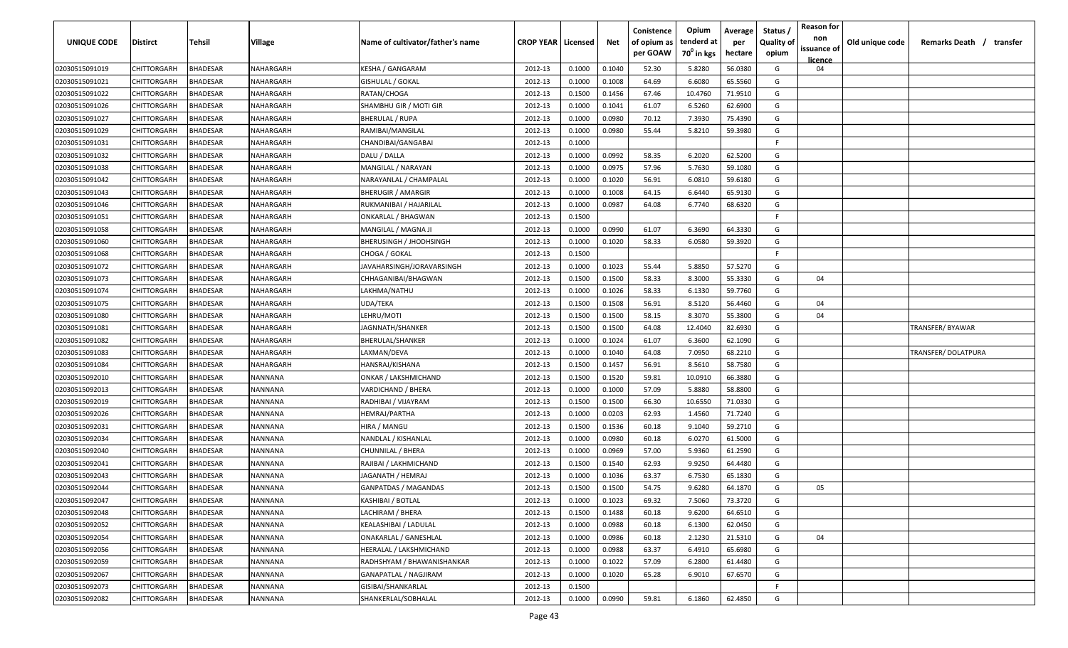| <b>UNIQUE CODE</b> | Distirct           | Tehsil          | Village   | Name of cultivator/father's name | <b>CROP YEAR   Licensed</b> |        | Net    | Conistence<br>of opium as | Opium<br>tenderd at    | Average<br>per | Status /<br><b>Quality of</b> | <b>Reason for</b><br>non<br>issuance of | Old unique code | Remarks Death / transfer |
|--------------------|--------------------|-----------------|-----------|----------------------------------|-----------------------------|--------|--------|---------------------------|------------------------|----------------|-------------------------------|-----------------------------------------|-----------------|--------------------------|
|                    |                    |                 |           |                                  |                             |        |        | per GOAW                  | 70 <sup>0</sup> in kgs | hectare        | opium                         | licence                                 |                 |                          |
| 02030515091019     | CHITTORGARH        | <b>BHADESAR</b> | NAHARGARH | KESHA / GANGARAM                 | 2012-13                     | 0.1000 | 0.1040 | 52.30                     | 5.8280                 | 56.0380        | G                             | 04                                      |                 |                          |
| 02030515091021     | CHITTORGARH        | BHADESAR        | NAHARGARH | <b>GISHULAL / GOKAL</b>          | 2012-13                     | 0.1000 | 0.1008 | 64.69                     | 6.6080                 | 65.5560        | G                             |                                         |                 |                          |
| 02030515091022     | CHITTORGARH        | BHADESAR        | NAHARGARH | RATAN/CHOGA                      | 2012-13                     | 0.1500 | 0.1456 | 67.46                     | 10.4760                | 71.9510        | G                             |                                         |                 |                          |
| 02030515091026     | CHITTORGARH        | BHADESAR        | NAHARGARH | SHAMBHU GIR / MOTI GIR           | 2012-13                     | 0.1000 | 0.1041 | 61.07                     | 6.5260                 | 62.6900        | G                             |                                         |                 |                          |
| 02030515091027     | CHITTORGARH        | BHADESAR        | NAHARGARH | <b>BHERULAL / RUPA</b>           | 2012-13                     | 0.1000 | 0.0980 | 70.12                     | 7.3930                 | 75.4390        | G                             |                                         |                 |                          |
| 02030515091029     | CHITTORGARH        | <b>BHADESAR</b> | NAHARGARH | RAMIBAI/MANGILAL                 | 2012-13                     | 0.1000 | 0.0980 | 55.44                     | 5.8210                 | 59.3980        | G                             |                                         |                 |                          |
| 02030515091031     | CHITTORGARH        | <b>BHADESAR</b> | NAHARGARH | CHANDIBAI/GANGABAI               | 2012-13                     | 0.1000 |        |                           |                        |                | -F.                           |                                         |                 |                          |
| 02030515091032     | CHITTORGARH        | BHADESAR        | NAHARGARH | DALU / DALLA                     | 2012-13                     | 0.1000 | 0.0992 | 58.35                     | 6.2020                 | 62.5200        | G                             |                                         |                 |                          |
| 02030515091038     | CHITTORGARH        | BHADESAR        | NAHARGARH | MANGILAL / NARAYAN               | 2012-13                     | 0.1000 | 0.0975 | 57.96                     | 5.7630                 | 59.1080        | G                             |                                         |                 |                          |
| 02030515091042     | CHITTORGARH        | BHADESAR        | NAHARGARH | NARAYANLAL / CHAMPALAL           | 2012-13                     | 0.1000 | 0.1020 | 56.91                     | 6.0810                 | 59.6180        | G                             |                                         |                 |                          |
| 02030515091043     | CHITTORGARH        | BHADESAR        | NAHARGARH | BHERUGIR / AMARGIR               | 2012-13                     | 0.1000 | 0.1008 | 64.15                     | 6.6440                 | 65.9130        | G                             |                                         |                 |                          |
| 02030515091046     | CHITTORGARH        | BHADESAR        | NAHARGARH | RUKMANIBAI / HAJARILAL           | 2012-13                     | 0.1000 | 0.0987 | 64.08                     | 6.7740                 | 68.6320        | G                             |                                         |                 |                          |
| 02030515091051     | CHITTORGARH        | BHADESAR        | NAHARGARH | ONKARLAL / BHAGWAN               | 2012-13                     | 0.1500 |        |                           |                        |                | -F.                           |                                         |                 |                          |
| 02030515091058     | CHITTORGARH        | <b>BHADESAR</b> | NAHARGARH | MANGILAL / MAGNA JI              | 2012-13                     | 0.1000 | 0.0990 | 61.07                     | 6.3690                 | 64.3330        | G                             |                                         |                 |                          |
| 02030515091060     | CHITTORGARH        | BHADESAR        | NAHARGARH | <b>BHERUSINGH / JHODHSINGH</b>   | 2012-13                     | 0.1000 | 0.1020 | 58.33                     | 6.0580                 | 59.3920        | G                             |                                         |                 |                          |
| 02030515091068     | CHITTORGARH        | <b>BHADESAR</b> | NAHARGARH | CHOGA / GOKAL                    | 2012-13                     | 0.1500 |        |                           |                        |                | F.                            |                                         |                 |                          |
| 02030515091072     | CHITTORGARH        | BHADESAR        | NAHARGARH | JAVAHARSINGH/JORAVARSINGH        | 2012-13                     | 0.1000 | 0.1023 | 55.44                     | 5.8850                 | 57.5270        | G                             |                                         |                 |                          |
| 02030515091073     | CHITTORGARH        | BHADESAR        | NAHARGARH | CHHAGANIBAI/BHAGWAN              | 2012-13                     | 0.1500 | 0.1500 | 58.33                     | 8.3000                 | 55.3330        | G                             | 04                                      |                 |                          |
| 02030515091074     | CHITTORGARH        | BHADESAR        | NAHARGARH | LAKHMA/NATHU                     | 2012-13                     | 0.1000 | 0.1026 | 58.33                     | 6.1330                 | 59.7760        | G                             |                                         |                 |                          |
| 02030515091075     | CHITTORGARH        | BHADESAR        | NAHARGARH | UDA/TEKA                         | 2012-13                     | 0.1500 | 0.1508 | 56.91                     | 8.5120                 | 56.4460        | G                             | 04                                      |                 |                          |
| 02030515091080     | CHITTORGARH        | <b>BHADESAR</b> | NAHARGARH | LEHRU/MOTI                       | 2012-13                     | 0.1500 | 0.1500 | 58.15                     | 8.3070                 | 55.3800        | G                             | 04                                      |                 |                          |
| 02030515091081     | CHITTORGARH        | <b>BHADESAR</b> | NAHARGARH | JAGNNATH/SHANKER                 | 2012-13                     | 0.1500 | 0.1500 | 64.08                     | 12.4040                | 82.6930        | G                             |                                         |                 | TRANSFER/BYAWAR          |
| 02030515091082     | CHITTORGARH        | <b>BHADESAR</b> | NAHARGARH | BHERULAL/SHANKER                 | 2012-13                     | 0.1000 | 0.1024 | 61.07                     | 6.3600                 | 62.1090        | G                             |                                         |                 |                          |
| 02030515091083     | CHITTORGARH        | <b>BHADESAR</b> | NAHARGARH | LAXMAN/DEVA                      | 2012-13                     | 0.1000 | 0.1040 | 64.08                     | 7.0950                 | 68.2210        | G                             |                                         |                 | TRANSFER/DOLATPURA       |
| 02030515091084     | CHITTORGARH        | BHADESAR        | NAHARGARH | HANSRAJ/KISHANA                  | 2012-13                     | 0.1500 | 0.1457 | 56.91                     | 8.5610                 | 58.7580        | G                             |                                         |                 |                          |
| 02030515092010     | CHITTORGARH        | BHADESAR        | NANNANA   | ONKAR / LAKSHMICHAND             | 2012-13                     | 0.1500 | 0.1520 | 59.81                     | 10.0910                | 66.3880        | G                             |                                         |                 |                          |
| 02030515092013     | CHITTORGARH        | BHADESAR        | NANNANA   | VARDICHAND / BHERA               | 2012-13                     | 0.1000 | 0.1000 | 57.09                     | 5.8880                 | 58.8800        | G                             |                                         |                 |                          |
| 02030515092019     | CHITTORGARH        | BHADESAR        | NANNANA   | RADHIBAI / VIJAYRAM              | 2012-13                     | 0.1500 | 0.1500 | 66.30                     | 10.6550                | 71.0330        | G                             |                                         |                 |                          |
| 02030515092026     | CHITTORGARH        | BHADESAR        | NANNANA   | HEMRAJ/PARTHA                    | 2012-13                     | 0.1000 | 0.0203 | 62.93                     | 1.4560                 | 71.7240        | G                             |                                         |                 |                          |
| 02030515092031     | CHITTORGARH        | BHADESAR        | NANNANA   | HIRA / MANGU                     | 2012-13                     | 0.1500 | 0.1536 | 60.18                     | 9.1040                 | 59.2710        | G                             |                                         |                 |                          |
| 02030515092034     | CHITTORGARH        | BHADESAR        | NANNANA   | NANDLAL / KISHANLAL              | 2012-13                     | 0.1000 | 0.0980 | 60.18                     | 6.0270                 | 61.5000        | G                             |                                         |                 |                          |
| 02030515092040     | CHITTORGARH        | BHADESAR        | NANNANA   | CHUNNILAL / BHERA                | 2012-13                     | 0.1000 | 0.0969 | 57.00                     | 5.9360                 | 61.2590        | G                             |                                         |                 |                          |
| 02030515092041     | CHITTORGARH        | BHADESAR        | NANNANA   | RAJIBAI / LAKHMICHAND            | 2012-13                     | 0.1500 | 0.1540 | 62.93                     | 9.9250                 | 64.4480        | G                             |                                         |                 |                          |
| 02030515092043     | CHITTORGARH        | BHADESAR        | NANNANA   | JAGANATH / HEMRAJ                | 2012-13                     | 0.1000 | 0.1036 | 63.37                     | 6.7530                 | 65.1830        | G                             |                                         |                 |                          |
| 02030515092044     | CHITTORGARH        | BHADESAR        | NANNANA   | <b>GANPATDAS / MAGANDAS</b>      | 2012-13                     | 0.1500 | 0.1500 | 54.75                     | 9.6280                 | 64.1870        | G                             | 05                                      |                 |                          |
| 02030515092047     | <b>CHITTORGARH</b> | <b>BHADESAR</b> | NANNANA   | KASHIBAI / BOTLAL                | 2012-13                     | 0.1000 | 0.1023 | 69.32                     | 7.5060                 | 73.3720        | G                             |                                         |                 |                          |
| 02030515092048     | CHITTORGARH        | <b>BHADESAR</b> | NANNANA   | LACHIRAM / BHERA                 | 2012-13                     | 0.1500 | 0.1488 | 60.18                     | 9.6200                 | 64.6510        | G                             |                                         |                 |                          |
| 02030515092052     | <b>CHITTORGARH</b> | <b>BHADESAR</b> | NANNANA   | KEALASHIBAI / LADULAL            | 2012-13                     | 0.1000 | 0.0988 | 60.18                     | 6.1300                 | 62.0450        | G                             |                                         |                 |                          |
| 02030515092054     | <b>CHITTORGARH</b> | <b>BHADESAR</b> | NANNANA   | <b>ONAKARLAL / GANESHLAL</b>     | 2012-13                     | 0.1000 | 0.0986 | 60.18                     | 2.1230                 | 21.5310        | G                             | 04                                      |                 |                          |
| 02030515092056     | CHITTORGARH        | BHADESAR        | NANNANA   | HEERALAL / LAKSHMICHAND          | 2012-13                     | 0.1000 | 0.0988 | 63.37                     | 6.4910                 | 65.6980        | G                             |                                         |                 |                          |
| 02030515092059     | CHITTORGARH        | BHADESAR        | NANNANA   | RADHSHYAM / BHAWANISHANKAR       | 2012-13                     | 0.1000 | 0.1022 | 57.09                     | 6.2800                 | 61.4480        | G                             |                                         |                 |                          |
| 02030515092067     | CHITTORGARH        | <b>BHADESAR</b> | NANNANA   | GANAPATLAL / NAGJIRAM            | 2012-13                     | 0.1000 | 0.1020 | 65.28                     | 6.9010                 | 67.6570        | G                             |                                         |                 |                          |
| 02030515092073     | CHITTORGARH        | BHADESAR        | NANNANA   | GISIBAI/SHANKARLAL               | 2012-13                     | 0.1500 |        |                           |                        |                | F.                            |                                         |                 |                          |
| 02030515092082     | <b>CHITTORGARH</b> | <b>BHADESAR</b> | NANNANA   | SHANKERLAL/SOBHALAL              | 2012-13                     | 0.1000 | 0.0990 | 59.81                     | 6.1860                 | 62.4850        | G                             |                                         |                 |                          |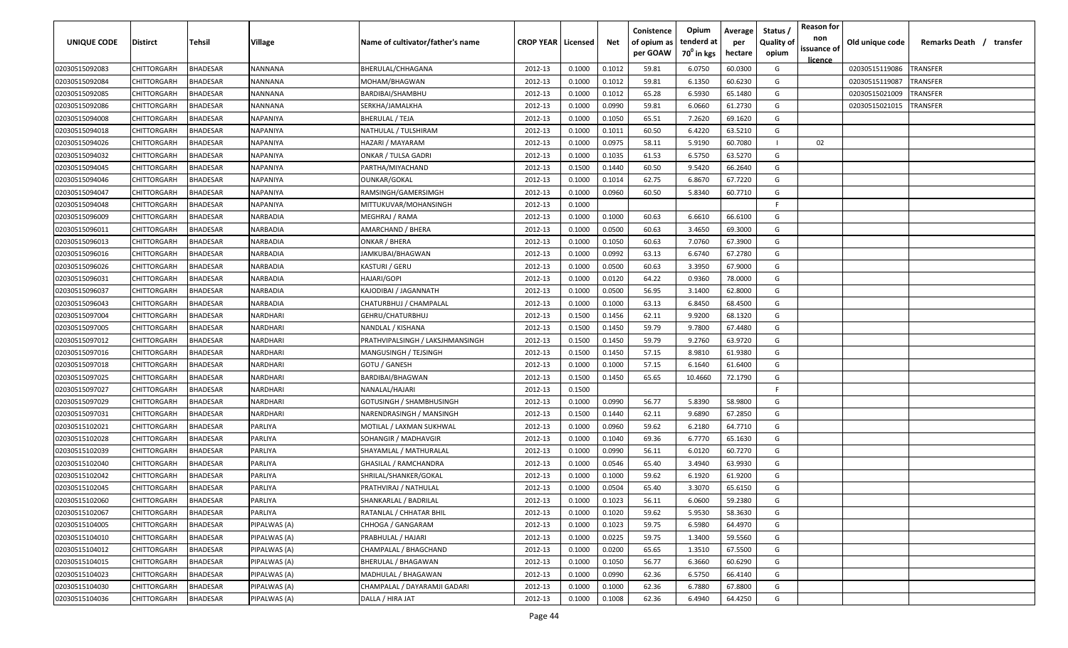| <b>UNIQUE CODE</b> | <b>Distirct</b>    | <b>Tehsil</b>   | Village         | Name of cultivator/father's name | <b>CROP YEAR   Licensed</b> |        | Net    | Conistence<br>of opium as<br>per GOAW | Opium<br>tenderd at<br>70 <sup>°</sup> in kgs | Average<br>per<br>hectare | Status /<br><b>Quality of</b><br>opium | <b>Reason for</b><br>non<br>issuance of<br><u>licence</u> | Old unique code | Remarks Death /<br>transfer |
|--------------------|--------------------|-----------------|-----------------|----------------------------------|-----------------------------|--------|--------|---------------------------------------|-----------------------------------------------|---------------------------|----------------------------------------|-----------------------------------------------------------|-----------------|-----------------------------|
| 02030515092083     | CHITTORGARH        | <b>BHADESAR</b> | NANNANA         | BHERULAL/CHHAGANA                | 2012-13                     | 0.1000 | 0.1012 | 59.81                                 | 6.0750                                        | 60.0300                   | G                                      |                                                           | 02030515119086  | <b>TRANSFER</b>             |
| 02030515092084     | CHITTORGARH        | BHADESAR        | NANNANA         | MOHAM/BHAGWAN                    | 2012-13                     | 0.1000 | 0.1012 | 59.81                                 | 6.1350                                        | 60.6230                   | G                                      |                                                           | 02030515119087  | TRANSFER                    |
| 02030515092085     | CHITTORGARH        | BHADESAR        | NANNANA         | BARDIBAI/SHAMBHU                 | 2012-13                     | 0.1000 | 0.1012 | 65.28                                 | 6.5930                                        | 65.1480                   | G                                      |                                                           | 02030515021009  | TRANSFER                    |
| 02030515092086     | CHITTORGARH        | BHADESAR        | NANNANA         | SERKHA/JAMALKHA                  | 2012-13                     | 0.1000 | 0.0990 | 59.81                                 | 6.0660                                        | 61.2730                   | G                                      |                                                           | 02030515021015  | TRANSFER                    |
| 02030515094008     | CHITTORGARH        | BHADESAR        | NAPANIYA        | <b>BHERULAL / TEJA</b>           | 2012-13                     | 0.1000 | 0.1050 | 65.51                                 | 7.2620                                        | 69.1620                   | G                                      |                                                           |                 |                             |
| 02030515094018     | CHITTORGARH        | BHADESAR        | NAPANIYA        | NATHULAL / TULSHIRAM             | 2012-13                     | 0.1000 | 0.1011 | 60.50                                 | 6.4220                                        | 63.5210                   | G                                      |                                                           |                 |                             |
| 02030515094026     | CHITTORGARH        | BHADESAR        | NAPANIYA        | HAZARI / MAYARAM                 | 2012-13                     | 0.1000 | 0.0975 | 58.11                                 | 5.9190                                        | 60.7080                   |                                        | 02                                                        |                 |                             |
| 02030515094032     | CHITTORGARH        | BHADESAR        | NAPANIYA        | <b>ONKAR / TULSA GADRI</b>       | 2012-13                     | 0.1000 | 0.1035 | 61.53                                 | 6.5750                                        | 63.5270                   | G                                      |                                                           |                 |                             |
| 02030515094045     | CHITTORGARH        | BHADESAR        | NAPANIYA        | PARTHA/MIYACHAND                 | 2012-13                     | 0.1500 | 0.1440 | 60.50                                 | 9.5420                                        | 66.2640                   | G                                      |                                                           |                 |                             |
| 02030515094046     | CHITTORGARH        | BHADESAR        | NAPANIYA        | OUNKAR/GOKAL                     | 2012-13                     | 0.1000 | 0.1014 | 62.75                                 | 6.8670                                        | 67.7220                   | G                                      |                                                           |                 |                             |
| 02030515094047     | CHITTORGARH        | BHADESAR        | NAPANIYA        | RAMSINGH/GAMERSIMGH              | 2012-13                     | 0.1000 | 0.0960 | 60.50                                 | 5.8340                                        | 60.7710                   | G                                      |                                                           |                 |                             |
| 02030515094048     | CHITTORGARH        | BHADESAR        | NAPANIYA        | MITTUKUVAR/MOHANSINGH            | 2012-13                     | 0.1000 |        |                                       |                                               |                           | -F.                                    |                                                           |                 |                             |
| 02030515096009     | CHITTORGARH        | BHADESAR        | <b>VARBADIA</b> | MEGHRAJ / RAMA                   | 2012-13                     | 0.1000 | 0.1000 | 60.63                                 | 6.6610                                        | 66.6100                   | G                                      |                                                           |                 |                             |
| 02030515096011     | CHITTORGARH        | BHADESAR        | NARBADIA        | AMARCHAND / BHERA                | 2012-13                     | 0.1000 | 0.0500 | 60.63                                 | 3.4650                                        | 69.3000                   | G                                      |                                                           |                 |                             |
| 02030515096013     | CHITTORGARH        | BHADESAR        | NARBADIA        | ONKAR / BHERA                    | 2012-13                     | 0.1000 | 0.1050 | 60.63                                 | 7.0760                                        | 67.3900                   | G                                      |                                                           |                 |                             |
| 02030515096016     | CHITTORGARH        | BHADESAR        | NARBADIA        | JAMKUBAI/BHAGWAN                 | 2012-13                     | 0.1000 | 0.0992 | 63.13                                 | 6.6740                                        | 67.2780                   | G                                      |                                                           |                 |                             |
| 02030515096026     | CHITTORGARH        | <b>BHADESAR</b> | NARBADIA        | KASTURI / GERU                   | 2012-13                     | 0.1000 | 0.0500 | 60.63                                 | 3.3950                                        | 67.9000                   | G                                      |                                                           |                 |                             |
| 02030515096031     | CHITTORGARH        | BHADESAR        | NARBADIA        | HAJARI/GOPI                      | 2012-13                     | 0.1000 | 0.0120 | 64.22                                 | 0.9360                                        | 78.0000                   | G                                      |                                                           |                 |                             |
| 02030515096037     | CHITTORGARH        | BHADESAR        | NARBADIA        | KAJODIBAI / JAGANNATH            | 2012-13                     | 0.1000 | 0.0500 | 56.95                                 | 3.1400                                        | 62.8000                   | G                                      |                                                           |                 |                             |
| 02030515096043     | CHITTORGARH        | BHADESAR        | NARBADIA        | CHATURBHUJ / CHAMPALAL           | 2012-13                     | 0.1000 | 0.1000 | 63.13                                 | 6.8450                                        | 68.4500                   | G                                      |                                                           |                 |                             |
| 02030515097004     | CHITTORGARH        | BHADESAR        | NARDHARI        | GEHRU/CHATURBHUJ                 | 2012-13                     | 0.1500 | 0.1456 | 62.11                                 | 9.9200                                        | 68.1320                   | G                                      |                                                           |                 |                             |
| 02030515097005     | CHITTORGARH        | BHADESAR        | NARDHARI        | NANDLAL / KISHANA                | 2012-13                     | 0.1500 | 0.1450 | 59.79                                 | 9.7800                                        | 67.4480                   | G                                      |                                                           |                 |                             |
| 02030515097012     | CHITTORGARH        | BHADESAR        | NARDHARI        | PRATHVIPALSINGH / LAKSJHMANSINGH | 2012-13                     | 0.1500 | 0.1450 | 59.79                                 | 9.2760                                        | 63.9720                   | G                                      |                                                           |                 |                             |
| 02030515097016     | CHITTORGARH        | BHADESAR        | NARDHARI        | MANGUSINGH / TEJSINGH            | 2012-13                     | 0.1500 | 0.1450 | 57.15                                 | 8.9810                                        | 61.9380                   | G                                      |                                                           |                 |                             |
| 02030515097018     | CHITTORGARH        | BHADESAR        | NARDHARI        | GOTU / GANESH                    | 2012-13                     | 0.1000 | 0.1000 | 57.15                                 | 6.1640                                        | 61.6400                   | G                                      |                                                           |                 |                             |
| 02030515097025     | CHITTORGARH        | BHADESAR        | NARDHARI        | BARDIBAI/BHAGWAN                 | 2012-13                     | 0.1500 | 0.1450 | 65.65                                 | 10.4660                                       | 72.1790                   | G                                      |                                                           |                 |                             |
| 02030515097027     | CHITTORGARH        | BHADESAR        | NARDHARI        | NANALAL/HAJARI                   | 2012-13                     | 0.1500 |        |                                       |                                               |                           | -F.                                    |                                                           |                 |                             |
| 02030515097029     | CHITTORGARH        | BHADESAR        | NARDHARI        | GOTUSINGH / SHAMBHUSINGH         | 2012-13                     | 0.1000 | 0.0990 | 56.77                                 | 5.8390                                        | 58.9800                   | G                                      |                                                           |                 |                             |
| 02030515097031     | CHITTORGARH        | BHADESAR        | VARDHARI        | NARENDRASINGH / MANSINGH         | 2012-13                     | 0.1500 | 0.1440 | 62.11                                 | 9.6890                                        | 67.2850                   | G                                      |                                                           |                 |                             |
| 02030515102021     | CHITTORGARH        | BHADESAR        | PARLIYA         | MOTILAL / LAXMAN SUKHWAL         | 2012-13                     | 0.1000 | 0.0960 | 59.62                                 | 6.2180                                        | 64.7710                   | G                                      |                                                           |                 |                             |
| 02030515102028     | CHITTORGARH        | BHADESAR        | PARLIYA         | SOHANGIR / MADHAVGIR             | 2012-13                     | 0.1000 | 0.1040 | 69.36                                 | 6.7770                                        | 65.1630                   | G                                      |                                                           |                 |                             |
| 02030515102039     | CHITTORGARH        | <b>BHADESAR</b> | PARLIYA         | SHAYAMLAL / MATHURALAL           | 2012-13                     | 0.1000 | 0.0990 | 56.11                                 | 6.0120                                        | 60.7270                   | G                                      |                                                           |                 |                             |
| 02030515102040     | CHITTORGARH        | BHADESAR        | PARLIYA         | GHASILAL / RAMCHANDRA            | 2012-13                     | 0.1000 | 0.0546 | 65.40                                 | 3.4940                                        | 63.9930                   | G                                      |                                                           |                 |                             |
| 02030515102042     | CHITTORGARH        | BHADESAR        | PARLIYA         | SHRILAL/SHANKER/GOKAL            | 2012-13                     | 0.1000 | 0.1000 | 59.62                                 | 6.1920                                        | 61.9200                   | G                                      |                                                           |                 |                             |
| 02030515102045     | <b>CHITTORGARH</b> | BHADESAR        | PARLIYA         | PRATHVIRAJ / NATHULAL            | 2012-13                     | 0.1000 | 0.0504 | 65.40                                 | 3.3070                                        | 65.6150                   | G                                      |                                                           |                 |                             |
| 02030515102060     | CHITTORGARH        | <b>BHADESAR</b> | PARLIYA         | SHANKARLAL / BADRILAL            | 2012-13                     | 0.1000 | 0.1023 | 56.11                                 | 6.0600                                        | 59.2380                   | G                                      |                                                           |                 |                             |
| 02030515102067     | <b>CHITTORGARH</b> | <b>BHADESAR</b> | PARLIYA         | RATANLAL / CHHATAR BHIL          | 2012-13                     | 0.1000 | 0.1020 | 59.62                                 | 5.9530                                        | 58.3630                   | G                                      |                                                           |                 |                             |
| 02030515104005     | <b>CHITTORGARH</b> | <b>BHADESAR</b> | PIPALWAS (A)    | CHHOGA / GANGARAM                | 2012-13                     | 0.1000 | 0.1023 | 59.75                                 | 6.5980                                        | 64.4970                   | G                                      |                                                           |                 |                             |
| 02030515104010     | CHITTORGARH        | <b>BHADESAR</b> | PIPALWAS (A)    | PRABHULAL / HAJARI               | 2012-13                     | 0.1000 | 0.0225 | 59.75                                 | 1.3400                                        | 59.5560                   | G                                      |                                                           |                 |                             |
| 02030515104012     | CHITTORGARH        | <b>BHADESAR</b> | PIPALWAS (A)    | CHAMPALAL / BHAGCHAND            | 2012-13                     | 0.1000 | 0.0200 | 65.65                                 | 1.3510                                        | 67.5500                   | G                                      |                                                           |                 |                             |
| 02030515104015     | CHITTORGARH        | <b>BHADESAR</b> | PIPALWAS (A)    | BHERULAL / BHAGAWAN              | 2012-13                     | 0.1000 | 0.1050 | 56.77                                 | 6.3660                                        | 60.6290                   | G                                      |                                                           |                 |                             |
| 02030515104023     | CHITTORGARH        | <b>BHADESAR</b> | PIPALWAS (A)    | MADHULAL / BHAGAWAN              | 2012-13                     | 0.1000 | 0.0990 | 62.36                                 | 6.5750                                        | 66.4140                   | G                                      |                                                           |                 |                             |
| 02030515104030     | CHITTORGARH        | BHADESAR        | PIPALWAS (A)    | CHAMPALAL / DAYARAMJI GADARI     | 2012-13                     | 0.1000 | 0.1000 | 62.36                                 | 6.7880                                        | 67.8800                   | G                                      |                                                           |                 |                             |
| 02030515104036     | CHITTORGARH        | BHADESAR        | PIPALWAS (A)    | DALLA / HIRA JAT                 | 2012-13                     | 0.1000 | 0.1008 | 62.36                                 | 6.4940                                        | 64.4250                   | G                                      |                                                           |                 |                             |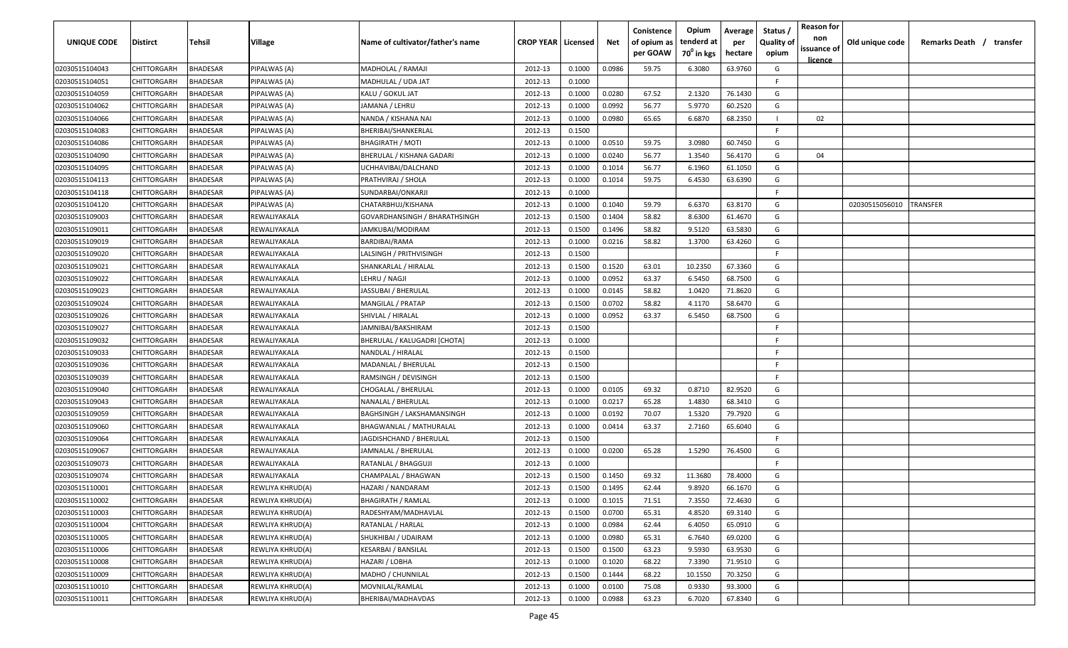| UNIQUE CODE    | <b>Distirct</b> | Tehsil          | Village          | Name of cultivator/father's name  | <b>CROP YEAR   Licensed</b> |        | Net    | Conistence<br>of opium as<br>per GOAW | Opium<br>tenderd at<br>$70^0$ in kgs | Average<br>per<br>hectare | Status /<br><b>Quality of</b><br>opium | <b>Reason for</b><br>non<br>issuance of<br><u>licence</u> | Old unique code | Remarks Death /<br>transfer |
|----------------|-----------------|-----------------|------------------|-----------------------------------|-----------------------------|--------|--------|---------------------------------------|--------------------------------------|---------------------------|----------------------------------------|-----------------------------------------------------------|-----------------|-----------------------------|
| 02030515104043 | CHITTORGARH     | <b>BHADESAR</b> | PIPALWAS (A)     | MADHOLAL / RAMAJI                 | 2012-13                     | 0.1000 | 0.0986 | 59.75                                 | 6.3080                               | 63.9760                   | G                                      |                                                           |                 |                             |
| 02030515104051 | CHITTORGARH     | <b>BHADESAR</b> | PIPALWAS (A)     | MADHULAL / UDA JAT                | 2012-13                     | 0.1000 |        |                                       |                                      |                           | -F                                     |                                                           |                 |                             |
| 02030515104059 | CHITTORGARH     | <b>BHADESAR</b> | PIPALWAS (A)     | KALU / GOKUL JAT                  | 2012-13                     | 0.1000 | 0.0280 | 67.52                                 | 2.1320                               | 76.1430                   | G                                      |                                                           |                 |                             |
| 02030515104062 | CHITTORGARH     | <b>BHADESAR</b> | PIPALWAS (A)     | JAMANA / LEHRU                    | 2012-13                     | 0.1000 | 0.0992 | 56.77                                 | 5.9770                               | 60.2520                   | G                                      |                                                           |                 |                             |
| 02030515104066 | CHITTORGARH     | <b>BHADESAR</b> | PIPALWAS (A)     | NANDA / KISHANA NAI               | 2012-13                     | 0.1000 | 0.0980 | 65.65                                 | 6.6870                               | 68.2350                   |                                        | 02                                                        |                 |                             |
| 02030515104083 | CHITTORGARH     | <b>BHADESAR</b> | PIPALWAS (A)     | BHERIBAI/SHANKERLAL               | 2012-13                     | 0.1500 |        |                                       |                                      |                           | -F                                     |                                                           |                 |                             |
| 02030515104086 | CHITTORGARH     | <b>BHADESAR</b> | PIPALWAS (A)     | <b>BHAGIRATH / MOTI</b>           | 2012-13                     | 0.1000 | 0.0510 | 59.75                                 | 3.0980                               | 60.7450                   | G                                      |                                                           |                 |                             |
| 02030515104090 | CHITTORGARH     | BHADESAR        | PIPALWAS (A)     | BHERULAL / KISHANA GADARI         | 2012-13                     | 0.1000 | 0.0240 | 56.77                                 | 1.3540                               | 56.4170                   | G                                      | 04                                                        |                 |                             |
| 02030515104095 | CHITTORGARH     | <b>BHADESAR</b> | PIPALWAS (A)     | UCHHAVIBAI/DALCHAND               | 2012-13                     | 0.1000 | 0.1014 | 56.77                                 | 6.1960                               | 61.1050                   | G                                      |                                                           |                 |                             |
| 02030515104113 | CHITTORGARH     | BHADESAR        | PIPALWAS (A)     | PRATHVIRAJ / SHOLA                | 2012-13                     | 0.1000 | 0.1014 | 59.75                                 | 6.4530                               | 63.6390                   | G                                      |                                                           |                 |                             |
| 02030515104118 | CHITTORGARH     | BHADESAR        | 이PALWAS (A)      | SUNDARBAI/ONKARJI                 | 2012-13                     | 0.1000 |        |                                       |                                      |                           | F.                                     |                                                           |                 |                             |
| 02030515104120 | CHITTORGARH     | <b>BHADESAR</b> | PIPALWAS (A)     | CHATARBHUJ/KISHANA                | 2012-13                     | 0.1000 | 0.1040 | 59.79                                 | 6.6370                               | 63.8170                   | G                                      |                                                           | 02030515056010  | TRANSFER                    |
| 02030515109003 | CHITTORGARH     | <b>BHADESAR</b> | REWALIYAKALA     | GOVARDHANSINGH / BHARATHSINGH     | 2012-13                     | 0.1500 | 0.1404 | 58.82                                 | 8.6300                               | 61.4670                   | G                                      |                                                           |                 |                             |
| 02030515109011 | CHITTORGARH     | <b>BHADESAR</b> | REWALIYAKALA     | JAMKUBAI/MODIRAM                  | 2012-13                     | 0.1500 | 0.1496 | 58.82                                 | 9.5120                               | 63.5830                   | G                                      |                                                           |                 |                             |
| 02030515109019 | CHITTORGARH     | <b>BHADESAR</b> | REWALIYAKALA     | BARDIBAI/RAMA                     | 2012-13                     | 0.1000 | 0.0216 | 58.82                                 | 1.3700                               | 63.4260                   | G                                      |                                                           |                 |                             |
| 02030515109020 | CHITTORGARH     | <b>BHADESAR</b> | REWALIYAKALA     | LALSINGH / PRITHVISINGH           | 2012-13                     | 0.1500 |        |                                       |                                      |                           | F.                                     |                                                           |                 |                             |
| 02030515109021 | CHITTORGARH     | <b>BHADESAR</b> | REWALIYAKALA     | SHANKARLAL / HIRALAL              | 2012-13                     | 0.1500 | 0.1520 | 63.01                                 | 10.2350                              | 67.3360                   | G                                      |                                                           |                 |                             |
| 02030515109022 | CHITTORGARH     | <b>BHADESAR</b> | REWALIYAKALA     | LEHRU / NAGJI                     | 2012-13                     | 0.1000 | 0.0952 | 63.37                                 | 6.5450                               | 68.7500                   | G                                      |                                                           |                 |                             |
| 02030515109023 | CHITTORGARH     | <b>BHADESAR</b> | REWALIYAKALA     | JASSUBAI / BHERULAL               | 2012-13                     | 0.1000 | 0.0145 | 58.82                                 | 1.0420                               | 71.8620                   | G                                      |                                                           |                 |                             |
| 02030515109024 | CHITTORGARH     | <b>BHADESAR</b> | REWALIYAKALA     | <b>MANGILAL / PRATAP</b>          | 2012-13                     | 0.1500 | 0.0702 | 58.82                                 | 4.1170                               | 58.6470                   | G                                      |                                                           |                 |                             |
| 02030515109026 | CHITTORGARH     | <b>BHADESAR</b> | REWALIYAKALA     | SHIVLAL / HIRALAL                 | 2012-13                     | 0.1000 | 0.0952 | 63.37                                 | 6.5450                               | 68.7500                   | G                                      |                                                           |                 |                             |
| 02030515109027 | CHITTORGARH     | <b>BHADESAR</b> | REWALIYAKALA     | JAMNIBAI/BAKSHIRAM                | 2012-13                     | 0.1500 |        |                                       |                                      |                           | -F                                     |                                                           |                 |                             |
| 02030515109032 | CHITTORGARH     | BHADESAR        | REWALIYAKALA     | BHERULAL / KALUGADRI [CHOTA]      | 2012-13                     | 0.1000 |        |                                       |                                      |                           | -F                                     |                                                           |                 |                             |
| 02030515109033 | CHITTORGARH     | <b>BHADESAR</b> | REWALIYAKALA     | NANDLAL / HIRALAL                 | 2012-13                     | 0.1500 |        |                                       |                                      |                           | -F                                     |                                                           |                 |                             |
| 02030515109036 | CHITTORGARH     | <b>BHADESAR</b> | REWALIYAKALA     | MADANLAL / BHERULAL               | 2012-13                     | 0.1500 |        |                                       |                                      |                           | E                                      |                                                           |                 |                             |
| 02030515109039 | CHITTORGARH     | <b>BHADESAR</b> | REWALIYAKALA     | RAMSINGH / DEVISINGH              | 2012-13                     | 0.1500 |        |                                       |                                      |                           | F.                                     |                                                           |                 |                             |
| 02030515109040 | CHITTORGARH     | BHADESAR        | REWALIYAKALA     | CHOGALAL / BHERULAL               | 2012-13                     | 0.1000 | 0.0105 | 69.32                                 | 0.8710                               | 82.9520                   | G                                      |                                                           |                 |                             |
| 02030515109043 | CHITTORGARH     | BHADESAR        | REWALIYAKALA     | NANALAL / BHERULAL                | 2012-13                     | 0.1000 | 0.0217 | 65.28                                 | 1.4830                               | 68.3410                   | G                                      |                                                           |                 |                             |
| 02030515109059 | CHITTORGARH     | <b>BHADESAR</b> | REWALIYAKALA     | <b>BAGHSINGH / LAKSHAMANSINGH</b> | 2012-13                     | 0.1000 | 0.0192 | 70.07                                 | 1.5320                               | 79.7920                   | G                                      |                                                           |                 |                             |
| 02030515109060 | CHITTORGARH     | <b>BHADESAR</b> | REWALIYAKALA     | BHAGWANLAL / MATHURALAL           | 2012-13                     | 0.1000 | 0.0414 | 63.37                                 | 2.7160                               | 65.6040                   | G                                      |                                                           |                 |                             |
| 02030515109064 | CHITTORGARH     | <b>BHADESAR</b> | REWALIYAKALA     | JAGDISHCHAND / BHERULAL           | 2012-13                     | 0.1500 |        |                                       |                                      |                           | E                                      |                                                           |                 |                             |
| 02030515109067 | CHITTORGARH     | BHADESAR        | REWALIYAKALA     | JAMNALAL / BHERULAL               | 2012-13                     | 0.1000 | 0.0200 | 65.28                                 | 1.5290                               | 76.4500                   | G                                      |                                                           |                 |                             |
| 02030515109073 | CHITTORGARH     | <b>BHADESAR</b> | REWALIYAKALA     | RATANLAL / BHAGGUJI               | 2012-13                     | 0.1000 |        |                                       |                                      |                           | F.                                     |                                                           |                 |                             |
| 02030515109074 | CHITTORGARH     | <b>BHADESAR</b> | REWALIYAKALA     | CHAMPALAL / BHAGWAN               | 2012-13                     | 0.1500 | 0.1450 | 69.32                                 | 11.3680                              | 78.4000                   | G                                      |                                                           |                 |                             |
| 02030515110001 | CHITTORGARH     | <b>BHADESAR</b> | REWLIYA KHRUD(A) | HAZARI / NANDARAM                 | 2012-13                     | 0.1500 | 0.1495 | 62.44                                 | 9.8920                               | 66.1670                   | G                                      |                                                           |                 |                             |
| 02030515110002 | CHITTORGARH     | <b>BHADESAR</b> | REWLIYA KHRUD(A) | <b>BHAGIRATH / RAMLAL</b>         | 2012-13                     | 0.1000 | 0.1015 | 71.51                                 | 7.3550                               | 72.4630                   | G                                      |                                                           |                 |                             |
| 02030515110003 | CHITTORGARH     | <b>BHADESAR</b> | REWLIYA KHRUD(A) | RADESHYAM/MADHAVLAL               | 2012-13                     | 0.1500 | 0.0700 | 65.31                                 | 4.8520                               | 69.3140                   | G                                      |                                                           |                 |                             |
| 02030515110004 | CHITTORGARH     | <b>BHADESAR</b> | REWLIYA KHRUD(A) | RATANLAL / HARLAL                 | 2012-13                     | 0.1000 | 0.0984 | 62.44                                 | 6.4050                               | 65.0910                   | G                                      |                                                           |                 |                             |
| 02030515110005 | CHITTORGARH     | <b>BHADESAR</b> | REWLIYA KHRUD(A) | SHUKHIBAI / UDAIRAM               | 2012-13                     | 0.1000 | 0.0980 | 65.31                                 | 6.7640                               | 69.0200                   | G                                      |                                                           |                 |                             |
| 02030515110006 | CHITTORGARH     | <b>BHADESAR</b> | REWLIYA KHRUD(A) | KESARBAI / BANSILAL               | 2012-13                     | 0.1500 | 0.1500 | 63.23                                 | 9.5930                               | 63.9530                   | G                                      |                                                           |                 |                             |
| 02030515110008 | CHITTORGARH     | <b>BHADESAR</b> | REWLIYA KHRUD(A) | HAZARI / LOBHA                    | 2012-13                     | 0.1000 | 0.1020 | 68.22                                 | 7.3390                               | 71.9510                   | G                                      |                                                           |                 |                             |
| 02030515110009 | CHITTORGARH     | <b>BHADESAR</b> | REWLIYA KHRUD(A) | MADHO / CHUNNILAL                 | 2012-13                     | 0.1500 | 0.1444 | 68.22                                 | 10.1550                              | 70.3250                   | G                                      |                                                           |                 |                             |
| 02030515110010 | CHITTORGARH     | <b>BHADESAR</b> | REWLIYA KHRUD(A) | MOVNILAL/RAMLAL                   | 2012-13                     | 0.1000 | 0.0100 | 75.08                                 | 0.9330                               | 93.3000                   | G                                      |                                                           |                 |                             |
| 02030515110011 | CHITTORGARH     | <b>BHADESAR</b> | REWLIYA KHRUD(A) | BHERIBAI/MADHAVDAS                | 2012-13                     | 0.1000 | 0.0988 | 63.23                                 | 6.7020                               | 67.8340                   | G                                      |                                                           |                 |                             |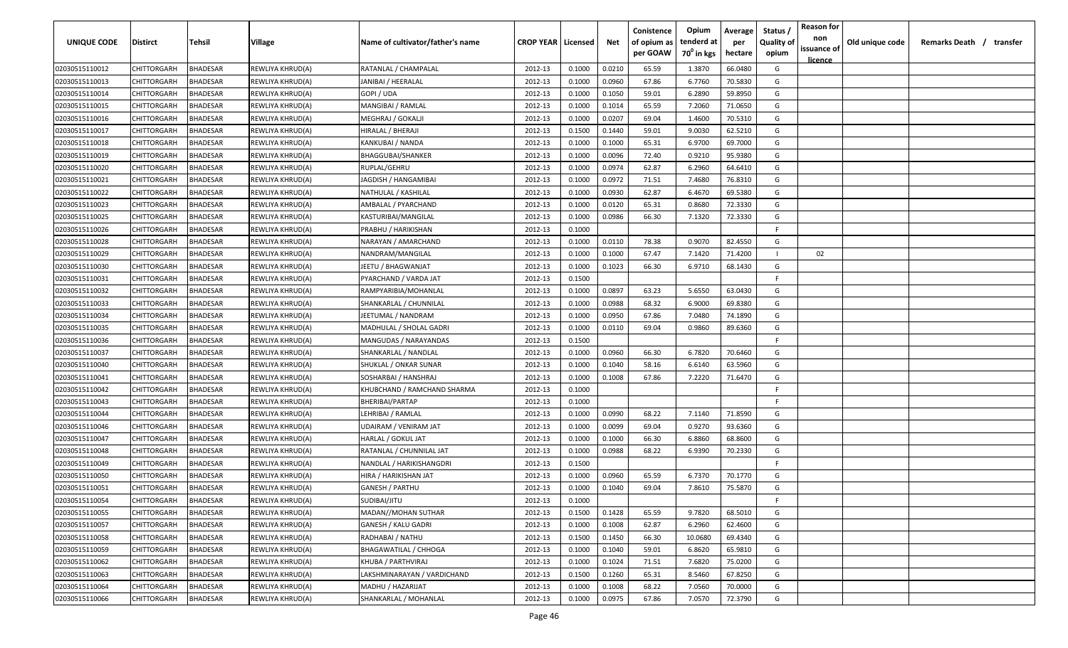| <b>UNIQUE CODE</b> | <b>Distirct</b>    | <b>Tehsil</b>   | Village          | Name of cultivator/father's name | <b>CROP YEAR   Licensed</b> |        | Net    | Conistence<br>of opium as<br>per GOAW | Opium<br>tenderd at<br>70 <sup>°</sup> in kgs | Average<br>per<br>hectare | Status /<br><b>Quality of</b><br>opium | <b>Reason for</b><br>non<br>issuance of<br><u>licence</u> | Old unique code | Remarks Death / transfer |  |
|--------------------|--------------------|-----------------|------------------|----------------------------------|-----------------------------|--------|--------|---------------------------------------|-----------------------------------------------|---------------------------|----------------------------------------|-----------------------------------------------------------|-----------------|--------------------------|--|
| 02030515110012     | CHITTORGARH        | <b>BHADESAR</b> | REWLIYA KHRUD(A) | RATANLAL / CHAMPALAL             | 2012-13                     | 0.1000 | 0.0210 | 65.59                                 | 1.3870                                        | 66.0480                   | G                                      |                                                           |                 |                          |  |
| 02030515110013     | CHITTORGARH        | BHADESAR        | REWLIYA KHRUD(A) | JANIBAI / HEERALAL               | 2012-13                     | 0.1000 | 0.0960 | 67.86                                 | 6.7760                                        | 70.5830                   | G                                      |                                                           |                 |                          |  |
| 02030515110014     | CHITTORGARH        | BHADESAR        | REWLIYA KHRUD(A) | GOPI / UDA                       | 2012-13                     | 0.1000 | 0.1050 | 59.01                                 | 6.2890                                        | 59.8950                   | G                                      |                                                           |                 |                          |  |
| 02030515110015     | CHITTORGARH        | BHADESAR        | REWLIYA KHRUD(A) | MANGIBAI / RAMLAL                | 2012-13                     | 0.1000 | 0.1014 | 65.59                                 | 7.2060                                        | 71.0650                   | G                                      |                                                           |                 |                          |  |
| 02030515110016     | CHITTORGARH        | BHADESAR        | REWLIYA KHRUD(A) | MEGHRAJ / GOKALJI                | 2012-13                     | 0.1000 | 0.0207 | 69.04                                 | 1.4600                                        | 70.5310                   | G                                      |                                                           |                 |                          |  |
| 02030515110017     | CHITTORGARH        | BHADESAR        | REWLIYA KHRUD(A) | HIRALAL / BHERAJI                | 2012-13                     | 0.1500 | 0.1440 | 59.01                                 | 9.0030                                        | 62.5210                   | G                                      |                                                           |                 |                          |  |
| 02030515110018     | CHITTORGARH        | BHADESAR        | REWLIYA KHRUD(A) | KANKUBAI / NANDA                 | 2012-13                     | 0.1000 | 0.1000 | 65.31                                 | 6.9700                                        | 69.7000                   | G                                      |                                                           |                 |                          |  |
| 02030515110019     | CHITTORGARH        | BHADESAR        | REWLIYA KHRUD(A) | BHAGGUBAI/SHANKER                | 2012-13                     | 0.1000 | 0.0096 | 72.40                                 | 0.9210                                        | 95.9380                   | G                                      |                                                           |                 |                          |  |
| 02030515110020     | CHITTORGARH        | BHADESAR        | REWLIYA KHRUD(A) | RUPLAL/GEHRU                     | 2012-13                     | 0.1000 | 0.0974 | 62.87                                 | 6.2960                                        | 64.6410                   | G                                      |                                                           |                 |                          |  |
| 02030515110021     | CHITTORGARH        | BHADESAR        | REWLIYA KHRUD(A) | JAGDISH / HANGAMIBAI             | 2012-13                     | 0.1000 | 0.0972 | 71.51                                 | 7.4680                                        | 76.8310                   | G                                      |                                                           |                 |                          |  |
| 02030515110022     | CHITTORGARH        | BHADESAR        | REWLIYA KHRUD(A) | NATHULAL / KASHILAL              | 2012-13                     | 0.1000 | 0.0930 | 62.87                                 | 6.4670                                        | 69.5380                   | G                                      |                                                           |                 |                          |  |
| 02030515110023     | CHITTORGARH        | BHADESAR        | REWLIYA KHRUD(A) | AMBALAL / PYARCHAND              | 2012-13                     | 0.1000 | 0.0120 | 65.31                                 | 0.8680                                        | 72.3330                   | G                                      |                                                           |                 |                          |  |
| 02030515110025     | CHITTORGARH        | BHADESAR        | REWLIYA KHRUD(A) | KASTURIBAI/MANGILAL              | 2012-13                     | 0.1000 | 0.0986 | 66.30                                 | 7.1320                                        | 72.3330                   | G                                      |                                                           |                 |                          |  |
| 02030515110026     | CHITTORGARH        | BHADESAR        | REWLIYA KHRUD(A) | PRABHU / HARIKISHAN              | 2012-13                     | 0.1000 |        |                                       |                                               |                           | -F.                                    |                                                           |                 |                          |  |
| 02030515110028     | CHITTORGARH        | BHADESAR        | REWLIYA KHRUD(A) | NARAYAN / AMARCHAND              | 2012-13                     | 0.1000 | 0.0110 | 78.38                                 | 0.9070                                        | 82.4550                   | G                                      |                                                           |                 |                          |  |
| 02030515110029     | CHITTORGARH        | BHADESAR        | REWLIYA KHRUD(A) | NANDRAM/MANGILAL                 | 2012-13                     | 0.1000 | 0.1000 | 67.47                                 | 7.1420                                        | 71.4200                   |                                        | 02                                                        |                 |                          |  |
| 02030515110030     | CHITTORGARH        | BHADESAR        | REWLIYA KHRUD(A) | JEETU / BHAGWANJAT               | 2012-13                     | 0.1000 | 0.1023 | 66.30                                 | 6.9710                                        | 68.1430                   | G                                      |                                                           |                 |                          |  |
| 02030515110031     | CHITTORGARH        | BHADESAR        | REWLIYA KHRUD(A) | PYARCHAND / VARDA JAT            | 2012-13                     | 0.1500 |        |                                       |                                               |                           | F.                                     |                                                           |                 |                          |  |
| 02030515110032     | CHITTORGARH        | BHADESAR        | REWLIYA KHRUD(A) | RAMPYARIBIA/MOHANLAL             | 2012-13                     | 0.1000 | 0.0897 | 63.23                                 | 5.6550                                        | 63.0430                   | G                                      |                                                           |                 |                          |  |
| 02030515110033     | CHITTORGARH        | BHADESAR        | REWLIYA KHRUD(A) | SHANKARLAL / CHUNNILAL           | 2012-13                     | 0.1000 | 0.0988 | 68.32                                 | 6.9000                                        | 69.8380                   | G                                      |                                                           |                 |                          |  |
| 02030515110034     | CHITTORGARH        | BHADESAR        | REWLIYA KHRUD(A) | JEETUMAL / NANDRAM               | 2012-13                     | 0.1000 | 0.0950 | 67.86                                 | 7.0480                                        | 74.1890                   | G                                      |                                                           |                 |                          |  |
| 02030515110035     | CHITTORGARH        | BHADESAR        | REWLIYA KHRUD(A) | MADHULAL / SHOLAL GADRI          | 2012-13                     | 0.1000 | 0.0110 | 69.04                                 | 0.9860                                        | 89.6360                   | G                                      |                                                           |                 |                          |  |
| 02030515110036     | CHITTORGARH        | BHADESAR        | REWLIYA KHRUD(A) | MANGUDAS / NARAYANDAS            | 2012-13                     | 0.1500 |        |                                       |                                               |                           | -F                                     |                                                           |                 |                          |  |
| 02030515110037     | CHITTORGARH        | BHADESAR        | REWLIYA KHRUD(A) | SHANKARLAL / NANDLAL             | 2012-13                     | 0.1000 | 0.0960 | 66.30                                 | 6.7820                                        | 70.6460                   | G                                      |                                                           |                 |                          |  |
| 02030515110040     | CHITTORGARH        | BHADESAR        | REWLIYA KHRUD(A) | SHUKLAL / ONKAR SUNAR            | 2012-13                     | 0.1000 | 0.1040 | 58.16                                 | 6.6140                                        | 63.5960                   | G                                      |                                                           |                 |                          |  |
| 02030515110041     | CHITTORGARH        | BHADESAR        | REWLIYA KHRUD(A) | SOSHARBAI / HANSHRAJ             | 2012-13                     | 0.1000 | 0.1008 | 67.86                                 | 7.2220                                        | 71.6470                   | G                                      |                                                           |                 |                          |  |
| 02030515110042     | CHITTORGARH        | BHADESAR        | REWLIYA KHRUD(A) | KHUBCHAND / RAMCHAND SHARMA      | 2012-13                     | 0.1000 |        |                                       |                                               |                           | -F.                                    |                                                           |                 |                          |  |
| 02030515110043     | CHITTORGARH        | BHADESAR        | REWLIYA KHRUD(A) | BHERIBAI/PARTAP                  | 2012-13                     | 0.1000 |        |                                       |                                               |                           | F.                                     |                                                           |                 |                          |  |
| 02030515110044     | CHITTORGARH        | BHADESAR        | REWLIYA KHRUD(A) | LEHRIBAI / RAMLAL                | 2012-13                     | 0.1000 | 0.0990 | 68.22                                 | 7.1140                                        | 71.8590                   | G                                      |                                                           |                 |                          |  |
| 02030515110046     | CHITTORGARH        | BHADESAR        | REWLIYA KHRUD(A) | UDAIRAM / VENIRAM JAT            | 2012-13                     | 0.1000 | 0.0099 | 69.04                                 | 0.9270                                        | 93.6360                   | G                                      |                                                           |                 |                          |  |
| 02030515110047     | CHITTORGARH        | BHADESAR        | REWLIYA KHRUD(A) | HARLAL / GOKUL JAT               | 2012-13                     | 0.1000 | 0.1000 | 66.30                                 | 6.8860                                        | 68.8600                   | G                                      |                                                           |                 |                          |  |
| 02030515110048     | CHITTORGARH        | <b>BHADESAR</b> | REWLIYA KHRUD(A) | RATANLAL / CHUNNILAL JAT         | 2012-13                     | 0.1000 | 0.0988 | 68.22                                 | 6.9390                                        | 70.2330                   | G                                      |                                                           |                 |                          |  |
| 02030515110049     | CHITTORGARH        | BHADESAR        | REWLIYA KHRUD(A) | NANDLAL / HARIKISHANGDRI         | 2012-13                     | 0.1500 |        |                                       |                                               |                           | -F.                                    |                                                           |                 |                          |  |
| 02030515110050     | CHITTORGARH        | BHADESAR        | REWLIYA KHRUD(A) | HIRA / HARIKISHAN JAT            | 2012-13                     | 0.1000 | 0.0960 | 65.59                                 | 6.7370                                        | 70.1770                   | G                                      |                                                           |                 |                          |  |
| 02030515110051     | CHITTORGARH        | BHADESAR        | REWLIYA KHRUD(A) | GANESH / PARTHU                  | 2012-13                     | 0.1000 | 0.1040 | 69.04                                 | 7.8610                                        | 75.5870                   | G                                      |                                                           |                 |                          |  |
| 02030515110054     | <b>CHITTORGARH</b> | <b>BHADESAR</b> | REWLIYA KHRUD(A) | SUDIBAI/JITU                     | 2012-13                     | 0.1000 |        |                                       |                                               |                           | -F                                     |                                                           |                 |                          |  |
| 02030515110055     | <b>CHITTORGARH</b> | <b>BHADESAR</b> | REWLIYA KHRUD(A) | MADAN//MOHAN SUTHAR              | 2012-13                     | 0.1500 | 0.1428 | 65.59                                 | 9.7820                                        | 68.5010                   | G                                      |                                                           |                 |                          |  |
| 02030515110057     | CHITTORGARH        | <b>BHADESAR</b> | REWLIYA KHRUD(A) | <b>GANESH / KALU GADRI</b>       | 2012-13                     | 0.1000 | 0.1008 | 62.87                                 | 6.2960                                        | 62.4600                   | G                                      |                                                           |                 |                          |  |
| 02030515110058     | CHITTORGARH        | <b>BHADESAR</b> | REWLIYA KHRUD(A) | RADHABAI / NATHU                 | 2012-13                     | 0.1500 | 0.1450 | 66.30                                 | 10.0680                                       | 69.4340                   | G                                      |                                                           |                 |                          |  |
| 02030515110059     | CHITTORGARH        | <b>BHADESAR</b> | REWLIYA KHRUD(A) | BHAGAWATILAL / CHHOGA            | 2012-13                     | 0.1000 | 0.1040 | 59.01                                 | 6.8620                                        | 65.9810                   | G                                      |                                                           |                 |                          |  |
| 02030515110062     | CHITTORGARH        | <b>BHADESAR</b> | REWLIYA KHRUD(A) | KHUBA / PARTHVIRAJ               | 2012-13                     | 0.1000 | 0.1024 | 71.51                                 | 7.6820                                        | 75.0200                   | G                                      |                                                           |                 |                          |  |
| 02030515110063     | <b>CHITTORGARH</b> | <b>BHADESAR</b> | REWLIYA KHRUD(A) | LAKSHMINARAYAN / VARDICHAND      | 2012-13                     | 0.1500 | 0.1260 | 65.31                                 | 8.5460                                        | 67.8250                   | G                                      |                                                           |                 |                          |  |
| 02030515110064     | CHITTORGARH        | BHADESAR        | REWLIYA KHRUD(A) | MADHU / HAZARIJAT                | 2012-13                     | 0.1000 | 0.1008 | 68.22                                 | 7.0560                                        | 70.0000                   | G                                      |                                                           |                 |                          |  |
| 02030515110066     | CHITTORGARH        | <b>BHADESAR</b> | REWLIYA KHRUD(A) | SHANKARLAL / MOHANLAL            | 2012-13                     | 0.1000 | 0.0975 | 67.86                                 | 7.0570                                        | 72.3790                   | G                                      |                                                           |                 |                          |  |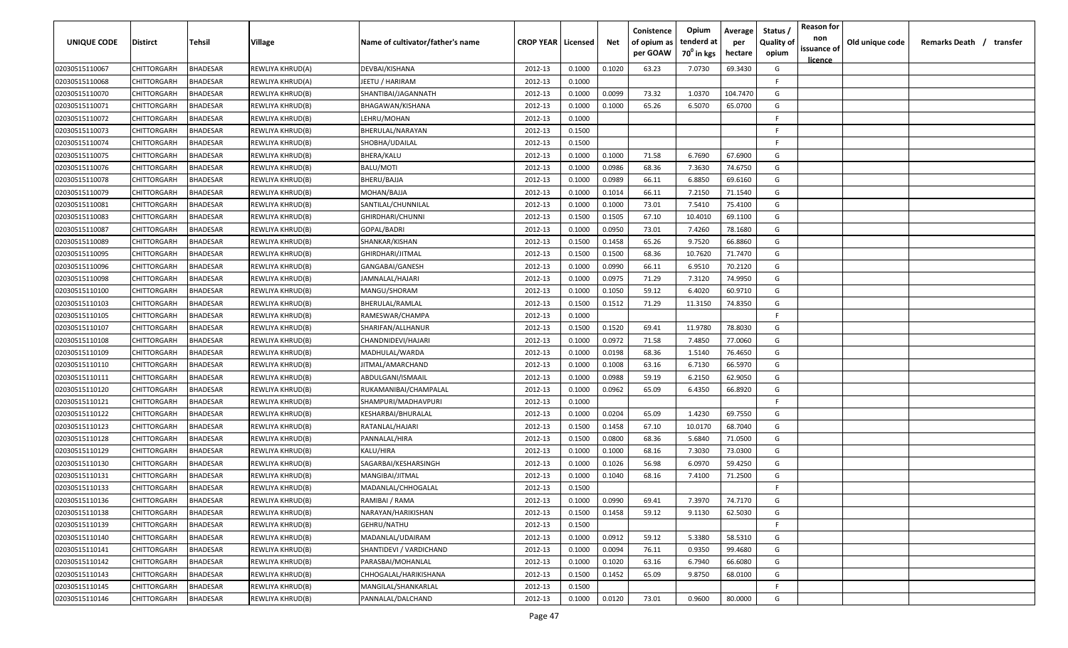| <b>UNIQUE CODE</b> | <b>Distirct</b>    | <b>Tehsil</b>   | Village          | Name of cultivator/father's name | <b>CROP YEAR   Licensed</b> |        | Net    | Conistence<br>of opium as<br>per GOAW | Opium<br>tenderd at<br>70 <sup>0</sup> in kgs | Average<br>per<br>hectare | Status /<br><b>Quality of</b><br>opium | <b>Reason for</b><br>non<br>issuance of<br><u>licence</u> | Old unique code | Remarks Death / | transfer |
|--------------------|--------------------|-----------------|------------------|----------------------------------|-----------------------------|--------|--------|---------------------------------------|-----------------------------------------------|---------------------------|----------------------------------------|-----------------------------------------------------------|-----------------|-----------------|----------|
| 02030515110067     | CHITTORGARH        | <b>BHADESAR</b> | REWLIYA KHRUD(A) | DEVBAI/KISHANA                   | 2012-13                     | 0.1000 | 0.1020 | 63.23                                 | 7.0730                                        | 69.3430                   | G                                      |                                                           |                 |                 |          |
| 02030515110068     | CHITTORGARH        | BHADESAR        | REWLIYA KHRUD(A) | JEETU / HARIRAM                  | 2012-13                     | 0.1000 |        |                                       |                                               |                           | -F.                                    |                                                           |                 |                 |          |
| 02030515110070     | CHITTORGARH        | BHADESAR        | REWLIYA KHRUD(B) | SHANTIBAI/JAGANNATH              | 2012-13                     | 0.1000 | 0.0099 | 73.32                                 | 1.0370                                        | 104.7470                  | G                                      |                                                           |                 |                 |          |
| 02030515110071     | CHITTORGARH        | BHADESAR        | REWLIYA KHRUD(B) | BHAGAWAN/KISHANA                 | 2012-13                     | 0.1000 | 0.1000 | 65.26                                 | 6.5070                                        | 65.0700                   | G                                      |                                                           |                 |                 |          |
| 02030515110072     | CHITTORGARH        | BHADESAR        | REWLIYA KHRUD(B) | LEHRU/MOHAN                      | 2012-13                     | 0.1000 |        |                                       |                                               |                           | -F                                     |                                                           |                 |                 |          |
| 02030515110073     | CHITTORGARH        | BHADESAR        | REWLIYA KHRUD(B) | BHERULAL/NARAYAN                 | 2012-13                     | 0.1500 |        |                                       |                                               |                           | -F                                     |                                                           |                 |                 |          |
| 02030515110074     | CHITTORGARH        | BHADESAR        | REWLIYA KHRUD(B) | SHOBHA/UDAILAL                   | 2012-13                     | 0.1500 |        |                                       |                                               |                           | -F                                     |                                                           |                 |                 |          |
| 02030515110075     | CHITTORGARH        | BHADESAR        | REWLIYA KHRUD(B) | BHERA/KALU                       | 2012-13                     | 0.1000 | 0.1000 | 71.58                                 | 6.7690                                        | 67.6900                   | G                                      |                                                           |                 |                 |          |
| 02030515110076     | CHITTORGARH        | BHADESAR        | REWLIYA KHRUD(B) | BALU/MOTI                        | 2012-13                     | 0.1000 | 0.0986 | 68.36                                 | 7.3630                                        | 74.6750                   | G                                      |                                                           |                 |                 |          |
| 02030515110078     | CHITTORGARH        | BHADESAR        | REWLIYA KHRUD(B) | BHERU/BAJJA                      | 2012-13                     | 0.1000 | 0.0989 | 66.11                                 | 6.8850                                        | 69.6160                   | G                                      |                                                           |                 |                 |          |
| 02030515110079     | CHITTORGARH        | BHADESAR        | REWLIYA KHRUD(B) | MOHAN/BAJJA                      | 2012-13                     | 0.1000 | 0.1014 | 66.11                                 | 7.2150                                        | 71.1540                   | G                                      |                                                           |                 |                 |          |
| 02030515110081     | CHITTORGARH        | BHADESAR        | REWLIYA KHRUD(B) | SANTILAL/CHUNNILAL               | 2012-13                     | 0.1000 | 0.1000 | 73.01                                 | 7.5410                                        | 75.4100                   | G                                      |                                                           |                 |                 |          |
| 02030515110083     | CHITTORGARH        | BHADESAR        | REWLIYA KHRUD(B) | GHIRDHARI/CHUNNI                 | 2012-13                     | 0.1500 | 0.1505 | 67.10                                 | 10.4010                                       | 69.1100                   | G                                      |                                                           |                 |                 |          |
| 02030515110087     | CHITTORGARH        | BHADESAR        | REWLIYA KHRUD(B) | GOPAL/BADRI                      | 2012-13                     | 0.1000 | 0.0950 | 73.01                                 | 7.4260                                        | 78.1680                   | G                                      |                                                           |                 |                 |          |
| 02030515110089     | CHITTORGARH        | BHADESAR        | REWLIYA KHRUD(B) | SHANKAR/KISHAN                   | 2012-13                     | 0.1500 | 0.1458 | 65.26                                 | 9.7520                                        | 66.8860                   | G                                      |                                                           |                 |                 |          |
| 02030515110095     | CHITTORGARH        | BHADESAR        | REWLIYA KHRUD(B) | GHIRDHARI/JITMAL                 | 2012-13                     | 0.1500 | 0.1500 | 68.36                                 | 10.7620                                       | 71.7470                   | G                                      |                                                           |                 |                 |          |
| 02030515110096     | CHITTORGARH        | BHADESAR        | REWLIYA KHRUD(B) | GANGABAI/GANESH                  | 2012-13                     | 0.1000 | 0.0990 | 66.11                                 | 6.9510                                        | 70.2120                   | G                                      |                                                           |                 |                 |          |
| 02030515110098     | CHITTORGARH        | BHADESAR        | REWLIYA KHRUD(B) | JAMNALAL/HAJARI                  | 2012-13                     | 0.1000 | 0.0975 | 71.29                                 | 7.3120                                        | 74.9950                   | G                                      |                                                           |                 |                 |          |
| 02030515110100     | CHITTORGARH        | BHADESAR        | REWLIYA KHRUD(B) | MANGU/SHORAM                     | 2012-13                     | 0.1000 | 0.1050 | 59.12                                 | 6.4020                                        | 60.9710                   | G                                      |                                                           |                 |                 |          |
| 02030515110103     | CHITTORGARH        | BHADESAR        | REWLIYA KHRUD(B) | BHERULAL/RAMLAL                  | 2012-13                     | 0.1500 | 0.1512 | 71.29                                 | 11.3150                                       | 74.8350                   | G                                      |                                                           |                 |                 |          |
| 02030515110105     | CHITTORGARH        | BHADESAR        | REWLIYA KHRUD(B) | RAMESWAR/CHAMPA                  | 2012-13                     | 0.1000 |        |                                       |                                               |                           | -F.                                    |                                                           |                 |                 |          |
| 02030515110107     | CHITTORGARH        | BHADESAR        | REWLIYA KHRUD(B) | SHARIFAN/ALLHANUR                | 2012-13                     | 0.1500 | 0.1520 | 69.41                                 | 11.9780                                       | 78.8030                   | G                                      |                                                           |                 |                 |          |
| 02030515110108     | CHITTORGARH        | BHADESAR        | REWLIYA KHRUD(B) | CHANDNIDEVI/HAJARI               | 2012-13                     | 0.1000 | 0.0972 | 71.58                                 | 7.4850                                        | 77.0060                   | G                                      |                                                           |                 |                 |          |
| 02030515110109     | CHITTORGARH        | BHADESAR        | REWLIYA KHRUD(B) | MADHULAL/WARDA                   | 2012-13                     | 0.1000 | 0.0198 | 68.36                                 | 1.5140                                        | 76.4650                   | G                                      |                                                           |                 |                 |          |
| 02030515110110     | CHITTORGARH        | BHADESAR        | REWLIYA KHRUD(B) | <b>JITMAL/AMARCHAND</b>          | 2012-13                     | 0.1000 | 0.1008 | 63.16                                 | 6.7130                                        | 66.5970                   | G                                      |                                                           |                 |                 |          |
| 02030515110111     | CHITTORGARH        | BHADESAR        | REWLIYA KHRUD(B) | ABDULGANI/ISMAAIL                | 2012-13                     | 0.1000 | 0.0988 | 59.19                                 | 6.2150                                        | 62.9050                   | G                                      |                                                           |                 |                 |          |
| 02030515110120     | CHITTORGARH        | BHADESAR        | REWLIYA KHRUD(B) | RUKAMANIBAI/CHAMPALAL            | 2012-13                     | 0.1000 | 0.0962 | 65.09                                 | 6.4350                                        | 66.8920                   | G                                      |                                                           |                 |                 |          |
| 02030515110121     | CHITTORGARH        | BHADESAR        | REWLIYA KHRUD(B) | SHAMPURI/MADHAVPURI              | 2012-13                     | 0.1000 |        |                                       |                                               |                           | F.                                     |                                                           |                 |                 |          |
| 02030515110122     | CHITTORGARH        | BHADESAR        | REWLIYA KHRUD(B) | KESHARBAI/BHURALAL               | 2012-13                     | 0.1000 | 0.0204 | 65.09                                 | 1.4230                                        | 69.7550                   | G                                      |                                                           |                 |                 |          |
| 02030515110123     | CHITTORGARH        | BHADESAR        | REWLIYA KHRUD(B) | RATANLAL/HAJARI                  | 2012-13                     | 0.1500 | 0.1458 | 67.10                                 | 10.0170                                       | 68.7040                   | G                                      |                                                           |                 |                 |          |
| 02030515110128     | CHITTORGARH        | BHADESAR        | REWLIYA KHRUD(B) | PANNALAL/HIRA                    | 2012-13                     | 0.1500 | 0.0800 | 68.36                                 | 5.6840                                        | 71.0500                   | G                                      |                                                           |                 |                 |          |
| 02030515110129     | CHITTORGARH        | <b>BHADESAR</b> | REWLIYA KHRUD(B) | KALU/HIRA                        | 2012-13                     | 0.1000 | 0.1000 | 68.16                                 | 7.3030                                        | 73.0300                   | G                                      |                                                           |                 |                 |          |
| 02030515110130     | CHITTORGARH        | BHADESAR        | REWLIYA KHRUD(B) | SAGARBAI/KESHARSINGH             | 2012-13                     | 0.1000 | 0.1026 | 56.98                                 | 6.0970                                        | 59.4250                   | G                                      |                                                           |                 |                 |          |
| 02030515110131     | CHITTORGARH        | BHADESAR        | REWLIYA KHRUD(B) | MANGIBAI/JITMAL                  | 2012-13                     | 0.1000 | 0.1040 | 68.16                                 | 7.4100                                        | 71.2500                   | G                                      |                                                           |                 |                 |          |
| 02030515110133     | CHITTORGARH        | BHADESAR        | REWLIYA KHRUD(B) | MADANLAL/CHHOGALAL               | 2012-13                     | 0.1500 |        |                                       |                                               |                           | E                                      |                                                           |                 |                 |          |
| 02030515110136     | CHITTORGARH        | <b>BHADESAR</b> | REWLIYA KHRUD(B) | RAMIBAI / RAMA                   | 2012-13                     | 0.1000 | 0.0990 | 69.41                                 | 7.3970                                        | 74.7170                   | G                                      |                                                           |                 |                 |          |
| 02030515110138     | <b>CHITTORGARH</b> | <b>BHADESAR</b> | REWLIYA KHRUD(B) | NARAYAN/HARIKISHAN               | 2012-13                     | 0.1500 | 0.1458 | 59.12                                 | 9.1130                                        | 62.5030                   | G                                      |                                                           |                 |                 |          |
| 02030515110139     | CHITTORGARH        | <b>BHADESAR</b> | REWLIYA KHRUD(B) | GEHRU/NATHU                      | 2012-13                     | 0.1500 |        |                                       |                                               |                           | F.                                     |                                                           |                 |                 |          |
| 02030515110140     | CHITTORGARH        | <b>BHADESAR</b> | REWLIYA KHRUD(B) | MADANLAL/UDAIRAM                 | 2012-13                     | 0.1000 | 0.0912 | 59.12                                 | 5.3380                                        | 58.5310                   | G                                      |                                                           |                 |                 |          |
| 02030515110141     | CHITTORGARH        | <b>BHADESAR</b> | REWLIYA KHRUD(B) | SHANTIDEVI / VARDICHAND          | 2012-13                     | 0.1000 | 0.0094 | 76.11                                 | 0.9350                                        | 99.4680                   | G                                      |                                                           |                 |                 |          |
| 02030515110142     | CHITTORGARH        | <b>BHADESAR</b> | REWLIYA KHRUD(B) | PARASBAI/MOHANLAL                | 2012-13                     | 0.1000 | 0.1020 | 63.16                                 | 6.7940                                        | 66.6080                   | G                                      |                                                           |                 |                 |          |
| 02030515110143     | <b>CHITTORGARH</b> | <b>BHADESAR</b> | REWLIYA KHRUD(B) | CHHOGALAL/HARIKISHANA            | 2012-13                     | 0.1500 | 0.1452 | 65.09                                 | 9.8750                                        | 68.0100                   | G                                      |                                                           |                 |                 |          |
| 02030515110145     | <b>CHITTORGARH</b> | BHADESAR        | REWLIYA KHRUD(B) | MANGILAL/SHANKARLAL              | 2012-13                     | 0.1500 |        |                                       |                                               |                           | F.                                     |                                                           |                 |                 |          |
| 02030515110146     | <b>CHITTORGARH</b> | BHADESAR        | REWLIYA KHRUD(B) | PANNALAL/DALCHAND                | 2012-13                     | 0.1000 | 0.0120 | 73.01                                 | 0.9600                                        | 80.0000                   | G                                      |                                                           |                 |                 |          |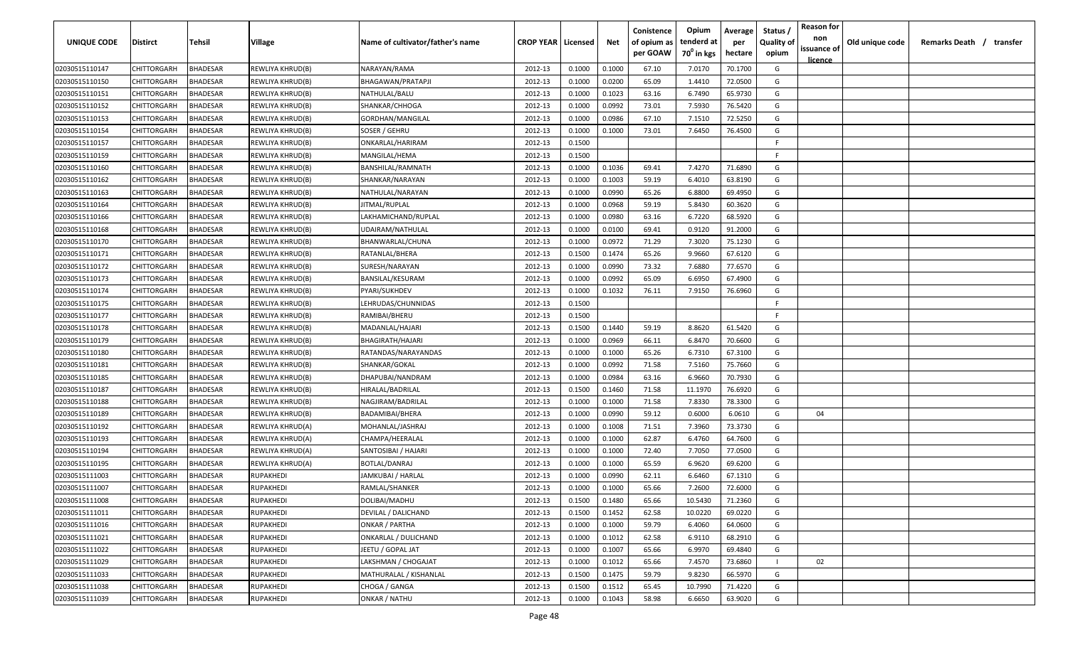| <b>UNIQUE CODE</b> | <b>Distirct</b>    | <b>Tehsil</b>   | Village          | Name of cultivator/father's name | <b>CROP YEAR   Licensed</b> |        | Net    | Conistence<br>of opium as<br>per GOAW | Opium<br>tenderd at<br>70 <sup>°</sup> in kgs | Average<br>per<br>hectare | Status /<br><b>Quality of</b><br>opium | <b>Reason for</b><br>non<br>issuance of | Old unique code | Remarks Death / | transfer |
|--------------------|--------------------|-----------------|------------------|----------------------------------|-----------------------------|--------|--------|---------------------------------------|-----------------------------------------------|---------------------------|----------------------------------------|-----------------------------------------|-----------------|-----------------|----------|
| 02030515110147     | CHITTORGARH        | <b>BHADESAR</b> | REWLIYA KHRUD(B) | NARAYAN/RAMA                     | 2012-13                     | 0.1000 | 0.1000 | 67.10                                 | 7.0170                                        | 70.1700                   | G                                      | <u>licence</u>                          |                 |                 |          |
| 02030515110150     | CHITTORGARH        | BHADESAR        | REWLIYA KHRUD(B) | BHAGAWAN/PRATAPJI                | 2012-13                     | 0.1000 | 0.0200 | 65.09                                 | 1.4410                                        | 72.0500                   | G                                      |                                         |                 |                 |          |
| 02030515110151     | CHITTORGARH        | BHADESAR        | REWLIYA KHRUD(B) | NATHULAL/BALU                    | 2012-13                     | 0.1000 | 0.1023 | 63.16                                 | 6.7490                                        | 65.9730                   | G                                      |                                         |                 |                 |          |
| 02030515110152     | CHITTORGARH        | BHADESAR        | REWLIYA KHRUD(B) | SHANKAR/CHHOGA                   | 2012-13                     | 0.1000 | 0.0992 | 73.01                                 | 7.5930                                        | 76.5420                   | G                                      |                                         |                 |                 |          |
| 02030515110153     | CHITTORGARH        | BHADESAR        | REWLIYA KHRUD(B) | GORDHAN/MANGILAL                 | 2012-13                     | 0.1000 | 0.0986 | 67.10                                 | 7.1510                                        | 72.5250                   | G                                      |                                         |                 |                 |          |
| 02030515110154     | CHITTORGARH        | BHADESAR        | REWLIYA KHRUD(B) | SOSER / GEHRU                    | 2012-13                     | 0.1000 | 0.1000 | 73.01                                 | 7.6450                                        | 76.4500                   | G                                      |                                         |                 |                 |          |
| 02030515110157     | CHITTORGARH        | BHADESAR        | REWLIYA KHRUD(B) | ONKARLAL/HARIRAM                 | 2012-13                     | 0.1500 |        |                                       |                                               |                           | -F                                     |                                         |                 |                 |          |
| 02030515110159     | CHITTORGARH        | BHADESAR        | REWLIYA KHRUD(B) | MANGILAL/HEMA                    | 2012-13                     | 0.1500 |        |                                       |                                               |                           | -F.                                    |                                         |                 |                 |          |
| 02030515110160     | CHITTORGARH        | BHADESAR        | REWLIYA KHRUD(B) | BANSHILAL/RAMNATH                | 2012-13                     | 0.1000 | 0.1036 | 69.41                                 | 7.4270                                        | 71.6890                   | G                                      |                                         |                 |                 |          |
| 02030515110162     | CHITTORGARH        | BHADESAR        | REWLIYA KHRUD(B) | SHANKAR/NARAYAN                  | 2012-13                     | 0.1000 | 0.1003 | 59.19                                 | 6.4010                                        | 63.8190                   | G                                      |                                         |                 |                 |          |
| 02030515110163     | CHITTORGARH        | BHADESAR        | REWLIYA KHRUD(B) | NATHULAL/NARAYAN                 | 2012-13                     | 0.1000 | 0.0990 | 65.26                                 | 6.8800                                        | 69.4950                   | G                                      |                                         |                 |                 |          |
| 02030515110164     | CHITTORGARH        | BHADESAR        | REWLIYA KHRUD(B) | IITMAL/RUPLAL                    | 2012-13                     | 0.1000 | 0.0968 | 59.19                                 | 5.8430                                        | 60.3620                   | G                                      |                                         |                 |                 |          |
| 02030515110166     | CHITTORGARH        | BHADESAR        | REWLIYA KHRUD(B) | LAKHAMICHAND/RUPLAL              | 2012-13                     | 0.1000 | 0.0980 | 63.16                                 | 6.7220                                        | 68.5920                   | G                                      |                                         |                 |                 |          |
| 02030515110168     | CHITTORGARH        | BHADESAR        | REWLIYA KHRUD(B) | UDAIRAM/NATHULAL                 | 2012-13                     | 0.1000 | 0.0100 | 69.41                                 | 0.9120                                        | 91.2000                   | G                                      |                                         |                 |                 |          |
| 02030515110170     | CHITTORGARH        | BHADESAR        | REWLIYA KHRUD(B) | BHANWARLAL/CHUNA                 | 2012-13                     | 0.1000 | 0.0972 | 71.29                                 | 7.3020                                        | 75.1230                   | G                                      |                                         |                 |                 |          |
| 02030515110171     | CHITTORGARH        | BHADESAR        | REWLIYA KHRUD(B) | RATANLAL/BHERA                   | 2012-13                     | 0.1500 | 0.1474 | 65.26                                 | 9.9660                                        | 67.6120                   | G                                      |                                         |                 |                 |          |
| 02030515110172     | CHITTORGARH        | BHADESAR        | REWLIYA KHRUD(B) | SURESH/NARAYAN                   | 2012-13                     | 0.1000 | 0.0990 | 73.32                                 | 7.6880                                        | 77.6570                   | G                                      |                                         |                 |                 |          |
| 02030515110173     | CHITTORGARH        | BHADESAR        | REWLIYA KHRUD(B) | BANSILAL/KESURAM                 | 2012-13                     | 0.1000 | 0.0992 | 65.09                                 | 6.6950                                        | 67.4900                   | G                                      |                                         |                 |                 |          |
| 02030515110174     | CHITTORGARH        | BHADESAR        | REWLIYA KHRUD(B) | PYARI/SUKHDEV                    | 2012-13                     | 0.1000 | 0.1032 | 76.11                                 | 7.9150                                        | 76.6960                   | G                                      |                                         |                 |                 |          |
| 02030515110175     | CHITTORGARH        | BHADESAR        | REWLIYA KHRUD(B) | LEHRUDAS/CHUNNIDAS               | 2012-13                     | 0.1500 |        |                                       |                                               |                           | -F.                                    |                                         |                 |                 |          |
| 02030515110177     | CHITTORGARH        | BHADESAR        | REWLIYA KHRUD(B) | RAMIBAI/BHERU                    | 2012-13                     | 0.1500 |        |                                       |                                               |                           | -F.                                    |                                         |                 |                 |          |
| 02030515110178     | CHITTORGARH        | BHADESAR        | REWLIYA KHRUD(B) | MADANLAL/HAJARI                  | 2012-13                     | 0.1500 | 0.1440 | 59.19                                 | 8.8620                                        | 61.5420                   | G                                      |                                         |                 |                 |          |
| 02030515110179     | CHITTORGARH        | BHADESAR        | REWLIYA KHRUD(B) | BHAGIRATH/HAJARI                 | 2012-13                     | 0.1000 | 0.0969 | 66.11                                 | 6.8470                                        | 70.6600                   | G                                      |                                         |                 |                 |          |
| 02030515110180     | CHITTORGARH        | BHADESAR        | REWLIYA KHRUD(B) | RATANDAS/NARAYANDAS              | 2012-13                     | 0.1000 | 0.1000 | 65.26                                 | 6.7310                                        | 67.3100                   | G                                      |                                         |                 |                 |          |
| 02030515110181     | CHITTORGARH        | BHADESAR        | REWLIYA KHRUD(B) | SHANKAR/GOKAL                    | 2012-13                     | 0.1000 | 0.0992 | 71.58                                 | 7.5160                                        | 75.7660                   | G                                      |                                         |                 |                 |          |
| 02030515110185     | CHITTORGARH        | BHADESAR        | REWLIYA KHRUD(B) | DHAPUBAI/NANDRAM                 | 2012-13                     | 0.1000 | 0.0984 | 63.16                                 | 6.9660                                        | 70.7930                   | G                                      |                                         |                 |                 |          |
| 02030515110187     | CHITTORGARH        | BHADESAR        | REWLIYA KHRUD(B) | HIRALAL/BADRILAL                 | 2012-13                     | 0.1500 | 0.1460 | 71.58                                 | 11.1970                                       | 76.6920                   | G                                      |                                         |                 |                 |          |
| 02030515110188     | CHITTORGARH        | BHADESAR        | REWLIYA KHRUD(B) | NAGJIRAM/BADRILAL                | 2012-13                     | 0.1000 | 0.1000 | 71.58                                 | 7.8330                                        | 78.3300                   | G                                      |                                         |                 |                 |          |
| 02030515110189     | CHITTORGARH        | BHADESAR        | REWLIYA KHRUD(B) | BADAMIBAI/BHERA                  | 2012-13                     | 0.1000 | 0.0990 | 59.12                                 | 0.6000                                        | 6.0610                    | G                                      | 04                                      |                 |                 |          |
| 02030515110192     | CHITTORGARH        | BHADESAR        | REWLIYA KHRUD(A) | MOHANLAL/JASHRAJ                 | 2012-13                     | 0.1000 | 0.1008 | 71.51                                 | 7.3960                                        | 73.3730                   | G                                      |                                         |                 |                 |          |
| 02030515110193     | CHITTORGARH        | BHADESAR        | REWLIYA KHRUD(A) | CHAMPA/HEERALAL                  | 2012-13                     | 0.1000 | 0.1000 | 62.87                                 | 6.4760                                        | 64.7600                   | G                                      |                                         |                 |                 |          |
| 02030515110194     | CHITTORGARH        | <b>BHADESAR</b> | REWLIYA KHRUD(A) | SANTOSIBAI / HAJARI              | 2012-13                     | 0.1000 | 0.1000 | 72.40                                 | 7.7050                                        | 77.0500                   | G                                      |                                         |                 |                 |          |
| 02030515110195     | CHITTORGARH        | BHADESAR        | REWLIYA KHRUD(A) | <b>BOTLAL/DANRAJ</b>             | 2012-13                     | 0.1000 | 0.1000 | 65.59                                 | 6.9620                                        | 69.6200                   | G                                      |                                         |                 |                 |          |
| 02030515111003     | CHITTORGARH        | BHADESAR        | RUPAKHEDI        | JAMKUBAI / HARLAL                | 2012-13                     | 0.1000 | 0.0990 | 62.11                                 | 6.6460                                        | 67.1310                   | G                                      |                                         |                 |                 |          |
| 02030515111007     | <b>CHITTORGARH</b> | BHADESAR        | RUPAKHEDI        | RAMLAL/SHANKER                   | 2012-13                     | 0.1000 | 0.1000 | 65.66                                 | 7.2600                                        | 72.6000                   | G                                      |                                         |                 |                 |          |
| 02030515111008     | CHITTORGARH        | <b>BHADESAR</b> | <b>RUPAKHEDI</b> | DOLIBAI/MADHU                    | 2012-13                     | 0.1500 | 0.1480 | 65.66                                 | 10.5430                                       | 71.2360                   | G                                      |                                         |                 |                 |          |
| 02030515111011     | <b>CHITTORGARH</b> | <b>BHADESAR</b> | RUPAKHEDI        | DEVILAL / DALICHAND              | 2012-13                     | 0.1500 | 0.1452 | 62.58                                 | 10.0220                                       | 69.0220                   | G                                      |                                         |                 |                 |          |
| 02030515111016     | CHITTORGARH        | <b>BHADESAR</b> | RUPAKHEDI        | <b>ONKAR / PARTHA</b>            | 2012-13                     | 0.1000 | 0.1000 | 59.79                                 | 6.4060                                        | 64.0600                   | G                                      |                                         |                 |                 |          |
| 02030515111021     | CHITTORGARH        | <b>BHADESAR</b> | RUPAKHEDI        | ONKARLAL / DULICHAND             | 2012-13                     | 0.1000 | 0.1012 | 62.58                                 | 6.9110                                        | 68.2910                   | G                                      |                                         |                 |                 |          |
| 02030515111022     | CHITTORGARH        | <b>BHADESAR</b> | RUPAKHEDI        | JEETU / GOPAL JAT                | 2012-13                     | 0.1000 | 0.1007 | 65.66                                 | 6.9970                                        | 69.4840                   | G                                      |                                         |                 |                 |          |
| 02030515111029     | CHITTORGARH        | BHADESAR        | RUPAKHEDI        | LAKSHMAN / CHOGAJAT              | 2012-13                     | 0.1000 | 0.1012 | 65.66                                 | 7.4570                                        | 73.6860                   |                                        | 02                                      |                 |                 |          |
| 02030515111033     | CHITTORGARH        | <b>BHADESAR</b> | RUPAKHEDI        | MATHURALAL / KISHANLAL           | 2012-13                     | 0.1500 | 0.1475 | 59.79                                 | 9.8230                                        | 66.5970                   | G                                      |                                         |                 |                 |          |
| 02030515111038     | CHITTORGARH        | <b>BHADESAR</b> | RUPAKHEDI        | CHOGA / GANGA                    | 2012-13                     | 0.1500 | 0.1512 | 65.45                                 | 10.7990                                       | 71.4220                   | G                                      |                                         |                 |                 |          |
| 02030515111039     | CHITTORGARH        | <b>BHADESAR</b> | RUPAKHEDI        | ONKAR / NATHU                    | 2012-13                     | 0.1000 | 0.1043 | 58.98                                 | 6.6650                                        | 63.9020                   | G                                      |                                         |                 |                 |          |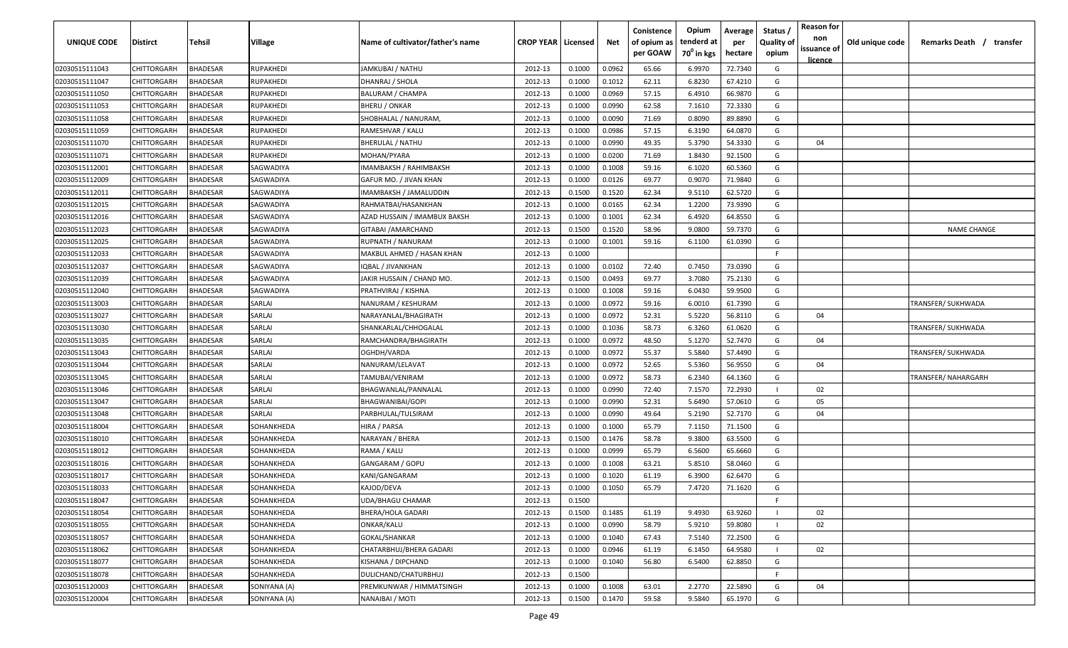| <b>UNIQUE CODE</b> | Distirct           | Tehsil          | Village      | Name of cultivator/father's name | <b>CROP YEAR Licensed</b> |        | Net    | Conistence<br>of opium as | Opium<br>tenderd at    | Average<br>per | Status /<br><b>Quality of</b> | <b>Reason for</b><br>non<br>issuance of | Old unique code | Remarks Death / transfer |
|--------------------|--------------------|-----------------|--------------|----------------------------------|---------------------------|--------|--------|---------------------------|------------------------|----------------|-------------------------------|-----------------------------------------|-----------------|--------------------------|
|                    |                    |                 |              |                                  |                           |        |        | per GOAW                  | 70 <sup>0</sup> in kgs | hectare        | opium                         | <u>licence</u>                          |                 |                          |
| 02030515111043     | CHITTORGARH        | <b>BHADESAR</b> | RUPAKHEDI    | JAMKUBAI / NATHU                 | 2012-13                   | 0.1000 | 0.0962 | 65.66                     | 6.9970                 | 72.7340        | G                             |                                         |                 |                          |
| 02030515111047     | CHITTORGARH        | BHADESAR        | RUPAKHEDI    | DHANRAJ / SHOLA                  | 2012-13                   | 0.1000 | 0.1012 | 62.11                     | 6.8230                 | 67.4210        | G                             |                                         |                 |                          |
| 02030515111050     | CHITTORGARH        | BHADESAR        | RUPAKHEDI    | <b>BALURAM / CHAMPA</b>          | 2012-13                   | 0.1000 | 0.0969 | 57.15                     | 6.4910                 | 66.9870        | G                             |                                         |                 |                          |
| 02030515111053     | CHITTORGARH        | BHADESAR        | RUPAKHEDI    | <b>BHERU / ONKAR</b>             | 2012-13                   | 0.1000 | 0.0990 | 62.58                     | 7.1610                 | 72.3330        | G                             |                                         |                 |                          |
| 02030515111058     | CHITTORGARH        | BHADESAR        | RUPAKHEDI    | SHOBHALAL / NANURAM,             | 2012-13                   | 0.1000 | 0.0090 | 71.69                     | 0.8090                 | 89.8890        | G                             |                                         |                 |                          |
| 02030515111059     | CHITTORGARH        | <b>BHADESAR</b> | RUPAKHEDI    | RAMESHVAR / KALU                 | 2012-13                   | 0.1000 | 0.0986 | 57.15                     | 6.3190                 | 64.0870        | G                             |                                         |                 |                          |
| 02030515111070     | CHITTORGARH        | BHADESAR        | RUPAKHEDI    | BHERULAL / NATHU                 | 2012-13                   | 0.1000 | 0.0990 | 49.35                     | 5.3790                 | 54.3330        | G                             | 04                                      |                 |                          |
| 02030515111071     | CHITTORGARH        | BHADESAR        | RUPAKHEDI    | MOHAN/PYARA                      | 2012-13                   | 0.1000 | 0.0200 | 71.69                     | 1.8430                 | 92.1500        | G                             |                                         |                 |                          |
| 02030515112001     | CHITTORGARH        | BHADESAR        | SAGWADIYA    | IMAMBAKSH / RAHIMBAKSH           | 2012-13                   | 0.1000 | 0.1008 | 59.16                     | 6.1020                 | 60.5360        | G                             |                                         |                 |                          |
| 02030515112009     | CHITTORGARH        | BHADESAR        | SAGWADIYA    | GAFUR MO. / JIVAN KHAN           | 2012-13                   | 0.1000 | 0.0126 | 69.77                     | 0.9070                 | 71.9840        | G                             |                                         |                 |                          |
| 02030515112011     | CHITTORGARH        | BHADESAR        | SAGWADIYA    | IMAMBAKSH / JAMALUDDIN           | 2012-13                   | 0.1500 | 0.1520 | 62.34                     | 9.5110                 | 62.5720        | G                             |                                         |                 |                          |
| 02030515112015     | CHITTORGARH        | BHADESAR        | SAGWADIYA    | RAHMATBAI/HASANKHAN              | 2012-13                   | 0.1000 | 0.0165 | 62.34                     | 1.2200                 | 73.9390        | G                             |                                         |                 |                          |
| 02030515112016     | CHITTORGARH        | BHADESAR        | SAGWADIYA    | AZAD HUSSAIN / IMAMBUX BAKSH     | 2012-13                   | 0.1000 | 0.1001 | 62.34                     | 6.4920                 | 64.8550        | G                             |                                         |                 |                          |
| 02030515112023     | CHITTORGARH        | <b>BHADESAR</b> | SAGWADIYA    | GITABAI / AMARCHAND              | 2012-13                   | 0.1500 | 0.1520 | 58.96                     | 9.0800                 | 59.7370        | G                             |                                         |                 | <b>NAME CHANGE</b>       |
| 02030515112025     | CHITTORGARH        | BHADESAR        | SAGWADIYA    | RUPNATH / NANURAM                | 2012-13                   | 0.1000 | 0.1001 | 59.16                     | 6.1100                 | 61.0390        | G                             |                                         |                 |                          |
| 02030515112033     | CHITTORGARH        | <b>BHADESAR</b> | SAGWADIYA    | MAKBUL AHMED / HASAN KHAN        | 2012-13                   | 0.1000 |        |                           |                        |                | F.                            |                                         |                 |                          |
| 02030515112037     | CHITTORGARH        | <b>BHADESAR</b> | SAGWADIYA    | IQBAL / JIVANKHAN                | 2012-13                   | 0.1000 | 0.0102 | 72.40                     | 0.7450                 | 73.0390        | G                             |                                         |                 |                          |
| 02030515112039     | CHITTORGARH        | <b>BHADESAR</b> | SAGWADIYA    | JAKIR HUSSAIN / CHAND MO.        | 2012-13                   | 0.1500 | 0.0493 | 69.77                     | 3.7080                 | 75.2130        | G                             |                                         |                 |                          |
| 02030515112040     | CHITTORGARH        | BHADESAR        | SAGWADIYA    | PRATHVIRAJ / KISHNA              | 2012-13                   | 0.1000 | 0.1008 | 59.16                     | 6.0430                 | 59.9500        | G                             |                                         |                 |                          |
| 02030515113003     | CHITTORGARH        | BHADESAR        | SARLAI       | NANURAM / KESHURAM               | 2012-13                   | 0.1000 | 0.0972 | 59.16                     | 6.0010                 | 61.7390        | G                             |                                         |                 | TRANSFER/ SUKHWADA       |
| 02030515113027     | CHITTORGARH        | <b>BHADESAR</b> | SARLAI       | NARAYANLAL/BHAGIRATH             | 2012-13                   | 0.1000 | 0.0972 | 52.31                     | 5.5220                 | 56.8110        | G                             | 04                                      |                 |                          |
| 02030515113030     | CHITTORGARH        | <b>BHADESAR</b> | SARLAI       | SHANKARLAL/CHHOGALAL             | 2012-13                   | 0.1000 | 0.1036 | 58.73                     | 6.3260                 | 61.0620        | G                             |                                         |                 | TRANSFER/ SUKHWADA       |
| 02030515113035     | CHITTORGARH        | BHADESAR        | SARLAI       | RAMCHANDRA/BHAGIRATH             | 2012-13                   | 0.1000 | 0.0972 | 48.50                     | 5.1270                 | 52.7470        | G                             | 04                                      |                 |                          |
| 02030515113043     | CHITTORGARH        | BHADESAR        | SARLAI       | OGHDH/VARDA                      | 2012-13                   | 0.1000 | 0.0972 | 55.37                     | 5.5840                 | 57.4490        | G                             |                                         |                 | TRANSFER/ SUKHWADA       |
| 02030515113044     | CHITTORGARH        | BHADESAR        | SARLAI       | NANURAM/LELAVAT                  | 2012-13                   | 0.1000 | 0.0972 | 52.65                     | 5.5360                 | 56.9550        | G                             | 04                                      |                 |                          |
| 02030515113045     | CHITTORGARH        | BHADESAR        | SARLAI       | TAMUBAI/VENIRAM                  | 2012-13                   | 0.1000 | 0.0972 | 58.73                     | 6.2340                 | 64.1360        | G                             |                                         |                 | TRANSFER/ NAHARGARH      |
| 02030515113046     | CHITTORGARH        | BHADESAR        | SARLAI       | BHAGWANLAL/PANNALAL              | 2012-13                   | 0.1000 | 0.0990 | 72.40                     | 7.1570                 | 72.2930        |                               | 02                                      |                 |                          |
| 02030515113047     | CHITTORGARH        | BHADESAR        | SARLAI       | BHAGWANIBAI/GOPI                 | 2012-13                   | 0.1000 | 0.0990 | 52.31                     | 5.6490                 | 57.0610        | G                             | 05                                      |                 |                          |
| 02030515113048     | CHITTORGARH        | BHADESAR        | SARLAI       | PARBHULAL/TULSIRAM               | 2012-13                   | 0.1000 | 0.0990 | 49.64                     | 5.2190                 | 52.7170        | G                             | 04                                      |                 |                          |
| 02030515118004     | CHITTORGARH        | BHADESAR        | SOHANKHEDA   | HIRA / PARSA                     | 2012-13                   | 0.1000 | 0.1000 | 65.79                     | 7.1150                 | 71.1500        | G                             |                                         |                 |                          |
| 02030515118010     | CHITTORGARH        | BHADESAR        | SOHANKHEDA   | NARAYAN / BHERA                  | 2012-13                   | 0.1500 | 0.1476 | 58.78                     | 9.3800                 | 63.5500        | G                             |                                         |                 |                          |
| 02030515118012     | CHITTORGARH        | BHADESAR        | SOHANKHEDA   | RAMA / KALU                      | 2012-13                   | 0.1000 | 0.0999 | 65.79                     | 6.5600                 | 65.6660        | G                             |                                         |                 |                          |
| 02030515118016     | CHITTORGARH        | BHADESAR        | SOHANKHEDA   | GANGARAM / GOPU                  | 2012-13                   | 0.1000 | 0.1008 | 63.21                     | 5.8510                 | 58.0460        | G                             |                                         |                 |                          |
| 02030515118017     | CHITTORGARH        | BHADESAR        | SOHANKHEDA   | KANI/GANGARAM                    | 2012-13                   | 0.1000 | 0.1020 | 61.19                     | 6.3900                 | 62.6470        | G                             |                                         |                 |                          |
| 02030515118033     | CHITTORGARH        | BHADESAR        | SOHANKHEDA   | KAJOD/DEVA                       | 2012-13                   | 0.1000 | 0.1050 | 65.79                     | 7.4720                 | 71.1620        | G                             |                                         |                 |                          |
| 02030515118047     | <b>CHITTORGARH</b> | <b>BHADESAR</b> | SOHANKHEDA   | UDA/BHAGU CHAMAR                 | 2012-13                   | 0.1500 |        |                           |                        |                | -F.                           |                                         |                 |                          |
| 02030515118054     | CHITTORGARH        | <b>BHADESAR</b> | SOHANKHEDA   | <b>BHERA/HOLA GADARI</b>         | 2012-13                   | 0.1500 | 0.1485 | 61.19                     | 9.4930                 | 63.9260        |                               | 02                                      |                 |                          |
| 02030515118055     | CHITTORGARH        | <b>BHADESAR</b> | SOHANKHEDA   | ONKAR/KALU                       | 2012-13                   | 0.1000 | 0.0990 | 58.79                     | 5.9210                 | 59.8080        |                               | 02                                      |                 |                          |
| 02030515118057     | <b>CHITTORGARH</b> | <b>BHADESAR</b> | SOHANKHEDA   | <b>GOKAL/SHANKAR</b>             | 2012-13                   | 0.1000 | 0.1040 | 67.43                     | 7.5140                 | 72.2500        | G                             |                                         |                 |                          |
| 02030515118062     | CHITTORGARH        | BHADESAR        | SOHANKHEDA   | CHATARBHUJ/BHERA GADARI          | 2012-13                   | 0.1000 | 0.0946 | 61.19                     | 6.1450                 | 64.9580        |                               | 02                                      |                 |                          |
| 02030515118077     | CHITTORGARH        | BHADESAR        | SOHANKHEDA   | KISHANA / DIPCHAND               | 2012-13                   | 0.1000 | 0.1040 | 56.80                     | 6.5400                 | 62.8850        | G                             |                                         |                 |                          |
| 02030515118078     | CHITTORGARH        | <b>BHADESAR</b> | SOHANKHEDA   | DULICHAND/CHATURBHUJ             | 2012-13                   | 0.1500 |        |                           |                        |                | F.                            |                                         |                 |                          |
| 02030515120003     | CHITTORGARH        | BHADESAR        | SONIYANA (A) | PREMKUNWAR / HIMMATSINGH         | 2012-13                   | 0.1000 | 0.1008 | 63.01                     | 2.2770                 | 22.5890        | G                             | 04                                      |                 |                          |
| 02030515120004     | <b>CHITTORGARH</b> | <b>BHADESAR</b> | SONIYANA (A) | NANAIBAI / MOTI                  | 2012-13                   | 0.1500 | 0.1470 | 59.58                     | 9.5840                 | 65.1970        | G                             |                                         |                 |                          |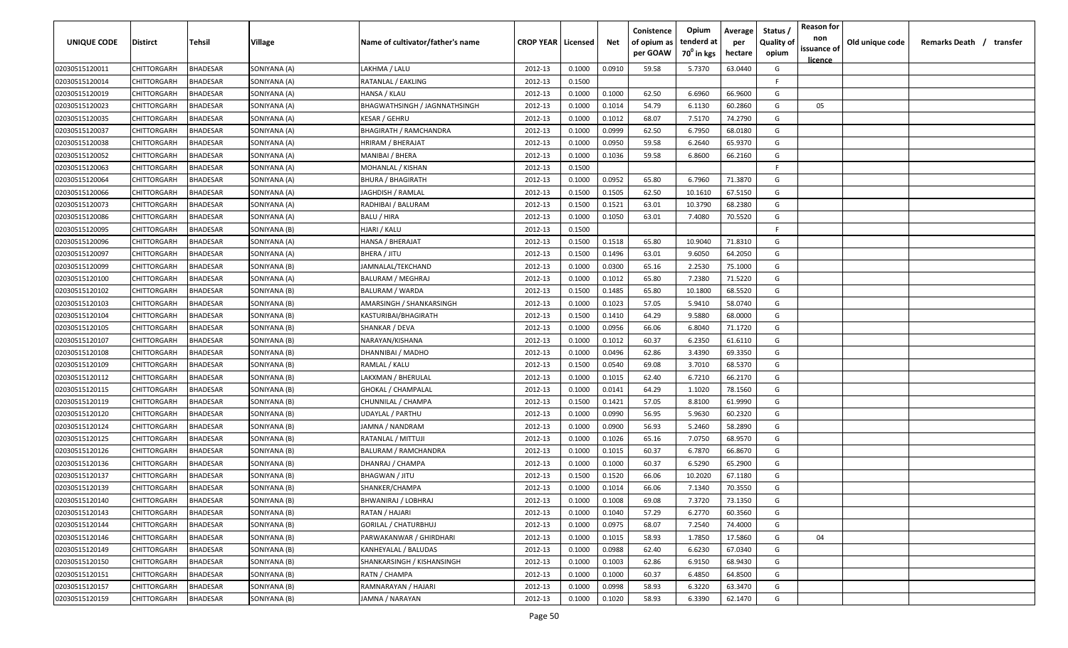| <u>licence</u><br>63.0440<br>02030515120011<br>CHITTORGARH<br><b>BHADESAR</b><br>SONIYANA (A)<br>LAKHMA / LALU<br>2012-13<br>0.1000<br>0.0910<br>59.58<br>5.7370<br>G<br>BHADESAR<br>0.1500<br>-F.<br>02030515120014<br>CHITTORGARH<br>SONIYANA (A)<br>RATANLAL / EAKLING<br>2012-13<br>6.6960<br>02030515120019<br>CHITTORGARH<br>BHADESAR<br>SONIYANA (A)<br>HANSA / KLAU<br>2012-13<br>0.1000<br>0.1000<br>62.50<br>66.9600<br>G<br><b>BHADESAR</b><br>02030515120023<br>CHITTORGARH<br>SONIYANA (A)<br>BHAGWATHSINGH / JAGNNATHSINGH<br>2012-13<br>0.1000<br>0.1014<br>54.79<br>6.1130<br>60.2860<br>G<br>05<br>68.07<br>02030515120035<br>CHITTORGARH<br>BHADESAR<br>SONIYANA (A)<br><b>KESAR / GEHRU</b><br>2012-13<br>0.1000<br>0.1012<br>7.5170<br>74.2790<br>G<br>02030515120037<br>CHITTORGARH<br><b>BHADESAR</b><br>2012-13<br>0.0999<br>62.50<br>6.7950<br>SONIYANA (A)<br><b>BHAGIRATH / RAMCHANDRA</b><br>0.1000<br>68.0180<br>G<br>02030515120038<br>CHITTORGARH<br><b>BHADESAR</b><br>HRIRAM / BHERAJAT<br>0.0950<br>59.58<br>6.2640<br>65.9370<br>SONIYANA (A)<br>2012-13<br>0.1000<br>G<br>02030515120052<br>CHITTORGARH<br>BHADESAR<br>SONIYANA (A)<br>MANIBAI / BHERA<br>2012-13<br>0.1000<br>0.1036<br>59.58<br>6.8600<br>66.2160<br>G<br>02030515120063<br>CHITTORGARH<br>BHADESAR<br>SONIYANA (A)<br>MOHANLAL / KISHAN<br>2012-13<br>0.1500<br>-F.<br>0.0952<br>65.80<br>71.3870<br>G<br>BHADESAR<br>2012-13<br>0.1000<br>6.7960<br>02030515120064<br>CHITTORGARH<br>SONIYANA (A)<br><b>BHURA / BHAGIRATH</b><br>0.1505<br>62.50<br>CHITTORGARH<br>BHADESAR<br>2012-13<br>0.1500<br>10.1610<br>67.5150<br>G<br>02030515120066<br>SONIYANA (A)<br>IAGHDISH / RAMLAL<br>0.1521<br>63.01<br>10.3790<br>68.2380<br>G<br>02030515120073<br>CHITTORGARH<br>BHADESAR<br>2012-13<br>0.1500<br>SONIYANA (A)<br>RADHIBAI / BALURAM<br>CHITTORGARH<br>BHADESAR<br>SONIYANA (A)<br>BALU / HIRA<br>2012-13<br>0.1000<br>0.1050<br>63.01<br>7.4080<br>70.5520<br>G<br>02030515120086<br><b>BHADESAR</b><br>HJARI / KALU<br>2012-13<br>0.1500<br>F<br>CHITTORGARH<br>SONIYANA (B)<br>02030515120095<br>0.1500<br>0.1518<br>10.9040<br>71.8310<br>CHITTORGARH<br>BHADESAR<br>SONIYANA (A)<br>HANSA / BHERAJAT<br>2012-13<br>65.80<br>G<br>02030515120096<br>CHITTORGARH<br><b>BHADESAR</b><br>BHERA / JITU<br>0.1500<br>0.1496<br>63.01<br>9.6050<br>64.2050<br>G<br>02030515120097<br>SONIYANA (A)<br>2012-13<br>0.0300<br>75.1000<br>02030515120099<br>CHITTORGARH<br><b>BHADESAR</b><br>SONIYANA (B)<br>JAMNALAL/TEKCHAND<br>2012-13<br>0.1000<br>65.16<br>2.2530<br>G<br>G<br>02030515120100<br>CHITTORGARH<br>BHADESAR<br>SONIYANA (A)<br>2012-13<br>0.1000<br>0.1012<br>65.80<br>7.2380<br>71.5220<br><b>BALURAM / MEGHRAJ</b><br>CHITTORGARH<br>BHADESAR<br>0.1485<br>65.80<br>68.5520<br>G<br>02030515120102<br>SONIYANA (B)<br><b>BALURAM / WARDA</b><br>2012-13<br>0.1500<br>10.1800<br><b>BHADESAR</b><br>58.0740<br>02030515120103<br>CHITTORGARH<br>SONIYANA (B)<br>AMARSINGH / SHANKARSINGH<br>2012-13<br>0.1000<br>0.1023<br>57.05<br>5.9410<br>G<br>CHITTORGARH<br><b>BHADESAR</b><br>9.5880<br>02030515120104<br>SONIYANA (B)<br>KASTURIBAI/BHAGIRATH<br>2012-13<br>0.1500<br>0.1410<br>64.29<br>68.0000<br>G<br>02030515120105<br>CHITTORGARH<br><b>BHADESAR</b><br>2012-13<br>0.1000<br>0.0956<br>66.06<br>6.8040<br>71.1720<br>SONIYANA (B)<br>SHANKAR / DEVA<br>G<br>02030515120107<br>CHITTORGARH<br><b>BHADESAR</b><br>2012-13<br>0.1000<br>0.1012<br>60.37<br>6.2350<br>61.6110<br>SONIYANA (B)<br>NARAYAN/KISHANA<br>G<br>02030515120108<br>CHITTORGARH<br><b>BHADESAR</b><br>2012-13<br>0.1000<br>0.0496<br>62.86<br>3.4390<br>69.3350<br>SONIYANA (B)<br>DHANNIBAI / MADHO<br>G<br>68.5370<br>02030515120109<br>CHITTORGARH<br>BHADESAR<br>SONIYANA (B)<br>RAMLAL / KALU<br>2012-13<br>0.1500<br>0.0540<br>69.08<br>3.7010<br>G<br>02030515120112<br>CHITTORGARH<br>BHADESAR<br>LAKXMAN / BHERULAL<br>2012-13<br>0.1000<br>0.1015<br>62.40<br>6.7210<br>66.2170<br>G<br>SONIYANA (B)<br>G<br>BHADESAR<br>2012-13<br>0.0141<br>64.29<br>1.1020<br>78.1560<br>02030515120115<br>CHITTORGARH<br>SONIYANA (B)<br>GHOKAL / CHAMPALAL<br>0.1000<br>BHADESAR<br>2012-13<br>0.1500<br>0.1421<br>57.05<br>61.9990<br>G<br>02030515120119<br>CHITTORGARH<br>SONIYANA (B)<br>CHUNNILAL / CHAMPA<br>8.8100<br>G<br>02030515120120<br>CHITTORGARH<br>BHADESAR<br>2012-13<br>0.1000<br>0.0990<br>56.95<br>5.9630<br>60.2320<br>SONIYANA (B)<br>UDAYLAL / PARTHU<br>56.93<br>02030515120124<br>CHITTORGARH<br>BHADESAR<br>2012-13<br>0.1000<br>0.0900<br>5.2460<br>58.2890<br>G<br>SONIYANA (B)<br>JAMNA / NANDRAM<br>65.16<br>G<br>02030515120125<br>CHITTORGARH<br>BHADESAR<br>SONIYANA (B)<br>2012-13<br>0.1000<br>0.1026<br>7.0750<br>68.9570<br>RATANLAL / MITTUJI<br>02030515120126<br>CHITTORGARH<br>BHADESAR<br>SONIYANA (B)<br><b>BALURAM / RAMCHANDRA</b><br>2012-13<br>0.1000<br>0.1015<br>60.37<br>6.7870<br>66.8670<br>G<br>02030515120136<br>CHITTORGARH<br>BHADESAR<br>SONIYANA (B)<br>2012-13<br>0.1000<br>0.1000<br>60.37<br>6.5290<br>65.2900<br>G<br>DHANRAJ / CHAMPA<br>02030515120137<br>BHADESAR<br><b>BHAGWAN / JITU</b><br>2012-13<br>0.1500<br>0.1520<br>66.06<br>10.2020<br>67.1180<br>G<br>CHITTORGARH<br>SONIYANA (B)<br>G<br>02030515120139<br>BHADESAR<br>2012-13<br>0.1000<br>0.1014<br>66.06<br>7.1340<br>70.3550<br><b>CHITTORGARH</b><br>SONIYANA (B)<br>SHANKER/CHAMPA<br><b>BHADESAR</b><br>SONIYANA (B)<br>0.1000<br>0.1008<br>7.3720<br>73.1350<br>02030515120140<br><b>CHITTORGARH</b><br>BHWANIRAJ / LOBHRAJ<br>2012-13<br>69.08<br>G<br>02030515120143<br>CHITTORGARH<br><b>BHADESAR</b><br>SONIYANA (B)<br>RATAN / HAJARI<br>2012-13<br>0.1040<br>57.29<br>6.2770<br>60.3560<br>G<br>0.1000<br>02030515120144<br>CHITTORGARH<br><b>BHADESAR</b><br>SONIYANA (B)<br>2012-13<br>0.0975<br>G<br><b>GORILAL / CHATURBHUJ</b><br>0.1000<br>68.07<br>7.2540<br>74.4000<br>02030515120146<br>0.1015<br>17.5860<br>G<br><b>CHITTORGARH</b><br><b>BHADESAR</b><br>SONIYANA (B)<br>PARWAKANWAR / GHIRDHARI<br>2012-13<br>0.1000<br>58.93<br>1.7850<br>04<br>02030515120149<br>0.0988<br>6.6230<br>CHITTORGARH<br>BHADESAR<br>SONIYANA (B)<br>KANHEYALAL / BALUDAS<br>2012-13<br>0.1000<br>62.40<br>67.0340<br>G<br>02030515120150<br>0.1003<br>68.9430<br>G<br>CHITTORGARH<br>BHADESAR<br>SONIYANA (B)<br>SHANKARSINGH / KISHANSINGH<br>2012-13<br>0.1000<br>62.86<br>6.9150<br>02030515120151<br>CHITTORGARH<br>BHADESAR<br>SONIYANA (B)<br>RATN / CHAMPA<br>2012-13<br>0.1000<br>0.1000<br>60.37<br>6.4850<br>64.8500<br>G<br>G<br>02030515120157<br>BHADESAR<br>RAMNARAYAN / HAJARI<br>2012-13<br>0.1000<br>0.0998<br>58.93<br>6.3220<br>63.3470<br>CHITTORGARH<br>SONIYANA (B) | <b>UNIQUE CODE</b> | Distirct           | Tehsil          | Village      | Name of cultivator/father's name | <b>CROP YEAR Licensed</b> |        | Net    | Conistence<br>of opium as<br>per GOAW | Opium<br>tenderd at<br>70 <sup>0</sup> in kgs | Average<br>per<br>hectare | Status /<br><b>Quality of</b><br>opium | <b>Reason for</b><br>non<br>issuance of | Old unique code | Remarks Death / transfer |
|---------------------------------------------------------------------------------------------------------------------------------------------------------------------------------------------------------------------------------------------------------------------------------------------------------------------------------------------------------------------------------------------------------------------------------------------------------------------------------------------------------------------------------------------------------------------------------------------------------------------------------------------------------------------------------------------------------------------------------------------------------------------------------------------------------------------------------------------------------------------------------------------------------------------------------------------------------------------------------------------------------------------------------------------------------------------------------------------------------------------------------------------------------------------------------------------------------------------------------------------------------------------------------------------------------------------------------------------------------------------------------------------------------------------------------------------------------------------------------------------------------------------------------------------------------------------------------------------------------------------------------------------------------------------------------------------------------------------------------------------------------------------------------------------------------------------------------------------------------------------------------------------------------------------------------------------------------------------------------------------------------------------------------------------------------------------------------------------------------------------------------------------------------------------------------------------------------------------------------------------------------------------------------------------------------------------------------------------------------------------------------------------------------------------------------------------------------------------------------------------------------------------------------------------------------------------------------------------------------------------------------------------------------------------------------------------------------------------------------------------------------------------------------------------------------------------------------------------------------------------------------------------------------------------------------------------------------------------------------------------------------------------------------------------------------------------------------------------------------------------------------------------------------------------------------------------------------------------------------------------------------------------------------------------------------------------------------------------------------------------------------------------------------------------------------------------------------------------------------------------------------------------------------------------------------------------------------------------------------------------------------------------------------------------------------------------------------------------------------------------------------------------------------------------------------------------------------------------------------------------------------------------------------------------------------------------------------------------------------------------------------------------------------------------------------------------------------------------------------------------------------------------------------------------------------------------------------------------------------------------------------------------------------------------------------------------------------------------------------------------------------------------------------------------------------------------------------------------------------------------------------------------------------------------------------------------------------------------------------------------------------------------------------------------------------------------------------------------------------------------------------------------------------------------------------------------------------------------------------------------------------------------------------------------------------------------------------------------------------------------------------------------------------------------------------------------------------------------------------------------------------------------------------------------------------------------------------------------------------------------------------------------------------------------------------------------------------------------------------------------------------------------------------------------------------------------------------------------------------------------------------------------------------------------------------------------------------------------------------------------------------------------------------------------------------------------------------------------------------------------------------------------------------------------------------------------------------------------------------------------------------------------------------------------------------------------------------------------------------------------------------------------------------------------------------------------------------------------------------------------------------------------------------------------------------------------------------------------------------------------------------------------------------------------------------------------------------------------------------------------------------------------------------------------------------------------------------------------------------------------------------------------------------------------------------------------------------------------------------------------------------------------------------------------------------------------------------------------------------------|--------------------|--------------------|-----------------|--------------|----------------------------------|---------------------------|--------|--------|---------------------------------------|-----------------------------------------------|---------------------------|----------------------------------------|-----------------------------------------|-----------------|--------------------------|
|                                                                                                                                                                                                                                                                                                                                                                                                                                                                                                                                                                                                                                                                                                                                                                                                                                                                                                                                                                                                                                                                                                                                                                                                                                                                                                                                                                                                                                                                                                                                                                                                                                                                                                                                                                                                                                                                                                                                                                                                                                                                                                                                                                                                                                                                                                                                                                                                                                                                                                                                                                                                                                                                                                                                                                                                                                                                                                                                                                                                                                                                                                                                                                                                                                                                                                                                                                                                                                                                                                                                                                                                                                                                                                                                                                                                                                                                                                                                                                                                                                                                                                                                                                                                                                                                                                                                                                                                                                                                                                                                                                                                                                                                                                                                                                                                                                                                                                                                                                                                                                                                                                                                                                                                                                                                                                                                                                                                                                                                                                                                                                                                                                                                                                                                                                                                                                                                                                                                                                                                                                                                                                                                                                                                                                                                                                                                                                                                                                                                                                                                                                                                                                                                                                                                       |                    |                    |                 |              |                                  |                           |        |        |                                       |                                               |                           |                                        |                                         |                 |                          |
|                                                                                                                                                                                                                                                                                                                                                                                                                                                                                                                                                                                                                                                                                                                                                                                                                                                                                                                                                                                                                                                                                                                                                                                                                                                                                                                                                                                                                                                                                                                                                                                                                                                                                                                                                                                                                                                                                                                                                                                                                                                                                                                                                                                                                                                                                                                                                                                                                                                                                                                                                                                                                                                                                                                                                                                                                                                                                                                                                                                                                                                                                                                                                                                                                                                                                                                                                                                                                                                                                                                                                                                                                                                                                                                                                                                                                                                                                                                                                                                                                                                                                                                                                                                                                                                                                                                                                                                                                                                                                                                                                                                                                                                                                                                                                                                                                                                                                                                                                                                                                                                                                                                                                                                                                                                                                                                                                                                                                                                                                                                                                                                                                                                                                                                                                                                                                                                                                                                                                                                                                                                                                                                                                                                                                                                                                                                                                                                                                                                                                                                                                                                                                                                                                                                                       |                    |                    |                 |              |                                  |                           |        |        |                                       |                                               |                           |                                        |                                         |                 |                          |
|                                                                                                                                                                                                                                                                                                                                                                                                                                                                                                                                                                                                                                                                                                                                                                                                                                                                                                                                                                                                                                                                                                                                                                                                                                                                                                                                                                                                                                                                                                                                                                                                                                                                                                                                                                                                                                                                                                                                                                                                                                                                                                                                                                                                                                                                                                                                                                                                                                                                                                                                                                                                                                                                                                                                                                                                                                                                                                                                                                                                                                                                                                                                                                                                                                                                                                                                                                                                                                                                                                                                                                                                                                                                                                                                                                                                                                                                                                                                                                                                                                                                                                                                                                                                                                                                                                                                                                                                                                                                                                                                                                                                                                                                                                                                                                                                                                                                                                                                                                                                                                                                                                                                                                                                                                                                                                                                                                                                                                                                                                                                                                                                                                                                                                                                                                                                                                                                                                                                                                                                                                                                                                                                                                                                                                                                                                                                                                                                                                                                                                                                                                                                                                                                                                                                       |                    |                    |                 |              |                                  |                           |        |        |                                       |                                               |                           |                                        |                                         |                 |                          |
|                                                                                                                                                                                                                                                                                                                                                                                                                                                                                                                                                                                                                                                                                                                                                                                                                                                                                                                                                                                                                                                                                                                                                                                                                                                                                                                                                                                                                                                                                                                                                                                                                                                                                                                                                                                                                                                                                                                                                                                                                                                                                                                                                                                                                                                                                                                                                                                                                                                                                                                                                                                                                                                                                                                                                                                                                                                                                                                                                                                                                                                                                                                                                                                                                                                                                                                                                                                                                                                                                                                                                                                                                                                                                                                                                                                                                                                                                                                                                                                                                                                                                                                                                                                                                                                                                                                                                                                                                                                                                                                                                                                                                                                                                                                                                                                                                                                                                                                                                                                                                                                                                                                                                                                                                                                                                                                                                                                                                                                                                                                                                                                                                                                                                                                                                                                                                                                                                                                                                                                                                                                                                                                                                                                                                                                                                                                                                                                                                                                                                                                                                                                                                                                                                                                                       |                    |                    |                 |              |                                  |                           |        |        |                                       |                                               |                           |                                        |                                         |                 |                          |
|                                                                                                                                                                                                                                                                                                                                                                                                                                                                                                                                                                                                                                                                                                                                                                                                                                                                                                                                                                                                                                                                                                                                                                                                                                                                                                                                                                                                                                                                                                                                                                                                                                                                                                                                                                                                                                                                                                                                                                                                                                                                                                                                                                                                                                                                                                                                                                                                                                                                                                                                                                                                                                                                                                                                                                                                                                                                                                                                                                                                                                                                                                                                                                                                                                                                                                                                                                                                                                                                                                                                                                                                                                                                                                                                                                                                                                                                                                                                                                                                                                                                                                                                                                                                                                                                                                                                                                                                                                                                                                                                                                                                                                                                                                                                                                                                                                                                                                                                                                                                                                                                                                                                                                                                                                                                                                                                                                                                                                                                                                                                                                                                                                                                                                                                                                                                                                                                                                                                                                                                                                                                                                                                                                                                                                                                                                                                                                                                                                                                                                                                                                                                                                                                                                                                       |                    |                    |                 |              |                                  |                           |        |        |                                       |                                               |                           |                                        |                                         |                 |                          |
|                                                                                                                                                                                                                                                                                                                                                                                                                                                                                                                                                                                                                                                                                                                                                                                                                                                                                                                                                                                                                                                                                                                                                                                                                                                                                                                                                                                                                                                                                                                                                                                                                                                                                                                                                                                                                                                                                                                                                                                                                                                                                                                                                                                                                                                                                                                                                                                                                                                                                                                                                                                                                                                                                                                                                                                                                                                                                                                                                                                                                                                                                                                                                                                                                                                                                                                                                                                                                                                                                                                                                                                                                                                                                                                                                                                                                                                                                                                                                                                                                                                                                                                                                                                                                                                                                                                                                                                                                                                                                                                                                                                                                                                                                                                                                                                                                                                                                                                                                                                                                                                                                                                                                                                                                                                                                                                                                                                                                                                                                                                                                                                                                                                                                                                                                                                                                                                                                                                                                                                                                                                                                                                                                                                                                                                                                                                                                                                                                                                                                                                                                                                                                                                                                                                                       |                    |                    |                 |              |                                  |                           |        |        |                                       |                                               |                           |                                        |                                         |                 |                          |
|                                                                                                                                                                                                                                                                                                                                                                                                                                                                                                                                                                                                                                                                                                                                                                                                                                                                                                                                                                                                                                                                                                                                                                                                                                                                                                                                                                                                                                                                                                                                                                                                                                                                                                                                                                                                                                                                                                                                                                                                                                                                                                                                                                                                                                                                                                                                                                                                                                                                                                                                                                                                                                                                                                                                                                                                                                                                                                                                                                                                                                                                                                                                                                                                                                                                                                                                                                                                                                                                                                                                                                                                                                                                                                                                                                                                                                                                                                                                                                                                                                                                                                                                                                                                                                                                                                                                                                                                                                                                                                                                                                                                                                                                                                                                                                                                                                                                                                                                                                                                                                                                                                                                                                                                                                                                                                                                                                                                                                                                                                                                                                                                                                                                                                                                                                                                                                                                                                                                                                                                                                                                                                                                                                                                                                                                                                                                                                                                                                                                                                                                                                                                                                                                                                                                       |                    |                    |                 |              |                                  |                           |        |        |                                       |                                               |                           |                                        |                                         |                 |                          |
|                                                                                                                                                                                                                                                                                                                                                                                                                                                                                                                                                                                                                                                                                                                                                                                                                                                                                                                                                                                                                                                                                                                                                                                                                                                                                                                                                                                                                                                                                                                                                                                                                                                                                                                                                                                                                                                                                                                                                                                                                                                                                                                                                                                                                                                                                                                                                                                                                                                                                                                                                                                                                                                                                                                                                                                                                                                                                                                                                                                                                                                                                                                                                                                                                                                                                                                                                                                                                                                                                                                                                                                                                                                                                                                                                                                                                                                                                                                                                                                                                                                                                                                                                                                                                                                                                                                                                                                                                                                                                                                                                                                                                                                                                                                                                                                                                                                                                                                                                                                                                                                                                                                                                                                                                                                                                                                                                                                                                                                                                                                                                                                                                                                                                                                                                                                                                                                                                                                                                                                                                                                                                                                                                                                                                                                                                                                                                                                                                                                                                                                                                                                                                                                                                                                                       |                    |                    |                 |              |                                  |                           |        |        |                                       |                                               |                           |                                        |                                         |                 |                          |
|                                                                                                                                                                                                                                                                                                                                                                                                                                                                                                                                                                                                                                                                                                                                                                                                                                                                                                                                                                                                                                                                                                                                                                                                                                                                                                                                                                                                                                                                                                                                                                                                                                                                                                                                                                                                                                                                                                                                                                                                                                                                                                                                                                                                                                                                                                                                                                                                                                                                                                                                                                                                                                                                                                                                                                                                                                                                                                                                                                                                                                                                                                                                                                                                                                                                                                                                                                                                                                                                                                                                                                                                                                                                                                                                                                                                                                                                                                                                                                                                                                                                                                                                                                                                                                                                                                                                                                                                                                                                                                                                                                                                                                                                                                                                                                                                                                                                                                                                                                                                                                                                                                                                                                                                                                                                                                                                                                                                                                                                                                                                                                                                                                                                                                                                                                                                                                                                                                                                                                                                                                                                                                                                                                                                                                                                                                                                                                                                                                                                                                                                                                                                                                                                                                                                       |                    |                    |                 |              |                                  |                           |        |        |                                       |                                               |                           |                                        |                                         |                 |                          |
|                                                                                                                                                                                                                                                                                                                                                                                                                                                                                                                                                                                                                                                                                                                                                                                                                                                                                                                                                                                                                                                                                                                                                                                                                                                                                                                                                                                                                                                                                                                                                                                                                                                                                                                                                                                                                                                                                                                                                                                                                                                                                                                                                                                                                                                                                                                                                                                                                                                                                                                                                                                                                                                                                                                                                                                                                                                                                                                                                                                                                                                                                                                                                                                                                                                                                                                                                                                                                                                                                                                                                                                                                                                                                                                                                                                                                                                                                                                                                                                                                                                                                                                                                                                                                                                                                                                                                                                                                                                                                                                                                                                                                                                                                                                                                                                                                                                                                                                                                                                                                                                                                                                                                                                                                                                                                                                                                                                                                                                                                                                                                                                                                                                                                                                                                                                                                                                                                                                                                                                                                                                                                                                                                                                                                                                                                                                                                                                                                                                                                                                                                                                                                                                                                                                                       |                    |                    |                 |              |                                  |                           |        |        |                                       |                                               |                           |                                        |                                         |                 |                          |
|                                                                                                                                                                                                                                                                                                                                                                                                                                                                                                                                                                                                                                                                                                                                                                                                                                                                                                                                                                                                                                                                                                                                                                                                                                                                                                                                                                                                                                                                                                                                                                                                                                                                                                                                                                                                                                                                                                                                                                                                                                                                                                                                                                                                                                                                                                                                                                                                                                                                                                                                                                                                                                                                                                                                                                                                                                                                                                                                                                                                                                                                                                                                                                                                                                                                                                                                                                                                                                                                                                                                                                                                                                                                                                                                                                                                                                                                                                                                                                                                                                                                                                                                                                                                                                                                                                                                                                                                                                                                                                                                                                                                                                                                                                                                                                                                                                                                                                                                                                                                                                                                                                                                                                                                                                                                                                                                                                                                                                                                                                                                                                                                                                                                                                                                                                                                                                                                                                                                                                                                                                                                                                                                                                                                                                                                                                                                                                                                                                                                                                                                                                                                                                                                                                                                       |                    |                    |                 |              |                                  |                           |        |        |                                       |                                               |                           |                                        |                                         |                 |                          |
|                                                                                                                                                                                                                                                                                                                                                                                                                                                                                                                                                                                                                                                                                                                                                                                                                                                                                                                                                                                                                                                                                                                                                                                                                                                                                                                                                                                                                                                                                                                                                                                                                                                                                                                                                                                                                                                                                                                                                                                                                                                                                                                                                                                                                                                                                                                                                                                                                                                                                                                                                                                                                                                                                                                                                                                                                                                                                                                                                                                                                                                                                                                                                                                                                                                                                                                                                                                                                                                                                                                                                                                                                                                                                                                                                                                                                                                                                                                                                                                                                                                                                                                                                                                                                                                                                                                                                                                                                                                                                                                                                                                                                                                                                                                                                                                                                                                                                                                                                                                                                                                                                                                                                                                                                                                                                                                                                                                                                                                                                                                                                                                                                                                                                                                                                                                                                                                                                                                                                                                                                                                                                                                                                                                                                                                                                                                                                                                                                                                                                                                                                                                                                                                                                                                                       |                    |                    |                 |              |                                  |                           |        |        |                                       |                                               |                           |                                        |                                         |                 |                          |
|                                                                                                                                                                                                                                                                                                                                                                                                                                                                                                                                                                                                                                                                                                                                                                                                                                                                                                                                                                                                                                                                                                                                                                                                                                                                                                                                                                                                                                                                                                                                                                                                                                                                                                                                                                                                                                                                                                                                                                                                                                                                                                                                                                                                                                                                                                                                                                                                                                                                                                                                                                                                                                                                                                                                                                                                                                                                                                                                                                                                                                                                                                                                                                                                                                                                                                                                                                                                                                                                                                                                                                                                                                                                                                                                                                                                                                                                                                                                                                                                                                                                                                                                                                                                                                                                                                                                                                                                                                                                                                                                                                                                                                                                                                                                                                                                                                                                                                                                                                                                                                                                                                                                                                                                                                                                                                                                                                                                                                                                                                                                                                                                                                                                                                                                                                                                                                                                                                                                                                                                                                                                                                                                                                                                                                                                                                                                                                                                                                                                                                                                                                                                                                                                                                                                       |                    |                    |                 |              |                                  |                           |        |        |                                       |                                               |                           |                                        |                                         |                 |                          |
|                                                                                                                                                                                                                                                                                                                                                                                                                                                                                                                                                                                                                                                                                                                                                                                                                                                                                                                                                                                                                                                                                                                                                                                                                                                                                                                                                                                                                                                                                                                                                                                                                                                                                                                                                                                                                                                                                                                                                                                                                                                                                                                                                                                                                                                                                                                                                                                                                                                                                                                                                                                                                                                                                                                                                                                                                                                                                                                                                                                                                                                                                                                                                                                                                                                                                                                                                                                                                                                                                                                                                                                                                                                                                                                                                                                                                                                                                                                                                                                                                                                                                                                                                                                                                                                                                                                                                                                                                                                                                                                                                                                                                                                                                                                                                                                                                                                                                                                                                                                                                                                                                                                                                                                                                                                                                                                                                                                                                                                                                                                                                                                                                                                                                                                                                                                                                                                                                                                                                                                                                                                                                                                                                                                                                                                                                                                                                                                                                                                                                                                                                                                                                                                                                                                                       |                    |                    |                 |              |                                  |                           |        |        |                                       |                                               |                           |                                        |                                         |                 |                          |
|                                                                                                                                                                                                                                                                                                                                                                                                                                                                                                                                                                                                                                                                                                                                                                                                                                                                                                                                                                                                                                                                                                                                                                                                                                                                                                                                                                                                                                                                                                                                                                                                                                                                                                                                                                                                                                                                                                                                                                                                                                                                                                                                                                                                                                                                                                                                                                                                                                                                                                                                                                                                                                                                                                                                                                                                                                                                                                                                                                                                                                                                                                                                                                                                                                                                                                                                                                                                                                                                                                                                                                                                                                                                                                                                                                                                                                                                                                                                                                                                                                                                                                                                                                                                                                                                                                                                                                                                                                                                                                                                                                                                                                                                                                                                                                                                                                                                                                                                                                                                                                                                                                                                                                                                                                                                                                                                                                                                                                                                                                                                                                                                                                                                                                                                                                                                                                                                                                                                                                                                                                                                                                                                                                                                                                                                                                                                                                                                                                                                                                                                                                                                                                                                                                                                       |                    |                    |                 |              |                                  |                           |        |        |                                       |                                               |                           |                                        |                                         |                 |                          |
|                                                                                                                                                                                                                                                                                                                                                                                                                                                                                                                                                                                                                                                                                                                                                                                                                                                                                                                                                                                                                                                                                                                                                                                                                                                                                                                                                                                                                                                                                                                                                                                                                                                                                                                                                                                                                                                                                                                                                                                                                                                                                                                                                                                                                                                                                                                                                                                                                                                                                                                                                                                                                                                                                                                                                                                                                                                                                                                                                                                                                                                                                                                                                                                                                                                                                                                                                                                                                                                                                                                                                                                                                                                                                                                                                                                                                                                                                                                                                                                                                                                                                                                                                                                                                                                                                                                                                                                                                                                                                                                                                                                                                                                                                                                                                                                                                                                                                                                                                                                                                                                                                                                                                                                                                                                                                                                                                                                                                                                                                                                                                                                                                                                                                                                                                                                                                                                                                                                                                                                                                                                                                                                                                                                                                                                                                                                                                                                                                                                                                                                                                                                                                                                                                                                                       |                    |                    |                 |              |                                  |                           |        |        |                                       |                                               |                           |                                        |                                         |                 |                          |
|                                                                                                                                                                                                                                                                                                                                                                                                                                                                                                                                                                                                                                                                                                                                                                                                                                                                                                                                                                                                                                                                                                                                                                                                                                                                                                                                                                                                                                                                                                                                                                                                                                                                                                                                                                                                                                                                                                                                                                                                                                                                                                                                                                                                                                                                                                                                                                                                                                                                                                                                                                                                                                                                                                                                                                                                                                                                                                                                                                                                                                                                                                                                                                                                                                                                                                                                                                                                                                                                                                                                                                                                                                                                                                                                                                                                                                                                                                                                                                                                                                                                                                                                                                                                                                                                                                                                                                                                                                                                                                                                                                                                                                                                                                                                                                                                                                                                                                                                                                                                                                                                                                                                                                                                                                                                                                                                                                                                                                                                                                                                                                                                                                                                                                                                                                                                                                                                                                                                                                                                                                                                                                                                                                                                                                                                                                                                                                                                                                                                                                                                                                                                                                                                                                                                       |                    |                    |                 |              |                                  |                           |        |        |                                       |                                               |                           |                                        |                                         |                 |                          |
|                                                                                                                                                                                                                                                                                                                                                                                                                                                                                                                                                                                                                                                                                                                                                                                                                                                                                                                                                                                                                                                                                                                                                                                                                                                                                                                                                                                                                                                                                                                                                                                                                                                                                                                                                                                                                                                                                                                                                                                                                                                                                                                                                                                                                                                                                                                                                                                                                                                                                                                                                                                                                                                                                                                                                                                                                                                                                                                                                                                                                                                                                                                                                                                                                                                                                                                                                                                                                                                                                                                                                                                                                                                                                                                                                                                                                                                                                                                                                                                                                                                                                                                                                                                                                                                                                                                                                                                                                                                                                                                                                                                                                                                                                                                                                                                                                                                                                                                                                                                                                                                                                                                                                                                                                                                                                                                                                                                                                                                                                                                                                                                                                                                                                                                                                                                                                                                                                                                                                                                                                                                                                                                                                                                                                                                                                                                                                                                                                                                                                                                                                                                                                                                                                                                                       |                    |                    |                 |              |                                  |                           |        |        |                                       |                                               |                           |                                        |                                         |                 |                          |
|                                                                                                                                                                                                                                                                                                                                                                                                                                                                                                                                                                                                                                                                                                                                                                                                                                                                                                                                                                                                                                                                                                                                                                                                                                                                                                                                                                                                                                                                                                                                                                                                                                                                                                                                                                                                                                                                                                                                                                                                                                                                                                                                                                                                                                                                                                                                                                                                                                                                                                                                                                                                                                                                                                                                                                                                                                                                                                                                                                                                                                                                                                                                                                                                                                                                                                                                                                                                                                                                                                                                                                                                                                                                                                                                                                                                                                                                                                                                                                                                                                                                                                                                                                                                                                                                                                                                                                                                                                                                                                                                                                                                                                                                                                                                                                                                                                                                                                                                                                                                                                                                                                                                                                                                                                                                                                                                                                                                                                                                                                                                                                                                                                                                                                                                                                                                                                                                                                                                                                                                                                                                                                                                                                                                                                                                                                                                                                                                                                                                                                                                                                                                                                                                                                                                       |                    |                    |                 |              |                                  |                           |        |        |                                       |                                               |                           |                                        |                                         |                 |                          |
|                                                                                                                                                                                                                                                                                                                                                                                                                                                                                                                                                                                                                                                                                                                                                                                                                                                                                                                                                                                                                                                                                                                                                                                                                                                                                                                                                                                                                                                                                                                                                                                                                                                                                                                                                                                                                                                                                                                                                                                                                                                                                                                                                                                                                                                                                                                                                                                                                                                                                                                                                                                                                                                                                                                                                                                                                                                                                                                                                                                                                                                                                                                                                                                                                                                                                                                                                                                                                                                                                                                                                                                                                                                                                                                                                                                                                                                                                                                                                                                                                                                                                                                                                                                                                                                                                                                                                                                                                                                                                                                                                                                                                                                                                                                                                                                                                                                                                                                                                                                                                                                                                                                                                                                                                                                                                                                                                                                                                                                                                                                                                                                                                                                                                                                                                                                                                                                                                                                                                                                                                                                                                                                                                                                                                                                                                                                                                                                                                                                                                                                                                                                                                                                                                                                                       |                    |                    |                 |              |                                  |                           |        |        |                                       |                                               |                           |                                        |                                         |                 |                          |
|                                                                                                                                                                                                                                                                                                                                                                                                                                                                                                                                                                                                                                                                                                                                                                                                                                                                                                                                                                                                                                                                                                                                                                                                                                                                                                                                                                                                                                                                                                                                                                                                                                                                                                                                                                                                                                                                                                                                                                                                                                                                                                                                                                                                                                                                                                                                                                                                                                                                                                                                                                                                                                                                                                                                                                                                                                                                                                                                                                                                                                                                                                                                                                                                                                                                                                                                                                                                                                                                                                                                                                                                                                                                                                                                                                                                                                                                                                                                                                                                                                                                                                                                                                                                                                                                                                                                                                                                                                                                                                                                                                                                                                                                                                                                                                                                                                                                                                                                                                                                                                                                                                                                                                                                                                                                                                                                                                                                                                                                                                                                                                                                                                                                                                                                                                                                                                                                                                                                                                                                                                                                                                                                                                                                                                                                                                                                                                                                                                                                                                                                                                                                                                                                                                                                       |                    |                    |                 |              |                                  |                           |        |        |                                       |                                               |                           |                                        |                                         |                 |                          |
|                                                                                                                                                                                                                                                                                                                                                                                                                                                                                                                                                                                                                                                                                                                                                                                                                                                                                                                                                                                                                                                                                                                                                                                                                                                                                                                                                                                                                                                                                                                                                                                                                                                                                                                                                                                                                                                                                                                                                                                                                                                                                                                                                                                                                                                                                                                                                                                                                                                                                                                                                                                                                                                                                                                                                                                                                                                                                                                                                                                                                                                                                                                                                                                                                                                                                                                                                                                                                                                                                                                                                                                                                                                                                                                                                                                                                                                                                                                                                                                                                                                                                                                                                                                                                                                                                                                                                                                                                                                                                                                                                                                                                                                                                                                                                                                                                                                                                                                                                                                                                                                                                                                                                                                                                                                                                                                                                                                                                                                                                                                                                                                                                                                                                                                                                                                                                                                                                                                                                                                                                                                                                                                                                                                                                                                                                                                                                                                                                                                                                                                                                                                                                                                                                                                                       |                    |                    |                 |              |                                  |                           |        |        |                                       |                                               |                           |                                        |                                         |                 |                          |
|                                                                                                                                                                                                                                                                                                                                                                                                                                                                                                                                                                                                                                                                                                                                                                                                                                                                                                                                                                                                                                                                                                                                                                                                                                                                                                                                                                                                                                                                                                                                                                                                                                                                                                                                                                                                                                                                                                                                                                                                                                                                                                                                                                                                                                                                                                                                                                                                                                                                                                                                                                                                                                                                                                                                                                                                                                                                                                                                                                                                                                                                                                                                                                                                                                                                                                                                                                                                                                                                                                                                                                                                                                                                                                                                                                                                                                                                                                                                                                                                                                                                                                                                                                                                                                                                                                                                                                                                                                                                                                                                                                                                                                                                                                                                                                                                                                                                                                                                                                                                                                                                                                                                                                                                                                                                                                                                                                                                                                                                                                                                                                                                                                                                                                                                                                                                                                                                                                                                                                                                                                                                                                                                                                                                                                                                                                                                                                                                                                                                                                                                                                                                                                                                                                                                       |                    |                    |                 |              |                                  |                           |        |        |                                       |                                               |                           |                                        |                                         |                 |                          |
|                                                                                                                                                                                                                                                                                                                                                                                                                                                                                                                                                                                                                                                                                                                                                                                                                                                                                                                                                                                                                                                                                                                                                                                                                                                                                                                                                                                                                                                                                                                                                                                                                                                                                                                                                                                                                                                                                                                                                                                                                                                                                                                                                                                                                                                                                                                                                                                                                                                                                                                                                                                                                                                                                                                                                                                                                                                                                                                                                                                                                                                                                                                                                                                                                                                                                                                                                                                                                                                                                                                                                                                                                                                                                                                                                                                                                                                                                                                                                                                                                                                                                                                                                                                                                                                                                                                                                                                                                                                                                                                                                                                                                                                                                                                                                                                                                                                                                                                                                                                                                                                                                                                                                                                                                                                                                                                                                                                                                                                                                                                                                                                                                                                                                                                                                                                                                                                                                                                                                                                                                                                                                                                                                                                                                                                                                                                                                                                                                                                                                                                                                                                                                                                                                                                                       |                    |                    |                 |              |                                  |                           |        |        |                                       |                                               |                           |                                        |                                         |                 |                          |
|                                                                                                                                                                                                                                                                                                                                                                                                                                                                                                                                                                                                                                                                                                                                                                                                                                                                                                                                                                                                                                                                                                                                                                                                                                                                                                                                                                                                                                                                                                                                                                                                                                                                                                                                                                                                                                                                                                                                                                                                                                                                                                                                                                                                                                                                                                                                                                                                                                                                                                                                                                                                                                                                                                                                                                                                                                                                                                                                                                                                                                                                                                                                                                                                                                                                                                                                                                                                                                                                                                                                                                                                                                                                                                                                                                                                                                                                                                                                                                                                                                                                                                                                                                                                                                                                                                                                                                                                                                                                                                                                                                                                                                                                                                                                                                                                                                                                                                                                                                                                                                                                                                                                                                                                                                                                                                                                                                                                                                                                                                                                                                                                                                                                                                                                                                                                                                                                                                                                                                                                                                                                                                                                                                                                                                                                                                                                                                                                                                                                                                                                                                                                                                                                                                                                       |                    |                    |                 |              |                                  |                           |        |        |                                       |                                               |                           |                                        |                                         |                 |                          |
|                                                                                                                                                                                                                                                                                                                                                                                                                                                                                                                                                                                                                                                                                                                                                                                                                                                                                                                                                                                                                                                                                                                                                                                                                                                                                                                                                                                                                                                                                                                                                                                                                                                                                                                                                                                                                                                                                                                                                                                                                                                                                                                                                                                                                                                                                                                                                                                                                                                                                                                                                                                                                                                                                                                                                                                                                                                                                                                                                                                                                                                                                                                                                                                                                                                                                                                                                                                                                                                                                                                                                                                                                                                                                                                                                                                                                                                                                                                                                                                                                                                                                                                                                                                                                                                                                                                                                                                                                                                                                                                                                                                                                                                                                                                                                                                                                                                                                                                                                                                                                                                                                                                                                                                                                                                                                                                                                                                                                                                                                                                                                                                                                                                                                                                                                                                                                                                                                                                                                                                                                                                                                                                                                                                                                                                                                                                                                                                                                                                                                                                                                                                                                                                                                                                                       |                    |                    |                 |              |                                  |                           |        |        |                                       |                                               |                           |                                        |                                         |                 |                          |
|                                                                                                                                                                                                                                                                                                                                                                                                                                                                                                                                                                                                                                                                                                                                                                                                                                                                                                                                                                                                                                                                                                                                                                                                                                                                                                                                                                                                                                                                                                                                                                                                                                                                                                                                                                                                                                                                                                                                                                                                                                                                                                                                                                                                                                                                                                                                                                                                                                                                                                                                                                                                                                                                                                                                                                                                                                                                                                                                                                                                                                                                                                                                                                                                                                                                                                                                                                                                                                                                                                                                                                                                                                                                                                                                                                                                                                                                                                                                                                                                                                                                                                                                                                                                                                                                                                                                                                                                                                                                                                                                                                                                                                                                                                                                                                                                                                                                                                                                                                                                                                                                                                                                                                                                                                                                                                                                                                                                                                                                                                                                                                                                                                                                                                                                                                                                                                                                                                                                                                                                                                                                                                                                                                                                                                                                                                                                                                                                                                                                                                                                                                                                                                                                                                                                       |                    |                    |                 |              |                                  |                           |        |        |                                       |                                               |                           |                                        |                                         |                 |                          |
|                                                                                                                                                                                                                                                                                                                                                                                                                                                                                                                                                                                                                                                                                                                                                                                                                                                                                                                                                                                                                                                                                                                                                                                                                                                                                                                                                                                                                                                                                                                                                                                                                                                                                                                                                                                                                                                                                                                                                                                                                                                                                                                                                                                                                                                                                                                                                                                                                                                                                                                                                                                                                                                                                                                                                                                                                                                                                                                                                                                                                                                                                                                                                                                                                                                                                                                                                                                                                                                                                                                                                                                                                                                                                                                                                                                                                                                                                                                                                                                                                                                                                                                                                                                                                                                                                                                                                                                                                                                                                                                                                                                                                                                                                                                                                                                                                                                                                                                                                                                                                                                                                                                                                                                                                                                                                                                                                                                                                                                                                                                                                                                                                                                                                                                                                                                                                                                                                                                                                                                                                                                                                                                                                                                                                                                                                                                                                                                                                                                                                                                                                                                                                                                                                                                                       |                    |                    |                 |              |                                  |                           |        |        |                                       |                                               |                           |                                        |                                         |                 |                          |
|                                                                                                                                                                                                                                                                                                                                                                                                                                                                                                                                                                                                                                                                                                                                                                                                                                                                                                                                                                                                                                                                                                                                                                                                                                                                                                                                                                                                                                                                                                                                                                                                                                                                                                                                                                                                                                                                                                                                                                                                                                                                                                                                                                                                                                                                                                                                                                                                                                                                                                                                                                                                                                                                                                                                                                                                                                                                                                                                                                                                                                                                                                                                                                                                                                                                                                                                                                                                                                                                                                                                                                                                                                                                                                                                                                                                                                                                                                                                                                                                                                                                                                                                                                                                                                                                                                                                                                                                                                                                                                                                                                                                                                                                                                                                                                                                                                                                                                                                                                                                                                                                                                                                                                                                                                                                                                                                                                                                                                                                                                                                                                                                                                                                                                                                                                                                                                                                                                                                                                                                                                                                                                                                                                                                                                                                                                                                                                                                                                                                                                                                                                                                                                                                                                                                       |                    |                    |                 |              |                                  |                           |        |        |                                       |                                               |                           |                                        |                                         |                 |                          |
|                                                                                                                                                                                                                                                                                                                                                                                                                                                                                                                                                                                                                                                                                                                                                                                                                                                                                                                                                                                                                                                                                                                                                                                                                                                                                                                                                                                                                                                                                                                                                                                                                                                                                                                                                                                                                                                                                                                                                                                                                                                                                                                                                                                                                                                                                                                                                                                                                                                                                                                                                                                                                                                                                                                                                                                                                                                                                                                                                                                                                                                                                                                                                                                                                                                                                                                                                                                                                                                                                                                                                                                                                                                                                                                                                                                                                                                                                                                                                                                                                                                                                                                                                                                                                                                                                                                                                                                                                                                                                                                                                                                                                                                                                                                                                                                                                                                                                                                                                                                                                                                                                                                                                                                                                                                                                                                                                                                                                                                                                                                                                                                                                                                                                                                                                                                                                                                                                                                                                                                                                                                                                                                                                                                                                                                                                                                                                                                                                                                                                                                                                                                                                                                                                                                                       |                    |                    |                 |              |                                  |                           |        |        |                                       |                                               |                           |                                        |                                         |                 |                          |
|                                                                                                                                                                                                                                                                                                                                                                                                                                                                                                                                                                                                                                                                                                                                                                                                                                                                                                                                                                                                                                                                                                                                                                                                                                                                                                                                                                                                                                                                                                                                                                                                                                                                                                                                                                                                                                                                                                                                                                                                                                                                                                                                                                                                                                                                                                                                                                                                                                                                                                                                                                                                                                                                                                                                                                                                                                                                                                                                                                                                                                                                                                                                                                                                                                                                                                                                                                                                                                                                                                                                                                                                                                                                                                                                                                                                                                                                                                                                                                                                                                                                                                                                                                                                                                                                                                                                                                                                                                                                                                                                                                                                                                                                                                                                                                                                                                                                                                                                                                                                                                                                                                                                                                                                                                                                                                                                                                                                                                                                                                                                                                                                                                                                                                                                                                                                                                                                                                                                                                                                                                                                                                                                                                                                                                                                                                                                                                                                                                                                                                                                                                                                                                                                                                                                       |                    |                    |                 |              |                                  |                           |        |        |                                       |                                               |                           |                                        |                                         |                 |                          |
|                                                                                                                                                                                                                                                                                                                                                                                                                                                                                                                                                                                                                                                                                                                                                                                                                                                                                                                                                                                                                                                                                                                                                                                                                                                                                                                                                                                                                                                                                                                                                                                                                                                                                                                                                                                                                                                                                                                                                                                                                                                                                                                                                                                                                                                                                                                                                                                                                                                                                                                                                                                                                                                                                                                                                                                                                                                                                                                                                                                                                                                                                                                                                                                                                                                                                                                                                                                                                                                                                                                                                                                                                                                                                                                                                                                                                                                                                                                                                                                                                                                                                                                                                                                                                                                                                                                                                                                                                                                                                                                                                                                                                                                                                                                                                                                                                                                                                                                                                                                                                                                                                                                                                                                                                                                                                                                                                                                                                                                                                                                                                                                                                                                                                                                                                                                                                                                                                                                                                                                                                                                                                                                                                                                                                                                                                                                                                                                                                                                                                                                                                                                                                                                                                                                                       |                    |                    |                 |              |                                  |                           |        |        |                                       |                                               |                           |                                        |                                         |                 |                          |
|                                                                                                                                                                                                                                                                                                                                                                                                                                                                                                                                                                                                                                                                                                                                                                                                                                                                                                                                                                                                                                                                                                                                                                                                                                                                                                                                                                                                                                                                                                                                                                                                                                                                                                                                                                                                                                                                                                                                                                                                                                                                                                                                                                                                                                                                                                                                                                                                                                                                                                                                                                                                                                                                                                                                                                                                                                                                                                                                                                                                                                                                                                                                                                                                                                                                                                                                                                                                                                                                                                                                                                                                                                                                                                                                                                                                                                                                                                                                                                                                                                                                                                                                                                                                                                                                                                                                                                                                                                                                                                                                                                                                                                                                                                                                                                                                                                                                                                                                                                                                                                                                                                                                                                                                                                                                                                                                                                                                                                                                                                                                                                                                                                                                                                                                                                                                                                                                                                                                                                                                                                                                                                                                                                                                                                                                                                                                                                                                                                                                                                                                                                                                                                                                                                                                       |                    |                    |                 |              |                                  |                           |        |        |                                       |                                               |                           |                                        |                                         |                 |                          |
|                                                                                                                                                                                                                                                                                                                                                                                                                                                                                                                                                                                                                                                                                                                                                                                                                                                                                                                                                                                                                                                                                                                                                                                                                                                                                                                                                                                                                                                                                                                                                                                                                                                                                                                                                                                                                                                                                                                                                                                                                                                                                                                                                                                                                                                                                                                                                                                                                                                                                                                                                                                                                                                                                                                                                                                                                                                                                                                                                                                                                                                                                                                                                                                                                                                                                                                                                                                                                                                                                                                                                                                                                                                                                                                                                                                                                                                                                                                                                                                                                                                                                                                                                                                                                                                                                                                                                                                                                                                                                                                                                                                                                                                                                                                                                                                                                                                                                                                                                                                                                                                                                                                                                                                                                                                                                                                                                                                                                                                                                                                                                                                                                                                                                                                                                                                                                                                                                                                                                                                                                                                                                                                                                                                                                                                                                                                                                                                                                                                                                                                                                                                                                                                                                                                                       |                    |                    |                 |              |                                  |                           |        |        |                                       |                                               |                           |                                        |                                         |                 |                          |
|                                                                                                                                                                                                                                                                                                                                                                                                                                                                                                                                                                                                                                                                                                                                                                                                                                                                                                                                                                                                                                                                                                                                                                                                                                                                                                                                                                                                                                                                                                                                                                                                                                                                                                                                                                                                                                                                                                                                                                                                                                                                                                                                                                                                                                                                                                                                                                                                                                                                                                                                                                                                                                                                                                                                                                                                                                                                                                                                                                                                                                                                                                                                                                                                                                                                                                                                                                                                                                                                                                                                                                                                                                                                                                                                                                                                                                                                                                                                                                                                                                                                                                                                                                                                                                                                                                                                                                                                                                                                                                                                                                                                                                                                                                                                                                                                                                                                                                                                                                                                                                                                                                                                                                                                                                                                                                                                                                                                                                                                                                                                                                                                                                                                                                                                                                                                                                                                                                                                                                                                                                                                                                                                                                                                                                                                                                                                                                                                                                                                                                                                                                                                                                                                                                                                       |                    |                    |                 |              |                                  |                           |        |        |                                       |                                               |                           |                                        |                                         |                 |                          |
|                                                                                                                                                                                                                                                                                                                                                                                                                                                                                                                                                                                                                                                                                                                                                                                                                                                                                                                                                                                                                                                                                                                                                                                                                                                                                                                                                                                                                                                                                                                                                                                                                                                                                                                                                                                                                                                                                                                                                                                                                                                                                                                                                                                                                                                                                                                                                                                                                                                                                                                                                                                                                                                                                                                                                                                                                                                                                                                                                                                                                                                                                                                                                                                                                                                                                                                                                                                                                                                                                                                                                                                                                                                                                                                                                                                                                                                                                                                                                                                                                                                                                                                                                                                                                                                                                                                                                                                                                                                                                                                                                                                                                                                                                                                                                                                                                                                                                                                                                                                                                                                                                                                                                                                                                                                                                                                                                                                                                                                                                                                                                                                                                                                                                                                                                                                                                                                                                                                                                                                                                                                                                                                                                                                                                                                                                                                                                                                                                                                                                                                                                                                                                                                                                                                                       |                    |                    |                 |              |                                  |                           |        |        |                                       |                                               |                           |                                        |                                         |                 |                          |
|                                                                                                                                                                                                                                                                                                                                                                                                                                                                                                                                                                                                                                                                                                                                                                                                                                                                                                                                                                                                                                                                                                                                                                                                                                                                                                                                                                                                                                                                                                                                                                                                                                                                                                                                                                                                                                                                                                                                                                                                                                                                                                                                                                                                                                                                                                                                                                                                                                                                                                                                                                                                                                                                                                                                                                                                                                                                                                                                                                                                                                                                                                                                                                                                                                                                                                                                                                                                                                                                                                                                                                                                                                                                                                                                                                                                                                                                                                                                                                                                                                                                                                                                                                                                                                                                                                                                                                                                                                                                                                                                                                                                                                                                                                                                                                                                                                                                                                                                                                                                                                                                                                                                                                                                                                                                                                                                                                                                                                                                                                                                                                                                                                                                                                                                                                                                                                                                                                                                                                                                                                                                                                                                                                                                                                                                                                                                                                                                                                                                                                                                                                                                                                                                                                                                       |                    |                    |                 |              |                                  |                           |        |        |                                       |                                               |                           |                                        |                                         |                 |                          |
|                                                                                                                                                                                                                                                                                                                                                                                                                                                                                                                                                                                                                                                                                                                                                                                                                                                                                                                                                                                                                                                                                                                                                                                                                                                                                                                                                                                                                                                                                                                                                                                                                                                                                                                                                                                                                                                                                                                                                                                                                                                                                                                                                                                                                                                                                                                                                                                                                                                                                                                                                                                                                                                                                                                                                                                                                                                                                                                                                                                                                                                                                                                                                                                                                                                                                                                                                                                                                                                                                                                                                                                                                                                                                                                                                                                                                                                                                                                                                                                                                                                                                                                                                                                                                                                                                                                                                                                                                                                                                                                                                                                                                                                                                                                                                                                                                                                                                                                                                                                                                                                                                                                                                                                                                                                                                                                                                                                                                                                                                                                                                                                                                                                                                                                                                                                                                                                                                                                                                                                                                                                                                                                                                                                                                                                                                                                                                                                                                                                                                                                                                                                                                                                                                                                                       |                    |                    |                 |              |                                  |                           |        |        |                                       |                                               |                           |                                        |                                         |                 |                          |
|                                                                                                                                                                                                                                                                                                                                                                                                                                                                                                                                                                                                                                                                                                                                                                                                                                                                                                                                                                                                                                                                                                                                                                                                                                                                                                                                                                                                                                                                                                                                                                                                                                                                                                                                                                                                                                                                                                                                                                                                                                                                                                                                                                                                                                                                                                                                                                                                                                                                                                                                                                                                                                                                                                                                                                                                                                                                                                                                                                                                                                                                                                                                                                                                                                                                                                                                                                                                                                                                                                                                                                                                                                                                                                                                                                                                                                                                                                                                                                                                                                                                                                                                                                                                                                                                                                                                                                                                                                                                                                                                                                                                                                                                                                                                                                                                                                                                                                                                                                                                                                                                                                                                                                                                                                                                                                                                                                                                                                                                                                                                                                                                                                                                                                                                                                                                                                                                                                                                                                                                                                                                                                                                                                                                                                                                                                                                                                                                                                                                                                                                                                                                                                                                                                                                       |                    |                    |                 |              |                                  |                           |        |        |                                       |                                               |                           |                                        |                                         |                 |                          |
|                                                                                                                                                                                                                                                                                                                                                                                                                                                                                                                                                                                                                                                                                                                                                                                                                                                                                                                                                                                                                                                                                                                                                                                                                                                                                                                                                                                                                                                                                                                                                                                                                                                                                                                                                                                                                                                                                                                                                                                                                                                                                                                                                                                                                                                                                                                                                                                                                                                                                                                                                                                                                                                                                                                                                                                                                                                                                                                                                                                                                                                                                                                                                                                                                                                                                                                                                                                                                                                                                                                                                                                                                                                                                                                                                                                                                                                                                                                                                                                                                                                                                                                                                                                                                                                                                                                                                                                                                                                                                                                                                                                                                                                                                                                                                                                                                                                                                                                                                                                                                                                                                                                                                                                                                                                                                                                                                                                                                                                                                                                                                                                                                                                                                                                                                                                                                                                                                                                                                                                                                                                                                                                                                                                                                                                                                                                                                                                                                                                                                                                                                                                                                                                                                                                                       |                    |                    |                 |              |                                  |                           |        |        |                                       |                                               |                           |                                        |                                         |                 |                          |
|                                                                                                                                                                                                                                                                                                                                                                                                                                                                                                                                                                                                                                                                                                                                                                                                                                                                                                                                                                                                                                                                                                                                                                                                                                                                                                                                                                                                                                                                                                                                                                                                                                                                                                                                                                                                                                                                                                                                                                                                                                                                                                                                                                                                                                                                                                                                                                                                                                                                                                                                                                                                                                                                                                                                                                                                                                                                                                                                                                                                                                                                                                                                                                                                                                                                                                                                                                                                                                                                                                                                                                                                                                                                                                                                                                                                                                                                                                                                                                                                                                                                                                                                                                                                                                                                                                                                                                                                                                                                                                                                                                                                                                                                                                                                                                                                                                                                                                                                                                                                                                                                                                                                                                                                                                                                                                                                                                                                                                                                                                                                                                                                                                                                                                                                                                                                                                                                                                                                                                                                                                                                                                                                                                                                                                                                                                                                                                                                                                                                                                                                                                                                                                                                                                                                       |                    |                    |                 |              |                                  |                           |        |        |                                       |                                               |                           |                                        |                                         |                 |                          |
|                                                                                                                                                                                                                                                                                                                                                                                                                                                                                                                                                                                                                                                                                                                                                                                                                                                                                                                                                                                                                                                                                                                                                                                                                                                                                                                                                                                                                                                                                                                                                                                                                                                                                                                                                                                                                                                                                                                                                                                                                                                                                                                                                                                                                                                                                                                                                                                                                                                                                                                                                                                                                                                                                                                                                                                                                                                                                                                                                                                                                                                                                                                                                                                                                                                                                                                                                                                                                                                                                                                                                                                                                                                                                                                                                                                                                                                                                                                                                                                                                                                                                                                                                                                                                                                                                                                                                                                                                                                                                                                                                                                                                                                                                                                                                                                                                                                                                                                                                                                                                                                                                                                                                                                                                                                                                                                                                                                                                                                                                                                                                                                                                                                                                                                                                                                                                                                                                                                                                                                                                                                                                                                                                                                                                                                                                                                                                                                                                                                                                                                                                                                                                                                                                                                                       |                    |                    |                 |              |                                  |                           |        |        |                                       |                                               |                           |                                        |                                         |                 |                          |
|                                                                                                                                                                                                                                                                                                                                                                                                                                                                                                                                                                                                                                                                                                                                                                                                                                                                                                                                                                                                                                                                                                                                                                                                                                                                                                                                                                                                                                                                                                                                                                                                                                                                                                                                                                                                                                                                                                                                                                                                                                                                                                                                                                                                                                                                                                                                                                                                                                                                                                                                                                                                                                                                                                                                                                                                                                                                                                                                                                                                                                                                                                                                                                                                                                                                                                                                                                                                                                                                                                                                                                                                                                                                                                                                                                                                                                                                                                                                                                                                                                                                                                                                                                                                                                                                                                                                                                                                                                                                                                                                                                                                                                                                                                                                                                                                                                                                                                                                                                                                                                                                                                                                                                                                                                                                                                                                                                                                                                                                                                                                                                                                                                                                                                                                                                                                                                                                                                                                                                                                                                                                                                                                                                                                                                                                                                                                                                                                                                                                                                                                                                                                                                                                                                                                       |                    |                    |                 |              |                                  |                           |        |        |                                       |                                               |                           |                                        |                                         |                 |                          |
|                                                                                                                                                                                                                                                                                                                                                                                                                                                                                                                                                                                                                                                                                                                                                                                                                                                                                                                                                                                                                                                                                                                                                                                                                                                                                                                                                                                                                                                                                                                                                                                                                                                                                                                                                                                                                                                                                                                                                                                                                                                                                                                                                                                                                                                                                                                                                                                                                                                                                                                                                                                                                                                                                                                                                                                                                                                                                                                                                                                                                                                                                                                                                                                                                                                                                                                                                                                                                                                                                                                                                                                                                                                                                                                                                                                                                                                                                                                                                                                                                                                                                                                                                                                                                                                                                                                                                                                                                                                                                                                                                                                                                                                                                                                                                                                                                                                                                                                                                                                                                                                                                                                                                                                                                                                                                                                                                                                                                                                                                                                                                                                                                                                                                                                                                                                                                                                                                                                                                                                                                                                                                                                                                                                                                                                                                                                                                                                                                                                                                                                                                                                                                                                                                                                                       |                    |                    |                 |              |                                  |                           |        |        |                                       |                                               |                           |                                        |                                         |                 |                          |
|                                                                                                                                                                                                                                                                                                                                                                                                                                                                                                                                                                                                                                                                                                                                                                                                                                                                                                                                                                                                                                                                                                                                                                                                                                                                                                                                                                                                                                                                                                                                                                                                                                                                                                                                                                                                                                                                                                                                                                                                                                                                                                                                                                                                                                                                                                                                                                                                                                                                                                                                                                                                                                                                                                                                                                                                                                                                                                                                                                                                                                                                                                                                                                                                                                                                                                                                                                                                                                                                                                                                                                                                                                                                                                                                                                                                                                                                                                                                                                                                                                                                                                                                                                                                                                                                                                                                                                                                                                                                                                                                                                                                                                                                                                                                                                                                                                                                                                                                                                                                                                                                                                                                                                                                                                                                                                                                                                                                                                                                                                                                                                                                                                                                                                                                                                                                                                                                                                                                                                                                                                                                                                                                                                                                                                                                                                                                                                                                                                                                                                                                                                                                                                                                                                                                       | 02030515120159     | <b>CHITTORGARH</b> | <b>BHADESAR</b> | SONIYANA (B) | JAMNA / NARAYAN                  | 2012-13                   | 0.1000 | 0.1020 | 58.93                                 | 6.3390                                        | 62.1470                   | G                                      |                                         |                 |                          |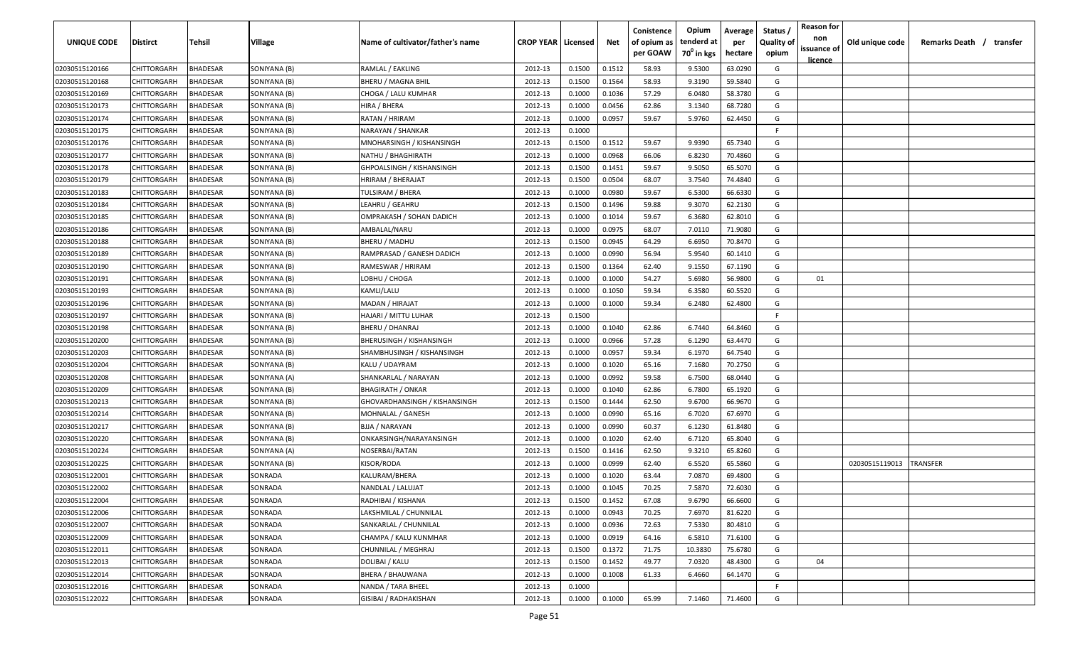| UNIQUE CODE    | Distirct           | Tehsil          | Village      | Name of cultivator/father's name | <b>CROP YEAR   Licensed</b> |        | Net    | Conistence<br>of opium as | Opium<br>tenderd at    | Average<br>per | Status /<br><b>Quality of</b> | <b>Reason for</b><br>non      | Old unique code | Remarks Death / transfer |
|----------------|--------------------|-----------------|--------------|----------------------------------|-----------------------------|--------|--------|---------------------------|------------------------|----------------|-------------------------------|-------------------------------|-----------------|--------------------------|
|                |                    |                 |              |                                  |                             |        |        | per GOAW                  | 70 <sup>0</sup> in kgs | hectare        | opium                         | issuance of<br><u>licence</u> |                 |                          |
| 02030515120166 | CHITTORGARH        | <b>BHADESAR</b> | SONIYANA (B) | RAMLAL / EAKLING                 | 2012-13                     | 0.1500 | 0.1512 | 58.93                     | 9.5300                 | 63.0290        | G                             |                               |                 |                          |
| 02030515120168 | CHITTORGARH        | BHADESAR        | SONIYANA (B) | BHERU / MAGNA BHIL               | 2012-13                     | 0.1500 | 0.1564 | 58.93                     | 9.3190                 | 59.5840        | G                             |                               |                 |                          |
| 02030515120169 | CHITTORGARH        | BHADESAR        | SONIYANA (B) | CHOGA / LALU KUMHAR              | 2012-13                     | 0.1000 | 0.1036 | 57.29                     | 6.0480                 | 58.3780        | G                             |                               |                 |                          |
| 02030515120173 | CHITTORGARH        | <b>BHADESAR</b> | SONIYANA (B) | HIRA / BHERA                     | 2012-13                     | 0.1000 | 0.0456 | 62.86                     | 3.1340                 | 68.7280        | G                             |                               |                 |                          |
| 02030515120174 | CHITTORGARH        | BHADESAR        | SONIYANA (B) | RATAN / HRIRAM                   | 2012-13                     | 0.1000 | 0.0957 | 59.67                     | 5.9760                 | 62.4450        | G                             |                               |                 |                          |
| 02030515120175 | CHITTORGARH        | <b>BHADESAR</b> | SONIYANA (B) | NARAYAN / SHANKAR                | 2012-13                     | 0.1000 |        |                           |                        |                | E                             |                               |                 |                          |
| 02030515120176 | CHITTORGARH        | <b>BHADESAR</b> | SONIYANA (B) | MNOHARSINGH / KISHANSINGH        | 2012-13                     | 0.1500 | 0.1512 | 59.67                     | 9.9390                 | 65.7340        | G                             |                               |                 |                          |
| 02030515120177 | CHITTORGARH        | BHADESAR        | SONIYANA (B) | NATHU / BHAGHIRATH               | 2012-13                     | 0.1000 | 0.0968 | 66.06                     | 6.8230                 | 70.4860        | G                             |                               |                 |                          |
| 02030515120178 | CHITTORGARH        | BHADESAR        | SONIYANA (B) | GHPOALSINGH / KISHANSINGH        | 2012-13                     | 0.1500 | 0.1451 | 59.67                     | 9.5050                 | 65.5070        | G                             |                               |                 |                          |
| 02030515120179 | CHITTORGARH        | BHADESAR        | SONIYANA (B) | HRIRAM / BHERAJAT                | 2012-13                     | 0.1500 | 0.0504 | 68.07                     | 3.7540                 | 74.4840        | G                             |                               |                 |                          |
| 02030515120183 | CHITTORGARH        | BHADESAR        | SONIYANA (B) | TULSIRAM / BHERA                 | 2012-13                     | 0.1000 | 0.0980 | 59.67                     | 6.5300                 | 66.6330        | G                             |                               |                 |                          |
| 02030515120184 | CHITTORGARH        | BHADESAR        | SONIYANA (B) | LEAHRU / GEAHRU                  | 2012-13                     | 0.1500 | 0.1496 | 59.88                     | 9.3070                 | 62.2130        | G                             |                               |                 |                          |
| 02030515120185 | CHITTORGARH        | BHADESAR        | SONIYANA (B) | OMPRAKASH / SOHAN DADICH         | 2012-13                     | 0.1000 | 0.1014 | 59.67                     | 6.3680                 | 62.8010        | G                             |                               |                 |                          |
| 02030515120186 | CHITTORGARH        | <b>BHADESAR</b> | SONIYANA (B) | AMBALAL/NARU                     | 2012-13                     | 0.1000 | 0.0975 | 68.07                     | 7.0110                 | 71.9080        | G                             |                               |                 |                          |
| 02030515120188 | CHITTORGARH        | <b>BHADESAR</b> | SONIYANA (B) | BHERU / MADHU                    | 2012-13                     | 0.1500 | 0.0945 | 64.29                     | 6.6950                 | 70.8470        | G                             |                               |                 |                          |
| 02030515120189 | CHITTORGARH        | <b>BHADESAR</b> | SONIYANA (B) | RAMPRASAD / GANESH DADICH        | 2012-13                     | 0.1000 | 0.0990 | 56.94                     | 5.9540                 | 60.1410        | G                             |                               |                 |                          |
| 02030515120190 | CHITTORGARH        | <b>BHADESAR</b> | SONIYANA (B) | RAMESWAR / HRIRAM                | 2012-13                     | 0.1500 | 0.1364 | 62.40                     | 9.1550                 | 67.1190        | G                             |                               |                 |                          |
| 02030515120191 | CHITTORGARH        | <b>BHADESAR</b> | SONIYANA (B) | LOBHU / CHOGA                    | 2012-13                     | 0.1000 | 0.1000 | 54.27                     | 5.6980                 | 56.9800        | G                             | 01                            |                 |                          |
| 02030515120193 | CHITTORGARH        | BHADESAR        | SONIYANA (B) | KAMLI/LALU                       | 2012-13                     | 0.1000 | 0.1050 | 59.34                     | 6.3580                 | 60.5520        | G                             |                               |                 |                          |
| 02030515120196 | CHITTORGARH        | <b>BHADESAR</b> | SONIYANA (B) | <b>MADAN / HIRAJAT</b>           | 2012-13                     | 0.1000 | 0.1000 | 59.34                     | 6.2480                 | 62.4800        | G                             |                               |                 |                          |
| 02030515120197 | CHITTORGARH        | <b>BHADESAR</b> | SONIYANA (B) | HAJARI / MITTU LUHAR             | 2012-13                     | 0.1500 |        |                           |                        |                | -F.                           |                               |                 |                          |
| 02030515120198 | CHITTORGARH        | <b>BHADESAR</b> | SONIYANA (B) | <b>BHERU / DHANRAJ</b>           | 2012-13                     | 0.1000 | 0.1040 | 62.86                     | 6.7440                 | 64.8460        | G                             |                               |                 |                          |
| 02030515120200 | CHITTORGARH        | <b>BHADESAR</b> | SONIYANA (B) | <b>BHERUSINGH / KISHANSINGH</b>  | 2012-13                     | 0.1000 | 0.0966 | 57.28                     | 6.1290                 | 63.4470        | G                             |                               |                 |                          |
| 02030515120203 | CHITTORGARH        | <b>BHADESAR</b> | SONIYANA (B) | SHAMBHUSINGH / KISHANSINGH       | 2012-13                     | 0.1000 | 0.0957 | 59.34                     | 6.1970                 | 64.7540        | G                             |                               |                 |                          |
| 02030515120204 | CHITTORGARH        | BHADESAR        | SONIYANA (B) | KALU / UDAYRAM                   | 2012-13                     | 0.1000 | 0.1020 | 65.16                     | 7.1680                 | 70.2750        | G                             |                               |                 |                          |
| 02030515120208 | CHITTORGARH        | BHADESAR        | SONIYANA (A) | SHANKARLAL / NARAYAN             | 2012-13                     | 0.1000 | 0.0992 | 59.58                     | 6.7500                 | 68.0440        | G                             |                               |                 |                          |
| 02030515120209 | CHITTORGARH        | BHADESAR        | SONIYANA (B) | <b>BHAGIRATH / ONKAR</b>         | 2012-13                     | 0.1000 | 0.1040 | 62.86                     | 6.7800                 | 65.1920        | G                             |                               |                 |                          |
| 02030515120213 | CHITTORGARH        | BHADESAR        | SONIYANA (B) | GHOVARDHANSINGH / KISHANSINGH    | 2012-13                     | 0.1500 | 0.1444 | 62.50                     | 9.6700                 | 66.9670        | G                             |                               |                 |                          |
| 02030515120214 | CHITTORGARH        | BHADESAR        | SONIYANA (B) | MOHNALAL / GANESH                | 2012-13                     | 0.1000 | 0.0990 | 65.16                     | 6.7020                 | 67.6970        | G                             |                               |                 |                          |
| 02030515120217 | CHITTORGARH        | BHADESAR        | SONIYANA (B) | BJJA / NARAYAN                   | 2012-13                     | 0.1000 | 0.0990 | 60.37                     | 6.1230                 | 61.8480        | G                             |                               |                 |                          |
| 02030515120220 | CHITTORGARH        | BHADESAR        | SONIYANA (B) | ONKARSINGH/NARAYANSINGH          | 2012-13                     | 0.1000 | 0.1020 | 62.40                     | 6.7120                 | 65.8040        | G                             |                               |                 |                          |
| 02030515120224 | CHITTORGARH        | <b>BHADESAR</b> | SONIYANA (A) | NOSERBAI/RATAN                   | 2012-13                     | 0.1500 | 0.1416 | 62.50                     | 9.3210                 | 65.8260        | G                             |                               |                 |                          |
| 02030515120225 | CHITTORGARH        | BHADESAR        | SONIYANA (B) | KISOR/RODA                       | 2012-13                     | 0.1000 | 0.0999 | 62.40                     | 6.5520                 | 65.5860        | G                             |                               | 02030515119013  | TRANSFER                 |
| 02030515122001 | CHITTORGARH        | BHADESAR        | SONRADA      | KALURAM/BHERA                    | 2012-13                     | 0.1000 | 0.1020 | 63.44                     | 7.0870                 | 69.4800        | G                             |                               |                 |                          |
| 02030515122002 | <b>CHITTORGARH</b> | BHADESAR        | SONRADA      | NANDLAL / LALUJAT                | 2012-13                     | 0.1000 | 0.1045 | 70.25                     | 7.5870                 | 72.6030        | G                             |                               |                 |                          |
| 02030515122004 | <b>CHITTORGARH</b> | <b>BHADESAR</b> | SONRADA      | RADHIBAI / KISHANA               | 2012-13                     | 0.1500 | 0.1452 | 67.08                     | 9.6790                 | 66.6600        | G                             |                               |                 |                          |
| 02030515122006 | CHITTORGARH        | <b>BHADESAR</b> | SONRADA      | LAKSHMILAL / CHUNNILAL           | 2012-13                     | 0.1000 | 0.0943 | 70.25                     | 7.6970                 | 81.6220        | G                             |                               |                 |                          |
| 02030515122007 | CHITTORGARH        | <b>BHADESAR</b> | SONRADA      | SANKARLAL / CHUNNILAL            | 2012-13                     | 0.1000 | 0.0936 | 72.63                     | 7.5330                 | 80.4810        | G                             |                               |                 |                          |
| 02030515122009 | <b>CHITTORGARH</b> | <b>BHADESAR</b> | SONRADA      | CHAMPA / KALU KUNMHAR            | 2012-13                     | 0.1000 | 0.0919 | 64.16                     | 6.5810                 | 71.6100        | G                             |                               |                 |                          |
| 02030515122011 | <b>CHITTORGARH</b> | BHADESAR        | SONRADA      | CHUNNILAL / MEGHRAJ              | 2012-13                     | 0.1500 | 0.1372 | 71.75                     | 10.3830                | 75.6780        | G                             |                               |                 |                          |
| 02030515122013 | <b>CHITTORGARH</b> | BHADESAR        | SONRADA      | DOLIBAI / KALU                   | 2012-13                     | 0.1500 | 0.1452 | 49.77                     | 7.0320                 | 48.4300        | G                             | 04                            |                 |                          |
| 02030515122014 | CHITTORGARH        | <b>BHADESAR</b> | SONRADA      | <b>BHERA / BHAUWANA</b>          | 2012-13                     | 0.1000 | 0.1008 | 61.33                     | 6.4660                 | 64.1470        | G                             |                               |                 |                          |
| 02030515122016 | CHITTORGARH        | BHADESAR        | SONRADA      | NANDA / TARA BHEEL               | 2012-13                     | 0.1000 |        |                           |                        |                | F.                            |                               |                 |                          |
| 02030515122022 | <b>CHITTORGARH</b> | <b>BHADESAR</b> | SONRADA      | GISIBAI / RADHAKISHAN            | 2012-13                     | 0.1000 | 0.1000 | 65.99                     | 7.1460                 | 71.4600        | G                             |                               |                 |                          |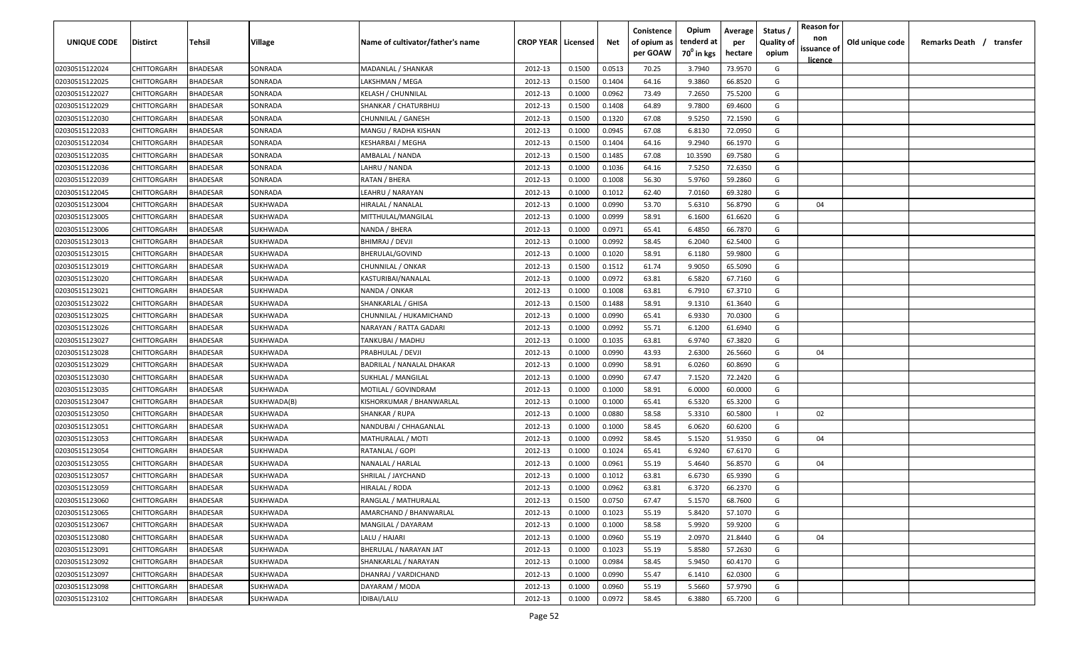| <b>UNIQUE CODE</b> | <b>Distirct</b>    | <b>Tehsil</b>   | Village     | Name of cultivator/father's name | <b>CROP YEAR   Licensed</b> |        | Net    | Conistence<br>of opium as<br>per GOAW | Opium<br>tenderd at<br>70 <sup>°</sup> in kgs | Average<br>per<br>hectare | Status /<br><b>Quality of</b><br>opium | <b>Reason for</b><br>non<br>issuance of | Old unique code | Remarks Death /<br>transfer |
|--------------------|--------------------|-----------------|-------------|----------------------------------|-----------------------------|--------|--------|---------------------------------------|-----------------------------------------------|---------------------------|----------------------------------------|-----------------------------------------|-----------------|-----------------------------|
|                    |                    |                 |             |                                  |                             |        |        |                                       |                                               |                           |                                        | licence                                 |                 |                             |
| 02030515122024     | CHITTORGARH        | <b>BHADESAR</b> | SONRADA     | MADANLAL / SHANKAR               | 2012-13                     | 0.1500 | 0.0513 | 70.25                                 | 3.7940                                        | 73.9570                   | G                                      |                                         |                 |                             |
| 02030515122025     | CHITTORGARH        | BHADESAR        | SONRADA     | LAKSHMAN / MEGA                  | 2012-13                     | 0.1500 | 0.1404 | 64.16                                 | 9.3860                                        | 66.8520                   | G                                      |                                         |                 |                             |
| 02030515122027     | CHITTORGARH        | BHADESAR        | SONRADA     | <b>KELASH / CHUNNILAL</b>        | 2012-13                     | 0.1000 | 0.0962 | 73.49                                 | 7.2650                                        | 75.5200                   | G                                      |                                         |                 |                             |
| 02030515122029     | CHITTORGARH        | BHADESAR        | SONRADA     | SHANKAR / CHATURBHUJ             | 2012-13                     | 0.1500 | 0.1408 | 64.89                                 | 9.7800                                        | 69.4600                   | G                                      |                                         |                 |                             |
| 02030515122030     | CHITTORGARH        | BHADESAR        | SONRADA     | CHUNNILAL / GANESH               | 2012-13                     | 0.1500 | 0.1320 | 67.08                                 | 9.5250                                        | 72.1590                   | G                                      |                                         |                 |                             |
| 02030515122033     | CHITTORGARH        | BHADESAR        | SONRADA     | MANGU / RADHA KISHAN             | 2012-13                     | 0.1000 | 0.0945 | 67.08                                 | 6.8130                                        | 72.0950                   | G                                      |                                         |                 |                             |
| 02030515122034     | CHITTORGARH        | BHADESAR        | SONRADA     | KESHARBAI / MEGHA                | 2012-13                     | 0.1500 | 0.1404 | 64.16                                 | 9.2940                                        | 66.1970                   | G                                      |                                         |                 |                             |
| 02030515122035     | CHITTORGARH        | BHADESAR        | SONRADA     | AMBALAL / NANDA                  | 2012-13                     | 0.1500 | 0.1485 | 67.08                                 | 10.3590                                       | 69.7580                   | G                                      |                                         |                 |                             |
| 02030515122036     | CHITTORGARH        | BHADESAR        | SONRADA     | LAHRU / NANDA                    | 2012-13                     | 0.1000 | 0.1036 | 64.16                                 | 7.5250                                        | 72.6350                   | G                                      |                                         |                 |                             |
| 02030515122039     | CHITTORGARH        | <b>BHADESAR</b> | SONRADA     | RATAN / BHERA                    | 2012-13                     | 0.1000 | 0.1008 | 56.30                                 | 5.9760                                        | 59.2860                   | G                                      |                                         |                 |                             |
| 02030515122045     | CHITTORGARH        | BHADESAR        | SONRADA     | LEAHRU / NARAYAN                 | 2012-13                     | 0.1000 | 0.1012 | 62.40                                 | 7.0160                                        | 69.3280                   | G                                      |                                         |                 |                             |
| 02030515123004     | CHITTORGARH        | BHADESAR        | SUKHWADA    | HIRALAL / NANALAL                | 2012-13                     | 0.1000 | 0.0990 | 53.70                                 | 5.6310                                        | 56.8790                   | G                                      | 04                                      |                 |                             |
| 02030515123005     | CHITTORGARH        | BHADESAR        | SUKHWADA    | MITTHULAL/MANGILAL               | 2012-13                     | 0.1000 | 0.0999 | 58.91                                 | 6.1600                                        | 61.6620                   | G                                      |                                         |                 |                             |
| 02030515123006     | CHITTORGARH        | BHADESAR        | SUKHWADA    | NANDA / BHERA                    | 2012-13                     | 0.1000 | 0.0971 | 65.41                                 | 6.4850                                        | 66.7870                   | G                                      |                                         |                 |                             |
| 02030515123013     | CHITTORGARH        | BHADESAR        | SUKHWADA    | <b>BHIMRAJ / DEVJI</b>           | 2012-13                     | 0.1000 | 0.0992 | 58.45                                 | 6.2040                                        | 62.5400                   | G                                      |                                         |                 |                             |
| 02030515123015     | CHITTORGARH        | BHADESAR        | SUKHWADA    | BHERULAL/GOVIND                  | 2012-13                     | 0.1000 | 0.1020 | 58.91                                 | 6.1180                                        | 59.9800                   | G                                      |                                         |                 |                             |
| 02030515123019     | CHITTORGARH        | <b>BHADESAR</b> | SUKHWADA    | CHUNNILAL / ONKAR                | 2012-13                     | 0.1500 | 0.1512 | 61.74                                 | 9.9050                                        | 65.5090                   | G                                      |                                         |                 |                             |
| 02030515123020     | CHITTORGARH        | BHADESAR        | SUKHWADA    | KASTURIBAI/NANALAL               | 2012-13                     | 0.1000 | 0.0972 | 63.81                                 | 6.5820                                        | 67.7160                   | G                                      |                                         |                 |                             |
| 02030515123021     | CHITTORGARH        | BHADESAR        | SUKHWADA    | NANDA / ONKAR                    | 2012-13                     | 0.1000 | 0.1008 | 63.81                                 | 6.7910                                        | 67.3710                   | G                                      |                                         |                 |                             |
| 02030515123022     | CHITTORGARH        | BHADESAR        | SUKHWADA    | SHANKARLAL / GHISA               | 2012-13                     | 0.1500 | 0.1488 | 58.91                                 | 9.1310                                        | 61.3640                   | G                                      |                                         |                 |                             |
| 02030515123025     | CHITTORGARH        | BHADESAR        | SUKHWADA    | CHUNNILAL / HUKAMICHAND          | 2012-13                     | 0.1000 | 0.0990 | 65.41                                 | 6.9330                                        | 70.0300                   | G                                      |                                         |                 |                             |
| 02030515123026     | CHITTORGARH        | BHADESAR        | SUKHWADA    | NARAYAN / RATTA GADARI           | 2012-13                     | 0.1000 | 0.0992 | 55.71                                 | 6.1200                                        | 61.6940                   | G                                      |                                         |                 |                             |
| 02030515123027     | CHITTORGARH        | BHADESAR        | SUKHWADA    | TANKUBAI / MADHU                 | 2012-13                     | 0.1000 | 0.1035 | 63.81                                 | 6.9740                                        | 67.3820                   | G                                      |                                         |                 |                             |
| 02030515123028     | CHITTORGARH        | BHADESAR        | SUKHWADA    | PRABHULAL / DEVJI                | 2012-13                     | 0.1000 | 0.0990 | 43.93                                 | 2.6300                                        | 26.5660                   | G                                      | 04                                      |                 |                             |
| 02030515123029     | CHITTORGARH        | BHADESAR        | SUKHWADA    | BADRILAL / NANALAL DHAKAR        | 2012-13                     | 0.1000 | 0.0990 | 58.91                                 | 6.0260                                        | 60.8690                   | G                                      |                                         |                 |                             |
| 02030515123030     | CHITTORGARH        | BHADESAR        | SUKHWADA    | SUKHLAL / MANGILAL               | 2012-13                     | 0.1000 | 0.0990 | 67.47                                 | 7.1520                                        | 72.2420                   | G                                      |                                         |                 |                             |
| 02030515123035     | CHITTORGARH        | BHADESAR        | SUKHWADA    | MOTILAL / GOVINDRAM              | 2012-13                     | 0.1000 | 0.1000 | 58.91                                 | 6.0000                                        | 60.0000                   | G                                      |                                         |                 |                             |
| 02030515123047     | CHITTORGARH        | BHADESAR        | SUKHWADA(B) | KISHORKUMAR / BHANWARLAL         | 2012-13                     | 0.1000 | 0.1000 | 65.41                                 | 6.5320                                        | 65.3200                   | G                                      |                                         |                 |                             |
| 02030515123050     | CHITTORGARH        | BHADESAR        | SUKHWADA    | SHANKAR / RUPA                   | 2012-13                     | 0.1000 | 0.0880 | 58.58                                 | 5.3310                                        | 60.5800                   |                                        | 02                                      |                 |                             |
| 02030515123051     | CHITTORGARH        | BHADESAR        | SUKHWADA    | NANDUBAI / CHHAGANLAL            | 2012-13                     | 0.1000 | 0.1000 | 58.45                                 | 6.0620                                        | 60.6200                   | G                                      |                                         |                 |                             |
| 02030515123053     | CHITTORGARH        | BHADESAR        | SUKHWADA    | MATHURALAL / MOTI                | 2012-13                     | 0.1000 | 0.0992 | 58.45                                 | 5.1520                                        | 51.9350                   | G                                      | 04                                      |                 |                             |
| 02030515123054     | CHITTORGARH        | <b>BHADESAR</b> | SUKHWADA    | RATANLAL / GOPI                  | 2012-13                     | 0.1000 | 0.1024 | 65.41                                 | 6.9240                                        | 67.6170                   | G                                      |                                         |                 |                             |
| 02030515123055     | CHITTORGARH        | BHADESAR        | SUKHWADA    | NANALAL / HARLAL                 | 2012-13                     | 0.1000 | 0.0961 | 55.19                                 | 5.4640                                        | 56.8570                   | G                                      | 04                                      |                 |                             |
| 02030515123057     | CHITTORGARH        | BHADESAR        | SUKHWADA    | SHRILAL / JAYCHAND               | 2012-13                     | 0.1000 | 0.1012 | 63.81                                 | 6.6730                                        | 65.9390                   | G                                      |                                         |                 |                             |
| 02030515123059     | <b>CHITTORGARH</b> | BHADESAR        | SUKHWADA    | HIRALAL / RODA                   | 2012-13                     | 0.1000 | 0.0962 | 63.81                                 | 6.3720                                        | 66.2370                   | G                                      |                                         |                 |                             |
| 02030515123060     | <b>CHITTORGARH</b> | <b>BHADESAR</b> | SUKHWADA    | RANGLAL / MATHURALAL             | 2012-13                     | 0.1500 | 0.0750 | 67.47                                 | 5.1570                                        | 68.7600                   | G                                      |                                         |                 |                             |
| 02030515123065     | <b>CHITTORGARH</b> | <b>BHADESAR</b> | SUKHWADA    | AMARCHAND / BHANWARLAL           | 2012-13                     | 0.1000 | 0.1023 | 55.19                                 | 5.8420                                        | 57.1070                   | G                                      |                                         |                 |                             |
| 02030515123067     | CHITTORGARH        | <b>BHADESAR</b> | SUKHWADA    | MANGILAL / DAYARAM               | 2012-13                     | 0.1000 | 0.1000 | 58.58                                 | 5.9920                                        | 59.9200                   | G                                      |                                         |                 |                             |
| 02030515123080     | CHITTORGARH        | <b>BHADESAR</b> | SUKHWADA    | LALU / HAJARI                    | 2012-13                     | 0.1000 | 0.0960 | 55.19                                 | 2.0970                                        | 21.8440                   | G                                      | 04                                      |                 |                             |
| 02030515123091     | CHITTORGARH        | <b>BHADESAR</b> | SUKHWADA    | BHERULAL / NARAYAN JAT           | 2012-13                     | 0.1000 | 0.1023 | 55.19                                 | 5.8580                                        | 57.2630                   | G                                      |                                         |                 |                             |
| 02030515123092     | CHITTORGARH        | <b>BHADESAR</b> | SUKHWADA    | SHANKARLAL / NARAYAN             | 2012-13                     | 0.1000 | 0.0984 | 58.45                                 | 5.9450                                        | 60.4170                   | G                                      |                                         |                 |                             |
| 02030515123097     | CHITTORGARH        | <b>BHADESAR</b> | SUKHWADA    | DHANRAJ / VARDICHAND             | 2012-13                     | 0.1000 | 0.0990 | 55.47                                 | 6.1410                                        | 62.0300                   | G                                      |                                         |                 |                             |
| 02030515123098     | CHITTORGARH        | BHADESAR        | SUKHWADA    | DAYARAM / MODA                   | 2012-13                     | 0.1000 | 0.0960 | 55.19                                 | 5.5660                                        | 57.9790                   | G                                      |                                         |                 |                             |
| 02030515123102     | <b>CHITTORGARH</b> | <b>BHADESAR</b> | SUKHWADA    | IDIBAI/LALU                      | 2012-13                     | 0.1000 | 0.0972 | 58.45                                 | 6.3880                                        | 65.7200                   | G                                      |                                         |                 |                             |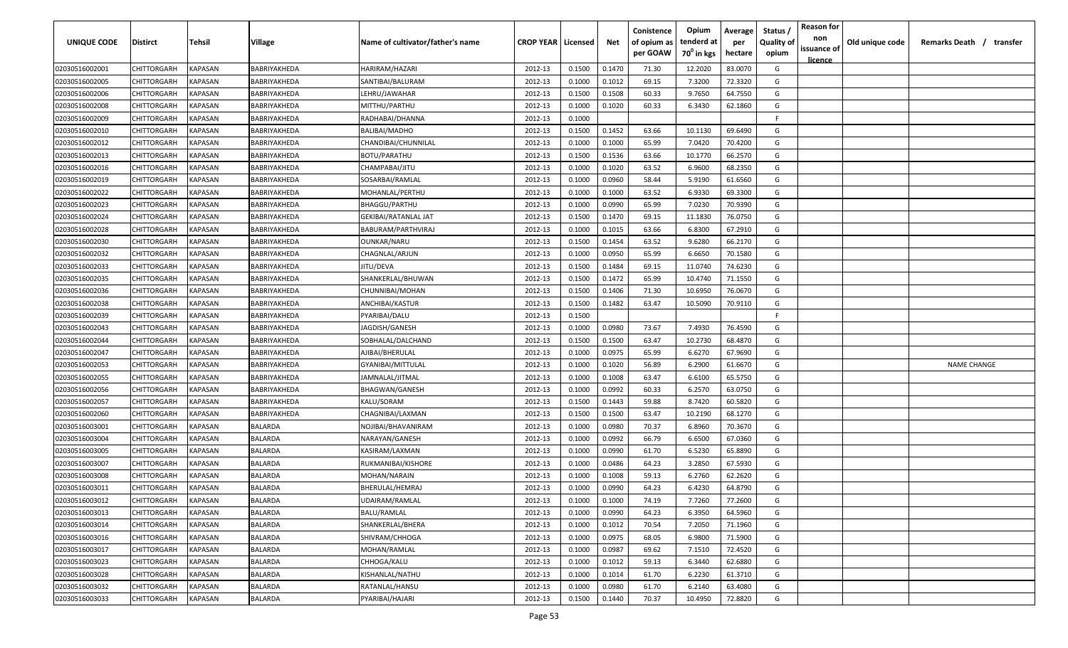| <b>UNIQUE CODE</b> | Distirct           | Tehsil         | Village        | Name of cultivator/father's name | <b>CROP YEAR   Licensed</b> |        | Net    | Conistence<br>of opium as | Opium<br>tenderd at    | Average<br>per | Status /<br><b>Quality of</b> | <b>Reason for</b><br>non      | Old unique code | Remarks Death / transfer |
|--------------------|--------------------|----------------|----------------|----------------------------------|-----------------------------|--------|--------|---------------------------|------------------------|----------------|-------------------------------|-------------------------------|-----------------|--------------------------|
|                    |                    |                |                |                                  |                             |        |        | per GOAW                  | 70 <sup>0</sup> in kgs | hectare        | opium                         | issuance of<br><u>licence</u> |                 |                          |
| 02030516002001     | CHITTORGARH        | <b>KAPASAN</b> | BABRIYAKHEDA   | HARIRAM/HAZARI                   | 2012-13                     | 0.1500 | 0.1470 | 71.30                     | 12.2020                | 83.0070        | G                             |                               |                 |                          |
| 02030516002005     | CHITTORGARH        | KAPASAN        | BABRIYAKHEDA   | SANTIBAI/BALURAM                 | 2012-13                     | 0.1000 | 0.1012 | 69.15                     | 7.3200                 | 72.3320        | G                             |                               |                 |                          |
| 02030516002006     | CHITTORGARH        | KAPASAN        | BABRIYAKHEDA   | LEHRU/JAWAHAR                    | 2012-13                     | 0.1500 | 0.1508 | 60.33                     | 9.7650                 | 64.7550        | G                             |                               |                 |                          |
| 02030516002008     | CHITTORGARH        | KAPASAN        | BABRIYAKHEDA   | MITTHU/PARTHU                    | 2012-13                     | 0.1000 | 0.1020 | 60.33                     | 6.3430                 | 62.1860        | G                             |                               |                 |                          |
| 02030516002009     | CHITTORGARH        | KAPASAN        | BABRIYAKHEDA   | RADHABAI/DHANNA                  | 2012-13                     | 0.1000 |        |                           |                        |                | -F.                           |                               |                 |                          |
| 02030516002010     | CHITTORGARH        | KAPASAN        | BABRIYAKHEDA   | <b>BALIBAI/MADHO</b>             | 2012-13                     | 0.1500 | 0.1452 | 63.66                     | 10.1130                | 69.6490        | G                             |                               |                 |                          |
| 02030516002012     | CHITTORGARH        | KAPASAN        | BABRIYAKHEDA   | CHANDIBAI/CHUNNILAL              | 2012-13                     | 0.1000 | 0.1000 | 65.99                     | 7.0420                 | 70.4200        | G                             |                               |                 |                          |
| 02030516002013     | CHITTORGARH        | KAPASAN        | BABRIYAKHEDA   | <b>BOTU/PARATHU</b>              | 2012-13                     | 0.1500 | 0.1536 | 63.66                     | 10.1770                | 66.2570        | G                             |                               |                 |                          |
| 02030516002016     | CHITTORGARH        | KAPASAN        | BABRIYAKHEDA   | CHAMPABAI/JITU                   | 2012-13                     | 0.1000 | 0.1020 | 63.52                     | 6.9600                 | 68.2350        | G                             |                               |                 |                          |
| 02030516002019     | CHITTORGARH        | KAPASAN        | BABRIYAKHEDA   | SOSARBAI/RAMLAL                  | 2012-13                     | 0.1000 | 0.0960 | 58.44                     | 5.9190                 | 61.6560        | G                             |                               |                 |                          |
| 02030516002022     | CHITTORGARH        | KAPASAN        | BABRIYAKHEDA   | MOHANLAL/PERTHU                  | 2012-13                     | 0.1000 | 0.1000 | 63.52                     | 6.9330                 | 69.3300        | G                             |                               |                 |                          |
| 02030516002023     | CHITTORGARH        | KAPASAN        | BABRIYAKHEDA   | <b>BHAGGU/PARTHU</b>             | 2012-13                     | 0.1000 | 0.0990 | 65.99                     | 7.0230                 | 70.9390        | G                             |                               |                 |                          |
| 02030516002024     | CHITTORGARH        | KAPASAN        | BABRIYAKHEDA   | GEKIBAI/RATANLAL JAT             | 2012-13                     | 0.1500 | 0.1470 | 69.15                     | 11.1830                | 76.0750        | G                             |                               |                 |                          |
| 02030516002028     | CHITTORGARH        | KAPASAN        | BABRIYAKHEDA   | BABURAM/PARTHVIRAJ               | 2012-13                     | 0.1000 | 0.1015 | 63.66                     | 6.8300                 | 67.2910        | G                             |                               |                 |                          |
| 02030516002030     | CHITTORGARH        | KAPASAN        | BABRIYAKHEDA   | OUNKAR/NARU                      | 2012-13                     | 0.1500 | 0.1454 | 63.52                     | 9.6280                 | 66.2170        | G                             |                               |                 |                          |
| 02030516002032     | CHITTORGARH        | KAPASAN        | BABRIYAKHEDA   | CHAGNLAL/ARJUN                   | 2012-13                     | 0.1000 | 0.0950 | 65.99                     | 6.6650                 | 70.1580        | G                             |                               |                 |                          |
| 02030516002033     | CHITTORGARH        | KAPASAN        | BABRIYAKHEDA   | JITU/DEVA                        | 2012-13                     | 0.1500 | 0.1484 | 69.15                     | 11.0740                | 74.6230        | G                             |                               |                 |                          |
| 02030516002035     | CHITTORGARH        | KAPASAN        | BABRIYAKHEDA   | SHANKERLAL/BHUWAN                | 2012-13                     | 0.1500 | 0.1472 | 65.99                     | 10.4740                | 71.1550        | G                             |                               |                 |                          |
| 02030516002036     | CHITTORGARH        | KAPASAN        | BABRIYAKHEDA   | CHUNNIBAI/MOHAN                  | 2012-13                     | 0.1500 | 0.1406 | 71.30                     | 10.6950                | 76.0670        | G                             |                               |                 |                          |
| 02030516002038     | CHITTORGARH        | KAPASAN        | BABRIYAKHEDA   | ANCHIBAI/KASTUR                  | 2012-13                     | 0.1500 | 0.1482 | 63.47                     | 10.5090                | 70.9110        | G                             |                               |                 |                          |
| 02030516002039     | CHITTORGARH        | KAPASAN        | BABRIYAKHEDA   | PYARIBAI/DALU                    | 2012-13                     | 0.1500 |        |                           |                        |                | -F.                           |                               |                 |                          |
| 02030516002043     | CHITTORGARH        | KAPASAN        | BABRIYAKHEDA   | JAGDISH/GANESH                   | 2012-13                     | 0.1000 | 0.0980 | 73.67                     | 7.4930                 | 76.4590        | G                             |                               |                 |                          |
| 02030516002044     | CHITTORGARH        | KAPASAN        | BABRIYAKHEDA   | SOBHALAL/DALCHAND                | 2012-13                     | 0.1500 | 0.1500 | 63.47                     | 10.2730                | 68.4870        | G                             |                               |                 |                          |
| 02030516002047     | CHITTORGARH        | KAPASAN        | BABRIYAKHEDA   | AJIBAI/BHERULAL                  | 2012-13                     | 0.1000 | 0.0975 | 65.99                     | 6.6270                 | 67.9690        | G                             |                               |                 |                          |
| 02030516002053     | CHITTORGARH        | KAPASAN        | BABRIYAKHEDA   | GYANIBAI/MITTULAL                | 2012-13                     | 0.1000 | 0.1020 | 56.89                     | 6.2900                 | 61.6670        | G                             |                               |                 | <b>NAME CHANGE</b>       |
| 02030516002055     | CHITTORGARH        | KAPASAN        | BABRIYAKHEDA   | JAMNALAL/JITMAL                  | 2012-13                     | 0.1000 | 0.1008 | 63.47                     | 6.6100                 | 65.5750        | G                             |                               |                 |                          |
| 02030516002056     | CHITTORGARH        | KAPASAN        | BABRIYAKHEDA   | BHAGWAN/GANESH                   | 2012-13                     | 0.1000 | 0.0992 | 60.33                     | 6.2570                 | 63.0750        | G                             |                               |                 |                          |
| 02030516002057     | CHITTORGARH        | KAPASAN        | BABRIYAKHEDA   | KALU/SORAM                       | 2012-13                     | 0.1500 | 0.1443 | 59.88                     | 8.7420                 | 60.5820        | G                             |                               |                 |                          |
| 02030516002060     | CHITTORGARH        | KAPASAN        | BABRIYAKHEDA   | CHAGNIBAI/LAXMAN                 | 2012-13                     | 0.1500 | 0.1500 | 63.47                     | 10.2190                | 68.1270        | G                             |                               |                 |                          |
| 02030516003001     | CHITTORGARH        | KAPASAN        | BALARDA        | NOJIBAI/BHAVANIRAM               | 2012-13                     | 0.1000 | 0.0980 | 70.37                     | 6.8960                 | 70.3670        | G                             |                               |                 |                          |
| 02030516003004     | CHITTORGARH        | KAPASAN        | BALARDA        | NARAYAN/GANESH                   | 2012-13                     | 0.1000 | 0.0992 | 66.79                     | 6.6500                 | 67.0360        | G                             |                               |                 |                          |
| 02030516003005     | CHITTORGARH        | KAPASAN        | BALARDA        | KASIRAM/LAXMAN                   | 2012-13                     | 0.1000 | 0.0990 | 61.70                     | 6.5230                 | 65.8890        | G                             |                               |                 |                          |
| 02030516003007     | CHITTORGARH        | KAPASAN        | <b>BALARDA</b> | RUKMANIBAI/KISHORE               | 2012-13                     | 0.1000 | 0.0486 | 64.23                     | 3.2850                 | 67.5930        | G                             |                               |                 |                          |
| 02030516003008     | CHITTORGARH        | KAPASAN        | BALARDA        | MOHAN/NARAIN                     | 2012-13                     | 0.1000 | 0.1008 | 59.13                     | 6.2760                 | 62.2620        | G                             |                               |                 |                          |
| 02030516003011     | <b>CHITTORGARH</b> | KAPASAN        | BALARDA        | BHERULAL/HEMRAJ                  | 2012-13                     | 0.1000 | 0.0990 | 64.23                     | 6.4230                 | 64.8790        | G                             |                               |                 |                          |
| 02030516003012     | <b>CHITTORGARH</b> | KAPASAN        | BALARDA        | UDAIRAM/RAMLAL                   | 2012-13                     | 0.1000 | 0.1000 | 74.19                     | 7.7260                 | 77.2600        | G                             |                               |                 |                          |
| 02030516003013     | <b>CHITTORGARH</b> | KAPASAN        | <b>BALARDA</b> | <b>BALU/RAMLAL</b>               | 2012-13                     | 0.1000 | 0.0990 | 64.23                     | 6.3950                 | 64.5960        | G                             |                               |                 |                          |
| 02030516003014     | <b>CHITTORGARH</b> | <b>KAPASAN</b> | BALARDA        | SHANKERLAL/BHERA                 | 2012-13                     | 0.1000 | 0.1012 | 70.54                     | 7.2050                 | 71.1960        | G                             |                               |                 |                          |
| 02030516003016     | <b>CHITTORGARH</b> | KAPASAN        | BALARDA        | SHIVRAM/CHHOGA                   | 2012-13                     | 0.1000 | 0.0975 | 68.05                     | 6.9800                 | 71.5900        | G                             |                               |                 |                          |
| 02030516003017     | CHITTORGARH        | KAPASAN        | BALARDA        | MOHAN/RAMLAL                     | 2012-13                     | 0.1000 | 0.0987 | 69.62                     | 7.1510                 | 72.4520        | G                             |                               |                 |                          |
| 02030516003023     | CHITTORGARH        | KAPASAN        | <b>BALARDA</b> | CHHOGA/KALU                      | 2012-13                     | 0.1000 | 0.1012 | 59.13                     | 6.3440                 | 62.6880        | G                             |                               |                 |                          |
| 02030516003028     | <b>CHITTORGARH</b> | KAPASAN        | BALARDA        | KISHANLAL/NATHU                  | 2012-13                     | 0.1000 | 0.1014 | 61.70                     | 6.2230                 | 61.3710        | G                             |                               |                 |                          |
| 02030516003032     | CHITTORGARH        | KAPASAN        | BALARDA        | RATANLAL/HANSU                   | 2012-13                     | 0.1000 | 0.0980 | 61.70                     | 6.2140                 | 63.4080        | G                             |                               |                 |                          |
| 02030516003033     | CHITTORGARH        | KAPASAN        | BALARDA        | PYARIBAI/HAJARI                  | 2012-13                     | 0.1500 | 0.1440 | 70.37                     | 10.4950                | 72.8820        | G                             |                               |                 |                          |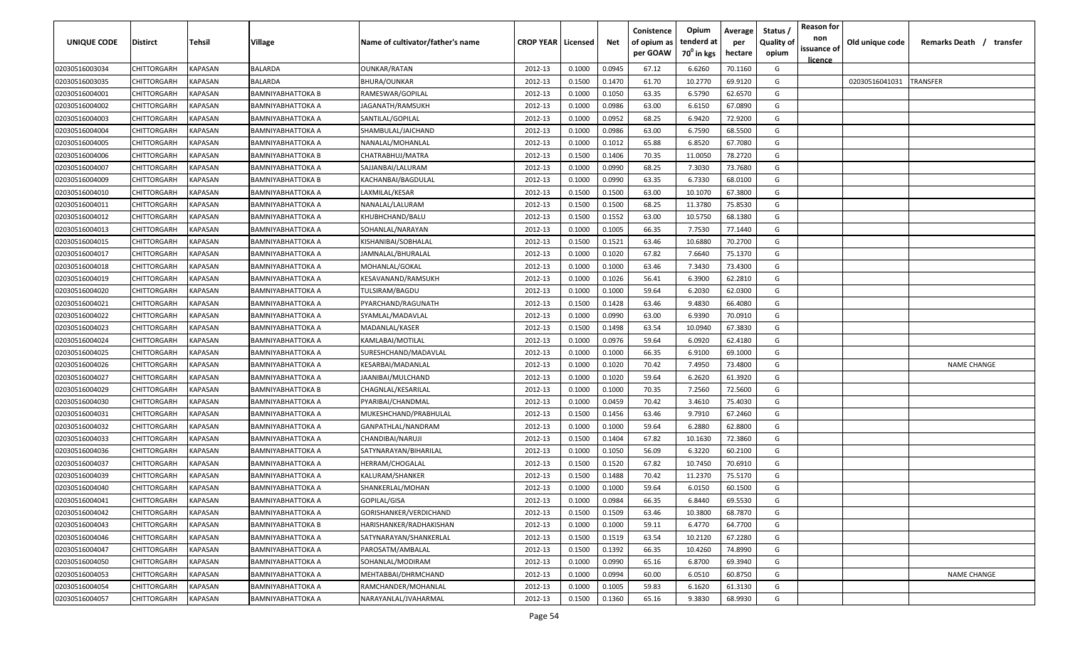| UNIQUE CODE    | <b>Distirct</b>    | Tehsil                | <b>Village</b>           | Name of cultivator/father's name | <b>CROP YEAR   Licensed</b> |        | Net    | Conistence<br>of opium as<br>per GOAW | Opium<br>tenderd at<br>70 <sup>0</sup> in kgs | Average<br>per<br>hectare | Status<br><b>Quality of</b><br>opium | <b>Reason for</b><br>non<br>issuance of<br>licence | Old unique code | Remarks Death / transfer |
|----------------|--------------------|-----------------------|--------------------------|----------------------------------|-----------------------------|--------|--------|---------------------------------------|-----------------------------------------------|---------------------------|--------------------------------------|----------------------------------------------------|-----------------|--------------------------|
| 02030516003034 | CHITTORGARH        | KAPASAN               | <b>BALARDA</b>           | OUNKAR/RATAN                     | 2012-13                     | 0.1000 | 0.0945 | 67.12                                 | 6.6260                                        | 70.1160                   | G                                    |                                                    |                 |                          |
| 02030516003035 | CHITTORGARH        | KAPASAN               | <b>BALARDA</b>           | BHURA/OUNKAR                     | 2012-13                     | 0.1500 | 0.1470 | 61.70                                 | 10.2770                                       | 69.9120                   | G                                    |                                                    | 02030516041031  | TRANSFER                 |
| 02030516004001 | CHITTORGARH        | KAPASAN               | <b>BAMNIYABHATTOKA B</b> | RAMESWAR/GOPILAL                 | 2012-13                     | 0.1000 | 0.1050 | 63.35                                 | 6.5790                                        | 62.6570                   | G                                    |                                                    |                 |                          |
| 02030516004002 | CHITTORGARH        | KAPASAN               | <b>BAMNIYABHATTOKA A</b> | JAGANATH/RAMSUKH                 | 2012-13                     | 0.1000 | 0.0986 | 63.00                                 | 6.6150                                        | 67.0890                   | G                                    |                                                    |                 |                          |
| 02030516004003 | CHITTORGARH        | KAPASAN               | <b>BAMNIYABHATTOKA A</b> | SANTILAL/GOPILAL                 | 2012-13                     | 0.1000 | 0.0952 | 68.25                                 | 6.9420                                        | 72.9200                   | G                                    |                                                    |                 |                          |
| 02030516004004 | CHITTORGARH        | KAPASAN               | <b>BAMNIYABHATTOKA A</b> | SHAMBULAL/JAICHAND               | 2012-13                     | 0.1000 | 0.0986 | 63.00                                 | 6.7590                                        | 68.5500                   | G                                    |                                                    |                 |                          |
| 02030516004005 | CHITTORGARH        | KAPASAN               | <b>BAMNIYABHATTOKA A</b> | NANALAL/MOHANLAL                 | 2012-13                     | 0.1000 | 0.1012 | 65.88                                 | 6.8520                                        | 67.7080                   | G                                    |                                                    |                 |                          |
| 02030516004006 | CHITTORGARH        | <b><i>KAPASAN</i></b> | <b>BAMNIYABHATTOKA B</b> | CHATRABHUJ/MATRA                 | 2012-13                     | 0.1500 | 0.1406 | 70.35                                 | 11.0050                                       | 78.2720                   | G                                    |                                                    |                 |                          |
| 02030516004007 | CHITTORGARH        | KAPASAN               | <b>BAMNIYABHATTOKA A</b> | SAJJANBAI/LALURAM                | 2012-13                     | 0.1000 | 0.0990 | 68.25                                 | 7.3030                                        | 73.7680                   | G                                    |                                                    |                 |                          |
| 02030516004009 | CHITTORGARH        | KAPASAN               | <b>BAMNIYABHATTOKA B</b> | KACHANBAI/BAGDULAL               | 2012-13                     | 0.1000 | 0.0990 | 63.35                                 | 6.7330                                        | 68.0100                   | G                                    |                                                    |                 |                          |
| 02030516004010 | CHITTORGARH        | KAPASAN               | BAMNIYABHATTOKA A        | LAXMILAL/KESAR                   | 2012-13                     | 0.1500 | 0.1500 | 63.00                                 | 10.1070                                       | 67.3800                   | G                                    |                                                    |                 |                          |
| 02030516004011 | CHITTORGARH        | KAPASAN               | BAMNIYABHATTOKA A        | NANALAL/LALURAM                  | 2012-13                     | 0.1500 | 0.1500 | 68.25                                 | 11.3780                                       | 75.8530                   | G                                    |                                                    |                 |                          |
| 02030516004012 | <b>CHITTORGARH</b> | <b><i>KAPASAN</i></b> | BAMNIYABHATTOKA A        | KHUBHCHAND/BALU                  | 2012-13                     | 0.1500 | 0.1552 | 63.00                                 | 10.5750                                       | 68.1380                   | G                                    |                                                    |                 |                          |
| 02030516004013 | CHITTORGARH        | KAPASAN               | BAMNIYABHATTOKA A        | SOHANLAL/NARAYAN                 | 2012-13                     | 0.1000 | 0.1005 | 66.35                                 | 7.7530                                        | 77.1440                   | G                                    |                                                    |                 |                          |
| 02030516004015 | CHITTORGARH        | KAPASAN               | BAMNIYABHATTOKA A        | KISHANIBAI/SOBHALAL              | 2012-13                     | 0.1500 | 0.1521 | 63.46                                 | 10.6880                                       | 70.2700                   | G                                    |                                                    |                 |                          |
| 02030516004017 | CHITTORGARH        | <b><i>KAPASAN</i></b> | BAMNIYABHATTOKA A        | IAMNALAL/BHURALAL                | 2012-13                     | 0.1000 | 0.1020 | 67.82                                 | 7.6640                                        | 75.1370                   | G                                    |                                                    |                 |                          |
| 02030516004018 | CHITTORGARH        | KAPASAN               | <b>BAMNIYABHATTOKA A</b> | MOHANLAL/GOKAL                   | 2012-13                     | 0.1000 | 0.1000 | 63.46                                 | 7.3430                                        | 73.4300                   | G                                    |                                                    |                 |                          |
| 02030516004019 | CHITTORGARH        | KAPASAN               | <b>BAMNIYABHATTOKA A</b> | KESAVANAND/RAMSUKH               | 2012-13                     | 0.1000 | 0.1026 | 56.41                                 | 6.3900                                        | 62.2810                   | G                                    |                                                    |                 |                          |
| 02030516004020 | CHITTORGARH        | KAPASAN               | <b>BAMNIYABHATTOKA A</b> | TULSIRAM/BAGDU                   | 2012-13                     | 0.1000 | 0.1000 | 59.64                                 | 6.2030                                        | 62.0300                   | G                                    |                                                    |                 |                          |
| 02030516004021 | CHITTORGARH        | KAPASAN               | <b>BAMNIYABHATTOKA A</b> | PYARCHAND/RAGUNATH               | 2012-13                     | 0.1500 | 0.1428 | 63.46                                 | 9.4830                                        | 66.4080                   | G                                    |                                                    |                 |                          |
| 02030516004022 | CHITTORGARH        | <b>KAPASAN</b>        | <b>BAMNIYABHATTOKA A</b> | SYAMLAL/MADAVLAL                 | 2012-13                     | 0.1000 | 0.0990 | 63.00                                 | 6.9390                                        | 70.0910                   | G                                    |                                                    |                 |                          |
| 02030516004023 | CHITTORGARH        | KAPASAN               | <b>BAMNIYABHATTOKA A</b> | MADANLAL/KASER                   | 2012-13                     | 0.1500 | 0.1498 | 63.54                                 | 10.0940                                       | 67.3830                   | G                                    |                                                    |                 |                          |
| 02030516004024 | CHITTORGARH        | KAPASAN               | <b>BAMNIYABHATTOKA A</b> | KAMLABAI/MOTILAL                 | 2012-13                     | 0.1000 | 0.0976 | 59.64                                 | 6.0920                                        | 62.4180                   | G                                    |                                                    |                 |                          |
| 02030516004025 | CHITTORGARH        | KAPASAN               | <b>BAMNIYABHATTOKA A</b> | SURESHCHAND/MADAVLAL             | 2012-13                     | 0.1000 | 0.1000 | 66.35                                 | 6.9100                                        | 69.1000                   | G                                    |                                                    |                 |                          |
| 02030516004026 | CHITTORGARH        | KAPASAN               | <b>BAMNIYABHATTOKA A</b> | <b>KESARBAI/MADANLAL</b>         | 2012-13                     | 0.1000 | 0.1020 | 70.42                                 | 7.4950                                        | 73.4800                   | G                                    |                                                    |                 | <b>NAME CHANGE</b>       |
| 02030516004027 | CHITTORGARH        | KAPASAN               | <b>BAMNIYABHATTOKA A</b> | IAANIBAI/MULCHAND                | 2012-13                     | 0.1000 | 0.1020 | 59.64                                 | 6.2620                                        | 61.3920                   | G                                    |                                                    |                 |                          |
| 02030516004029 | CHITTORGARH        | KAPASAN               | <b>BAMNIYABHATTOKA B</b> | CHAGNLAL/KESARILAL               | 2012-13                     | 0.1000 | 0.1000 | 70.35                                 | 7.2560                                        | 72.5600                   | G                                    |                                                    |                 |                          |
| 02030516004030 | CHITTORGARH        | KAPASAN               | BAMNIYABHATTOKA A        | PYARIBAI/CHANDMAL                | 2012-13                     | 0.1000 | 0.0459 | 70.42                                 | 3.4610                                        | 75.4030                   | G                                    |                                                    |                 |                          |
| 02030516004031 | CHITTORGARH        | KAPASAN               | BAMNIYABHATTOKA A        | MUKESHCHAND/PRABHULAL            | 2012-13                     | 0.1500 | 0.1456 | 63.46                                 | 9.7910                                        | 67.2460                   | G                                    |                                                    |                 |                          |
| 02030516004032 | <b>CHITTORGARH</b> | KAPASAN               | BAMNIYABHATTOKA A        | GANPATHLAL/NANDRAM               | 2012-13                     | 0.1000 | 0.1000 | 59.64                                 | 6.2880                                        | 62.8800                   | G                                    |                                                    |                 |                          |
| 02030516004033 | CHITTORGARH        | KAPASAN               | BAMNIYABHATTOKA A        | CHANDIBAI/NARUJI                 | 2012-13                     | 0.1500 | 0.1404 | 67.82                                 | 10.1630                                       | 72.3860                   | G                                    |                                                    |                 |                          |
| 02030516004036 | CHITTORGARH        | KAPASAN               | BAMNIYABHATTOKA A        | SATYNARAYAN/BIHARILAL            | 2012-13                     | 0.1000 | 0.1050 | 56.09                                 | 6.3220                                        | 60.2100                   | G                                    |                                                    |                 |                          |
| 02030516004037 | CHITTORGARH        | KAPASAN               | <b>BAMNIYABHATTOKA A</b> | HERRAM/CHOGALAL                  | 2012-13                     | 0.1500 | 0.1520 | 67.82                                 | 10.7450                                       | 70.6910                   | G                                    |                                                    |                 |                          |
| 02030516004039 | CHITTORGARH        | KAPASAN               | <b>BAMNIYABHATTOKA A</b> | KALURAM/SHANKER                  | 2012-13                     | 0.1500 | 0.1488 | 70.42                                 | 11.2370                                       | 75.5170                   | G                                    |                                                    |                 |                          |
| 02030516004040 | CHITTORGARH        | KAPASAN               | <b>BAMNIYABHATTOKA A</b> | SHANKERLAL/MOHAN                 | 2012-13                     | 0.1000 | 0.1000 | 59.64                                 | 6.0150                                        | 60.1500                   | G                                    |                                                    |                 |                          |
| 02030516004041 | CHITTORGARH        | <b>KAPASAN</b>        | <b>BAMNIYABHATTOKA A</b> | GOPILAL/GISA                     | 2012-13                     | 0.1000 | 0.0984 | 66.35                                 | 6.8440                                        | 69.5530                   | G                                    |                                                    |                 |                          |
| 02030516004042 | CHITTORGARH        | <b>KAPASAN</b>        | <b>BAMNIYABHATTOKA A</b> | GORISHANKER/VERDICHAND           | 2012-13                     | 0.1500 | 0.1509 | 63.46                                 | 10.3800                                       | 68.7870                   | G                                    |                                                    |                 |                          |
| 02030516004043 | CHITTORGARH        | KAPASAN               | <b>BAMNIYABHATTOKA B</b> | HARISHANKER/RADHAKISHAN          | 2012-13                     | 0.1000 | 0.1000 | 59.11                                 | 6.4770                                        | 64.7700                   | G                                    |                                                    |                 |                          |
| 02030516004046 | CHITTORGARH        | KAPASAN               | <b>BAMNIYABHATTOKA A</b> | SATYNARAYAN/SHANKERLAL           | 2012-13                     | 0.1500 | 0.1519 | 63.54                                 | 10.2120                                       | 67.2280                   | G                                    |                                                    |                 |                          |
| 02030516004047 | CHITTORGARH        | KAPASAN               | <b>BAMNIYABHATTOKA A</b> | PAROSATM/AMBALAL                 | 2012-13                     | 0.1500 | 0.1392 | 66.35                                 | 10.4260                                       | 74.8990                   | G                                    |                                                    |                 |                          |
| 02030516004050 | CHITTORGARH        | KAPASAN               | <b>BAMNIYABHATTOKA A</b> | SOHANLAL/MODIRAM                 | 2012-13                     | 0.1000 | 0.0990 | 65.16                                 | 6.8700                                        | 69.3940                   | G                                    |                                                    |                 |                          |
| 02030516004053 | CHITTORGARH        | KAPASAN               | <b>BAMNIYABHATTOKA A</b> | MEHTABBAI/DHRMCHAND              | 2012-13                     | 0.1000 | 0.0994 | 60.00                                 | 6.0510                                        | 60.8750                   | G                                    |                                                    |                 | <b>NAME CHANGE</b>       |
| 02030516004054 | CHITTORGARH        | KAPASAN               | <b>BAMNIYABHATTOKA A</b> | RAMCHANDER/MOHANLAL              | 2012-13                     | 0.1000 | 0.1005 | 59.83                                 | 6.1620                                        | 61.3130                   | G                                    |                                                    |                 |                          |
| 02030516004057 | CHITTORGARH        | <b>KAPASAN</b>        | <b>BAMNIYABHATTOKA A</b> | NARAYANLAL/JVAHARMAL             | 2012-13                     | 0.1500 | 0.1360 | 65.16                                 | 9.3830                                        | 68.9930                   | G                                    |                                                    |                 |                          |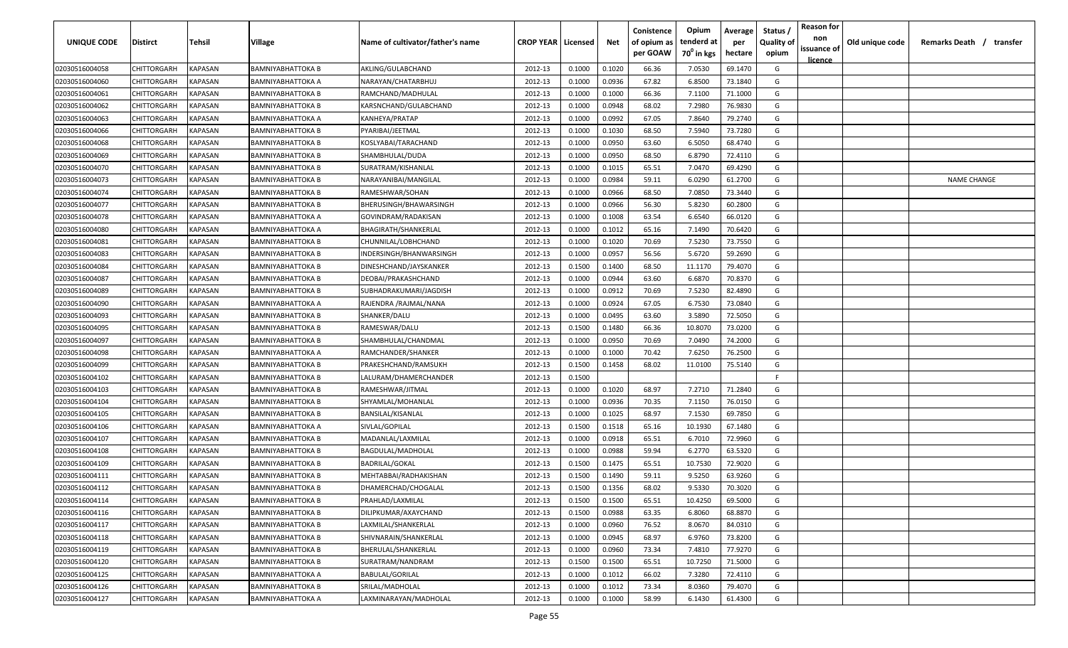| UNIQUE CODE    | <b>Distirct</b>    | Tehsil         | Village                  | Name of cultivator/father's name | <b>CROP YEAR   Licensed</b> |        | Net    | Conistence<br>of opium as<br>per GOAW | Opium<br>tenderd at<br>70 <sup>0</sup> in kgs | Average<br>per<br>hectare | Status /<br><b>Quality of</b><br>opium | <b>Reason for</b><br>non<br>issuance of<br><u>licence</u> | Old unique code | Remarks Death /<br>transfer |
|----------------|--------------------|----------------|--------------------------|----------------------------------|-----------------------------|--------|--------|---------------------------------------|-----------------------------------------------|---------------------------|----------------------------------------|-----------------------------------------------------------|-----------------|-----------------------------|
| 02030516004058 | <b>CHITTORGARH</b> | <b>KAPASAN</b> | <b>BAMNIYABHATTOKA B</b> | AKLING/GULABCHAND                | 2012-13                     | 0.1000 | 0.1020 | 66.36                                 | 7.0530                                        | 69.1470                   | G                                      |                                                           |                 |                             |
| 02030516004060 | <b>CHITTORGARH</b> | <b>KAPASAN</b> | <b>BAMNIYABHATTOKA A</b> | NARAYAN/CHATARBHUJ               | 2012-13                     | 0.1000 | 0.0936 | 67.82                                 | 6.8500                                        | 73.1840                   | G                                      |                                                           |                 |                             |
| 02030516004061 | <b>CHITTORGARH</b> | <b>KAPASAN</b> | <b>BAMNIYABHATTOKA B</b> | RAMCHAND/MADHULAL                | 2012-13                     | 0.1000 | 0.1000 | 66.36                                 | 7.1100                                        | 71.1000                   | G                                      |                                                           |                 |                             |
| 02030516004062 | CHITTORGARH        | KAPASAN        | <b>BAMNIYABHATTOKA B</b> | KARSNCHAND/GULABCHAND            | 2012-13                     | 0.1000 | 0.0948 | 68.02                                 | 7.2980                                        | 76.9830                   | G                                      |                                                           |                 |                             |
| 02030516004063 | CHITTORGARH        | KAPASAN        | <b>BAMNIYABHATTOKA A</b> | KANHEYA/PRATAP                   | 2012-13                     | 0.1000 | 0.0992 | 67.05                                 | 7.8640                                        | 79.2740                   | G                                      |                                                           |                 |                             |
| 02030516004066 | CHITTORGARH        | <b>KAPASAN</b> | <b>BAMNIYABHATTOKA B</b> | PYARIBAI/JEETMAL                 | 2012-13                     | 0.1000 | 0.1030 | 68.50                                 | 7.5940                                        | 73.7280                   | G                                      |                                                           |                 |                             |
| 02030516004068 | CHITTORGARH        | KAPASAN        | <b>BAMNIYABHATTOKA B</b> | KOSLYABAI/TARACHAND              | 2012-13                     | 0.1000 | 0.0950 | 63.60                                 | 6.5050                                        | 68.4740                   | G                                      |                                                           |                 |                             |
| 02030516004069 | CHITTORGARH        | KAPASAN        | <b>BAMNIYABHATTOKA B</b> | SHAMBHULAL/DUDA                  | 2012-13                     | 0.1000 | 0.0950 | 68.50                                 | 6.8790                                        | 72.4110                   | G                                      |                                                           |                 |                             |
| 02030516004070 | CHITTORGARH        | KAPASAN        | <b>BAMNIYABHATTOKA B</b> | SURATRAM/KISHANLAL               | 2012-13                     | 0.1000 | 0.1015 | 65.51                                 | 7.0470                                        | 69.4290                   | G                                      |                                                           |                 |                             |
| 02030516004073 | CHITTORGARH        | KAPASAN        | <b>BAMNIYABHATTOKA B</b> | NARAYANIBAI/MANGILAL             | 2012-13                     | 0.1000 | 0.0984 | 59.11                                 | 6.0290                                        | 61.2700                   | G                                      |                                                           |                 | <b>NAME CHANGE</b>          |
| 02030516004074 | CHITTORGARH        | KAPASAN        | <b>BAMNIYABHATTOKA B</b> | RAMESHWAR/SOHAN                  | 2012-13                     | 0.1000 | 0.0966 | 68.50                                 | 7.0850                                        | 73.3440                   | G                                      |                                                           |                 |                             |
| 02030516004077 | CHITTORGARH        | KAPASAN        | BAMNIYABHATTOKA B        | BHERUSINGH/BHAWARSINGH           | 2012-13                     | 0.1000 | 0.0966 | 56.30                                 | 5.8230                                        | 60.2800                   | G                                      |                                                           |                 |                             |
| 02030516004078 | CHITTORGARH        | KAPASAN        | <b>BAMNIYABHATTOKA A</b> | GOVINDRAM/RADAKISAN              | 2012-13                     | 0.1000 | 0.1008 | 63.54                                 | 6.6540                                        | 66.0120                   | G                                      |                                                           |                 |                             |
| 02030516004080 | CHITTORGARH        | KAPASAN        | <b>BAMNIYABHATTOKA A</b> | BHAGIRATH/SHANKERLAL             | 2012-13                     | 0.1000 | 0.1012 | 65.16                                 | 7.1490                                        | 70.6420                   | G                                      |                                                           |                 |                             |
| 02030516004081 | CHITTORGARH        | KAPASAN        | BAMNIYABHATTOKA B        | CHUNNILAL/LOBHCHAND              | 2012-13                     | 0.1000 | 0.1020 | 70.69                                 | 7.5230                                        | 73.7550                   | G                                      |                                                           |                 |                             |
| 02030516004083 | CHITTORGARH        | KAPASAN        | BAMNIYABHATTOKA B        | INDERSINGH/BHANWARSINGH          | 2012-13                     | 0.1000 | 0.0957 | 56.56                                 | 5.6720                                        | 59.2690                   | G                                      |                                                           |                 |                             |
| 02030516004084 | CHITTORGARH        | <b>KAPASAN</b> | <b>BAMNIYABHATTOKA B</b> | DINESHCHAND/JAYSKANKER           | 2012-13                     | 0.1500 | 0.1400 | 68.50                                 | 11.1170                                       | 79.4070                   | G                                      |                                                           |                 |                             |
| 02030516004087 | CHITTORGARH        | <b>KAPASAN</b> | <b>BAMNIYABHATTOKA B</b> | DEOBAI/PRAKASHCHAND              | 2012-13                     | 0.1000 | 0.0944 | 63.60                                 | 6.6870                                        | 70.8370                   | G                                      |                                                           |                 |                             |
| 02030516004089 | CHITTORGARH        | <b>KAPASAN</b> | <b>BAMNIYABHATTOKA B</b> | SUBHADRAKUMARI/JAGDISH           | 2012-13                     | 0.1000 | 0.0912 | 70.69                                 | 7.5230                                        | 82.4890                   | G                                      |                                                           |                 |                             |
| 02030516004090 | CHITTORGARH        | KAPASAN        | <b>BAMNIYABHATTOKA A</b> | RAJENDRA / RAJMAL/NANA           | 2012-13                     | 0.1000 | 0.0924 | 67.05                                 | 6.7530                                        | 73.0840                   | G                                      |                                                           |                 |                             |
| 02030516004093 | CHITTORGARH        | <b>KAPASAN</b> | <b>BAMNIYABHATTOKA B</b> | SHANKER/DALU                     | 2012-13                     | 0.1000 | 0.0495 | 63.60                                 | 3.5890                                        | 72.5050                   | G                                      |                                                           |                 |                             |
| 02030516004095 | CHITTORGARH        | <b>KAPASAN</b> | <b>BAMNIYABHATTOKA B</b> | RAMESWAR/DALU                    | 2012-13                     | 0.1500 | 0.1480 | 66.36                                 | 10.8070                                       | 73.0200                   | G                                      |                                                           |                 |                             |
| 02030516004097 | CHITTORGARH        | <b>KAPASAN</b> | <b>BAMNIYABHATTOKA B</b> | SHAMBHULAL/CHANDMAL              | 2012-13                     | 0.1000 | 0.0950 | 70.69                                 | 7.0490                                        | 74.2000                   | G                                      |                                                           |                 |                             |
| 02030516004098 | CHITTORGARH        | KAPASAN        | <b>BAMNIYABHATTOKA A</b> | RAMCHANDER/SHANKER               | 2012-13                     | 0.1000 | 0.1000 | 70.42                                 | 7.6250                                        | 76.2500                   | G                                      |                                                           |                 |                             |
| 02030516004099 | CHITTORGARH        | KAPASAN        | <b>BAMNIYABHATTOKA B</b> | PRAKESHCHAND/RAMSUKH             | 2012-13                     | 0.1500 | 0.1458 | 68.02                                 | 11.0100                                       | 75.5140                   | G                                      |                                                           |                 |                             |
| 02030516004102 | CHITTORGARH        | KAPASAN        | <b>BAMNIYABHATTOKA B</b> | LALURAM/DHAMERCHANDER            | 2012-13                     | 0.1500 |        |                                       |                                               |                           | F.                                     |                                                           |                 |                             |
| 02030516004103 | CHITTORGARH        | KAPASAN        | <b>BAMNIYABHATTOKA B</b> | RAMESHWAR/JITMAL                 | 2012-13                     | 0.1000 | 0.1020 | 68.97                                 | 7.2710                                        | 71.2840                   | G                                      |                                                           |                 |                             |
| 02030516004104 | CHITTORGARH        | KAPASAN        | <b>BAMNIYABHATTOKA B</b> | SHYAMLAL/MOHANLAL                | 2012-13                     | 0.1000 | 0.0936 | 70.35                                 | 7.1150                                        | 76.0150                   | G                                      |                                                           |                 |                             |
| 02030516004105 | CHITTORGARH        | KAPASAN        | BAMNIYABHATTOKA B        | BANSILAL/KISANLAL                | 2012-13                     | 0.1000 | 0.1025 | 68.97                                 | 7.1530                                        | 69.7850                   | G                                      |                                                           |                 |                             |
| 02030516004106 | CHITTORGARH        | KAPASAN        | BAMNIYABHATTOKA A        | SIVLAL/GOPILAL                   | 2012-13                     | 0.1500 | 0.1518 | 65.16                                 | 10.1930                                       | 67.1480                   | G                                      |                                                           |                 |                             |
| 02030516004107 | CHITTORGARH        | KAPASAN        | <b>BAMNIYABHATTOKA B</b> | MADANLAL/LAXMILAL                | 2012-13                     | 0.1000 | 0.0918 | 65.51                                 | 6.7010                                        | 72.9960                   | G                                      |                                                           |                 |                             |
| 02030516004108 | CHITTORGARH        | KAPASAN        | BAMNIYABHATTOKA B        | BAGDULAL/MADHOLAL                | 2012-13                     | 0.1000 | 0.0988 | 59.94                                 | 6.2770                                        | 63.5320                   | G                                      |                                                           |                 |                             |
| 02030516004109 | CHITTORGARH        | KAPASAN        | <b>BAMNIYABHATTOKA B</b> | <b>BADRILAL/GOKAL</b>            | 2012-13                     | 0.1500 | 0.1475 | 65.51                                 | 10.7530                                       | 72.9020                   | G                                      |                                                           |                 |                             |
| 02030516004111 | CHITTORGARH        | KAPASAN        | <b>BAMNIYABHATTOKA B</b> | MEHTABBAI/RADHAKISHAN            | 2012-13                     | 0.1500 | 0.1490 | 59.11                                 | 9.5250                                        | 63.9260                   | G                                      |                                                           |                 |                             |
| 02030516004112 | CHITTORGARH        | <b>KAPASAN</b> | <b>BAMNIYABHATTOKA B</b> | DHAMERCHAD/CHOGALAL              | 2012-13                     | 0.1500 | 0.1356 | 68.02                                 | 9.5330                                        | 70.3020                   | G                                      |                                                           |                 |                             |
| 02030516004114 | <b>CHITTORGARH</b> | <b>KAPASAN</b> | <b>BAMNIYABHATTOKA B</b> | PRAHLAD/LAXMILAL                 | 2012-13                     | 0.1500 | 0.1500 | 65.51                                 | 10.4250                                       | 69.5000                   | G                                      |                                                           |                 |                             |
| 02030516004116 | <b>CHITTORGARH</b> | <b>KAPASAN</b> | <b>BAMNIYABHATTOKA B</b> | DILIPKUMAR/AXAYCHAND             | 2012-13                     | 0.1500 | 0.0988 | 63.35                                 | 6.8060                                        | 68.8870                   | G                                      |                                                           |                 |                             |
| 02030516004117 | CHITTORGARH        | <b>KAPASAN</b> | <b>BAMNIYABHATTOKA B</b> | LAXMILAL/SHANKERLAL              | 2012-13                     | 0.1000 | 0.0960 | 76.52                                 | 8.0670                                        | 84.0310                   | G                                      |                                                           |                 |                             |
| 02030516004118 | CHITTORGARH        | <b>KAPASAN</b> | <b>BAMNIYABHATTOKA B</b> | SHIVNARAIN/SHANKERLAL            | 2012-13                     | 0.1000 | 0.0945 | 68.97                                 | 6.9760                                        | 73.8200                   | G                                      |                                                           |                 |                             |
| 02030516004119 | CHITTORGARH        | <b>KAPASAN</b> | <b>BAMNIYABHATTOKA B</b> | BHERULAL/SHANKERLAL              | 2012-13                     | 0.1000 | 0.0960 | 73.34                                 | 7.4810                                        | 77.9270                   | G                                      |                                                           |                 |                             |
| 02030516004120 | CHITTORGARH        | KAPASAN        | <b>BAMNIYABHATTOKA B</b> | SURATRAM/NANDRAM                 | 2012-13                     | 0.1500 | 0.1500 | 65.51                                 | 10.7250                                       | 71.5000                   | G                                      |                                                           |                 |                             |
| 02030516004125 | <b>CHITTORGARH</b> | KAPASAN        | <b>BAMNIYABHATTOKA A</b> | <b>BABULAL/GORILAL</b>           | 2012-13                     | 0.1000 | 0.1012 | 66.02                                 | 7.3280                                        | 72.4110                   | G                                      |                                                           |                 |                             |
| 02030516004126 | <b>CHITTORGARH</b> | <b>KAPASAN</b> | <b>BAMNIYABHATTOKA B</b> | SRILAL/MADHOLAL                  | 2012-13                     | 0.1000 | 0.1012 | 73.34                                 | 8.0360                                        | 79.4070                   | G                                      |                                                           |                 |                             |
| 02030516004127 | <b>CHITTORGARH</b> | <b>KAPASAN</b> | <b>BAMNIYABHATTOKA A</b> | LAXMINARAYAN/MADHOLAL            | 2012-13                     | 0.1000 | 0.1000 | 58.99                                 | 6.1430                                        | 61.4300                   | G                                      |                                                           |                 |                             |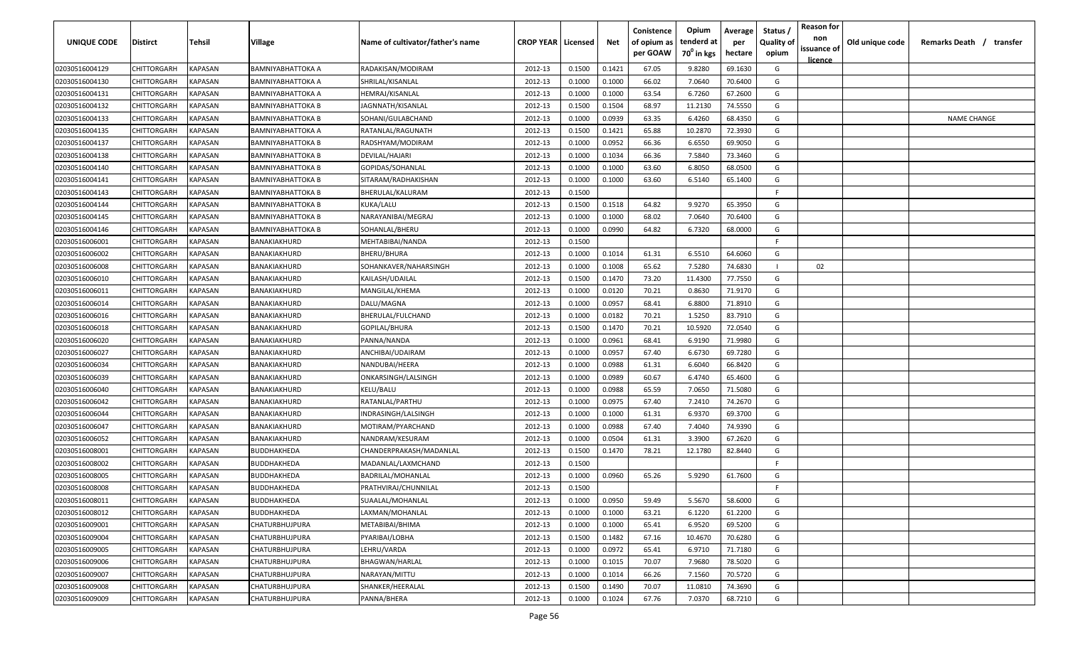| UNIQUE CODE    | <b>Distirct</b>    | Tehsil                | <b>Village</b>           | Name of cultivator/father's name | <b>CROP YEAR   Licensed</b> |        | Net    | Conistence<br>of opium as<br>per GOAW | Opium<br>tenderd at<br>70 <sup>0</sup> in kgs | Average<br>per<br>hectare | Status<br><b>Quality of</b><br>opium | <b>Reason for</b><br>non<br>issuance of<br>licence | Old unique code | Remarks Death / transfer |
|----------------|--------------------|-----------------------|--------------------------|----------------------------------|-----------------------------|--------|--------|---------------------------------------|-----------------------------------------------|---------------------------|--------------------------------------|----------------------------------------------------|-----------------|--------------------------|
| 02030516004129 | CHITTORGARH        | KAPASAN               | <b>BAMNIYABHATTOKA A</b> | RADAKISAN/MODIRAM                | 2012-13                     | 0.1500 | 0.1421 | 67.05                                 | 9.8280                                        | 69.1630                   | G                                    |                                                    |                 |                          |
| 02030516004130 | CHITTORGARH        | KAPASAN               | <b>BAMNIYABHATTOKA A</b> | SHRILAL/KISANLAL                 | 2012-13                     | 0.1000 | 0.1000 | 66.02                                 | 7.0640                                        | 70.6400                   | G                                    |                                                    |                 |                          |
| 02030516004131 | CHITTORGARH        | KAPASAN               | <b>BAMNIYABHATTOKA A</b> | HEMRAJ/KISANLAL                  | 2012-13                     | 0.1000 | 0.1000 | 63.54                                 | 6.7260                                        | 67.2600                   | G                                    |                                                    |                 |                          |
| 02030516004132 | CHITTORGARH        | KAPASAN               | <b>BAMNIYABHATTOKA B</b> | JAGNNATH/KISANLAL                | 2012-13                     | 0.1500 | 0.1504 | 68.97                                 | 11.2130                                       | 74.5550                   | G                                    |                                                    |                 |                          |
| 02030516004133 | CHITTORGARH        | KAPASAN               | <b>BAMNIYABHATTOKA B</b> | SOHANI/GULABCHAND                | 2012-13                     | 0.1000 | 0.0939 | 63.35                                 | 6.4260                                        | 68.4350                   | G                                    |                                                    |                 | <b>NAME CHANGE</b>       |
| 02030516004135 | CHITTORGARH        | KAPASAN               | <b>BAMNIYABHATTOKA A</b> | RATANLAL/RAGUNATH                | 2012-13                     | 0.1500 | 0.1421 | 65.88                                 | 10.2870                                       | 72.3930                   | G                                    |                                                    |                 |                          |
| 02030516004137 | CHITTORGARH        | KAPASAN               | <b>BAMNIYABHATTOKA B</b> | RADSHYAM/MODIRAM                 | 2012-13                     | 0.1000 | 0.0952 | 66.36                                 | 6.6550                                        | 69.9050                   | G                                    |                                                    |                 |                          |
| 02030516004138 | CHITTORGARH        | KAPASAN               | <b>BAMNIYABHATTOKA B</b> | DEVILAL/HAJARI                   | 2012-13                     | 0.1000 | 0.1034 | 66.36                                 | 7.5840                                        | 73.3460                   | G                                    |                                                    |                 |                          |
| 02030516004140 | CHITTORGARH        | KAPASAN               | <b>BAMNIYABHATTOKA B</b> | GOPIDAS/SOHANLAL                 | 2012-13                     | 0.1000 | 0.1000 | 63.60                                 | 6.8050                                        | 68.0500                   | G                                    |                                                    |                 |                          |
| 02030516004141 | CHITTORGARH        | KAPASAN               | <b>BAMNIYABHATTOKA B</b> | SITARAM/RADHAKISHAN              | 2012-13                     | 0.1000 | 0.1000 | 63.60                                 | 6.5140                                        | 65.1400                   | G                                    |                                                    |                 |                          |
| 02030516004143 | CHITTORGARH        | KAPASAN               | BAMNIYABHATTOKA B        | BHERULAL/KALURAM                 | 2012-13                     | 0.1500 |        |                                       |                                               |                           | F.                                   |                                                    |                 |                          |
| 02030516004144 | CHITTORGARH        | KAPASAN               | BAMNIYABHATTOKA B        | KUKA/LALU                        | 2012-13                     | 0.1500 | 0.1518 | 64.82                                 | 9.9270                                        | 65.3950                   | G                                    |                                                    |                 |                          |
| 02030516004145 | CHITTORGARH        | KAPASAN               | <b>BAMNIYABHATTOKA B</b> | VARAYANIBAI/MEGRAJ               | 2012-13                     | 0.1000 | 0.1000 | 68.02                                 | 7.0640                                        | 70.6400                   | G                                    |                                                    |                 |                          |
| 02030516004146 | <b>CHITTORGARH</b> | KAPASAN               | <b>BAMNIYABHATTOKA B</b> | SOHANLAL/BHERU                   | 2012-13                     | 0.1000 | 0.0990 | 64.82                                 | 6.7320                                        | 68.0000                   | G                                    |                                                    |                 |                          |
| 02030516006001 | CHITTORGARH        | KAPASAN               | BANAKIAKHURD             | MEHTABIBAI/NANDA                 | 2012-13                     | 0.1500 |        |                                       |                                               |                           | F.                                   |                                                    |                 |                          |
| 02030516006002 | CHITTORGARH        | KAPASAN               | BANAKIAKHURD             | BHERU/BHURA                      | 2012-13                     | 0.1000 | 0.1014 | 61.31                                 | 6.5510                                        | 64.6060                   | G                                    |                                                    |                 |                          |
| 02030516006008 | CHITTORGARH        | <b><i>KAPASAN</i></b> | BANAKIAKHURD             | SOHANKAVER/NAHARSINGH            | 2012-13                     | 0.1000 | 0.1008 | 65.62                                 | 7.5280                                        | 74.6830                   |                                      | 02                                                 |                 |                          |
| 02030516006010 | CHITTORGARH        | KAPASAN               | BANAKIAKHURD             | KAILASH/UDAILAL                  | 2012-13                     | 0.1500 | 0.1470 | 73.20                                 | 11.4300                                       | 77.7550                   | G                                    |                                                    |                 |                          |
| 02030516006011 | CHITTORGARH        | KAPASAN               | BANAKIAKHURD             | MANGILAL/KHEMA                   | 2012-13                     | 0.1000 | 0.0120 | 70.21                                 | 0.8630                                        | 71.9170                   | G                                    |                                                    |                 |                          |
| 02030516006014 | CHITTORGARH        | KAPASAN               | BANAKIAKHURD             | DALU/MAGNA                       | 2012-13                     | 0.1000 | 0.0957 | 68.41                                 | 6.8800                                        | 71.8910                   | G                                    |                                                    |                 |                          |
| 02030516006016 | CHITTORGARH        | KAPASAN               | BANAKIAKHURD             | BHERULAL/FULCHAND                | 2012-13                     | 0.1000 | 0.0182 | 70.21                                 | 1.5250                                        | 83.7910                   | G                                    |                                                    |                 |                          |
| 02030516006018 | CHITTORGARH        | KAPASAN               | BANAKIAKHURD             | GOPILAL/BHURA                    | 2012-13                     | 0.1500 | 0.1470 | 70.21                                 | 10.5920                                       | 72.0540                   | G                                    |                                                    |                 |                          |
| 02030516006020 | CHITTORGARH        | KAPASAN               | BANAKIAKHURD             | PANNA/NANDA                      | 2012-13                     | 0.1000 | 0.0961 | 68.41                                 | 6.9190                                        | 71.9980                   | G                                    |                                                    |                 |                          |
| 02030516006027 | CHITTORGARH        | KAPASAN               | BANAKIAKHURD             | ANCHIBAI/UDAIRAM                 | 2012-13                     | 0.1000 | 0.0957 | 67.40                                 | 6.6730                                        | 69.7280                   | G                                    |                                                    |                 |                          |
| 02030516006034 | CHITTORGARH        | KAPASAN               | BANAKIAKHURD             | NANDUBAI/HEERA                   | 2012-13                     | 0.1000 | 0.0988 | 61.31                                 | 6.6040                                        | 66.8420                   | G                                    |                                                    |                 |                          |
| 02030516006039 | CHITTORGARH        | KAPASAN               | BANAKIAKHURD             | ONKARSINGH/LALSINGH              | 2012-13                     | 0.1000 | 0.0989 | 60.67                                 | 6.4740                                        | 65.4600                   | G                                    |                                                    |                 |                          |
| 02030516006040 | CHITTORGARH        | KAPASAN               | BANAKIAKHURD             | KELU/BALU                        | 2012-13                     | 0.1000 | 0.0988 | 65.59                                 | 7.0650                                        | 71.5080                   | G                                    |                                                    |                 |                          |
| 02030516006042 | CHITTORGARH        | KAPASAN               | BANAKIAKHURD             | RATANLAL/PARTHU                  | 2012-13                     | 0.1000 | 0.0975 | 67.40                                 | 7.2410                                        | 74.2670                   | G                                    |                                                    |                 |                          |
| 02030516006044 | CHITTORGARH        | KAPASAN               | BANAKIAKHURD             | INDRASINGH/LALSINGH              | 2012-13                     | 0.1000 | 0.1000 | 61.31                                 | 6.9370                                        | 69.3700                   | G                                    |                                                    |                 |                          |
| 02030516006047 | CHITTORGARH        | KAPASAN               | <b>BANAKIAKHURD</b>      | MOTIRAM/PYARCHAND                | 2012-13                     | 0.1000 | 0.0988 | 67.40                                 | 7.4040                                        | 74.9390                   | G                                    |                                                    |                 |                          |
| 02030516006052 | CHITTORGARH        | KAPASAN               | BANAKIAKHURD             | NANDRAM/KESURAM                  | 2012-13                     | 0.1000 | 0.0504 | 61.31                                 | 3.3900                                        | 67.2620                   | G                                    |                                                    |                 |                          |
| 02030516008001 | CHITTORGARH        | <b><i>KAPASAN</i></b> | BUDDHAKHEDA              | CHANDERPRAKASH/MADANLAL          | 2012-13                     | 0.1500 | 0.1470 | 78.21                                 | 12.1780                                       | 82.8440                   | G                                    |                                                    |                 |                          |
| 02030516008002 | CHITTORGARH        | KAPASAN               | <b>BUDDHAKHEDA</b>       | MADANLAL/LAXMCHAND               | 2012-13                     | 0.1500 |        |                                       |                                               |                           | -F                                   |                                                    |                 |                          |
| 02030516008005 | CHITTORGARH        | <b><i>KAPASAN</i></b> | <b>BUDDHAKHEDA</b>       | BADRILAL/MOHANLAL                | 2012-13                     | 0.1000 | 0.0960 | 65.26                                 | 5.9290                                        | 61.7600                   | G                                    |                                                    |                 |                          |
| 02030516008008 | CHITTORGARH        | KAPASAN               | <b>BUDDHAKHEDA</b>       | PRATHVIRAJ/CHUNNILAL             | 2012-13                     | 0.1500 |        |                                       |                                               |                           | F                                    |                                                    |                 |                          |
| 02030516008011 | CHITTORGARH        | <b>KAPASAN</b>        | BUDDHAKHEDA              | SUAALAL/MOHANLAL                 | 2012-13                     | 0.1000 | 0.0950 | 59.49                                 | 5.5670                                        | 58.6000                   | G                                    |                                                    |                 |                          |
| 02030516008012 | CHITTORGARH        | <b>KAPASAN</b>        | <b>BUDDHAKHEDA</b>       | LAXMAN/MOHANLAL                  | 2012-13                     | 0.1000 | 0.1000 | 63.21                                 | 6.1220                                        | 61.2200                   | G                                    |                                                    |                 |                          |
| 02030516009001 | CHITTORGARH        | <b>KAPASAN</b>        | <b>CHATURBHUJPURA</b>    | METABIBAI/BHIMA                  | 2012-13                     | 0.1000 | 0.1000 | 65.41                                 | 6.9520                                        | 69.5200                   | G                                    |                                                    |                 |                          |
| 02030516009004 | CHITTORGARH        | KAPASAN               | <b>CHATURBHUJPURA</b>    | PYARIBAI/LOBHA                   | 2012-13                     | 0.1500 | 0.1482 | 67.16                                 | 10.4670                                       | 70.6280                   | G                                    |                                                    |                 |                          |
| 02030516009005 | CHITTORGARH        | KAPASAN               | <b>CHATURBHUJPURA</b>    | LEHRU/VARDA                      | 2012-13                     | 0.1000 | 0.0972 | 65.41                                 | 6.9710                                        | 71.7180                   | G                                    |                                                    |                 |                          |
| 02030516009006 | CHITTORGARH        | KAPASAN               | <b>CHATURBHUJPURA</b>    | BHAGWAN/HARLAL                   | 2012-13                     | 0.1000 | 0.1015 | 70.07                                 | 7.9680                                        | 78.5020                   | G                                    |                                                    |                 |                          |
| 02030516009007 | CHITTORGARH        | KAPASAN               | <b>CHATURBHUJPURA</b>    | NARAYAN/MITTU                    | 2012-13                     | 0.1000 | 0.1014 | 66.26                                 | 7.1560                                        | 70.5720                   | G                                    |                                                    |                 |                          |
| 02030516009008 | CHITTORGARH        | KAPASAN               | <b>CHATURBHUJPURA</b>    | SHANKER/HEERALAL                 | 2012-13                     | 0.1500 | 0.1490 | 70.07                                 | 11.0810                                       | 74.3690                   | G                                    |                                                    |                 |                          |
| 02030516009009 | CHITTORGARH        | KAPASAN               | <b>CHATURBHUJPURA</b>    | PANNA/BHERA                      | 2012-13                     | 0.1000 | 0.1024 | 67.76                                 | 7.0370                                        | 68.7210                   | G                                    |                                                    |                 |                          |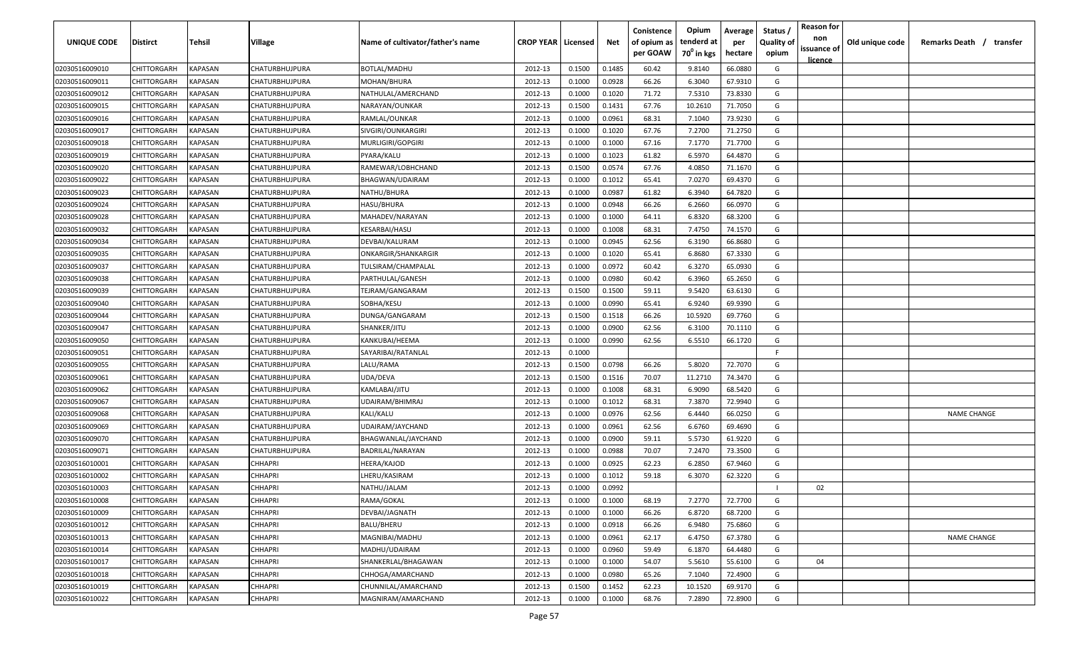| UNIQUE CODE    | <b>Distirct</b> | Tehsil                | <b>Village</b>        | Name of cultivator/father's name          | <b>CROP YEAR   Licensed</b> |        | Net    | Conistence<br>of opium as<br>per GOAW | Opium<br>tenderd at<br>70 <sup>0</sup> in kgs | Average<br>per<br>hectare | Status<br><b>Quality of</b><br>opium | <b>Reason for</b><br>non<br>issuance of | Old unique code | Remarks Death / transfer |
|----------------|-----------------|-----------------------|-----------------------|-------------------------------------------|-----------------------------|--------|--------|---------------------------------------|-----------------------------------------------|---------------------------|--------------------------------------|-----------------------------------------|-----------------|--------------------------|
|                |                 |                       |                       |                                           |                             |        |        |                                       |                                               |                           |                                      | <u>licence</u>                          |                 |                          |
| 02030516009010 | CHITTORGARH     | KAPASAN               | <b>CHATURBHUJPURA</b> | <b>BOTLAL/MADHU</b>                       | 2012-13                     | 0.1500 | 0.1485 | 60.42                                 | 9.8140                                        | 66.0880                   | G                                    |                                         |                 |                          |
| 02030516009011 | CHITTORGARH     | KAPASAN               | CHATURBHUJPURA        | MOHAN/BHURA                               | 2012-13                     | 0.1000 | 0.0928 | 66.26                                 | 6.3040                                        | 67.9310                   | G                                    |                                         |                 |                          |
| 02030516009012 | CHITTORGARH     | KAPASAN               | CHATURBHUJPURA        | NATHULAL/AMERCHAND                        | 2012-13                     | 0.1000 | 0.1020 | 71.72                                 | 7.5310                                        | 73.8330                   | G                                    |                                         |                 |                          |
| 02030516009015 | CHITTORGARH     | KAPASAN               | CHATURBHUJPURA        | NARAYAN/OUNKAR                            | 2012-13                     | 0.1500 | 0.1431 | 67.76                                 | 10.2610                                       | 71.7050                   | G                                    |                                         |                 |                          |
| 02030516009016 | CHITTORGARH     | KAPASAN               | CHATURBHUJPURA        | RAMLAL/OUNKAR                             | 2012-13                     | 0.1000 | 0.0961 | 68.31                                 | 7.1040                                        | 73.9230                   | G                                    |                                         |                 |                          |
| 02030516009017 | CHITTORGARH     | KAPASAN               | CHATURBHUJPURA        | SIVGIRI/OUNKARGIRI                        | 2012-13                     | 0.1000 | 0.1020 | 67.76                                 | 7.2700                                        | 71.2750                   | G                                    |                                         |                 |                          |
| 02030516009018 | CHITTORGARH     | KAPASAN               | CHATURBHUJPURA        | MURLIGIRI/GOPGIRI                         | 2012-13                     | 0.1000 | 0.1000 | 67.16                                 | 7.1770                                        | 71.7700                   | G                                    |                                         |                 |                          |
| 02030516009019 | CHITTORGARH     | KAPASAN               | CHATURBHUJPURA        | PYARA/KALU                                | 2012-13                     | 0.1000 | 0.1023 | 61.82                                 | 6.5970                                        | 64.4870                   | G                                    |                                         |                 |                          |
| 02030516009020 | CHITTORGARH     | KAPASAN               | CHATURBHUJPURA        | RAMEWAR/LOBHCHAND                         | 2012-13                     | 0.1500 | 0.0574 | 67.76                                 | 4.0850                                        | 71.1670                   | G                                    |                                         |                 |                          |
| 02030516009022 | CHITTORGARH     | KAPASAN               | CHATURBHUJPURA        | BHAGWAN/UDAIRAM                           | 2012-13                     | 0.1000 | 0.1012 | 65.41                                 | 7.0270                                        | 69.4370                   | G                                    |                                         |                 |                          |
| 02030516009023 | CHITTORGARH     | KAPASAN               | CHATURBHUJPURA        | NATHU/BHURA                               | 2012-13                     | 0.1000 | 0.0987 | 61.82                                 | 6.3940                                        | 64.7820                   | G                                    |                                         |                 |                          |
| 02030516009024 | CHITTORGARH     | KAPASAN               | CHATURBHUJPURA        | HASU/BHURA                                | 2012-13                     | 0.1000 | 0.0948 | 66.26                                 | 6.2660                                        | 66.0970                   | G                                    |                                         |                 |                          |
| 02030516009028 | CHITTORGARH     | KAPASAN               | CHATURBHUJPURA        | MAHADEV/NARAYAN                           | 2012-13                     | 0.1000 | 0.1000 | 64.11                                 | 6.8320                                        | 68.3200                   | G                                    |                                         |                 |                          |
| 02030516009032 | CHITTORGARH     | KAPASAN               | CHATURBHUJPURA        | KESARBAI/HASU                             | 2012-13                     | 0.1000 | 0.1008 | 68.31                                 | 7.4750                                        | 74.1570                   | G                                    |                                         |                 |                          |
| 02030516009034 | CHITTORGARH     | KAPASAN               | CHATURBHUJPURA        | DEVBAI/KALURAM                            | 2012-13                     | 0.1000 | 0.0945 | 62.56                                 | 6.3190                                        | 66.8680                   | G                                    |                                         |                 |                          |
| 02030516009035 | CHITTORGARH     | KAPASAN               | CHATURBHUJPURA        | ONKARGIR/SHANKARGIR                       | 2012-13                     | 0.1000 | 0.1020 | 65.41                                 | 6.8680                                        | 67.3330                   | G                                    |                                         |                 |                          |
| 02030516009037 | CHITTORGARH     | KAPASAN               | CHATURBHUJPURA        | TULSIRAM/CHAMPALAL                        | 2012-13                     | 0.1000 | 0.0972 | 60.42                                 | 6.3270                                        | 65.0930                   | G                                    |                                         |                 |                          |
| 02030516009038 | CHITTORGARH     | KAPASAN               | CHATURBHUJPURA        | PARTHULAL/GANESH                          | 2012-13                     | 0.1000 | 0.0980 | 60.42                                 | 6.3960                                        | 65.2650                   | G                                    |                                         |                 |                          |
| 02030516009039 | CHITTORGARH     | KAPASAN               | CHATURBHUJPURA        | TEJRAM/GANGARAM                           | 2012-13                     | 0.1500 | 0.1500 | 59.11                                 | 9.5420                                        | 63.6130                   | G                                    |                                         |                 |                          |
| 02030516009040 | CHITTORGARH     | KAPASAN               | CHATURBHUJPURA        | SOBHA/KESU                                | 2012-13                     | 0.1000 | 0.0990 | 65.41                                 | 6.9240                                        | 69.9390                   | G                                    |                                         |                 |                          |
| 02030516009044 | CHITTORGARH     | KAPASAN               | CHATURBHUJPURA        | DUNGA/GANGARAM                            | 2012-13                     | 0.1500 | 0.1518 | 66.26                                 | 10.5920                                       | 69.7760                   | G                                    |                                         |                 |                          |
| 02030516009047 | CHITTORGARH     | KAPASAN               | CHATURBHUJPURA        | SHANKER/JITU                              | 2012-13                     | 0.1000 | 0.0900 | 62.56                                 | 6.3100                                        | 70.1110                   | G                                    |                                         |                 |                          |
| 02030516009050 | CHITTORGARH     | KAPASAN               | CHATURBHUJPURA        | KANKUBAI/HEEMA                            | 2012-13                     | 0.1000 | 0.0990 | 62.56                                 | 6.5510                                        | 66.1720                   | G                                    |                                         |                 |                          |
| 02030516009051 | CHITTORGARH     | KAPASAN               | CHATURBHUJPURA        | SAYARIBAI/RATANLAL                        | 2012-13                     | 0.1000 |        |                                       |                                               |                           | F                                    |                                         |                 |                          |
| 02030516009055 | CHITTORGARH     | KAPASAN               | <b>CHATURBHUJPURA</b> | LALU/RAMA                                 | 2012-13                     | 0.1500 | 0.0798 | 66.26                                 | 5.8020                                        | 72.7070                   | G                                    |                                         |                 |                          |
| 02030516009061 | CHITTORGARH     | KAPASAN               | CHATURBHUJPURA        | UDA/DEVA                                  | 2012-13                     | 0.1500 | 0.1516 | 70.07                                 | 11.2710                                       | 74.3470                   | G                                    |                                         |                 |                          |
| 02030516009062 | CHITTORGARH     | KAPASAN               | CHATURBHUJPURA        | KAMLABAI/JITU                             | 2012-13                     | 0.1000 | 0.1008 | 68.31                                 | 6.9090                                        | 68.5420                   | G                                    |                                         |                 |                          |
| 02030516009067 | CHITTORGARH     | KAPASAN               | CHATURBHUJPURA        | UDAIRAM/BHIMRAJ                           | 2012-13                     | 0.1000 | 0.1012 | 68.31                                 | 7.3870                                        | 72.9940                   | G                                    |                                         |                 |                          |
| 02030516009068 | CHITTORGARH     | KAPASAN               | CHATURBHUJPURA        | KALI/KALU                                 | 2012-13                     | 0.1000 | 0.0976 | 62.56                                 | 6.4440                                        | 66.0250                   | G                                    |                                         |                 | <b>NAME CHANGE</b>       |
| 02030516009069 | CHITTORGARH     | KAPASAN               | CHATURBHUJPURA        | UDAIRAM/JAYCHAND                          | 2012-13                     | 0.1000 | 0.0961 | 62.56                                 | 6.6760                                        | 69.4690                   | G                                    |                                         |                 |                          |
| 02030516009070 | CHITTORGARH     | <b><i>KAPASAN</i></b> | CHATURBHUJPURA        | BHAGWANLAL/JAYCHAND                       | 2012-13                     | 0.1000 | 0.0900 | 59.11                                 | 5.5730                                        | 61.9220                   | G                                    |                                         |                 |                          |
| 02030516009071 | CHITTORGARH     | <b><i>KAPASAN</i></b> | CHATURBHUJPURA        | BADRILAL/NARAYAN                          | 2012-13                     | 0.1000 | 0.0988 | 70.07                                 | 7.2470                                        | 73.3500                   | G                                    |                                         |                 |                          |
| 02030516010001 | CHITTORGARH     | KAPASAN               | <b>CHHAPRI</b>        | HEERA/KAJOD                               | 2012-13                     | 0.1000 | 0.0925 | 62.23                                 | 6.2850                                        | 67.9460                   | G                                    |                                         |                 |                          |
| 02030516010002 | CHITTORGARH     | KAPASAN               | <b>CHHAPRI</b>        | HERU/KASIRAM.                             | 2012-13                     | 0.1000 | 0.1012 | 59.18                                 | 6.3070                                        | 62.3220                   | G                                    |                                         |                 |                          |
| 02030516010003 | CHITTORGARH     | KAPASAN               | <b>CHHAPRI</b>        | NATHU/JALAM                               | 2012-13                     | 0.1000 | 0.0992 |                                       |                                               |                           |                                      | 02                                      |                 |                          |
| 02030516010008 | CHITTORGARH     | <b>KAPASAN</b>        | <b>CHHAPRI</b>        | RAMA/GOKAL                                | 2012-13                     | 0.1000 | 0.1000 | 68.19                                 | 7.2770                                        | 72.7700                   | G                                    |                                         |                 |                          |
| 02030516010009 | CHITTORGARH     | <b>KAPASAN</b>        | <b>CHHAPRI</b>        | DEVBAI/JAGNATH                            | 2012-13                     | 0.1000 | 0.1000 | 66.26                                 | 6.8720                                        | 68.7200                   | G                                    |                                         |                 |                          |
| 02030516010012 | CHITTORGARH     | <b>KAPASAN</b>        | <b>CHHAPRI</b>        | BALU/BHERU                                | 2012-13                     | 0.1000 | 0.0918 | 66.26                                 | 6.9480                                        | 75.6860                   | G                                    |                                         |                 |                          |
| 02030516010013 | CHITTORGARH     | KAPASAN               | <b>CHHAPRI</b>        | MAGNIBAI/MADHU                            | 2012-13                     | 0.1000 | 0.0961 | 62.17                                 | 6.4750                                        | 67.3780                   | G                                    |                                         |                 | <b>NAME CHANGE</b>       |
| 02030516010014 | CHITTORGARH     | KAPASAN               | <b>CHHAPRI</b>        | MADHU/UDAIRAM                             | 2012-13                     | 0.1000 | 0.0960 | 59.49                                 | 6.1870                                        | 64.4480                   | G                                    |                                         |                 |                          |
| 02030516010017 | CHITTORGARH     | KAPASAN               | <b>CHHAPRI</b>        | SHANKERLAL/BHAGAWAN                       | 2012-13                     | 0.1000 | 0.1000 | 54.07                                 | 5.5610                                        | 55.6100                   | G                                    | 04                                      |                 |                          |
| 02030516010018 | CHITTORGARH     | KAPASAN               | <b>CHHAPRI</b>        | CHHOGA/AMARCHAND                          | 2012-13                     | 0.1000 | 0.0980 | 65.26                                 | 7.1040                                        | 72.4900                   | G                                    |                                         |                 |                          |
| 02030516010019 | CHITTORGARH     | KAPASAN               | <b>CHHAPRI</b>        | CHUNNILAL/AMARCHAND<br>MAGNIRAM/AMARCHAND | 2012-13                     | 0.1500 | 0.1452 | 62.23                                 | 10.1520                                       | 69.9170                   | G<br>G                               |                                         |                 |                          |
| 02030516010022 | CHITTORGARH     | KAPASAN               | <b>CHHAPRI</b>        |                                           | 2012-13                     | 0.1000 | 0.1000 | 68.76                                 | 7.2890                                        | 72.8900                   |                                      |                                         |                 |                          |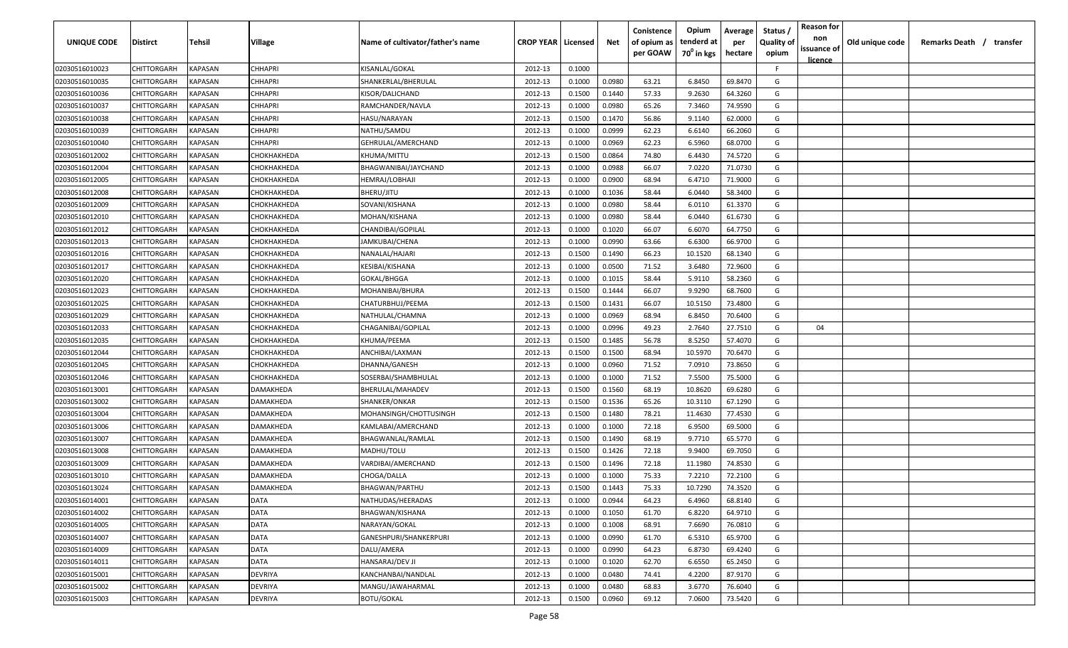| <b>UNIQUE CODE</b> | Distirct           | Tehsil         | Village        | Name of cultivator/father's name | <b>CROP YEAR   Licensed</b> |        | Net    | Conistence<br>of opium as | Opium<br>tenderd at    | Average<br>per | Status /<br><b>Quality of</b> | <b>Reason for</b><br>non      | Old unique code | Remarks Death / transfer |
|--------------------|--------------------|----------------|----------------|----------------------------------|-----------------------------|--------|--------|---------------------------|------------------------|----------------|-------------------------------|-------------------------------|-----------------|--------------------------|
|                    |                    |                |                |                                  |                             |        |        | per GOAW                  | 70 <sup>0</sup> in kgs | hectare        | opium                         | issuance of<br><u>licence</u> |                 |                          |
| 02030516010023     | CHITTORGARH        | <b>KAPASAN</b> | <b>CHHAPRI</b> | KISANLAL/GOKAL                   | 2012-13                     | 0.1000 |        |                           |                        |                | F.                            |                               |                 |                          |
| 02030516010035     | CHITTORGARH        | KAPASAN        | CHHAPRI        | SHANKERLAL/BHERULAL              | 2012-13                     | 0.1000 | 0.0980 | 63.21                     | 6.8450                 | 69.8470        | G                             |                               |                 |                          |
| 02030516010036     | CHITTORGARH        | KAPASAN        | CHHAPRI        | KISOR/DALICHAND                  | 2012-13                     | 0.1500 | 0.1440 | 57.33                     | 9.2630                 | 64.3260        | G                             |                               |                 |                          |
| 02030516010037     | CHITTORGARH        | KAPASAN        | CHHAPRI        | RAMCHANDER/NAVLA                 | 2012-13                     | 0.1000 | 0.0980 | 65.26                     | 7.3460                 | 74.9590        | G                             |                               |                 |                          |
| 02030516010038     | CHITTORGARH        | KAPASAN        | CHHAPRI        | HASU/NARAYAN                     | 2012-13                     | 0.1500 | 0.1470 | 56.86                     | 9.1140                 | 62.0000        | G                             |                               |                 |                          |
| 02030516010039     | CHITTORGARH        | KAPASAN        | CHHAPRI        | NATHU/SAMDU                      | 2012-13                     | 0.1000 | 0.0999 | 62.23                     | 6.6140                 | 66.2060        | G                             |                               |                 |                          |
| 02030516010040     | CHITTORGARH        | KAPASAN        | CHHAPRI        | GEHRULAL/AMERCHAND               | 2012-13                     | 0.1000 | 0.0969 | 62.23                     | 6.5960                 | 68.0700        | G                             |                               |                 |                          |
| 02030516012002     | CHITTORGARH        | KAPASAN        | СНОКНАКНЕDА    | KHUMA/MITTU                      | 2012-13                     | 0.1500 | 0.0864 | 74.80                     | 6.4430                 | 74.5720        | G                             |                               |                 |                          |
| 02030516012004     | CHITTORGARH        | KAPASAN        | СНОКНАКНЕDА    | BHAGWANIBAI/JAYCHAND             | 2012-13                     | 0.1000 | 0.0988 | 66.07                     | 7.0220                 | 71.0730        | G                             |                               |                 |                          |
| 02030516012005     | CHITTORGARH        | KAPASAN        | СНОКНАКНЕDА    | HEMRAJ/LOBHAJI                   | 2012-13                     | 0.1000 | 0.0900 | 68.94                     | 6.4710                 | 71.9000        | G                             |                               |                 |                          |
| 02030516012008     | CHITTORGARH        | KAPASAN        | СНОКНАКНЕDА    | BHERU/JITU                       | 2012-13                     | 0.1000 | 0.1036 | 58.44                     | 6.0440                 | 58.3400        | G                             |                               |                 |                          |
| 02030516012009     | CHITTORGARH        | KAPASAN        | СНОКНАКНЕDА    | SOVANI/KISHANA                   | 2012-13                     | 0.1000 | 0.0980 | 58.44                     | 6.0110                 | 61.3370        | G                             |                               |                 |                          |
| 02030516012010     | CHITTORGARH        | KAPASAN        | СНОКНАКНЕDА    | MOHAN/KISHANA                    | 2012-13                     | 0.1000 | 0.0980 | 58.44                     | 6.0440                 | 61.6730        | G                             |                               |                 |                          |
| 02030516012012     | CHITTORGARH        | KAPASAN        | СНОКНАКНЕDА    | CHANDIBAI/GOPILAL                | 2012-13                     | 0.1000 | 0.1020 | 66.07                     | 6.6070                 | 64.7750        | G                             |                               |                 |                          |
| 02030516012013     | CHITTORGARH        | KAPASAN        | СНОКНАКНЕDА    | JAMKUBAI/CHENA                   | 2012-13                     | 0.1000 | 0.0990 | 63.66                     | 6.6300                 | 66.9700        | G                             |                               |                 |                          |
| 02030516012016     | CHITTORGARH        | KAPASAN        | СНОКНАКНЕDА    | NANALAL/HAJARI                   | 2012-13                     | 0.1500 | 0.1490 | 66.23                     | 10.1520                | 68.1340        | G                             |                               |                 |                          |
| 02030516012017     | CHITTORGARH        | KAPASAN        | СНОКНАКНЕDА    | KESIBAI/KISHANA                  | 2012-13                     | 0.1000 | 0.0500 | 71.52                     | 3.6480                 | 72.9600        | G                             |                               |                 |                          |
| 02030516012020     | CHITTORGARH        | KAPASAN        | СНОКНАКНЕDА    | GOKAL/BHGGA                      | 2012-13                     | 0.1000 | 0.1015 | 58.44                     | 5.9110                 | 58.2360        | G                             |                               |                 |                          |
| 02030516012023     | CHITTORGARH        | KAPASAN        | СНОКНАКНЕDА    | MOHANIBAI/BHURA                  | 2012-13                     | 0.1500 | 0.1444 | 66.07                     | 9.9290                 | 68.7600        | G                             |                               |                 |                          |
| 02030516012025     | CHITTORGARH        | KAPASAN        | СНОКНАКНЕDА    | CHATURBHUJ/PEEMA                 | 2012-13                     | 0.1500 | 0.1431 | 66.07                     | 10.5150                | 73.4800        | G                             |                               |                 |                          |
| 02030516012029     | CHITTORGARH        | KAPASAN        | СНОКНАКНЕDА    | NATHULAL/CHAMNA                  | 2012-13                     | 0.1000 | 0.0969 | 68.94                     | 6.8450                 | 70.6400        | G                             |                               |                 |                          |
| 02030516012033     | CHITTORGARH        | KAPASAN        | СНОКНАКНЕDА    | CHAGANIBAI/GOPILAL               | 2012-13                     | 0.1000 | 0.0996 | 49.23                     | 2.7640                 | 27.7510        | G                             | 04                            |                 |                          |
| 02030516012035     | CHITTORGARH        | KAPASAN        | СНОКНАКНЕDА    | KHUMA/PEEMA                      | 2012-13                     | 0.1500 | 0.1485 | 56.78                     | 8.5250                 | 57.4070        | G                             |                               |                 |                          |
| 02030516012044     | CHITTORGARH        | KAPASAN        | СНОКНАКНЕDА    | ANCHIBAI/LAXMAN                  | 2012-13                     | 0.1500 | 0.1500 | 68.94                     | 10.5970                | 70.6470        | G                             |                               |                 |                          |
| 02030516012045     | CHITTORGARH        | KAPASAN        | СНОКНАКНЕDА    | DHANNA/GANESH                    | 2012-13                     | 0.1000 | 0.0960 | 71.52                     | 7.0910                 | 73.8650        | G                             |                               |                 |                          |
| 02030516012046     | CHITTORGARH        | KAPASAN        | СНОКНАКНЕDА    | SOSERBAI/SHAMBHULAL              | 2012-13                     | 0.1000 | 0.1000 | 71.52                     | 7.5500                 | 75.5000        | G                             |                               |                 |                          |
| 02030516013001     | CHITTORGARH        | KAPASAN        | DAMAKHEDA      | BHERULAL/MAHADEV                 | 2012-13                     | 0.1500 | 0.1560 | 68.19                     | 10.8620                | 69.6280        | G                             |                               |                 |                          |
| 02030516013002     | CHITTORGARH        | KAPASAN        | )AMAKHEDA      | SHANKER/ONKAR                    | 2012-13                     | 0.1500 | 0.1536 | 65.26                     | 10.3110                | 67.1290        | G                             |                               |                 |                          |
| 02030516013004     | CHITTORGARH        | KAPASAN        | DAMAKHEDA      | MOHANSINGH/CHOTTUSINGH           | 2012-13                     | 0.1500 | 0.1480 | 78.21                     | 11.4630                | 77.4530        | G                             |                               |                 |                          |
| 02030516013006     | CHITTORGARH        | KAPASAN        | DAMAKHEDA      | KAMLABAI/AMERCHAND               | 2012-13                     | 0.1000 | 0.1000 | 72.18                     | 6.9500                 | 69.5000        | G                             |                               |                 |                          |
| 02030516013007     | CHITTORGARH        | KAPASAN        | DAMAKHEDA      | BHAGWANLAL/RAMLAL                | 2012-13                     | 0.1500 | 0.1490 | 68.19                     | 9.7710                 | 65.5770        | G                             |                               |                 |                          |
| 02030516013008     | CHITTORGARH        | KAPASAN        | DAMAKHEDA      | MADHU/TOLU                       | 2012-13                     | 0.1500 | 0.1426 | 72.18                     | 9.9400                 | 69.7050        | G                             |                               |                 |                          |
| 02030516013009     | CHITTORGARH        | KAPASAN        | DAMAKHEDA      | VARDIBAI/AMERCHAND               | 2012-13                     | 0.1500 | 0.1496 | 72.18                     | 11.1980                | 74.8530        | G                             |                               |                 |                          |
| 02030516013010     | CHITTORGARH        | KAPASAN        | DAMAKHEDA      | CHOGA/DALLA                      | 2012-13                     | 0.1000 | 0.1000 | 75.33                     | 7.2210                 | 72.2100        | G                             |                               |                 |                          |
| 02030516013024     | CHITTORGARH        | KAPASAN        | DAMAKHEDA      | BHAGWAN/PARTHU                   | 2012-13                     | 0.1500 | 0.1443 | 75.33                     | 10.7290                | 74.3520        | G                             |                               |                 |                          |
| 02030516014001     | <b>CHITTORGARH</b> | KAPASAN        | <b>DATA</b>    | NATHUDAS/HEERADAS                | 2012-13                     | 0.1000 | 0.0944 | 64.23                     | 6.4960                 | 68.8140        | G                             |                               |                 |                          |
| 02030516014002     | CHITTORGARH        | <b>KAPASAN</b> | DATA           | BHAGWAN/KISHANA                  | 2012-13                     | 0.1000 | 0.1050 | 61.70                     | 6.8220                 | 64.9710        | G                             |                               |                 |                          |
| 02030516014005     | CHITTORGARH        | <b>KAPASAN</b> | <b>DATA</b>    | NARAYAN/GOKAL                    | 2012-13                     | 0.1000 | 0.1008 | 68.91                     | 7.6690                 | 76.0810        | G                             |                               |                 |                          |
| 02030516014007     | <b>CHITTORGARH</b> | <b>KAPASAN</b> | <b>DATA</b>    | GANESHPURI/SHANKERPURI           | 2012-13                     | 0.1000 | 0.0990 | 61.70                     | 6.5310                 | 65.9700        | G                             |                               |                 |                          |
| 02030516014009     | CHITTORGARH        | KAPASAN        | DATA           | DALU/AMERA                       | 2012-13                     | 0.1000 | 0.0990 | 64.23                     | 6.8730                 | 69.4240        | G                             |                               |                 |                          |
| 02030516014011     | CHITTORGARH        | KAPASAN        | <b>DATA</b>    | HANSARAJ/DEV JI                  | 2012-13                     | 0.1000 | 0.1020 | 62.70                     | 6.6550                 | 65.2450        | G                             |                               |                 |                          |
| 02030516015001     | CHITTORGARH        | KAPASAN        | DEVRIYA        | KANCHANBAI/NANDLAL               | 2012-13                     | 0.1000 | 0.0480 | 74.41                     | 4.2200                 | 87.9170        | G                             |                               |                 |                          |
| 02030516015002     | CHITTORGARH        | KAPASAN        | DEVRIYA        | MANGU/JAWAHARMAL                 | 2012-13                     | 0.1000 | 0.0480 | 68.83                     | 3.6770                 | 76.6040        | G                             |                               |                 |                          |
| 02030516015003     | <b>CHITTORGARH</b> | KAPASAN        | DEVRIYA        | BOTU/GOKAL                       | 2012-13                     | 0.1500 | 0.0960 | 69.12                     | 7.0600                 | 73.5420        | G                             |                               |                 |                          |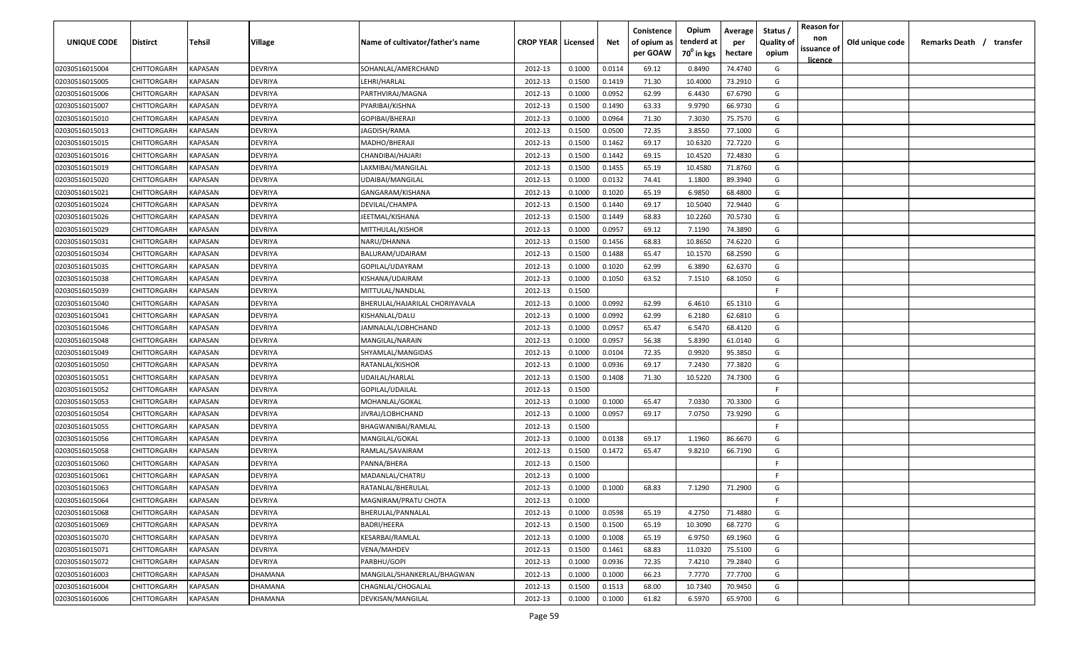| UNIQUE CODE                      | Distirct                   | Tehsil                    | Village            | Name of cultivator/father's name    | <b>CROP YEAR   Licensed</b> |                  | Net              | Conistence<br>of opium as<br>per GOAW | Opium<br>tenderd at<br>$70^0$ in kgs | Average<br>per<br>hectare | Status /<br><b>Quality of</b><br>opium | <b>Reason for</b><br>non<br>issuance of | Old unique code | Remarks Death /<br>transfer |
|----------------------------------|----------------------------|---------------------------|--------------------|-------------------------------------|-----------------------------|------------------|------------------|---------------------------------------|--------------------------------------|---------------------------|----------------------------------------|-----------------------------------------|-----------------|-----------------------------|
|                                  |                            |                           |                    |                                     |                             |                  |                  |                                       |                                      |                           |                                        | <u>licence</u>                          |                 |                             |
| 02030516015004                   | CHITTORGARH                | KAPASAN                   | DEVRIYA            | SOHANLAL/AMERCHAND                  | 2012-13                     | 0.1000           | 0.0114           | 69.12                                 | 0.8490                               | 74.4740                   | G                                      |                                         |                 |                             |
| 02030516015005                   | CHITTORGARH                | KAPASAN<br><b>KAPASAN</b> | DEVRIYA            | LEHRI/HARLAL                        | 2012-13                     | 0.1500           | 0.1419           | 71.30                                 | 10.4000<br>6.4430                    | 73.2910                   | G<br>G                                 |                                         |                 |                             |
| 02030516015006                   | CHITTORGARH<br>CHITTORGARH | KAPASAN                   | DEVRIYA<br>DEVRIYA | PARTHVIRAJ/MAGNA<br>PYARIBAI/KISHNA | 2012-13<br>2012-13          | 0.1000           | 0.0952           | 62.99<br>63.33                        | 9.9790                               | 67.6790<br>66.9730        | G                                      |                                         |                 |                             |
| 02030516015007<br>02030516015010 | CHITTORGARH                | KAPASAN                   | DEVRIYA            | GOPIBAI/BHERAJI                     | 2012-13                     | 0.1500<br>0.1000 | 0.1490<br>0.0964 | 71.30                                 | 7.3030                               | 75.7570                   | G                                      |                                         |                 |                             |
| 02030516015013                   | CHITTORGARH                | KAPASAN                   | DEVRIYA            | JAGDISH/RAMA                        | 2012-13                     | 0.1500           | 0.0500           | 72.35                                 | 3.8550                               | 77.1000                   | G                                      |                                         |                 |                             |
| 02030516015015                   | CHITTORGARH                | KAPASAN                   | DEVRIYA            | MADHO/BHERAJI                       | 2012-13                     | 0.1500           | 0.1462           | 69.17                                 | 10.6320                              | 72.7220                   | G                                      |                                         |                 |                             |
| 02030516015016                   | CHITTORGARH                | KAPASAN                   | DEVRIYA            | CHANDIBAI/HAJARI                    | 2012-13                     | 0.1500           | 0.1442           | 69.15                                 | 10.4520                              | 72.4830                   | G                                      |                                         |                 |                             |
| 02030516015019                   | CHITTORGARH                | KAPASAN                   | DEVRIYA            | LAXMIBAI/MANGILAL                   | 2012-13                     | 0.1500           | 0.1455           | 65.19                                 | 10.4580                              | 71.8760                   | G                                      |                                         |                 |                             |
| 02030516015020                   | CHITTORGARH                | KAPASAN                   | DEVRIYA            | UDAIBAI/MANGILAL                    | 2012-13                     | 0.1000           | 0.0132           | 74.41                                 | 1.1800                               | 89.3940                   | G                                      |                                         |                 |                             |
| 02030516015021                   | CHITTORGARH                | KAPASAN                   | DEVRIYA            | GANGARAM/KISHANA                    | 2012-13                     | 0.1000           | 0.1020           | 65.19                                 | 6.9850                               | 68.4800                   | G                                      |                                         |                 |                             |
| 02030516015024                   | CHITTORGARH                | KAPASAN                   | DEVRIYA            | DEVILAL/CHAMPA                      | 2012-13                     | 0.1500           | 0.1440           | 69.17                                 | 10.5040                              | 72.9440                   | G                                      |                                         |                 |                             |
| 02030516015026                   | CHITTORGARH                | KAPASAN                   | DEVRIYA            | JEETMAL/KISHANA                     | 2012-13                     | 0.1500           | 0.1449           | 68.83                                 | 10.2260                              | 70.5730                   | G                                      |                                         |                 |                             |
| 02030516015029                   | CHITTORGARH                | KAPASAN                   | DEVRIYA            | MITTHULAL/KISHOR                    | 2012-13                     | 0.1000           | 0.0957           | 69.12                                 | 7.1190                               | 74.3890                   | G                                      |                                         |                 |                             |
| 02030516015031                   | CHITTORGARH                | KAPASAN                   | DEVRIYA            | NARU/DHANNA                         | 2012-13                     | 0.1500           | 0.1456           | 68.83                                 | 10.8650                              | 74.6220                   | G                                      |                                         |                 |                             |
| 02030516015034                   | CHITTORGARH                | KAPASAN                   | DEVRIYA            | BALURAM/UDAIRAM                     | 2012-13                     | 0.1500           | 0.1488           | 65.47                                 | 10.1570                              | 68.2590                   | G                                      |                                         |                 |                             |
| 02030516015035                   | CHITTORGARH                | KAPASAN                   | DEVRIYA            | GOPILAL/UDAYRAM                     | 2012-13                     | 0.1000           | 0.1020           | 62.99                                 | 6.3890                               | 62.6370                   | G                                      |                                         |                 |                             |
| 02030516015038                   | CHITTORGARH                | KAPASAN                   | DEVRIYA            | KISHANA/UDAIRAM                     | 2012-13                     | 0.1000           | 0.1050           | 63.52                                 | 7.1510                               | 68.1050                   | G                                      |                                         |                 |                             |
| 02030516015039                   | CHITTORGARH                | KAPASAN                   | DEVRIYA            | MITTULAL/NANDLAL                    | 2012-13                     | 0.1500           |                  |                                       |                                      |                           | F.                                     |                                         |                 |                             |
| 02030516015040                   | CHITTORGARH                | KAPASAN                   | DEVRIYA            | BHERULAL/HAJARILAL CHORIYAVALA      | 2012-13                     | 0.1000           | 0.0992           | 62.99                                 | 6.4610                               | 65.1310                   | G                                      |                                         |                 |                             |
| 02030516015041                   | CHITTORGARH                | <b>KAPASAN</b>            | DEVRIYA            | KISHANLAL/DALU                      | 2012-13                     | 0.1000           | 0.0992           | 62.99                                 | 6.2180                               | 62.6810                   | G                                      |                                         |                 |                             |
| 02030516015046                   | CHITTORGARH                | KAPASAN                   | DEVRIYA            | JAMNALAL/LOBHCHAND                  | 2012-13                     | 0.1000           | 0.0957           | 65.47                                 | 6.5470                               | 68.4120                   | G                                      |                                         |                 |                             |
| 02030516015048                   | CHITTORGARH                | KAPASAN                   | DEVRIYA            | MANGILAL/NARAIN                     | 2012-13                     | 0.1000           | 0.0957           | 56.38                                 | 5.8390                               | 61.0140                   | G                                      |                                         |                 |                             |
| 02030516015049                   | CHITTORGARH                | KAPASAN                   | DEVRIYA            | SHYAMLAL/MANGIDAS                   | 2012-13                     | 0.1000           | 0.0104           | 72.35                                 | 0.9920                               | 95.3850                   | G                                      |                                         |                 |                             |
| 02030516015050                   | CHITTORGARH                | KAPASAN                   | DEVRIYA            | RATANLAL/KISHOR                     | 2012-13                     | 0.1000           | 0.0936           | 69.17                                 | 7.2430                               | 77.3820                   | G                                      |                                         |                 |                             |
| 02030516015051                   | CHITTORGARH                | KAPASAN                   | DEVRIYA            | UDAILAL/HARLAL                      | 2012-13                     | 0.1500           | 0.1408           | 71.30                                 | 10.5220                              | 74.7300                   | G                                      |                                         |                 |                             |
| 02030516015052                   | CHITTORGARH                | KAPASAN                   | DEVRIYA            | GOPILAL/UDAILAL                     | 2012-13                     | 0.1500           |                  |                                       |                                      |                           | F.                                     |                                         |                 |                             |
| 02030516015053                   | CHITTORGARH                | KAPASAN                   | DEVRIYA            | MOHANLAL/GOKAL                      | 2012-13                     | 0.1000           | 0.1000           | 65.47                                 | 7.0330                               | 70.3300                   | G                                      |                                         |                 |                             |
| 02030516015054                   | CHITTORGARH                | KAPASAN                   | DEVRIYA            | JIVRAJ/LOBHCHAND                    | 2012-13                     | 0.1000           | 0.0957           | 69.17                                 | 7.0750                               | 73.9290                   | G                                      |                                         |                 |                             |
| 02030516015055                   | CHITTORGARH                | KAPASAN                   | DEVRIYA            | BHAGWANIBAI/RAMLAL                  | 2012-13                     | 0.1500           |                  |                                       |                                      |                           | F.                                     |                                         |                 |                             |
| 02030516015056                   | CHITTORGARH                | KAPASAN                   | DEVRIYA            | MANGILAL/GOKAL                      | 2012-13                     | 0.1000           | 0.0138           | 69.17                                 | 1.1960                               | 86.6670                   | G                                      |                                         |                 |                             |
| 02030516015058                   | CHITTORGARH                | KAPASAN                   | DEVRIYA            | RAMLAL/SAVAIRAM                     | 2012-13                     | 0.1500           | 0.1472           | 65.47                                 | 9.8210                               | 66.7190                   | G                                      |                                         |                 |                             |
| 02030516015060                   | CHITTORGARH                | KAPASAN                   | DEVRIYA            | PANNA/BHERA                         | 2012-13                     | 0.1500           |                  |                                       |                                      |                           | -F                                     |                                         |                 |                             |
| 02030516015061                   | CHITTORGARH                | <b>KAPASAN</b>            | DEVRIYA            | MADANLAL/CHATRU                     | 2012-13                     | 0.1000           |                  |                                       |                                      |                           | F.                                     |                                         |                 |                             |
| 02030516015063                   | CHITTORGARH                | <b>KAPASAN</b>            | DEVRIYA            | RATANLAL/BHERULAL                   | 2012-13                     | 0.1000           | 0.1000           | 68.83                                 | 7.1290                               | 71.2900                   | G                                      |                                         |                 |                             |
| 02030516015064                   | CHITTORGARH                | <b>KAPASAN</b>            | DEVRIYA            | MAGNIRAM/PRATU CHOTA                | 2012-13                     | 0.1000           |                  |                                       |                                      |                           | F.                                     |                                         |                 |                             |
| 02030516015068                   | CHITTORGARH                | <b>KAPASAN</b>            | DEVRIYA            | BHERULAL/PANNALAL                   | 2012-13                     | 0.1000           | 0.0598           | 65.19                                 | 4.2750                               | 71.4880                   | G                                      |                                         |                 |                             |
| 02030516015069                   | CHITTORGARH                | <b>KAPASAN</b>            | DEVRIYA            | BADRI/HEERA                         | 2012-13                     | 0.1500           | 0.1500           | 65.19                                 | 10.3090                              | 68.7270                   | G                                      |                                         |                 |                             |
| 02030516015070                   | CHITTORGARH                | KAPASAN                   | DEVRIYA            | KESARBAI/RAMLAL                     | 2012-13                     | 0.1000           | 0.1008           | 65.19                                 | 6.9750                               | 69.1960                   | G                                      |                                         |                 |                             |
| 02030516015071                   | CHITTORGARH                | KAPASAN                   | DEVRIYA            | VENA/MAHDEV                         | 2012-13                     | 0.1500           | 0.1461           | 68.83                                 | 11.0320                              | 75.5100                   | G                                      |                                         |                 |                             |
| 02030516015072                   | CHITTORGARH                | KAPASAN                   | DEVRIYA            | PARBHU/GOPI                         | 2012-13                     | 0.1000           | 0.0936           | 72.35                                 | 7.4210                               | 79.2840                   | G                                      |                                         |                 |                             |
| 02030516016003                   | CHITTORGARH                | KAPASAN                   | DHAMANA            | MANGILAL/SHANKERLAL/BHAGWAN         | 2012-13                     | 0.1000           | 0.1000           | 66.23                                 | 7.7770                               | 77.7700                   | G                                      |                                         |                 |                             |
| 02030516016004                   | CHITTORGARH                | KAPASAN                   | DHAMANA            | CHAGNLAL/CHOGALAL                   | 2012-13                     | 0.1500           | 0.1513           | 68.00                                 | 10.7340                              | 70.9450                   | G                                      |                                         |                 |                             |
| 02030516016006                   | CHITTORGARH                | <b>KAPASAN</b>            | DHAMANA            | DEVKISAN/MANGILAL                   | 2012-13                     | 0.1000           | 0.1000           | 61.82                                 | 6.5970                               | 65.9700                   | G                                      |                                         |                 |                             |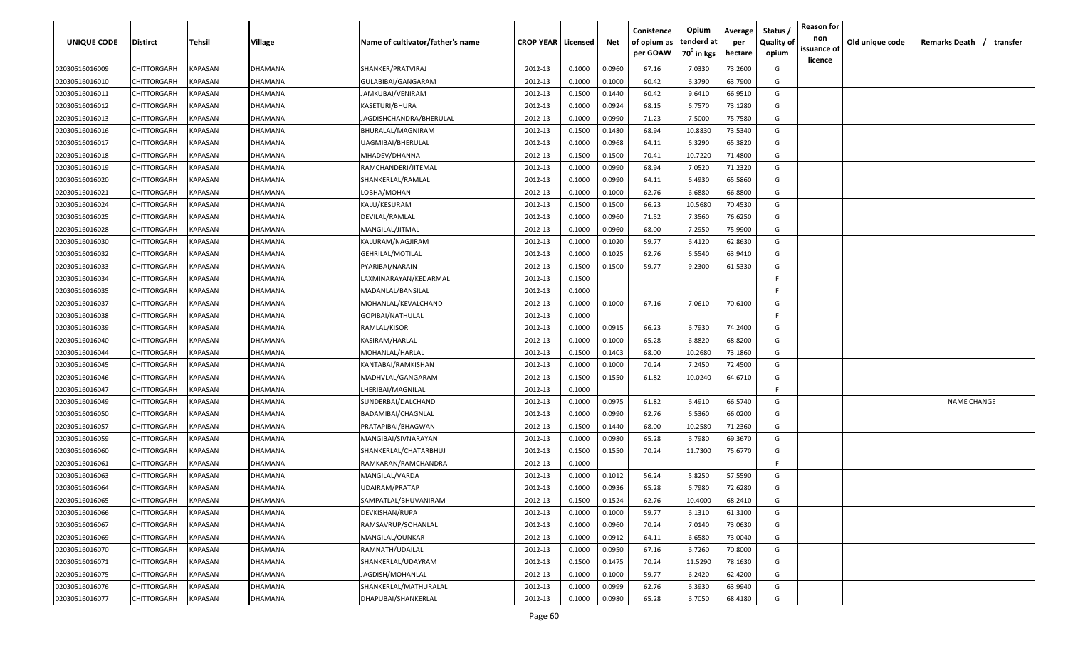| <b>UNIQUE CODE</b> | Distirct           | Tehsil         | Village | Name of cultivator/father's name | <b>CROP YEAR   Licensed</b> |        | Net    | Conistence<br>of opium as | Opium<br>tenderd at    | Average<br>per | Status /<br><b>Quality of</b> | <b>Reason for</b><br>non      | Old unique code | Remarks Death / transfer |
|--------------------|--------------------|----------------|---------|----------------------------------|-----------------------------|--------|--------|---------------------------|------------------------|----------------|-------------------------------|-------------------------------|-----------------|--------------------------|
|                    |                    |                |         |                                  |                             |        |        | per GOAW                  | 70 <sup>0</sup> in kgs | hectare        | opium                         | issuance of<br><u>licence</u> |                 |                          |
| 02030516016009     | CHITTORGARH        | <b>KAPASAN</b> | DHAMANA | SHANKER/PRATVIRAJ                | 2012-13                     | 0.1000 | 0.0960 | 67.16                     | 7.0330                 | 73.2600        | G                             |                               |                 |                          |
| 02030516016010     | CHITTORGARH        | KAPASAN        | DHAMANA | GULABIBAI/GANGARAM               | 2012-13                     | 0.1000 | 0.1000 | 60.42                     | 6.3790                 | 63.7900        | G                             |                               |                 |                          |
| 02030516016011     | CHITTORGARH        | KAPASAN        | DHAMANA | JAMKUBAI/VENIRAM                 | 2012-13                     | 0.1500 | 0.1440 | 60.42                     | 9.6410                 | 66.9510        | G                             |                               |                 |                          |
| 02030516016012     | CHITTORGARH        | KAPASAN        | DHAMANA | KASETURI/BHURA                   | 2012-13                     | 0.1000 | 0.0924 | 68.15                     | 6.7570                 | 73.1280        | G                             |                               |                 |                          |
| 02030516016013     | CHITTORGARH        | KAPASAN        | DHAMANA | JAGDISHCHANDRA/BHERULAL          | 2012-13                     | 0.1000 | 0.0990 | 71.23                     | 7.5000                 | 75.7580        | G                             |                               |                 |                          |
| 02030516016016     | CHITTORGARH        | KAPASAN        | DHAMANA | BHURALAL/MAGNIRAM                | 2012-13                     | 0.1500 | 0.1480 | 68.94                     | 10.8830                | 73.5340        | G                             |                               |                 |                          |
| 02030516016017     | CHITTORGARH        | KAPASAN        | DHAMANA | UAGMIBAI/BHERULAL                | 2012-13                     | 0.1000 | 0.0968 | 64.11                     | 6.3290                 | 65.3820        | G                             |                               |                 |                          |
| 02030516016018     | CHITTORGARH        | KAPASAN        | DHAMANA | MHADEV/DHANNA                    | 2012-13                     | 0.1500 | 0.1500 | 70.41                     | 10.7220                | 71.4800        | G                             |                               |                 |                          |
| 02030516016019     | CHITTORGARH        | KAPASAN        | DHAMANA | RAMCHANDERI/JITEMAL              | 2012-13                     | 0.1000 | 0.0990 | 68.94                     | 7.0520                 | 71.2320        | G                             |                               |                 |                          |
| 02030516016020     | CHITTORGARH        | KAPASAN        | DHAMANA | SHANKERLAL/RAMLAL                | 2012-13                     | 0.1000 | 0.0990 | 64.11                     | 6.4930                 | 65.5860        | G                             |                               |                 |                          |
| 02030516016021     | CHITTORGARH        | KAPASAN        | )HAMANA | LOBHA/MOHAN                      | 2012-13                     | 0.1000 | 0.1000 | 62.76                     | 6.6880                 | 66.8800        | G                             |                               |                 |                          |
| 02030516016024     | CHITTORGARH        | KAPASAN        | DHAMANA | KALU/KESURAM                     | 2012-13                     | 0.1500 | 0.1500 | 66.23                     | 10.5680                | 70.4530        | G                             |                               |                 |                          |
| 02030516016025     | CHITTORGARH        | KAPASAN        | DHAMANA | DEVILAL/RAMLAL                   | 2012-13                     | 0.1000 | 0.0960 | 71.52                     | 7.3560                 | 76.6250        | G                             |                               |                 |                          |
| 02030516016028     | CHITTORGARH        | KAPASAN        | DHAMANA | MANGILAL/JITMAL                  | 2012-13                     | 0.1000 | 0.0960 | 68.00                     | 7.2950                 | 75.9900        | G                             |                               |                 |                          |
| 02030516016030     | CHITTORGARH        | KAPASAN        | DHAMANA | KALURAM/NAGJIRAM                 | 2012-13                     | 0.1000 | 0.1020 | 59.77                     | 6.4120                 | 62.8630        | G                             |                               |                 |                          |
| 02030516016032     | CHITTORGARH        | KAPASAN        | DHAMANA | GEHRILAL/MOTILAL                 | 2012-13                     | 0.1000 | 0.1025 | 62.76                     | 6.5540                 | 63.9410        | G                             |                               |                 |                          |
| 02030516016033     | CHITTORGARH        | KAPASAN        | DHAMANA | PYARIBAI/NARAIN                  | 2012-13                     | 0.1500 | 0.1500 | 59.77                     | 9.2300                 | 61.5330        | G                             |                               |                 |                          |
| 02030516016034     | CHITTORGARH        | KAPASAN        | DHAMANA | LAXMINARAYAN/KEDARMAL            | 2012-13                     | 0.1500 |        |                           |                        |                | F                             |                               |                 |                          |
| 02030516016035     | CHITTORGARH        | KAPASAN        | DHAMANA | MADANLAL/BANSILAL                | 2012-13                     | 0.1000 |        |                           |                        |                | F.                            |                               |                 |                          |
| 02030516016037     | CHITTORGARH        | KAPASAN        | DHAMANA | MOHANLAL/KEVALCHAND              | 2012-13                     | 0.1000 | 0.1000 | 67.16                     | 7.0610                 | 70.6100        | G                             |                               |                 |                          |
| 02030516016038     | CHITTORGARH        | KAPASAN        | DHAMANA | GOPIBAI/NATHULAL                 | 2012-13                     | 0.1000 |        |                           |                        |                | -F.                           |                               |                 |                          |
| 02030516016039     | CHITTORGARH        | KAPASAN        | DHAMANA | RAMLAL/KISOR                     | 2012-13                     | 0.1000 | 0.0915 | 66.23                     | 6.7930                 | 74.2400        | G                             |                               |                 |                          |
| 02030516016040     | CHITTORGARH        | KAPASAN        | DHAMANA | KASIRAM/HARLAL                   | 2012-13                     | 0.1000 | 0.1000 | 65.28                     | 6.8820                 | 68.8200        | G                             |                               |                 |                          |
| 02030516016044     | CHITTORGARH        | KAPASAN        | DHAMANA | MOHANLAL/HARLAL                  | 2012-13                     | 0.1500 | 0.1403 | 68.00                     | 10.2680                | 73.1860        | G                             |                               |                 |                          |
| 02030516016045     | CHITTORGARH        | KAPASAN        | DHAMANA | KANTABAI/RAMKISHAN               | 2012-13                     | 0.1000 | 0.1000 | 70.24                     | 7.2450                 | 72.4500        | G                             |                               |                 |                          |
| 02030516016046     | CHITTORGARH        | KAPASAN        | DHAMANA | MADHVLAL/GANGARAM                | 2012-13                     | 0.1500 | 0.1550 | 61.82                     | 10.0240                | 64.6710        | G                             |                               |                 |                          |
| 02030516016047     | CHITTORGARH        | KAPASAN        | DHAMANA | LHERIBAI/MAGNILAL                | 2012-13                     | 0.1000 |        |                           |                        |                | -F.                           |                               |                 |                          |
| 02030516016049     | CHITTORGARH        | KAPASAN        | )HAMANA | SUNDERBAI/DALCHAND               | 2012-13                     | 0.1000 | 0.0975 | 61.82                     | 6.4910                 | 66.5740        | G                             |                               |                 | <b>NAME CHANGE</b>       |
| 02030516016050     | CHITTORGARH        | KAPASAN        | DHAMANA | BADAMIBAI/CHAGNLAL               | 2012-13                     | 0.1000 | 0.0990 | 62.76                     | 6.5360                 | 66.0200        | G                             |                               |                 |                          |
| 02030516016057     | CHITTORGARH        | KAPASAN        | DHAMANA | PRATAPIBAI/BHAGWAN               | 2012-13                     | 0.1500 | 0.1440 | 68.00                     | 10.2580                | 71.2360        | G                             |                               |                 |                          |
| 02030516016059     | CHITTORGARH        | KAPASAN        | DHAMANA | MANGIBAI/SIVNARAYAN              | 2012-13                     | 0.1000 | 0.0980 | 65.28                     | 6.7980                 | 69.3670        | G                             |                               |                 |                          |
| 02030516016060     | CHITTORGARH        | KAPASAN        | DHAMANA | SHANKERLAL/CHATARBHUJ            | 2012-13                     | 0.1500 | 0.1550 | 70.24                     | 11.7300                | 75.6770        | G                             |                               |                 |                          |
| 02030516016061     | CHITTORGARH        | KAPASAN        | DHAMANA | RAMKARAN/RAMCHANDRA              | 2012-13                     | 0.1000 |        |                           |                        |                | -F                            |                               |                 |                          |
| 02030516016063     | CHITTORGARH        | KAPASAN        | DHAMANA | MANGILAL/VARDA                   | 2012-13                     | 0.1000 | 0.1012 | 56.24                     | 5.8250                 | 57.5590        | G                             |                               |                 |                          |
| 02030516016064     | CHITTORGARH        | KAPASAN        | DHAMANA | UDAIRAM/PRATAP                   | 2012-13                     | 0.1000 | 0.0936 | 65.28                     | 6.7980                 | 72.6280        | G                             |                               |                 |                          |
| 02030516016065     | <b>CHITTORGARH</b> | KAPASAN        | DHAMANA | SAMPATLAL/BHUVANIRAM             | 2012-13                     | 0.1500 | 0.1524 | 62.76                     | 10.4000                | 68.2410        | G                             |                               |                 |                          |
| 02030516016066     | <b>CHITTORGARH</b> | <b>KAPASAN</b> | DHAMANA | DEVKISHAN/RUPA                   | 2012-13                     | 0.1000 | 0.1000 | 59.77                     | 6.1310                 | 61.3100        | G                             |                               |                 |                          |
| 02030516016067     | CHITTORGARH        | <b>KAPASAN</b> | DHAMANA | RAMSAVRUP/SOHANLAL               | 2012-13                     | 0.1000 | 0.0960 | 70.24                     | 7.0140                 | 73.0630        | G                             |                               |                 |                          |
| 02030516016069     | <b>CHITTORGARH</b> | <b>KAPASAN</b> | DHAMANA | MANGILAL/OUNKAR                  | 2012-13                     | 0.1000 | 0.0912 | 64.11                     | 6.6580                 | 73.0040        | G                             |                               |                 |                          |
| 02030516016070     | CHITTORGARH        | KAPASAN        | DHAMANA | RAMNATH/UDAILAL                  | 2012-13                     | 0.1000 | 0.0950 | 67.16                     | 6.7260                 | 70.8000        | G                             |                               |                 |                          |
| 02030516016071     | CHITTORGARH        | KAPASAN        | DHAMANA | SHANKERLAL/UDAYRAM               | 2012-13                     | 0.1500 | 0.1475 | 70.24                     | 11.5290                | 78.1630        | G                             |                               |                 |                          |
| 02030516016075     | CHITTORGARH        | KAPASAN        | DHAMANA | JAGDISH/MOHANLAL                 | 2012-13                     | 0.1000 | 0.1000 | 59.77                     | 6.2420                 | 62.4200        | G                             |                               |                 |                          |
| 02030516016076     | CHITTORGARH        | KAPASAN        | DHAMANA | SHANKERLAL/MATHURALAL            | 2012-13                     | 0.1000 | 0.0999 | 62.76                     | 6.3930                 | 63.9940        | G                             |                               |                 |                          |
| 02030516016077     | <b>CHITTORGARH</b> | KAPASAN        | DHAMANA | DHAPUBAI/SHANKERLAL              | 2012-13                     | 0.1000 | 0.0980 | 65.28                     | 6.7050                 | 68.4180        | G                             |                               |                 |                          |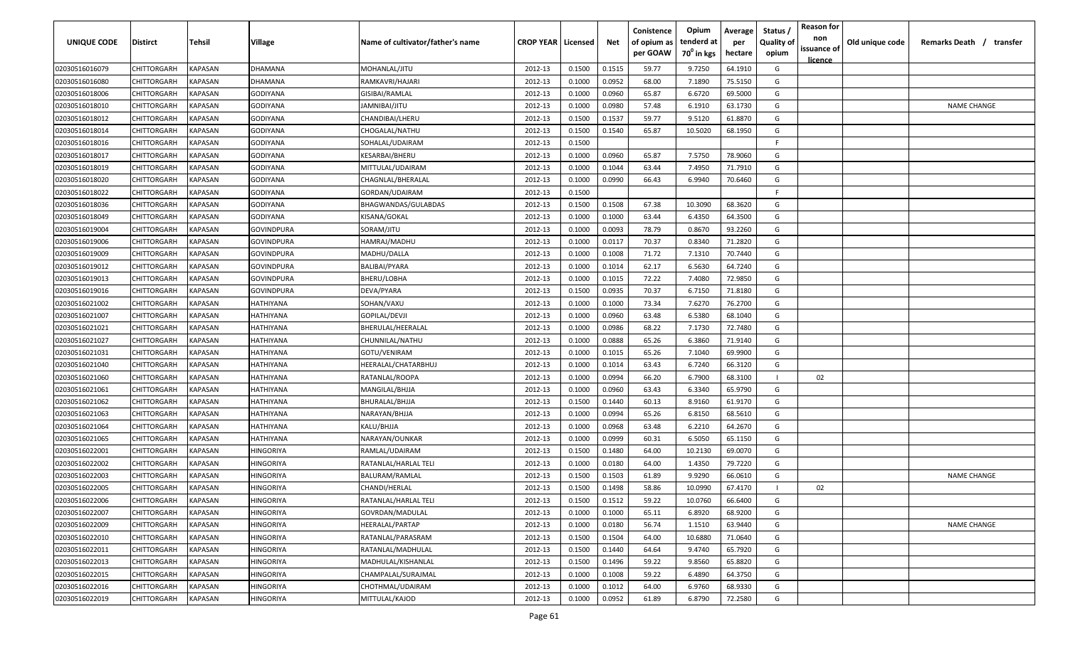| UNIQUE CODE    | Distirct           | Tehsil         | Village    | Name of cultivator/father's name | <b>CROP YEAR   Licensed</b> |        | Net    | Conistence<br>of opium as | Opium<br>tenderd at    | Average<br>per | Status /<br><b>Quality of</b> | <b>Reason for</b><br>non<br>issuance of | Old unique code | Remarks Death / transfer |
|----------------|--------------------|----------------|------------|----------------------------------|-----------------------------|--------|--------|---------------------------|------------------------|----------------|-------------------------------|-----------------------------------------|-----------------|--------------------------|
|                |                    |                |            |                                  |                             |        |        | per GOAW                  | 70 <sup>0</sup> in kgs | hectare        | opium                         | <u>licence</u>                          |                 |                          |
| 02030516016079 | CHITTORGARH        | <b>KAPASAN</b> | DHAMANA    | MOHANLAL/JITU                    | 2012-13                     | 0.1500 | 0.1515 | 59.77                     | 9.7250                 | 64.1910        | G                             |                                         |                 |                          |
| 02030516016080 | CHITTORGARH        | KAPASAN        | DHAMANA    | RAMKAVRI/HAJARI                  | 2012-13                     | 0.1000 | 0.0952 | 68.00                     | 7.1890                 | 75.5150        | G                             |                                         |                 |                          |
| 02030516018006 | CHITTORGARH        | KAPASAN        | GODIYANA   | GISIBAI/RAMLAL                   | 2012-13                     | 0.1000 | 0.0960 | 65.87                     | 6.6720                 | 69.5000        | G                             |                                         |                 |                          |
| 02030516018010 | CHITTORGARH        | KAPASAN        | GODIYANA   | JAMNIBAI/JITU                    | 2012-13                     | 0.1000 | 0.0980 | 57.48                     | 6.1910                 | 63.1730        | G                             |                                         |                 | <b>NAME CHANGE</b>       |
| 02030516018012 | CHITTORGARH        | KAPASAN        | GODIYANA   | CHANDIBAI/LHERU                  | 2012-13                     | 0.1500 | 0.1537 | 59.77                     | 9.5120                 | 61.8870        | G                             |                                         |                 |                          |
| 02030516018014 | CHITTORGARH        | KAPASAN        | GODIYANA   | CHOGALAL/NATHU                   | 2012-13                     | 0.1500 | 0.1540 | 65.87                     | 10.5020                | 68.1950        | G                             |                                         |                 |                          |
| 02030516018016 | <b>CHITTORGARH</b> | KAPASAN        | GODIYANA   | SOHALAL/UDAIRAM                  | 2012-13                     | 0.1500 |        |                           |                        |                | -F.                           |                                         |                 |                          |
| 02030516018017 | CHITTORGARH        | KAPASAN        | GODIYANA   | KESARBAI/BHERU                   | 2012-13                     | 0.1000 | 0.0960 | 65.87                     | 7.5750                 | 78.9060        | G                             |                                         |                 |                          |
| 02030516018019 | CHITTORGARH        | KAPASAN        | GODIYANA   | MITTULAL/UDAIRAM                 | 2012-13                     | 0.1000 | 0.1044 | 63.44                     | 7.4950                 | 71.7910        | G                             |                                         |                 |                          |
| 02030516018020 | CHITTORGARH        | KAPASAN        | GODIYANA   | CHAGNLAL/BHERALAL                | 2012-13                     | 0.1000 | 0.0990 | 66.43                     | 6.9940                 | 70.6460        | G                             |                                         |                 |                          |
| 02030516018022 | CHITTORGARH        | KAPASAN        | GODIYANA   | GORDAN/UDAIRAM                   | 2012-13                     | 0.1500 |        |                           |                        |                | -F.                           |                                         |                 |                          |
| 02030516018036 | CHITTORGARH        | KAPASAN        | GODIYANA   | BHAGWANDAS/GULABDAS              | 2012-13                     | 0.1500 | 0.1508 | 67.38                     | 10.3090                | 68.3620        | G                             |                                         |                 |                          |
| 02030516018049 | CHITTORGARH        | KAPASAN        | GODIYANA   | KISANA/GOKAL                     | 2012-13                     | 0.1000 | 0.1000 | 63.44                     | 6.4350                 | 64.3500        | G                             |                                         |                 |                          |
| 02030516019004 | CHITTORGARH        | KAPASAN        | GOVINDPURA | SORAM/JITU                       | 2012-13                     | 0.1000 | 0.0093 | 78.79                     | 0.8670                 | 93.2260        | G                             |                                         |                 |                          |
| 02030516019006 | CHITTORGARH        | KAPASAN        | GOVINDPURA | HAMRAJ/MADHU                     | 2012-13                     | 0.1000 | 0.0117 | 70.37                     | 0.8340                 | 71.2820        | G                             |                                         |                 |                          |
| 02030516019009 | CHITTORGARH        | KAPASAN        | GOVINDPURA | MADHU/DALLA                      | 2012-13                     | 0.1000 | 0.1008 | 71.72                     | 7.1310                 | 70.7440        | G                             |                                         |                 |                          |
| 02030516019012 | CHITTORGARH        | KAPASAN        | GOVINDPURA | <b>BALIBAI/PYARA</b>             | 2012-13                     | 0.1000 | 0.1014 | 62.17                     | 6.5630                 | 64.7240        | G                             |                                         |                 |                          |
| 02030516019013 | CHITTORGARH        | KAPASAN        | GOVINDPURA | BHERU/LOBHA                      | 2012-13                     | 0.1000 | 0.1015 | 72.22                     | 7.4080                 | 72.9850        | G                             |                                         |                 |                          |
| 02030516019016 | CHITTORGARH        | KAPASAN        | GOVINDPURA | DEVA/PYARA                       | 2012-13                     | 0.1500 | 0.0935 | 70.37                     | 6.7150                 | 71.8180        | G                             |                                         |                 |                          |
| 02030516021002 | CHITTORGARH        | KAPASAN        | HATHIYANA  | SOHAN/VAXU                       | 2012-13                     | 0.1000 | 0.1000 | 73.34                     | 7.6270                 | 76.2700        | G                             |                                         |                 |                          |
| 02030516021007 | CHITTORGARH        | KAPASAN        | HATHIYANA  | GOPILAL/DEVJI                    | 2012-13                     | 0.1000 | 0.0960 | 63.48                     | 6.5380                 | 68.1040        | G                             |                                         |                 |                          |
| 02030516021021 | CHITTORGARH        | KAPASAN        | HATHIYANA  | BHERULAL/HEERALAL                | 2012-13                     | 0.1000 | 0.0986 | 68.22                     | 7.1730                 | 72.7480        | G                             |                                         |                 |                          |
| 02030516021027 | CHITTORGARH        | KAPASAN        | HATHIYANA  | CHUNNILAL/NATHU                  | 2012-13                     | 0.1000 | 0.0888 | 65.26                     | 6.3860                 | 71.9140        | G                             |                                         |                 |                          |
| 02030516021031 | <b>CHITTORGARH</b> | KAPASAN        | HATHIYANA  | GOTU/VENIRAM                     | 2012-13                     | 0.1000 | 0.1015 | 65.26                     | 7.1040                 | 69.9900        | G                             |                                         |                 |                          |
| 02030516021040 | CHITTORGARH        | KAPASAN        | HATHIYANA  | HEERALAL/CHATARBHUJ              | 2012-13                     | 0.1000 | 0.1014 | 63.43                     | 6.7240                 | 66.3120        | G                             |                                         |                 |                          |
| 02030516021060 | CHITTORGARH        | KAPASAN        | HATHIYANA  | RATANLAL/ROOPA                   | 2012-13                     | 0.1000 | 0.0994 | 66.20                     | 6.7900                 | 68.3100        |                               | 02                                      |                 |                          |
| 02030516021061 | CHITTORGARH        | KAPASAN        | HATHIYANA  | MANGILAL/BHJJA                   | 2012-13                     | 0.1000 | 0.0960 | 63.43                     | 6.3340                 | 65.9790        | G                             |                                         |                 |                          |
| 02030516021062 | CHITTORGARH        | KAPASAN        | HATHIYANA  | BHURALAL/BHJJA                   | 2012-13                     | 0.1500 | 0.1440 | 60.13                     | 8.9160                 | 61.9170        | G                             |                                         |                 |                          |
| 02030516021063 | CHITTORGARH        | KAPASAN        | HATHIYANA  | NARAYAN/BHJJA                    | 2012-13                     | 0.1000 | 0.0994 | 65.26                     | 6.8150                 | 68.5610        | G                             |                                         |                 |                          |
| 02030516021064 | CHITTORGARH        | KAPASAN        | HATHIYANA  | KALU/BHJJA                       | 2012-13                     | 0.1000 | 0.0968 | 63.48                     | 6.2210                 | 64.2670        | G                             |                                         |                 |                          |
| 02030516021065 | CHITTORGARH        | KAPASAN        | HATHIYANA  | NARAYAN/OUNKAR                   | 2012-13                     | 0.1000 | 0.0999 | 60.31                     | 6.5050                 | 65.1150        | G                             |                                         |                 |                          |
| 02030516022001 | CHITTORGARH        | KAPASAN        | HINGORIYA  | RAMLAL/UDAIRAM                   | 2012-13                     | 0.1500 | 0.1480 | 64.00                     | 10.2130                | 69.0070        | G                             |                                         |                 |                          |
| 02030516022002 | CHITTORGARH        | KAPASAN        | HINGORIYA  | RATANLAL/HARLAL TELI             | 2012-13                     | 0.1000 | 0.0180 | 64.00                     | 1.4350                 | 79.7220        | G                             |                                         |                 |                          |
| 02030516022003 | CHITTORGARH        | KAPASAN        | HINGORIYA  | BALURAM/RAMLAL                   | 2012-13                     | 0.1500 | 0.1503 | 61.89                     | 9.9290                 | 66.0610        | G                             |                                         |                 | <b>NAME CHANGE</b>       |
| 02030516022005 | <b>CHITTORGARH</b> | KAPASAN        | HINGORIYA  | CHANDI/HERLAL                    | 2012-13                     | 0.1500 | 0.1498 | 58.86                     | 10.0990                | 67.4170        |                               | 02                                      |                 |                          |
| 02030516022006 | <b>CHITTORGARH</b> | KAPASAN        | HINGORIYA  | RATANLAL/HARLAL TELI             | 2012-13                     | 0.1500 | 0.1512 | 59.22                     | 10.0760                | 66.6400        | G                             |                                         |                 |                          |
| 02030516022007 | CHITTORGARH        | KAPASAN        | HINGORIYA  | GOVRDAN/MADULAL                  | 2012-13                     | 0.1000 | 0.1000 | 65.11                     | 6.8920                 | 68.9200        | G                             |                                         |                 |                          |
| 02030516022009 | CHITTORGARH        | <b>KAPASAN</b> | HINGORIYA  | HEERALAL/PARTAP                  | 2012-13                     | 0.1000 | 0.0180 | 56.74                     | 1.1510                 | 63.9440        | G                             |                                         |                 | <b>NAME CHANGE</b>       |
| 02030516022010 | <b>CHITTORGARH</b> | KAPASAN        | HINGORIYA  | RATANLAL/PARASRAM                | 2012-13                     | 0.1500 | 0.1504 | 64.00                     | 10.6880                | 71.0640        | G                             |                                         |                 |                          |
| 02030516022011 | CHITTORGARH        | KAPASAN        | HINGORIYA  | RATANLAL/MADHULAL                | 2012-13                     | 0.1500 | 0.1440 | 64.64                     | 9.4740                 | 65.7920        | G                             |                                         |                 |                          |
| 02030516022013 | CHITTORGARH        | KAPASAN        | HINGORIYA  | MADHULAL/KISHANLAL               | 2012-13                     | 0.1500 | 0.1496 | 59.22                     | 9.8560                 | 65.8820        | G                             |                                         |                 |                          |
| 02030516022015 | CHITTORGARH        | KAPASAN        | HINGORIYA  | CHAMPALAL/SURAJMAL               | 2012-13                     | 0.1000 | 0.1008 | 59.22                     | 6.4890                 | 64.3750        | G                             |                                         |                 |                          |
| 02030516022016 | CHITTORGARH        | KAPASAN        | HINGORIYA  | CHOTHMAL/UDAIRAM                 | 2012-13                     | 0.1000 | 0.1012 | 64.00                     | 6.9760                 | 68.9330        | G                             |                                         |                 |                          |
| 02030516022019 | CHITTORGARH        | KAPASAN        | HINGORIYA  | MITTULAL/KAJOD                   | 2012-13                     | 0.1000 | 0.0952 | 61.89                     | 6.8790                 | 72.2580        | G                             |                                         |                 |                          |
|                |                    |                |            |                                  |                             |        |        |                           |                        |                |                               |                                         |                 |                          |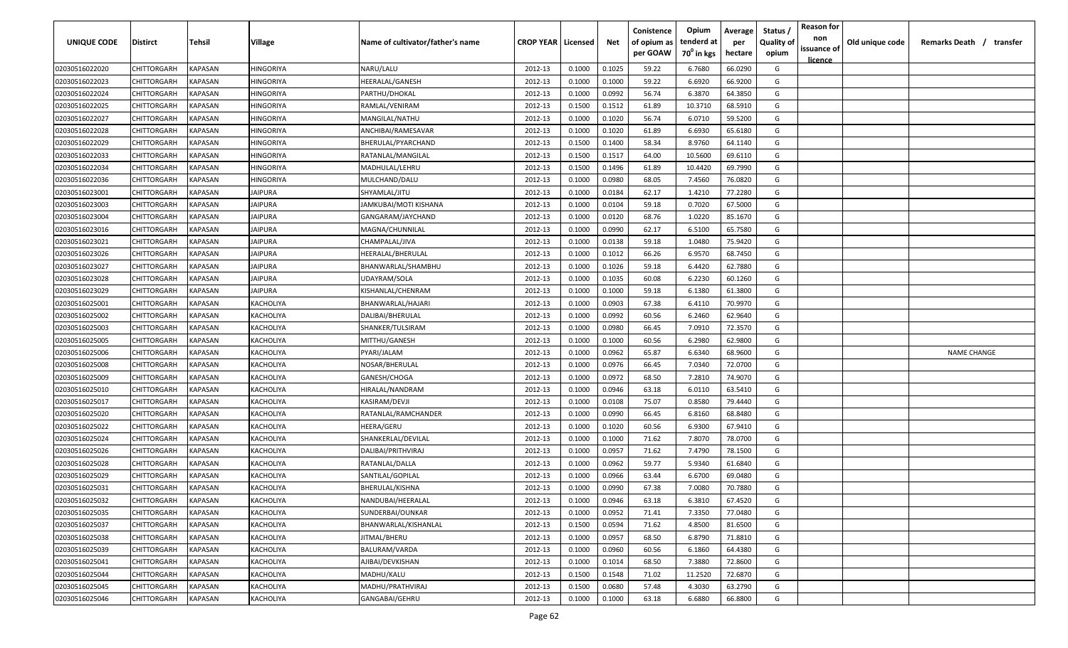| <b>UNIQUE CODE</b> | Distirct           | Tehsil         | Village        | Name of cultivator/father's name | <b>CROP YEAR   Licensed</b> |        | Net    | Conistence<br>of opium as | Opium<br>tenderd at    | Average<br>per | Status /<br><b>Quality of</b> | <b>Reason for</b><br>non      | Old unique code | Remarks Death / transfer |
|--------------------|--------------------|----------------|----------------|----------------------------------|-----------------------------|--------|--------|---------------------------|------------------------|----------------|-------------------------------|-------------------------------|-----------------|--------------------------|
|                    |                    |                |                |                                  |                             |        |        | per GOAW                  | 70 <sup>0</sup> in kgs | hectare        | opium                         | issuance of<br><u>licence</u> |                 |                          |
| 02030516022020     | CHITTORGARH        | <b>KAPASAN</b> | HINGORIYA      | NARU/LALU                        | 2012-13                     | 0.1000 | 0.1025 | 59.22                     | 6.7680                 | 66.0290        | G                             |                               |                 |                          |
| 02030516022023     | CHITTORGARH        | KAPASAN        | HINGORIYA      | HEERALAL/GANESH                  | 2012-13                     | 0.1000 | 0.1000 | 59.22                     | 6.6920                 | 66.9200        | G                             |                               |                 |                          |
| 02030516022024     | CHITTORGARH        | KAPASAN        | HINGORIYA      | PARTHU/DHOKAL                    | 2012-13                     | 0.1000 | 0.0992 | 56.74                     | 6.3870                 | 64.3850        | G                             |                               |                 |                          |
| 02030516022025     | CHITTORGARH        | KAPASAN        | HINGORIYA      | RAMLAL/VENIRAM                   | 2012-13                     | 0.1500 | 0.1512 | 61.89                     | 10.3710                | 68.5910        | G                             |                               |                 |                          |
| 02030516022027     | CHITTORGARH        | KAPASAN        | HINGORIYA      | MANGILAL/NATHU                   | 2012-13                     | 0.1000 | 0.1020 | 56.74                     | 6.0710                 | 59.5200        | G                             |                               |                 |                          |
| 02030516022028     | CHITTORGARH        | KAPASAN        | HINGORIYA      | ANCHIBAI/RAMESAVAR               | 2012-13                     | 0.1000 | 0.1020 | 61.89                     | 6.6930                 | 65.6180        | G                             |                               |                 |                          |
| 02030516022029     | CHITTORGARH        | KAPASAN        | HINGORIYA      | BHERULAL/PYARCHAND               | 2012-13                     | 0.1500 | 0.1400 | 58.34                     | 8.9760                 | 64.1140        | G                             |                               |                 |                          |
| 02030516022033     | CHITTORGARH        | KAPASAN        | HINGORIYA      | RATANLAL/MANGILAL                | 2012-13                     | 0.1500 | 0.1517 | 64.00                     | 10.5600                | 69.6110        | G                             |                               |                 |                          |
| 02030516022034     | CHITTORGARH        | KAPASAN        | HINGORIYA      | MADHULAL/LEHRU                   | 2012-13                     | 0.1500 | 0.1496 | 61.89                     | 10.4420                | 69.7990        | G                             |                               |                 |                          |
| 02030516022036     | CHITTORGARH        | KAPASAN        | HINGORIYA      | MULCHAND/DALU                    | 2012-13                     | 0.1000 | 0.0980 | 68.05                     | 7.4560                 | 76.0820        | G                             |                               |                 |                          |
| 02030516023001     | CHITTORGARH        | KAPASAN        | IAIPURA        | SHYAMLAL/JITU                    | 2012-13                     | 0.1000 | 0.0184 | 62.17                     | 1.4210                 | 77.2280        | G                             |                               |                 |                          |
| 02030516023003     | CHITTORGARH        | KAPASAN        | <b>IAIPURA</b> | IAMKUBAI/MOTI KISHANA            | 2012-13                     | 0.1000 | 0.0104 | 59.18                     | 0.7020                 | 67.5000        | G                             |                               |                 |                          |
| 02030516023004     | CHITTORGARH        | KAPASAN        | <b>IAIPURA</b> | GANGARAM/JAYCHAND                | 2012-13                     | 0.1000 | 0.0120 | 68.76                     | 1.0220                 | 85.1670        | G                             |                               |                 |                          |
| 02030516023016     | CHITTORGARH        | KAPASAN        | <b>IAIPURA</b> | MAGNA/CHUNNILAL                  | 2012-13                     | 0.1000 | 0.0990 | 62.17                     | 6.5100                 | 65.7580        | G                             |                               |                 |                          |
| 02030516023021     | CHITTORGARH        | KAPASAN        | <b>JAIPURA</b> | CHAMPALAL/JIVA                   | 2012-13                     | 0.1000 | 0.0138 | 59.18                     | 1.0480                 | 75.9420        | G                             |                               |                 |                          |
| 02030516023026     | CHITTORGARH        | KAPASAN        | JAIPURA        | HEERALAL/BHERULAL                | 2012-13                     | 0.1000 | 0.1012 | 66.26                     | 6.9570                 | 68.7450        | G                             |                               |                 |                          |
| 02030516023027     | CHITTORGARH        | KAPASAN        | JAIPURA        | BHANWARLAL/SHAMBHU               | 2012-13                     | 0.1000 | 0.1026 | 59.18                     | 6.4420                 | 62.7880        | G                             |                               |                 |                          |
| 02030516023028     | CHITTORGARH        | KAPASAN        | JAIPURA        | UDAYRAM/SOLA                     | 2012-13                     | 0.1000 | 0.1035 | 60.08                     | 6.2230                 | 60.1260        | G                             |                               |                 |                          |
| 02030516023029     | CHITTORGARH        | KAPASAN        | JAIPURA        | KISHANLAL/CHENRAM                | 2012-13                     | 0.1000 | 0.1000 | 59.18                     | 6.1380                 | 61.3800        | G                             |                               |                 |                          |
| 02030516025001     | CHITTORGARH        | KAPASAN        | KACHOLIYA      | BHANWARLAL/HAJARI                | 2012-13                     | 0.1000 | 0.0903 | 67.38                     | 6.4110                 | 70.9970        | G                             |                               |                 |                          |
| 02030516025002     | CHITTORGARH        | KAPASAN        | KACHOLIYA      | DALIBAI/BHERULAL                 | 2012-13                     | 0.1000 | 0.0992 | 60.56                     | 6.2460                 | 62.9640        | G                             |                               |                 |                          |
| 02030516025003     | CHITTORGARH        | KAPASAN        | KACHOLIYA      | SHANKER/TULSIRAM                 | 2012-13                     | 0.1000 | 0.0980 | 66.45                     | 7.0910                 | 72.3570        | G                             |                               |                 |                          |
| 02030516025005     | CHITTORGARH        | KAPASAN        | KACHOLIYA      | MITTHU/GANESH                    | 2012-13                     | 0.1000 | 0.1000 | 60.56                     | 6.2980                 | 62.9800        | G                             |                               |                 |                          |
| 02030516025006     | CHITTORGARH        | KAPASAN        | KACHOLIYA      | PYARI/JALAM                      | 2012-13                     | 0.1000 | 0.0962 | 65.87                     | 6.6340                 | 68.9600        | G                             |                               |                 | <b>NAME CHANGE</b>       |
| 02030516025008     | CHITTORGARH        | KAPASAN        | KACHOLIYA      | NOSAR/BHERULAL                   | 2012-13                     | 0.1000 | 0.0976 | 66.45                     | 7.0340                 | 72.0700        | G                             |                               |                 |                          |
| 02030516025009     | CHITTORGARH        | KAPASAN        | KACHOLIYA      | GANESH/CHOGA                     | 2012-13                     | 0.1000 | 0.0972 | 68.50                     | 7.2810                 | 74.9070        | G                             |                               |                 |                          |
| 02030516025010     | CHITTORGARH        | KAPASAN        | KACHOLIYA      | HIRALAL/NANDRAM                  | 2012-13                     | 0.1000 | 0.0946 | 63.18                     | 6.0110                 | 63.5410        | G                             |                               |                 |                          |
| 02030516025017     | CHITTORGARH        | KAPASAN        | KACHOLIYA      | KASIRAM/DEVJI                    | 2012-13                     | 0.1000 | 0.0108 | 75.07                     | 0.8580                 | 79.4440        | G                             |                               |                 |                          |
| 02030516025020     | CHITTORGARH        | KAPASAN        | KACHOLIYA      | RATANLAL/RAMCHANDER              | 2012-13                     | 0.1000 | 0.0990 | 66.45                     | 6.8160                 | 68.8480        | G                             |                               |                 |                          |
| 02030516025022     | CHITTORGARH        | KAPASAN        | KACHOLIYA      | HEERA/GERU                       | 2012-13                     | 0.1000 | 0.1020 | 60.56                     | 6.9300                 | 67.9410        | G                             |                               |                 |                          |
| 02030516025024     | CHITTORGARH        | KAPASAN        | KACHOLIYA      | SHANKERLAL/DEVILAL               | 2012-13                     | 0.1000 | 0.1000 | 71.62                     | 7.8070                 | 78.0700        | G                             |                               |                 |                          |
| 02030516025026     | CHITTORGARH        | KAPASAN        | KACHOLIYA      | DALIBAI/PRITHVIRAJ               | 2012-13                     | 0.1000 | 0.0957 | 71.62                     | 7.4790                 | 78.1500        | G                             |                               |                 |                          |
| 02030516025028     | CHITTORGARH        | KAPASAN        | KACHOLIYA      | RATANLAL/DALLA                   | 2012-13                     | 0.1000 | 0.0962 | 59.77                     | 5.9340                 | 61.6840        | G                             |                               |                 |                          |
| 02030516025029     | CHITTORGARH        | KAPASAN        | KACHOLIYA      | SANTILAL/GOPILAL                 | 2012-13                     | 0.1000 | 0.0966 | 63.44                     | 6.6700                 | 69.0480        | G                             |                               |                 |                          |
| 02030516025031     | CHITTORGARH        | KAPASAN        | KACHOLIYA      | BHERULAL/KISHNA                  | 2012-13                     | 0.1000 | 0.0990 | 67.38                     | 7.0080                 | 70.7880        | G                             |                               |                 |                          |
| 02030516025032     | <b>CHITTORGARH</b> | KAPASAN        | KACHOLIYA      | NANDUBAI/HEERALAL                | 2012-13                     | 0.1000 | 0.0946 | 63.18                     | 6.3810                 | 67.4520        | G                             |                               |                 |                          |
| 02030516025035     | CHITTORGARH        | <b>KAPASAN</b> | KACHOLIYA      | SUNDERBAI/OUNKAR                 | 2012-13                     | 0.1000 | 0.0952 | 71.41                     | 7.3350                 | 77.0480        | G                             |                               |                 |                          |
| 02030516025037     | CHITTORGARH        | <b>KAPASAN</b> | KACHOLIYA      | BHANWARLAL/KISHANLAL             | 2012-13                     | 0.1500 | 0.0594 | 71.62                     | 4.8500                 | 81.6500        | G                             |                               |                 |                          |
| 02030516025038     | <b>CHITTORGARH</b> | KAPASAN        | KACHOLIYA      | JITMAL/BHERU                     | 2012-13                     | 0.1000 | 0.0957 | 68.50                     | 6.8790                 | 71.8810        | G                             |                               |                 |                          |
| 02030516025039     | CHITTORGARH        | KAPASAN        | KACHOLIYA      | BALURAM/VARDA                    | 2012-13                     | 0.1000 | 0.0960 | 60.56                     | 6.1860                 | 64.4380        | G                             |                               |                 |                          |
| 02030516025041     | CHITTORGARH        | KAPASAN        | KACHOLIYA      | AJIBAI/DEVKISHAN                 | 2012-13                     | 0.1000 | 0.1014 | 68.50                     | 7.3880                 | 72.8600        | G                             |                               |                 |                          |
| 02030516025044     | CHITTORGARH        | KAPASAN        | KACHOLIYA      | MADHU/KALU                       | 2012-13                     | 0.1500 | 0.1548 | 71.02                     | 11.2520                | 72.6870        | G                             |                               |                 |                          |
| 02030516025045     | CHITTORGARH        | KAPASAN        | KACHOLIYA      | MADHU/PRATHVIRAJ                 | 2012-13                     | 0.1500 | 0.0680 | 57.48                     | 4.3030                 | 63.2790        | G                             |                               |                 |                          |
| 02030516025046     | <b>CHITTORGARH</b> | KAPASAN        | KACHOLIYA      | GANGABAI/GEHRU                   | 2012-13                     | 0.1000 | 0.1000 | 63.18                     | 6.6880                 | 66.8800        | G                             |                               |                 |                          |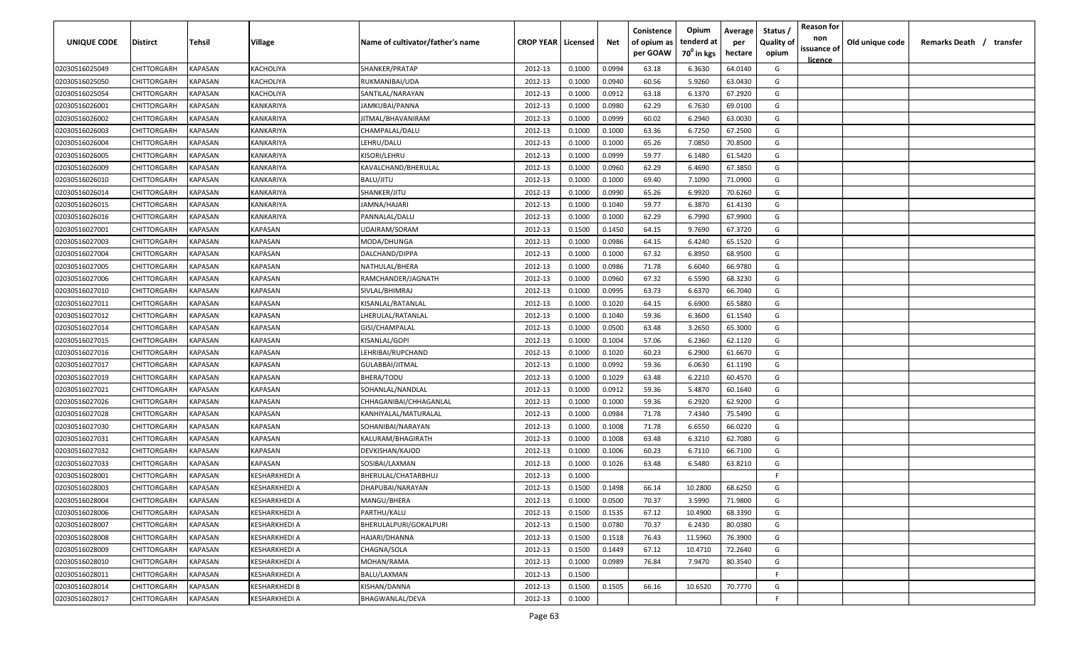| <b>UNIQUE CODE</b>               | <b>Distirct</b>            | <b>Tehsil</b>      | Village                | Name of cultivator/father's name    | <b>CROP YEAR   Licensed</b> |                  | Net              | Conistence<br>of opium as<br>per GOAW | Opium<br>tenderd at<br>70 <sup>0</sup> in kgs | Average<br>per<br>hectare | Status /<br>Quality of<br>opium | <b>Reason for</b><br>non<br>issuance of | Old unique code | Remarks Death /<br>transfer |
|----------------------------------|----------------------------|--------------------|------------------------|-------------------------------------|-----------------------------|------------------|------------------|---------------------------------------|-----------------------------------------------|---------------------------|---------------------------------|-----------------------------------------|-----------------|-----------------------------|
|                                  |                            |                    |                        |                                     |                             |                  |                  |                                       |                                               |                           |                                 | licence                                 |                 |                             |
| 02030516025049                   | CHITTORGARH                | KAPASAN<br>KAPASAN | KACHOLIYA              | SHANKER/PRATAP<br>RUKMANIBAI/UDA    | 2012-13                     | 0.1000<br>0.1000 | 0.0994           | 63.18                                 | 6.3630                                        | 64.0140                   | G<br>G                          |                                         |                 |                             |
| 02030516025050                   | CHITTORGARH                | KAPASAN            | KACHOLIYA              |                                     | 2012-13                     |                  | 0.0940           | 60.56                                 | 5.9260                                        | 63.0430                   | G                               |                                         |                 |                             |
| 02030516025054                   | CHITTORGARH<br>CHITTORGARH | KAPASAN            | KACHOLIYA<br>KANKARIYA | SANTILAL/NARAYAN                    | 2012-13<br>2012-13          | 0.1000<br>0.1000 | 0.0912           | 63.18<br>62.29                        | 6.1370<br>6.7630                              | 67.2920<br>69.0100        | G                               |                                         |                 |                             |
| 02030516026001<br>02030516026002 | CHITTORGARH                | KAPASAN            | KANKARIYA              | JAMKUBAI/PANNA<br>JITMAL/BHAVANIRAM | 2012-13                     | 0.1000           | 0.0980<br>0.0999 | 60.02                                 | 6.2940                                        | 63.0030                   | G                               |                                         |                 |                             |
| 02030516026003                   | CHITTORGARH                | KAPASAN            | KANKARIYA              | CHAMPALAL/DALU                      | 2012-13                     | 0.1000           | 0.1000           | 63.36                                 | 6.7250                                        | 67.2500                   | G                               |                                         |                 |                             |
| 02030516026004                   | CHITTORGARH                | KAPASAN            | KANKARIYA              | LEHRU/DALU                          | 2012-13                     | 0.1000           | 0.1000           | 65.26                                 | 7.0850                                        | 70.8500                   | G                               |                                         |                 |                             |
| 02030516026005                   | CHITTORGARH                | KAPASAN            | KANKARIYA              | KISORI/LEHRU                        | 2012-13                     | 0.1000           | 0.0999           | 59.77                                 | 6.1480                                        | 61.5420                   | G                               |                                         |                 |                             |
| 02030516026009                   | CHITTORGARH                | KAPASAN            | KANKARIYA              | KAVALCHAND/BHERULAL                 | 2012-13                     | 0.1000           | 0.0960           | 62.29                                 | 6.4690                                        | 67.3850                   | G                               |                                         |                 |                             |
| 02030516026010                   | CHITTORGARH                | KAPASAN            | KANKARIYA              | BALU/JITU                           | 2012-13                     | 0.1000           | 0.1000           | 69.40                                 | 7.1090                                        | 71.0900                   | G                               |                                         |                 |                             |
| 02030516026014                   | CHITTORGARH                | KAPASAN            | KANKARIYA              | SHANKER/JITU                        | 2012-13                     | 0.1000           | 0.0990           | 65.26                                 | 6.9920                                        | 70.6260                   | G                               |                                         |                 |                             |
| 02030516026015                   | CHITTORGARH                | KAPASAN            | KANKARIYA              | IAMNA/HAJARI                        | 2012-13                     | 0.1000           | 0.1040           | 59.77                                 | 6.3870                                        | 61.4130                   | G                               |                                         |                 |                             |
| 02030516026016                   | CHITTORGARH                | KAPASAN            | KANKARIYA              | PANNALAL/DALU                       | 2012-13                     | 0.1000           | 0.1000           | 62.29                                 | 6.7990                                        | 67.9900                   | G                               |                                         |                 |                             |
| 02030516027001                   | CHITTORGARH                | KAPASAN            | KAPASAN                | UDAIRAM/SORAM                       | 2012-13                     | 0.1500           | 0.1450           | 64.15                                 | 9.7690                                        | 67.3720                   | G                               |                                         |                 |                             |
| 02030516027003                   | CHITTORGARH                | KAPASAN            | KAPASAN                | MODA/DHUNGA                         | 2012-13                     | 0.1000           | 0.0986           | 64.15                                 | 6.4240                                        | 65.1520                   | G                               |                                         |                 |                             |
| 02030516027004                   | CHITTORGARH                | KAPASAN            | KAPASAN                | DALCHAND/DIPPA                      | 2012-13                     | 0.1000           | 0.1000           | 67.32                                 | 6.8950                                        | 68.9500                   | G                               |                                         |                 |                             |
| 02030516027005                   | CHITTORGARH                | KAPASAN            | KAPASAN                | NATHULAL/BHERA                      | 2012-13                     | 0.1000           | 0.0986           | 71.78                                 | 6.6040                                        | 66.9780                   | G                               |                                         |                 |                             |
| 02030516027006                   | CHITTORGARH                | KAPASAN            | KAPASAN                | RAMCHANDER/JAGNATH                  | 2012-13                     | 0.1000           | 0.0960           | 67.32                                 | 6.5590                                        | 68.3230                   | G                               |                                         |                 |                             |
| 02030516027010                   | CHITTORGARH                | KAPASAN            | KAPASAN                | SIVLAL/BHIMRAJ                      | 2012-13                     | 0.1000           | 0.0995           | 63.73                                 | 6.6370                                        | 66.7040                   | G                               |                                         |                 |                             |
| 02030516027011                   | CHITTORGARH                | KAPASAN            | KAPASAN                | KISANLAL/RATANLAL                   | 2012-13                     | 0.1000           | 0.1020           | 64.15                                 | 6.6900                                        | 65.5880                   | G                               |                                         |                 |                             |
| 02030516027012                   | CHITTORGARH                | KAPASAN            | KAPASAN                | LHERULAL/RATANLAL                   | 2012-13                     | 0.1000           | 0.1040           | 59.36                                 | 6.3600                                        | 61.1540                   | G                               |                                         |                 |                             |
| 02030516027014                   | CHITTORGARH                | KAPASAN            | KAPASAN                | GISI/CHAMPALAL                      | 2012-13                     | 0.1000           | 0.0500           | 63.48                                 | 3.2650                                        | 65.3000                   | G                               |                                         |                 |                             |
| 02030516027015                   | CHITTORGARH                | KAPASAN            | KAPASAN                | KISANLAL/GOPI                       | 2012-13                     | 0.1000           | 0.1004           | 57.06                                 | 6.2360                                        | 62.1120                   | G                               |                                         |                 |                             |
| 02030516027016                   | CHITTORGARH                | KAPASAN            | KAPASAN                | LEHRIBAI/RUPCHAND                   | 2012-13                     | 0.1000           | 0.1020           | 60.23                                 | 6.2900                                        | 61.6670                   | G                               |                                         |                 |                             |
| 02030516027017                   | CHITTORGARH                | KAPASAN            | KAPASAN                | GULABBAI/JITMAL                     | 2012-13                     | 0.1000           | 0.0992           | 59.36                                 | 6.0630                                        | 61.1190                   | G                               |                                         |                 |                             |
| 02030516027019                   | CHITTORGARH                | KAPASAN            | KAPASAN                | BHERA/TODU                          | 2012-13                     | 0.1000           | 0.1029           | 63.48                                 | 6.2210                                        | 60.4570                   | G                               |                                         |                 |                             |
| 02030516027021                   | CHITTORGARH                | KAPASAN            | KAPASAN                | SOHANLAL/NANDLAL                    | 2012-13                     | 0.1000           | 0.0912           | 59.36                                 | 5.4870                                        | 60.1640                   | G                               |                                         |                 |                             |
| 02030516027026                   | CHITTORGARH                | KAPASAN            | KAPASAN                | CHHAGANIBAI/CHHAGANLAL              | 2012-13                     | 0.1000           | 0.1000           | 59.36                                 | 6.2920                                        | 62.9200                   | G                               |                                         |                 |                             |
| 02030516027028                   | CHITTORGARH                | KAPASAN            | KAPASAN                | KANHIYALAL/MATURALAL                | 2012-13                     | 0.1000           | 0.0984           | 71.78                                 | 7.4340                                        | 75.5490                   | G                               |                                         |                 |                             |
| 02030516027030                   | CHITTORGARH                | KAPASAN            | KAPASAN                | SOHANIBAI/NARAYAN                   | 2012-13                     | 0.1000           | 0.1008           | 71.78                                 | 6.6550                                        | 66.0220                   | G                               |                                         |                 |                             |
| 02030516027031                   | CHITTORGARH                | KAPASAN            | KAPASAN                | KALURAM/BHAGIRATH                   | 2012-13                     | 0.1000           | 0.1008           | 63.48                                 | 6.3210                                        | 62.7080                   | G                               |                                         |                 |                             |
| 02030516027032                   | CHITTORGARH                | KAPASAN            | KAPASAN                | DEVKISHAN/KAJOD                     | 2012-13                     | 0.1000           | 0.1006           | 60.23                                 | 6.7110                                        | 66.7100                   | G                               |                                         |                 |                             |
| 02030516027033                   | CHITTORGARH                | KAPASAN            | KAPASAN                | SOSIBAI/LAXMAN                      | 2012-13                     | 0.1000           | 0.1026           | 63.48                                 | 6.5480                                        | 63.8210                   | G                               |                                         |                 |                             |
| 02030516028001                   | CHITTORGARH                | KAPASAN            | KESHARKHEDI A          | BHERULAL/CHATARBHUJ                 | 2012-13                     | 0.1000           |                  |                                       |                                               |                           | F                               |                                         |                 |                             |
| 02030516028003                   | <b>CHITTORGARH</b>         | KAPASAN            | KESHARKHEDI A          | DHAPUBAI/NARAYAN                    | 2012-13                     | 0.1500           | 0.1498           | 66.14                                 | 10.2800                                       | 68.6250                   | G                               |                                         |                 |                             |
| 02030516028004                   | CHITTORGARH                | <b>KAPASAN</b>     | <b>KESHARKHEDI A</b>   | MANGU/BHERA                         | 2012-13                     | 0.1000           | 0.0500           | 70.37                                 | 3.5990                                        | 71.9800                   | G                               |                                         |                 |                             |
| 02030516028006                   | <b>CHITTORGARH</b>         | KAPASAN            | KESHARKHEDI A          | PARTHU/KALU                         | 2012-13                     | 0.1500           | 0.1535           | 67.12                                 | 10.4900                                       | 68.3390                   | G                               |                                         |                 |                             |
| 02030516028007                   | CHITTORGARH                | KAPASAN            | KESHARKHEDI A          | BHERULALPURI/GOKALPURI              | 2012-13                     | 0.1500           | 0.0780           | 70.37                                 | 6.2430                                        | 80.0380                   | G                               |                                         |                 |                             |
| 02030516028008                   | CHITTORGARH                | <b>KAPASAN</b>     | KESHARKHEDI A          | HAJARI/DHANNA                       | 2012-13                     | 0.1500           | 0.1518           | 76.43                                 | 11.5960                                       | 76.3900                   | G                               |                                         |                 |                             |
| 02030516028009                   | CHITTORGARH                | <b>KAPASAN</b>     | KESHARKHEDI A          | CHAGNA/SOLA                         | 2012-13                     | 0.1500           | 0.1449           | 67.12                                 | 10.4710                                       | 72.2640                   | G                               |                                         |                 |                             |
| 02030516028010                   | CHITTORGARH                | KAPASAN            | KESHARKHEDI A          | MOHAN/RAMA                          | 2012-13                     | 0.1000           | 0.0989           | 76.84                                 | 7.9470                                        | 80.3540                   | G                               |                                         |                 |                             |
| 02030516028011                   | CHITTORGARH                | KAPASAN            | <b>KESHARKHEDI A</b>   | BALU/LAXMAN                         | 2012-13                     | 0.1500           |                  |                                       |                                               |                           | F.                              |                                         |                 |                             |
| 02030516028014                   | CHITTORGARH                | KAPASAN            | KESHARKHEDI B          | KISHAN/DANNA                        | 2012-13                     | 0.1500           | 0.1505           | 66.16                                 | 10.6520                                       | 70.7770                   | G                               |                                         |                 |                             |
| 02030516028017                   | CHITTORGARH                | <b>KAPASAN</b>     | KESHARKHEDI A          | BHAGWANLAL/DEVA                     | 2012-13                     | 0.1000           |                  |                                       |                                               |                           | F                               |                                         |                 |                             |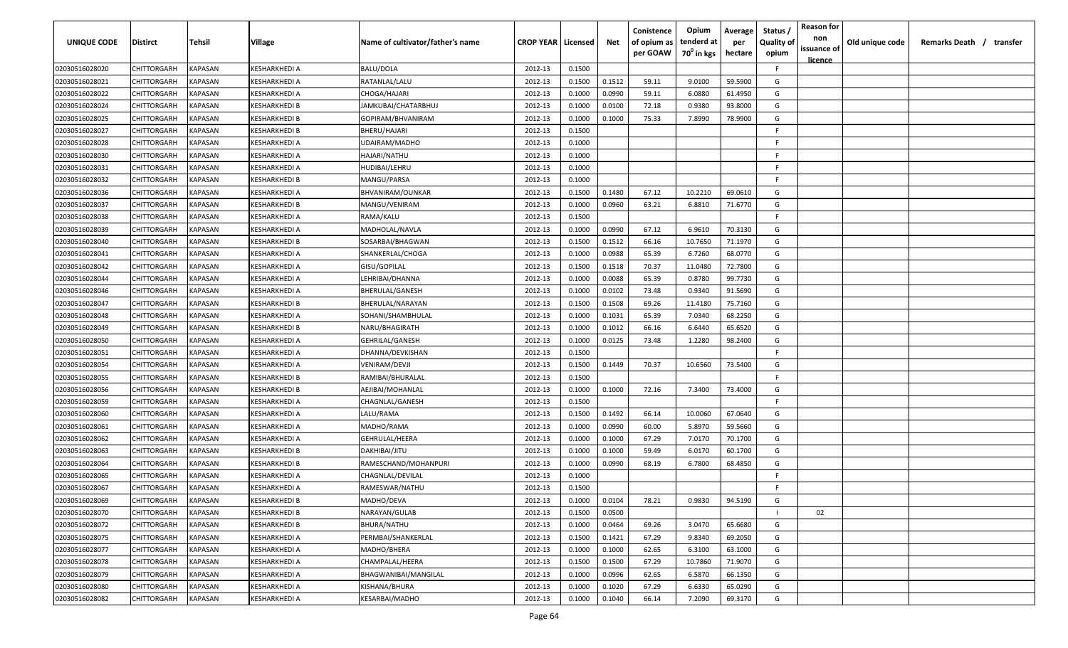| issuance of<br>70 <sup>0</sup> in kgs<br>per GOAW<br>hectare<br>opium<br><u>licence</u><br>F<br>02030516028020<br>CHITTORGARH<br><b>KAPASAN</b><br>KESHARKHEDI A<br><b>BALU/DOLA</b><br>2012-13<br>0.1500<br>KAPASAN<br>0.1512<br>59.5900<br>G<br>02030516028021<br>CHITTORGARH<br>KESHARKHEDI A<br>RATANLAL/LALU<br>2012-13<br>0.1500<br>59.11<br>9.0100<br>02030516028022<br>CHITTORGARH<br>KAPASAN<br>2012-13<br>0.1000<br>0.0990<br>59.11<br>6.0880<br>61.4950<br>G<br>KESHARKHEDI A<br>CHOGA/HAJARI<br>02030516028024<br>CHITTORGARH<br>KAPASAN<br>KESHARKHEDI B<br>JAMKUBAI/CHATARBHUJ<br>2012-13<br>0.1000<br>0.0100<br>72.18<br>0.9380<br>93.8000<br>G |  |
|----------------------------------------------------------------------------------------------------------------------------------------------------------------------------------------------------------------------------------------------------------------------------------------------------------------------------------------------------------------------------------------------------------------------------------------------------------------------------------------------------------------------------------------------------------------------------------------------------------------------------------------------------------------|--|
|                                                                                                                                                                                                                                                                                                                                                                                                                                                                                                                                                                                                                                                                |  |
|                                                                                                                                                                                                                                                                                                                                                                                                                                                                                                                                                                                                                                                                |  |
|                                                                                                                                                                                                                                                                                                                                                                                                                                                                                                                                                                                                                                                                |  |
|                                                                                                                                                                                                                                                                                                                                                                                                                                                                                                                                                                                                                                                                |  |
|                                                                                                                                                                                                                                                                                                                                                                                                                                                                                                                                                                                                                                                                |  |
| 02030516028025<br>CHITTORGARH<br>KAPASAN<br>KESHARKHEDI B<br>GOPIRAM/BHVANIRAM<br>2012-13<br>0.1000<br>0.1000<br>75.33<br>7.8990<br>78.9900<br>G                                                                                                                                                                                                                                                                                                                                                                                                                                                                                                               |  |
| 02030516028027<br>2012-13<br>CHITTORGARH<br>KAPASAN<br>KESHARKHEDI B<br>BHERU/HAJARI<br>0.1500<br>-F.                                                                                                                                                                                                                                                                                                                                                                                                                                                                                                                                                          |  |
| 02030516028028<br>CHITTORGARH<br>KAPASAN<br>KESHARKHEDI A<br>UDAIRAM/MADHO<br>2012-13<br>0.1000<br>-F.                                                                                                                                                                                                                                                                                                                                                                                                                                                                                                                                                         |  |
| 02030516028030<br>CHITTORGARH<br>KAPASAN<br>KESHARKHEDI A<br>HAJARI/NATHU<br>2012-13<br>0.1000<br>-F.                                                                                                                                                                                                                                                                                                                                                                                                                                                                                                                                                          |  |
| 02030516028031<br>CHITTORGARH<br>KAPASAN<br>KESHARKHEDI A<br>2012-13<br>0.1000<br>-F.<br>HUDIBAI/LEHRU                                                                                                                                                                                                                                                                                                                                                                                                                                                                                                                                                         |  |
| F.<br>02030516028032<br>KAPASAN<br>2012-13<br>0.1000<br>CHITTORGARH<br>KESHARKHEDI B<br>MANGU/PARSA                                                                                                                                                                                                                                                                                                                                                                                                                                                                                                                                                            |  |
| CHITTORGARH<br>KAPASAN<br>2012-13<br>0.1500<br>0.1480<br>67.12<br>10.2210<br>69.0610<br>G<br>02030516028036<br>KESHARKHEDI A<br>BHVANIRAM/OUNKAR                                                                                                                                                                                                                                                                                                                                                                                                                                                                                                               |  |
| G<br>CHITTORGARH<br>KAPASAN<br>2012-13<br>0.1000<br>0.0960<br>63.21<br>6.8810<br>71.6770<br>02030516028037<br>KESHARKHEDI B<br>MANGU/VENIRAM                                                                                                                                                                                                                                                                                                                                                                                                                                                                                                                   |  |
| CHITTORGARH<br>KAPASAN<br>RAMA/KALU<br>2012-13<br>0.1500<br>-F.<br>02030516028038<br>KESHARKHEDI A                                                                                                                                                                                                                                                                                                                                                                                                                                                                                                                                                             |  |
| KAPASAN<br>0.1000<br>0.0990<br>67.12<br>6.9610<br>70.3130<br>G<br>CHITTORGARH<br>MADHOLAL/NAVLA<br>2012-13<br>02030516028039<br>KESHARKHEDI A                                                                                                                                                                                                                                                                                                                                                                                                                                                                                                                  |  |
| 0.1512<br>10.7650<br>71.1970<br>CHITTORGARH<br>KAPASAN<br>KESHARKHEDI B<br>2012-13<br>0.1500<br>66.16<br>G<br>02030516028040<br>SOSARBAI/BHAGWAN                                                                                                                                                                                                                                                                                                                                                                                                                                                                                                               |  |
| CHITTORGARH<br>KAPASAN<br>0.1000<br>0.0988<br>65.39<br>6.7260<br>68.0770<br>G<br>02030516028041<br>KESHARKHEDI A<br>SHANKERLAL/CHOGA<br>2012-13                                                                                                                                                                                                                                                                                                                                                                                                                                                                                                                |  |
| 72.7800<br>02030516028042<br>CHITTORGARH<br>KAPASAN<br>KESHARKHEDI A<br>GISU/GOPILAL<br>2012-13<br>0.1500<br>0.1518<br>70.37<br>11.0480<br>G                                                                                                                                                                                                                                                                                                                                                                                                                                                                                                                   |  |
| 0.0088<br>99.7730<br>CHITTORGARH<br>KAPASAN<br>KESHARKHEDI A<br>2012-13<br>0.1000<br>65.39<br>0.8780<br>G<br>02030516028044<br>LEHRIBAI/DHANNA                                                                                                                                                                                                                                                                                                                                                                                                                                                                                                                 |  |
| KAPASAN<br>0.0102<br>73.48<br>0.9340<br>91.5690<br>G<br>02030516028046<br>CHITTORGARH<br>KESHARKHEDI A<br>BHERULAL/GANESH<br>2012-13<br>0.1000                                                                                                                                                                                                                                                                                                                                                                                                                                                                                                                 |  |
| KAPASAN<br>0.1508<br>02030516028047<br>CHITTORGARH<br>KESHARKHEDI B<br>2012-13<br>0.1500<br>69.26<br>11.4180<br>75.7160<br>G<br>BHERULAL/NARAYAN                                                                                                                                                                                                                                                                                                                                                                                                                                                                                                               |  |
| CHITTORGARH<br>KAPASAN<br>68.2250<br>02030516028048<br>KESHARKHEDI A<br>SOHANI/SHAMBHULAL<br>2012-13<br>0.1000<br>0.1031<br>65.39<br>7.0340<br>G                                                                                                                                                                                                                                                                                                                                                                                                                                                                                                               |  |
| KAPASAN<br>2012-13<br>0.1012<br>66.16<br>6.6440<br>65.6520<br>02030516028049<br>CHITTORGARH<br>KESHARKHEDI B<br>NARU/BHAGIRATH<br>0.1000<br>G                                                                                                                                                                                                                                                                                                                                                                                                                                                                                                                  |  |
| 02030516028050<br>CHITTORGARH<br>2012-13<br>1.2280<br>KAPASAN<br>KESHARKHEDI A<br>GEHRILAL/GANESH<br>0.1000<br>0.0125<br>73.48<br>98.2400<br>G                                                                                                                                                                                                                                                                                                                                                                                                                                                                                                                 |  |
| 02030516028051<br>CHITTORGARH<br>2012-13<br>0.1500<br>KAPASAN<br>KESHARKHEDI A<br>DHANNA/DEVKISHAN<br>-F.                                                                                                                                                                                                                                                                                                                                                                                                                                                                                                                                                      |  |
| 02030516028054<br>CHITTORGARH<br>KAPASAN<br>KESHARKHEDI A<br>VENIRAM/DEVJI<br>2012-13<br>0.1500<br>0.1449<br>70.37<br>10.6560<br>73.5400<br>G                                                                                                                                                                                                                                                                                                                                                                                                                                                                                                                  |  |
| 02030516028055<br>CHITTORGARH<br>KAPASAN<br>KESHARKHEDI B<br>RAMIBAI/BHURALAL<br>2012-13<br>0.1500<br>-F.                                                                                                                                                                                                                                                                                                                                                                                                                                                                                                                                                      |  |
| G<br>KAPASAN<br>2012-13<br>0.1000<br>72.16<br>73.4000<br>02030516028056<br>CHITTORGARH<br>KESHARKHEDI B<br>AEJIBAI/MOHANLAL<br>0.1000<br>7.3400                                                                                                                                                                                                                                                                                                                                                                                                                                                                                                                |  |
| KAPASAN<br>2012-13<br>0.1500<br>-F.<br>02030516028059<br>CHITTORGARH<br>(ESHARKHEDI A<br>CHAGNLAL/GANESH                                                                                                                                                                                                                                                                                                                                                                                                                                                                                                                                                       |  |
| CHITTORGARH<br>KAPASAN<br>LALU/RAMA<br>2012-13<br>0.1500<br>0.1492<br>66.14<br>10.0060<br>67.0640<br>G<br>02030516028060<br>KESHARKHEDI A                                                                                                                                                                                                                                                                                                                                                                                                                                                                                                                      |  |
| KAPASAN<br>2012-13<br>0.1000<br>0.0990<br>60.00<br>5.8970<br>59.5660<br>G<br>02030516028061<br>CHITTORGARH<br>KESHARKHEDI A<br>MADHO/RAMA                                                                                                                                                                                                                                                                                                                                                                                                                                                                                                                      |  |
| 67.29<br>KAPASAN<br>2012-13<br>0.1000<br>0.1000<br>7.0170<br>70.1700<br>G<br>02030516028062<br>CHITTORGARH<br>KESHARKHEDI A<br>GEHRULAL/HEERA                                                                                                                                                                                                                                                                                                                                                                                                                                                                                                                  |  |
| 02030516028063<br>CHITTORGARH<br>KAPASAN<br>2012-13<br>0.1000<br>0.1000<br>59.49<br>6.0170<br>60.1700<br>G<br>KESHARKHEDI B<br>DAKHIBAI/JITU                                                                                                                                                                                                                                                                                                                                                                                                                                                                                                                   |  |
| 02030516028064<br>CHITTORGARH<br>KAPASAN<br>KESHARKHEDI B<br>RAMESCHAND/MOHANPURI<br>2012-13<br>0.1000<br>0.0990<br>68.19<br>6.7800<br>68.4850<br>G                                                                                                                                                                                                                                                                                                                                                                                                                                                                                                            |  |
| KAPASAN<br>2012-13<br>0.1000<br>-F.<br>02030516028065<br>CHITTORGARH<br>KESHARKHEDI A<br>CHAGNLAL/DEVILAL                                                                                                                                                                                                                                                                                                                                                                                                                                                                                                                                                      |  |
| KAPASAN<br>2012-13<br>E<br>02030516028067<br>CHITTORGARH<br>KESHARKHEDI A<br>RAMESWAR/NATHU<br>0.1500                                                                                                                                                                                                                                                                                                                                                                                                                                                                                                                                                          |  |
| 0.1000<br>0.0104<br>94.5190<br>02030516028069<br><b>CHITTORGARH</b><br>KAPASAN<br><b>KESHARKHEDI B</b><br>MADHO/DEVA<br>2012-13<br>78.21<br>0.9830<br>G                                                                                                                                                                                                                                                                                                                                                                                                                                                                                                        |  |
| 2012-13<br>0.1500<br>0.0500<br>02<br>02030516028070<br>CHITTORGARH<br>KAPASAN<br>KESHARKHEDI B<br>NARAYAN/GULAB                                                                                                                                                                                                                                                                                                                                                                                                                                                                                                                                                |  |
| <b>KAPASAN</b><br>0.0464<br>3.0470<br>G<br>02030516028072<br><b>CHITTORGARH</b><br>KESHARKHEDI B<br>BHURA/NATHU<br>2012-13<br>0.1000<br>69.26<br>65.6680                                                                                                                                                                                                                                                                                                                                                                                                                                                                                                       |  |
| 0.1421<br>02030516028075<br><b>CHITTORGARH</b><br>KAPASAN<br>KESHARKHEDI A<br>PERMBAI/SHANKERLAL<br>2012-13<br>0.1500<br>67.29<br>9.8340<br>69.2050<br>G                                                                                                                                                                                                                                                                                                                                                                                                                                                                                                       |  |
| G<br>02030516028077<br>CHITTORGARH<br>KAPASAN<br>MADHO/BHERA<br>2012-13<br>0.1000<br>0.1000<br>62.65<br>6.3100<br>63.1000<br>KESHARKHEDI A                                                                                                                                                                                                                                                                                                                                                                                                                                                                                                                     |  |
| 0.1500<br>71.9070<br>G<br>02030516028078<br>CHITTORGARH<br>KAPASAN<br>KESHARKHEDI A<br>CHAMPALAL/HEERA<br>2012-13<br>0.1500<br>67.29<br>10.7860                                                                                                                                                                                                                                                                                                                                                                                                                                                                                                                |  |
| 02030516028079<br><b>CHITTORGARH</b><br>KAPASAN<br>KESHARKHEDI A<br><b>BHAGWANIBAI/MANGILAL</b><br>2012-13<br>0.1000<br>0.0996<br>62.65<br>6.5870<br>66.1350<br>G                                                                                                                                                                                                                                                                                                                                                                                                                                                                                              |  |
| G<br>02030516028080<br>KAPASAN<br>2012-13<br>0.1000<br>0.1020<br>67.29<br>6.6330<br>65.0290<br>CHITTORGARH<br>KESHARKHEDI A<br>KISHANA/BHURA                                                                                                                                                                                                                                                                                                                                                                                                                                                                                                                   |  |
| G<br>0.1040<br>69.3170<br>02030516028082<br>CHITTORGARH<br>KAPASAN<br>KESHARKHEDI A<br>KESARBAI/MADHO<br>2012-13<br>0.1000<br>66.14<br>7.2090                                                                                                                                                                                                                                                                                                                                                                                                                                                                                                                  |  |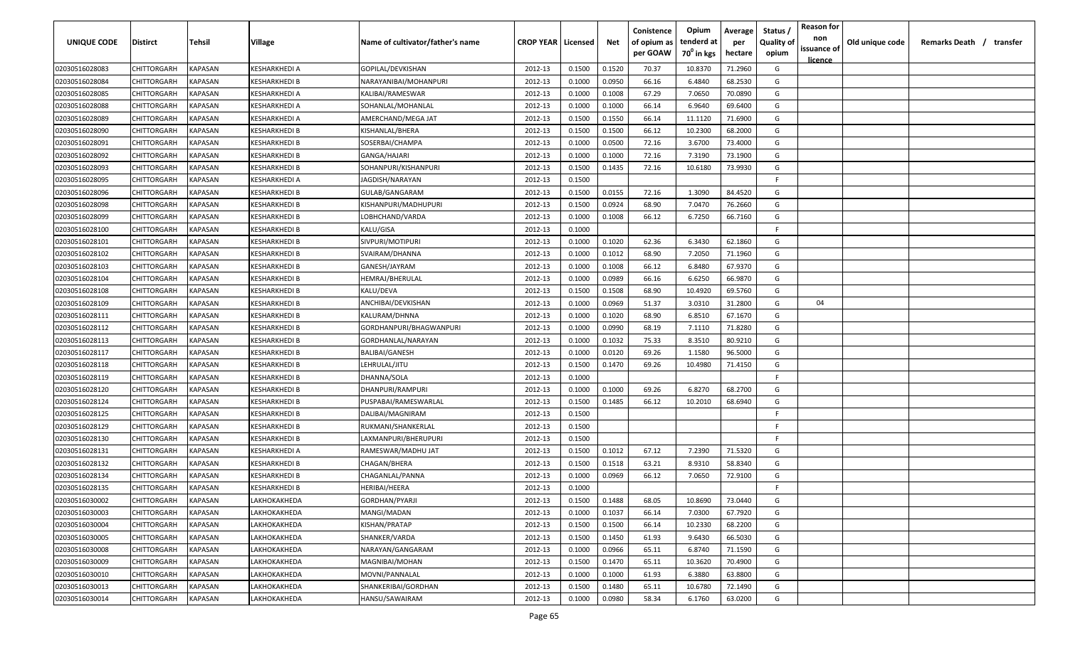| <b>UNIQUE CODE</b> | <b>Distirct</b>    | <b>Tehsil</b>  | Village              | Name of cultivator/father's name | <b>CROP YEAR   Licensed</b> |        | Net    | Conistence<br>of opium as<br>per GOAW | Opium<br>tenderd at<br>70 <sup>0</sup> in kgs | Average<br>per<br>hectare | Status /<br>Quality of<br>opium | <b>Reason for</b><br>non<br>issuance of<br>licence | Old unique code | Remarks Death /<br>transfer |  |
|--------------------|--------------------|----------------|----------------------|----------------------------------|-----------------------------|--------|--------|---------------------------------------|-----------------------------------------------|---------------------------|---------------------------------|----------------------------------------------------|-----------------|-----------------------------|--|
| 02030516028083     | CHITTORGARH        | <b>KAPASAN</b> | KESHARKHEDI A        | GOPILAL/DEVKISHAN                | 2012-13                     | 0.1500 | 0.1520 | 70.37                                 | 10.8370                                       | 71.2960                   | G                               |                                                    |                 |                             |  |
| 02030516028084     | CHITTORGARH        | KAPASAN        | KESHARKHEDI B        | NARAYANIBAI/MOHANPURI            | 2012-13                     | 0.1000 | 0.0950 | 66.16                                 | 6.4840                                        | 68.2530                   | G                               |                                                    |                 |                             |  |
| 02030516028085     | CHITTORGARH        | KAPASAN        | KESHARKHEDI A        | KALIBAI/RAMESWAR                 | 2012-13                     | 0.1000 | 0.1008 | 67.29                                 | 7.0650                                        | 70.0890                   | G                               |                                                    |                 |                             |  |
| 02030516028088     | CHITTORGARH        | KAPASAN        | KESHARKHEDI A        | SOHANLAL/MOHANLAL                | 2012-13                     | 0.1000 | 0.1000 | 66.14                                 | 6.9640                                        | 69.6400                   | G                               |                                                    |                 |                             |  |
| 02030516028089     | CHITTORGARH        | KAPASAN        | KESHARKHEDI A        | AMERCHAND/MEGA JAT               | 2012-13                     | 0.1500 | 0.1550 | 66.14                                 | 11.1120                                       | 71.6900                   | G                               |                                                    |                 |                             |  |
| 02030516028090     | CHITTORGARH        | KAPASAN        | KESHARKHEDI B        | KISHANLAL/BHERA                  | 2012-13                     | 0.1500 | 0.1500 | 66.12                                 | 10.2300                                       | 68.2000                   | G                               |                                                    |                 |                             |  |
| 02030516028091     | CHITTORGARH        | KAPASAN        | KESHARKHEDI B        | SOSERBAI/CHAMPA                  | 2012-13                     | 0.1000 | 0.0500 | 72.16                                 | 3.6700                                        | 73.4000                   | G                               |                                                    |                 |                             |  |
| 02030516028092     | <b>CHITTORGARH</b> | KAPASAN        | KESHARKHEDI B        | GANGA/HAJARI                     | 2012-13                     | 0.1000 | 0.1000 | 72.16                                 | 7.3190                                        | 73.1900                   | G                               |                                                    |                 |                             |  |
| 02030516028093     | CHITTORGARH        | KAPASAN        | KESHARKHEDI B        | SOHANPURI/KISHANPURI             | 2012-13                     | 0.1500 | 0.1435 | 72.16                                 | 10.6180                                       | 73.9930                   | G                               |                                                    |                 |                             |  |
| 02030516028095     | CHITTORGARH        | KAPASAN        | KESHARKHEDI A        | JAGDISH/NARAYAN                  | 2012-13                     | 0.1500 |        |                                       |                                               |                           | -F.                             |                                                    |                 |                             |  |
| 02030516028096     | CHITTORGARH        | KAPASAN        | KESHARKHEDI B        | GULAB/GANGARAM                   | 2012-13                     | 0.1500 | 0.0155 | 72.16                                 | 1.3090                                        | 84.4520                   | G                               |                                                    |                 |                             |  |
| 02030516028098     | CHITTORGARH        | KAPASAN        | (ESHARKHEDI B        | KISHANPURI/MADHUPURI             | 2012-13                     | 0.1500 | 0.0924 | 68.90                                 | 7.0470                                        | 76.2660                   | G                               |                                                    |                 |                             |  |
| 02030516028099     | CHITTORGARH        | KAPASAN        | KESHARKHEDI B        | LOBHCHAND/VARDA                  | 2012-13                     | 0.1000 | 0.1008 | 66.12                                 | 6.7250                                        | 66.7160                   | G                               |                                                    |                 |                             |  |
| 02030516028100     | CHITTORGARH        | KAPASAN        | KESHARKHEDI B        | KALU/GISA                        | 2012-13                     | 0.1000 |        |                                       |                                               |                           | -F.                             |                                                    |                 |                             |  |
| 02030516028101     | CHITTORGARH        | KAPASAN        | KESHARKHEDI B        | SIVPURI/MOTIPURI                 | 2012-13                     | 0.1000 | 0.1020 | 62.36                                 | 6.3430                                        | 62.1860                   | G                               |                                                    |                 |                             |  |
| 02030516028102     | CHITTORGARH        | KAPASAN        | <b>KESHARKHEDI B</b> | SVAIRAM/DHANNA                   | 2012-13                     | 0.1000 | 0.1012 | 68.90                                 | 7.2050                                        | 71.1960                   | G                               |                                                    |                 |                             |  |
| 02030516028103     | CHITTORGARH        | KAPASAN        | KESHARKHEDI B        | GANESH/JAYRAM                    | 2012-13                     | 0.1000 | 0.1008 | 66.12                                 | 6.8480                                        | 67.9370                   | G                               |                                                    |                 |                             |  |
| 02030516028104     | CHITTORGARH        | KAPASAN        | KESHARKHEDI B        | HEMRAJ/BHERULAL                  | 2012-13                     | 0.1000 | 0.0989 | 66.16                                 | 6.6250                                        | 66.9870                   | G                               |                                                    |                 |                             |  |
| 02030516028108     | CHITTORGARH        | KAPASAN        | KESHARKHEDI B        | KALU/DEVA                        | 2012-13                     | 0.1500 | 0.1508 | 68.90                                 | 10.4920                                       | 69.5760                   | G                               |                                                    |                 |                             |  |
| 02030516028109     | CHITTORGARH        | KAPASAN        | KESHARKHEDI B        | ANCHIBAI/DEVKISHAN               | 2012-13                     | 0.1000 | 0.0969 | 51.37                                 | 3.0310                                        | 31.2800                   | G                               | 04                                                 |                 |                             |  |
| 02030516028111     | CHITTORGARH        | KAPASAN        | <b>KESHARKHEDI B</b> | KALURAM/DHNNA                    | 2012-13                     | 0.1000 | 0.1020 | 68.90                                 | 6.8510                                        | 67.1670                   | G                               |                                                    |                 |                             |  |
| 02030516028112     | CHITTORGARH        | KAPASAN        | KESHARKHEDI B        | GORDHANPURI/BHAGWANPURI          | 2012-13                     | 0.1000 | 0.0990 | 68.19                                 | 7.1110                                        | 71.8280                   | G                               |                                                    |                 |                             |  |
| 02030516028113     | CHITTORGARH        | KAPASAN        | KESHARKHEDI B        | GORDHANLAL/NARAYAN               | 2012-13                     | 0.1000 | 0.1032 | 75.33                                 | 8.3510                                        | 80.9210                   | G                               |                                                    |                 |                             |  |
| 02030516028117     | CHITTORGARH        | KAPASAN        | KESHARKHEDI B        | BALIBAI/GANESH                   | 2012-13                     | 0.1000 | 0.0120 | 69.26                                 | 1.1580                                        | 96.5000                   | G                               |                                                    |                 |                             |  |
| 02030516028118     | CHITTORGARH        | KAPASAN        | KESHARKHEDI B        | LEHRULAL/JITU                    | 2012-13                     | 0.1500 | 0.1470 | 69.26                                 | 10.4980                                       | 71.4150                   | G                               |                                                    |                 |                             |  |
| 02030516028119     | CHITTORGARH        | KAPASAN        | KESHARKHEDI B        | DHANNA/SOLA                      | 2012-13                     | 0.1000 |        |                                       |                                               |                           | -F.                             |                                                    |                 |                             |  |
| 02030516028120     | CHITTORGARH        | KAPASAN        | KESHARKHEDI B        | DHANPURI/RAMPURI                 | 2012-13                     | 0.1000 | 0.1000 | 69.26                                 | 6.8270                                        | 68.2700                   | G                               |                                                    |                 |                             |  |
| 02030516028124     | CHITTORGARH        | KAPASAN        | KESHARKHEDI B        | PUSPABAI/RAMESWARLAL             | 2012-13                     | 0.1500 | 0.1485 | 66.12                                 | 10.2010                                       | 68.6940                   | G                               |                                                    |                 |                             |  |
| 02030516028125     | CHITTORGARH        | KAPASAN        | KESHARKHEDI B        | DALIBAI/MAGNIRAM                 | 2012-13                     | 0.1500 |        |                                       |                                               |                           | -F.                             |                                                    |                 |                             |  |
| 02030516028129     | CHITTORGARH        | KAPASAN        | KESHARKHEDI B        | RUKMANI/SHANKERLAL               | 2012-13                     | 0.1500 |        |                                       |                                               |                           | -F.                             |                                                    |                 |                             |  |
| 02030516028130     | CHITTORGARH        | KAPASAN        | KESHARKHEDI B        | LAXMANPURI/BHERUPURI             | 2012-13                     | 0.1500 |        |                                       |                                               |                           | -F.                             |                                                    |                 |                             |  |
| 02030516028131     | CHITTORGARH        | KAPASAN        | KESHARKHEDI A        | RAMESWAR/MADHU JAT               | 2012-13                     | 0.1500 | 0.1012 | 67.12                                 | 7.2390                                        | 71.5320                   | G                               |                                                    |                 |                             |  |
| 02030516028132     | CHITTORGARH        | KAPASAN        | KESHARKHEDI B        | CHAGAN/BHERA                     | 2012-13                     | 0.1500 | 0.1518 | 63.21                                 | 8.9310                                        | 58.8340                   | G                               |                                                    |                 |                             |  |
| 02030516028134     | CHITTORGARH        | KAPASAN        | KESHARKHEDI B        | CHAGANLAL/PANNA                  | 2012-13                     | 0.1000 | 0.0969 | 66.12                                 | 7.0650                                        | 72.9100                   | G                               |                                                    |                 |                             |  |
| 02030516028135     | <b>CHITTORGARH</b> | KAPASAN        | KESHARKHEDI B        | HERIBAI/HEERA                    | 2012-13                     | 0.1000 |        |                                       |                                               |                           | E                               |                                                    |                 |                             |  |
| 02030516030002     | CHITTORGARH        | <b>KAPASAN</b> | <b>LAKHOKAKHEDA</b>  | GORDHAN/PYARJI                   | 2012-13                     | 0.1500 | 0.1488 | 68.05                                 | 10.8690                                       | 73.0440                   | G                               |                                                    |                 |                             |  |
| 02030516030003     | <b>CHITTORGARH</b> | KAPASAN        | LAKHOKAKHEDA         | MANGI/MADAN                      | 2012-13                     | 0.1000 | 0.1037 | 66.14                                 | 7.0300                                        | 67.7920                   | G                               |                                                    |                 |                             |  |
| 02030516030004     | CHITTORGARH        | KAPASAN        | LAKHOKAKHEDA         | KISHAN/PRATAP                    | 2012-13                     | 0.1500 | 0.1500 | 66.14                                 | 10.2330                                       | 68.2200                   | G                               |                                                    |                 |                             |  |
| 02030516030005     | CHITTORGARH        | KAPASAN        | LAKHOKAKHEDA         | SHANKER/VARDA                    | 2012-13                     | 0.1500 | 0.1450 | 61.93                                 | 9.6430                                        | 66.5030                   | G                               |                                                    |                 |                             |  |
| 02030516030008     | CHITTORGARH        | KAPASAN        | LAKHOKAKHEDA         | NARAYAN/GANGARAM                 | 2012-13                     | 0.1000 | 0.0966 | 65.11                                 | 6.8740                                        | 71.1590                   | G                               |                                                    |                 |                             |  |
| 02030516030009     | CHITTORGARH        | KAPASAN        | LAKHOKAKHEDA         | MAGNIBAI/MOHAN                   | 2012-13                     | 0.1500 | 0.1470 | 65.11                                 | 10.3620                                       | 70.4900                   | G                               |                                                    |                 |                             |  |
| 02030516030010     | CHITTORGARH        | KAPASAN        | LAKHOKAKHEDA         | MOVNI/PANNALAL                   | 2012-13                     | 0.1000 | 0.1000 | 61.93                                 | 6.3880                                        | 63.8800                   | G                               |                                                    |                 |                             |  |
| 02030516030013     | <b>CHITTORGARH</b> | KAPASAN        | LAKHOKAKHEDA         | SHANKERIBAI/GORDHAN              | 2012-13                     | 0.1500 | 0.1480 | 65.11                                 | 10.6780                                       | 72.1490                   | G                               |                                                    |                 |                             |  |
| 02030516030014     | CHITTORGARH        | KAPASAN        | LAKHOKAKHEDA         | HANSU/SAWAIRAM                   | 2012-13                     | 0.1000 | 0.0980 | 58.34                                 | 6.1760                                        | 63.0200                   | G                               |                                                    |                 |                             |  |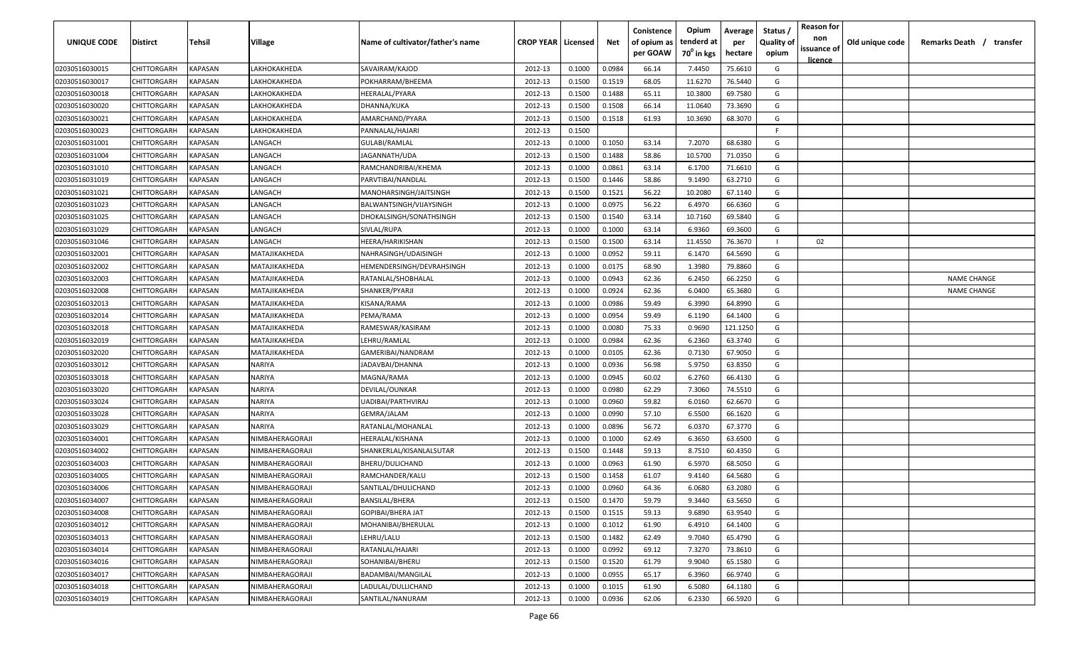| <b>UNIQUE CODE</b> | <b>Distirct</b>    | <b>Tehsil</b>  | Village         | Name of cultivator/father's name | <b>CROP YEAR   Licensed</b> |        | Net    | Conistence<br>of opium as<br>per GOAW | Opium<br>tenderd at<br>70 <sup>0</sup> in kgs | Average<br>per<br>hectare | Status /<br>Quality of<br>opium | <b>Reason for</b><br>non<br>issuance of<br><u>licence</u> | Old unique code | Remarks Death /<br>transfer |
|--------------------|--------------------|----------------|-----------------|----------------------------------|-----------------------------|--------|--------|---------------------------------------|-----------------------------------------------|---------------------------|---------------------------------|-----------------------------------------------------------|-----------------|-----------------------------|
| 02030516030015     | CHITTORGARH        | KAPASAN        | LAKHOKAKHEDA    | SAVAIRAM/KAJOD                   | 2012-13                     | 0.1000 | 0.0984 | 66.14                                 | 7.4450                                        | 75.6610                   | G                               |                                                           |                 |                             |
| 02030516030017     | CHITTORGARH        | KAPASAN        | LAKHOKAKHEDA    | POKHARRAM/BHEEMA                 | 2012-13                     | 0.1500 | 0.1519 | 68.05                                 | 11.6270                                       | 76.5440                   | G                               |                                                           |                 |                             |
| 02030516030018     | CHITTORGARH        | KAPASAN        | LAKHOKAKHEDA    | HEERALAL/PYARA                   | 2012-13                     | 0.1500 | 0.1488 | 65.11                                 | 10.3800                                       | 69.7580                   | G                               |                                                           |                 |                             |
| 02030516030020     | CHITTORGARH        | KAPASAN        | LAKHOKAKHEDA    | DHANNA/KUKA                      | 2012-13                     | 0.1500 | 0.1508 | 66.14                                 | 11.0640                                       | 73.3690                   | G                               |                                                           |                 |                             |
| 02030516030021     | CHITTORGARH        | KAPASAN        | LAKHOKAKHEDA    | AMARCHAND/PYARA                  | 2012-13                     | 0.1500 | 0.1518 | 61.93                                 | 10.3690                                       | 68.3070                   | G                               |                                                           |                 |                             |
| 02030516030023     | CHITTORGARH        | KAPASAN        | LAKHOKAKHEDA    | PANNALAL/HAJARI                  | 2012-13                     | 0.1500 |        |                                       |                                               |                           | -F                              |                                                           |                 |                             |
| 02030516031001     | CHITTORGARH        | KAPASAN        | LANGACH         | GULABI/RAMLAL                    | 2012-13                     | 0.1000 | 0.1050 | 63.14                                 | 7.2070                                        | 68.6380                   | G                               |                                                           |                 |                             |
| 02030516031004     | CHITTORGARH        | KAPASAN        | LANGACH         | JAGANNATH/UDA                    | 2012-13                     | 0.1500 | 0.1488 | 58.86                                 | 10.5700                                       | 71.0350                   | G                               |                                                           |                 |                             |
| 02030516031010     | CHITTORGARH        | KAPASAN        | LANGACH         | RAMCHANDRIBAI/KHEMA              | 2012-13                     | 0.1000 | 0.0861 | 63.14                                 | 6.1700                                        | 71.6610                   | G                               |                                                           |                 |                             |
| 02030516031019     | CHITTORGARH        | KAPASAN        | LANGACH         | PARVTIBAI/NANDLAL                | 2012-13                     | 0.1500 | 0.1446 | 58.86                                 | 9.1490                                        | 63.2710                   | G                               |                                                           |                 |                             |
| 02030516031021     | CHITTORGARH        | KAPASAN        | LANGACH         | MANOHARSINGH/JAITSINGH           | 2012-13                     | 0.1500 | 0.1521 | 56.22                                 | 10.2080                                       | 67.1140                   | G                               |                                                           |                 |                             |
| 02030516031023     | CHITTORGARH        | KAPASAN        | ANGACH          | BALWANTSINGH/VIJAYSINGH          | 2012-13                     | 0.1000 | 0.0975 | 56.22                                 | 6.4970                                        | 66.6360                   | G                               |                                                           |                 |                             |
| 02030516031025     | CHITTORGARH        | KAPASAN        | ANGACH          | DHOKALSINGH/SONATHSINGH          | 2012-13                     | 0.1500 | 0.1540 | 63.14                                 | 10.7160                                       | 69.5840                   | G                               |                                                           |                 |                             |
| 02030516031029     | CHITTORGARH        | KAPASAN        | LANGACH         | SIVLAL/RUPA                      | 2012-13                     | 0.1000 | 0.1000 | 63.14                                 | 6.9360                                        | 69.3600                   | G                               |                                                           |                 |                             |
| 02030516031046     | CHITTORGARH        | KAPASAN        | LANGACH         | HEERA/HARIKISHAN                 | 2012-13                     | 0.1500 | 0.1500 | 63.14                                 | 11.4550                                       | 76.3670                   |                                 | 02                                                        |                 |                             |
| 02030516032001     | CHITTORGARH        | KAPASAN        | MATAJIKAKHEDA   | NAHRASINGH/UDAISINGH             | 2012-13                     | 0.1000 | 0.0952 | 59.11                                 | 6.1470                                        | 64.5690                   | G                               |                                                           |                 |                             |
| 02030516032002     | CHITTORGARH        | KAPASAN        | MATAJIKAKHEDA   | HEMENDERSINGH/DEVRAHSINGH        | 2012-13                     | 0.1000 | 0.0175 | 68.90                                 | 1.3980                                        | 79.8860                   | G                               |                                                           |                 |                             |
| 02030516032003     | CHITTORGARH        | KAPASAN        | MATAJIKAKHEDA   | RATANLAL/SHOBHALAL               | 2012-13                     | 0.1000 | 0.0943 | 62.36                                 | 6.2450                                        | 66.2250                   | G                               |                                                           |                 | <b>NAME CHANGE</b>          |
| 02030516032008     | CHITTORGARH        | KAPASAN        | MATAJIKAKHEDA   | SHANKER/PYARJI                   | 2012-13                     | 0.1000 | 0.0924 | 62.36                                 | 6.0400                                        | 65.3680                   | G                               |                                                           |                 | <b>NAME CHANGE</b>          |
| 02030516032013     | CHITTORGARH        | KAPASAN        | MATAJIKAKHEDA   | KISANA/RAMA                      | 2012-13                     | 0.1000 | 0.0986 | 59.49                                 | 6.3990                                        | 64.8990                   | G                               |                                                           |                 |                             |
| 02030516032014     | CHITTORGARH        | KAPASAN        | MATAJIKAKHEDA   | PEMA/RAMA                        | 2012-13                     | 0.1000 | 0.0954 | 59.49                                 | 6.1190                                        | 64.1400                   | G                               |                                                           |                 |                             |
| 02030516032018     | CHITTORGARH        | KAPASAN        | MATAJIKAKHEDA   | RAMESWAR/KASIRAM                 | 2012-13                     | 0.1000 | 0.0080 | 75.33                                 | 0.9690                                        | 121.1250                  | G                               |                                                           |                 |                             |
| 02030516032019     | CHITTORGARH        | KAPASAN        | MATAJIKAKHEDA   | LEHRU/RAMLAL                     | 2012-13                     | 0.1000 | 0.0984 | 62.36                                 | 6.2360                                        | 63.3740                   | G                               |                                                           |                 |                             |
| 02030516032020     | CHITTORGARH        | KAPASAN        | MATAJIKAKHEDA   | GAMERIBAI/NANDRAM                | 2012-13                     | 0.1000 | 0.0105 | 62.36                                 | 0.7130                                        | 67.9050                   | G                               |                                                           |                 |                             |
| 02030516033012     | CHITTORGARH        | KAPASAN        | NARIYA          | JADAVBAI/DHANNA                  | 2012-13                     | 0.1000 | 0.0936 | 56.98                                 | 5.9750                                        | 63.8350                   | G                               |                                                           |                 |                             |
| 02030516033018     | CHITTORGARH        | KAPASAN        | NARIYA          | MAGNA/RAMA                       | 2012-13                     | 0.1000 | 0.0945 | 60.02                                 | 6.2760                                        | 66.4130                   | G                               |                                                           |                 |                             |
| 02030516033020     | CHITTORGARH        | KAPASAN        | NARIYA          | DEVILAL/OUNKAR                   | 2012-13                     | 0.1000 | 0.0980 | 62.29                                 | 7.3060                                        | 74.5510                   | G                               |                                                           |                 |                             |
| 02030516033024     | CHITTORGARH        | KAPASAN        | NARIYA          | UADIBAI/PARTHVIRAJ               | 2012-13                     | 0.1000 | 0.0960 | 59.82                                 | 6.0160                                        | 62.6670                   | G                               |                                                           |                 |                             |
| 02030516033028     | CHITTORGARH        | KAPASAN        | NARIYA          | GEMRA/JALAM                      | 2012-13                     | 0.1000 | 0.0990 | 57.10                                 | 6.5500                                        | 66.1620                   | G                               |                                                           |                 |                             |
| 02030516033029     | CHITTORGARH        | KAPASAN        | NARIYA          | RATANLAL/MOHANLAL                | 2012-13                     | 0.1000 | 0.0896 | 56.72                                 | 6.0370                                        | 67.3770                   | G                               |                                                           |                 |                             |
| 02030516034001     | CHITTORGARH        | KAPASAN        | NIMBAHERAGORAJI | HEERALAL/KISHANA                 | 2012-13                     | 0.1000 | 0.1000 | 62.49                                 | 6.3650                                        | 63.6500                   | G                               |                                                           |                 |                             |
| 02030516034002     | CHITTORGARH        | KAPASAN        | NIMBAHERAGORAJI | SHANKERLAL/KISANLALSUTAR         | 2012-13                     | 0.1500 | 0.1448 | 59.13                                 | 8.7510                                        | 60.4350                   | G                               |                                                           |                 |                             |
| 02030516034003     | CHITTORGARH        | KAPASAN        | NIMBAHERAGORAJI | BHERU/DULICHAND                  | 2012-13                     | 0.1000 | 0.0963 | 61.90                                 | 6.5970                                        | 68.5050                   | G                               |                                                           |                 |                             |
| 02030516034005     | CHITTORGARH        | KAPASAN        | NIMBAHERAGORAJI | RAMCHANDER/KALU                  | 2012-13                     | 0.1500 | 0.1458 | 61.07                                 | 9.4140                                        | 64.5680                   | G                               |                                                           |                 |                             |
| 02030516034006     | <b>CHITTORGARH</b> | KAPASAN        | NIMBAHERAGORAJI | SANTILAL/DHULICHAND              | 2012-13                     | 0.1000 | 0.0960 | 64.36                                 | 6.0680                                        | 63.2080                   | G                               |                                                           |                 |                             |
| 02030516034007     | CHITTORGARH        | <b>KAPASAN</b> | NIMBAHERAGORAJI | <b>BANSILAL/BHERA</b>            | 2012-13                     | 0.1500 | 0.1470 | 59.79                                 | 9.3440                                        | 63.5650                   | G                               |                                                           |                 |                             |
| 02030516034008     | <b>CHITTORGARH</b> | KAPASAN        | NIMBAHERAGORAJI | GOPIBAI/BHERA JAT                | 2012-13                     | 0.1500 | 0.1515 | 59.13                                 | 9.6890                                        | 63.9540                   | G                               |                                                           |                 |                             |
| 02030516034012     | <b>CHITTORGARH</b> | KAPASAN        | NIMBAHERAGORAJI | MOHANIBAI/BHERULAL               | 2012-13                     | 0.1000 | 0.1012 | 61.90                                 | 6.4910                                        | 64.1400                   | G                               |                                                           |                 |                             |
| 02030516034013     | CHITTORGARH        | KAPASAN        | NIMBAHERAGORAJI | LEHRU/LALU                       | 2012-13                     | 0.1500 | 0.1482 | 62.49                                 | 9.7040                                        | 65.4790                   | G                               |                                                           |                 |                             |
| 02030516034014     | CHITTORGARH        | <b>KAPASAN</b> | NIMBAHERAGORAJI | RATANLAL/HAJARI                  | 2012-13                     | 0.1000 | 0.0992 | 69.12                                 | 7.3270                                        | 73.8610                   | G                               |                                                           |                 |                             |
| 02030516034016     | CHITTORGARH        | KAPASAN        | NIMBAHERAGORAJI | SOHANIBAI/BHERU                  | 2012-13                     | 0.1500 | 0.1520 | 61.79                                 | 9.9040                                        | 65.1580                   | G                               |                                                           |                 |                             |
| 02030516034017     | CHITTORGARH        | KAPASAN        | NIMBAHERAGORAJI | BADAMBAI/MANGILAL                | 2012-13                     | 0.1000 | 0.0955 | 65.17                                 | 6.3960                                        | 66.9740                   | G                               |                                                           |                 |                             |
| 02030516034018     | CHITTORGARH        | KAPASAN        | NIMBAHERAGORAJI | LADULAL/DULLICHAND               | 2012-13                     | 0.1000 | 0.1015 | 61.90                                 | 6.5080                                        | 64.1180                   | G                               |                                                           |                 |                             |
| 02030516034019     | CHITTORGARH        | KAPASAN        | NIMBAHERAGORAJI | SANTILAL/NANURAM                 | 2012-13                     | 0.1000 | 0.0936 | 62.06                                 | 6.2330                                        | 66.5920                   | G                               |                                                           |                 |                             |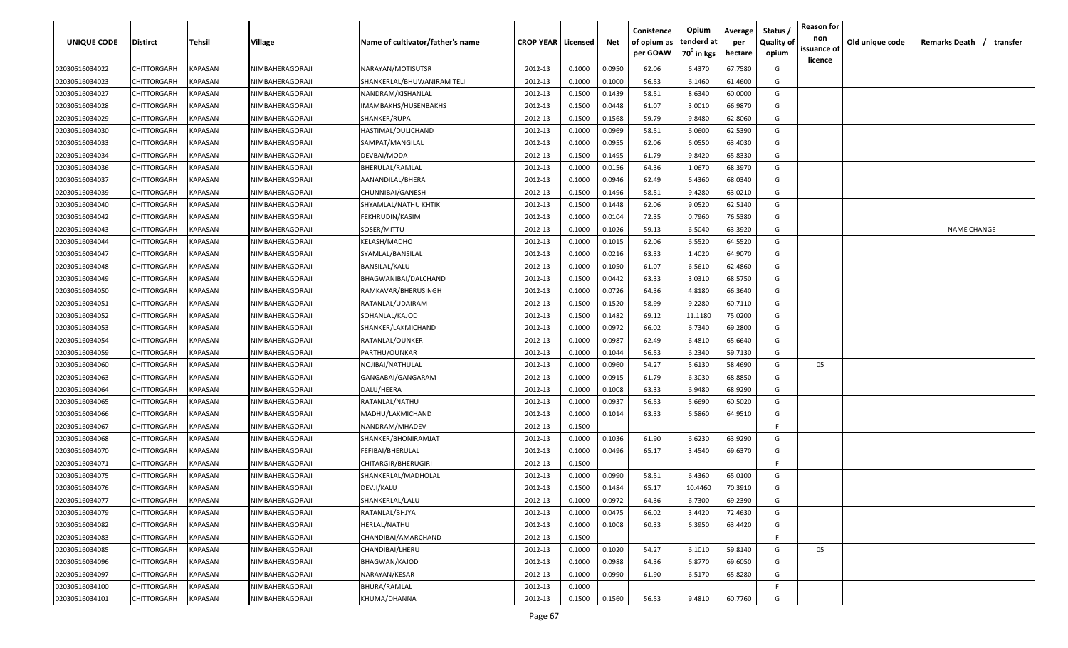| <b>UNIQUE CODE</b> | <b>Distirct</b>    | <b>Tehsil</b>  | Village         | Name of cultivator/father's name | <b>CROP YEAR   Licensed</b> |        | Net    | Conistence<br>of opium as<br>per GOAW | Opium<br>tenderd at<br>70 <sup>0</sup> in kgs | Average<br>per<br>hectare | Status /<br>Quality of<br>opium | <b>Reason for</b><br>non<br>issuance of<br><u>licence</u> | Old unique code | Remarks Death /<br>transfer |
|--------------------|--------------------|----------------|-----------------|----------------------------------|-----------------------------|--------|--------|---------------------------------------|-----------------------------------------------|---------------------------|---------------------------------|-----------------------------------------------------------|-----------------|-----------------------------|
| 02030516034022     | CHITTORGARH        | <b>KAPASAN</b> | NIMBAHERAGORAJI | NARAYAN/MOTISUTSR                | 2012-13                     | 0.1000 | 0.0950 | 62.06                                 | 6.4370                                        | 67.7580                   | G                               |                                                           |                 |                             |
| 02030516034023     | CHITTORGARH        | KAPASAN        | NIMBAHERAGORAJI | SHANKERLAL/BHUWANIRAM TELI       | 2012-13                     | 0.1000 | 0.1000 | 56.53                                 | 6.1460                                        | 61.4600                   | G                               |                                                           |                 |                             |
| 02030516034027     | CHITTORGARH        | KAPASAN        | NIMBAHERAGORAJI | NANDRAM/KISHANLAL                | 2012-13                     | 0.1500 | 0.1439 | 58.51                                 | 8.6340                                        | 60.0000                   | G                               |                                                           |                 |                             |
| 02030516034028     | CHITTORGARH        | KAPASAN        | NIMBAHERAGORAJI | IMAMBAKHS/HUSENBAKHS             | 2012-13                     | 0.1500 | 0.0448 | 61.07                                 | 3.0010                                        | 66.9870                   | G                               |                                                           |                 |                             |
| 02030516034029     | CHITTORGARH        | KAPASAN        | NIMBAHERAGORAJI | SHANKER/RUPA                     | 2012-13                     | 0.1500 | 0.1568 | 59.79                                 | 9.8480                                        | 62.8060                   | G                               |                                                           |                 |                             |
| 02030516034030     | CHITTORGARH        | KAPASAN        | NIMBAHERAGORAJI | HASTIMAL/DULICHAND               | 2012-13                     | 0.1000 | 0.0969 | 58.51                                 | 6.0600                                        | 62.5390                   | G                               |                                                           |                 |                             |
| 02030516034033     | CHITTORGARH        | KAPASAN        | NIMBAHERAGORAJI | SAMPAT/MANGILAL                  | 2012-13                     | 0.1000 | 0.0955 | 62.06                                 | 6.0550                                        | 63.4030                   | G                               |                                                           |                 |                             |
| 02030516034034     | CHITTORGARH        | KAPASAN        | NIMBAHERAGORAJI | DEVBAI/MODA                      | 2012-13                     | 0.1500 | 0.1495 | 61.79                                 | 9.8420                                        | 65.8330                   | G                               |                                                           |                 |                             |
| 02030516034036     | CHITTORGARH        | KAPASAN        | NIMBAHERAGORAJI | BHERULAL/RAMLAL                  | 2012-13                     | 0.1000 | 0.0156 | 64.36                                 | 1.0670                                        | 68.3970                   | G                               |                                                           |                 |                             |
| 02030516034037     | CHITTORGARH        | KAPASAN        | NIMBAHERAGORAJI | AANANDILAL/BHERA                 | 2012-13                     | 0.1000 | 0.0946 | 62.49                                 | 6.4360                                        | 68.0340                   | G                               |                                                           |                 |                             |
| 02030516034039     | CHITTORGARH        | KAPASAN        | NIMBAHERAGORAJI | CHUNNIBAI/GANESH                 | 2012-13                     | 0.1500 | 0.1496 | 58.51                                 | 9.4280                                        | 63.0210                   | G                               |                                                           |                 |                             |
| 02030516034040     | CHITTORGARH        | KAPASAN        | NIMBAHERAGORAJI | SHYAMLAL/NATHU KHTIK             | 2012-13                     | 0.1500 | 0.1448 | 62.06                                 | 9.0520                                        | 62.5140                   | G                               |                                                           |                 |                             |
| 02030516034042     | CHITTORGARH        | KAPASAN        | NIMBAHERAGORAJI | FEKHRUDIN/KASIM                  | 2012-13                     | 0.1000 | 0.0104 | 72.35                                 | 0.7960                                        | 76.5380                   | G                               |                                                           |                 |                             |
| 02030516034043     | CHITTORGARH        | KAPASAN        | NIMBAHERAGORAJI | SOSER/MITTU                      | 2012-13                     | 0.1000 | 0.1026 | 59.13                                 | 6.5040                                        | 63.3920                   | G                               |                                                           |                 | <b>NAME CHANGE</b>          |
| 02030516034044     | CHITTORGARH        | KAPASAN        | NIMBAHERAGORAJI | KELASH/MADHO                     | 2012-13                     | 0.1000 | 0.1015 | 62.06                                 | 6.5520                                        | 64.5520                   | G                               |                                                           |                 |                             |
| 02030516034047     | CHITTORGARH        | KAPASAN        | NIMBAHERAGORAJI | SYAMLAL/BANSILAL                 | 2012-13                     | 0.1000 | 0.0216 | 63.33                                 | 1.4020                                        | 64.9070                   | G                               |                                                           |                 |                             |
| 02030516034048     | CHITTORGARH        | KAPASAN        | NIMBAHERAGORAJI | BANSILAL/KALU                    | 2012-13                     | 0.1000 | 0.1050 | 61.07                                 | 6.5610                                        | 62.4860                   | G                               |                                                           |                 |                             |
| 02030516034049     | CHITTORGARH        | KAPASAN        | NIMBAHERAGORAJI | BHAGWANIBAI/DALCHAND             | 2012-13                     | 0.1500 | 0.0442 | 63.33                                 | 3.0310                                        | 68.5750                   | G                               |                                                           |                 |                             |
| 02030516034050     | CHITTORGARH        | KAPASAN        | NIMBAHERAGORAJI | RAMKAVAR/BHERUSINGH              | 2012-13                     | 0.1000 | 0.0726 | 64.36                                 | 4.8180                                        | 66.3640                   | G                               |                                                           |                 |                             |
| 02030516034051     | CHITTORGARH        | KAPASAN        | NIMBAHERAGORAJI | RATANLAL/UDAIRAM                 | 2012-13                     | 0.1500 | 0.1520 | 58.99                                 | 9.2280                                        | 60.7110                   | G                               |                                                           |                 |                             |
| 02030516034052     | CHITTORGARH        | KAPASAN        | NIMBAHERAGORAJI | SOHANLAL/KAJOD                   | 2012-13                     | 0.1500 | 0.1482 | 69.12                                 | 11.1180                                       | 75.0200                   | G                               |                                                           |                 |                             |
| 02030516034053     | CHITTORGARH        | KAPASAN        | NIMBAHERAGORAJI | SHANKER/LAKMICHAND               | 2012-13                     | 0.1000 | 0.0972 | 66.02                                 | 6.7340                                        | 69.2800                   | G                               |                                                           |                 |                             |
| 02030516034054     | CHITTORGARH        | KAPASAN        | NIMBAHERAGORAJI | RATANLAL/OUNKER                  | 2012-13                     | 0.1000 | 0.0987 | 62.49                                 | 6.4810                                        | 65.6640                   | G                               |                                                           |                 |                             |
| 02030516034059     | CHITTORGARH        | KAPASAN        | NIMBAHERAGORAJI | PARTHU/OUNKAR                    | 2012-13                     | 0.1000 | 0.1044 | 56.53                                 | 6.2340                                        | 59.7130                   | G                               |                                                           |                 |                             |
| 02030516034060     | CHITTORGARH        | KAPASAN        | NIMBAHERAGORAJI | NOJIBAI/NATHULAL                 | 2012-13                     | 0.1000 | 0.0960 | 54.27                                 | 5.6130                                        | 58.4690                   | G                               | 05                                                        |                 |                             |
| 02030516034063     | CHITTORGARH        | KAPASAN        | NIMBAHERAGORAJI | GANGABAI/GANGARAM                | 2012-13                     | 0.1000 | 0.0915 | 61.79                                 | 6.3030                                        | 68.8850                   | G                               |                                                           |                 |                             |
| 02030516034064     | CHITTORGARH        | KAPASAN        | NIMBAHERAGORAJI | DALU/HEERA                       | 2012-13                     | 0.1000 | 0.1008 | 63.33                                 | 6.9480                                        | 68.9290                   | G                               |                                                           |                 |                             |
| 02030516034065     | CHITTORGARH        | KAPASAN        | NIMBAHERAGORAJI | RATANLAL/NATHU                   | 2012-13                     | 0.1000 | 0.0937 | 56.53                                 | 5.6690                                        | 60.5020                   | G                               |                                                           |                 |                             |
| 02030516034066     | CHITTORGARH        | KAPASAN        | NIMBAHERAGORAJI | MADHU/LAKMICHAND                 | 2012-13                     | 0.1000 | 0.1014 | 63.33                                 | 6.5860                                        | 64.9510                   | G                               |                                                           |                 |                             |
| 02030516034067     | CHITTORGARH        | KAPASAN        | NIMBAHERAGORAJI | NANDRAM/MHADEV                   | 2012-13                     | 0.1500 |        |                                       |                                               |                           | -F.                             |                                                           |                 |                             |
| 02030516034068     | CHITTORGARH        | KAPASAN        | NIMBAHERAGORAJI | SHANKER/BHONIRAMJAT              | 2012-13                     | 0.1000 | 0.1036 | 61.90                                 | 6.6230                                        | 63.9290                   | G                               |                                                           |                 |                             |
| 02030516034070     | CHITTORGARH        | KAPASAN        | NIMBAHERAGORAJI | FEFIBAI/BHERULAL                 | 2012-13                     | 0.1000 | 0.0496 | 65.17                                 | 3.4540                                        | 69.6370                   | G                               |                                                           |                 |                             |
| 02030516034071     | CHITTORGARH        | KAPASAN        | NIMBAHERAGORAJI | CHITARGIR/BHERUGIRI              | 2012-13                     | 0.1500 |        |                                       |                                               |                           | -F.                             |                                                           |                 |                             |
| 02030516034075     | CHITTORGARH        | KAPASAN        | NIMBAHERAGORAJI | SHANKERLAL/MADHOLAL              | 2012-13                     | 0.1000 | 0.0990 | 58.51                                 | 6.4360                                        | 65.0100                   | G                               |                                                           |                 |                             |
| 02030516034076     | <b>CHITTORGARH</b> | KAPASAN        | NIMBAHERAGORAJI | DEVJI/KALU                       | 2012-13                     | 0.1500 | 0.1484 | 65.17                                 | 10.4460                                       | 70.3910                   | G                               |                                                           |                 |                             |
| 02030516034077     | CHITTORGARH        | <b>KAPASAN</b> | NIMBAHERAGORAJI | SHANKERLAL/LALU                  | 2012-13                     | 0.1000 | 0.0972 | 64.36                                 | 6.7300                                        | 69.2390                   | G                               |                                                           |                 |                             |
| 02030516034079     | <b>CHITTORGARH</b> | KAPASAN        | NIMBAHERAGORAJI | RATANLAL/BHJYA                   | 2012-13                     | 0.1000 | 0.0475 | 66.02                                 | 3.4420                                        | 72.4630                   | G                               |                                                           |                 |                             |
| 02030516034082     | CHITTORGARH        | KAPASAN        | NIMBAHERAGORAJI | HERLAL/NATHU                     | 2012-13                     | 0.1000 | 0.1008 | 60.33                                 | 6.3950                                        | 63.4420                   | G                               |                                                           |                 |                             |
| 02030516034083     | CHITTORGARH        | KAPASAN        | NIMBAHERAGORAJI | CHANDIBAI/AMARCHAND              | 2012-13                     | 0.1500 |        |                                       |                                               |                           | F                               |                                                           |                 |                             |
| 02030516034085     | CHITTORGARH        | <b>KAPASAN</b> | NIMBAHERAGORAJI | CHANDIBAI/LHERU                  | 2012-13                     | 0.1000 | 0.1020 | 54.27                                 | 6.1010                                        | 59.8140                   | G                               | 05                                                        |                 |                             |
| 02030516034096     | CHITTORGARH        | KAPASAN        | NIMBAHERAGORAJI | BHAGWAN/KAJOD                    | 2012-13                     | 0.1000 | 0.0988 | 64.36                                 | 6.8770                                        | 69.6050                   | G                               |                                                           |                 |                             |
| 02030516034097     | CHITTORGARH        | KAPASAN        | NIMBAHERAGORAJI | NARAYAN/KESAR                    | 2012-13                     | 0.1000 | 0.0990 | 61.90                                 | 6.5170                                        | 65.8280                   | G                               |                                                           |                 |                             |
| 02030516034100     | CHITTORGARH        | KAPASAN        | NIMBAHERAGORAJI | BHURA/RAMLAL                     | 2012-13                     | 0.1000 |        |                                       |                                               |                           | F.                              |                                                           |                 |                             |
| 02030516034101     | <b>CHITTORGARH</b> | KAPASAN        | NIMBAHERAGORAJI | KHUMA/DHANNA                     | 2012-13                     | 0.1500 | 0.1560 | 56.53                                 | 9.4810                                        | 60.7760                   | G                               |                                                           |                 |                             |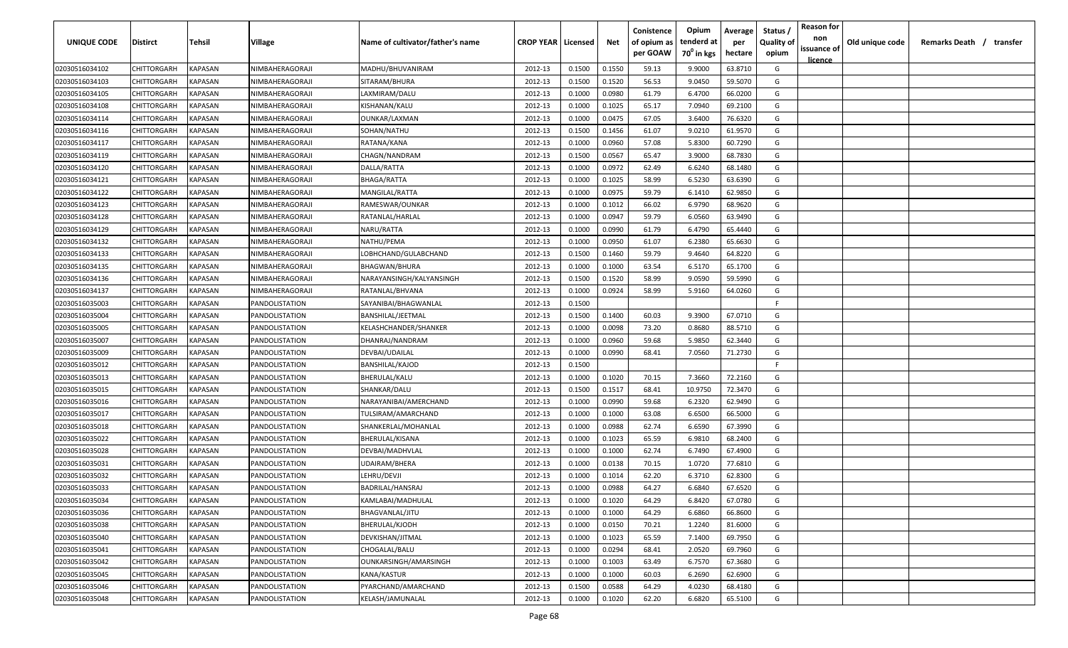| <b>UNIQUE CODE</b> | Distirct           | Tehsil         | Village               | Name of cultivator/father's name | <b>CROP YEAR   Licensed</b> |        | Net    | Conistence<br>of opium as<br>per GOAW | Opium<br>tenderd at<br>70 <sup>0</sup> in kgs | Average<br>per<br>hectare | Status /<br><b>Quality of</b><br>opium | <b>Reason for</b><br>non<br>issuance of<br><u>licence</u> | Old unique code | Remarks Death /<br>transfer |
|--------------------|--------------------|----------------|-----------------------|----------------------------------|-----------------------------|--------|--------|---------------------------------------|-----------------------------------------------|---------------------------|----------------------------------------|-----------------------------------------------------------|-----------------|-----------------------------|
| 02030516034102     | CHITTORGARH        | KAPASAN        | NIMBAHERAGORAJI       | MADHU/BHUVANIRAM                 | 2012-13                     | 0.1500 | 0.1550 | 59.13                                 | 9.9000                                        | 63.8710                   | G                                      |                                                           |                 |                             |
| 02030516034103     | CHITTORGARH        | KAPASAN        | NIMBAHERAGORAJI       | SITARAM/BHURA                    | 2012-13                     | 0.1500 | 0.1520 | 56.53                                 | 9.0450                                        | 59.5070                   | G                                      |                                                           |                 |                             |
| 02030516034105     | CHITTORGARH        | KAPASAN        | NIMBAHERAGORAJI       | LAXMIRAM/DALU                    | 2012-13                     | 0.1000 | 0.0980 | 61.79                                 | 6.4700                                        | 66.0200                   | G                                      |                                                           |                 |                             |
| 02030516034108     | CHITTORGARH        | KAPASAN        | NIMBAHERAGORAJI       | KISHANAN/KALU                    | 2012-13                     | 0.1000 | 0.1025 | 65.17                                 | 7.0940                                        | 69.2100                   | G                                      |                                                           |                 |                             |
| 02030516034114     | CHITTORGARH        | KAPASAN        | NIMBAHERAGORAJI       | OUNKAR/LAXMAN                    | 2012-13                     | 0.1000 | 0.0475 | 67.05                                 | 3.6400                                        | 76.6320                   | G                                      |                                                           |                 |                             |
| 02030516034116     | CHITTORGARH        | KAPASAN        | NIMBAHERAGORAJI       | SOHAN/NATHU                      | 2012-13                     | 0.1500 | 0.1456 | 61.07                                 | 9.0210                                        | 61.9570                   | G                                      |                                                           |                 |                             |
| 02030516034117     | CHITTORGARH        | KAPASAN        | NIMBAHERAGORAJI       | RATANA/KANA                      | 2012-13                     | 0.1000 | 0.0960 | 57.08                                 | 5.8300                                        | 60.7290                   | G                                      |                                                           |                 |                             |
| 02030516034119     | CHITTORGARH        | KAPASAN        | NIMBAHERAGORAJI       | CHAGN/NANDRAM                    | 2012-13                     | 0.1500 | 0.0567 | 65.47                                 | 3.9000                                        | 68.7830                   | G                                      |                                                           |                 |                             |
| 02030516034120     | CHITTORGARH        | KAPASAN        | NIMBAHERAGORAJI       | DALLA/RATTA                      | 2012-13                     | 0.1000 | 0.0972 | 62.49                                 | 6.6240                                        | 68.1480                   | G                                      |                                                           |                 |                             |
| 02030516034121     | CHITTORGARH        | KAPASAN        | NIMBAHERAGORAJI       | BHAGA/RATTA                      | 2012-13                     | 0.1000 | 0.1025 | 58.99                                 | 6.5230                                        | 63.6390                   | G                                      |                                                           |                 |                             |
| 02030516034122     | CHITTORGARH        | KAPASAN        | NIMBAHERAGORAJI       | MANGILAL/RATTA                   | 2012-13                     | 0.1000 | 0.0975 | 59.79                                 | 6.1410                                        | 62.9850                   | G                                      |                                                           |                 |                             |
| 02030516034123     | CHITTORGARH        | KAPASAN        | NIMBAHERAGORAJI       | RAMESWAR/OUNKAR                  | 2012-13                     | 0.1000 | 0.1012 | 66.02                                 | 6.9790                                        | 68.9620                   | G                                      |                                                           |                 |                             |
| 02030516034128     | CHITTORGARH        | KAPASAN        | NIMBAHERAGORAJI       | RATANLAL/HARLAL                  | 2012-13                     | 0.1000 | 0.0947 | 59.79                                 | 6.0560                                        | 63.9490                   | G                                      |                                                           |                 |                             |
| 02030516034129     | CHITTORGARH        | KAPASAN        | NIMBAHERAGORAJI       | NARU/RATTA                       | 2012-13                     | 0.1000 | 0.0990 | 61.79                                 | 6.4790                                        | 65.4440                   | G                                      |                                                           |                 |                             |
| 02030516034132     | CHITTORGARH        | KAPASAN        | NIMBAHERAGORAJI       | NATHU/PEMA                       | 2012-13                     | 0.1000 | 0.0950 | 61.07                                 | 6.2380                                        | 65.6630                   | G                                      |                                                           |                 |                             |
| 02030516034133     | CHITTORGARH        | KAPASAN        | NIMBAHERAGORAJI       | LOBHCHAND/GULABCHAND             | 2012-13                     | 0.1500 | 0.1460 | 59.79                                 | 9.4640                                        | 64.8220                   | G                                      |                                                           |                 |                             |
| 02030516034135     | CHITTORGARH        | KAPASAN        | NIMBAHERAGORAJI       | BHAGWAN/BHURA                    | 2012-13                     | 0.1000 | 0.1000 | 63.54                                 | 6.5170                                        | 65.1700                   | G                                      |                                                           |                 |                             |
| 02030516034136     | CHITTORGARH        | KAPASAN        | NIMBAHERAGORAJI       | NARAYANSINGH/KALYANSINGH         | 2012-13                     | 0.1500 | 0.1520 | 58.99                                 | 9.0590                                        | 59.5990                   | G                                      |                                                           |                 |                             |
| 02030516034137     | CHITTORGARH        | KAPASAN        | NIMBAHERAGORAJI       | RATANLAL/BHVANA                  | 2012-13                     | 0.1000 | 0.0924 | 58.99                                 | 5.9160                                        | 64.0260                   | G                                      |                                                           |                 |                             |
| 02030516035003     | CHITTORGARH        | KAPASAN        | PANDOLISTATION        | SAYANIBAI/BHAGWANLAL             | 2012-13                     | 0.1500 |        |                                       |                                               |                           | F.                                     |                                                           |                 |                             |
| 02030516035004     | CHITTORGARH        | KAPASAN        | PANDOLISTATION        | BANSHILAL/JEETMAL                | 2012-13                     | 0.1500 | 0.1400 | 60.03                                 | 9.3900                                        | 67.0710                   | G                                      |                                                           |                 |                             |
| 02030516035005     | CHITTORGARH        | KAPASAN        | PANDOLISTATION        | KELASHCHANDER/SHANKER            | 2012-13                     | 0.1000 | 0.0098 | 73.20                                 | 0.8680                                        | 88.5710                   | G                                      |                                                           |                 |                             |
| 02030516035007     | CHITTORGARH        | KAPASAN        | PANDOLISTATION        | DHANRAJ/NANDRAM                  | 2012-13                     | 0.1000 | 0.0960 | 59.68                                 | 5.9850                                        | 62.3440                   | G                                      |                                                           |                 |                             |
| 02030516035009     | CHITTORGARH        | KAPASAN        | PANDOLISTATION        | DEVBAI/UDAILAL                   | 2012-13                     | 0.1000 | 0.0990 | 68.41                                 | 7.0560                                        | 71.2730                   | G                                      |                                                           |                 |                             |
| 02030516035012     | CHITTORGARH        | KAPASAN        | PANDOLISTATION        | BANSHILAL/KAJOD                  | 2012-13                     | 0.1500 |        |                                       |                                               |                           | -F.                                    |                                                           |                 |                             |
| 02030516035013     | CHITTORGARH        | KAPASAN        | PANDOLISTATION        | BHERULAL/KALU                    | 2012-13                     | 0.1000 | 0.1020 | 70.15                                 | 7.3660                                        | 72.2160                   | G                                      |                                                           |                 |                             |
| 02030516035015     | CHITTORGARH        | KAPASAN        | PANDOLISTATION        | SHANKAR/DALU                     | 2012-13                     | 0.1500 | 0.1517 | 68.41                                 | 10.9750                                       | 72.3470                   | G                                      |                                                           |                 |                             |
| 02030516035016     | CHITTORGARH        | KAPASAN        | PANDOLISTATION        | NARAYANIBAI/AMERCHAND            | 2012-13                     | 0.1000 | 0.0990 | 59.68                                 | 6.2320                                        | 62.9490                   | G                                      |                                                           |                 |                             |
| 02030516035017     | CHITTORGARH        | KAPASAN        | PANDOLISTATION        | TULSIRAM/AMARCHAND               | 2012-13                     | 0.1000 | 0.1000 | 63.08                                 | 6.6500                                        | 66.5000                   | G                                      |                                                           |                 |                             |
| 02030516035018     | CHITTORGARH        | KAPASAN        | PANDOLISTATION        | SHANKERLAL/MOHANLAL              | 2012-13                     | 0.1000 | 0.0988 | 62.74                                 | 6.6590                                        | 67.3990                   | G                                      |                                                           |                 |                             |
| 02030516035022     | CHITTORGARH        | KAPASAN        | PANDOLISTATION        | BHERULAL/KISANA                  | 2012-13                     | 0.1000 | 0.1023 | 65.59                                 | 6.9810                                        | 68.2400                   | G                                      |                                                           |                 |                             |
| 02030516035028     | CHITTORGARH        | KAPASAN        | PANDOLISTATION        | DEVBAI/MADHVLAL                  | 2012-13                     | 0.1000 | 0.1000 | 62.74                                 | 6.7490                                        | 67.4900                   | G                                      |                                                           |                 |                             |
| 02030516035031     | CHITTORGARH        | KAPASAN        | PANDOLISTATION        | UDAIRAM/BHERA                    | 2012-13                     | 0.1000 | 0.0138 | 70.15                                 | 1.0720                                        | 77.6810                   | G                                      |                                                           |                 |                             |
| 02030516035032     | CHITTORGARH        | KAPASAN        | PANDOLISTATION        | LEHRU/DEVJI                      | 2012-13                     | 0.1000 | 0.1014 | 62.20                                 | 6.3710                                        | 62.8300                   | G                                      |                                                           |                 |                             |
| 02030516035033     | CHITTORGARH        | KAPASAN        | PANDOLISTATION        | BADRILAL/HANSRAJ                 | 2012-13                     | 0.1000 | 0.0988 | 64.27                                 | 6.6840                                        | 67.6520                   | G                                      |                                                           |                 |                             |
| 02030516035034     | <b>CHITTORGARH</b> | <b>KAPASAN</b> | PANDOLISTATION        | KAMLABAI/MADHULAL                | 2012-13                     | 0.1000 | 0.1020 | 64.29                                 | 6.8420                                        | 67.0780                   | G                                      |                                                           |                 |                             |
| 02030516035036     | <b>CHITTORGARH</b> | <b>KAPASAN</b> | PANDOLISTATION        | BHAGVANLAL/JITU                  | 2012-13                     | 0.1000 | 0.1000 | 64.29                                 | 6.6860                                        | 66.8600                   | G                                      |                                                           |                 |                             |
| 02030516035038     | <b>CHITTORGARH</b> | KAPASAN        | PANDOLISTATION        | BHERULAL/KJODH                   | 2012-13                     | 0.1000 | 0.0150 | 70.21                                 | 1.2240                                        | 81.6000                   | G                                      |                                                           |                 |                             |
| 02030516035040     | CHITTORGARH        | KAPASAN        | PANDOLISTATION        | DEVKISHAN/JITMAL                 | 2012-13                     | 0.1000 | 0.1023 | 65.59                                 | 7.1400                                        | 69.7950                   | G                                      |                                                           |                 |                             |
| 02030516035041     | <b>CHITTORGARH</b> | KAPASAN        | PANDOLISTATION        | CHOGALAL/BALU                    | 2012-13                     | 0.1000 | 0.0294 | 68.41                                 | 2.0520                                        | 69.7960                   | G                                      |                                                           |                 |                             |
| 02030516035042     | CHITTORGARH        | KAPASAN        | PANDOLISTATION        | OUNKARSINGH/AMARSINGH            | 2012-13                     | 0.1000 | 0.1003 | 63.49                                 | 6.7570                                        | 67.3680                   | G                                      |                                                           |                 |                             |
| 02030516035045     | CHITTORGARH        | KAPASAN        | PANDOLISTATION        | KANA/KASTUR                      | 2012-13                     | 0.1000 | 0.1000 | 60.03                                 | 6.2690                                        | 62.6900                   | G                                      |                                                           |                 |                             |
| 02030516035046     | CHITTORGARH        | KAPASAN        | PANDOLISTATION        | PYARCHAND/AMARCHAND              | 2012-13                     | 0.1500 | 0.0588 | 64.29                                 | 4.0230                                        | 68.4180                   | G                                      |                                                           |                 |                             |
| 02030516035048     | <b>CHITTORGARH</b> | KAPASAN        | <b>PANDOLISTATION</b> | KELASH/JAMUNALAL                 | 2012-13                     | 0.1000 | 0.1020 | 62.20                                 | 6.6820                                        | 65.5100                   | G                                      |                                                           |                 |                             |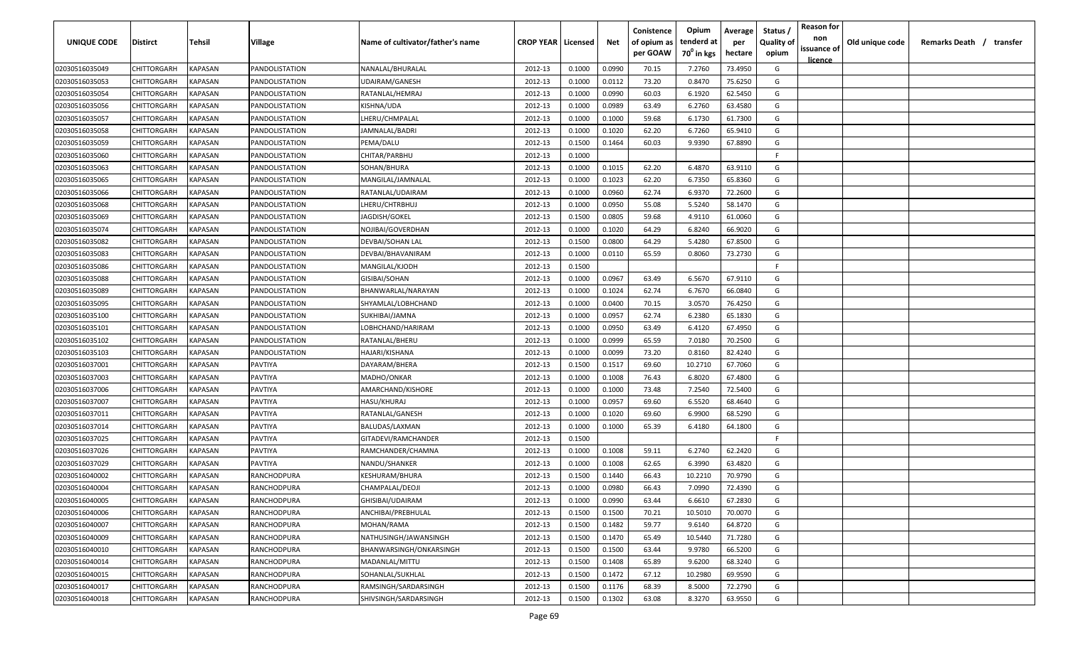| UNIQUE CODE    | <b>Distirct</b>    | Tehsil         | Village               | Name of cultivator/father's name | <b>CROP YEAR   Licensed</b> |        | Net    | Conistence<br>of opium as<br>per GOAW | Opium<br>tenderd at<br>70 <sup>0</sup> in kgs | Average<br>per<br>hectare | Status /<br><b>Quality of</b><br>opium | <b>Reason for</b><br>non<br>issuance of<br><u>licence</u> | Old unique code | Remarks Death /<br>transfer |
|----------------|--------------------|----------------|-----------------------|----------------------------------|-----------------------------|--------|--------|---------------------------------------|-----------------------------------------------|---------------------------|----------------------------------------|-----------------------------------------------------------|-----------------|-----------------------------|
| 02030516035049 | CHITTORGARH        | KAPASAN        | PANDOLISTATION        | NANALAL/BHURALAL                 | 2012-13                     | 0.1000 | 0.0990 | 70.15                                 | 7.2760                                        | 73.4950                   | G                                      |                                                           |                 |                             |
| 02030516035053 | CHITTORGARH        | KAPASAN        | PANDOLISTATION        | UDAIRAM/GANESH                   | 2012-13                     | 0.1000 | 0.0112 | 73.20                                 | 0.8470                                        | 75.6250                   | G                                      |                                                           |                 |                             |
| 02030516035054 | CHITTORGARH        | KAPASAN        | PANDOLISTATION        | RATANLAL/HEMRAJ                  | 2012-13                     | 0.1000 | 0.0990 | 60.03                                 | 6.1920                                        | 62.5450                   | G                                      |                                                           |                 |                             |
| 02030516035056 | CHITTORGARH        | KAPASAN        | PANDOLISTATION        | KISHNA/UDA                       | 2012-13                     | 0.1000 | 0.0989 | 63.49                                 | 6.2760                                        | 63.4580                   | G                                      |                                                           |                 |                             |
| 02030516035057 | CHITTORGARH        | KAPASAN        | PANDOLISTATION        | LHERU/CHMPALAL                   | 2012-13                     | 0.1000 | 0.1000 | 59.68                                 | 6.1730                                        | 61.7300                   | G                                      |                                                           |                 |                             |
| 02030516035058 | CHITTORGARH        | KAPASAN        | PANDOLISTATION        | JAMNALAL/BADRI                   | 2012-13                     | 0.1000 | 0.1020 | 62.20                                 | 6.7260                                        | 65.9410                   | G                                      |                                                           |                 |                             |
| 02030516035059 | CHITTORGARH        | KAPASAN        | PANDOLISTATION        | PEMA/DALU                        | 2012-13                     | 0.1500 | 0.1464 | 60.03                                 | 9.9390                                        | 67.8890                   | G                                      |                                                           |                 |                             |
| 02030516035060 | CHITTORGARH        | KAPASAN        | <b>PANDOLISTATION</b> | CHITAR/PARBHU                    | 2012-13                     | 0.1000 |        |                                       |                                               |                           | -F                                     |                                                           |                 |                             |
| 02030516035063 | CHITTORGARH        | KAPASAN        | PANDOLISTATION        | SOHAN/BHURA                      | 2012-13                     | 0.1000 | 0.1015 | 62.20                                 | 6.4870                                        | 63.9110                   | G                                      |                                                           |                 |                             |
| 02030516035065 | CHITTORGARH        | KAPASAN        | PANDOLISTATION        | MANGILAL/JAMNALAL                | 2012-13                     | 0.1000 | 0.1023 | 62.20                                 | 6.7350                                        | 65.8360                   | G                                      |                                                           |                 |                             |
| 02030516035066 | CHITTORGARH        | KAPASAN        | PANDOLISTATION        | RATANLAL/UDAIRAM                 | 2012-13                     | 0.1000 | 0.0960 | 62.74                                 | 6.9370                                        | 72.2600                   | G                                      |                                                           |                 |                             |
| 02030516035068 | CHITTORGARH        | KAPASAN        | PANDOLISTATION        | LHERU/CHTRBHUJ                   | 2012-13                     | 0.1000 | 0.0950 | 55.08                                 | 5.5240                                        | 58.1470                   | G                                      |                                                           |                 |                             |
| 02030516035069 | <b>CHITTORGARH</b> | KAPASAN        | PANDOLISTATION        | JAGDISH/GOKEL                    | 2012-13                     | 0.1500 | 0.0805 | 59.68                                 | 4.9110                                        | 61.0060                   | G                                      |                                                           |                 |                             |
| 02030516035074 | CHITTORGARH        | KAPASAN        | PANDOLISTATION        | NOJIBAI/GOVERDHAN                | 2012-13                     | 0.1000 | 0.1020 | 64.29                                 | 6.8240                                        | 66.9020                   | G                                      |                                                           |                 |                             |
| 02030516035082 | CHITTORGARH        | KAPASAN        | PANDOLISTATION        | DEVBAI/SOHAN LAL                 | 2012-13                     | 0.1500 | 0.0800 | 64.29                                 | 5.4280                                        | 67.8500                   | G                                      |                                                           |                 |                             |
| 02030516035083 | CHITTORGARH        | KAPASAN        | PANDOLISTATION        | DEVBAI/BHAVANIRAM                | 2012-13                     | 0.1000 | 0.0110 | 65.59                                 | 0.8060                                        | 73.2730                   | G                                      |                                                           |                 |                             |
| 02030516035086 | CHITTORGARH        | KAPASAN        | PANDOLISTATION        | MANGILAL/KJODH                   | 2012-13                     | 0.1500 |        |                                       |                                               |                           | F.                                     |                                                           |                 |                             |
| 02030516035088 | CHITTORGARH        | KAPASAN        | PANDOLISTATION        | GISIBAI/SOHAN                    | 2012-13                     | 0.1000 | 0.0967 | 63.49                                 | 6.5670                                        | 67.9110                   | G                                      |                                                           |                 |                             |
| 02030516035089 | CHITTORGARH        | KAPASAN        | PANDOLISTATION        | BHANWARLAL/NARAYAN               | 2012-13                     | 0.1000 | 0.1024 | 62.74                                 | 6.7670                                        | 66.0840                   | G                                      |                                                           |                 |                             |
| 02030516035095 | CHITTORGARH        | KAPASAN        | PANDOLISTATION        | SHYAMLAL/LOBHCHAND               | 2012-13                     | 0.1000 | 0.0400 | 70.15                                 | 3.0570                                        | 76.4250                   | G                                      |                                                           |                 |                             |
| 02030516035100 | CHITTORGARH        | KAPASAN        | PANDOLISTATION        | SUKHIBAI/JAMNA                   | 2012-13                     | 0.1000 | 0.0957 | 62.74                                 | 6.2380                                        | 65.1830                   | G                                      |                                                           |                 |                             |
| 02030516035101 | CHITTORGARH        | KAPASAN        | PANDOLISTATION        | LOBHCHAND/HARIRAM                | 2012-13                     | 0.1000 | 0.0950 | 63.49                                 | 6.4120                                        | 67.4950                   | G                                      |                                                           |                 |                             |
| 02030516035102 | CHITTORGARH        | KAPASAN        | PANDOLISTATION        | RATANLAL/BHERU                   | 2012-13                     | 0.1000 | 0.0999 | 65.59                                 | 7.0180                                        | 70.2500                   | G                                      |                                                           |                 |                             |
| 02030516035103 | CHITTORGARH        | KAPASAN        | PANDOLISTATION        | HAJARI/KISHANA                   | 2012-13                     | 0.1000 | 0.0099 | 73.20                                 | 0.8160                                        | 82.4240                   | G                                      |                                                           |                 |                             |
| 02030516037001 | CHITTORGARH        | KAPASAN        | PAVTIYA               | DAYARAM/BHERA                    | 2012-13                     | 0.1500 | 0.1517 | 69.60                                 | 10.2710                                       | 67.7060                   | G                                      |                                                           |                 |                             |
| 02030516037003 | CHITTORGARH        | KAPASAN        | PAVTIYA               | MADHO/ONKAR                      | 2012-13                     | 0.1000 | 0.1008 | 76.43                                 | 6.8020                                        | 67.4800                   | G                                      |                                                           |                 |                             |
| 02030516037006 | CHITTORGARH        | KAPASAN        | PAVTIYA               | AMARCHAND/KISHORE                | 2012-13                     | 0.1000 | 0.1000 | 73.48                                 | 7.2540                                        | 72.5400                   | G                                      |                                                           |                 |                             |
| 02030516037007 | CHITTORGARH        | KAPASAN        | PAVTIYA               | HASU/KHURAJ                      | 2012-13                     | 0.1000 | 0.0957 | 69.60                                 | 6.5520                                        | 68.4640                   | G                                      |                                                           |                 |                             |
| 02030516037011 | CHITTORGARH        | KAPASAN        | PAVTIYA               | RATANLAL/GANESH                  | 2012-13                     | 0.1000 | 0.1020 | 69.60                                 | 6.9900                                        | 68.5290                   | G                                      |                                                           |                 |                             |
| 02030516037014 | CHITTORGARH        | KAPASAN        | PAVTIYA               | BALUDAS/LAXMAN                   | 2012-13                     | 0.1000 | 0.1000 | 65.39                                 | 6.4180                                        | 64.1800                   | G                                      |                                                           |                 |                             |
| 02030516037025 | CHITTORGARH        | KAPASAN        | PAVTIYA               | GITADEVI/RAMCHANDER              | 2012-13                     | 0.1500 |        |                                       |                                               |                           | F.                                     |                                                           |                 |                             |
| 02030516037026 | CHITTORGARH        | KAPASAN        | PAVTIYA               | RAMCHANDER/CHAMNA                | 2012-13                     | 0.1000 | 0.1008 | 59.11                                 | 6.2740                                        | 62.2420                   | G                                      |                                                           |                 |                             |
| 02030516037029 | CHITTORGARH        | KAPASAN        | PAVTIYA               | NANDU/SHANKER                    | 2012-13                     | 0.1000 | 0.1008 | 62.65                                 | 6.3990                                        | 63.4820                   | G                                      |                                                           |                 |                             |
| 02030516040002 | CHITTORGARH        | KAPASAN        | RANCHODPURA           | KESHURAM/BHURA                   | 2012-13                     | 0.1500 | 0.1440 | 66.43                                 | 10.2210                                       | 70.9790                   | G                                      |                                                           |                 |                             |
| 02030516040004 | CHITTORGARH        | KAPASAN        | RANCHODPURA           | CHAMPALAL/DEOJI                  | 2012-13                     | 0.1000 | 0.0980 | 66.43                                 | 7.0990                                        | 72.4390                   | G                                      |                                                           |                 |                             |
| 02030516040005 | <b>CHITTORGARH</b> | <b>KAPASAN</b> | RANCHODPURA           | GHISIBAI/UDAIRAM                 | 2012-13                     | 0.1000 | 0.0990 | 63.44                                 | 6.6610                                        | 67.2830                   | G                                      |                                                           |                 |                             |
| 02030516040006 | CHITTORGARH        | <b>KAPASAN</b> | RANCHODPURA           | ANCHIBAI/PREBHULAL               | 2012-13                     | 0.1500 | 0.1500 | 70.21                                 | 10.5010                                       | 70.0070                   | G                                      |                                                           |                 |                             |
| 02030516040007 | CHITTORGARH        | <b>KAPASAN</b> | RANCHODPURA           | MOHAN/RAMA                       | 2012-13                     | 0.1500 | 0.1482 | 59.77                                 | 9.6140                                        | 64.8720                   | G                                      |                                                           |                 |                             |
| 02030516040009 | CHITTORGARH        | <b>KAPASAN</b> | RANCHODPURA           | NATHUSINGH/JAWANSINGH            | 2012-13                     | 0.1500 | 0.1470 | 65.49                                 | 10.5440                                       | 71.7280                   | G                                      |                                                           |                 |                             |
| 02030516040010 | CHITTORGARH        | <b>KAPASAN</b> | RANCHODPURA           | BHANWARSINGH/ONKARSINGH          | 2012-13                     | 0.1500 | 0.1500 | 63.44                                 | 9.9780                                        | 66.5200                   | G                                      |                                                           |                 |                             |
| 02030516040014 | CHITTORGARH        | KAPASAN        | RANCHODPURA           | MADANLAL/MITTU                   | 2012-13                     | 0.1500 | 0.1408 | 65.89                                 | 9.6200                                        | 68.3240                   | G                                      |                                                           |                 |                             |
| 02030516040015 | CHITTORGARH        | KAPASAN        | RANCHODPURA           | SOHANLAL/SUKHLAL                 | 2012-13                     | 0.1500 | 0.1472 | 67.12                                 | 10.2980                                       | 69.9590                   | G                                      |                                                           |                 |                             |
| 02030516040017 | CHITTORGARH        | KAPASAN        | RANCHODPURA           | RAMSINGH/SARDARSINGH             | 2012-13                     | 0.1500 | 0.1176 | 68.39                                 | 8.5000                                        | 72.2790                   | G                                      |                                                           |                 |                             |
| 02030516040018 | CHITTORGARH        | <b>KAPASAN</b> | RANCHODPURA           | SHIVSINGH/SARDARSINGH            | 2012-13                     | 0.1500 | 0.1302 | 63.08                                 | 8.3270                                        | 63.9550                   | G                                      |                                                           |                 |                             |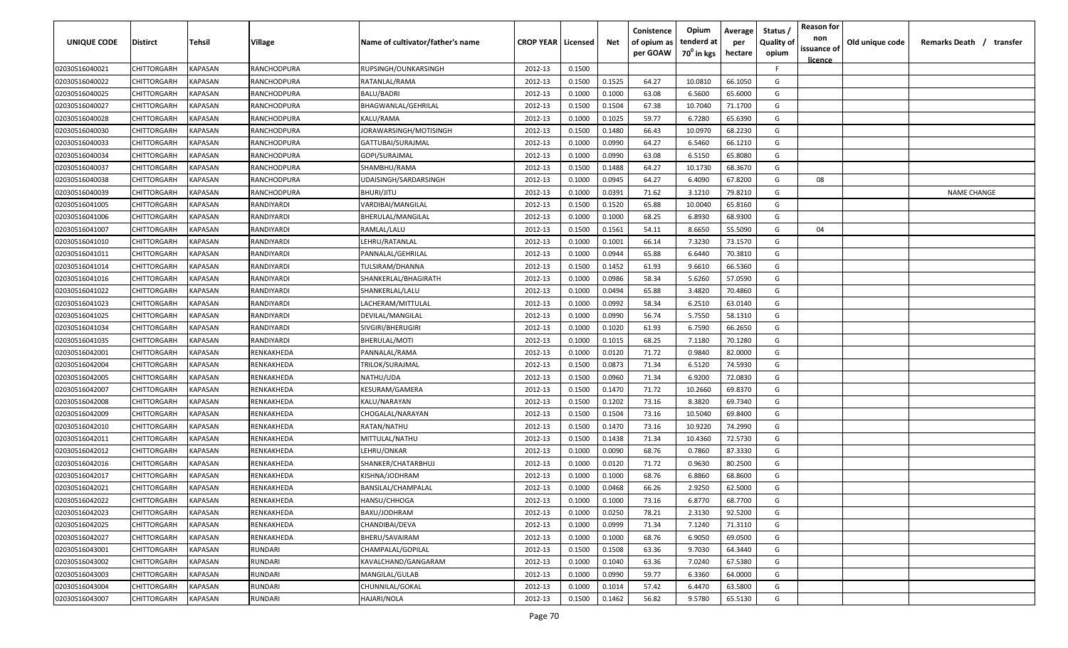| UNIQUE CODE    | <b>Distirct</b> | Tehsil         | Village     | Name of cultivator/father's name | <b>CROP YEAR   Licensed</b> |        | Net    | Conistence<br>of opium as<br>per GOAW | Opium<br>tenderd at<br>70 <sup>0</sup> in kgs | Average<br>per<br>hectare | Status /<br><b>Quality of</b><br>opium | <b>Reason for</b><br>non<br>issuance of<br><u>licence</u> | Old unique code | Remarks Death /<br>transfer |
|----------------|-----------------|----------------|-------------|----------------------------------|-----------------------------|--------|--------|---------------------------------------|-----------------------------------------------|---------------------------|----------------------------------------|-----------------------------------------------------------|-----------------|-----------------------------|
| 02030516040021 | CHITTORGARH     | KAPASAN        | RANCHODPURA | RUPSINGH/OUNKARSINGH             | 2012-13                     | 0.1500 |        |                                       |                                               |                           | F.                                     |                                                           |                 |                             |
| 02030516040022 | CHITTORGARH     | KAPASAN        | RANCHODPURA | RATANLAL/RAMA                    | 2012-13                     | 0.1500 | 0.1525 | 64.27                                 | 10.0810                                       | 66.1050                   | G                                      |                                                           |                 |                             |
| 02030516040025 | CHITTORGARH     | KAPASAN        | RANCHODPURA | <b>BALU/BADRI</b>                | 2012-13                     | 0.1000 | 0.1000 | 63.08                                 | 6.5600                                        | 65.6000                   | G                                      |                                                           |                 |                             |
| 02030516040027 | CHITTORGARH     | KAPASAN        | RANCHODPURA | BHAGWANLAL/GEHRILAL              | 2012-13                     | 0.1500 | 0.1504 | 67.38                                 | 10.7040                                       | 71.1700                   | G                                      |                                                           |                 |                             |
| 02030516040028 | CHITTORGARH     | KAPASAN        | RANCHODPURA | KALU/RAMA                        | 2012-13                     | 0.1000 | 0.1025 | 59.77                                 | 6.7280                                        | 65.6390                   | G                                      |                                                           |                 |                             |
| 02030516040030 | CHITTORGARH     | KAPASAN        | RANCHODPURA | JORAWARSINGH/MOTISINGH           | 2012-13                     | 0.1500 | 0.1480 | 66.43                                 | 10.0970                                       | 68.2230                   | G                                      |                                                           |                 |                             |
| 02030516040033 | CHITTORGARH     | KAPASAN        | RANCHODPURA | GATTUBAI/SURAJMAL                | 2012-13                     | 0.1000 | 0.0990 | 64.27                                 | 6.5460                                        | 66.1210                   | G                                      |                                                           |                 |                             |
| 02030516040034 | CHITTORGARH     | KAPASAN        | RANCHODPURA | GOPI/SURAJMAL                    | 2012-13                     | 0.1000 | 0.0990 | 63.08                                 | 6.5150                                        | 65.8080                   | G                                      |                                                           |                 |                             |
| 02030516040037 | CHITTORGARH     | KAPASAN        | RANCHODPURA | SHAMBHU/RAMA                     | 2012-13                     | 0.1500 | 0.1488 | 64.27                                 | 10.1730                                       | 68.3670                   | G                                      |                                                           |                 |                             |
| 02030516040038 | CHITTORGARH     | KAPASAN        | RANCHODPURA | UDAISINGH/SARDARSINGH            | 2012-13                     | 0.1000 | 0.0945 | 64.27                                 | 6.4090                                        | 67.8200                   | G                                      | 08                                                        |                 |                             |
| 02030516040039 | CHITTORGARH     | KAPASAN        | RANCHODPURA | BHURI/JITU                       | 2012-13                     | 0.1000 | 0.0391 | 71.62                                 | 3.1210                                        | 79.8210                   | G                                      |                                                           |                 | <b>NAME CHANGE</b>          |
| 02030516041005 | CHITTORGARH     | KAPASAN        | RANDIYARDI  | VARDIBAI/MANGILAL                | 2012-13                     | 0.1500 | 0.1520 | 65.88                                 | 10.0040                                       | 65.8160                   | G                                      |                                                           |                 |                             |
| 02030516041006 | CHITTORGARH     | KAPASAN        | RANDIYARDI  | BHERULAL/MANGILAL                | 2012-13                     | 0.1000 | 0.1000 | 68.25                                 | 6.8930                                        | 68.9300                   | G                                      |                                                           |                 |                             |
| 02030516041007 | CHITTORGARH     | KAPASAN        | RANDIYARDI  | RAMLAL/LALU                      | 2012-13                     | 0.1500 | 0.1561 | 54.11                                 | 8.6650                                        | 55.5090                   | G                                      | 04                                                        |                 |                             |
| 02030516041010 | CHITTORGARH     | KAPASAN        | RANDIYARDI  | LEHRU/RATANLAL                   | 2012-13                     | 0.1000 | 0.1001 | 66.14                                 | 7.3230                                        | 73.1570                   | G                                      |                                                           |                 |                             |
| 02030516041011 | CHITTORGARH     | KAPASAN        | RANDIYARDI  | PANNALAL/GEHRILAL                | 2012-13                     | 0.1000 | 0.0944 | 65.88                                 | 6.6440                                        | 70.3810                   | G                                      |                                                           |                 |                             |
| 02030516041014 | CHITTORGARH     | KAPASAN        | RANDIYARDI  | TULSIRAM/DHANNA                  | 2012-13                     | 0.1500 | 0.1452 | 61.93                                 | 9.6610                                        | 66.5360                   | G                                      |                                                           |                 |                             |
| 02030516041016 | CHITTORGARH     | KAPASAN        | RANDIYARDI  | SHANKERLAL/BHAGIRATH             | 2012-13                     | 0.1000 | 0.0986 | 58.34                                 | 5.6260                                        | 57.0590                   | G                                      |                                                           |                 |                             |
| 02030516041022 | CHITTORGARH     | KAPASAN        | RANDIYARDI  | SHANKERLAL/LALU                  | 2012-13                     | 0.1000 | 0.0494 | 65.88                                 | 3.4820                                        | 70.4860                   | G                                      |                                                           |                 |                             |
| 02030516041023 | CHITTORGARH     | <b>KAPASAN</b> | RANDIYARDI  | LACHERAM/MITTULAL                | 2012-13                     | 0.1000 | 0.0992 | 58.34                                 | 6.2510                                        | 63.0140                   | G                                      |                                                           |                 |                             |
| 02030516041025 | CHITTORGARH     | KAPASAN        | RANDIYARDI  | DEVILAL/MANGILAL                 | 2012-13                     | 0.1000 | 0.0990 | 56.74                                 | 5.7550                                        | 58.1310                   | G                                      |                                                           |                 |                             |
| 02030516041034 | CHITTORGARH     | KAPASAN        | RANDIYARDI  | SIVGIRI/BHERUGIRI                | 2012-13                     | 0.1000 | 0.1020 | 61.93                                 | 6.7590                                        | 66.2650                   | G                                      |                                                           |                 |                             |
| 02030516041035 | CHITTORGARH     | KAPASAN        | RANDIYARDI  | BHERULAL/MOTI                    | 2012-13                     | 0.1000 | 0.1015 | 68.25                                 | 7.1180                                        | 70.1280                   | G                                      |                                                           |                 |                             |
| 02030516042001 | CHITTORGARH     | KAPASAN        | RENKAKHEDA  | PANNALAL/RAMA                    | 2012-13                     | 0.1000 | 0.0120 | 71.72                                 | 0.9840                                        | 82.0000                   | G                                      |                                                           |                 |                             |
| 02030516042004 | CHITTORGARH     | KAPASAN        | RENKAKHEDA  | TRILOK/SURAJMAL                  | 2012-13                     | 0.1500 | 0.0873 | 71.34                                 | 6.5120                                        | 74.5930                   | G                                      |                                                           |                 |                             |
| 02030516042005 | CHITTORGARH     | KAPASAN        | RENKAKHEDA  | NATHU/UDA                        | 2012-13                     | 0.1500 | 0.0960 | 71.34                                 | 6.9200                                        | 72.0830                   | G                                      |                                                           |                 |                             |
| 02030516042007 | CHITTORGARH     | KAPASAN        | RENKAKHEDA  | KESURAM/GAMERA                   | 2012-13                     | 0.1500 | 0.1470 | 71.72                                 | 10.2660                                       | 69.8370                   | G                                      |                                                           |                 |                             |
| 02030516042008 | CHITTORGARH     | KAPASAN        | RENKAKHEDA  | KALU/NARAYAN                     | 2012-13                     | 0.1500 | 0.1202 | 73.16                                 | 8.3820                                        | 69.7340                   | G                                      |                                                           |                 |                             |
| 02030516042009 | CHITTORGARH     | KAPASAN        | RENKAKHEDA  | CHOGALAL/NARAYAN                 | 2012-13                     | 0.1500 | 0.1504 | 73.16                                 | 10.5040                                       | 69.8400                   | G                                      |                                                           |                 |                             |
| 02030516042010 | CHITTORGARH     | KAPASAN        | RENKAKHEDA  | RATAN/NATHU                      | 2012-13                     | 0.1500 | 0.1470 | 73.16                                 | 10.9220                                       | 74.2990                   | G                                      |                                                           |                 |                             |
| 02030516042011 | CHITTORGARH     | KAPASAN        | RENKAKHEDA  | MITTULAL/NATHU                   | 2012-13                     | 0.1500 | 0.1438 | 71.34                                 | 10.4360                                       | 72.5730                   | G                                      |                                                           |                 |                             |
| 02030516042012 | CHITTORGARH     | KAPASAN        | RENKAKHEDA  | LEHRU/ONKAR                      | 2012-13                     | 0.1000 | 0.0090 | 68.76                                 | 0.7860                                        | 87.3330                   | G                                      |                                                           |                 |                             |
| 02030516042016 | CHITTORGARH     | KAPASAN        | RENKAKHEDA  | SHANKER/CHATARBHUJ               | 2012-13                     | 0.1000 | 0.0120 | 71.72                                 | 0.9630                                        | 80.2500                   | G                                      |                                                           |                 |                             |
| 02030516042017 | CHITTORGARH     | KAPASAN        | RENKAKHEDA  | KISHNA/JODHRAM                   | 2012-13                     | 0.1000 | 0.1000 | 68.76                                 | 6.8860                                        | 68.8600                   | G                                      |                                                           |                 |                             |
| 02030516042021 | CHITTORGARH     | <b>KAPASAN</b> | RENKAKHEDA  | BANSILAL/CHAMPALAL               | 2012-13                     | 0.1000 | 0.0468 | 66.26                                 | 2.9250                                        | 62.5000                   | G                                      |                                                           |                 |                             |
| 02030516042022 | CHITTORGARH     | <b>KAPASAN</b> | RENKAKHEDA  | HANSU/CHHOGA                     | 2012-13                     | 0.1000 | 0.1000 | 73.16                                 | 6.8770                                        | 68.7700                   | G                                      |                                                           |                 |                             |
| 02030516042023 | CHITTORGARH     | <b>KAPASAN</b> | RENKAKHEDA  | BAXU/JODHRAM                     | 2012-13                     | 0.1000 | 0.0250 | 78.21                                 | 2.3130                                        | 92.5200                   | G                                      |                                                           |                 |                             |
| 02030516042025 | CHITTORGARH     | <b>KAPASAN</b> | RENKAKHEDA  | CHANDIBAI/DEVA                   | 2012-13                     | 0.1000 | 0.0999 | 71.34                                 | 7.1240                                        | 71.3110                   | G                                      |                                                           |                 |                             |
| 02030516042027 | CHITTORGARH     | KAPASAN        | RENKAKHEDA  | BHERU/SAVAIRAM                   | 2012-13                     | 0.1000 | 0.1000 | 68.76                                 | 6.9050                                        | 69.0500                   | G                                      |                                                           |                 |                             |
| 02030516043001 | CHITTORGARH     | KAPASAN        | RUNDARI     | CHAMPALAL/GOPILAL                | 2012-13                     | 0.1500 | 0.1508 | 63.36                                 | 9.7030                                        | 64.3440                   | G                                      |                                                           |                 |                             |
| 02030516043002 | CHITTORGARH     | KAPASAN        | RUNDARI     | KAVALCHAND/GANGARAM              | 2012-13                     | 0.1000 | 0.1040 | 63.36                                 | 7.0240                                        | 67.5380                   | G                                      |                                                           |                 |                             |
| 02030516043003 | CHITTORGARH     | KAPASAN        | RUNDARI     | MANGILAL/GULAB                   | 2012-13                     | 0.1000 | 0.0990 | 59.77                                 | 6.3360                                        | 64.0000                   | G                                      |                                                           |                 |                             |
| 02030516043004 | CHITTORGARH     | KAPASAN        | RUNDARI     | CHUNNILAL/GOKAL                  | 2012-13                     | 0.1000 | 0.1014 | 57.42                                 | 6.4470                                        | 63.5800                   | G                                      |                                                           |                 |                             |
| 02030516043007 | CHITTORGARH     | <b>KAPASAN</b> | RUNDARI     | HAJARI/NOLA                      | 2012-13                     | 0.1500 | 0.1462 | 56.82                                 | 9.5780                                        | 65.5130                   | G                                      |                                                           |                 |                             |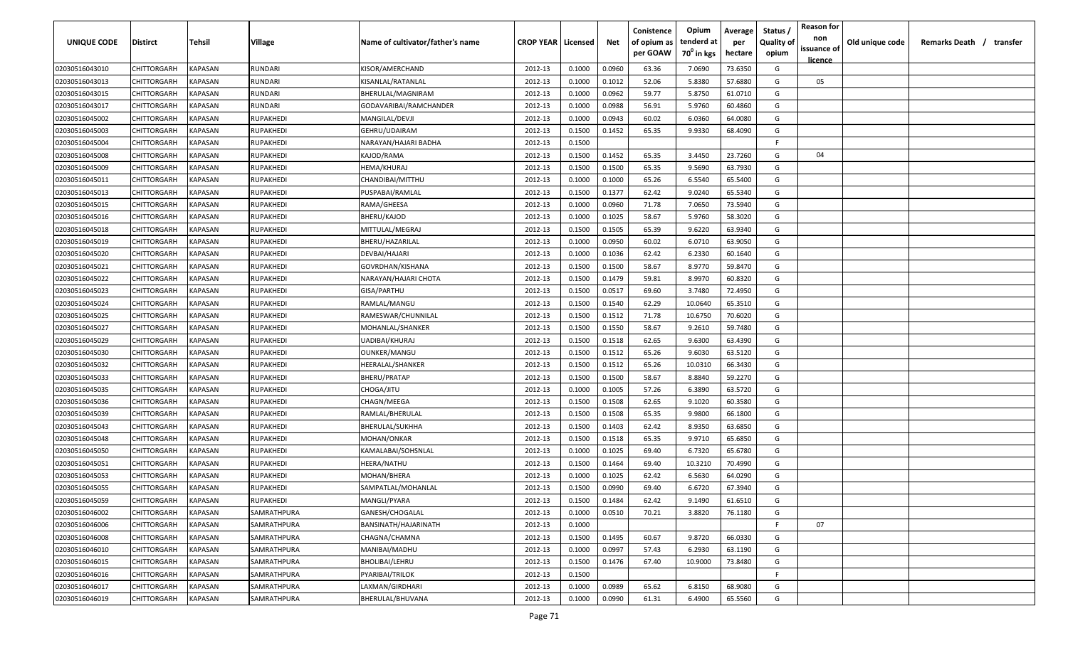| <b>UNIQUE CODE</b> | Distirct           | Tehsil         | Village        | Name of cultivator/father's name | <b>CROP YEAR   Licensed</b> |        | Net    | Conistence<br>of opium as | Opium<br>tenderd at    | Average<br>per | Status /<br><b>Quality of</b> | <b>Reason for</b><br>non<br>issuance of | Old unique code | Remarks Death / transfer |
|--------------------|--------------------|----------------|----------------|----------------------------------|-----------------------------|--------|--------|---------------------------|------------------------|----------------|-------------------------------|-----------------------------------------|-----------------|--------------------------|
|                    |                    |                |                |                                  |                             |        |        | per GOAW                  | 70 <sup>0</sup> in kgs | hectare        | opium                         | <u>licence</u>                          |                 |                          |
| 02030516043010     | CHITTORGARH        | <b>KAPASAN</b> | <b>RUNDARI</b> | KISOR/AMERCHAND                  | 2012-13                     | 0.1000 | 0.0960 | 63.36                     | 7.0690                 | 73.6350        | G                             |                                         |                 |                          |
| 02030516043013     | CHITTORGARH        | KAPASAN        | RUNDARI        | KISANLAL/RATANLAL                | 2012-13                     | 0.1000 | 0.1012 | 52.06                     | 5.8380                 | 57.6880        | G                             | 05                                      |                 |                          |
| 02030516043015     | CHITTORGARH        | KAPASAN        | RUNDARI        | BHERULAL/MAGNIRAM                | 2012-13                     | 0.1000 | 0.0962 | 59.77                     | 5.8750                 | 61.0710        | G                             |                                         |                 |                          |
| 02030516043017     | CHITTORGARH        | KAPASAN        | RUNDARI        | GODAVARIBAI/RAMCHANDER           | 2012-13                     | 0.1000 | 0.0988 | 56.91                     | 5.9760                 | 60.4860        | G                             |                                         |                 |                          |
| 02030516045002     | CHITTORGARH        | KAPASAN        | RUPAKHEDI      | MANGILAL/DEVJI                   | 2012-13                     | 0.1000 | 0.0943 | 60.02                     | 6.0360                 | 64.0080        | G                             |                                         |                 |                          |
| 02030516045003     | CHITTORGARH        | KAPASAN        | RUPAKHEDI      | GEHRU/UDAIRAM                    | 2012-13                     | 0.1500 | 0.1452 | 65.35                     | 9.9330                 | 68.4090        | G                             |                                         |                 |                          |
| 02030516045004     | CHITTORGARH        | KAPASAN        | RUPAKHEDI      | NARAYAN/HAJARI BADHA             | 2012-13                     | 0.1500 |        |                           |                        |                | -F.                           |                                         |                 |                          |
| 02030516045008     | CHITTORGARH        | KAPASAN        | RUPAKHEDI      | KAJOD/RAMA                       | 2012-13                     | 0.1500 | 0.1452 | 65.35                     | 3.4450                 | 23.7260        | G                             | 04                                      |                 |                          |
| 02030516045009     | CHITTORGARH        | KAPASAN        | RUPAKHEDI      | HEMA/KHURAJ                      | 2012-13                     | 0.1500 | 0.1500 | 65.35                     | 9.5690                 | 63.7930        | G                             |                                         |                 |                          |
| 02030516045011     | CHITTORGARH        | KAPASAN        | RUPAKHEDI      | CHANDIBAI/MITTHU                 | 2012-13                     | 0.1000 | 0.1000 | 65.26                     | 6.5540                 | 65.5400        | G                             |                                         |                 |                          |
| 02030516045013     | CHITTORGARH        | KAPASAN        | RUPAKHEDI      | PUSPABAI/RAMLAL                  | 2012-13                     | 0.1500 | 0.1377 | 62.42                     | 9.0240                 | 65.5340        | G                             |                                         |                 |                          |
| 02030516045015     | CHITTORGARH        | KAPASAN        | RUPAKHEDI      | RAMA/GHEESA                      | 2012-13                     | 0.1000 | 0.0960 | 71.78                     | 7.0650                 | 73.5940        | G                             |                                         |                 |                          |
| 02030516045016     | CHITTORGARH        | KAPASAN        | RUPAKHEDI      | <b>BHERU/KAJOD</b>               | 2012-13                     | 0.1000 | 0.1025 | 58.67                     | 5.9760                 | 58.3020        | G                             |                                         |                 |                          |
| 02030516045018     | CHITTORGARH        | KAPASAN        | RUPAKHEDI      | MITTULAL/MEGRAJ                  | 2012-13                     | 0.1500 | 0.1505 | 65.39                     | 9.6220                 | 63.9340        | G                             |                                         |                 |                          |
| 02030516045019     | CHITTORGARH        | KAPASAN        | RUPAKHEDI      | BHERU/HAZARILAL                  | 2012-13                     | 0.1000 | 0.0950 | 60.02                     | 6.0710                 | 63.9050        | G                             |                                         |                 |                          |
| 02030516045020     | CHITTORGARH        | KAPASAN        | RUPAKHEDI      | DEVBAI/HAJARI                    | 2012-13                     | 0.1000 | 0.1036 | 62.42                     | 6.2330                 | 60.1640        | G                             |                                         |                 |                          |
| 02030516045021     | CHITTORGARH        | KAPASAN        | RUPAKHEDI      | GOVRDHAN/KISHANA                 | 2012-13                     | 0.1500 | 0.1500 | 58.67                     | 8.9770                 | 59.8470        | G                             |                                         |                 |                          |
| 02030516045022     | CHITTORGARH        | KAPASAN        | RUPAKHEDI      | NARAYAN/HAJARI CHOTA             | 2012-13                     | 0.1500 | 0.1479 | 59.81                     | 8.9970                 | 60.8320        | G                             |                                         |                 |                          |
| 02030516045023     | CHITTORGARH        | KAPASAN        | RUPAKHEDI      | <b>GISA/PARTHU</b>               | 2012-13                     | 0.1500 | 0.0517 | 69.60                     | 3.7480                 | 72.4950        | G                             |                                         |                 |                          |
| 02030516045024     | CHITTORGARH        | KAPASAN        | RUPAKHEDI      | RAMLAL/MANGU                     | 2012-13                     | 0.1500 | 0.1540 | 62.29                     | 10.0640                | 65.3510        | G                             |                                         |                 |                          |
| 02030516045025     | CHITTORGARH        | KAPASAN        | RUPAKHEDI      | RAMESWAR/CHUNNILAL               | 2012-13                     | 0.1500 | 0.1512 | 71.78                     | 10.6750                | 70.6020        | G                             |                                         |                 |                          |
| 02030516045027     | CHITTORGARH        | KAPASAN        | RUPAKHEDI      | MOHANLAL/SHANKER                 | 2012-13                     | 0.1500 | 0.1550 | 58.67                     | 9.2610                 | 59.7480        | G                             |                                         |                 |                          |
| 02030516045029     | CHITTORGARH        | KAPASAN        | RUPAKHEDI      | UADIBAI/KHURAJ                   | 2012-13                     | 0.1500 | 0.1518 | 62.65                     | 9.6300                 | 63.4390        | G                             |                                         |                 |                          |
| 02030516045030     | CHITTORGARH        | KAPASAN        | RUPAKHEDI      | <b>OUNKER/MANGU</b>              | 2012-13                     | 0.1500 | 0.1512 | 65.26                     | 9.6030                 | 63.5120        | G                             |                                         |                 |                          |
| 02030516045032     | CHITTORGARH        | KAPASAN        | RUPAKHEDI      | HEERALAL/SHANKER                 | 2012-13                     | 0.1500 | 0.1512 | 65.26                     | 10.0310                | 66.3430        | G                             |                                         |                 |                          |
| 02030516045033     | CHITTORGARH        | KAPASAN        | RUPAKHEDI      | BHERU/PRATAP                     | 2012-13                     | 0.1500 | 0.1500 | 58.67                     | 8.8840                 | 59.2270        | G                             |                                         |                 |                          |
| 02030516045035     | CHITTORGARH        | KAPASAN        | RUPAKHEDI      | CHOGA/JITU                       | 2012-13                     | 0.1000 | 0.1005 | 57.26                     | 6.3890                 | 63.5720        | G                             |                                         |                 |                          |
| 02030516045036     | CHITTORGARH        | KAPASAN        | RUPAKHEDI      | CHAGN/MEEGA                      | 2012-13                     | 0.1500 | 0.1508 | 62.65                     | 9.1020                 | 60.3580        | G                             |                                         |                 |                          |
| 02030516045039     | CHITTORGARH        | KAPASAN        | RUPAKHEDI      | RAMLAL/BHERULAL                  | 2012-13                     | 0.1500 | 0.1508 | 65.35                     | 9.9800                 | 66.1800        | G                             |                                         |                 |                          |
| 02030516045043     | CHITTORGARH        | KAPASAN        | RUPAKHEDI      | BHERULAL/SUKHHA                  | 2012-13                     | 0.1500 | 0.1403 | 62.42                     | 8.9350                 | 63.6850        | G                             |                                         |                 |                          |
| 02030516045048     | CHITTORGARH        | KAPASAN        | RUPAKHEDI      | MOHAN/ONKAR                      | 2012-13                     | 0.1500 | 0.1518 | 65.35                     | 9.9710                 | 65.6850        | G                             |                                         |                 |                          |
| 02030516045050     | CHITTORGARH        | KAPASAN        | RUPAKHEDI      | KAMALABAI/SOHSNLAL               | 2012-13                     | 0.1000 | 0.1025 | 69.40                     | 6.7320                 | 65.6780        | G                             |                                         |                 |                          |
| 02030516045051     | CHITTORGARH        | KAPASAN        | RUPAKHEDI      | HEERA/NATHU                      | 2012-13                     | 0.1500 | 0.1464 | 69.40                     | 10.3210                | 70.4990        | G                             |                                         |                 |                          |
| 02030516045053     | CHITTORGARH        | KAPASAN        | RUPAKHEDI      | MOHAN/BHERA                      | 2012-13                     | 0.1000 | 0.1025 | 62.42                     | 6.5630                 | 64.0290        | G                             |                                         |                 |                          |
| 02030516045055     | CHITTORGARH        | KAPASAN        | RUPAKHEDI      | SAMPATLAL/MOHANLAL               | 2012-13                     | 0.1500 | 0.0990 | 69.40                     | 6.6720                 | 67.3940        | G                             |                                         |                 |                          |
| 02030516045059     | <b>CHITTORGARH</b> | KAPASAN        | RUPAKHEDI      | MANGLI/PYARA                     | 2012-13                     | 0.1500 | 0.1484 | 62.42                     | 9.1490                 | 61.6510        | G                             |                                         |                 |                          |
| 02030516046002     | CHITTORGARH        | <b>KAPASAN</b> | SAMRATHPURA    | GANESH/CHOGALAL                  | 2012-13                     | 0.1000 | 0.0510 | 70.21                     | 3.8820                 | 76.1180        | G                             |                                         |                 |                          |
| 02030516046006     | CHITTORGARH        | <b>KAPASAN</b> | SAMRATHPURA    | BANSINATH/HAJARINATH             | 2012-13                     | 0.1000 |        |                           |                        |                | F.                            | 07                                      |                 |                          |
| 02030516046008     | <b>CHITTORGARH</b> | <b>KAPASAN</b> | SAMRATHPURA    | CHAGNA/CHAMNA                    | 2012-13                     | 0.1500 | 0.1495 | 60.67                     | 9.8720                 | 66.0330        | G                             |                                         |                 |                          |
| 02030516046010     | CHITTORGARH        | KAPASAN        | SAMRATHPURA    | MANIBAI/MADHU                    | 2012-13                     | 0.1000 | 0.0997 | 57.43                     | 6.2930                 | 63.1190        | G                             |                                         |                 |                          |
| 02030516046015     | <b>CHITTORGARH</b> | KAPASAN        | SAMRATHPURA    | BHOLIBAI/LEHRU                   | 2012-13                     | 0.1500 | 0.1476 | 67.40                     | 10.9000                | 73.8480        | G                             |                                         |                 |                          |
| 02030516046016     | <b>CHITTORGARH</b> | KAPASAN        | SAMRATHPURA    | PYARIBAI/TRILOK                  | 2012-13                     | 0.1500 |        |                           |                        |                | F.                            |                                         |                 |                          |
| 02030516046017     | CHITTORGARH        | KAPASAN        | SAMRATHPURA    | LAXMAN/GIRDHARI                  | 2012-13                     | 0.1000 | 0.0989 | 65.62                     | 6.8150                 | 68.9080        | G                             |                                         |                 |                          |
| 02030516046019     | <b>CHITTORGARH</b> | KAPASAN        | SAMRATHPURA    | BHERULAL/BHUVANA                 | 2012-13                     | 0.1000 | 0.0990 | 61.31                     | 6.4900                 | 65.5560        | G                             |                                         |                 |                          |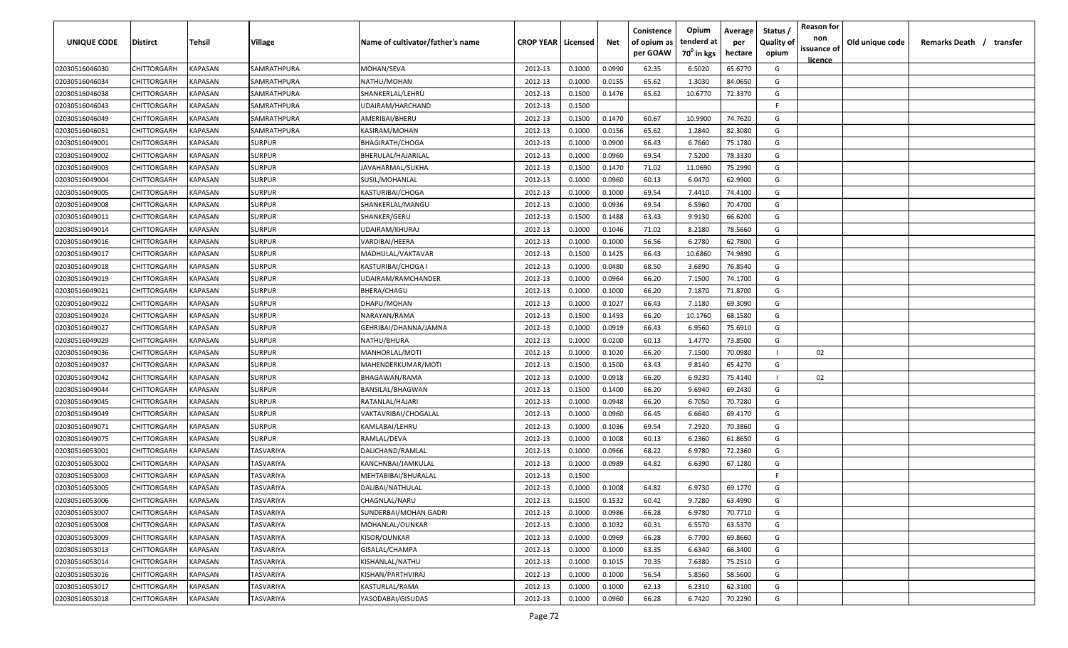| UNIQUE CODE    | Distirct           | Tehsil         | Village          | Name of cultivator/father's name | <b>CROP YEAR   Licensed</b> |        | Net    | Conistence<br>of opium as<br>per GOAW | Opium<br>tenderd at<br>70 <sup>0</sup> in kgs | Average<br>per<br>hectare | Status /<br><b>Quality of</b><br>opium | <b>Reason for</b><br>non<br>issuance of<br><u>licence</u> | Old unique code | Remarks Death /<br>transfer |
|----------------|--------------------|----------------|------------------|----------------------------------|-----------------------------|--------|--------|---------------------------------------|-----------------------------------------------|---------------------------|----------------------------------------|-----------------------------------------------------------|-----------------|-----------------------------|
| 02030516046030 | CHITTORGARH        | KAPASAN        | SAMRATHPURA      | MOHAN/SEVA                       | 2012-13                     | 0.1000 | 0.0990 | 62.35                                 | 6.5020                                        | 65.6770                   | G                                      |                                                           |                 |                             |
| 02030516046034 | CHITTORGARH        | KAPASAN        | SAMRATHPURA      | NATHU/MOHAN                      | 2012-13                     | 0.1000 | 0.0155 | 65.62                                 | 1.3030                                        | 84.0650                   | G                                      |                                                           |                 |                             |
| 02030516046038 | CHITTORGARH        | KAPASAN        | SAMRATHPURA      | SHANKERLAL/LEHRU                 | 2012-13                     | 0.1500 | 0.1476 | 65.62                                 | 10.6770                                       | 72.3370                   | G                                      |                                                           |                 |                             |
| 02030516046043 | CHITTORGARH        | KAPASAN        | SAMRATHPURA      | UDAIRAM/HARCHAND                 | 2012-13                     | 0.1500 |        |                                       |                                               |                           | F.                                     |                                                           |                 |                             |
| 02030516046049 | CHITTORGARH        | KAPASAN        | SAMRATHPURA      | AMERIBAI/BHERU                   | 2012-13                     | 0.1500 | 0.1470 | 60.67                                 | 10.9900                                       | 74.7620                   | G                                      |                                                           |                 |                             |
| 02030516046051 | CHITTORGARH        | KAPASAN        | SAMRATHPURA      | KASIRAM/MOHAN                    | 2012-13                     | 0.1000 | 0.0156 | 65.62                                 | 1.2840                                        | 82.3080                   | G                                      |                                                           |                 |                             |
| 02030516049001 | CHITTORGARH        | KAPASAN        | SURPUR           | <b>BHAGIRATH/CHOGA</b>           | 2012-13                     | 0.1000 | 0.0900 | 66.43                                 | 6.7660                                        | 75.1780                   | G                                      |                                                           |                 |                             |
| 02030516049002 | CHITTORGARH        | KAPASAN        | <b>SURPUR</b>    | BHERULAL/HAJARILAL               | 2012-13                     | 0.1000 | 0.0960 | 69.54                                 | 7.5200                                        | 78.3330                   | G                                      |                                                           |                 |                             |
| 02030516049003 | CHITTORGARH        | KAPASAN        | <b>SURPUR</b>    | JAVAHARMAL/SUKHA                 | 2012-13                     | 0.1500 | 0.1470 | 71.02                                 | 11.0690                                       | 75.2990                   | G                                      |                                                           |                 |                             |
| 02030516049004 | CHITTORGARH        | KAPASAN        | SURPUR           | SUSIL/MOHANLAL                   | 2012-13                     | 0.1000 | 0.0960 | 60.13                                 | 6.0470                                        | 62.9900                   | G                                      |                                                           |                 |                             |
| 02030516049005 | CHITTORGARH        | KAPASAN        | SURPUR           | KASTURIBAI/CHOGA                 | 2012-13                     | 0.1000 | 0.1000 | 69.54                                 | 7.4410                                        | 74.4100                   | G                                      |                                                           |                 |                             |
| 02030516049008 | CHITTORGARH        | KAPASAN        | SURPUR           | SHANKERLAL/MANGU                 | 2012-13                     | 0.1000 | 0.0936 | 69.54                                 | 6.5960                                        | 70.4700                   | G                                      |                                                           |                 |                             |
| 02030516049011 | CHITTORGARH        | KAPASAN        | SURPUR           | SHANKER/GERU                     | 2012-13                     | 0.1500 | 0.1488 | 63.43                                 | 9.9130                                        | 66.6200                   | G                                      |                                                           |                 |                             |
| 02030516049014 | CHITTORGARH        | KAPASAN        | SURPUR           | UDAIRAM/KHURAJ                   | 2012-13                     | 0.1000 | 0.1046 | 71.02                                 | 8.2180                                        | 78.5660                   | G                                      |                                                           |                 |                             |
| 02030516049016 | CHITTORGARH        | KAPASAN        | <b>SURPUR</b>    | VARDIBAI/HEERA                   | 2012-13                     | 0.1000 | 0.1000 | 56.56                                 | 6.2780                                        | 62.7800                   | G                                      |                                                           |                 |                             |
| 02030516049017 | CHITTORGARH        | KAPASAN        | <b>SURPUR</b>    | MADHULAL/VAKTAVAR                | 2012-13                     | 0.1500 | 0.1425 | 66.43                                 | 10.6860                                       | 74.9890                   | G                                      |                                                           |                 |                             |
| 02030516049018 | CHITTORGARH        | <b>KAPASAN</b> | <b>SURPUR</b>    | KASTURIBAI/CHOGA I               | 2012-13                     | 0.1000 | 0.0480 | 68.50                                 | 3.6890                                        | 76.8540                   | G                                      |                                                           |                 |                             |
| 02030516049019 | CHITTORGARH        | KAPASAN        | <b>SURPUR</b>    | UDAIRAM/RAMCHANDER               | 2012-13                     | 0.1000 | 0.0964 | 66.20                                 | 7.1500                                        | 74.1700                   | G                                      |                                                           |                 |                             |
| 02030516049021 | CHITTORGARH        | KAPASAN        | SURPUR           | <b>BHERA/CHAGU</b>               | 2012-13                     | 0.1000 | 0.1000 | 66.20                                 | 7.1870                                        | 71.8700                   | G                                      |                                                           |                 |                             |
| 02030516049022 | CHITTORGARH        | <b>KAPASAN</b> | <b>SURPUR</b>    | DHAPU/MOHAN                      | 2012-13                     | 0.1000 | 0.1027 | 66.43                                 | 7.1180                                        | 69.3090                   | G                                      |                                                           |                 |                             |
| 02030516049024 | CHITTORGARH        | <b>KAPASAN</b> | <b>SURPUR</b>    | NARAYAN/RAMA                     | 2012-13                     | 0.1500 | 0.1493 | 66.20                                 | 10.1760                                       | 68.1580                   | G                                      |                                                           |                 |                             |
| 02030516049027 | CHITTORGARH        | KAPASAN        | <b>SURPUR</b>    | GEHRIBAI/DHANNA/JAMNA            | 2012-13                     | 0.1000 | 0.0919 | 66.43                                 | 6.9560                                        | 75.6910                   | G                                      |                                                           |                 |                             |
| 02030516049029 | CHITTORGARH        | KAPASAN        | SURPUR           | NATHU/BHURA                      | 2012-13                     | 0.1000 | 0.0200 | 60.13                                 | 1.4770                                        | 73.8500                   | G                                      |                                                           |                 |                             |
| 02030516049036 | CHITTORGARH        | KAPASAN        | <b>SURPUR</b>    | MANHORLAL/MOTI                   | 2012-13                     | 0.1000 | 0.1020 | 66.20                                 | 7.1500                                        | 70.0980                   |                                        | 02                                                        |                 |                             |
| 02030516049037 | CHITTORGARH        | KAPASAN        | <b>SURPUR</b>    | MAHENDERKUMAR/MOTI               | 2012-13                     | 0.1500 | 0.1500 | 63.43                                 | 9.8140                                        | 65.4270                   | G                                      |                                                           |                 |                             |
| 02030516049042 | CHITTORGARH        | KAPASAN        | <b>SURPUR</b>    | BHAGAWAN/RAMA                    | 2012-13                     | 0.1000 | 0.0918 | 66.20                                 | 6.9230                                        | 75.4140                   | $\blacksquare$                         | 02                                                        |                 |                             |
| 02030516049044 | CHITTORGARH        | KAPASAN        | SURPUR           | BANSILAL/BHAGWAN                 | 2012-13                     | 0.1500 | 0.1400 | 66.20                                 | 9.6940                                        | 69.2430                   | G                                      |                                                           |                 |                             |
| 02030516049045 | CHITTORGARH        | KAPASAN        | SURPUR           | RATANLAL/HAJARI                  | 2012-13                     | 0.1000 | 0.0948 | 66.20                                 | 6.7050                                        | 70.7280                   | G                                      |                                                           |                 |                             |
| 02030516049049 | <b>CHITTORGARH</b> | KAPASAN        | SURPUR           | VAKTAVRIBAI/CHOGALAL             | 2012-13                     | 0.1000 | 0.0960 | 66.45                                 | 6.6640                                        | 69.4170                   | G                                      |                                                           |                 |                             |
| 02030516049071 | CHITTORGARH        | KAPASAN        | <b>SURPUR</b>    | KAMLABAI/LEHRU                   | 2012-13                     | 0.1000 | 0.1036 | 69.54                                 | 7.2920                                        | 70.3860                   | G                                      |                                                           |                 |                             |
| 02030516049075 | CHITTORGARH        | KAPASAN        | SURPUR           | RAMLAL/DEVA                      | 2012-13                     | 0.1000 | 0.1008 | 60.13                                 | 6.2360                                        | 61.8650                   | G                                      |                                                           |                 |                             |
| 02030516053001 | CHITTORGARH        | KAPASAN        | TASVARIYA        | DALICHAND/RAMLAL                 | 2012-13                     | 0.1000 | 0.0966 | 68.22                                 | 6.9780                                        | 72.2360                   | G                                      |                                                           |                 |                             |
| 02030516053002 | CHITTORGARH        | KAPASAN        | TASVARIYA        | KANCHNBAI/JAMKULAL               | 2012-13                     | 0.1000 | 0.0989 | 64.82                                 | 6.6390                                        | 67.1280                   | G                                      |                                                           |                 |                             |
| 02030516053003 | CHITTORGARH        | KAPASAN        | TASVARIYA        | MEHTABIBAI/BHURALAL              | 2012-13                     | 0.1500 |        |                                       |                                               |                           | F.                                     |                                                           |                 |                             |
| 02030516053005 | CHITTORGARH        | <b>KAPASAN</b> | TASVARIYA        | DALIBAI/NATHULAL                 | 2012-13                     | 0.1000 | 0.1008 | 64.82                                 | 6.9730                                        | 69.1770                   | G                                      |                                                           |                 |                             |
| 02030516053006 | CHITTORGARH        | <b>KAPASAN</b> | <b>TASVARIYA</b> | CHAGNLAL/NARU                    | 2012-13                     | 0.1500 | 0.1532 | 60.42                                 | 9.7280                                        | 63.4990                   | G                                      |                                                           |                 |                             |
| 02030516053007 | CHITTORGARH        | <b>KAPASAN</b> | TASVARIYA        | SUNDERBAI/MOHAN GADRI            | 2012-13                     | 0.1000 | 0.0986 | 66.28                                 | 6.9780                                        | 70.7710                   | G                                      |                                                           |                 |                             |
| 02030516053008 | CHITTORGARH        | <b>KAPASAN</b> | TASVARIYA        | MOHANLAL/OUNKAR                  | 2012-13                     | 0.1000 | 0.1032 | 60.31                                 | 6.5570                                        | 63.5370                   | G                                      |                                                           |                 |                             |
| 02030516053009 | CHITTORGARH        | KAPASAN        | TASVARIYA        | KISOR/OUNKAR                     | 2012-13                     | 0.1000 | 0.0969 | 66.28                                 | 6.7700                                        | 69.8660                   | G                                      |                                                           |                 |                             |
| 02030516053013 | CHITTORGARH        | KAPASAN        | TASVARIYA        | GISALAL/CHAMPA                   | 2012-13                     | 0.1000 | 0.1000 | 63.35                                 | 6.6340                                        | 66.3400                   | G                                      |                                                           |                 |                             |
| 02030516053014 | CHITTORGARH        | KAPASAN        | TASVARIYA        | KISHANLAL/NATHU                  | 2012-13                     | 0.1000 | 0.1015 | 70.35                                 | 7.6380                                        | 75.2510                   | G                                      |                                                           |                 |                             |
| 02030516053016 | CHITTORGARH        | KAPASAN        | TASVARIYA        | KISHAN/PARTHVIRAJ                | 2012-13                     | 0.1000 | 0.1000 | 56.54                                 | 5.8560                                        | 58.5600                   | G                                      |                                                           |                 |                             |
| 02030516053017 | CHITTORGARH        | KAPASAN        | TASVARIYA        | KASTURLAL/RAMA                   | 2012-13                     | 0.1000 | 0.1000 | 62.13                                 | 6.2310                                        | 62.3100                   | G                                      |                                                           |                 |                             |
| 02030516053018 | CHITTORGARH        | <b>KAPASAN</b> | TASVARIYA        | YASODABAI/GISUDAS                | 2012-13                     | 0.1000 | 0.0960 | 66.28                                 | 6.7420                                        | 70.2290                   | G                                      |                                                           |                 |                             |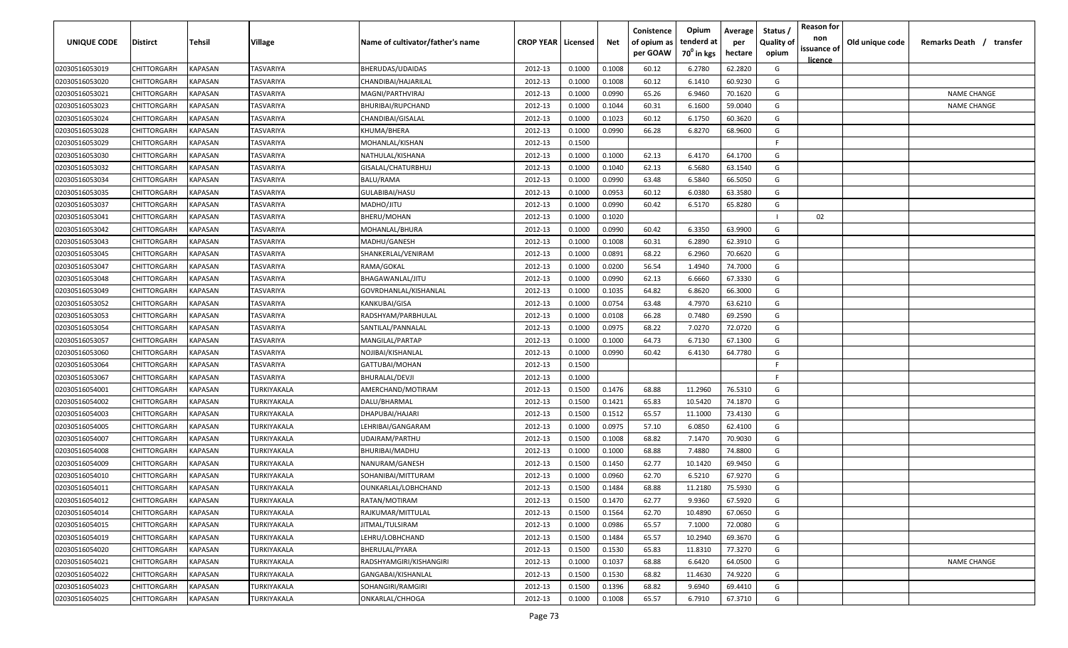| UNIQUE CODE    | <b>Distirct</b>    | Tehsil                | <b>Village</b>   | Name of cultivator/father's name | <b>CROP YEAR   Licensed</b> |        | Net    | Conistence<br>of opium as<br>per GOAW | Opium<br>tenderd at<br>70 <sup>0</sup> in kgs | Average<br>per<br>hectare | Status<br><b>Quality of</b><br>opium | <b>Reason for</b><br>non<br>issuance of<br><u>licence</u> | Old unique code | Remarks Death / transfer |
|----------------|--------------------|-----------------------|------------------|----------------------------------|-----------------------------|--------|--------|---------------------------------------|-----------------------------------------------|---------------------------|--------------------------------------|-----------------------------------------------------------|-----------------|--------------------------|
| 02030516053019 | CHITTORGARH        | KAPASAN               | <b>TASVARIYA</b> | BHERUDAS/UDAIDAS                 | 2012-13                     | 0.1000 | 0.1008 | 60.12                                 | 6.2780                                        | 62.2820                   | G                                    |                                                           |                 |                          |
| 02030516053020 | CHITTORGARH        | KAPASAN               | TASVARIYA        | CHANDIBAI/HAJARILAL              | 2012-13                     | 0.1000 | 0.1008 | 60.12                                 | 6.1410                                        | 60.9230                   | G                                    |                                                           |                 |                          |
| 02030516053021 | CHITTORGARH        | KAPASAN               | TASVARIYA        | MAGNI/PARTHVIRAJ                 | 2012-13                     | 0.1000 | 0.0990 | 65.26                                 | 6.9460                                        | 70.1620                   | G                                    |                                                           |                 | <b>NAME CHANGE</b>       |
| 02030516053023 | CHITTORGARH        | KAPASAN               | TASVARIYA        | BHURIBAI/RUPCHAND                | 2012-13                     | 0.1000 | 0.1044 | 60.31                                 | 6.1600                                        | 59.0040                   | G                                    |                                                           |                 | <b>NAME CHANGE</b>       |
| 02030516053024 | CHITTORGARH        | KAPASAN               | TASVARIYA        | CHANDIBAI/GISALAL                | 2012-13                     | 0.1000 | 0.1023 | 60.12                                 | 6.1750                                        | 60.3620                   | G                                    |                                                           |                 |                          |
| 02030516053028 | CHITTORGARH        | KAPASAN               | TASVARIYA        | KHUMA/BHERA                      | 2012-13                     | 0.1000 | 0.0990 | 66.28                                 | 6.8270                                        | 68.9600                   | G                                    |                                                           |                 |                          |
| 02030516053029 | CHITTORGARH        | KAPASAN               | TASVARIYA        | MOHANLAL/KISHAN                  | 2012-13                     | 0.1500 |        |                                       |                                               |                           | F.                                   |                                                           |                 |                          |
| 02030516053030 | CHITTORGARH        | KAPASAN               | TASVARIYA        | NATHULAL/KISHANA                 | 2012-13                     | 0.1000 | 0.1000 | 62.13                                 | 6.4170                                        | 64.1700                   | G                                    |                                                           |                 |                          |
| 02030516053032 | CHITTORGARH        | KAPASAN               | TASVARIYA        | GISALAL/CHATURBHUJ               | 2012-13                     | 0.1000 | 0.1040 | 62.13                                 | 6.5680                                        | 63.1540                   | G                                    |                                                           |                 |                          |
| 02030516053034 | CHITTORGARH        | KAPASAN               | TASVARIYA        | BALU/RAMA                        | 2012-13                     | 0.1000 | 0.0990 | 63.48                                 | 6.5840                                        | 66.5050                   | G                                    |                                                           |                 |                          |
| 02030516053035 | CHITTORGARH        | KAPASAN               | TASVARIYA        | GULABIBAI/HASU                   | 2012-13                     | 0.1000 | 0.0953 | 60.12                                 | 6.0380                                        | 63.3580                   | G                                    |                                                           |                 |                          |
| 02030516053037 | CHITTORGARH        | KAPASAN               | TASVARIYA        | MADHO/JITU                       | 2012-13                     | 0.1000 | 0.0990 | 60.42                                 | 6.5170                                        | 65.8280                   | G                                    |                                                           |                 |                          |
| 02030516053041 | CHITTORGARH        | KAPASAN               | TASVARIYA        | BHERU/MOHAN                      | 2012-13                     | 0.1000 | 0.1020 |                                       |                                               |                           |                                      | 02                                                        |                 |                          |
| 02030516053042 | CHITTORGARH        | KAPASAN               | TASVARIYA        | MOHANLAL/BHURA                   | 2012-13                     | 0.1000 | 0.0990 | 60.42                                 | 6.3350                                        | 63.9900                   | G                                    |                                                           |                 |                          |
| 02030516053043 | CHITTORGARH        | KAPASAN               | <b>TASVARIYA</b> | MADHU/GANESH                     | 2012-13                     | 0.1000 | 0.1008 | 60.31                                 | 6.2890                                        | 62.3910                   | G                                    |                                                           |                 |                          |
| 02030516053045 | CHITTORGARH        | KAPASAN               | TASVARIYA        | SHANKERLAL/VENIRAM               | 2012-13                     | 0.1000 | 0.0891 | 68.22                                 | 6.2960                                        | 70.6620                   | G                                    |                                                           |                 |                          |
| 02030516053047 | CHITTORGARH        | KAPASAN               | TASVARIYA        | RAMA/GOKAL                       | 2012-13                     | 0.1000 | 0.0200 | 56.54                                 | 1.4940                                        | 74.7000                   | G                                    |                                                           |                 |                          |
| 02030516053048 | CHITTORGARH        | KAPASAN               | TASVARIYA        | BHAGAWANLAL/JITU                 | 2012-13                     | 0.1000 | 0.0990 | 62.13                                 | 6.6660                                        | 67.3330                   | G                                    |                                                           |                 |                          |
| 02030516053049 | CHITTORGARH        | KAPASAN               | TASVARIYA        | GOVRDHANLAL/KISHANLAL            | 2012-13                     | 0.1000 | 0.1035 | 64.82                                 | 6.8620                                        | 66.3000                   | G                                    |                                                           |                 |                          |
| 02030516053052 | CHITTORGARH        | KAPASAN               | TASVARIYA        | KANKUBAI/GISA                    | 2012-13                     | 0.1000 | 0.0754 | 63.48                                 | 4.7970                                        | 63.6210                   | G                                    |                                                           |                 |                          |
| 02030516053053 | CHITTORGARH        | KAPASAN               | TASVARIYA        | RADSHYAM/PARBHULAL               | 2012-13                     | 0.1000 | 0.0108 | 66.28                                 | 0.7480                                        | 69.2590                   | G                                    |                                                           |                 |                          |
| 02030516053054 | CHITTORGARH        | KAPASAN               | TASVARIYA        | SANTILAL/PANNALAL                | 2012-13                     | 0.1000 | 0.0975 | 68.22                                 | 7.0270                                        | 72.0720                   | G                                    |                                                           |                 |                          |
| 02030516053057 | CHITTORGARH        | KAPASAN               | TASVARIYA        | MANGILAL/PARTAP                  | 2012-13                     | 0.1000 | 0.1000 | 64.73                                 | 6.7130                                        | 67.1300                   | G                                    |                                                           |                 |                          |
| 02030516053060 | CHITTORGARH        | KAPASAN               | TASVARIYA        | NOJIBAI/KISHANLAL                | 2012-13                     | 0.1000 | 0.0990 | 60.42                                 | 6.4130                                        | 64.7780                   | G                                    |                                                           |                 |                          |
| 02030516053064 | CHITTORGARH        | KAPASAN               | TASVARIYA        | GATTUBAI/MOHAN                   | 2012-13                     | 0.1500 |        |                                       |                                               |                           | F.                                   |                                                           |                 |                          |
| 02030516053067 | CHITTORGARH        | KAPASAN               | TASVARIYA        | BHURALAL/DEVJI                   | 2012-13                     | 0.1000 |        |                                       |                                               |                           | F.                                   |                                                           |                 |                          |
| 02030516054001 | CHITTORGARH        | KAPASAN               | TURKIYAKALA      | AMERCHAND/MOTIRAM                | 2012-13                     | 0.1500 | 0.1476 | 68.88                                 | 11.2960                                       | 76.5310                   | G                                    |                                                           |                 |                          |
| 02030516054002 | CHITTORGARH        | KAPASAN               | TURKIYAKALA      | DALU/BHARMAL                     | 2012-13                     | 0.1500 | 0.1421 | 65.83                                 | 10.5420                                       | 74.1870                   | G                                    |                                                           |                 |                          |
| 02030516054003 | <b>CHITTORGARH</b> | KAPASAN               | TURKIYAKALA      | DHAPUBAI/HAJARI                  | 2012-13                     | 0.1500 | 0.1512 | 65.57                                 | 11.1000                                       | 73.4130                   | G                                    |                                                           |                 |                          |
| 02030516054005 | CHITTORGARH        | KAPASAN               | TURKIYAKALA      | LEHRIBAI/GANGARAM                | 2012-13                     | 0.1000 | 0.0975 | 57.10                                 | 6.0850                                        | 62.4100                   | G                                    |                                                           |                 |                          |
| 02030516054007 | CHITTORGARH        | <b><i>KAPASAN</i></b> | TURKIYAKALA      | UDAIRAM/PARTHU                   | 2012-13                     | 0.1500 | 0.1008 | 68.82                                 | 7.1470                                        | 70.9030                   | G                                    |                                                           |                 |                          |
| 02030516054008 | CHITTORGARH        | <b><i>KAPASAN</i></b> | TURKIYAKALA      | BHURIBAI/MADHU                   | 2012-13                     | 0.1000 | 0.1000 | 68.88                                 | 7.4880                                        | 74.8800                   | G                                    |                                                           |                 |                          |
| 02030516054009 | CHITTORGARH        | KAPASAN               | TURKIYAKALA      | NANURAM/GANESH                   | 2012-13                     | 0.1500 | 0.1450 | 62.77                                 | 10.1420                                       | 69.9450                   | G                                    |                                                           |                 |                          |
| 02030516054010 | CHITTORGARH        | KAPASAN               | TURKIYAKALA      | SOHANIBAI/MITTURAM               | 2012-13                     | 0.1000 | 0.0960 | 62.70                                 | 6.5210                                        | 67.9270                   | G                                    |                                                           |                 |                          |
| 02030516054011 | CHITTORGARH        | KAPASAN               | TURKIYAKALA      | OUNKARLAL/LOBHCHAND              | 2012-13                     | 0.1500 | 0.1484 | 68.88                                 | 11.2180                                       | 75.5930                   | G                                    |                                                           |                 |                          |
| 02030516054012 | CHITTORGARH        | <b>KAPASAN</b>        | TURKIYAKALA      | RATAN/MOTIRAM                    | 2012-13                     | 0.1500 | 0.1470 | 62.77                                 | 9.9360                                        | 67.5920                   | G                                    |                                                           |                 |                          |
| 02030516054014 | CHITTORGARH        | KAPASAN               | TURKIYAKALA      | RAJKUMAR/MITTULAL                | 2012-13                     | 0.1500 | 0.1564 | 62.70                                 | 10.4890                                       | 67.0650                   | G                                    |                                                           |                 |                          |
| 02030516054015 | CHITTORGARH        | <b>KAPASAN</b>        | TURKIYAKALA      | JITMAL/TULSIRAM                  | 2012-13                     | 0.1000 | 0.0986 | 65.57                                 | 7.1000                                        | 72.0080                   | G                                    |                                                           |                 |                          |
| 02030516054019 | CHITTORGARH        | KAPASAN               | TURKIYAKALA      | LEHRU/LOBHCHAND                  | 2012-13                     | 0.1500 | 0.1484 | 65.57                                 | 10.2940                                       | 69.3670                   | G                                    |                                                           |                 |                          |
| 02030516054020 | CHITTORGARH        | KAPASAN               | TURKIYAKALA      | BHERULAL/PYARA                   | 2012-13                     | 0.1500 | 0.1530 | 65.83                                 | 11.8310                                       | 77.3270                   | G                                    |                                                           |                 |                          |
| 02030516054021 | CHITTORGARH        | KAPASAN               | TURKIYAKALA      | RADSHYAMGIRI/KISHANGIRI          | 2012-13                     | 0.1000 | 0.1037 | 68.88                                 | 6.6420                                        | 64.0500                   | G                                    |                                                           |                 | <b>NAME CHANGE</b>       |
| 02030516054022 | CHITTORGARH        | KAPASAN               | TURKIYAKALA      | GANGABAI/KISHANLAL               | 2012-13                     | 0.1500 | 0.1530 | 68.82                                 | 11.4630                                       | 74.9220                   | G                                    |                                                           |                 |                          |
| 02030516054023 | CHITTORGARH        | KAPASAN               | TURKIYAKALA      | SOHANGIRI/RAMGIRI                | 2012-13                     | 0.1500 | 0.1396 | 68.82                                 | 9.6940                                        | 69.4410                   | G                                    |                                                           |                 |                          |
| 02030516054025 | CHITTORGARH        | <b>KAPASAN</b>        | TURKIYAKALA      | ONKARLAL/CHHOGA                  | 2012-13                     | 0.1000 | 0.1008 | 65.57                                 | 6.7910                                        | 67.3710                   | G                                    |                                                           |                 |                          |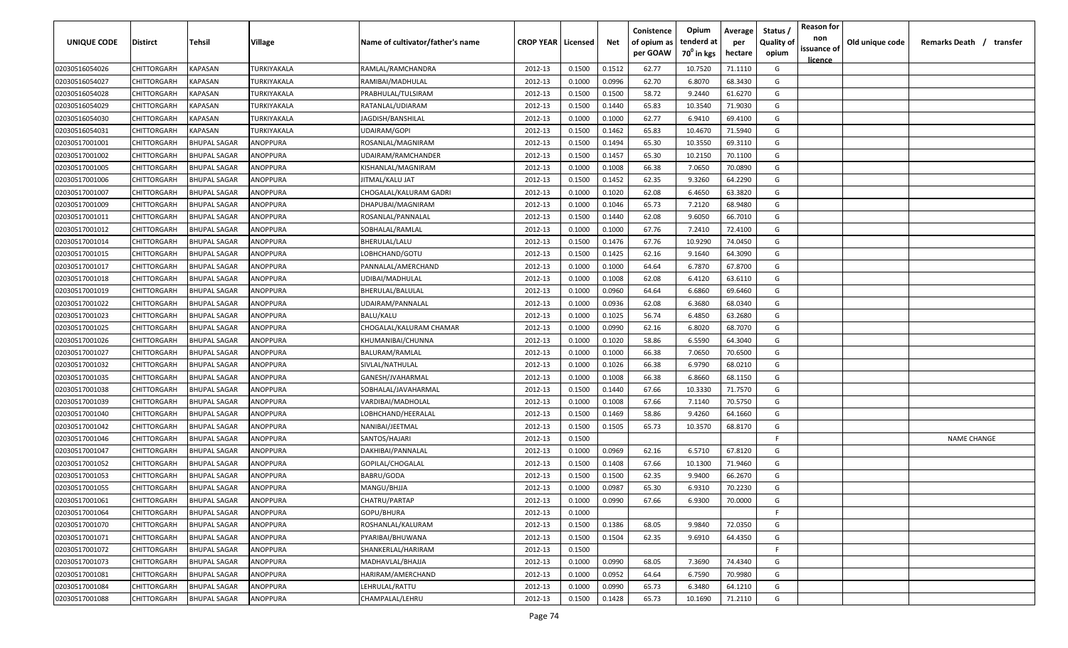| <b>UNIQUE CODE</b>               | <b>Distirct</b>    | <b>Tehsil</b>       | Village     | Name of cultivator/father's name | <b>CROP YEAR   Licensed</b> |        | Net    | Conistence<br>of opium as<br>per GOAW | Opium<br>tenderd at<br>70 <sup>0</sup> in kgs | Average<br>per<br>hectare | Status /<br>Quality of<br>opium | <b>Reason for</b><br>non<br>issuance of | Old unique code | Remarks Death /<br>transfer |
|----------------------------------|--------------------|---------------------|-------------|----------------------------------|-----------------------------|--------|--------|---------------------------------------|-----------------------------------------------|---------------------------|---------------------------------|-----------------------------------------|-----------------|-----------------------------|
| 02030516054026                   | CHITTORGARH        | KAPASAN             | TURKIYAKALA | RAMLAL/RAMCHANDRA                | 2012-13                     | 0.1500 | 0.1512 | 62.77                                 | 10.7520                                       | 71.1110                   | G                               | licence                                 |                 |                             |
|                                  | CHITTORGARH        | KAPASAN             | TURKIYAKALA | RAMIBAI/MADHULAL                 | 2012-13                     | 0.1000 | 0.0996 | 62.70                                 | 6.8070                                        | 68.3430                   | G                               |                                         |                 |                             |
| 02030516054027                   | CHITTORGARH        | KAPASAN             | TURKIYAKALA | PRABHULAL/TULSIRAM               | 2012-13                     | 0.1500 | 0.1500 | 58.72                                 | 9.2440                                        | 61.6270                   | G                               |                                         |                 |                             |
| 02030516054028<br>02030516054029 | CHITTORGARH        | KAPASAN             | TURKIYAKALA | RATANLAL/UDIARAM                 | 2012-13                     | 0.1500 | 0.1440 | 65.83                                 | 10.3540                                       | 71.9030                   | G                               |                                         |                 |                             |
| 02030516054030                   | CHITTORGARH        | KAPASAN             | TURKIYAKALA | JAGDISH/BANSHILAL                | 2012-13                     | 0.1000 | 0.1000 | 62.77                                 | 6.9410                                        | 69.4100                   | G                               |                                         |                 |                             |
| 02030516054031                   | CHITTORGARH        | KAPASAN             | TURKIYAKALA | <b>UDAIRAM/GOPI</b>              | 2012-13                     | 0.1500 | 0.1462 | 65.83                                 | 10.4670                                       | 71.5940                   | G                               |                                         |                 |                             |
| 02030517001001                   | CHITTORGARH        | <b>BHUPAL SAGAR</b> | ANOPPURA    | ROSANLAL/MAGNIRAM                | 2012-13                     | 0.1500 | 0.1494 | 65.30                                 | 10.3550                                       | 69.3110                   | G                               |                                         |                 |                             |
| 02030517001002                   | CHITTORGARH        | <b>BHUPAL SAGAR</b> | ANOPPURA    | UDAIRAM/RAMCHANDER               | 2012-13                     | 0.1500 | 0.1457 | 65.30                                 | 10.2150                                       | 70.1100                   | G                               |                                         |                 |                             |
| 02030517001005                   | CHITTORGARH        | <b>BHUPAL SAGAR</b> | ANOPPURA    | KISHANLAL/MAGNIRAM               | 2012-13                     | 0.1000 | 0.1008 | 66.38                                 | 7.0650                                        | 70.0890                   | G                               |                                         |                 |                             |
| 02030517001006                   | CHITTORGARH        | <b>BHUPAL SAGAR</b> | ANOPPURA    | JITMAL/KALU JAT                  | 2012-13                     | 0.1500 | 0.1452 | 62.35                                 | 9.3260                                        | 64.2290                   | G                               |                                         |                 |                             |
| 02030517001007                   | CHITTORGARH        | BHUPAL SAGAR        | ANOPPURA    | CHOGALAL/KALURAM GADRI           | 2012-13                     | 0.1000 | 0.1020 | 62.08                                 | 6.4650                                        | 63.3820                   | G                               |                                         |                 |                             |
| 02030517001009                   | CHITTORGARH        | BHUPAL SAGAR        | ANOPPURA    | DHAPUBAI/MAGNIRAM                | 2012-13                     | 0.1000 | 0.1046 | 65.73                                 | 7.2120                                        | 68.9480                   | G                               |                                         |                 |                             |
| 02030517001011                   | CHITTORGARH        | <b>BHUPAL SAGAR</b> | ANOPPURA    | ROSANLAL/PANNALAL                | 2012-13                     | 0.1500 | 0.1440 | 62.08                                 | 9.6050                                        | 66.7010                   | G                               |                                         |                 |                             |
| 02030517001012                   | CHITTORGARH        | <b>BHUPAL SAGAR</b> | ANOPPURA    | SOBHALAL/RAMLAL                  | 2012-13                     | 0.1000 | 0.1000 | 67.76                                 | 7.2410                                        | 72.4100                   | G                               |                                         |                 |                             |
| 02030517001014                   | CHITTORGARH        | <b>BHUPAL SAGAR</b> | ANOPPURA    | BHERULAL/LALU                    | 2012-13                     | 0.1500 | 0.1476 | 67.76                                 | 10.9290                                       | 74.0450                   | G                               |                                         |                 |                             |
| 02030517001015                   | CHITTORGARH        | <b>BHUPAL SAGAR</b> | ANOPPURA    | LOBHCHAND/GOTU                   | 2012-13                     | 0.1500 | 0.1425 | 62.16                                 | 9.1640                                        | 64.3090                   | G                               |                                         |                 |                             |
| 02030517001017                   | CHITTORGARH        | <b>BHUPAL SAGAR</b> | ANOPPURA    | PANNALAL/AMERCHAND               | 2012-13                     | 0.1000 | 0.1000 | 64.64                                 | 6.7870                                        | 67.8700                   | G                               |                                         |                 |                             |
| 02030517001018                   | CHITTORGARH        | <b>BHUPAL SAGAR</b> | ANOPPURA    | UDIBAI/MADHULAL                  | 2012-13                     | 0.1000 | 0.1008 | 62.08                                 | 6.4120                                        | 63.6110                   | G                               |                                         |                 |                             |
| 02030517001019                   | CHITTORGARH        | <b>BHUPAL SAGAR</b> | ANOPPURA    | BHERULAL/BALULAL                 | 2012-13                     | 0.1000 | 0.0960 | 64.64                                 | 6.6860                                        | 69.6460                   | G                               |                                         |                 |                             |
| 02030517001022                   | CHITTORGARH        | <b>BHUPAL SAGAR</b> | ANOPPURA    | UDAIRAM/PANNALAL                 | 2012-13                     | 0.1000 | 0.0936 | 62.08                                 | 6.3680                                        | 68.0340                   | G                               |                                         |                 |                             |
| 02030517001023                   | CHITTORGARH        | <b>BHUPAL SAGAR</b> | ANOPPURA    | BALU/KALU                        | 2012-13                     | 0.1000 | 0.1025 | 56.74                                 | 6.4850                                        | 63.2680                   | G                               |                                         |                 |                             |
| 02030517001025                   | CHITTORGARH        | <b>BHUPAL SAGAR</b> | ANOPPURA    | CHOGALAL/KALURAM CHAMAR          | 2012-13                     | 0.1000 | 0.0990 | 62.16                                 | 6.8020                                        | 68.7070                   | G                               |                                         |                 |                             |
| 02030517001026                   | CHITTORGARH        | <b>BHUPAL SAGAR</b> | ANOPPURA    | KHUMANIBAI/CHUNNA                | 2012-13                     | 0.1000 | 0.1020 | 58.86                                 | 6.5590                                        | 64.3040                   | G                               |                                         |                 |                             |
| 02030517001027                   | CHITTORGARH        | <b>BHUPAL SAGAR</b> | ANOPPURA    | BALURAM/RAMLAL                   | 2012-13                     | 0.1000 | 0.1000 | 66.38                                 | 7.0650                                        | 70.6500                   | G                               |                                         |                 |                             |
| 02030517001032                   | CHITTORGARH        | <b>BHUPAL SAGAR</b> | ANOPPURA    | SIVLAL/NATHULAL                  | 2012-13                     | 0.1000 | 0.1026 | 66.38                                 | 6.9790                                        | 68.0210                   | G                               |                                         |                 |                             |
| 02030517001035                   | CHITTORGARH        | <b>BHUPAL SAGAR</b> | ANOPPURA    | GANESH/JVAHARMAL                 | 2012-13                     | 0.1000 | 0.1008 | 66.38                                 | 6.8660                                        | 68.1150                   | G                               |                                         |                 |                             |
| 02030517001038                   | CHITTORGARH        | <b>BHUPAL SAGAR</b> | ANOPPURA    | SOBHALAL/JAVAHARMAL              | 2012-13                     | 0.1500 | 0.1440 | 67.66                                 | 10.3330                                       | 71.7570                   | G                               |                                         |                 |                             |
| 02030517001039                   | CHITTORGARH        | <b>BHUPAL SAGAR</b> | ANOPPURA    | VARDIBAI/MADHOLAL                | 2012-13                     | 0.1000 | 0.1008 | 67.66                                 | 7.1140                                        | 70.5750                   | G                               |                                         |                 |                             |
| 02030517001040                   | CHITTORGARH        | BHUPAL SAGAR        | ANOPPURA    | LOBHCHAND/HEERALAL               | 2012-13                     | 0.1500 | 0.1469 | 58.86                                 | 9.4260                                        | 64.1660                   | G                               |                                         |                 |                             |
| 02030517001042                   | CHITTORGARH        | <b>BHUPAL SAGAR</b> | ANOPPURA    | NANIBAI/JEETMAL                  | 2012-13                     | 0.1500 | 0.1505 | 65.73                                 | 10.3570                                       | 68.8170                   | G                               |                                         |                 |                             |
| 02030517001046                   | CHITTORGARH        | <b>BHUPAL SAGAR</b> | ANOPPURA    | SANTOS/HAJARI                    | 2012-13                     | 0.1500 |        |                                       |                                               |                           | -F.                             |                                         |                 | <b>NAME CHANGE</b>          |
| 02030517001047                   | CHITTORGARH        | <b>BHUPAL SAGAR</b> | ANOPPURA    | DAKHIBAI/PANNALAL                | 2012-13                     | 0.1000 | 0.0969 | 62.16                                 | 6.5710                                        | 67.8120                   | G                               |                                         |                 |                             |
| 02030517001052                   | CHITTORGARH        | <b>BHUPAL SAGAR</b> | ANOPPURA    | GOPILAL/CHOGALAL                 | 2012-13                     | 0.1500 | 0.1408 | 67.66                                 | 10.1300                                       | 71.9460                   | G                               |                                         |                 |                             |
| 02030517001053                   | CHITTORGARH        | <b>BHUPAL SAGAR</b> | ANOPPURA    | BABRU/GODA                       | 2012-13                     | 0.1500 | 0.1500 | 62.35                                 | 9.9400                                        | 66.2670                   | G                               |                                         |                 |                             |
| 02030517001055                   | CHITTORGARH        | <b>BHUPAL SAGAR</b> | ANOPPURA    | MANGU/BHJJA                      | 2012-13                     | 0.1000 | 0.0987 | 65.30                                 | 6.9310                                        | 70.2230                   | G                               |                                         |                 |                             |
| 02030517001061                   | CHITTORGARH        | <b>BHUPAL SAGAR</b> | ANOPPURA    | CHATRU/PARTAP                    | 2012-13                     | 0.1000 | 0.0990 | 67.66                                 | 6.9300                                        | 70.0000                   | G                               |                                         |                 |                             |
| 02030517001064                   | <b>CHITTORGARH</b> | <b>BHUPAL SAGAR</b> | ANOPPURA    | GOPU/BHURA                       | 2012-13                     | 0.1000 |        |                                       |                                               |                           | F.                              |                                         |                 |                             |
| 02030517001070                   | CHITTORGARH        | <b>BHUPAL SAGAR</b> | ANOPPURA    | ROSHANLAL/KALURAM                | 2012-13                     | 0.1500 | 0.1386 | 68.05                                 | 9.9840                                        | 72.0350                   | G                               |                                         |                 |                             |
| 02030517001071                   | CHITTORGARH        | <b>BHUPAL SAGAR</b> | ANOPPURA    | PYARIBAI/BHUWANA                 | 2012-13                     | 0.1500 | 0.1504 | 62.35                                 | 9.6910                                        | 64.4350                   | G                               |                                         |                 |                             |
| 02030517001072                   | <b>CHITTORGARH</b> | <b>BHUPAL SAGAR</b> | ANOPPURA    | SHANKERLAL/HARIRAM               | 2012-13                     | 0.1500 |        |                                       |                                               |                           | $\mathsf{F}$                    |                                         |                 |                             |
| 02030517001073                   | CHITTORGARH        | <b>BHUPAL SAGAR</b> | ANOPPURA    | MADHAVLAL/BHAJJA                 | 2012-13                     | 0.1000 | 0.0990 | 68.05                                 | 7.3690                                        | 74.4340                   | G                               |                                         |                 |                             |
| 02030517001081                   | CHITTORGARH        | <b>BHUPAL SAGAR</b> | ANOPPURA    | HARIRAM/AMERCHAND                | 2012-13                     | 0.1000 | 0.0952 | 64.64                                 | 6.7590                                        | 70.9980                   | G                               |                                         |                 |                             |
| 02030517001084                   | CHITTORGARH        | <b>BHUPAL SAGAR</b> | ANOPPURA    | LEHRULAL/RATTU                   | 2012-13                     | 0.1000 | 0.0990 | 65.73                                 | 6.3480                                        | 64.1210                   | G                               |                                         |                 |                             |
| 02030517001088                   | <b>CHITTORGARH</b> | <b>BHUPAL SAGAR</b> | ANOPPURA    | CHAMPALAL/LEHRU                  | 2012-13                     | 0.1500 | 0.1428 | 65.73                                 | 10.1690                                       | 71.2110                   | G                               |                                         |                 |                             |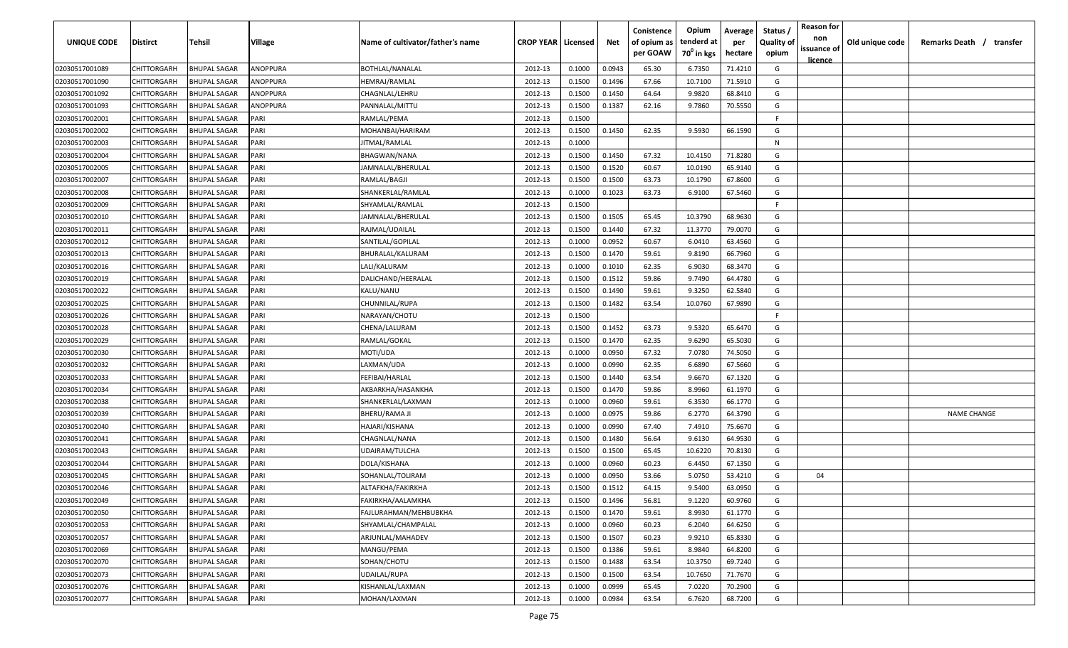| <b>UNIQUE CODE</b> | Distirct           | Tehsil              | Village  | Name of cultivator/father's name | <b>CROP YEAR   Licensed</b> |        | Net    | Conistence<br>of opium as | Opium<br>tenderd at    | Average<br>per | Status /<br><b>Quality of</b> | <b>Reason for</b><br>non<br>issuance of | Old unique code | Remarks Death / transfer |
|--------------------|--------------------|---------------------|----------|----------------------------------|-----------------------------|--------|--------|---------------------------|------------------------|----------------|-------------------------------|-----------------------------------------|-----------------|--------------------------|
|                    |                    |                     |          |                                  |                             |        |        | per GOAW                  | 70 <sup>0</sup> in kgs | hectare        | opium                         | <u>licence</u>                          |                 |                          |
| 02030517001089     | CHITTORGARH        | <b>BHUPAL SAGAR</b> | ANOPPURA | <b>BOTHLAL/NANALAL</b>           | 2012-13                     | 0.1000 | 0.0943 | 65.30                     | 6.7350                 | 71.4210        | G                             |                                         |                 |                          |
| 02030517001090     | CHITTORGARH        | <b>BHUPAL SAGAR</b> | ANOPPURA | HEMRAJ/RAMLAL                    | 2012-13                     | 0.1500 | 0.1496 | 67.66                     | 10.7100                | 71.5910        | G                             |                                         |                 |                          |
| 02030517001092     | CHITTORGARH        | <b>BHUPAL SAGAR</b> | ANOPPURA | CHAGNLAL/LEHRU                   | 2012-13                     | 0.1500 | 0.1450 | 64.64                     | 9.9820                 | 68.8410        | G                             |                                         |                 |                          |
| 02030517001093     | CHITTORGARH        | <b>BHUPAL SAGAR</b> | ANOPPURA | PANNALAL/MITTU                   | 2012-13                     | 0.1500 | 0.1387 | 62.16                     | 9.7860                 | 70.5550        | G                             |                                         |                 |                          |
| 02030517002001     | CHITTORGARH        | <b>BHUPAL SAGAR</b> | PARI     | RAMLAL/PEMA                      | 2012-13                     | 0.1500 |        |                           |                        |                | -F.                           |                                         |                 |                          |
| 02030517002002     | CHITTORGARH        | <b>BHUPAL SAGAR</b> | PARI     | MOHANBAI/HARIRAM                 | 2012-13                     | 0.1500 | 0.1450 | 62.35                     | 9.5930                 | 66.1590        | G                             |                                         |                 |                          |
| 02030517002003     | CHITTORGARH        | <b>BHUPAL SAGAR</b> | PARI     | IITMAL/RAMLAL                    | 2012-13                     | 0.1000 |        |                           |                        |                | N                             |                                         |                 |                          |
| 02030517002004     | CHITTORGARH        | <b>BHUPAL SAGAR</b> | PARI     | BHAGWAN/NANA                     | 2012-13                     | 0.1500 | 0.1450 | 67.32                     | 10.4150                | 71.8280        | G                             |                                         |                 |                          |
| 02030517002005     | CHITTORGARH        | <b>BHUPAL SAGAR</b> | PARI     | JAMNALAL/BHERULAL                | 2012-13                     | 0.1500 | 0.1520 | 60.67                     | 10.0190                | 65.9140        | G                             |                                         |                 |                          |
| 02030517002007     | CHITTORGARH        | BHUPAL SAGAR        | PARI     | RAMLAL/BAGJI                     | 2012-13                     | 0.1500 | 0.1500 | 63.73                     | 10.1790                | 67.8600        | G                             |                                         |                 |                          |
| 02030517002008     | CHITTORGARH        | BHUPAL SAGAR        | PARI     | SHANKERLAL/RAMLAL                | 2012-13                     | 0.1000 | 0.1023 | 63.73                     | 6.9100                 | 67.5460        | G                             |                                         |                 |                          |
| 02030517002009     | CHITTORGARH        | <b>BHUPAL SAGAR</b> | PARI     | SHYAMLAL/RAMLAL                  | 2012-13                     | 0.1500 |        |                           |                        |                | F.                            |                                         |                 |                          |
| 02030517002010     | CHITTORGARH        | <b>BHUPAL SAGAR</b> | PARI     | JAMNALAL/BHERULAL                | 2012-13                     | 0.1500 | 0.1505 | 65.45                     | 10.3790                | 68.9630        | G                             |                                         |                 |                          |
| 02030517002011     | CHITTORGARH        | <b>BHUPAL SAGAR</b> | PARI     | RAJMAL/UDAILAL                   | 2012-13                     | 0.1500 | 0.1440 | 67.32                     | 11.3770                | 79.0070        | G                             |                                         |                 |                          |
| 02030517002012     | CHITTORGARH        | <b>BHUPAL SAGAR</b> | PARI     | SANTILAL/GOPILAL                 | 2012-13                     | 0.1000 | 0.0952 | 60.67                     | 6.0410                 | 63.4560        | G                             |                                         |                 |                          |
| 02030517002013     | CHITTORGARH        | <b>BHUPAL SAGAR</b> | PARI     | BHURALAL/KALURAM                 | 2012-13                     | 0.1500 | 0.1470 | 59.61                     | 9.8190                 | 66.7960        | G                             |                                         |                 |                          |
| 02030517002016     | CHITTORGARH        | <b>BHUPAL SAGAR</b> | PARI     | LALI/KALURAM                     | 2012-13                     | 0.1000 | 0.1010 | 62.35                     | 6.9030                 | 68.3470        | G                             |                                         |                 |                          |
| 02030517002019     | CHITTORGARH        | <b>BHUPAL SAGAR</b> | PARI     | DALICHAND/HEERALAL               | 2012-13                     | 0.1500 | 0.1512 | 59.86                     | 9.7490                 | 64.4780        | G                             |                                         |                 |                          |
| 02030517002022     | CHITTORGARH        | BHUPAL SAGAR        | PARI     | KALU/NANU                        | 2012-13                     | 0.1500 | 0.1490 | 59.61                     | 9.3250                 | 62.5840        | G                             |                                         |                 |                          |
| 02030517002025     | CHITTORGARH        | <b>BHUPAL SAGAR</b> | PARI     | CHUNNILAL/RUPA                   | 2012-13                     | 0.1500 | 0.1482 | 63.54                     | 10.0760                | 67.9890        | G                             |                                         |                 |                          |
| 02030517002026     | CHITTORGARH        | <b>BHUPAL SAGAR</b> | PARI     | NARAYAN/CHOTU                    | 2012-13                     | 0.1500 |        |                           |                        |                | -F.                           |                                         |                 |                          |
| 02030517002028     | CHITTORGARH        | <b>BHUPAL SAGAR</b> | PARI     | CHENA/LALURAM                    | 2012-13                     | 0.1500 | 0.1452 | 63.73                     | 9.5320                 | 65.6470        | G                             |                                         |                 |                          |
| 02030517002029     | CHITTORGARH        | <b>BHUPAL SAGAR</b> | PARI     | RAMLAL/GOKAL                     | 2012-13                     | 0.1500 | 0.1470 | 62.35                     | 9.6290                 | 65.5030        | G                             |                                         |                 |                          |
| 02030517002030     | CHITTORGARH        | <b>BHUPAL SAGAR</b> | PARI     | MOTI/UDA                         | 2012-13                     | 0.1000 | 0.0950 | 67.32                     | 7.0780                 | 74.5050        | G                             |                                         |                 |                          |
| 02030517002032     | CHITTORGARH        | <b>BHUPAL SAGAR</b> | PARI     | LAXMAN/UDA                       | 2012-13                     | 0.1000 | 0.0990 | 62.35                     | 6.6890                 | 67.5660        | G                             |                                         |                 |                          |
| 02030517002033     | CHITTORGARH        | BHUPAL SAGAR        | PARI     | FEFIBAI/HARLAL                   | 2012-13                     | 0.1500 | 0.1440 | 63.54                     | 9.6670                 | 67.1320        | G                             |                                         |                 |                          |
| 02030517002034     | CHITTORGARH        | BHUPAL SAGAR        | PARI     | AKBARKHA/HASANKHA                | 2012-13                     | 0.1500 | 0.1470 | 59.86                     | 8.9960                 | 61.1970        | G                             |                                         |                 |                          |
| 02030517002038     | CHITTORGARH        | BHUPAL SAGAR        | PARI     | SHANKERLAL/LAXMAN                | 2012-13                     | 0.1000 | 0.0960 | 59.61                     | 6.3530                 | 66.1770        | G                             |                                         |                 |                          |
| 02030517002039     | CHITTORGARH        | <b>BHUPAL SAGAR</b> | PARI     | BHERU/RAMA JI                    | 2012-13                     | 0.1000 | 0.0975 | 59.86                     | 6.2770                 | 64.3790        | G                             |                                         |                 | <b>NAME CHANGE</b>       |
| 02030517002040     | CHITTORGARH        | <b>BHUPAL SAGAR</b> | PARI     | HAJARI/KISHANA                   | 2012-13                     | 0.1000 | 0.0990 | 67.40                     | 7.4910                 | 75.6670        | G                             |                                         |                 |                          |
| 02030517002041     | CHITTORGARH        | <b>BHUPAL SAGAR</b> | PARI     | CHAGNLAL/NANA                    | 2012-13                     | 0.1500 | 0.1480 | 56.64                     | 9.6130                 | 64.9530        | G                             |                                         |                 |                          |
| 02030517002043     | CHITTORGARH        | <b>BHUPAL SAGAR</b> | PARI     | UDAIRAM/TULCHA                   | 2012-13                     | 0.1500 | 0.1500 | 65.45                     | 10.6220                | 70.8130        | G                             |                                         |                 |                          |
| 02030517002044     | CHITTORGARH        | <b>BHUPAL SAGAR</b> | PARI     | DOLA/KISHANA                     | 2012-13                     | 0.1000 | 0.0960 | 60.23                     | 6.4450                 | 67.1350        | G                             |                                         |                 |                          |
| 02030517002045     | CHITTORGARH        | <b>BHUPAL SAGAR</b> | PARI     | SOHANLAL/TOLIRAM                 | 2012-13                     | 0.1000 | 0.0950 | 53.66                     | 5.0750                 | 53.4210        | G                             | 04                                      |                 |                          |
| 02030517002046     | CHITTORGARH        | BHUPAL SAGAR        | PARI     | ALTAFKHA/FAKIRKHA                | 2012-13                     | 0.1500 | 0.1512 | 64.15                     | 9.5400                 | 63.0950        | G                             |                                         |                 |                          |
| 02030517002049     | <b>CHITTORGARH</b> | <b>BHUPAL SAGAR</b> | PARI     | FAKIRKHA/AALAMKHA                | 2012-13                     | 0.1500 | 0.1496 | 56.81                     | 9.1220                 | 60.9760        | G                             |                                         |                 |                          |
| 02030517002050     | CHITTORGARH        | <b>BHUPAL SAGAR</b> | PARI     | FAJLURAHMAN/MEHBUBKHA            | 2012-13                     | 0.1500 | 0.1470 | 59.61                     | 8.9930                 | 61.1770        | G                             |                                         |                 |                          |
| 02030517002053     | <b>CHITTORGARH</b> | <b>BHUPAL SAGAR</b> | PARI     | SHYAMLAL/CHAMPALAL               | 2012-13                     | 0.1000 | 0.0960 | 60.23                     | 6.2040                 | 64.6250        | G                             |                                         |                 |                          |
| 02030517002057     | <b>CHITTORGARH</b> | <b>BHUPAL SAGAR</b> | PARI     | ARJUNLAL/MAHADEV                 | 2012-13                     | 0.1500 | 0.1507 | 60.23                     | 9.9210                 | 65.8330        | G                             |                                         |                 |                          |
| 02030517002069     | CHITTORGARH        | <b>BHUPAL SAGAR</b> | PARI     | MANGU/PEMA                       | 2012-13                     | 0.1500 | 0.1386 | 59.61                     | 8.9840                 | 64.8200        | G                             |                                         |                 |                          |
| 02030517002070     | CHITTORGARH        | <b>BHUPAL SAGAR</b> | PARI     | SOHAN/CHOTU                      | 2012-13                     | 0.1500 | 0.1488 | 63.54                     | 10.3750                | 69.7240        | G                             |                                         |                 |                          |
| 02030517002073     | CHITTORGARH        | <b>BHUPAL SAGAR</b> | PARI     | UDAILAL/RUPA                     | 2012-13                     | 0.1500 | 0.1500 | 63.54                     | 10.7650                | 71.7670        | G                             |                                         |                 |                          |
| 02030517002076     | CHITTORGARH        | BHUPAL SAGAR        | PARI     | KISHANLAL/LAXMAN                 | 2012-13                     | 0.1000 | 0.0999 | 65.45                     | 7.0220                 | 70.2900        | G                             |                                         |                 |                          |
| 02030517002077     |                    |                     | PARI     | MOHAN/LAXMAN                     | 2012-13                     | 0.1000 | 0.0984 | 63.54                     |                        | 68.7200        | G                             |                                         |                 |                          |
|                    | CHITTORGARH        | BHUPAL SAGAR        |          |                                  |                             |        |        |                           | 6.7620                 |                |                               |                                         |                 |                          |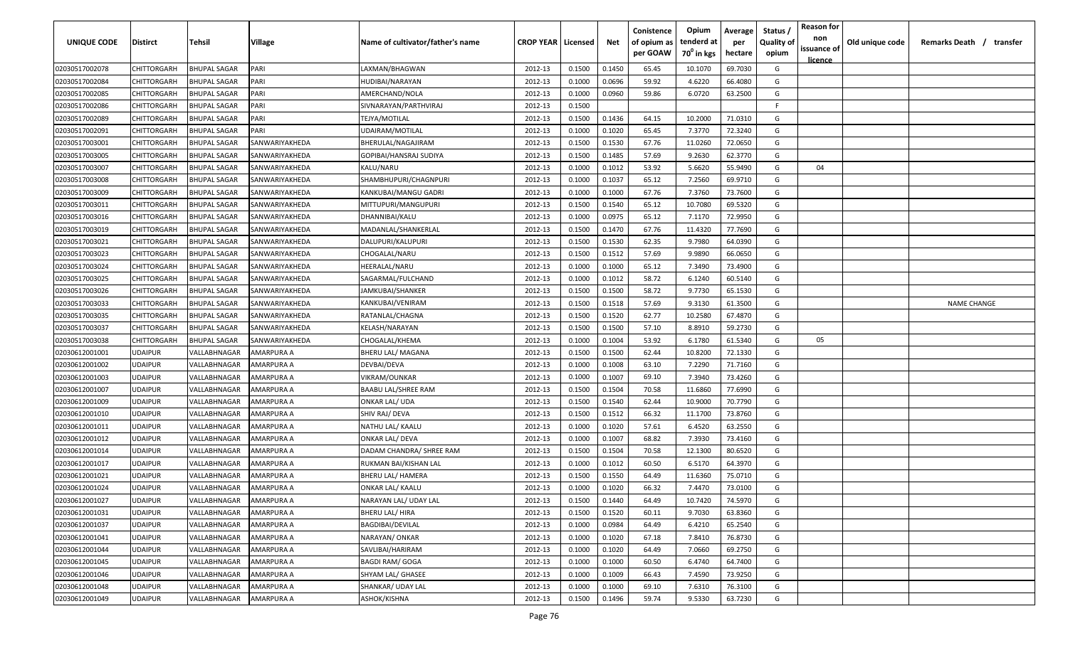| UNIQUE CODE    | <b>Distirct</b> | Tehsil              | Village           | Name of cultivator/father's name | <b>CROP YEAR   Licensed</b> |        | Net    | Conistence<br>of opium as<br>per GOAW | Opium<br>tenderd at<br>70 <sup>0</sup> in kgs | Average<br>per<br>hectare | Status /<br><b>Quality of</b><br>opium | <b>Reason for</b><br>non<br>issuance of<br><u>licence</u> | Old unique code | Remarks Death /<br>transfer |
|----------------|-----------------|---------------------|-------------------|----------------------------------|-----------------------------|--------|--------|---------------------------------------|-----------------------------------------------|---------------------------|----------------------------------------|-----------------------------------------------------------|-----------------|-----------------------------|
| 02030517002078 | CHITTORGARH     | <b>BHUPAL SAGAR</b> | PARI              | LAXMAN/BHAGWAN                   | 2012-13                     | 0.1500 | 0.1450 | 65.45                                 | 10.1070                                       | 69.7030                   | G                                      |                                                           |                 |                             |
| 02030517002084 | CHITTORGARH     | <b>BHUPAL SAGAR</b> | PARI              | HUDIBAI/NARAYAN                  | 2012-13                     | 0.1000 | 0.0696 | 59.92                                 | 4.6220                                        | 66.4080                   | G                                      |                                                           |                 |                             |
| 02030517002085 | CHITTORGARH     | <b>BHUPAL SAGAR</b> | PARI              | AMERCHAND/NOLA                   | 2012-13                     | 0.1000 | 0.0960 | 59.86                                 | 6.0720                                        | 63.2500                   | G                                      |                                                           |                 |                             |
| 02030517002086 | CHITTORGARH     | <b>BHUPAL SAGAR</b> | PARI              | SIVNARAYAN/PARTHVIRAJ            | 2012-13                     | 0.1500 |        |                                       |                                               |                           | -F                                     |                                                           |                 |                             |
| 02030517002089 | CHITTORGARH     | <b>BHUPAL SAGAR</b> | PARI              | TEJYA/MOTILAL                    | 2012-13                     | 0.1500 | 0.1436 | 64.15                                 | 10.2000                                       | 71.0310                   | G                                      |                                                           |                 |                             |
| 02030517002091 | CHITTORGARH     | <b>BHUPAL SAGAR</b> | PARI              | UDAIRAM/MOTILAL                  | 2012-13                     | 0.1000 | 0.1020 | 65.45                                 | 7.3770                                        | 72.3240                   | G                                      |                                                           |                 |                             |
| 02030517003001 | CHITTORGARH     | <b>BHUPAL SAGAR</b> | SANWARIYAKHEDA    | BHERULAL/NAGAJIRAM               | 2012-13                     | 0.1500 | 0.1530 | 67.76                                 | 11.0260                                       | 72.0650                   | G                                      |                                                           |                 |                             |
| 02030517003005 | CHITTORGARH     | BHUPAL SAGAR        | SANWARIYAKHEDA    | GOPIBAI/HANSRAJ SUDIYA           | 2012-13                     | 0.1500 | 0.1485 | 57.69                                 | 9.2630                                        | 62.3770                   | G                                      |                                                           |                 |                             |
| 02030517003007 | CHITTORGARH     | BHUPAL SAGAR        | SANWARIYAKHEDA    | KALU/NARU                        | 2012-13                     | 0.1000 | 0.1012 | 53.92                                 | 5.6620                                        | 55.9490                   | G                                      | 04                                                        |                 |                             |
| 02030517003008 | CHITTORGARH     | BHUPAL SAGAR        | SANWARIYAKHEDA    | SHAMBHUPURI/CHAGNPURI            | 2012-13                     | 0.1000 | 0.1037 | 65.12                                 | 7.2560                                        | 69.9710                   | G                                      |                                                           |                 |                             |
| 02030517003009 | CHITTORGARH     | <b>BHUPAL SAGAR</b> | SANWARIYAKHEDA    | KANKUBAI/MANGU GADRI             | 2012-13                     | 0.1000 | 0.1000 | 67.76                                 | 7.3760                                        | 73.7600                   | G                                      |                                                           |                 |                             |
| 02030517003011 | CHITTORGARH     | BHUPAL SAGAR        | SANWARIYAKHEDA    | MITTUPURI/MANGUPURI              | 2012-13                     | 0.1500 | 0.1540 | 65.12                                 | 10.7080                                       | 69.5320                   | G                                      |                                                           |                 |                             |
| 02030517003016 | CHITTORGARH     | <b>BHUPAL SAGAR</b> | SANWARIYAKHEDA    | DHANNIBAI/KALU                   | 2012-13                     | 0.1000 | 0.0975 | 65.12                                 | 7.1170                                        | 72.9950                   | G                                      |                                                           |                 |                             |
| 02030517003019 | CHITTORGARH     | <b>BHUPAL SAGAR</b> | SANWARIYAKHEDA    | MADANLAL/SHANKERLAL              | 2012-13                     | 0.1500 | 0.1470 | 67.76                                 | 11.4320                                       | 77.7690                   | G                                      |                                                           |                 |                             |
| 02030517003021 | CHITTORGARH     | <b>BHUPAL SAGAR</b> | SANWARIYAKHEDA    | DALUPURI/KALUPURI                | 2012-13                     | 0.1500 | 0.1530 | 62.35                                 | 9.7980                                        | 64.0390                   | G                                      |                                                           |                 |                             |
| 02030517003023 | CHITTORGARH     | <b>BHUPAL SAGAR</b> | SANWARIYAKHEDA    | CHOGALAL/NARU                    | 2012-13                     | 0.1500 | 0.1512 | 57.69                                 | 9.9890                                        | 66.0650                   | G                                      |                                                           |                 |                             |
| 02030517003024 | CHITTORGARH     | <b>BHUPAL SAGAR</b> | SANWARIYAKHEDA    | HEERALAL/NARU                    | 2012-13                     | 0.1000 | 0.1000 | 65.12                                 | 7.3490                                        | 73.4900                   | G                                      |                                                           |                 |                             |
| 02030517003025 | CHITTORGARH     | <b>BHUPAL SAGAR</b> | SANWARIYAKHEDA    | SAGARMAL/FULCHAND                | 2012-13                     | 0.1000 | 0.1012 | 58.72                                 | 6.1240                                        | 60.5140                   | G                                      |                                                           |                 |                             |
| 02030517003026 | CHITTORGARH     | <b>BHUPAL SAGAR</b> | SANWARIYAKHEDA    | JAMKUBAI/SHANKER                 | 2012-13                     | 0.1500 | 0.1500 | 58.72                                 | 9.7730                                        | 65.1530                   | G                                      |                                                           |                 |                             |
| 02030517003033 | CHITTORGARH     | <b>BHUPAL SAGAR</b> | SANWARIYAKHEDA    | KANKUBAI/VENIRAM                 | 2012-13                     | 0.1500 | 0.1518 | 57.69                                 | 9.3130                                        | 61.3500                   | G                                      |                                                           |                 | <b>NAME CHANGE</b>          |
| 02030517003035 | CHITTORGARH     | <b>BHUPAL SAGAR</b> | SANWARIYAKHEDA    | RATANLAL/CHAGNA                  | 2012-13                     | 0.1500 | 0.1520 | 62.77                                 | 10.2580                                       | 67.4870                   | G                                      |                                                           |                 |                             |
| 02030517003037 | CHITTORGARH     | <b>BHUPAL SAGAR</b> | SANWARIYAKHEDA    | KELASH/NARAYAN                   | 2012-13                     | 0.1500 | 0.1500 | 57.10                                 | 8.8910                                        | 59.2730                   | G                                      |                                                           |                 |                             |
| 02030517003038 | CHITTORGARH     | <b>BHUPAL SAGAR</b> | SANWARIYAKHEDA    | CHOGALAL/KHEMA                   | 2012-13                     | 0.1000 | 0.1004 | 53.92                                 | 6.1780                                        | 61.5340                   | G                                      | 05                                                        |                 |                             |
| 02030612001001 | <b>JDAIPUR</b>  | VALLABHNAGAR        | AMARPURA A        | BHERU LAL/ MAGANA                | 2012-13                     | 0.1500 | 0.1500 | 62.44                                 | 10.8200                                       | 72.1330                   | G                                      |                                                           |                 |                             |
| 02030612001002 | <b>JDAIPUR</b>  | VALLABHNAGAR        | AMARPURA A        | DEVBAI/DEVA                      | 2012-13                     | 0.1000 | 0.1008 | 63.10                                 | 7.2290                                        | 71.7160                   | G                                      |                                                           |                 |                             |
| 02030612001003 | <b>JDAIPUR</b>  | VALLABHNAGAR        | AMARPURA A        | VIKRAM/OUNKAR                    | 2012-13                     | 0.1000 | 0.1007 | 69.10                                 | 7.3940                                        | 73.4260                   | G                                      |                                                           |                 |                             |
| 02030612001007 | <b>JDAIPUR</b>  | VALLABHNAGAR        | AMARPURA A        | BAABU LAL/SHREE RAM              | 2012-13                     | 0.1500 | 0.1504 | 70.58                                 | 11.6860                                       | 77.6990                   | G                                      |                                                           |                 |                             |
| 02030612001009 | UDAIPUR         | VALLABHNAGAR        | AMARPURA A        | ONKAR LAL/ UDA                   | 2012-13                     | 0.1500 | 0.1540 | 62.44                                 | 10.9000                                       | 70.7790                   | G                                      |                                                           |                 |                             |
| 02030612001010 | JDAIPUR         | VALLABHNAGAR        | AMARPURA A        | SHIV RAJ/ DEVA                   | 2012-13                     | 0.1500 | 0.1512 | 66.32                                 | 11.1700                                       | 73.8760                   | G                                      |                                                           |                 |                             |
| 02030612001011 | <b>JDAIPUR</b>  | VALLABHNAGAR        | AMARPURA A        | NATHU LAL/ KAALU                 | 2012-13                     | 0.1000 | 0.1020 | 57.61                                 | 6.4520                                        | 63.2550                   | G                                      |                                                           |                 |                             |
| 02030612001012 | <b>JDAIPUR</b>  | VALLABHNAGAR        | AMARPURA A        | ONKAR LAL/ DEVA                  | 2012-13                     | 0.1000 | 0.1007 | 68.82                                 | 7.3930                                        | 73.4160                   | G                                      |                                                           |                 |                             |
| 02030612001014 | <b>JDAIPUR</b>  | VALLABHNAGAR        | AMARPURA A        | DADAM CHANDRA/ SHREE RAM         | 2012-13                     | 0.1500 | 0.1504 | 70.58                                 | 12.1300                                       | 80.6520                   | G                                      |                                                           |                 |                             |
| 02030612001017 | <b>JDAIPUR</b>  | VALLABHNAGAR        | AMARPURA A        | RUKMAN BAI/KISHAN LAL            | 2012-13                     | 0.1000 | 0.1012 | 60.50                                 | 6.5170                                        | 64.3970                   | G                                      |                                                           |                 |                             |
| 02030612001021 | <b>JDAIPUR</b>  | VALLABHNAGAR        | AMARPURA A        | BHERU LAL/ HAMERA                | 2012-13                     | 0.1500 | 0.1550 | 64.49                                 | 11.6360                                       | 75.0710                   | G                                      |                                                           |                 |                             |
| 02030612001024 | <b>JDAIPUR</b>  | VALLABHNAGAR        | AMARPURA A        | <b>ONKAR LAL/ KAALU</b>          | 2012-13                     | 0.1000 | 0.1020 | 66.32                                 | 7.4470                                        | 73.0100                   | G                                      |                                                           |                 |                             |
| 02030612001027 | UDAIPUR         | VALLABHNAGAR        | <b>AMARPURA A</b> | NARAYAN LAL/ UDAY LAL            | 2012-13                     | 0.1500 | 0.1440 | 64.49                                 | 10.7420                                       | 74.5970                   | G                                      |                                                           |                 |                             |
| 02030612001031 | UDAIPUR         | VALLABHNAGAR        | AMARPURA A        | <b>BHERU LAL/ HIRA</b>           | 2012-13                     | 0.1500 | 0.1520 | 60.11                                 | 9.7030                                        | 63.8360                   | G                                      |                                                           |                 |                             |
| 02030612001037 | <b>JDAIPUR</b>  | VALLABHNAGAR        | AMARPURA A        | <b>BAGDIBAI/DEVILAL</b>          | 2012-13                     | 0.1000 | 0.0984 | 64.49                                 | 6.4210                                        | 65.2540                   | G                                      |                                                           |                 |                             |
| 02030612001041 | <b>UDAIPUR</b>  | VALLABHNAGAR        | AMARPURA A        | NARAYAN/ ONKAR                   | 2012-13                     | 0.1000 | 0.1020 | 67.18                                 | 7.8410                                        | 76.8730                   | G                                      |                                                           |                 |                             |
| 02030612001044 | <b>UDAIPUR</b>  | VALLABHNAGAR        | AMARPURA A        | SAVLIBAI/HARIRAM                 | 2012-13                     | 0.1000 | 0.1020 | 64.49                                 | 7.0660                                        | 69.2750                   | G                                      |                                                           |                 |                             |
| 02030612001045 | <b>JDAIPUR</b>  | VALLABHNAGAR        | AMARPURA A        | <b>BAGDI RAM/ GOGA</b>           | 2012-13                     | 0.1000 | 0.1000 | 60.50                                 | 6.4740                                        | 64.7400                   | G                                      |                                                           |                 |                             |
| 02030612001046 | <b>JDAIPUR</b>  | VALLABHNAGAR        | AMARPURA A        | SHYAM LAL/ GHASEE                | 2012-13                     | 0.1000 | 0.1009 | 66.43                                 | 7.4590                                        | 73.9250                   | G                                      |                                                           |                 |                             |
| 02030612001048 | <b>JDAIPUR</b>  | VALLABHNAGAR        | AMARPURA A        | SHANKAR/ UDAY LAL                | 2012-13                     | 0.1000 | 0.1000 | 69.10                                 | 7.6310                                        | 76.3100                   | G                                      |                                                           |                 |                             |
| 02030612001049 | UDAIPUR         | VALLABHNAGAR        | AMARPURA A        | ASHOK/KISHNA                     | 2012-13                     | 0.1500 | 0.1496 | 59.74                                 | 9.5330                                        | 63.7230                   | G                                      |                                                           |                 |                             |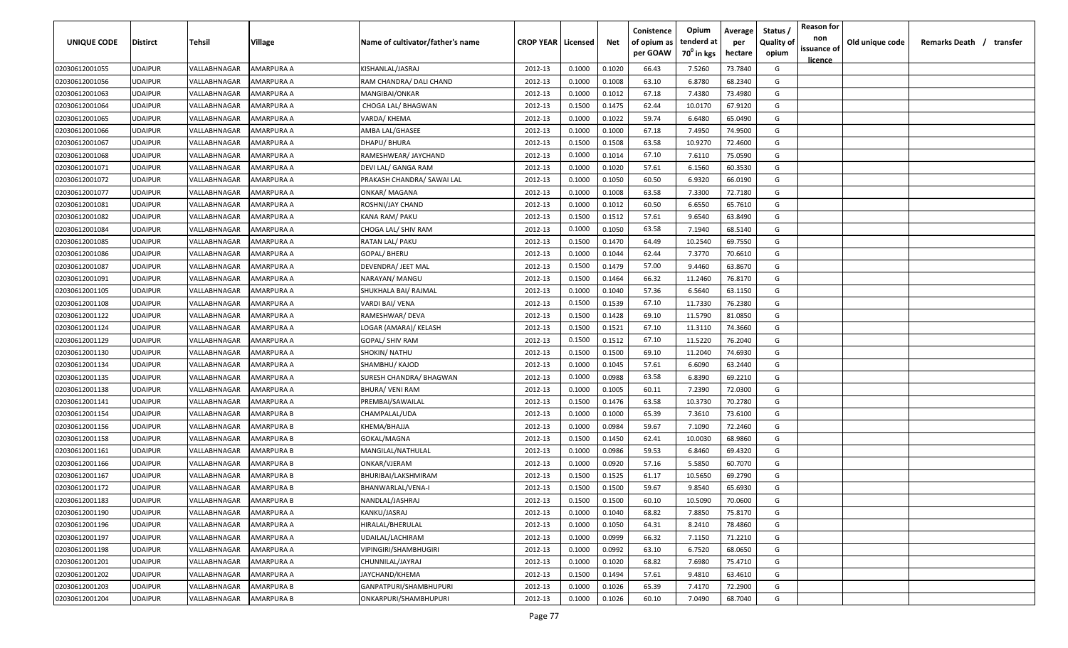| UNIQUE CODE    | <b>Distirct</b> | <b>Tehsil</b> | Village           | Name of cultivator/father's name | <b>CROP YEAR   Licensed</b> |        | Net    | Conistence<br>of opium as<br>per GOAW | Opium<br>tenderd at<br>70 <sup>0</sup> in kgs | Average<br>per<br>hectare | Status /<br><b>Quality of</b><br>opium | <b>Reason for</b><br>non<br>issuance of<br>licence | Old unique code | Remarks Death / | transfer |
|----------------|-----------------|---------------|-------------------|----------------------------------|-----------------------------|--------|--------|---------------------------------------|-----------------------------------------------|---------------------------|----------------------------------------|----------------------------------------------------|-----------------|-----------------|----------|
| 02030612001055 | <b>UDAIPUR</b>  | VALLABHNAGAR  | AMARPURA A        | KISHANLAL/JASRAJ                 | 2012-13                     | 0.1000 | 0.1020 | 66.43                                 | 7.5260                                        | 73.7840                   | G                                      |                                                    |                 |                 |          |
| 02030612001056 | <b>UDAIPUR</b>  | VALLABHNAGAR  | AMARPURA A        | RAM CHANDRA/ DALI CHAND          | 2012-13                     | 0.1000 | 0.1008 | 63.10                                 | 6.8780                                        | 68.2340                   | G                                      |                                                    |                 |                 |          |
| 02030612001063 | <b>UDAIPUR</b>  | VALLABHNAGAR  | AMARPURA A        | MANGIBAI/ONKAR                   | 2012-13                     | 0.1000 | 0.1012 | 67.18                                 | 7.4380                                        | 73.4980                   | G                                      |                                                    |                 |                 |          |
| 02030612001064 | <b>UDAIPUR</b>  | VALLABHNAGAR  | AMARPURA A        | CHOGA LAL/ BHAGWAN               | 2012-13                     | 0.1500 | 0.1475 | 62.44                                 | 10.0170                                       | 67.9120                   | G                                      |                                                    |                 |                 |          |
| 02030612001065 | <b>UDAIPUR</b>  | VALLABHNAGAR  | AMARPURA A        | VARDA/ KHEMA                     | 2012-13                     | 0.1000 | 0.1022 | 59.74                                 | 6.6480                                        | 65.0490                   | G                                      |                                                    |                 |                 |          |
| 02030612001066 | <b>UDAIPUR</b>  | VALLABHNAGAR  | AMARPURA A        | AMBA LAL/GHASEE                  | 2012-13                     | 0.1000 | 0.1000 | 67.18                                 | 7.4950                                        | 74.9500                   | G                                      |                                                    |                 |                 |          |
| 02030612001067 | <b>UDAIPUR</b>  | VALLABHNAGAR  | AMARPURA A        | DHAPU/ BHURA                     | 2012-13                     | 0.1500 | 0.1508 | 63.58                                 | 10.9270                                       | 72.4600                   | G                                      |                                                    |                 |                 |          |
| 02030612001068 | <b>UDAIPUR</b>  | VALLABHNAGAR  | AMARPURA A        | RAMESHWEAR/ JAYCHAND             | 2012-13                     | 0.1000 | 0.1014 | 67.10                                 | 7.6110                                        | 75.0590                   | G                                      |                                                    |                 |                 |          |
| 02030612001071 | <b>UDAIPUR</b>  | VALLABHNAGAR  | AMARPURA A        | DEVI LAL/ GANGA RAM              | 2012-13                     | 0.1000 | 0.1020 | 57.61                                 | 6.1560                                        | 60.3530                   | G                                      |                                                    |                 |                 |          |
| 02030612001072 | <b>UDAIPUR</b>  | VALLABHNAGAR  | AMARPURA A        | PRAKASH CHANDRA/ SAWAI LAL       | 2012-13                     | 0.1000 | 0.1050 | 60.50                                 | 6.9320                                        | 66.0190                   | G                                      |                                                    |                 |                 |          |
| 02030612001077 | <b>UDAIPUR</b>  | VALLABHNAGAR  | AMARPURA A        | ONKAR/ MAGANA                    | 2012-13                     | 0.1000 | 0.1008 | 63.58                                 | 7.3300                                        | 72.7180                   | G                                      |                                                    |                 |                 |          |
| 02030612001081 | UDAIPUR         | VALLABHNAGAR  | AMARPURA A        | ROSHNI/JAY CHAND                 | 2012-13                     | 0.1000 | 0.1012 | 60.50                                 | 6.6550                                        | 65.7610                   | G                                      |                                                    |                 |                 |          |
| 02030612001082 | <b>UDAIPUR</b>  | VALLABHNAGAR  | AMARPURA A        | KANA RAM/ PAKU                   | 2012-13                     | 0.1500 | 0.1512 | 57.61                                 | 9.6540                                        | 63.8490                   | G                                      |                                                    |                 |                 |          |
| 02030612001084 | <b>UDAIPUR</b>  | VALLABHNAGAR  | AMARPURA A        | CHOGA LAL/ SHIV RAM              | 2012-13                     | 0.1000 | 0.1050 | 63.58                                 | 7.1940                                        | 68.5140                   | G                                      |                                                    |                 |                 |          |
| 02030612001085 | <b>UDAIPUR</b>  | VALLABHNAGAR  | AMARPURA A        | RATAN LAL/ PAKU                  | 2012-13                     | 0.1500 | 0.1470 | 64.49                                 | 10.2540                                       | 69.7550                   | G                                      |                                                    |                 |                 |          |
| 02030612001086 | <b>UDAIPUR</b>  | VALLABHNAGAR  | AMARPURA A        | <b>GOPAL/BHERU</b>               | 2012-13                     | 0.1000 | 0.1044 | 62.44                                 | 7.3770                                        | 70.6610                   | G                                      |                                                    |                 |                 |          |
| 02030612001087 | <b>UDAIPUR</b>  | VALLABHNAGAR  | AMARPURA A        | DEVENDRA/ JEET MAL               | 2012-13                     | 0.1500 | 0.1479 | 57.00                                 | 9.4460                                        | 63.8670                   | G                                      |                                                    |                 |                 |          |
| 02030612001091 | <b>UDAIPUR</b>  | VALLABHNAGAR  | AMARPURA A        | NARAYAN/ MANGU                   | 2012-13                     | 0.1500 | 0.1464 | 66.32                                 | 11.2460                                       | 76.8170                   | G                                      |                                                    |                 |                 |          |
| 02030612001105 | <b>UDAIPUR</b>  | VALLABHNAGAR  | AMARPURA A        | SHUKHALA BAI/ RAJMAL             | 2012-13                     | 0.1000 | 0.1040 | 57.36                                 | 6.5640                                        | 63.1150                   | G                                      |                                                    |                 |                 |          |
| 02030612001108 | <b>UDAIPUR</b>  | VALLABHNAGAR  | AMARPURA A        | VARDI BAI/ VENA                  | 2012-13                     | 0.1500 | 0.1539 | 67.10                                 | 11.7330                                       | 76.2380                   | G                                      |                                                    |                 |                 |          |
| 02030612001122 | <b>UDAIPUR</b>  | VALLABHNAGAR  | AMARPURA A        | RAMESHWAR/ DEVA                  | 2012-13                     | 0.1500 | 0.1428 | 69.10                                 | 11.5790                                       | 81.0850                   | G                                      |                                                    |                 |                 |          |
| 02030612001124 | <b>UDAIPUR</b>  | VALLABHNAGAR  | AMARPURA A        | LOGAR (AMARA)/ KELASH            | 2012-13                     | 0.1500 | 0.1521 | 67.10                                 | 11.3110                                       | 74.3660                   | G                                      |                                                    |                 |                 |          |
| 02030612001129 | <b>UDAIPUR</b>  | VALLABHNAGAR  | AMARPURA A        | GOPAL/ SHIV RAM                  | 2012-13                     | 0.1500 | 0.1512 | 67.10                                 | 11.5220                                       | 76.2040                   | G                                      |                                                    |                 |                 |          |
| 02030612001130 | <b>UDAIPUR</b>  | VALLABHNAGAR  | AMARPURA A        | SHOKIN/ NATHU                    | 2012-13                     | 0.1500 | 0.1500 | 69.10                                 | 11.2040                                       | 74.6930                   | G                                      |                                                    |                 |                 |          |
| 02030612001134 | <b>UDAIPUR</b>  | VALLABHNAGAR  | AMARPURA A        | SHAMBHU/ KAJOD                   | 2012-13                     | 0.1000 | 0.1045 | 57.61                                 | 6.6090                                        | 63.2440                   | G                                      |                                                    |                 |                 |          |
| 02030612001135 | <b>UDAIPUR</b>  | VALLABHNAGAR  | AMARPURA A        | SURESH CHANDRA/ BHAGWAN          | 2012-13                     | 0.1000 | 0.0988 | 63.58                                 | 6.8390                                        | 69.2210                   | G                                      |                                                    |                 |                 |          |
| 02030612001138 | <b>UDAIPUR</b>  | VALLABHNAGAR  | AMARPURA A        | BHURA/ VENI RAM                  | 2012-13                     | 0.1000 | 0.1005 | 60.11                                 | 7.2390                                        | 72.0300                   | G                                      |                                                    |                 |                 |          |
| 02030612001141 | <b>UDAIPUR</b>  | VALLABHNAGAR  | AMARPURA A        | PREMBAI/SAWAILAL                 | 2012-13                     | 0.1500 | 0.1476 | 63.58                                 | 10.3730                                       | 70.2780                   | G                                      |                                                    |                 |                 |          |
| 02030612001154 | UDAIPUR         | VALLABHNAGAR  | AMARPURA B        | CHAMPALAL/UDA                    | 2012-13                     | 0.1000 | 0.1000 | 65.39                                 | 7.3610                                        | 73.6100                   | G                                      |                                                    |                 |                 |          |
| 02030612001156 | <b>UDAIPUR</b>  | VALLABHNAGAR  | AMARPURA B        | KHEMA/BHAJJA                     | 2012-13                     | 0.1000 | 0.0984 | 59.67                                 | 7.1090                                        | 72.2460                   | G                                      |                                                    |                 |                 |          |
| 02030612001158 | <b>UDAIPUR</b>  | VALLABHNAGAR  | AMARPURA B        | GOKAL/MAGNA                      | 2012-13                     | 0.1500 | 0.1450 | 62.41                                 | 10.0030                                       | 68.9860                   | G                                      |                                                    |                 |                 |          |
| 02030612001161 | <b>UDAIPUR</b>  | VALLABHNAGAR  | AMARPURA B        | MANGILAL/NATHULAL                | 2012-13                     | 0.1000 | 0.0986 | 59.53                                 | 6.8460                                        | 69.4320                   | G                                      |                                                    |                 |                 |          |
| 02030612001166 | <b>UDAIPUR</b>  | VALLABHNAGAR  | AMARPURA B        | ONKAR/VJERAM                     | 2012-13                     | 0.1000 | 0.0920 | 57.16                                 | 5.5850                                        | 60.7070                   | G                                      |                                                    |                 |                 |          |
| 02030612001167 | <b>UDAIPUR</b>  | VALLABHNAGAR  | AMARPURA B        | BHURIBAI/LAKSHMIRAM              | 2012-13                     | 0.1500 | 0.1525 | 61.17                                 | 10.5650                                       | 69.2790                   | G                                      |                                                    |                 |                 |          |
| 02030612001172 | <b>UDAIPUR</b>  | VALLABHNAGAR  | AMARPURA B        | BHANWARLAL/VENA-I                | 2012-13                     | 0.1500 | 0.1500 | 59.67                                 | 9.8540                                        | 65.6930                   | G                                      |                                                    |                 |                 |          |
| 02030612001183 | <b>UDAIPUR</b>  | VALLABHNAGAR  | <b>AMARPURA B</b> | NANDLAL/JASHRAJ                  | 2012-13                     | 0.1500 | 0.1500 | 60.10                                 | 10.5090                                       | 70.0600                   | G                                      |                                                    |                 |                 |          |
| 02030612001190 | <b>UDAIPUR</b>  | VALLABHNAGAR  | AMARPURA A        | KANKU/JASRAJ                     | 2012-13                     | 0.1000 | 0.1040 | 68.82                                 | 7.8850                                        | 75.8170                   | G                                      |                                                    |                 |                 |          |
| 02030612001196 | <b>UDAIPUR</b>  | VALLABHNAGAR  | AMARPURA A        | HIRALAL/BHERULAL                 | 2012-13                     | 0.1000 | 0.1050 | 64.31                                 | 8.2410                                        | 78.4860                   | G                                      |                                                    |                 |                 |          |
| 02030612001197 | <b>UDAIPUR</b>  | VALLABHNAGAR  | AMARPURA A        | UDAILAL/LACHIRAM                 | 2012-13                     | 0.1000 | 0.0999 | 66.32                                 | 7.1150                                        | 71.2210                   | G                                      |                                                    |                 |                 |          |
| 02030612001198 | <b>UDAIPUR</b>  | VALLABHNAGAR  | AMARPURA A        | VIPINGIRI/SHAMBHUGIRI            | 2012-13                     | 0.1000 | 0.0992 | 63.10                                 | 6.7520                                        | 68.0650                   | G                                      |                                                    |                 |                 |          |
| 02030612001201 | <b>UDAIPUR</b>  | VALLABHNAGAR  | AMARPURA A        | CHUNNILAL/JAYRAJ                 | 2012-13                     | 0.1000 | 0.1020 | 68.82                                 | 7.6980                                        | 75.4710                   | G                                      |                                                    |                 |                 |          |
| 02030612001202 | <b>UDAIPUR</b>  | VALLABHNAGAR  | AMARPURA A        | JAYCHAND/KHEMA                   | 2012-13                     | 0.1500 | 0.1494 | 57.61                                 | 9.4810                                        | 63.4610                   | G                                      |                                                    |                 |                 |          |
| 02030612001203 | <b>UDAIPUR</b>  | VALLABHNAGAR  | AMARPURA B        | GANPATPURI/SHAMBHUPURI           | 2012-13                     | 0.1000 | 0.1026 | 65.39                                 | 7.4170                                        | 72.2900                   | G                                      |                                                    |                 |                 |          |
| 02030612001204 | <b>UDAIPUR</b>  | VALLABHNAGAR  | <b>AMARPURA B</b> | ONKARPURI/SHAMBHUPURI            | 2012-13                     | 0.1000 | 0.1026 | 60.10                                 | 7.0490                                        | 68.7040                   | G                                      |                                                    |                 |                 |          |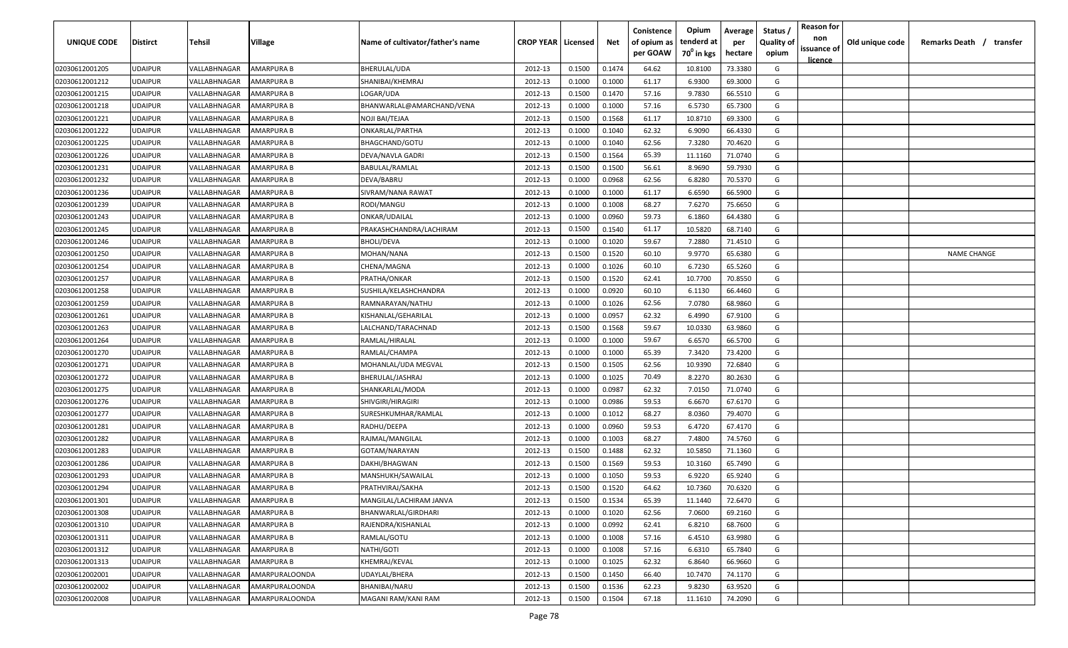| UNIQUE CODE    | <b>Distirct</b> | Tehsil       | Village               | Name of cultivator/father's name | <b>CROP YEAR Licensed</b> |        | Net    | Conistence<br>of opium as<br>per GOAW | Opium<br>tenderd at<br>70 <sup>0</sup> in kgs | Average<br>per<br>hectare | Status /<br><b>Quality of</b><br>opium | <b>Reason for</b><br>non<br>issuance of<br><u>licence</u> | Old unique code | Remarks Death /<br>transfer |
|----------------|-----------------|--------------|-----------------------|----------------------------------|---------------------------|--------|--------|---------------------------------------|-----------------------------------------------|---------------------------|----------------------------------------|-----------------------------------------------------------|-----------------|-----------------------------|
| 02030612001205 | <b>JDAIPUR</b>  | VALLABHNAGAR | AMARPURA B            | BHERULAL/UDA                     | 2012-13                   | 0.1500 | 0.1474 | 64.62                                 | 10.8100                                       | 73.3380                   | G                                      |                                                           |                 |                             |
| 02030612001212 | <b>JDAIPUR</b>  | VALLABHNAGAR | <b>AMARPURA B</b>     | SHANIBAI/KHEMRAJ                 | 2012-13                   | 0.1000 | 0.1000 | 61.17                                 | 6.9300                                        | 69.3000                   | G                                      |                                                           |                 |                             |
| 02030612001215 | <b>JDAIPUR</b>  | VALLABHNAGAR | AMARPURA B            | LOGAR/UDA                        | 2012-13                   | 0.1500 | 0.1470 | 57.16                                 | 9.7830                                        | 66.5510                   | G                                      |                                                           |                 |                             |
| 02030612001218 | <b>JDAIPUR</b>  | VALLABHNAGAR | <b>AMARPURA B</b>     | BHANWARLAL@AMARCHAND/VENA        | 2012-13                   | 0.1000 | 0.1000 | 57.16                                 | 6.5730                                        | 65.7300                   | G                                      |                                                           |                 |                             |
| 02030612001221 | <b>JDAIPUR</b>  | VALLABHNAGAR | AMARPURA B            | NOJI BAI/TEJAA                   | 2012-13                   | 0.1500 | 0.1568 | 61.17                                 | 10.8710                                       | 69.3300                   | G                                      |                                                           |                 |                             |
| 02030612001222 | <b>JDAIPUR</b>  | VALLABHNAGAR | <b>AMARPURA B</b>     | ONKARLAL/PARTHA                  | 2012-13                   | 0.1000 | 0.1040 | 62.32                                 | 6.9090                                        | 66.4330                   | G                                      |                                                           |                 |                             |
| 02030612001225 | <b>JDAIPUR</b>  | VALLABHNAGAR | AMARPURA B            | BHAGCHAND/GOTU                   | 2012-13                   | 0.1000 | 0.1040 | 62.56                                 | 7.3280                                        | 70.4620                   | G                                      |                                                           |                 |                             |
| 02030612001226 | <b>JDAIPUR</b>  | VALLABHNAGAR | AMARPURA B            | DEVA/NAVLA GADRI                 | 2012-13                   | 0.1500 | 0.1564 | 65.39                                 | 11.1160                                       | 71.0740                   | G                                      |                                                           |                 |                             |
| 02030612001231 | <b>JDAIPUR</b>  | VALLABHNAGAR | AMARPURA B            | BABULAL/RAMLAL                   | 2012-13                   | 0.1500 | 0.1500 | 56.61                                 | 8.9690                                        | 59.7930                   | G                                      |                                                           |                 |                             |
| 02030612001232 | <b>JDAIPUR</b>  | VALLABHNAGAR | AMARPURA B            | DEVA/BABRU                       | 2012-13                   | 0.1000 | 0.0968 | 62.56                                 | 6.8280                                        | 70.5370                   | G                                      |                                                           |                 |                             |
| 02030612001236 | UDAIPUR         | VALLABHNAGAR | AMARPURA B            | SIVRAM/NANA RAWAT                | 2012-13                   | 0.1000 | 0.1000 | 61.17                                 | 6.6590                                        | 66.5900                   | G                                      |                                                           |                 |                             |
| 02030612001239 | JDAIPUR         | VALLABHNAGAR | AMARPURA B            | RODI/MANGU                       | 2012-13                   | 0.1000 | 0.1008 | 68.27                                 | 7.6270                                        | 75.6650                   | G                                      |                                                           |                 |                             |
| 02030612001243 | <b>JDAIPUR</b>  | VALLABHNAGAR | AMARPURA B            | ONKAR/UDAILAL                    | 2012-13                   | 0.1000 | 0.0960 | 59.73                                 | 6.1860                                        | 64.4380                   | G                                      |                                                           |                 |                             |
| 02030612001245 | <b>JDAIPUR</b>  | VALLABHNAGAR | AMARPURA B            | PRAKASHCHANDRA/LACHIRAM          | 2012-13                   | 0.1500 | 0.1540 | 61.17                                 | 10.5820                                       | 68.7140                   | G                                      |                                                           |                 |                             |
| 02030612001246 | <b>JDAIPUR</b>  | VALLABHNAGAR | AMARPURA B            | <b>BHOLI/DEVA</b>                | 2012-13                   | 0.1000 | 0.1020 | 59.67                                 | 7.2880                                        | 71.4510                   | G                                      |                                                           |                 |                             |
| 02030612001250 | UDAIPUR         | VALLABHNAGAR | AMARPURA B            | MOHAN/NANA                       | 2012-13                   | 0.1500 | 0.1520 | 60.10                                 | 9.9770                                        | 65.6380                   | G                                      |                                                           |                 | <b>NAME CHANGE</b>          |
| 02030612001254 | <b>JDAIPUR</b>  | VALLABHNAGAR | AMARPURA B            | CHENA/MAGNA                      | 2012-13                   | 0.1000 | 0.1026 | 60.10                                 | 6.7230                                        | 65.5260                   | G                                      |                                                           |                 |                             |
| 02030612001257 | <b>JDAIPUR</b>  | VALLABHNAGAR | AMARPURA B            | PRATHA/ONKAR                     | 2012-13                   | 0.1500 | 0.1520 | 62.41                                 | 10.7700                                       | 70.8550                   | G                                      |                                                           |                 |                             |
| 02030612001258 | <b>JDAIPUR</b>  | VALLABHNAGAR | <b>AMARPURA B</b>     | SUSHILA/KELASHCHANDRA            | 2012-13                   | 0.1000 | 0.0920 | 60.10                                 | 6.1130                                        | 66.4460                   | G                                      |                                                           |                 |                             |
| 02030612001259 | UDAIPUR         | VALLABHNAGAR | AMARPURA B            | RAMNARAYAN/NATHU                 | 2012-13                   | 0.1000 | 0.1026 | 62.56                                 | 7.0780                                        | 68.9860                   | G                                      |                                                           |                 |                             |
| 02030612001261 | <b>JDAIPUR</b>  | VALLABHNAGAR | <b>AMARPURA B</b>     | KISHANLAL/GEHARILAL              | 2012-13                   | 0.1000 | 0.0957 | 62.32                                 | 6.4990                                        | 67.9100                   | G                                      |                                                           |                 |                             |
| 02030612001263 | <b>JDAIPUR</b>  | VALLABHNAGAR | AMARPURA B            | LALCHAND/TARACHNAD               | 2012-13                   | 0.1500 | 0.1568 | 59.67                                 | 10.0330                                       | 63.9860                   | G                                      |                                                           |                 |                             |
| 02030612001264 | <b>JDAIPUR</b>  | VALLABHNAGAR | AMARPURA B            | RAMLAL/HIRALAL                   | 2012-13                   | 0.1000 | 0.1000 | 59.67                                 | 6.6570                                        | 66.5700                   | G                                      |                                                           |                 |                             |
| 02030612001270 | <b>JDAIPUR</b>  | VALLABHNAGAR | AMARPURA B            | RAMLAL/CHAMPA                    | 2012-13                   | 0.1000 | 0.1000 | 65.39                                 | 7.3420                                        | 73.4200                   | G                                      |                                                           |                 |                             |
| 02030612001271 | <b>JDAIPUR</b>  | VALLABHNAGAR | AMARPURA B            | MOHANLAL/UDA MEGVAL              | 2012-13                   | 0.1500 | 0.1505 | 62.56                                 | 10.9390                                       | 72.6840                   | G                                      |                                                           |                 |                             |
| 02030612001272 | <b>JDAIPUR</b>  | VALLABHNAGAR | AMARPURA B            | BHERULAL/JASHRAJ                 | 2012-13                   | 0.1000 | 0.1025 | 70.49                                 | 8.2270                                        | 80.2630                   | G                                      |                                                           |                 |                             |
| 02030612001275 | <b>JDAIPUR</b>  | VALLABHNAGAR | AMARPURA B            | SHANKARLAL/MODA                  | 2012-13                   | 0.1000 | 0.0987 | 62.32                                 | 7.0150                                        | 71.0740                   | G                                      |                                                           |                 |                             |
| 02030612001276 | UDAIPUR         | VALLABHNAGAR | AMARPURA B            | SHIVGIRI/HIRAGIRI                | 2012-13                   | 0.1000 | 0.0986 | 59.53                                 | 6.6670                                        | 67.6170                   | G                                      |                                                           |                 |                             |
| 02030612001277 | JDAIPUR         | VALLABHNAGAR | AMARPURA B            | SURESHKUMHAR/RAMLAL              | 2012-13                   | 0.1000 | 0.1012 | 68.27                                 | 8.0360                                        | 79.4070                   | G                                      |                                                           |                 |                             |
| 02030612001281 | <b>JDAIPUR</b>  | VALLABHNAGAR | AMARPURA B            | RADHU/DEEPA                      | 2012-13                   | 0.1000 | 0.0960 | 59.53                                 | 6.4720                                        | 67.4170                   | G                                      |                                                           |                 |                             |
| 02030612001282 | <b>JDAIPUR</b>  | VALLABHNAGAR | AMARPURA B            | RAJMAL/MANGILAL                  | 2012-13                   | 0.1000 | 0.1003 | 68.27                                 | 7.4800                                        | 74.5760                   | G                                      |                                                           |                 |                             |
| 02030612001283 | <b>JDAIPUR</b>  | VALLABHNAGAR | AMARPURA B            | GOTAM/NARAYAN                    | 2012-13                   | 0.1500 | 0.1488 | 62.32                                 | 10.5850                                       | 71.1360                   | G                                      |                                                           |                 |                             |
| 02030612001286 | <b>JDAIPUR</b>  | VALLABHNAGAR | AMARPURA B            | DAKHI/BHAGWAN                    | 2012-13                   | 0.1500 | 0.1569 | 59.53                                 | 10.3160                                       | 65.7490                   | G                                      |                                                           |                 |                             |
| 02030612001293 | <b>JDAIPUR</b>  | VALLABHNAGAR | AMARPURA B            | MANSHUKH/SAWAILAL                | 2012-13                   | 0.1000 | 0.1050 | 59.53                                 | 6.9220                                        | 65.9240                   | G                                      |                                                           |                 |                             |
| 02030612001294 | <b>JDAIPUR</b>  | VALLABHNAGAR | AMARPURA B            | PRATHVIRAJ/SAKHA                 | 2012-13                   | 0.1500 | 0.1520 | 64.62                                 | 10.7360                                       | 70.6320                   | G                                      |                                                           |                 |                             |
| 02030612001301 | UDAIPUR         | VALLABHNAGAR | <b>AMARPURA B</b>     | MANGILAL/LACHIRAM JANVA          | 2012-13                   | 0.1500 | 0.1534 | 65.39                                 | 11.1440                                       | 72.6470                   | G                                      |                                                           |                 |                             |
| 02030612001308 | UDAIPUR         | VALLABHNAGAR | AMARPURA B            | BHANWARLAL/GIRDHARI              | 2012-13                   | 0.1000 | 0.1020 | 62.56                                 | 7.0600                                        | 69.2160                   | G                                      |                                                           |                 |                             |
| 02030612001310 | <b>JDAIPUR</b>  | VALLABHNAGAR | AMARPURA B            | RAJENDRA/KISHANLAL               | 2012-13                   | 0.1000 | 0.0992 | 62.41                                 | 6.8210                                        | 68.7600                   | G                                      |                                                           |                 |                             |
| 02030612001311 | <b>UDAIPUR</b>  | VALLABHNAGAR | AMARPURA B            | RAMLAL/GOTU                      | 2012-13                   | 0.1000 | 0.1008 | 57.16                                 | 6.4510                                        | 63.9980                   | G                                      |                                                           |                 |                             |
| 02030612001312 | <b>UDAIPUR</b>  | VALLABHNAGAR | AMARPURA B            | NATHI/GOTI                       | 2012-13                   | 0.1000 | 0.1008 | 57.16                                 | 6.6310                                        | 65.7840                   | G                                      |                                                           |                 |                             |
| 02030612001313 | <b>JDAIPUR</b>  | VALLABHNAGAR | AMARPURA B            | KHEMRAJ/KEVAL                    | 2012-13                   | 0.1000 | 0.1025 | 62.32                                 | 6.8640                                        | 66.9660                   | G                                      |                                                           |                 |                             |
| 02030612002001 | <b>JDAIPUR</b>  | VALLABHNAGAR | <b>AMARPURALOONDA</b> | UDAYLAL/BHERA                    | 2012-13                   | 0.1500 | 0.1450 | 66.40                                 | 10.7470                                       | 74.1170                   | G                                      |                                                           |                 |                             |
| 02030612002002 | <b>JDAIPUR</b>  | VALLABHNAGAR | <b>AMARPURALOONDA</b> | BHANIBAI/NARU                    | 2012-13                   | 0.1500 | 0.1536 | 62.23                                 | 9.8230                                        | 63.9520                   | G                                      |                                                           |                 |                             |
| 02030612002008 | UDAIPUR         | VALLABHNAGAR | <b>AMARPURALOONDA</b> | MAGANI RAM/KANI RAM              | 2012-13                   | 0.1500 | 0.1504 | 67.18                                 | 11.1610                                       | 74.2090                   | G                                      |                                                           |                 |                             |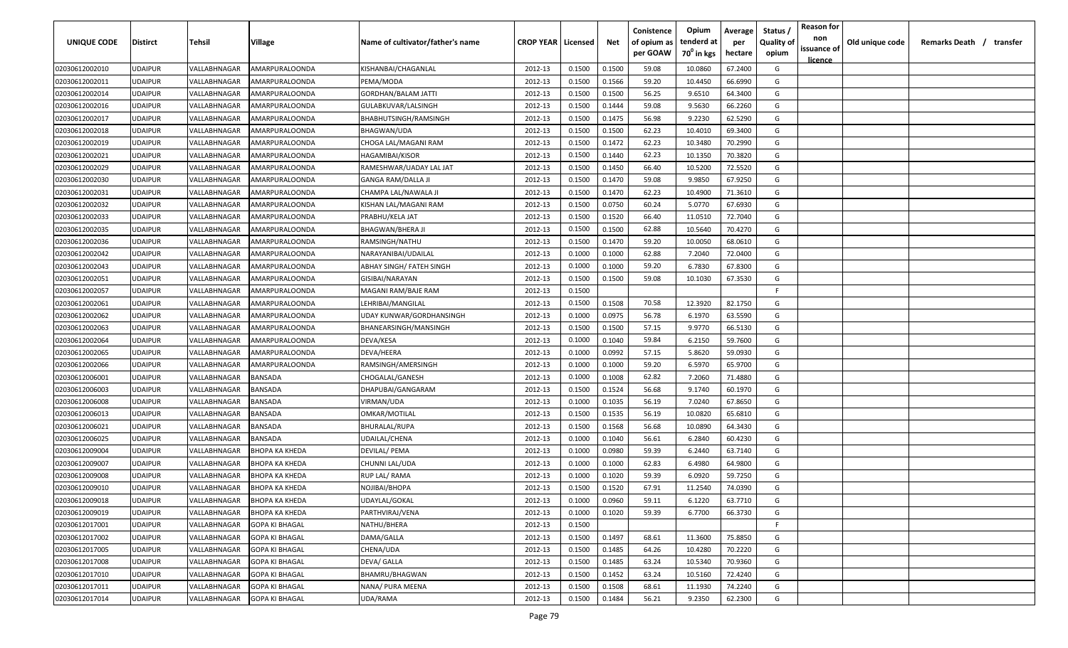| UNIQUE CODE    | <b>Distirct</b> | <b>Tehsil</b> | Village               | Name of cultivator/father's name | <b>CROP YEAR   Licensed</b> |        | Net    | Conistence<br>of opium as<br>per GOAW | Opium<br>tenderd at<br>70 <sup>0</sup> in kgs | Average<br>per<br>hectare | Status /<br><b>Quality of</b><br>opium | <b>Reason for</b><br>non<br>issuance of<br>licence | Old unique code | Remarks Death / transfer |  |
|----------------|-----------------|---------------|-----------------------|----------------------------------|-----------------------------|--------|--------|---------------------------------------|-----------------------------------------------|---------------------------|----------------------------------------|----------------------------------------------------|-----------------|--------------------------|--|
| 02030612002010 | <b>UDAIPUR</b>  | VALLABHNAGAR  | AMARPURALOONDA        | KISHANBAI/CHAGANLAL              | 2012-13                     | 0.1500 | 0.1500 | 59.08                                 | 10.0860                                       | 67.2400                   | G                                      |                                                    |                 |                          |  |
| 02030612002011 | <b>UDAIPUR</b>  | VALLABHNAGAR  | AMARPURALOONDA        | PEMA/MODA                        | 2012-13                     | 0.1500 | 0.1566 | 59.20                                 | 10.4450                                       | 66.6990                   | G                                      |                                                    |                 |                          |  |
| 02030612002014 | <b>UDAIPUR</b>  | VALLABHNAGAR  | AMARPURALOONDA        | <b>GORDHAN/BALAM JATTI</b>       | 2012-13                     | 0.1500 | 0.1500 | 56.25                                 | 9.6510                                        | 64.3400                   | G                                      |                                                    |                 |                          |  |
| 02030612002016 | <b>UDAIPUR</b>  | VALLABHNAGAR  | AMARPURALOONDA        | GULABKUVAR/LALSINGH              | 2012-13                     | 0.1500 | 0.1444 | 59.08                                 | 9.5630                                        | 66.2260                   | G                                      |                                                    |                 |                          |  |
| 02030612002017 | <b>UDAIPUR</b>  | VALLABHNAGAR  | AMARPURALOONDA        | BHABHUTSINGH/RAMSINGH            | 2012-13                     | 0.1500 | 0.1475 | 56.98                                 | 9.2230                                        | 62.5290                   | G                                      |                                                    |                 |                          |  |
| 02030612002018 | <b>UDAIPUR</b>  | VALLABHNAGAR  | AMARPURALOONDA        | BHAGWAN/UDA                      | 2012-13                     | 0.1500 | 0.1500 | 62.23                                 | 10.4010                                       | 69.3400                   | G                                      |                                                    |                 |                          |  |
| 02030612002019 | <b>UDAIPUR</b>  | VALLABHNAGAR  | AMARPURALOONDA        | CHOGA LAL/MAGANI RAM             | 2012-13                     | 0.1500 | 0.1472 | 62.23                                 | 10.3480                                       | 70.2990                   | G                                      |                                                    |                 |                          |  |
| 02030612002021 | <b>UDAIPUR</b>  | VALLABHNAGAR  | AMARPURALOONDA        | HAGAMIBAI/KISOR                  | 2012-13                     | 0.1500 | 0.1440 | 62.23                                 | 10.1350                                       | 70.3820                   | G                                      |                                                    |                 |                          |  |
| 02030612002029 | <b>UDAIPUR</b>  | VALLABHNAGAR  | AMARPURALOONDA        | RAMESHWAR/UADAY LAL JAT          | 2012-13                     | 0.1500 | 0.1450 | 66.40                                 | 10.5200                                       | 72.5520                   | G                                      |                                                    |                 |                          |  |
| 02030612002030 | <b>UDAIPUR</b>  | VALLABHNAGAR  | AMARPURALOONDA        | GANGA RAM/DALLA JI               | 2012-13                     | 0.1500 | 0.1470 | 59.08                                 | 9.9850                                        | 67.9250                   | G                                      |                                                    |                 |                          |  |
| 02030612002031 | <b>UDAIPUR</b>  | VALLABHNAGAR  | AMARPURALOONDA        | CHAMPA LAL/NAWALA JI             | 2012-13                     | 0.1500 | 0.1470 | 62.23                                 | 10.4900                                       | 71.3610                   | G                                      |                                                    |                 |                          |  |
| 02030612002032 | UDAIPUR         | VALLABHNAGAR  | AMARPURALOONDA        | KISHAN LAL/MAGANI RAM            | 2012-13                     | 0.1500 | 0.0750 | 60.24                                 | 5.0770                                        | 67.6930                   | G                                      |                                                    |                 |                          |  |
| 02030612002033 | <b>UDAIPUR</b>  | VALLABHNAGAR  | AMARPURALOONDA        | PRABHU/KELA JAT                  | 2012-13                     | 0.1500 | 0.1520 | 66.40                                 | 11.0510                                       | 72.7040                   | G                                      |                                                    |                 |                          |  |
| 02030612002035 | UDAIPUR         | VALLABHNAGAR  | AMARPURALOONDA        | <b>BHAGWAN/BHERA JI</b>          | 2012-13                     | 0.1500 | 0.1500 | 62.88                                 | 10.5640                                       | 70.4270                   | G                                      |                                                    |                 |                          |  |
| 02030612002036 | <b>UDAIPUR</b>  | VALLABHNAGAR  | AMARPURALOONDA        | RAMSINGH/NATHU                   | 2012-13                     | 0.1500 | 0.1470 | 59.20                                 | 10.0050                                       | 68.0610                   | G                                      |                                                    |                 |                          |  |
| 02030612002042 | UDAIPUR         | VALLABHNAGAR  | AMARPURALOONDA        | NARAYANIBAI/UDAILAL              | 2012-13                     | 0.1000 | 0.1000 | 62.88                                 | 7.2040                                        | 72.0400                   | G                                      |                                                    |                 |                          |  |
| 02030612002043 | <b>UDAIPUR</b>  | VALLABHNAGAR  | AMARPURALOONDA        | ABHAY SINGH/ FATEH SINGH         | 2012-13                     | 0.1000 | 0.1000 | 59.20                                 | 6.7830                                        | 67.8300                   | G                                      |                                                    |                 |                          |  |
| 02030612002051 | <b>UDAIPUR</b>  | VALLABHNAGAR  | AMARPURALOONDA        | GISIBAI/NARAYAN                  | 2012-13                     | 0.1500 | 0.1500 | 59.08                                 | 10.1030                                       | 67.3530                   | G                                      |                                                    |                 |                          |  |
| 02030612002057 | <b>UDAIPUR</b>  | VALLABHNAGAR  | AMARPURALOONDA        | MAGANI RAM/BAJE RAM              | 2012-13                     | 0.1500 |        |                                       |                                               |                           | F.                                     |                                                    |                 |                          |  |
| 02030612002061 | <b>UDAIPUR</b>  | VALLABHNAGAR  | AMARPURALOONDA        | LEHRIBAI/MANGILAL                | 2012-13                     | 0.1500 | 0.1508 | 70.58                                 | 12.3920                                       | 82.1750                   | G                                      |                                                    |                 |                          |  |
| 02030612002062 | <b>UDAIPUR</b>  | VALLABHNAGAR  | AMARPURALOONDA        | UDAY KUNWAR/GORDHANSINGH         | 2012-13                     | 0.1000 | 0.0975 | 56.78                                 | 6.1970                                        | 63.5590                   | G                                      |                                                    |                 |                          |  |
| 02030612002063 | <b>UDAIPUR</b>  | VALLABHNAGAR  | AMARPURALOONDA        | BHANEARSINGH/MANSINGH            | 2012-13                     | 0.1500 | 0.1500 | 57.15                                 | 9.9770                                        | 66.5130                   | G                                      |                                                    |                 |                          |  |
| 02030612002064 | <b>UDAIPUR</b>  | VALLABHNAGAR  | AMARPURALOONDA        | DEVA/KESA                        | 2012-13                     | 0.1000 | 0.1040 | 59.84                                 | 6.2150                                        | 59.7600                   | G                                      |                                                    |                 |                          |  |
| 02030612002065 | <b>UDAIPUR</b>  | VALLABHNAGAR  | AMARPURALOONDA        | DEVA/HEERA                       | 2012-13                     | 0.1000 | 0.0992 | 57.15                                 | 5.8620                                        | 59.0930                   | G                                      |                                                    |                 |                          |  |
| 02030612002066 | <b>UDAIPUR</b>  | VALLABHNAGAR  | AMARPURALOONDA        | RAMSINGH/AMERSINGH               | 2012-13                     | 0.1000 | 0.1000 | 59.20                                 | 6.5970                                        | 65.9700                   | G                                      |                                                    |                 |                          |  |
| 02030612006001 | <b>UDAIPUR</b>  | VALLABHNAGAR  | BANSADA               | CHOGALAL/GANESH                  | 2012-13                     | 0.1000 | 0.1008 | 62.82                                 | 7.2060                                        | 71.4880                   | G                                      |                                                    |                 |                          |  |
| 02030612006003 | <b>UDAIPUR</b>  | VALLABHNAGAR  | BANSADA               | DHAPUBAI/GANGARAM                | 2012-13                     | 0.1500 | 0.1524 | 56.68                                 | 9.1740                                        | 60.1970                   | G                                      |                                                    |                 |                          |  |
| 02030612006008 | <b>UDAIPUR</b>  | VALLABHNAGAR  | BANSADA               | VIRMAN/UDA                       | 2012-13                     | 0.1000 | 0.1035 | 56.19                                 | 7.0240                                        | 67.8650                   | G                                      |                                                    |                 |                          |  |
| 02030612006013 | <b>UDAIPUR</b>  | VALLABHNAGAR  | BANSADA               | OMKAR/MOTILAL                    | 2012-13                     | 0.1500 | 0.1535 | 56.19                                 | 10.0820                                       | 65.6810                   | G                                      |                                                    |                 |                          |  |
| 02030612006021 | <b>UDAIPUR</b>  | VALLABHNAGAR  | BANSADA               | BHURALAL/RUPA                    | 2012-13                     | 0.1500 | 0.1568 | 56.68                                 | 10.0890                                       | 64.3430                   | G                                      |                                                    |                 |                          |  |
| 02030612006025 | <b>UDAIPUR</b>  | VALLABHNAGAR  | BANSADA               | UDAILAL/CHENA                    | 2012-13                     | 0.1000 | 0.1040 | 56.61                                 | 6.2840                                        | 60.4230                   | G                                      |                                                    |                 |                          |  |
| 02030612009004 | <b>UDAIPUR</b>  | VALLABHNAGAR  | ВНОРА КА КНЕDА        | DEVILAL/ PEMA                    | 2012-13                     | 0.1000 | 0.0980 | 59.39                                 | 6.2440                                        | 63.7140                   | G                                      |                                                    |                 |                          |  |
| 02030612009007 | <b>UDAIPUR</b>  | VALLABHNAGAR  | ВНОРА КА КНЕДА        | CHUNNI LAL/UDA                   | 2012-13                     | 0.1000 | 0.1000 | 62.83                                 | 6.4980                                        | 64.9800                   | G                                      |                                                    |                 |                          |  |
| 02030612009008 | <b>UDAIPUR</b>  | VALLABHNAGAR  | ВНОРА КА КНЕДА        | RUP LAL/ RAMA                    | 2012-13                     | 0.1000 | 0.1020 | 59.39                                 | 6.0920                                        | 59.7250                   | G                                      |                                                    |                 |                          |  |
| 02030612009010 | <b>UDAIPUR</b>  | VALLABHNAGAR  | <b>BHOPA KA KHEDA</b> | NOJIBAI/BHOPA                    | 2012-13                     | 0.1500 | 0.1520 | 67.91                                 | 11.2540                                       | 74.0390                   | G                                      |                                                    |                 |                          |  |
| 02030612009018 | <b>UDAIPUR</b>  | VALLABHNAGAR  | <b>BHOPA KA KHEDA</b> | UDAYLAL/GOKAL                    | 2012-13                     | 0.1000 | 0.0960 | 59.11                                 | 6.1220                                        | 63.7710                   | G                                      |                                                    |                 |                          |  |
| 02030612009019 | <b>UDAIPUR</b>  | VALLABHNAGAR  | ВНОРА КА КНЕДА        | PARTHVIRAJ/VENA                  | 2012-13                     | 0.1000 | 0.1020 | 59.39                                 | 6.7700                                        | 66.3730                   | G                                      |                                                    |                 |                          |  |
| 02030612017001 | <b>UDAIPUR</b>  | VALLABHNAGAR  | <b>GOPA KI BHAGAL</b> | NATHU/BHERA                      | 2012-13                     | 0.1500 |        |                                       |                                               |                           | F.                                     |                                                    |                 |                          |  |
| 02030612017002 | <b>UDAIPUR</b>  | VALLABHNAGAR  | <b>GOPA KI BHAGAL</b> | DAMA/GALLA                       | 2012-13                     | 0.1500 | 0.1497 | 68.61                                 | 11.3600                                       | 75.8850                   | G                                      |                                                    |                 |                          |  |
| 02030612017005 | <b>UDAIPUR</b>  | VALLABHNAGAR  | <b>GOPA KI BHAGAL</b> | CHENA/UDA                        | 2012-13                     | 0.1500 | 0.1485 | 64.26                                 | 10.4280                                       | 70.2220                   | G                                      |                                                    |                 |                          |  |
| 02030612017008 | <b>UDAIPUR</b>  | VALLABHNAGAR  | <b>GOPA KI BHAGAL</b> | DEVA/ GALLA                      | 2012-13                     | 0.1500 | 0.1485 | 63.24                                 | 10.5340                                       | 70.9360                   | G                                      |                                                    |                 |                          |  |
| 02030612017010 | <b>UDAIPUR</b>  | VALLABHNAGAR  | <b>GOPA KI BHAGAL</b> | BHAMRU/BHAGWAN                   | 2012-13                     | 0.1500 | 0.1452 | 63.24                                 | 10.5160                                       | 72.4240                   | G                                      |                                                    |                 |                          |  |
| 02030612017011 | <b>UDAIPUR</b>  | VALLABHNAGAR  | <b>GOPA KI BHAGAL</b> | NANA/ PURA MEENA                 | 2012-13                     | 0.1500 | 0.1508 | 68.61                                 | 11.1930                                       | 74.2240                   | G                                      |                                                    |                 |                          |  |
| 02030612017014 | <b>UDAIPUR</b>  | VALLABHNAGAR  | <b>GOPA KI BHAGAL</b> | UDA/RAMA                         | 2012-13                     | 0.1500 | 0.1484 | 56.21                                 | 9.2350                                        | 62.2300                   | G                                      |                                                    |                 |                          |  |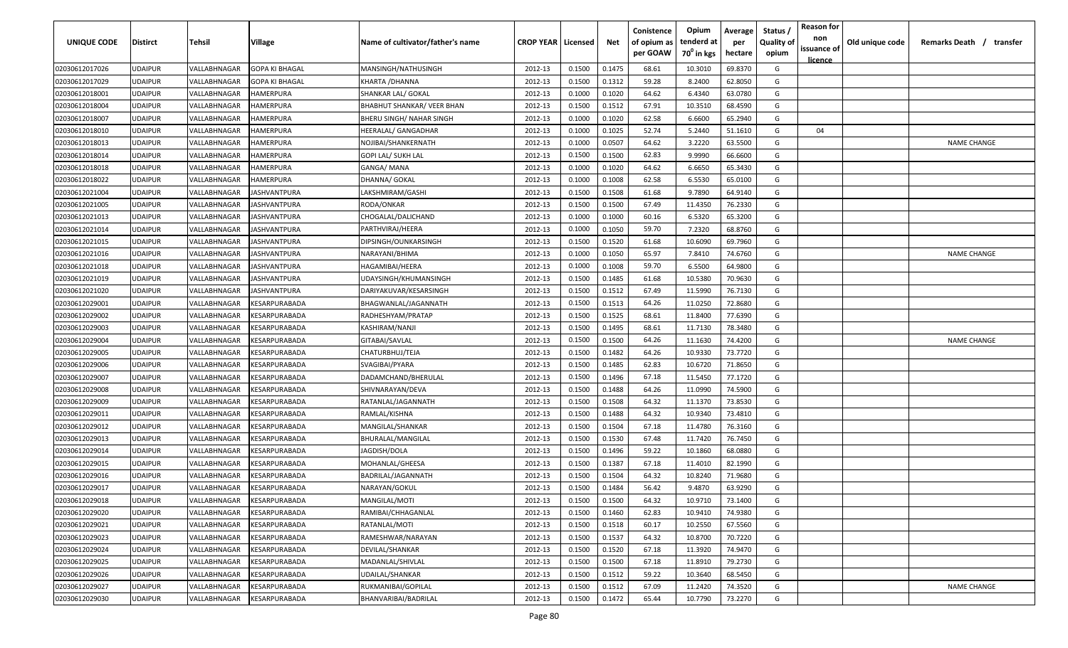| UNIQUE CODE    | <b>Distirct</b> | Tehsil       | Village                                     | Name of cultivator/father's name  | <b>CROP YEAR   Licensed</b> |        | Net    | Conistence<br>of opium as<br>per GOAW | Opium<br>tenderd at<br>70 <sup>0</sup> in kgs | Average<br>per<br>hectare | Status<br><b>Quality of</b><br>opium | <b>Reason for</b><br>non<br>issuance of<br><u>licence</u> | Old unique code | Remarks Death / transfer |
|----------------|-----------------|--------------|---------------------------------------------|-----------------------------------|-----------------------------|--------|--------|---------------------------------------|-----------------------------------------------|---------------------------|--------------------------------------|-----------------------------------------------------------|-----------------|--------------------------|
| 02030612017026 | <b>UDAIPUR</b>  | VALLABHNAGAR | <b>GOPA KI BHAGAL</b>                       | MANSINGH/NATHUSINGH               | 2012-13                     | 0.1500 | 0.1475 | 68.61                                 | 10.3010                                       | 69.8370                   | G                                    |                                                           |                 |                          |
| 02030612017029 | <b>UDAIPUR</b>  | VALLABHNAGAR | <b>GOPA KI BHAGAL</b>                       | KHARTA / DHANNA                   | 2012-13                     | 0.1500 | 0.1312 | 59.28                                 | 8.2400                                        | 62.8050                   | G                                    |                                                           |                 |                          |
| 02030612018001 | <b>UDAIPUR</b>  | VALLABHNAGAR | HAMERPURA                                   | SHANKAR LAL/ GOKAL                | 2012-13                     | 0.1000 | 0.1020 | 64.62                                 | 6.4340                                        | 63.0780                   | G                                    |                                                           |                 |                          |
| 02030612018004 | <b>UDAIPUR</b>  | VALLABHNAGAR | HAMERPURA                                   | <b>BHABHUT SHANKAR/ VEER BHAN</b> | 2012-13                     | 0.1500 | 0.1512 | 67.91                                 | 10.3510                                       | 68.4590                   | G                                    |                                                           |                 |                          |
| 02030612018007 | <b>UDAIPUR</b>  | VALLABHNAGAR | HAMERPURA                                   | BHERU SINGH/ NAHAR SINGH          | 2012-13                     | 0.1000 | 0.1020 | 62.58                                 | 6.6600                                        | 65.2940                   | G                                    |                                                           |                 |                          |
| 02030612018010 | <b>UDAIPUR</b>  | VALLABHNAGAR | HAMERPURA                                   | HEERALAL/ GANGADHAR               | 2012-13                     | 0.1000 | 0.1025 | 52.74                                 | 5.2440                                        | 51.1610                   | G                                    | 04                                                        |                 |                          |
| 02030612018013 | <b>UDAIPUR</b>  | VALLABHNAGAR | HAMERPURA                                   | NOJIBAI/SHANKERNATH               | 2012-13                     | 0.1000 | 0.0507 | 64.62                                 | 3.2220                                        | 63.5500                   | G                                    |                                                           |                 | <b>NAME CHANGE</b>       |
| 02030612018014 | <b>UDAIPUR</b>  | VALLABHNAGAR | HAMERPURA                                   | GOPI LAL/ SUKH LAL                | 2012-13                     | 0.1500 | 0.1500 | 62.83                                 | 9.9990                                        | 66.6600                   | G                                    |                                                           |                 |                          |
| 02030612018018 | <b>UDAIPUR</b>  | VALLABHNAGAR | HAMERPURA                                   | GANGA/ MANA                       | 2012-13                     | 0.1000 | 0.1020 | 64.62                                 | 6.6650                                        | 65.3430                   | G                                    |                                                           |                 |                          |
| 02030612018022 | <b>UDAIPUR</b>  | VALLABHNAGAR | HAMERPURA                                   | DHANNA/ GOKAL                     | 2012-13                     | 0.1000 | 0.1008 | 62.58                                 | 6.5530                                        | 65.0100                   | G                                    |                                                           |                 |                          |
| 02030612021004 | <b>UDAIPUR</b>  | VALLABHNAGAR | IASHVANTPURA                                | LAKSHMIRAM/GASHI                  | 2012-13                     | 0.1500 | 0.1508 | 61.68                                 | 9.7890                                        | 64.9140                   | G                                    |                                                           |                 |                          |
| 02030612021005 | <b>UDAIPUR</b>  | VALLABHNAGAR | IASHVANTPURA                                | RODA/ONKAR                        | 2012-13                     | 0.1500 | 0.1500 | 67.49                                 | 11.4350                                       | 76.2330                   | G                                    |                                                           |                 |                          |
| 02030612021013 | <b>UDAIPUR</b>  | VALLABHNAGAR | JASHVANTPURA                                | CHOGALAL/DALICHAND                | 2012-13                     | 0.1000 | 0.1000 | 60.16                                 | 6.5320                                        | 65.3200                   | G                                    |                                                           |                 |                          |
| 02030612021014 | <b>UDAIPUR</b>  | VALLABHNAGAR | JASHVANTPURA                                | PARTHVIRAJ/HEERA                  | 2012-13                     | 0.1000 | 0.1050 | 59.70                                 | 7.2320                                        | 68.8760                   | G                                    |                                                           |                 |                          |
| 02030612021015 | <b>UDAIPUR</b>  | VALLABHNAGAR | JASHVANTPURA                                | DIPSINGH/OUNKARSINGH              | 2012-13                     | 0.1500 | 0.1520 | 61.68                                 | 10.6090                                       | 69.7960                   | G                                    |                                                           |                 |                          |
| 02030612021016 | <b>UDAIPUR</b>  | VALLABHNAGAR | <b>JASHVANTPURA</b>                         | NARAYANI/BHIMA                    | 2012-13                     | 0.1000 | 0.1050 | 65.97                                 | 7.8410                                        | 74.6760                   | G                                    |                                                           |                 | <b>NAME CHANGE</b>       |
| 02030612021018 | <b>UDAIPUR</b>  | VALLABHNAGAR | <b>JASHVANTPURA</b>                         | HAGAMIBAI/HEERA                   | 2012-13                     | 0.1000 | 0.1008 | 59.70                                 | 6.5500                                        | 64.9800                   | G                                    |                                                           |                 |                          |
| 02030612021019 | <b>UDAIPUR</b>  | VALLABHNAGAR | IASHVANTPURA                                | UDAYSINGH/KHUMANSINGH             | 2012-13                     | 0.1500 | 0.1485 | 61.68                                 | 10.5380                                       | 70.9630                   | G                                    |                                                           |                 |                          |
| 02030612021020 | <b>UDAIPUR</b>  | VALLABHNAGAR | IASHVANTPURA                                | DARIYAKUVAR/KESARSINGH            | 2012-13                     | 0.1500 | 0.1512 | 67.49                                 | 11.5990                                       | 76.7130                   | G                                    |                                                           |                 |                          |
| 02030612029001 | <b>UDAIPUR</b>  | VALLABHNAGAR | <b><i>CESARPURABADA</i></b>                 | BHAGWANLAL/JAGANNATH              | 2012-13                     | 0.1500 | 0.1513 | 64.26                                 | 11.0250                                       | 72.8680                   | G                                    |                                                           |                 |                          |
| 02030612029002 | <b>UDAIPUR</b>  | VALLABHNAGAR | <b><i>CESARPURABADA</i></b>                 | RADHESHYAM/PRATAP                 | 2012-13                     | 0.1500 | 0.1525 | 68.61                                 | 11.8400                                       | 77.6390                   | G                                    |                                                           |                 |                          |
| 02030612029003 | <b>UDAIPUR</b>  | VALLABHNAGAR | <b><i>CESARPURABADA</i></b>                 | KASHIRAM/NANJI                    | 2012-13                     | 0.1500 | 0.1495 | 68.61                                 | 11.7130                                       | 78.3480                   | G                                    |                                                           |                 |                          |
| 02030612029004 | <b>UDAIPUR</b>  | VALLABHNAGAR | <b><i>CESARPURABADA</i></b>                 | GITABAI/SAVLAL                    | 2012-13                     | 0.1500 | 0.1500 | 64.26                                 | 11.1630                                       | 74.4200                   | G                                    |                                                           |                 | <b>NAME CHANGE</b>       |
| 02030612029005 | <b>UDAIPUR</b>  | VALLABHNAGAR | <b>ESARPURABADA</b>                         | CHATURBHUJ/TEJA                   | 2012-13                     | 0.1500 | 0.1482 | 64.26                                 | 10.9330                                       | 73.7720                   | G                                    |                                                           |                 |                          |
| 02030612029006 | <b>UDAIPUR</b>  | VALLABHNAGAR | <b>ESARPURABADA</b>                         | SVAGIBAI/PYARA                    | 2012-13                     | 0.1500 | 0.1485 | 62.83                                 | 10.6720                                       | 71.8650                   | G                                    |                                                           |                 |                          |
| 02030612029007 | <b>UDAIPUR</b>  | VALLABHNAGAR | <b><i>CESARPURABADA</i></b>                 | DADAMCHAND/BHERULAL               | 2012-13                     | 0.1500 | 0.1496 | 67.18                                 | 11.5450                                       | 77.1720                   | G                                    |                                                           |                 |                          |
| 02030612029008 | <b>UDAIPUR</b>  | VALLABHNAGAR | <b><esarpurabada< b=""></esarpurabada<></b> | SHIVNARAYAN/DEVA                  | 2012-13                     | 0.1500 | 0.1488 | 64.26                                 | 11.0990                                       | 74.5900                   | G                                    |                                                           |                 |                          |
| 02030612029009 | <b>UDAIPUR</b>  | VALLABHNAGAR | <b><esarpurabada< b=""></esarpurabada<></b> | RATANLAL/JAGANNATH                | 2012-13                     | 0.1500 | 0.1508 | 64.32                                 | 11.1370                                       | 73.8530                   | G                                    |                                                           |                 |                          |
| 02030612029011 | <b>UDAIPUR</b>  | VALLABHNAGAR | <b><esarpurabada< b=""></esarpurabada<></b> | RAMLAL/KISHNA                     | 2012-13                     | 0.1500 | 0.1488 | 64.32                                 | 10.9340                                       | 73.4810                   | G                                    |                                                           |                 |                          |
| 02030612029012 | <b>UDAIPUR</b>  | VALLABHNAGAR | KESARPURABADA                               | MANGILAL/SHANKAR                  | 2012-13                     | 0.1500 | 0.1504 | 67.18                                 | 11.4780                                       | 76.3160                   | G                                    |                                                           |                 |                          |
| 02030612029013 | <b>UDAIPUR</b>  | VALLABHNAGAR | KESARPURABADA                               | BHURALAL/MANGILAL                 | 2012-13                     | 0.1500 | 0.1530 | 67.48                                 | 11.7420                                       | 76.7450                   | G                                    |                                                           |                 |                          |
| 02030612029014 | <b>UDAIPUR</b>  | VALLABHNAGAR | <b><esarpurabada< b=""></esarpurabada<></b> | IAGDISH/DOLA                      | 2012-13                     | 0.1500 | 0.1496 | 59.22                                 | 10.1860                                       | 68.0880                   | G                                    |                                                           |                 |                          |
| 02030612029015 | <b>UDAIPUR</b>  | VALLABHNAGAR | <b><esarpurabada< b=""></esarpurabada<></b> | MOHANLAL/GHEESA                   | 2012-13                     | 0.1500 | 0.1387 | 67.18                                 | 11.4010                                       | 82.1990                   | G                                    |                                                           |                 |                          |
| 02030612029016 | <b>UDAIPUR</b>  | VALLABHNAGAR | <b><esarpurabada< b=""></esarpurabada<></b> | BADRILAL/JAGANNATH                | 2012-13                     | 0.1500 | 0.1504 | 64.32                                 | 10.8240                                       | 71.9680                   | G                                    |                                                           |                 |                          |
| 02030612029017 | <b>UDAIPUR</b>  | VALLABHNAGAR | KESARPURABADA                               | NARAYAN/GOKUL                     | 2012-13                     | 0.1500 | 0.1484 | 56.42                                 | 9.4870                                        | 63.9290                   | G                                    |                                                           |                 |                          |
| 02030612029018 | <b>UDAIPUR</b>  | VALLABHNAGAR | KESARPURABADA                               | MANGILAL/MOTI                     | 2012-13                     | 0.1500 | 0.1500 | 64.32                                 | 10.9710                                       | 73.1400                   | G                                    |                                                           |                 |                          |
| 02030612029020 | <b>UDAIPUR</b>  | VALLABHNAGAR | KESARPURABADA                               | RAMIBAI/CHHAGANLAL                | 2012-13                     | 0.1500 | 0.1460 | 62.83                                 | 10.9410                                       | 74.9380                   | G                                    |                                                           |                 |                          |
| 02030612029021 | <b>UDAIPUR</b>  | VALLABHNAGAR | KESARPURABADA                               | RATANLAL/MOTI                     | 2012-13                     | 0.1500 | 0.1518 | 60.17                                 | 10.2550                                       | 67.5560                   | G                                    |                                                           |                 |                          |
| 02030612029023 | <b>UDAIPUR</b>  | VALLABHNAGAR | KESARPURABADA                               | RAMESHWAR/NARAYAN                 | 2012-13                     | 0.1500 | 0.1537 | 64.32                                 | 10.8700                                       | 70.7220                   | G                                    |                                                           |                 |                          |
| 02030612029024 | <b>UDAIPUR</b>  | VALLABHNAGAR | KESARPURABADA                               | DEVILAL/SHANKAR                   | 2012-13                     | 0.1500 | 0.1520 | 67.18                                 | 11.3920                                       | 74.9470                   | G                                    |                                                           |                 |                          |
| 02030612029025 | <b>UDAIPUR</b>  | VALLABHNAGAR | <b><i>CESARPURABADA</i></b>                 | MADANLAL/SHIVLAL                  | 2012-13                     | 0.1500 | 0.1500 | 67.18                                 | 11.8910                                       | 79.2730                   | G                                    |                                                           |                 |                          |
| 02030612029026 | <b>UDAIPUR</b>  | VALLABHNAGAR | KESARPURABADA                               | UDAILAL/SHANKAR                   | 2012-13                     | 0.1500 | 0.1512 | 59.22                                 | 10.3640                                       | 68.5450                   | G                                    |                                                           |                 |                          |
| 02030612029027 | <b>UDAIPUR</b>  | VALLABHNAGAR | KESARPURABADA                               | RUKMANIBAI/GOPILAL                | 2012-13                     | 0.1500 | 0.1512 | 67.09                                 | 11.2420                                       | 74.3520                   | G                                    |                                                           |                 | <b>NAME CHANGE</b>       |
| 02030612029030 | <b>UDAIPUR</b>  | VALLABHNAGAR | KESARPURABADA                               | BHANVARIBAI/BADRILAL              | 2012-13                     | 0.1500 | 0.1472 | 65.44                                 | 10.7790                                       | 73.2270                   | G                                    |                                                           |                 |                          |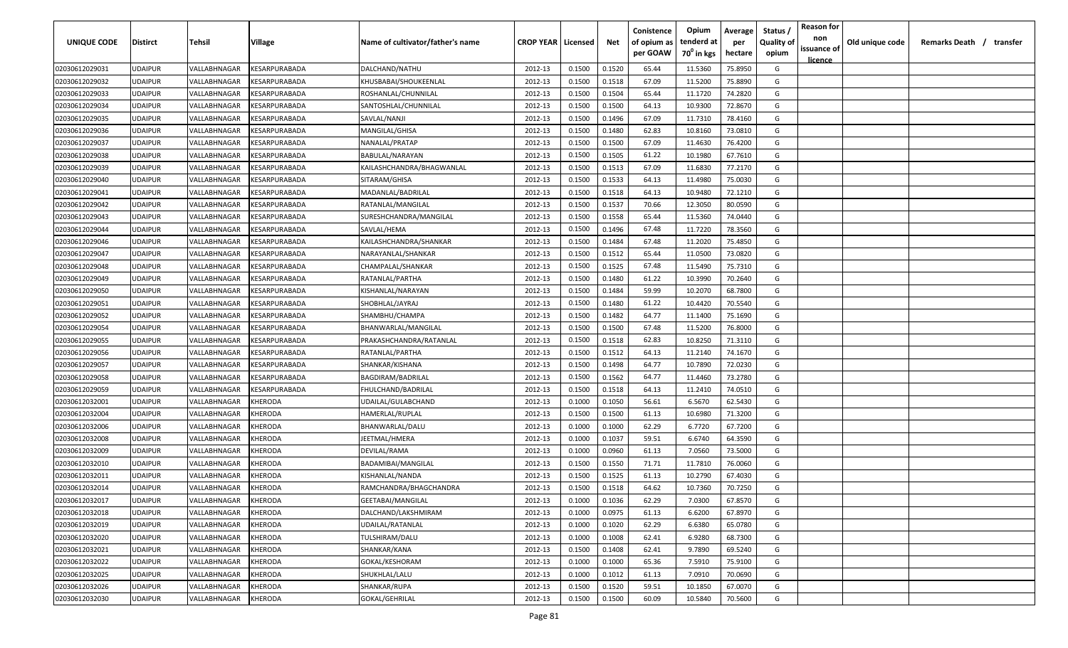| UNIQUE CODE    | Distirct       | Tehsil       | Village                     | Name of cultivator/father's name | <b>CROP YEAR   Licensed</b> |        | Net    | Conistence<br>of opium as<br>per GOAW | Opium<br>tenderd at<br>70 <sup>0</sup> in kgs | Average<br>per<br>hectare | Status<br><b>Quality of</b><br>opium | <b>Reason for</b><br>non<br>issuance of | Old unique code | Remarks Death / | transfer |
|----------------|----------------|--------------|-----------------------------|----------------------------------|-----------------------------|--------|--------|---------------------------------------|-----------------------------------------------|---------------------------|--------------------------------------|-----------------------------------------|-----------------|-----------------|----------|
|                |                |              |                             |                                  |                             |        |        |                                       |                                               |                           |                                      | <u>licence</u>                          |                 |                 |          |
| 02030612029031 | UDAIPUR        | VALLABHNAGAR | KESARPURABADA               | DALCHAND/NATHU                   | 2012-13                     | 0.1500 | 0.1520 | 65.44                                 | 11.5360                                       | 75.8950                   | G                                    |                                         |                 |                 |          |
| 02030612029032 | UDAIPUR        | VALLABHNAGAR | KESARPURABADA               | KHUSBABAI/SHOUKEENLAL            | 2012-13                     | 0.1500 | 0.1518 | 67.09                                 | 11.5200                                       | 75.8890                   | G                                    |                                         |                 |                 |          |
| 02030612029033 | UDAIPUR        | VALLABHNAGAR | KESARPURABADA               | ROSHANLAL/CHUNNILAL              | 2012-13                     | 0.1500 | 0.1504 | 65.44                                 | 11.1720                                       | 74.2820                   | G                                    |                                         |                 |                 |          |
| 02030612029034 | UDAIPUR        | VALLABHNAGAR | KESARPURABADA               | SANTOSHLAL/CHUNNILAL             | 2012-13                     | 0.1500 | 0.1500 | 64.13                                 | 10.9300                                       | 72.8670                   | G                                    |                                         |                 |                 |          |
| 02030612029035 | UDAIPUR        | VALLABHNAGAR | KESARPURABADA               | SAVLAL/NANJI                     | 2012-13                     | 0.1500 | 0.1496 | 67.09                                 | 11.7310                                       | 78.4160                   | G                                    |                                         |                 |                 |          |
| 02030612029036 | UDAIPUR        | VALLABHNAGAR | KESARPURABADA               | MANGILAL/GHISA                   | 2012-13                     | 0.1500 | 0.1480 | 62.83                                 | 10.8160                                       | 73.0810                   | G                                    |                                         |                 |                 |          |
| 02030612029037 | UDAIPUR        | VALLABHNAGAR | KESARPURABADA               | NANALAL/PRATAP                   | 2012-13                     | 0.1500 | 0.1500 | 67.09                                 | 11.4630                                       | 76.4200                   | G                                    |                                         |                 |                 |          |
| 02030612029038 | UDAIPUR        | VALLABHNAGAR | KESARPURABADA               | BABULAL/NARAYAN                  | 2012-13                     | 0.1500 | 0.1505 | 61.22                                 | 10.1980                                       | 67.7610                   | G                                    |                                         |                 |                 |          |
| 02030612029039 | UDAIPUR        | VALLABHNAGAR | KESARPURABADA               | KAILASHCHANDRA/BHAGWANLAL        | 2012-13                     | 0.1500 | 0.1513 | 67.09                                 | 11.6830                                       | 77.2170                   | G                                    |                                         |                 |                 |          |
| 02030612029040 | UDAIPUR        | VALLABHNAGAR | KESARPURABADA               | SITARAM/GHISA                    | 2012-13                     | 0.1500 | 0.1533 | 64.13                                 | 11.4980                                       | 75.0030                   | G                                    |                                         |                 |                 |          |
| 02030612029041 | UDAIPUR        | VALLABHNAGAR | KESARPURABADA               | MADANLAL/BADRILAL                | 2012-13                     | 0.1500 | 0.1518 | 64.13                                 | 10.9480                                       | 72.1210                   | G                                    |                                         |                 |                 |          |
| 02030612029042 | UDAIPUR        | VALLABHNAGAR | KESARPURABADA               | RATANLAL/MANGILAL                | 2012-13                     | 0.1500 | 0.1537 | 70.66                                 | 12.3050                                       | 80.0590                   | G                                    |                                         |                 |                 |          |
| 02030612029043 | <b>JDAIPUR</b> | VALLABHNAGAR | KESARPURABADA               | SURESHCHANDRA/MANGILAL           | 2012-13                     | 0.1500 | 0.1558 | 65.44                                 | 11.5360                                       | 74.0440                   | G                                    |                                         |                 |                 |          |
| 02030612029044 | UDAIPUR        | VALLABHNAGAR | KESARPURABADA               | SAVLAL/HEMA                      | 2012-13                     | 0.1500 | 0.1496 | 67.48                                 | 11.7220                                       | 78.3560                   | G                                    |                                         |                 |                 |          |
| 02030612029046 | UDAIPUR        | VALLABHNAGAR | KESARPURABADA               | KAILASHCHANDRA/SHANKAR           | 2012-13                     | 0.1500 | 0.1484 | 67.48                                 | 11.2020                                       | 75.4850                   | G                                    |                                         |                 |                 |          |
| 02030612029047 | UDAIPUR        | VALLABHNAGAR | KESARPURABADA               | NARAYANLAL/SHANKAR               | 2012-13                     | 0.1500 | 0.1512 | 65.44                                 | 11.0500                                       | 73.0820                   | G                                    |                                         |                 |                 |          |
| 02030612029048 | UDAIPUR        | VALLABHNAGAR | KESARPURABADA               | CHAMPALAL/SHANKAR                | 2012-13                     | 0.1500 | 0.1525 | 67.48                                 | 11.5490                                       | 75.7310                   | G                                    |                                         |                 |                 |          |
| 02030612029049 | UDAIPUR        | VALLABHNAGAR | KESARPURABADA               | RATANLAL/PARTHA                  | 2012-13                     | 0.1500 | 0.1480 | 61.22                                 | 10.3990                                       | 70.2640                   | G                                    |                                         |                 |                 |          |
| 02030612029050 | UDAIPUR        | VALLABHNAGAR | KESARPURABADA               | KISHANLAL/NARAYAN                | 2012-13                     | 0.1500 | 0.1484 | 59.99                                 | 10.2070                                       | 68.7800                   | G                                    |                                         |                 |                 |          |
| 02030612029051 | UDAIPUR        | VALLABHNAGAR | KESARPURABADA               | SHOBHLAL/JAYRAJ                  | 2012-13                     | 0.1500 | 0.1480 | 61.22                                 | 10.4420                                       | 70.5540                   | G                                    |                                         |                 |                 |          |
| 02030612029052 | UDAIPUR        | VALLABHNAGAR | <b><i>CESARPURABADA</i></b> | SHAMBHU/CHAMPA                   | 2012-13                     | 0.1500 | 0.1482 | 64.77                                 | 11.1400                                       | 75.1690                   | G                                    |                                         |                 |                 |          |
| 02030612029054 | UDAIPUR        | VALLABHNAGAR | KESARPURABADA               | BHANWARLAL/MANGILAL              | 2012-13                     | 0.1500 | 0.1500 | 67.48                                 | 11.5200                                       | 76.8000                   | G                                    |                                         |                 |                 |          |
| 02030612029055 | UDAIPUR        | VALLABHNAGAR | KESARPURABADA               | PRAKASHCHANDRA/RATANLAL          | 2012-13                     | 0.1500 | 0.1518 | 62.83                                 | 10.8250                                       | 71.3110                   | G                                    |                                         |                 |                 |          |
| 02030612029056 | UDAIPUR        | VALLABHNAGAR | KESARPURABADA               | RATANLAL/PARTHA                  | 2012-13                     | 0.1500 | 0.1512 | 64.13                                 | 11.2140                                       | 74.1670                   | G                                    |                                         |                 |                 |          |
| 02030612029057 | UDAIPUR        | VALLABHNAGAR | <b><i>CESARPURABADA</i></b> | SHANKAR/KISHANA                  | 2012-13                     | 0.1500 | 0.1498 | 64.77                                 | 10.7890                                       | 72.0230                   | G                                    |                                         |                 |                 |          |
| 02030612029058 | UDAIPUR        | VALLABHNAGAR | KESARPURABADA               | BAGDIRAM/BADRILAL                | 2012-13                     | 0.1500 | 0.1562 | 64.77                                 | 11.4460                                       | 73.2780                   | G                                    |                                         |                 |                 |          |
| 02030612029059 | UDAIPUR        | VALLABHNAGAR | KESARPURABADA               | FHULCHAND/BADRILAL               | 2012-13                     | 0.1500 | 0.1518 | 64.13                                 | 11.2410                                       | 74.0510                   | G                                    |                                         |                 |                 |          |
| 02030612032001 | UDAIPUR        | VALLABHNAGAR | KHERODA                     | UDAILAL/GULABCHAND               | 2012-13                     | 0.1000 | 0.1050 | 56.61                                 | 6.5670                                        | 62.5430                   | G                                    |                                         |                 |                 |          |
| 02030612032004 | UDAIPUR        | VALLABHNAGAR | KHERODA                     | HAMERLAL/RUPLAL                  | 2012-13                     | 0.1500 | 0.1500 | 61.13                                 | 10.6980                                       | 71.3200                   | G                                    |                                         |                 |                 |          |
| 02030612032006 | <b>JDAIPUR</b> | VALLABHNAGAR | <b>HERODA</b>               | BHANWARLAL/DALU                  | 2012-13                     | 0.1000 | 0.1000 | 62.29                                 | 6.7720                                        | 67.7200                   | G                                    |                                         |                 |                 |          |
| 02030612032008 | UDAIPUR        | VALLABHNAGAR | KHERODA                     | JEETMAL/HMERA                    | 2012-13                     | 0.1000 | 0.1037 | 59.51                                 | 6.6740                                        | 64.3590                   | G                                    |                                         |                 |                 |          |
| 02030612032009 | <b>JDAIPUR</b> | VALLABHNAGAR | KHERODA                     | DEVILAL/RAMA                     | 2012-13                     | 0.1000 | 0.0960 | 61.13                                 | 7.0560                                        | 73.5000                   | G                                    |                                         |                 |                 |          |
| 02030612032010 | UDAIPUR        | VALLABHNAGAR | KHERODA                     | BADAMIBAI/MANGILAL               | 2012-13                     | 0.1500 | 0.1550 | 71.71                                 | 11.7810                                       | 76.0060                   | G                                    |                                         |                 |                 |          |
| 02030612032011 | UDAIPUR        | VALLABHNAGAR | <b>HERODA</b>               | KISHANLAL/NANDA                  | 2012-13                     | 0.1500 | 0.1525 | 61.13                                 | 10.2790                                       | 67.4030                   | G                                    |                                         |                 |                 |          |
| 02030612032014 | UDAIPUR        | VALLABHNAGAR | <b>HERODA</b>               | RAMCHANDRA/BHAGCHANDRA           | 2012-13                     | 0.1500 | 0.1518 | 64.62                                 | 10.7360                                       | 70.7250                   | G                                    |                                         |                 |                 |          |
| 02030612032017 | <b>UDAIPUR</b> | VALLABHNAGAR | KHERODA                     | GEETABAI/MANGILAL                | 2012-13                     | 0.1000 | 0.1036 | 62.29                                 | 7.0300                                        | 67.8570                   | G                                    |                                         |                 |                 |          |
| 02030612032018 | <b>UDAIPUR</b> | VALLABHNAGAR | KHERODA                     | DALCHAND/LAKSHMIRAM              | 2012-13                     | 0.1000 | 0.0975 | 61.13                                 | 6.6200                                        | 67.8970                   | G                                    |                                         |                 |                 |          |
| 02030612032019 | <b>UDAIPUR</b> | VALLABHNAGAR | KHERODA                     | UDAILAL/RATANLAL                 | 2012-13                     | 0.1000 | 0.1020 | 62.29                                 | 6.6380                                        | 65.0780                   | G                                    |                                         |                 |                 |          |
| 02030612032020 | <b>UDAIPUR</b> | VALLABHNAGAR | KHERODA                     | TULSHIRAM/DALU                   | 2012-13                     | 0.1000 | 0.1008 | 62.41                                 | 6.9280                                        | 68.7300                   | G                                    |                                         |                 |                 |          |
| 02030612032021 | UDAIPUR        | VALLABHNAGAR | KHERODA                     | SHANKAR/KANA                     | 2012-13                     | 0.1500 | 0.1408 | 62.41                                 | 9.7890                                        | 69.5240                   | G                                    |                                         |                 |                 |          |
| 02030612032022 | UDAIPUR        | VALLABHNAGAR | KHERODA                     | GOKAL/KESHORAM                   | 2012-13                     | 0.1000 | 0.1000 | 65.36                                 | 7.5910                                        | 75.9100                   | G                                    |                                         |                 |                 |          |
| 02030612032025 | UDAIPUR        | VALLABHNAGAR | KHERODA                     | SHUKHLAL/LALU                    | 2012-13                     | 0.1000 | 0.1012 | 61.13                                 | 7.0910                                        | 70.0690                   | G                                    |                                         |                 |                 |          |
| 02030612032026 | UDAIPUR        | VALLABHNAGAR | KHERODA                     | SHANKAR/RUPA                     | 2012-13                     | 0.1500 | 0.1520 | 59.51                                 | 10.1850                                       | 67.0070                   | G                                    |                                         |                 |                 |          |
| 02030612032030 | UDAIPUR        | VALLABHNAGAR | KHERODA                     | GOKAL/GEHRILAL                   | 2012-13                     | 0.1500 | 0.1500 | 60.09                                 | 10.5840                                       | 70.5600                   | G                                    |                                         |                 |                 |          |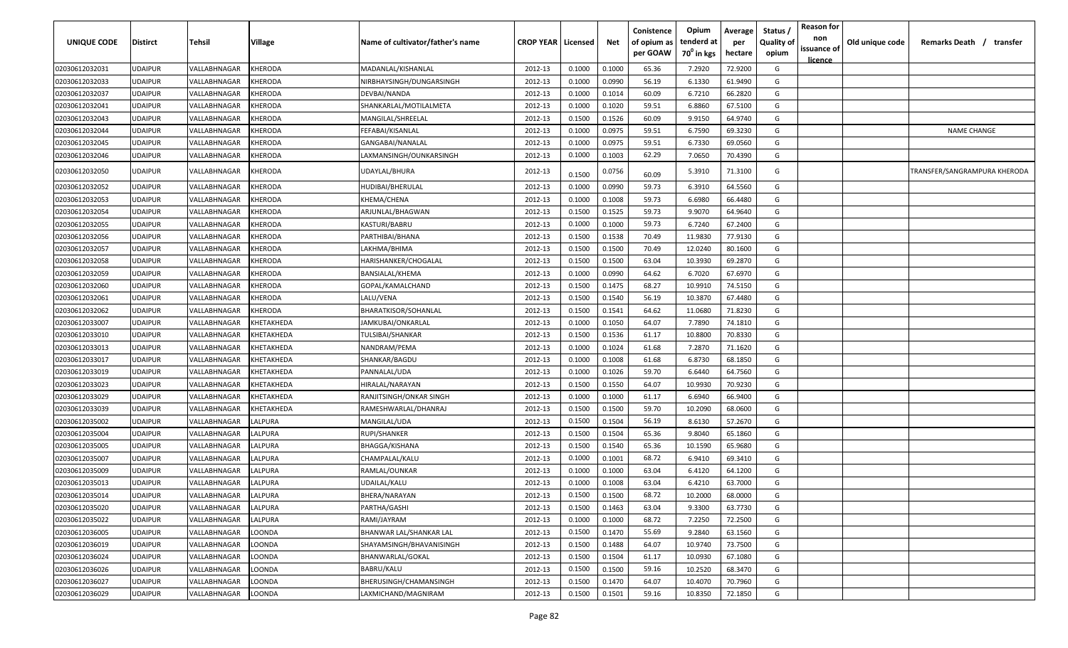| UNIQUE CODE    | <b>Distirct</b> | Tehsil       | Village        | Name of cultivator/father's name | <b>CROP YEAR   Licensed</b> |        | Net    | Conistence<br>of opium as<br>per GOAW | Opium<br>tenderd at<br>70 <sup>°</sup> in kgs | Average<br>per<br>hectare | Status<br><b>Quality of</b><br>opium | <b>Reason for</b><br>non<br>issuance of<br><u>licence</u> | Old unique code | Remarks Death / transfer     |
|----------------|-----------------|--------------|----------------|----------------------------------|-----------------------------|--------|--------|---------------------------------------|-----------------------------------------------|---------------------------|--------------------------------------|-----------------------------------------------------------|-----------------|------------------------------|
| 02030612032031 | <b>UDAIPUR</b>  | VALLABHNAGAR | KHERODA        | MADANLAL/KISHANLAL               | 2012-13                     | 0.1000 | 0.1000 | 65.36                                 | 7.2920                                        | 72.9200                   | G                                    |                                                           |                 |                              |
| 02030612032033 | <b>UDAIPUR</b>  | VALLABHNAGAR | KHERODA        | NIRBHAYSINGH/DUNGARSINGH         | 2012-13                     | 0.1000 | 0.0990 | 56.19                                 | 6.1330                                        | 61.9490                   | G                                    |                                                           |                 |                              |
| 02030612032037 | <b>UDAIPUR</b>  | VALLABHNAGAR | KHERODA        | DEVBAI/NANDA                     | 2012-13                     | 0.1000 | 0.1014 | 60.09                                 | 6.7210                                        | 66.2820                   | G                                    |                                                           |                 |                              |
| 02030612032041 | <b>UDAIPUR</b>  | VALLABHNAGAR | KHERODA        | SHANKARLAL/MOTILALMETA           | 2012-13                     | 0.1000 | 0.1020 | 59.51                                 | 6.8860                                        | 67.5100                   | G                                    |                                                           |                 |                              |
| 02030612032043 | <b>UDAIPUR</b>  | VALLABHNAGAR | KHERODA        | MANGILAL/SHREELAL                | 2012-13                     | 0.1500 | 0.1526 | 60.09                                 | 9.9150                                        | 64.9740                   | G                                    |                                                           |                 |                              |
| 02030612032044 | <b>UDAIPUR</b>  | VALLABHNAGAR | KHERODA        | FEFABAI/KISANLAL                 | 2012-13                     | 0.1000 | 0.0975 | 59.51                                 | 6.7590                                        | 69.3230                   | G                                    |                                                           |                 | <b>NAME CHANGE</b>           |
| 02030612032045 | <b>UDAIPUR</b>  | VALLABHNAGAR | KHERODA        | GANGABAI/NANALAL                 | 2012-13                     | 0.1000 | 0.0975 | 59.51                                 | 6.7330                                        | 69.0560                   | G                                    |                                                           |                 |                              |
| 02030612032046 | <b>UDAIPUR</b>  | VALLABHNAGAR | <b>CHERODA</b> | LAXMANSINGH/OUNKARSINGH          | 2012-13                     | 0.1000 | 0.1003 | 62.29                                 | 7.0650                                        | 70.4390                   | G                                    |                                                           |                 |                              |
| 02030612032050 | <b>UDAIPUR</b>  | VALLABHNAGAR | <b>CHERODA</b> | UDAYLAL/BHURA                    | 2012-13                     | 0.1500 | 0.0756 | 60.09                                 | 5.3910                                        | 71.3100                   | G                                    |                                                           |                 | TRANSFER/SANGRAMPURA KHERODA |
| 02030612032052 | <b>UDAIPUR</b>  | VALLABHNAGAR | KHERODA        | HUDIBAI/BHERULAL                 | 2012-13                     | 0.1000 | 0.0990 | 59.73                                 | 6.3910                                        | 64.5560                   | G                                    |                                                           |                 |                              |
| 02030612032053 | <b>UDAIPUR</b>  | VALLABHNAGAR | <b>CHERODA</b> | KHEMA/CHENA                      | 2012-13                     | 0.1000 | 0.1008 | 59.73                                 | 6.6980                                        | 66.4480                   | G                                    |                                                           |                 |                              |
| 02030612032054 | <b>UDAIPUR</b>  | VALLABHNAGAR | <b>CHERODA</b> | ARJUNLAL/BHAGWAN                 | 2012-13                     | 0.1500 | 0.1525 | 59.73                                 | 9.9070                                        | 64.9640                   | G                                    |                                                           |                 |                              |
| 02030612032055 | UDAIPUR         | VALLABHNAGAR | <b>CHERODA</b> | KASTURI/BABRU                    | 2012-13                     | 0.1000 | 0.1000 | 59.73                                 | 6.7240                                        | 67.2400                   | G                                    |                                                           |                 |                              |
| 02030612032056 | <b>UDAIPUR</b>  | /ALLABHNAGAR | <b>CHERODA</b> | PARTHIBAI/BHANA                  | 2012-13                     | 0.1500 | 0.1538 | 70.49                                 | 11.9830                                       | 77.9130                   | G                                    |                                                           |                 |                              |
| 02030612032057 | <b>UDAIPUR</b>  | VALLABHNAGAR | KHERODA        | AKHMA/BHIMA                      | 2012-13                     | 0.1500 | 0.1500 | 70.49                                 | 12.0240                                       | 80.1600                   | G                                    |                                                           |                 |                              |
| 02030612032058 | <b>UDAIPUR</b>  | VALLABHNAGAR | KHERODA        | HARISHANKER/CHOGALAL             | 2012-13                     | 0.1500 | 0.1500 | 63.04                                 | 10.3930                                       | 69.2870                   | G                                    |                                                           |                 |                              |
| 02030612032059 | <b>UDAIPUR</b>  | /ALLABHNAGAR | KHERODA        | BANSIALAL/KHEMA                  | 2012-13                     | 0.1000 | 0.0990 | 64.62                                 | 6.7020                                        | 67.6970                   | G                                    |                                                           |                 |                              |
| 02030612032060 | <b>UDAIPUR</b>  | VALLABHNAGAR | <b>CHERODA</b> | GOPAL/KAMALCHAND                 | 2012-13                     | 0.1500 | 0.1475 | 68.27                                 | 10.9910                                       | 74.5150                   | G                                    |                                                           |                 |                              |
| 02030612032061 | <b>UDAIPUR</b>  | VALLABHNAGAR | KHERODA        | LALU/VENA                        | 2012-13                     | 0.1500 | 0.1540 | 56.19                                 | 10.3870                                       | 67.4480                   | G                                    |                                                           |                 |                              |
| 02030612032062 | <b>UDAIPUR</b>  | VALLABHNAGAR | KHERODA        | BHARATKISOR/SOHANLAL             | 2012-13                     | 0.1500 | 0.1541 | 64.62                                 | 11.0680                                       | 71.8230                   | G                                    |                                                           |                 |                              |
| 02030612033007 | <b>UDAIPUR</b>  | VALLABHNAGAR | KHETAKHEDA     | JAMKUBAI/ONKARLAL                | 2012-13                     | 0.1000 | 0.1050 | 64.07                                 | 7.7890                                        | 74.1810                   | G                                    |                                                           |                 |                              |
| 02030612033010 | <b>UDAIPUR</b>  | VALLABHNAGAR | KHETAKHEDA     | TULSIBAI/SHANKAR                 | 2012-13                     | 0.1500 | 0.1536 | 61.17                                 | 10.8800                                       | 70.8330                   | G                                    |                                                           |                 |                              |
| 02030612033013 | <b>UDAIPUR</b>  | VALLABHNAGAR | KHETAKHEDA     | NANDRAM/PEMA                     | 2012-13                     | 0.1000 | 0.1024 | 61.68                                 | 7.2870                                        | 71.1620                   | G                                    |                                                           |                 |                              |
| 02030612033017 | <b>UDAIPUR</b>  | VALLABHNAGAR | KHETAKHEDA     | SHANKAR/BAGDU                    | 2012-13                     | 0.1000 | 0.1008 | 61.68                                 | 6.8730                                        | 68.1850                   | G                                    |                                                           |                 |                              |
| 02030612033019 | <b>UDAIPUR</b>  | VALLABHNAGAR | KHETAKHEDA     | PANNALAL/UDA                     | 2012-13                     | 0.1000 | 0.1026 | 59.70                                 | 6.6440                                        | 64.7560                   | G                                    |                                                           |                 |                              |
| 02030612033023 | <b>UDAIPUR</b>  | VALLABHNAGAR | KHETAKHEDA     | HIRALAL/NARAYAN                  | 2012-13                     | 0.1500 | 0.1550 | 64.07                                 | 10.9930                                       | 70.9230                   | G                                    |                                                           |                 |                              |
| 02030612033029 | <b>UDAIPUR</b>  | VALLABHNAGAR | KHETAKHEDA     | RANJITSINGH/ONKAR SINGH          | 2012-13                     | 0.1000 | 0.1000 | 61.17                                 | 6.6940                                        | 66.9400                   | G                                    |                                                           |                 |                              |
| 02030612033039 | <b>UDAIPUR</b>  | VALLABHNAGAR | KHETAKHEDA     | RAMESHWARLAL/DHANRAJ             | 2012-13                     | 0.1500 | 0.1500 | 59.70                                 | 10.2090                                       | 68.0600                   | G                                    |                                                           |                 |                              |
| 02030612035002 | <b>UDAIPUR</b>  | VALLABHNAGAR | LALPURA        | MANGILAL/UDA                     | 2012-13                     | 0.1500 | 0.1504 | 56.19                                 | 8.6130                                        | 57.2670                   | G                                    |                                                           |                 |                              |
| 02030612035004 | <b>UDAIPUR</b>  | VALLABHNAGAR | LALPURA        | RUPI/SHANKER                     | 2012-13                     | 0.1500 | 0.1504 | 65.36                                 | 9.8040                                        | 65.1860                   | G                                    |                                                           |                 |                              |
| 02030612035005 | <b>UDAIPUR</b>  | VALLABHNAGAR | LALPURA        | BHAGGA/KISHANA                   | 2012-13                     | 0.1500 | 0.1540 | 65.36                                 | 10.1590                                       | 65.9680                   | G                                    |                                                           |                 |                              |
| 02030612035007 | <b>UDAIPUR</b>  | VALLABHNAGAR | LALPURA        | CHAMPALAL/KALU                   | 2012-13                     | 0.1000 | 0.1001 | 68.72                                 | 6.9410                                        | 69.3410                   | G                                    |                                                           |                 |                              |
| 02030612035009 | <b>UDAIPUR</b>  | VALLABHNAGAR | LALPURA        | RAMLAL/OUNKAR                    | 2012-13                     | 0.1000 | 0.1000 | 63.04                                 | 6.4120                                        | 64.1200                   | G                                    |                                                           |                 |                              |
| 02030612035013 | <b>UDAIPUR</b>  | VALLABHNAGAR | LALPURA        | UDAILAL/KALU                     | 2012-13                     | 0.1000 | 0.1008 | 63.04                                 | 6.4210                                        | 63.7000                   | G                                    |                                                           |                 |                              |
| 02030612035014 | <b>UDAIPUR</b>  | VALLABHNAGAR | LALPURA        | BHERA/NARAYAN                    | 2012-13                     | 0.1500 | 0.1500 | 68.72                                 | 10.2000                                       | 68.0000                   | G                                    |                                                           |                 |                              |
| 02030612035020 | <b>UDAIPUR</b>  | VALLABHNAGAR | LALPURA        | PARTHA/GASHI                     | 2012-13                     | 0.1500 | 0.1463 | 63.04                                 | 9.3300                                        | 63.7730                   | G                                    |                                                           |                 |                              |
| 02030612035022 | <b>UDAIPUR</b>  | VALLABHNAGAR | LALPURA        | RAMI/JAYRAM                      | 2012-13                     | 0.1000 | 0.1000 | 68.72                                 | 7.2250                                        | 72.2500                   | G                                    |                                                           |                 |                              |
| 02030612036005 | <b>UDAIPUR</b>  | VALLABHNAGAR | LOONDA         | BHANWAR LAL/SHANKAR LAL          | 2012-13                     | 0.1500 | 0.1470 | 55.69                                 | 9.2840                                        | 63.1560                   | G                                    |                                                           |                 |                              |
| 02030612036019 | <b>UDAIPUR</b>  | VALLABHNAGAR | LOONDA         | SHAYAMSINGH/BHAVANISINGH         | 2012-13                     | 0.1500 | 0.1488 | 64.07                                 | 10.9740                                       | 73.7500                   | G                                    |                                                           |                 |                              |
| 02030612036024 | <b>UDAIPUR</b>  | VALLABHNAGAR | LOONDA         | BHANWARLAL/GOKAL                 | 2012-13                     | 0.1500 | 0.1504 | 61.17                                 | 10.0930                                       | 67.1080                   | G                                    |                                                           |                 |                              |
| 02030612036026 | <b>UDAIPUR</b>  | VALLABHNAGAR | LOONDA         | BABRU/KALU                       | 2012-13                     | 0.1500 | 0.1500 | 59.16                                 | 10.2520                                       | 68.3470                   | G                                    |                                                           |                 |                              |
| 02030612036027 | <b>UDAIPUR</b>  | VALLABHNAGAR | LOONDA         | BHERUSINGH/CHAMANSINGH           | 2012-13                     | 0.1500 | 0.1470 | 64.07                                 | 10.4070                                       | 70.7960                   | G                                    |                                                           |                 |                              |
| 02030612036029 | <b>UDAIPUR</b>  | VALLABHNAGAR | LOONDA         | LAXMICHAND/MAGNIRAM              | 2012-13                     | 0.1500 | 0.1501 | 59.16                                 | 10.8350                                       | 72.1850                   | G                                    |                                                           |                 |                              |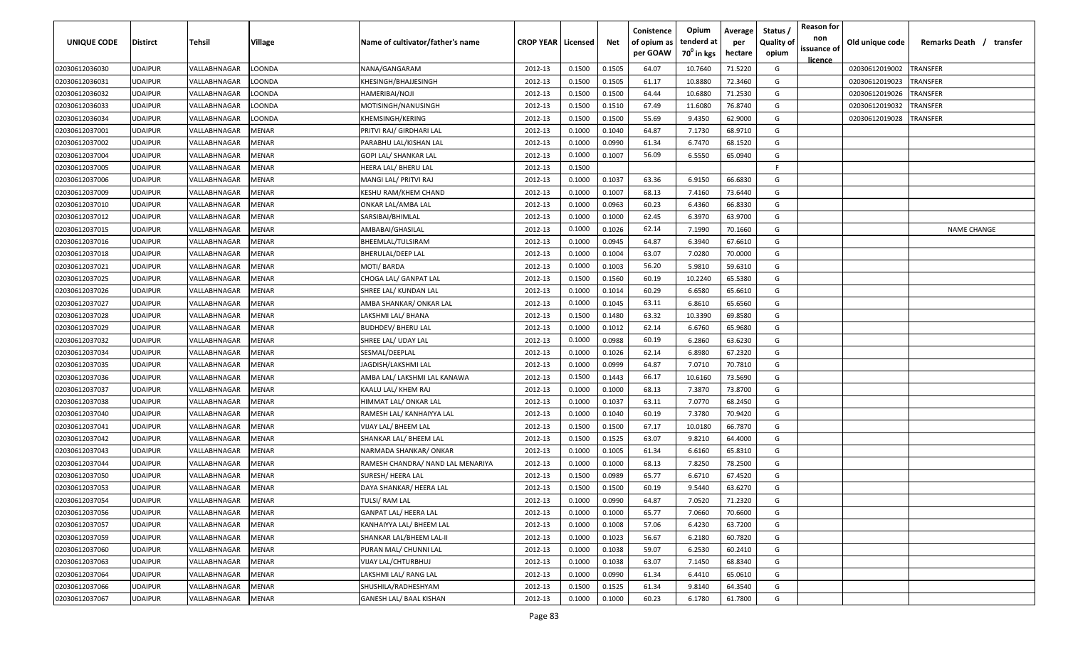| UNIQUE CODE    | <b>Distirct</b> | Tehsil       | Village      | Name of cultivator/father's name  | <b>CROP YEAR   Licensed</b> |        | Net    | Conistence<br>of opium as<br>per GOAW | Opium<br>tenderd at<br>70 <sup>0</sup> in kgs | Average<br>per<br>hectare | Status<br><b>Quality of</b><br>opium | <b>Reason for</b><br>non<br>issuance of<br><u>licence</u> | Old unique code | Remarks Death / transfer |
|----------------|-----------------|--------------|--------------|-----------------------------------|-----------------------------|--------|--------|---------------------------------------|-----------------------------------------------|---------------------------|--------------------------------------|-----------------------------------------------------------|-----------------|--------------------------|
| 02030612036030 | <b>UDAIPUR</b>  | VALLABHNAGAR | LOONDA       | NANA/GANGARAM                     | 2012-13                     | 0.1500 | 0.1505 | 64.07                                 | 10.7640                                       | 71.5220                   | G                                    |                                                           | 02030612019002  | TRANSFER                 |
| 02030612036031 | <b>UDAIPUR</b>  | VALLABHNAGAR | LOONDA       | KHESINGH/BHAJJESINGH              | 2012-13                     | 0.1500 | 0.1505 | 61.17                                 | 10.8880                                       | 72.3460                   | G                                    |                                                           | 02030612019023  | TRANSFER                 |
| 02030612036032 | <b>UDAIPUR</b>  | VALLABHNAGAR | LOONDA       | HAMERIBAI/NOJI                    | 2012-13                     | 0.1500 | 0.1500 | 64.44                                 | 10.6880                                       | 71.2530                   | G                                    |                                                           | 02030612019026  | TRANSFER                 |
| 02030612036033 | <b>UDAIPUR</b>  | VALLABHNAGAR | LOONDA       | MOTISINGH/NANUSINGH               | 2012-13                     | 0.1500 | 0.1510 | 67.49                                 | 11.6080                                       | 76.8740                   | G                                    |                                                           | 02030612019032  | TRANSFER                 |
| 02030612036034 | <b>UDAIPUR</b>  | VALLABHNAGAR | LOONDA       | KHEMSINGH/KERING                  | 2012-13                     | 0.1500 | 0.1500 | 55.69                                 | 9.4350                                        | 62.9000                   | G                                    |                                                           | 02030612019028  | TRANSFER                 |
| 02030612037001 | <b>UDAIPUR</b>  | VALLABHNAGAR | MENAR        | PRITVI RAJ/ GIRDHARI LAL          | 2012-13                     | 0.1000 | 0.1040 | 64.87                                 | 7.1730                                        | 68.9710                   | G                                    |                                                           |                 |                          |
| 02030612037002 | <b>UDAIPUR</b>  | VALLABHNAGAR | MENAR        | PARABHU LAL/KISHAN LAL            | 2012-13                     | 0.1000 | 0.0990 | 61.34                                 | 6.7470                                        | 68.1520                   | G                                    |                                                           |                 |                          |
| 02030612037004 | <b>UDAIPUR</b>  | VALLABHNAGAR | MENAR        | GOPI LAL/ SHANKAR LAL             | 2012-13                     | 0.1000 | 0.1007 | 56.09                                 | 6.5550                                        | 65.0940                   | G                                    |                                                           |                 |                          |
| 02030612037005 | <b>UDAIPUR</b>  | VALLABHNAGAR | MENAR        | HEERA LAL/ BHERU LAL              | 2012-13                     | 0.1500 |        |                                       |                                               |                           | F.                                   |                                                           |                 |                          |
| 02030612037006 | <b>UDAIPUR</b>  | VALLABHNAGAR | MENAR        | MANGI LAL/ PRITVI RAJ             | 2012-13                     | 0.1000 | 0.1037 | 63.36                                 | 6.9150                                        | 66.6830                   | G                                    |                                                           |                 |                          |
| 02030612037009 | <b>UDAIPUR</b>  | VALLABHNAGAR | MENAR        | KESHU RAM/KHEM CHAND              | 2012-13                     | 0.1000 | 0.1007 | 68.13                                 | 7.4160                                        | 73.6440                   | G                                    |                                                           |                 |                          |
| 02030612037010 | <b>UDAIPUR</b>  | VALLABHNAGAR | MENAR        | ONKAR LAL/AMBA LAL                | 2012-13                     | 0.1000 | 0.0963 | 60.23                                 | 6.4360                                        | 66.8330                   | G                                    |                                                           |                 |                          |
| 02030612037012 | <b>UDAIPUR</b>  | VALLABHNAGAR | MENAR        | SARSIBAI/BHIMLAL                  | 2012-13                     | 0.1000 | 0.1000 | 62.45                                 | 6.3970                                        | 63.9700                   | G                                    |                                                           |                 |                          |
| 02030612037015 | <b>UDAIPUR</b>  | VALLABHNAGAR | MENAR        | AMBABAI/GHASILAL                  | 2012-13                     | 0.1000 | 0.1026 | 62.14                                 | 7.1990                                        | 70.1660                   | G                                    |                                                           |                 | <b>NAME CHANGE</b>       |
| 02030612037016 | <b>UDAIPUR</b>  | VALLABHNAGAR | MENAR        | BHEEMLAL/TULSIRAM                 | 2012-13                     | 0.1000 | 0.0945 | 64.87                                 | 6.3940                                        | 67.6610                   | G                                    |                                                           |                 |                          |
| 02030612037018 | <b>UDAIPUR</b>  | VALLABHNAGAR | MENAR        | BHERULAL/DEEP LAL                 | 2012-13                     | 0.1000 | 0.1004 | 63.07                                 | 7.0280                                        | 70.0000                   | G                                    |                                                           |                 |                          |
| 02030612037021 | <b>UDAIPUR</b>  | VALLABHNAGAR | MENAR        | MOTI/ BARDA                       | 2012-13                     | 0.1000 | 0.1003 | 56.20                                 | 5.9810                                        | 59.6310                   | G                                    |                                                           |                 |                          |
| 02030612037025 | <b>UDAIPUR</b>  | VALLABHNAGAR | MENAR        | CHOGA LAL/ GANPAT LAL             | 2012-13                     | 0.1500 | 0.1560 | 60.19                                 | 10.2240                                       | 65.5380                   | G                                    |                                                           |                 |                          |
| 02030612037026 | <b>UDAIPUR</b>  | VALLABHNAGAR | MENAR        | SHREE LAL/ KUNDAN LAL             | 2012-13                     | 0.1000 | 0.1014 | 60.29                                 | 6.6580                                        | 65.6610                   | G                                    |                                                           |                 |                          |
| 02030612037027 | <b>UDAIPUR</b>  | VALLABHNAGAR | MENAR        | AMBA SHANKAR/ ONKAR LAL           | 2012-13                     | 0.1000 | 0.1045 | 63.11                                 | 6.8610                                        | 65.6560                   | G                                    |                                                           |                 |                          |
| 02030612037028 | <b>UDAIPUR</b>  | VALLABHNAGAR | MENAR        | LAKSHMI LAL/ BHANA                | 2012-13                     | 0.1500 | 0.1480 | 63.32                                 | 10.3390                                       | 69.8580                   | G                                    |                                                           |                 |                          |
| 02030612037029 | <b>UDAIPUR</b>  | VALLABHNAGAR | MENAR        | <b>BUDHDEV/ BHERU LAL</b>         | 2012-13                     | 0.1000 | 0.1012 | 62.14                                 | 6.6760                                        | 65.9680                   | G                                    |                                                           |                 |                          |
| 02030612037032 | <b>UDAIPUR</b>  | VALLABHNAGAR | MENAR        | SHREE LAL/ UDAY LAL               | 2012-13                     | 0.1000 | 0.0988 | 60.19                                 | 6.2860                                        | 63.6230                   | G                                    |                                                           |                 |                          |
| 02030612037034 | <b>UDAIPUR</b>  | VALLABHNAGAR | MENAR        | SESMAL/DEEPLAL                    | 2012-13                     | 0.1000 | 0.1026 | 62.14                                 | 6.8980                                        | 67.2320                   | G                                    |                                                           |                 |                          |
| 02030612037035 | <b>UDAIPUR</b>  | VALLABHNAGAR | MENAR        | IAGDISH/LAKSHMI LAL               | 2012-13                     | 0.1000 | 0.0999 | 64.87                                 | 7.0710                                        | 70.7810                   | G                                    |                                                           |                 |                          |
| 02030612037036 | <b>UDAIPUR</b>  | VALLABHNAGAR | MENAR        | AMBA LAL/ LAKSHMI LAL KANAWA      | 2012-13                     | 0.1500 | 0.1443 | 66.17                                 | 10.6160                                       | 73.5690                   | G                                    |                                                           |                 |                          |
| 02030612037037 | <b>UDAIPUR</b>  | VALLABHNAGAR | MENAR        | KAALU LAL/ KHEM RAJ               | 2012-13                     | 0.1000 | 0.1000 | 68.13                                 | 7.3870                                        | 73.8700                   | G                                    |                                                           |                 |                          |
| 02030612037038 | <b>UDAIPUR</b>  | VALLABHNAGAR | MENAR        | HIMMAT LAL/ ONKAR LAL             | 2012-13                     | 0.1000 | 0.1037 | 63.11                                 | 7.0770                                        | 68.2450                   | G                                    |                                                           |                 |                          |
| 02030612037040 | <b>UDAIPUR</b>  | VALLABHNAGAR | MENAR        | RAMESH LAL/ KANHAIYYA LAL         | 2012-13                     | 0.1000 | 0.1040 | 60.19                                 | 7.3780                                        | 70.9420                   | G                                    |                                                           |                 |                          |
| 02030612037041 | <b>UDAIPUR</b>  | VALLABHNAGAR | MENAR        | VIJAY LAL/ BHEEM LAL              | 2012-13                     | 0.1500 | 0.1500 | 67.17                                 | 10.0180                                       | 66.7870                   | G                                    |                                                           |                 |                          |
| 02030612037042 | <b>UDAIPUR</b>  | VALLABHNAGAR | MENAR        | SHANKAR LAL/ BHEEM LAL            | 2012-13                     | 0.1500 | 0.1525 | 63.07                                 | 9.8210                                        | 64.4000                   | G                                    |                                                           |                 |                          |
| 02030612037043 | <b>UDAIPUR</b>  | VALLABHNAGAR | MENAR        | NARMADA SHANKAR/ ONKAR            | 2012-13                     | 0.1000 | 0.1005 | 61.34                                 | 6.6160                                        | 65.8310                   | G                                    |                                                           |                 |                          |
| 02030612037044 | <b>UDAIPUR</b>  | VALLABHNAGAR | MENAR        | RAMESH CHANDRA/ NAND LAL MENARIYA | 2012-13                     | 0.1000 | 0.1000 | 68.13                                 | 7.8250                                        | 78.2500                   | G                                    |                                                           |                 |                          |
| 02030612037050 | <b>UDAIPUR</b>  | VALLABHNAGAR | MENAR        | SURESH/ HEERA LAL                 | 2012-13                     | 0.1500 | 0.0989 | 65.77                                 | 6.6710                                        | 67.4520                   | G                                    |                                                           |                 |                          |
| 02030612037053 | <b>UDAIPUR</b>  | VALLABHNAGAR | MENAR        | DAYA SHANKAR/ HEERA LAL           | 2012-13                     | 0.1500 | 0.1500 | 60.19                                 | 9.5440                                        | 63.6270                   | G                                    |                                                           |                 |                          |
| 02030612037054 | <b>UDAIPUR</b>  | VALLABHNAGAR | <b>MENAR</b> | TULSI/ RAM LAL                    | 2012-13                     | 0.1000 | 0.0990 | 64.87                                 | 7.0520                                        | 71.2320                   | G                                    |                                                           |                 |                          |
| 02030612037056 | <b>UDAIPUR</b>  | VALLABHNAGAR | MENAR        | <b>GANPAT LAL/ HEERA LAL</b>      | 2012-13                     | 0.1000 | 0.1000 | 65.77                                 | 7.0660                                        | 70.6600                   | G                                    |                                                           |                 |                          |
| 02030612037057 | <b>UDAIPUR</b>  | VALLABHNAGAR | MENAR        | KANHAIYYA LAL/ BHEEM LAL          | 2012-13                     | 0.1000 | 0.1008 | 57.06                                 | 6.4230                                        | 63.7200                   | G                                    |                                                           |                 |                          |
| 02030612037059 | <b>UDAIPUR</b>  | VALLABHNAGAR | MENAR        | SHANKAR LAL/BHEEM LAL-II          | 2012-13                     | 0.1000 | 0.1023 | 56.67                                 | 6.2180                                        | 60.7820                   | G                                    |                                                           |                 |                          |
| 02030612037060 | <b>UDAIPUR</b>  | VALLABHNAGAR | MENAR        | PURAN MAL/ CHUNNI LAL             | 2012-13                     | 0.1000 | 0.1038 | 59.07                                 | 6.2530                                        | 60.2410                   | G                                    |                                                           |                 |                          |
| 02030612037063 | <b>UDAIPUR</b>  | VALLABHNAGAR | MENAR        | <b>VIJAY LAL/CHTURBHUJ</b>        | 2012-13                     | 0.1000 | 0.1038 | 63.07                                 | 7.1450                                        | 68.8340                   | G                                    |                                                           |                 |                          |
| 02030612037064 | <b>UDAIPUR</b>  | VALLABHNAGAR | MENAR        | LAKSHMI LAL/ RANG LAL             | 2012-13                     | 0.1000 | 0.0990 | 61.34                                 | 6.4410                                        | 65.0610                   | G                                    |                                                           |                 |                          |
| 02030612037066 | <b>UDAIPUR</b>  | VALLABHNAGAR | MENAR        | SHUSHILA/RADHESHYAM               | 2012-13                     | 0.1500 | 0.1525 | 61.34                                 | 9.8140                                        | 64.3540                   | G                                    |                                                           |                 |                          |
| 02030612037067 | <b>UDAIPUR</b>  | VALLABHNAGAR | <b>MENAR</b> | GANESH LAL/ BAAL KISHAN           | 2012-13                     | 0.1000 | 0.1000 | 60.23                                 | 6.1780                                        | 61.7800                   | G                                    |                                                           |                 |                          |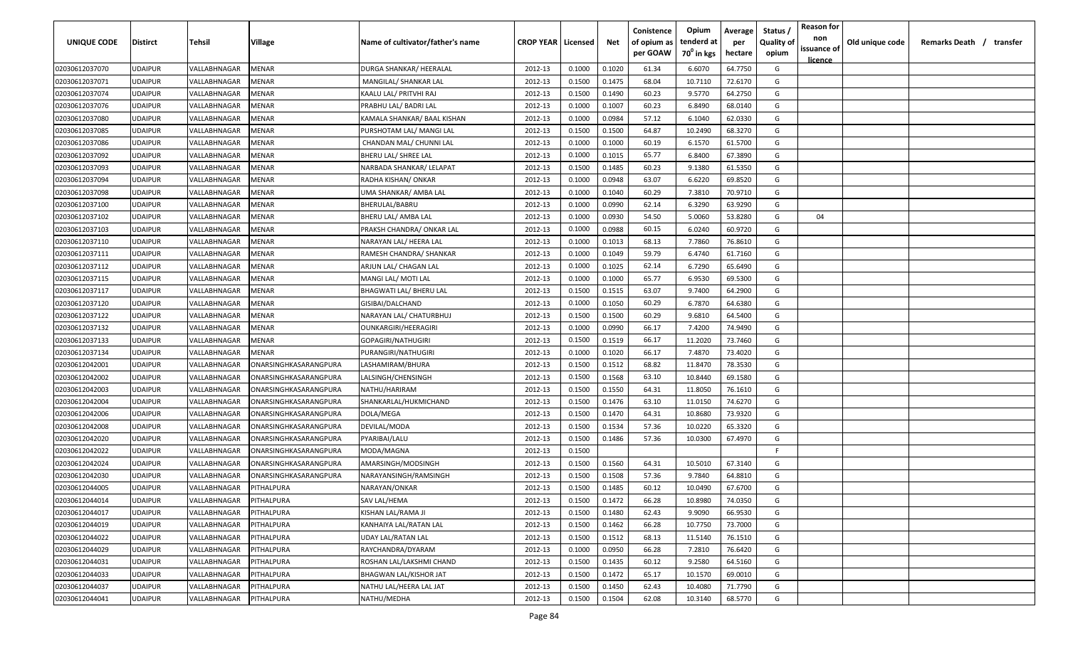| UNIQUE CODE    | <b>Distirct</b> | Tehsil       | Village               | Name of cultivator/father's name | <b>CROP YEAR   Licensed</b> |        | Net    | Conistence<br>of opium as<br>per GOAW | Opium<br>tenderd at<br>70 <sup>0</sup> in kgs | Average<br>per<br>hectare | Status<br><b>Quality of</b><br>opium | <b>Reason for</b><br>non<br>issuance of | Old unique code | Remarks Death / transfer |
|----------------|-----------------|--------------|-----------------------|----------------------------------|-----------------------------|--------|--------|---------------------------------------|-----------------------------------------------|---------------------------|--------------------------------------|-----------------------------------------|-----------------|--------------------------|
| 02030612037070 | <b>UDAIPUR</b>  | VALLABHNAGAR | MENAR                 | DURGA SHANKAR/ HEERALAL          | 2012-13                     | 0.1000 | 0.1020 | 61.34                                 | 6.6070                                        | 64.7750                   | G                                    | <u>licence</u>                          |                 |                          |
| 02030612037071 | <b>UDAIPUR</b>  | VALLABHNAGAR | MENAR                 | MANGILAL/ SHANKAR LAL            | 2012-13                     | 0.1500 | 0.1475 | 68.04                                 | 10.7110                                       | 72.6170                   | G                                    |                                         |                 |                          |
| 02030612037074 | <b>UDAIPUR</b>  | VALLABHNAGAR | MENAR                 | KAALU LAL/ PRITVHI RAJ           | 2012-13                     | 0.1500 | 0.1490 | 60.23                                 | 9.5770                                        | 64.2750                   | G                                    |                                         |                 |                          |
| 02030612037076 | <b>UDAIPUR</b>  | VALLABHNAGAR | MENAR                 | PRABHU LAL/ BADRI LAL            | 2012-13                     | 0.1000 | 0.1007 | 60.23                                 | 6.8490                                        | 68.0140                   | G                                    |                                         |                 |                          |
| 02030612037080 | <b>UDAIPUR</b>  | VALLABHNAGAR | MENAR                 | KAMALA SHANKAR/ BAAL KISHAN      | 2012-13                     | 0.1000 | 0.0984 | 57.12                                 | 6.1040                                        | 62.0330                   | G                                    |                                         |                 |                          |
| 02030612037085 | <b>UDAIPUR</b>  | VALLABHNAGAR | MENAR                 | PURSHOTAM LAL/ MANGI LAL         | 2012-13                     | 0.1500 | 0.1500 | 64.87                                 | 10.2490                                       | 68.3270                   | G                                    |                                         |                 |                          |
| 02030612037086 | <b>UDAIPUR</b>  | VALLABHNAGAR | MENAR                 | CHANDAN MAL/ CHUNNI LAL          | 2012-13                     | 0.1000 | 0.1000 | 60.19                                 | 6.1570                                        | 61.5700                   | G                                    |                                         |                 |                          |
| 02030612037092 | <b>UDAIPUR</b>  | VALLABHNAGAR | MENAR                 | BHERU LAL/ SHREE LAL             | 2012-13                     | 0.1000 | 0.1015 | 65.77                                 | 6.8400                                        | 67.3890                   | G                                    |                                         |                 |                          |
| 02030612037093 | <b>UDAIPUR</b>  | VALLABHNAGAR | MENAR                 | NARBADA SHANKAR/ LELAPAT         | 2012-13                     | 0.1500 | 0.1485 | 60.23                                 | 9.1380                                        | 61.5350                   | G                                    |                                         |                 |                          |
| 02030612037094 | <b>UDAIPUR</b>  | VALLABHNAGAR | MENAR                 | RADHA KISHAN/ ONKAR              | 2012-13                     | 0.1000 | 0.0948 | 63.07                                 | 6.6220                                        | 69.8520                   | G                                    |                                         |                 |                          |
| 02030612037098 | UDAIPUR         | VALLABHNAGAR | MENAR                 | UMA SHANKAR/ AMBA LAL            | 2012-13                     | 0.1000 | 0.1040 | 60.29                                 | 7.3810                                        | 70.9710                   | G                                    |                                         |                 |                          |
| 02030612037100 | <b>UDAIPUR</b>  | VALLABHNAGAR | MENAR                 | BHERULAL/BABRU                   | 2012-13                     | 0.1000 | 0.0990 | 62.14                                 | 6.3290                                        | 63.9290                   | G                                    |                                         |                 |                          |
| 02030612037102 | <b>UDAIPUR</b>  | VALLABHNAGAR | MENAR                 | BHERU LAL/ AMBA LAL              | 2012-13                     | 0.1000 | 0.0930 | 54.50                                 | 5.0060                                        | 53.8280                   | G                                    | 04                                      |                 |                          |
| 02030612037103 | <b>UDAIPUR</b>  | VALLABHNAGAR | MENAR                 | PRAKSH CHANDRA/ ONKAR LAL        | 2012-13                     | 0.1000 | 0.0988 | 60.15                                 | 6.0240                                        | 60.9720                   | G                                    |                                         |                 |                          |
| 02030612037110 | <b>UDAIPUR</b>  | VALLABHNAGAR | MENAR                 | NARAYAN LAL/ HEERA LAL           | 2012-13                     | 0.1000 | 0.1013 | 68.13                                 | 7.7860                                        | 76.8610                   | G                                    |                                         |                 |                          |
| 02030612037111 | <b>UDAIPUR</b>  | VALLABHNAGAR | MENAR                 | RAMESH CHANDRA/ SHANKAR          | 2012-13                     | 0.1000 | 0.1049 | 59.79                                 | 6.4740                                        | 61.7160                   | G                                    |                                         |                 |                          |
| 02030612037112 | <b>UDAIPUR</b>  | VALLABHNAGAR | MENAR                 | ARJUN LAL/ CHAGAN LAL            | 2012-13                     | 0.1000 | 0.1025 | 62.14                                 | 6.7290                                        | 65.6490                   | G                                    |                                         |                 |                          |
| 02030612037115 | <b>UDAIPUR</b>  | VALLABHNAGAR | MENAR                 | MANGI LAL/ MOTI LAL              | 2012-13                     | 0.1000 | 0.1000 | 65.77                                 | 6.9530                                        | 69.5300                   | G                                    |                                         |                 |                          |
| 02030612037117 | <b>UDAIPUR</b>  | VALLABHNAGAR | MENAR                 | BHAGWATI LAL/ BHERU LAL          | 2012-13                     | 0.1500 | 0.1515 | 63.07                                 | 9.7400                                        | 64.2900                   | G                                    |                                         |                 |                          |
| 02030612037120 | <b>UDAIPUR</b>  | VALLABHNAGAR | MENAR                 | GISIBAI/DALCHAND                 | 2012-13                     | 0.1000 | 0.1050 | 60.29                                 | 6.7870                                        | 64.6380                   | G                                    |                                         |                 |                          |
| 02030612037122 | <b>UDAIPUR</b>  | VALLABHNAGAR | MENAR                 | NARAYAN LAL/ CHATURBHUJ          | 2012-13                     | 0.1500 | 0.1500 | 60.29                                 | 9.6810                                        | 64.5400                   | G                                    |                                         |                 |                          |
| 02030612037132 | <b>UDAIPUR</b>  | VALLABHNAGAR | MENAR                 | <b>OUNKARGIRI/HEERAGIRI</b>      | 2012-13                     | 0.1000 | 0.0990 | 66.17                                 | 7.4200                                        | 74.9490                   | G                                    |                                         |                 |                          |
| 02030612037133 | <b>UDAIPUR</b>  | VALLABHNAGAR | MENAR                 | GOPAGIRI/NATHUGIRI               | 2012-13                     | 0.1500 | 0.1519 | 66.17                                 | 11.2020                                       | 73.7460                   | G                                    |                                         |                 |                          |
| 02030612037134 | <b>UDAIPUR</b>  | VALLABHNAGAR | MENAR                 | PURANGIRI/NATHUGIRI              | 2012-13                     | 0.1000 | 0.1020 | 66.17                                 | 7.4870                                        | 73.4020                   | G                                    |                                         |                 |                          |
| 02030612042001 | <b>UDAIPUR</b>  | VALLABHNAGAR | ONARSINGHKASARANGPURA | LASHAMIRAM/BHURA                 | 2012-13                     | 0.1500 | 0.1512 | 68.82                                 | 11.8470                                       | 78.3530                   | G                                    |                                         |                 |                          |
| 02030612042002 | <b>UDAIPUR</b>  | VALLABHNAGAR | ONARSINGHKASARANGPURA | LALSINGH/CHENSINGH               | 2012-13                     | 0.1500 | 0.1568 | 63.10                                 | 10.8440                                       | 69.1580                   | G                                    |                                         |                 |                          |
| 02030612042003 | <b>UDAIPUR</b>  | VALLABHNAGAR | ONARSINGHKASARANGPURA | NATHU/HARIRAM                    | 2012-13                     | 0.1500 | 0.1550 | 64.31                                 | 11.8050                                       | 76.1610                   | G                                    |                                         |                 |                          |
| 02030612042004 | UDAIPUR         | VALLABHNAGAR | ONARSINGHKASARANGPURA | SHANKARLAL/HUKMICHAND            | 2012-13                     | 0.1500 | 0.1476 | 63.10                                 | 11.0150                                       | 74.6270                   | G                                    |                                         |                 |                          |
| 02030612042006 | <b>UDAIPUR</b>  | VALLABHNAGAR | ONARSINGHKASARANGPURA | DOLA/MEGA                        | 2012-13                     | 0.1500 | 0.1470 | 64.31                                 | 10.8680                                       | 73.9320                   | G                                    |                                         |                 |                          |
| 02030612042008 | <b>UDAIPUR</b>  | VALLABHNAGAR | ONARSINGHKASARANGPURA | DEVILAL/MODA                     | 2012-13                     | 0.1500 | 0.1534 | 57.36                                 | 10.0220                                       | 65.3320                   | G                                    |                                         |                 |                          |
| 02030612042020 | <b>UDAIPUR</b>  | VALLABHNAGAR | ONARSINGHKASARANGPURA | PYARIBAI/LALU                    | 2012-13                     | 0.1500 | 0.1486 | 57.36                                 | 10.0300                                       | 67.4970                   | G                                    |                                         |                 |                          |
| 02030612042022 | <b>UDAIPUR</b>  | VALLABHNAGAR | ONARSINGHKASARANGPURA | MODA/MAGNA                       | 2012-13                     | 0.1500 |        |                                       |                                               |                           | -F.                                  |                                         |                 |                          |
| 02030612042024 | <b>UDAIPUR</b>  | VALLABHNAGAR | ONARSINGHKASARANGPURA | AMARSINGH/MODSINGH               | 2012-13                     | 0.1500 | 0.1560 | 64.31                                 | 10.5010                                       | 67.3140                   | G                                    |                                         |                 |                          |
| 02030612042030 | <b>UDAIPUR</b>  | VALLABHNAGAR | ONARSINGHKASARANGPURA | NARAYANSINGH/RAMSINGH            | 2012-13                     | 0.1500 | 0.1508 | 57.36                                 | 9.7840                                        | 64.8810                   | G                                    |                                         |                 |                          |
| 02030612044005 | <b>UDAIPUR</b>  | VALLABHNAGAR | PITHALPURA            | NARAYAN/ONKAR                    | 2012-13                     | 0.1500 | 0.1485 | 60.12                                 | 10.0490                                       | 67.6700                   | G                                    |                                         |                 |                          |
| 02030612044014 | <b>UDAIPUR</b>  | VALLABHNAGAR | PITHALPURA            | SAV LAL/HEMA                     | 2012-13                     | 0.1500 | 0.1472 | 66.28                                 | 10.8980                                       | 74.0350                   | G                                    |                                         |                 |                          |
| 02030612044017 | <b>UDAIPUR</b>  | VALLABHNAGAR | PITHALPURA            | KISHAN LAL/RAMA JI               | 2012-13                     | 0.1500 | 0.1480 | 62.43                                 | 9.9090                                        | 66.9530                   | G                                    |                                         |                 |                          |
| 02030612044019 | <b>UDAIPUR</b>  | VALLABHNAGAR | PITHALPURA            | KANHAIYA LAL/RATAN LAL           | 2012-13                     | 0.1500 | 0.1462 | 66.28                                 | 10.7750                                       | 73.7000                   | G                                    |                                         |                 |                          |
| 02030612044022 | <b>UDAIPUR</b>  | VALLABHNAGAR | PITHALPURA            | <b>UDAY LAL/RATAN LAL</b>        | 2012-13                     | 0.1500 | 0.1512 | 68.13                                 | 11.5140                                       | 76.1510                   | G                                    |                                         |                 |                          |
| 02030612044029 | <b>UDAIPUR</b>  | VALLABHNAGAR | PITHALPURA            | RAYCHANDRA/DYARAM                | 2012-13                     | 0.1000 | 0.0950 | 66.28                                 | 7.2810                                        | 76.6420                   | G                                    |                                         |                 |                          |
| 02030612044031 | <b>UDAIPUR</b>  | VALLABHNAGAR | <b>PITHALPURA</b>     | ROSHAN LAL/LAKSHMI CHAND         | 2012-13                     | 0.1500 | 0.1435 | 60.12                                 | 9.2580                                        | 64.5160                   | G                                    |                                         |                 |                          |
| 02030612044033 | <b>UDAIPUR</b>  | VALLABHNAGAR | PITHALPURA            | <b>BHAGWAN LAL/KISHOR JAT</b>    | 2012-13                     | 0.1500 | 0.1472 | 65.17                                 | 10.1570                                       | 69.0010                   | G                                    |                                         |                 |                          |
| 02030612044037 | <b>UDAIPUR</b>  | VALLABHNAGAR | PITHALPURA            | NATHU LAL/HEERA LAL JAT          | 2012-13                     | 0.1500 | 0.1450 | 62.43                                 | 10.4080                                       | 71.7790                   | G                                    |                                         |                 |                          |
| 02030612044041 | <b>UDAIPUR</b>  | VALLABHNAGAR | PITHALPURA            | NATHU/MEDHA                      | 2012-13                     | 0.1500 | 0.1504 | 62.08                                 | 10.3140                                       | 68.5770                   | G                                    |                                         |                 |                          |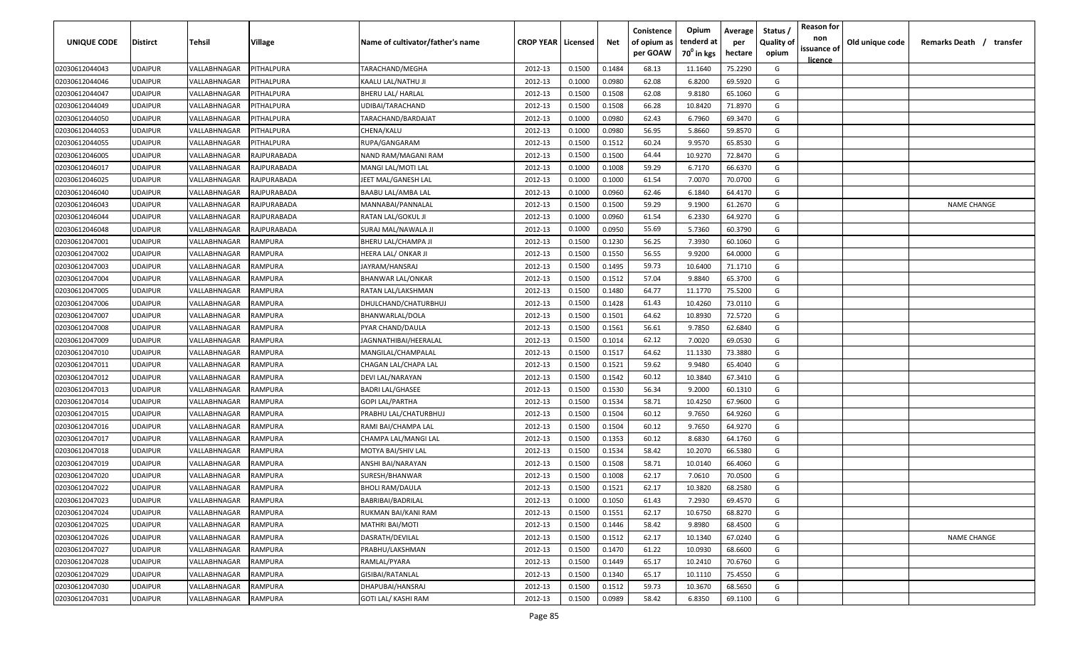| UNIQUE CODE    | Distirct       | Tehsil       | Village          | Name of cultivator/father's name | <b>CROP YEAR   Licensed</b> |        | Net    | Conistence<br>of opium as | Opium<br>tenderd at    | Average<br>per | Status /<br><b>Quality of</b> | <b>Reason for</b><br>non<br>issuance of | Old unique code | Remarks Death /<br>transfer |
|----------------|----------------|--------------|------------------|----------------------------------|-----------------------------|--------|--------|---------------------------|------------------------|----------------|-------------------------------|-----------------------------------------|-----------------|-----------------------------|
|                |                |              |                  |                                  |                             |        |        | per GOAW                  | 70 <sup>0</sup> in kgs | hectare        | opium                         | <u>licence</u>                          |                 |                             |
| 02030612044043 | <b>JDAIPUR</b> | VALLABHNAGAR | PITHALPURA       | TARACHAND/MEGHA                  | 2012-13                     | 0.1500 | 0.1484 | 68.13                     | 11.1640                | 75.2290        | G                             |                                         |                 |                             |
| 02030612044046 | UDAIPUR        | VALLABHNAGAR | PITHALPURA       | KAALU LAL/NATHU JI               | 2012-13                     | 0.1000 | 0.0980 | 62.08                     | 6.8200                 | 69.5920        | G                             |                                         |                 |                             |
| 02030612044047 | <b>JDAIPUR</b> | VALLABHNAGAR | <b>ITHALPURA</b> | <b>BHERU LAL/ HARLAL</b>         | 2012-13                     | 0.1500 | 0.1508 | 62.08                     | 9.8180                 | 65.1060        | G                             |                                         |                 |                             |
| 02030612044049 | <b>JDAIPUR</b> | VALLABHNAGAR | <b>ITHALPURA</b> | UDIBAI/TARACHAND                 | 2012-13                     | 0.1500 | 0.1508 | 66.28                     | 10.8420                | 71.8970        | G                             |                                         |                 |                             |
| 02030612044050 | <b>JDAIPUR</b> | VALLABHNAGAR | <b>ITHALPURA</b> | TARACHAND/BARDAJAT               | 2012-13                     | 0.1000 | 0.0980 | 62.43                     | 6.7960                 | 69.3470        | G                             |                                         |                 |                             |
| 02030612044053 | <b>JDAIPUR</b> | VALLABHNAGAR | <b>ITHALPURA</b> | CHENA/KALU                       | 2012-13                     | 0.1000 | 0.0980 | 56.95                     | 5.8660                 | 59.8570        | G                             |                                         |                 |                             |
| 02030612044055 | <b>JDAIPUR</b> | VALLABHNAGAR | <b>ITHALPURA</b> | RUPA/GANGARAM                    | 2012-13                     | 0.1500 | 0.1512 | 60.24                     | 9.9570                 | 65.8530        | G                             |                                         |                 |                             |
| 02030612046005 | <b>JDAIPUR</b> | VALLABHNAGAR | RAJPURABADA      | NAND RAM/MAGANI RAM              | 2012-13                     | 0.1500 | 0.1500 | 64.44                     | 10.9270                | 72.8470        | G                             |                                         |                 |                             |
| 02030612046017 | <b>JDAIPUR</b> | VALLABHNAGAR | RAJPURABADA      | MANGI LAL/MOTI LAL               | 2012-13                     | 0.1000 | 0.1008 | 59.29                     | 6.7170                 | 66.6370        | G                             |                                         |                 |                             |
| 02030612046025 | UDAIPUR        | VALLABHNAGAR | RAJPURABADA      | JEET MAL/GANESH LAL              | 2012-13                     | 0.1000 | 0.1000 | 61.54                     | 7.0070                 | 70.0700        | G                             |                                         |                 |                             |
| 02030612046040 | JDAIPUR        | VALLABHNAGAR | RAJPURABADA      | BAABU LAL/AMBA LAL               | 2012-13                     | 0.1000 | 0.0960 | 62.46                     | 6.1840                 | 64.4170        | G                             |                                         |                 |                             |
| 02030612046043 | <b>JDAIPUR</b> | VALLABHNAGAR | RAJPURABADA      | MANNABAI/PANNALAL                | 2012-13                     | 0.1500 | 0.1500 | 59.29                     | 9.1900                 | 61.2670        | G                             |                                         |                 | <b>NAME CHANGE</b>          |
| 02030612046044 | <b>JDAIPUR</b> | VALLABHNAGAR | RAJPURABADA      | RATAN LAL/GOKUL JI               | 2012-13                     | 0.1000 | 0.0960 | 61.54                     | 6.2330                 | 64.9270        | G                             |                                         |                 |                             |
| 02030612046048 | <b>JDAIPUR</b> | VALLABHNAGAR | RAJPURABADA      | SURAJ MAL/NAWALA JI              | 2012-13                     | 0.1000 | 0.0950 | 55.69                     | 5.7360                 | 60.3790        | G                             |                                         |                 |                             |
| 02030612047001 | <b>JDAIPUR</b> | VALLABHNAGAR | RAMPURA          | BHERU LAL/CHAMPA JI              | 2012-13                     | 0.1500 | 0.1230 | 56.25                     | 7.3930                 | 60.1060        | G                             |                                         |                 |                             |
| 02030612047002 | <b>JDAIPUR</b> | VALLABHNAGAR | RAMPURA          | HEERA LAL/ ONKAR JI              | 2012-13                     | 0.1500 | 0.1550 | 56.55                     | 9.9200                 | 64.0000        | G                             |                                         |                 |                             |
| 02030612047003 | <b>JDAIPUR</b> | VALLABHNAGAR | RAMPURA          | JAYRAM/HANSRAJ                   | 2012-13                     | 0.1500 | 0.1495 | 59.73                     | 10.6400                | 71.1710        | G                             |                                         |                 |                             |
| 02030612047004 | <b>JDAIPUR</b> | VALLABHNAGAR | RAMPURA          | <b>BHANWAR LAL/ONKAR</b>         | 2012-13                     | 0.1500 | 0.1512 | 57.04                     | 9.8840                 | 65.3700        | G                             |                                         |                 |                             |
| 02030612047005 | UDAIPUR        | VALLABHNAGAR | የAMPURA          | RATAN LAL/LAKSHMAN               | 2012-13                     | 0.1500 | 0.1480 | 64.77                     | 11.1770                | 75.5200        | G                             |                                         |                 |                             |
| 02030612047006 | <b>JDAIPUR</b> | VALLABHNAGAR | RAMPURA          | DHULCHAND/CHATURBHUJ             | 2012-13                     | 0.1500 | 0.1428 | 61.43                     | 10.4260                | 73.0110        | G                             |                                         |                 |                             |
| 02030612047007 | <b>JDAIPUR</b> | VALLABHNAGAR | RAMPURA          | BHANWARLAL/DOLA                  | 2012-13                     | 0.1500 | 0.1501 | 64.62                     | 10.8930                | 72.5720        | G                             |                                         |                 |                             |
| 02030612047008 | <b>JDAIPUR</b> | VALLABHNAGAR | RAMPURA          | PYAR CHAND/DAULA                 | 2012-13                     | 0.1500 | 0.1561 | 56.61                     | 9.7850                 | 62.6840        | G                             |                                         |                 |                             |
| 02030612047009 | <b>JDAIPUR</b> | VALLABHNAGAR | RAMPURA          | JAGNNATHIBAI/HEERALAL            | 2012-13                     | 0.1500 | 0.1014 | 62.12                     | 7.0020                 | 69.0530        | G                             |                                         |                 |                             |
| 02030612047010 | <b>JDAIPUR</b> | VALLABHNAGAR | <b>AMPURA</b>    | MANGILAL/CHAMPALAL               | 2012-13                     | 0.1500 | 0.1517 | 64.62                     | 11.1330                | 73.3880        | G                             |                                         |                 |                             |
| 02030612047011 | <b>JDAIPUR</b> | VALLABHNAGAR | RAMPURA          | CHAGAN LAL/CHAPA LAL             | 2012-13                     | 0.1500 | 0.1521 | 59.62                     | 9.9480                 | 65.4040        | G                             |                                         |                 |                             |
| 02030612047012 | <b>JDAIPUR</b> | VALLABHNAGAR | RAMPURA          | DEVI LAL/NARAYAN                 | 2012-13                     | 0.1500 | 0.1542 | 60.12                     | 10.3840                | 67.3410        | G                             |                                         |                 |                             |
| 02030612047013 | UDAIPUR        | VALLABHNAGAR | RAMPURA          | <b>BADRI LAL/GHASEE</b>          | 2012-13                     | 0.1500 | 0.1530 | 56.34                     | 9.2000                 | 60.1310        | G                             |                                         |                 |                             |
| 02030612047014 | JDAIPUR        | VALLABHNAGAR | የAMPURA          | GOPI LAL/PARTHA                  | 2012-13                     | 0.1500 | 0.1534 | 58.71                     | 10.4250                | 67.9600        | G                             |                                         |                 |                             |
| 02030612047015 | <b>JDAIPUR</b> | VALLABHNAGAR | RAMPURA          | PRABHU LAL/CHATURBHUJ            | 2012-13                     | 0.1500 | 0.1504 | 60.12                     | 9.7650                 | 64.9260        | G                             |                                         |                 |                             |
| 02030612047016 | <b>JDAIPUR</b> | VALLABHNAGAR | RAMPURA          | RAMI BAI/CHAMPA LAL              | 2012-13                     | 0.1500 | 0.1504 | 60.12                     | 9.7650                 | 64.9270        | G                             |                                         |                 |                             |
| 02030612047017 | <b>JDAIPUR</b> | VALLABHNAGAR | RAMPURA          | CHAMPA LAL/MANGI LAL             | 2012-13                     | 0.1500 | 0.1353 | 60.12                     | 8.6830                 | 64.1760        | G                             |                                         |                 |                             |
| 02030612047018 | <b>JDAIPUR</b> | VALLABHNAGAR | RAMPURA          | MOTYA BAI/SHIV LAL               | 2012-13                     | 0.1500 | 0.1534 | 58.42                     | 10.2070                | 66.5380        | G                             |                                         |                 |                             |
| 02030612047019 | <b>JDAIPUR</b> | VALLABHNAGAR | RAMPURA          | ANSHI BAI/NARAYAN                | 2012-13                     | 0.1500 | 0.1508 | 58.71                     | 10.0140                | 66.4060        | G                             |                                         |                 |                             |
| 02030612047020 | <b>JDAIPUR</b> | VALLABHNAGAR | <b>AMPURA</b>    | SURESH/BHANWAR                   | 2012-13                     | 0.1500 | 0.1008 | 62.17                     | 7.0610                 | 70.0500        | G                             |                                         |                 |                             |
| 02030612047022 | UDAIPUR        | VALLABHNAGAR | የAMPURA          | <b>BHOLI RAM/DAULA</b>           | 2012-13                     | 0.1500 | 0.1521 | 62.17                     | 10.3820                | 68.2580        | G                             |                                         |                 |                             |
| 02030612047023 | UDAIPUR        | VALLABHNAGAR | RAMPURA          | BABRIBAI/BADRILAL                | 2012-13                     | 0.1000 | 0.1050 | 61.43                     | 7.2930                 | 69.4570        | G                             |                                         |                 |                             |
| 02030612047024 | <b>JDAIPUR</b> | VALLABHNAGAR | RAMPURA          | RUKMAN BAI/KANI RAM              | 2012-13                     | 0.1500 | 0.1551 | 62.17                     | 10.6750                | 68.8270        | G                             |                                         |                 |                             |
| 02030612047025 | <b>JDAIPUR</b> | VALLABHNAGAR | RAMPURA          | <b>MATHRI BAI/MOTI</b>           | 2012-13                     | 0.1500 | 0.1446 | 58.42                     | 9.8980                 | 68.4500        | G                             |                                         |                 |                             |
| 02030612047026 | UDAIPUR        | VALLABHNAGAR | RAMPURA          | DASRATH/DEVILAL                  | 2012-13                     | 0.1500 | 0.1512 | 62.17                     | 10.1340                | 67.0240        | G                             |                                         |                 | <b>NAME CHANGE</b>          |
| 02030612047027 | <b>JDAIPUR</b> | VALLABHNAGAR | RAMPURA          | PRABHU/LAKSHMAN                  | 2012-13                     | 0.1500 | 0.1470 | 61.22                     | 10.0930                | 68.6600        | G                             |                                         |                 |                             |
| 02030612047028 | <b>JDAIPUR</b> | VALLABHNAGAR | RAMPURA          | RAMLAL/PYARA                     | 2012-13                     | 0.1500 | 0.1449 | 65.17                     | 10.2410                | 70.6760        | G                             |                                         |                 |                             |
| 02030612047029 | <b>JDAIPUR</b> | VALLABHNAGAR | RAMPURA          | GISIBAI/RATANLAL                 | 2012-13                     | 0.1500 | 0.1340 | 65.17                     | 10.1110                | 75.4550        | G                             |                                         |                 |                             |
| 02030612047030 | <b>JDAIPUR</b> | VALLABHNAGAR | RAMPURA          | DHAPUBAI/HANSRAJ                 | 2012-13                     | 0.1500 | 0.1512 | 59.73                     | 10.3670                | 68.5650        | G                             |                                         |                 |                             |
| 02030612047031 | UDAIPUR        | VALLABHNAGAR | RAMPURA          | GOTI LAL/ KASHI RAM              | 2012-13                     | 0.1500 | 0.0989 | 58.42                     | 6.8350                 | 69.1100        | G                             |                                         |                 |                             |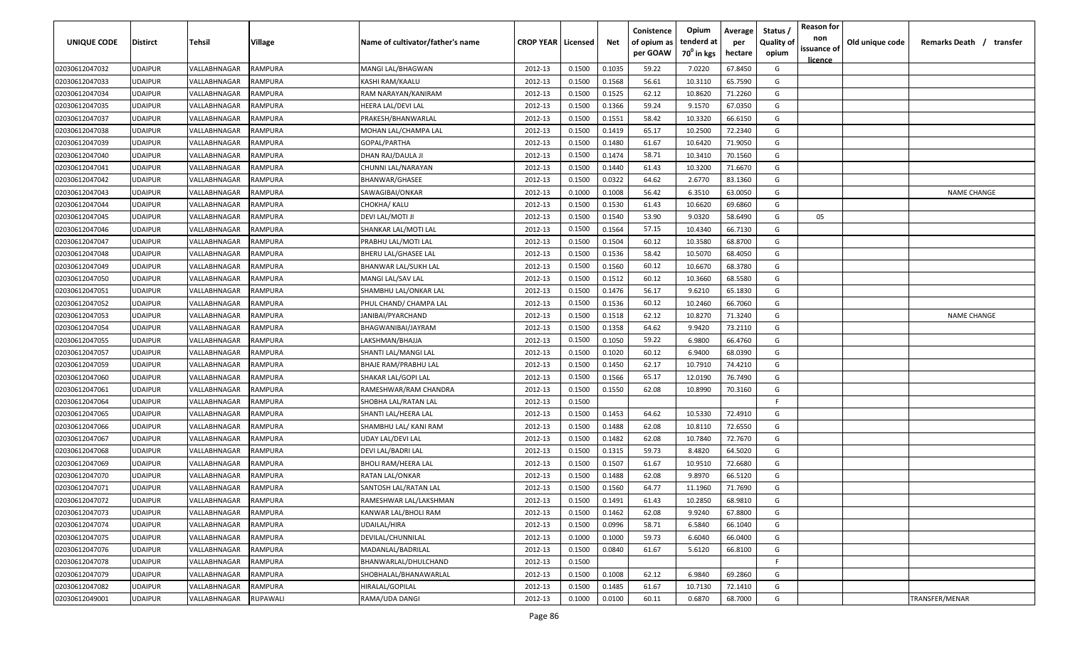| UNIQUE CODE    | Distirct       | <b>Tehsil</b>              | Village        | Name of cultivator/father's name | <b>CROP YEAR   Licensed</b> |        | Net    | Conistence<br>of opium as<br>per GOAW | Opium<br>tenderd at<br>$70^0$ in kgs | Average<br>per<br>hectare | Status /<br><b>Quality of</b><br>opium | <b>Reason for</b><br>non<br>issuance of | Old unique code | Remarks Death /<br>transfer |
|----------------|----------------|----------------------------|----------------|----------------------------------|-----------------------------|--------|--------|---------------------------------------|--------------------------------------|---------------------------|----------------------------------------|-----------------------------------------|-----------------|-----------------------------|
| 02030612047032 | <b>UDAIPUR</b> | VALLABHNAGAR               | <b>RAMPURA</b> | MANGI LAL/BHAGWAN                | 2012-13                     | 0.1500 | 0.1035 | 59.22                                 | 7.0220                               | 67.8450                   | G                                      | <u>licence</u>                          |                 |                             |
| 02030612047033 | <b>UDAIPUR</b> | VALLABHNAGAR               | RAMPURA        | KASHI RAM/KAALU                  | 2012-13                     | 0.1500 | 0.1568 | 56.61                                 | 10.3110                              | 65.7590                   | G                                      |                                         |                 |                             |
| 02030612047034 | <b>UDAIPUR</b> | VALLABHNAGAR               | <b>RAMPURA</b> | RAM NARAYAN/KANIRAM              | 2012-13                     | 0.1500 | 0.1525 | 62.12                                 | 10.8620                              | 71.2260                   | G                                      |                                         |                 |                             |
| 02030612047035 | <b>UDAIPUR</b> | VALLABHNAGAR               | <b>RAMPURA</b> | HEERA LAL/DEVI LAL               | 2012-13                     | 0.1500 | 0.1366 | 59.24                                 | 9.1570                               | 67.0350                   | G                                      |                                         |                 |                             |
| 02030612047037 | <b>UDAIPUR</b> | VALLABHNAGAR               | <b>RAMPURA</b> | PRAKESH/BHANWARLAL               | 2012-13                     | 0.1500 | 0.1551 | 58.42                                 | 10.3320                              | 66.6150                   | G                                      |                                         |                 |                             |
| 02030612047038 | <b>UDAIPUR</b> | VALLABHNAGAR               | <b>RAMPURA</b> | MOHAN LAL/CHAMPA LAL             | 2012-13                     | 0.1500 | 0.1419 | 65.17                                 | 10.2500                              | 72.2340                   | G                                      |                                         |                 |                             |
| 02030612047039 | <b>UDAIPUR</b> | VALLABHNAGAR               | <b>RAMPURA</b> | GOPAL/PARTHA                     | 2012-13                     | 0.1500 | 0.1480 | 61.67                                 | 10.6420                              | 71.9050                   | G                                      |                                         |                 |                             |
| 02030612047040 | <b>UDAIPUR</b> | VALLABHNAGAR               | <b>RAMPURA</b> | DHAN RAJ/DAULA JI                | 2012-13                     | 0.1500 | 0.1474 | 58.71                                 | 10.3410                              | 70.1560                   | G                                      |                                         |                 |                             |
| 02030612047041 | <b>UDAIPUR</b> | VALLABHNAGAR               | <b>RAMPURA</b> | CHUNNI LAL/NARAYAN               | 2012-13                     | 0.1500 | 0.1440 | 61.43                                 | 10.3200                              | 71.6670                   | G                                      |                                         |                 |                             |
| 02030612047042 | UDAIPUR        | VALLABHNAGAR               | RAMPURA        | BHANWAR/GHASEE                   | 2012-13                     | 0.1500 | 0.0322 | 64.62                                 | 2.6770                               | 83.1360                   | G                                      |                                         |                 |                             |
| 02030612047043 | UDAIPUR        | VALLABHNAGAR               | RAMPURA        | SAWAGIBAI/ONKAR                  | 2012-13                     | 0.1000 | 0.1008 | 56.42                                 | 6.3510                               | 63.0050                   | G                                      |                                         |                 | <b>NAME CHANGE</b>          |
| 02030612047044 | UDAIPUR        | VALLABHNAGAR               | <b>RAMPURA</b> | CHOKHA/ KALU                     | 2012-13                     | 0.1500 | 0.1530 | 61.43                                 | 10.6620                              | 69.6860                   | G                                      |                                         |                 |                             |
| 02030612047045 | UDAIPUR        | VALLABHNAGAR               | RAMPURA        | DEVI LAL/MOTI JI                 | 2012-13                     | 0.1500 | 0.1540 | 53.90                                 | 9.0320                               | 58.6490                   | G                                      | 05                                      |                 |                             |
| 02030612047046 | <b>UDAIPUR</b> | VALLABHNAGAR               | RAMPURA        | SHANKAR LAL/MOTI LAL             | 2012-13                     | 0.1500 | 0.1564 | 57.15                                 | 10.4340                              | 66.7130                   | G                                      |                                         |                 |                             |
| 02030612047047 | <b>UDAIPUR</b> | VALLABHNAGAR               | RAMPURA        | PRABHU LAL/MOTI LAL              | 2012-13                     | 0.1500 | 0.1504 | 60.12                                 | 10.3580                              | 68.8700                   | G                                      |                                         |                 |                             |
| 02030612047048 | <b>UDAIPUR</b> | <b>VALLABHNAGAR</b>        | <b>RAMPURA</b> | BHERU LAL/GHASEE LAL             | 2012-13                     | 0.1500 | 0.1536 | 58.42                                 | 10.5070                              | 68.4050                   | G                                      |                                         |                 |                             |
| 02030612047049 | <b>UDAIPUR</b> | VALLABHNAGAR               | <b>RAMPURA</b> | BHANWAR LAL/SUKH LAL             | 2012-13                     | 0.1500 | 0.1560 | 60.12                                 | 10.6670                              | 68.3780                   | G                                      |                                         |                 |                             |
| 02030612047050 | <b>UDAIPUR</b> | VALLABHNAGAR               | <b>RAMPURA</b> | MANGI LAL/SAV LAL                | 2012-13                     | 0.1500 | 0.1512 | 60.12                                 | 10.3660                              | 68.5580                   | G                                      |                                         |                 |                             |
| 02030612047051 | <b>UDAIPUR</b> | VALLABHNAGAR               | RAMPURA        | SHAMBHU LAL/ONKAR LAL            | 2012-13                     | 0.1500 | 0.1476 | 56.17                                 | 9.6210                               | 65.1830                   | G                                      |                                         |                 |                             |
| 02030612047052 | <b>UDAIPUR</b> | VALLABHNAGAR               | RAMPURA        | PHUL CHAND/ CHAMPA LAL           | 2012-13                     | 0.1500 | 0.1536 | 60.12                                 | 10.2460                              | 66.7060                   | G                                      |                                         |                 |                             |
| 02030612047053 | <b>UDAIPUR</b> | VALLABHNAGAR               | <b>RAMPURA</b> | JANIBAI/PYARCHAND                | 2012-13                     | 0.1500 | 0.1518 | 62.12                                 | 10.8270                              | 71.3240                   | G                                      |                                         |                 | <b>NAME CHANGE</b>          |
| 02030612047054 | <b>UDAIPUR</b> | VALLABHNAGAR               | <b>RAMPURA</b> | BHAGWANIBAI/JAYRAM               | 2012-13                     | 0.1500 | 0.1358 | 64.62                                 | 9.9420                               | 73.2110                   | G                                      |                                         |                 |                             |
| 02030612047055 | <b>UDAIPUR</b> | VALLABHNAGAR               | RAMPURA        | LAKSHMAN/BHAJJA                  | 2012-13                     | 0.1500 | 0.1050 | 59.22                                 | 6.9800                               | 66.4760                   | G                                      |                                         |                 |                             |
| 02030612047057 | <b>UDAIPUR</b> | VALLABHNAGAR               | <b>RAMPURA</b> | SHANTI LAL/MANGI LAL             | 2012-13                     | 0.1500 | 0.1020 | 60.12                                 | 6.9400                               | 68.0390                   | G                                      |                                         |                 |                             |
| 02030612047059 | <b>UDAIPUR</b> | <b><i>VALLABHNAGAR</i></b> | <b>RAMPURA</b> | BHAJE RAM/PRABHU LAL             | 2012-13                     | 0.1500 | 0.1450 | 62.17                                 | 10.7910                              | 74.4210                   | G                                      |                                         |                 |                             |
| 02030612047060 | <b>UDAIPUR</b> | VALLABHNAGAR               | <b>RAMPURA</b> | SHAKAR LAL/GOPI LAL              | 2012-13                     | 0.1500 | 0.1566 | 65.17                                 | 12.0190                              | 76.7490                   | G                                      |                                         |                 |                             |
| 02030612047061 | UDAIPUR        | VALLABHNAGAR               | <b>RAMPURA</b> | RAMESHWAR/RAM CHANDRA            | 2012-13                     | 0.1500 | 0.1550 | 62.08                                 | 10.8990                              | 70.3160                   | G                                      |                                         |                 |                             |
| 02030612047064 | UDAIPUR        | VALLABHNAGAR               | <b>RAMPURA</b> | SHOBHA LAL/RATAN LAL             | 2012-13                     | 0.1500 |        |                                       |                                      |                           | F.                                     |                                         |                 |                             |
| 02030612047065 | UDAIPUR        | VALLABHNAGAR               | <b>RAMPURA</b> | SHANTI LAL/HEERA LAL             | 2012-13                     | 0.1500 | 0.1453 | 64.62                                 | 10.5330                              | 72.4910                   | G                                      |                                         |                 |                             |
| 02030612047066 | <b>UDAIPUR</b> | VALLABHNAGAR               | <b>RAMPURA</b> | SHAMBHU LAL/ KANI RAM            | 2012-13                     | 0.1500 | 0.1488 | 62.08                                 | 10.8110                              | 72.6550                   | G                                      |                                         |                 |                             |
| 02030612047067 | <b>UDAIPUR</b> | VALLABHNAGAR               | <b>RAMPURA</b> | <b>UDAY LAL/DEVI LAL</b>         | 2012-13                     | 0.1500 | 0.1482 | 62.08                                 | 10.7840                              | 72.7670                   | G                                      |                                         |                 |                             |
| 02030612047068 | <b>UDAIPUR</b> | VALLABHNAGAR               | <b>RAMPURA</b> | DEVI LAL/BADRI LAL               | 2012-13                     | 0.1500 | 0.1315 | 59.73                                 | 8.4820                               | 64.5020                   | G                                      |                                         |                 |                             |
| 02030612047069 | <b>UDAIPUR</b> | VALLABHNAGAR               | <b>RAMPURA</b> | BHOLI RAM/HEERA LAL              | 2012-13                     | 0.1500 | 0.1507 | 61.67                                 | 10.9510                              | 72.6680                   | G                                      |                                         |                 |                             |
| 02030612047070 | <b>UDAIPUR</b> | VALLABHNAGAR               | <b>RAMPURA</b> | RATAN LAL/ONKAR                  | 2012-13                     | 0.1500 | 0.1488 | 62.08                                 | 9.8970                               | 66.5120                   | G                                      |                                         |                 |                             |
| 02030612047071 | <b>UDAIPUR</b> | VALLABHNAGAR               | RAMPURA        | SANTOSH LAL/RATAN LAL            | 2012-13                     | 0.1500 | 0.1560 | 64.77                                 | 11.1960                              | 71.7690                   | G                                      |                                         |                 |                             |
| 02030612047072 | <b>UDAIPUR</b> | VALLABHNAGAR               | <b>RAMPURA</b> | RAMESHWAR LAL/LAKSHMAN           | 2012-13                     | 0.1500 | 0.1491 | 61.43                                 | 10.2850                              | 68.9810                   | G                                      |                                         |                 |                             |
| 02030612047073 | <b>UDAIPUR</b> | VALLABHNAGAR               | <b>RAMPURA</b> | KANWAR LAL/BHOLI RAM             | 2012-13                     | 0.1500 | 0.1462 | 62.08                                 | 9.9240                               | 67.8800                   | G                                      |                                         |                 |                             |
| 02030612047074 | <b>UDAIPUR</b> | VALLABHNAGAR               | <b>RAMPURA</b> | UDAILAL/HIRA                     | 2012-13                     | 0.1500 | 0.0996 | 58.71                                 | 6.5840                               | 66.1040                   | G                                      |                                         |                 |                             |
| 02030612047075 | <b>UDAIPUR</b> | VALLABHNAGAR               | <b>RAMPURA</b> | DEVILAL/CHUNNILAL                | 2012-13                     | 0.1000 | 0.1000 | 59.73                                 | 6.6040                               | 66.0400                   | G                                      |                                         |                 |                             |
| 02030612047076 | <b>UDAIPUR</b> | VALLABHNAGAR               | <b>RAMPURA</b> | MADANLAL/BADRILAL                | 2012-13                     | 0.1500 | 0.0840 | 61.67                                 | 5.6120                               | 66.8100                   | G                                      |                                         |                 |                             |
| 02030612047078 | <b>UDAIPUR</b> | VALLABHNAGAR               | <b>RAMPURA</b> | BHANWARLAL/DHULCHAND             | 2012-13                     | 0.1500 |        |                                       |                                      |                           | F.                                     |                                         |                 |                             |
| 02030612047079 | <b>UDAIPUR</b> | VALLABHNAGAR               | <b>RAMPURA</b> | SHOBHALAL/BHANAWARLAL            | 2012-13                     | 0.1500 | 0.1008 | 62.12                                 | 6.9840                               | 69.2860                   | G                                      |                                         |                 |                             |
| 02030612047082 | <b>UDAIPUR</b> | VALLABHNAGAR               | <b>RAMPURA</b> | HIRALAL/GOPILAL                  | 2012-13                     | 0.1500 | 0.1485 | 61.67                                 | 10.7130                              | 72.1410                   | G                                      |                                         |                 |                             |
| 02030612049001 | <b>UDAIPUR</b> | VALLABHNAGAR               | RUPAWALI       | RAMA/UDA DANGI                   | 2012-13                     | 0.1000 | 0.0100 | 60.11                                 | 0.6870                               | 68.7000                   | G                                      |                                         |                 | TRANSFER/MENAR              |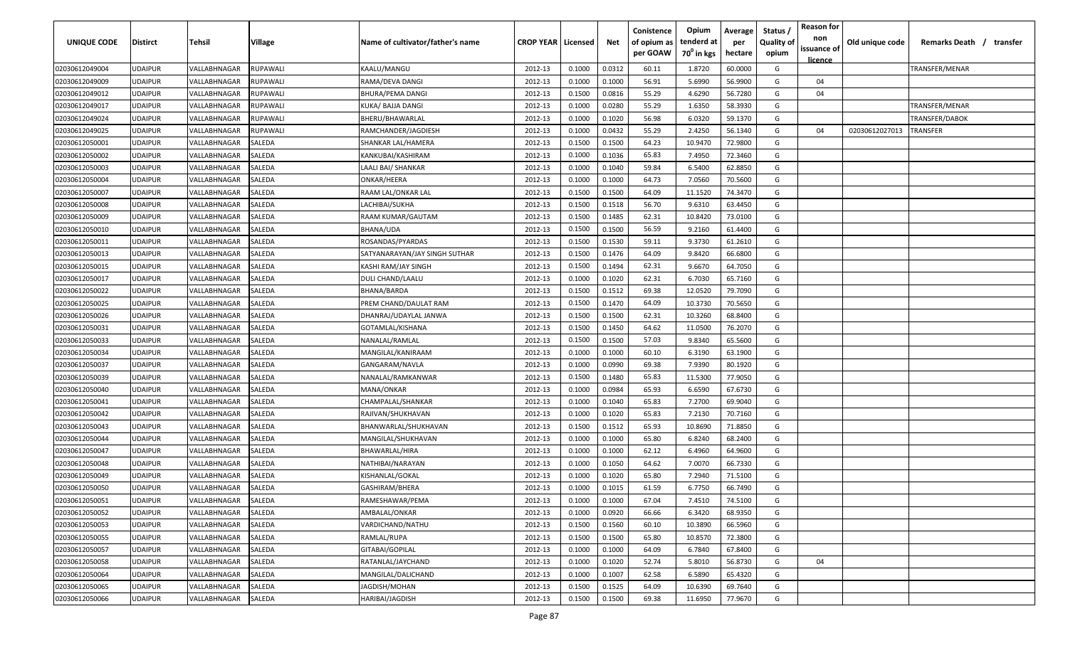| UNIQUE CODE                      | <b>Distirct</b>                  | Tehsil                       | Village          | Name of cultivator/father's name | <b>CROP YEAR   Licensed</b> |                  | Net              | Conistence<br>of opium as<br>per GOAW | Opium<br>tenderd at<br>70 <sup>°</sup> in kgs | Average<br>per<br>hectare | Status<br><b>Quality of</b><br>opium | <b>Reason for</b><br>non<br>issuance of | Old unique code | Remarks Death / transfer |  |
|----------------------------------|----------------------------------|------------------------------|------------------|----------------------------------|-----------------------------|------------------|------------------|---------------------------------------|-----------------------------------------------|---------------------------|--------------------------------------|-----------------------------------------|-----------------|--------------------------|--|
|                                  |                                  |                              |                  |                                  |                             |                  |                  |                                       |                                               |                           |                                      | <u>licence</u>                          |                 |                          |  |
| 02030612049004                   | <b>UDAIPUR</b>                   | VALLABHNAGAR                 | RUPAWALI         | KAALU/MANGU                      | 2012-13                     | 0.1000           | 0.0312           | 60.11                                 | 1.8720                                        | 60.0000                   | G                                    |                                         |                 | TRANSFER/MENAR           |  |
| 02030612049009                   | <b>UDAIPUR</b>                   | VALLABHNAGAR                 | <b>RUPAWALI</b>  | RAMA/DEVA DANGI                  | 2012-13                     | 0.1000           | 0.1000           | 56.91                                 | 5.6990                                        | 56.9900                   | G                                    | 04                                      |                 |                          |  |
| 02030612049012                   | <b>UDAIPUR</b>                   | VALLABHNAGAR                 | <b>UPAWALI</b>   | BHURA/PEMA DANGI                 | 2012-13                     | 0.1500           | 0.0816           | 55.29                                 | 4.6290                                        | 56.7280                   | G                                    | 04                                      |                 |                          |  |
| 02030612049017                   | <b>UDAIPUR</b>                   | VALLABHNAGAR                 | <b>RUPAWALI</b>  | KUKA/ BAJJA DANGI                | 2012-13                     | 0.1000           | 0.0280           | 55.29                                 | 1.6350                                        | 58.3930                   | G                                    |                                         |                 | TRANSFER/MENAR           |  |
| 02030612049024                   | <b>UDAIPUR</b>                   | VALLABHNAGAR                 | RUPAWALI         | BHERU/BHAWARLAL                  | 2012-13                     | 0.1000           | 0.1020           | 56.98                                 | 6.0320                                        | 59.1370                   | G                                    |                                         |                 | TRANSFER/DABOK           |  |
| 02030612049025                   | <b>UDAIPUR</b>                   | VALLABHNAGAR<br>VALLABHNAGAR | <b>RUPAWALI</b>  | RAMCHANDER/JAGDIESH              | 2012-13                     | 0.1000           | 0.0432           | 55.29                                 | 2.4250                                        | 56.1340                   | G                                    | 04                                      | 02030612027013  | TRANSFER                 |  |
| 02030612050001                   | <b>UDAIPUR</b>                   |                              | SALEDA           | SHANKAR LAL/HAMERA               | 2012-13                     | 0.1500           | 0.1500           | 64.23                                 | 10.9470                                       | 72.9800                   | G                                    |                                         |                 |                          |  |
| 02030612050002<br>02030612050003 | <b>UDAIPUR</b><br><b>UDAIPUR</b> | VALLABHNAGAR                 | SALEDA<br>SALEDA | KANKUBAI/KASHIRAM                | 2012-13                     | 0.1000           | 0.1036           | 65.83<br>59.84                        | 7.4950                                        | 72.3460                   | G<br>G                               |                                         |                 |                          |  |
|                                  | <b>UDAIPUR</b>                   | VALLABHNAGAR                 |                  | LAALI BAI/ SHANKAR               | 2012-13                     | 0.1000           | 0.1040<br>0.1000 | 64.73                                 | 6.5400                                        | 62.8850                   | G                                    |                                         |                 |                          |  |
| 02030612050004                   | <b>UDAIPUR</b>                   | VALLABHNAGAR                 | SALEDA<br>SALEDA | ONKAR/HEERA                      | 2012-13                     | 0.1000           | 0.1500           | 64.09                                 | 7.0560                                        | 70.5600                   | G                                    |                                         |                 |                          |  |
| 02030612050007                   | <b>UDAIPUR</b>                   | VALLABHNAGAR                 | SALEDA           | RAAM LAL/ONKAR LAL               | 2012-13                     | 0.1500           | 0.1518           | 56.70                                 | 11.1520<br>9.6310                             | 74.3470                   | G                                    |                                         |                 |                          |  |
| 02030612050008                   | <b>UDAIPUR</b>                   | VALLABHNAGAR                 | SALEDA           | LACHIBAI/SUKHA                   | 2012-13                     | 0.1500           | 0.1485           | 62.31                                 | 10.8420                                       | 63.4450                   | G                                    |                                         |                 |                          |  |
| 02030612050009                   |                                  | VALLABHNAGAR<br>VALLABHNAGAR |                  | RAAM KUMAR/GAUTAM                | 2012-13                     | 0.1500<br>0.1500 | 0.1500           | 56.59                                 | 9.2160                                        | 73.0100<br>61.4400        | G                                    |                                         |                 |                          |  |
| 02030612050010                   | <b>UDAIPUR</b><br><b>UDAIPUR</b> | VALLABHNAGAR                 | SALEDA<br>SALEDA | BHANA/UDA                        | 2012-13                     | 0.1500           | 0.1530           | 59.11                                 | 9.3730                                        | 61.2610                   | G                                    |                                         |                 |                          |  |
| 02030612050011                   |                                  |                              |                  | ROSANDAS/PYARDAS                 | 2012-13                     |                  |                  | 64.09                                 |                                               |                           |                                      |                                         |                 |                          |  |
| 02030612050013                   | <b>UDAIPUR</b>                   | VALLABHNAGAR                 | SALEDA           | SATYANARAYAN/JAY SINGH SUTHAR    | 2012-13                     | 0.1500           | 0.1476           |                                       | 9.8420                                        | 66.6800                   | G                                    |                                         |                 |                          |  |
| 02030612050015                   | <b>UDAIPUR</b>                   | VALLABHNAGAR                 | SALEDA           | KASHI RAM/JAY SINGH              | 2012-13                     | 0.1500           | 0.1494           | 62.31                                 | 9.6670                                        | 64.7050                   | G                                    |                                         |                 |                          |  |
| 02030612050017                   | <b>UDAIPUR</b>                   | VALLABHNAGAR                 | SALEDA           | DULI CHAND/LAALU                 | 2012-13                     | 0.1000           | 0.1020           | 62.31                                 | 6.7030                                        | 65.7160                   | G                                    |                                         |                 |                          |  |
| 02030612050022                   | <b>UDAIPUR</b>                   | VALLABHNAGAR                 | SALEDA           | BHANA/BARDA                      | 2012-13                     | 0.1500           | 0.1512           | 69.38                                 | 12.0520                                       | 79.7090                   | G                                    |                                         |                 |                          |  |
| 02030612050025                   | <b>UDAIPUR</b>                   | VALLABHNAGAR                 | SALEDA           | PREM CHAND/DAULAT RAM            | 2012-13                     | 0.1500           | 0.1470           | 64.09<br>62.31                        | 10.3730                                       | 70.5650                   | G                                    |                                         |                 |                          |  |
| 02030612050026                   | <b>UDAIPUR</b><br><b>UDAIPUR</b> | VALLABHNAGAR                 | SALEDA           | DHANRAJ/UDAYLAL JANWA            | 2012-13                     | 0.1500<br>0.1500 | 0.1500           | 64.62                                 | 10.3260<br>11.0500                            | 68.8400                   | G<br>G                               |                                         |                 |                          |  |
| 02030612050031                   | <b>UDAIPUR</b>                   | VALLABHNAGAR<br>VALLABHNAGAR | SALEDA           | GOTAMLAL/KISHANA                 | 2012-13                     | 0.1500           | 0.1450           | 57.03                                 |                                               | 76.2070                   |                                      |                                         |                 |                          |  |
| 02030612050033                   | <b>UDAIPUR</b>                   | VALLABHNAGAR                 | SALEDA           | NANALAL/RAMLAL                   | 2012-13                     |                  | 0.1500           |                                       | 9.8340                                        | 65.5600                   | G                                    |                                         |                 |                          |  |
| 02030612050034                   |                                  |                              | SALEDA           | MANGILAL/KANIRAAM                | 2012-13                     | 0.1000           | 0.1000           | 60.10                                 | 6.3190                                        | 63.1900                   | G                                    |                                         |                 |                          |  |
| 02030612050037                   | <b>UDAIPUR</b>                   | VALLABHNAGAR                 | SALEDA           | GANGARAM/NAVLA                   | 2012-13                     | 0.1000           | 0.0990           | 69.38                                 | 7.9390                                        | 80.1920                   | G                                    |                                         |                 |                          |  |
| 02030612050039                   | <b>UDAIPUR</b>                   | VALLABHNAGAR                 | SALEDA           | NANALAL/RAMKANWAR                | 2012-13                     | 0.1500           | 0.1480           | 65.83                                 | 11.5300                                       | 77.9050                   | G<br>G                               |                                         |                 |                          |  |
| 02030612050040                   | <b>UDAIPUR</b>                   | VALLABHNAGAR                 | SALEDA           | MANA/ONKAR                       | 2012-13                     | 0.1000           | 0.0984           | 65.93                                 | 6.6590                                        | 67.6730                   |                                      |                                         |                 |                          |  |
| 02030612050041                   | <b>UDAIPUR</b>                   | VALLABHNAGAR                 | SALEDA           | CHAMPALAL/SHANKAR                | 2012-13                     | 0.1000           | 0.1040           | 65.83                                 | 7.2700                                        | 69.9040                   | G                                    |                                         |                 |                          |  |
| 02030612050042                   | <b>UDAIPUR</b>                   | VALLABHNAGAR                 | SALEDA           | RAJIVAN/SHUKHAVAN                | 2012-13                     | 0.1000           | 0.1020           | 65.83                                 | 7.2130                                        | 70.7160                   | G                                    |                                         |                 |                          |  |
| 02030612050043                   | <b>UDAIPUR</b>                   | VALLABHNAGAR                 | SALEDA           | BHANWARLAL/SHUKHAVAN             | 2012-13                     | 0.1500           | 0.1512           | 65.93                                 | 10.8690                                       | 71.8850                   | G                                    |                                         |                 |                          |  |
| 02030612050044                   | <b>UDAIPUR</b>                   | VALLABHNAGAR                 | SALEDA           | MANGILAL/SHUKHAVAN               | 2012-13                     | 0.1000           | 0.1000           | 65.80                                 | 6.8240                                        | 68.2400                   | G                                    |                                         |                 |                          |  |
| 02030612050047                   | <b>UDAIPUR</b><br><b>UDAIPUR</b> | VALLABHNAGAR<br>VALLABHNAGAR | SALEDA<br>SALEDA | BHAWARLAL/HIRA                   | 2012-13                     | 0.1000<br>0.1000 | 0.1000           | 62.12                                 | 6.4960                                        | 64.9600                   | G<br>G                               |                                         |                 |                          |  |
| 02030612050048                   |                                  |                              | SALEDA           | NATHIBAI/NARAYAN                 | 2012-13                     |                  | 0.1050           | 64.62                                 | 7.0070                                        | 66.7330                   | G                                    |                                         |                 |                          |  |
| 02030612050049                   | <b>UDAIPUR</b>                   | VALLABHNAGAR                 |                  | KISHANLAL/GOKAL                  | 2012-13                     | 0.1000           | 0.1020           | 65.80<br>61.59                        | 7.2940<br>6.7750                              | 71.5100                   | G                                    |                                         |                 |                          |  |
| 02030612050050                   | <b>UDAIPUR</b>                   | VALLABHNAGAR                 | SALEDA           | GASHIRAM/BHERA                   | 2012-13                     | 0.1000           | 0.1015           |                                       |                                               | 66.7490                   |                                      |                                         |                 |                          |  |
| 02030612050051                   | <b>UDAIPUR</b>                   | VALLABHNAGAR                 | SALEDA           | RAMESHAWAR/PEMA                  | 2012-13                     | 0.1000           | 0.1000           | 67.04<br>66.66                        | 7.4510                                        | 74.5100                   | G                                    |                                         |                 |                          |  |
| 02030612050052                   | <b>UDAIPUR</b>                   | VALLABHNAGAR                 | SALEDA           | AMBALAL/ONKAR                    | 2012-13                     | 0.1000           | 0.0920           | 60.10                                 | 6.3420                                        | 68.9350                   | G                                    |                                         |                 |                          |  |
| 02030612050053                   | <b>UDAIPUR</b>                   | VALLABHNAGAR                 | SALEDA           | VARDICHAND/NATHU                 | 2012-13                     | 0.1500           | 0.1560           |                                       | 10.3890                                       | 66.5960                   | G                                    |                                         |                 |                          |  |
| 02030612050055                   | <b>UDAIPUR</b>                   | VALLABHNAGAR                 | SALEDA           | RAMLAL/RUPA                      | 2012-13                     | 0.1500           | 0.1500           | 65.80                                 | 10.8570                                       | 72.3800                   | G                                    |                                         |                 |                          |  |
| 02030612050057                   | <b>UDAIPUR</b>                   | VALLABHNAGAR                 | SALEDA           | GITABAI/GOPILAL                  | 2012-13                     | 0.1000           | 0.1000           | 64.09                                 | 6.7840                                        | 67.8400                   | G                                    |                                         |                 |                          |  |
| 02030612050058                   | <b>UDAIPUR</b>                   | VALLABHNAGAR                 | SALEDA           | RATANLAL/JAYCHAND                | 2012-13                     | 0.1000           | 0.1020           | 52.74                                 | 5.8010                                        | 56.8730                   | G                                    | 04                                      |                 |                          |  |
| 02030612050064                   | <b>UDAIPUR</b>                   | VALLABHNAGAR                 | SALEDA           | MANGILAL/DALICHAND               | 2012-13                     | 0.1000           | 0.1007           | 62.58                                 | 6.5890                                        | 65.4320                   | G                                    |                                         |                 |                          |  |
| 02030612050065                   | <b>UDAIPUR</b>                   | VALLABHNAGAR                 | SALEDA           | JAGDISH/MOHAN                    | 2012-13                     | 0.1500           | 0.1525           | 64.09                                 | 10.6390                                       | 69.7640                   | G                                    |                                         |                 |                          |  |
| 02030612050066                   | <b>UDAIPUR</b>                   | VALLABHNAGAR                 | SALEDA           | HARIBAI/JAGDISH                  | 2012-13                     | 0.1500           | 0.1500           | 69.38                                 | 11.6950                                       | 77.9670                   | G                                    |                                         |                 |                          |  |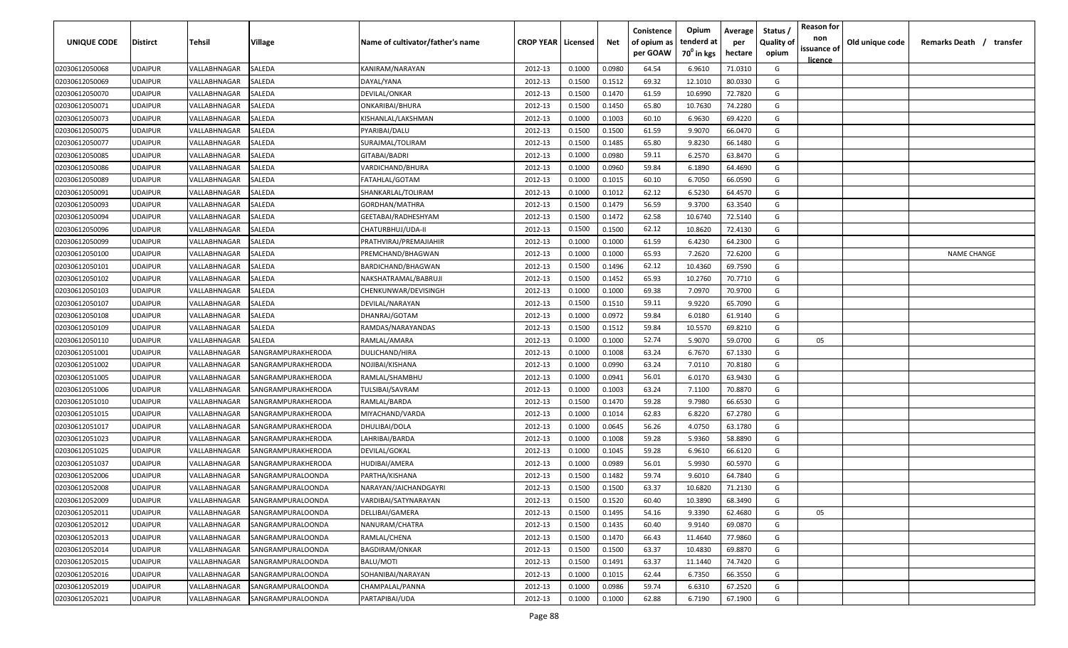| UNIQUE CODE    | <b>Distirct</b> | Tehsil                     | <b>Village</b>           | Name of cultivator/father's name | <b>CROP YEAR   Licensed</b> |        | Net    | Conistence<br>of opium as | Opium<br>tenderd at | Average<br>per | Status /<br><b>Quality of</b> | <b>Reason for</b><br>non      | Old unique code | Remarks Death /<br>transfer |
|----------------|-----------------|----------------------------|--------------------------|----------------------------------|-----------------------------|--------|--------|---------------------------|---------------------|----------------|-------------------------------|-------------------------------|-----------------|-----------------------------|
|                |                 |                            |                          |                                  |                             |        |        | per GOAW                  | $70^0$ in kgs       | hectare        | opium                         | issuance of<br><u>licence</u> |                 |                             |
| 02030612050068 | <b>UDAIPUR</b>  | VALLABHNAGAR               | SALEDA                   | KANIRAM/NARAYAN                  | 2012-13                     | 0.1000 | 0.0980 | 64.54                     | 6.9610              | 71.0310        | G                             |                               |                 |                             |
| 02030612050069 | UDAIPUR         | VALLABHNAGAR               | SALEDA                   | DAYAL/YANA                       | 2012-13                     | 0.1500 | 0.1512 | 69.32                     | 12.1010             | 80.0330        | G                             |                               |                 |                             |
| 02030612050070 | <b>UDAIPUR</b>  | VALLABHNAGAR               | SALEDA                   | DEVILAL/ONKAR                    | 2012-13                     | 0.1500 | 0.1470 | 61.59                     | 10.6990             | 72.7820        | G                             |                               |                 |                             |
| 02030612050071 | <b>UDAIPUR</b>  | VALLABHNAGAR               | SALEDA                   | ONKARIBAI/BHURA                  | 2012-13                     | 0.1500 | 0.1450 | 65.80                     | 10.7630             | 74.2280        | G                             |                               |                 |                             |
| 02030612050073 | <b>UDAIPUR</b>  | VALLABHNAGAR               | SALEDA                   | KISHANLAL/LAKSHMAN               | 2012-13                     | 0.1000 | 0.1003 | 60.10                     | 6.9630              | 69.4220        | G                             |                               |                 |                             |
| 02030612050075 | <b>UDAIPUR</b>  | VALLABHNAGAR               | SALEDA                   | PYARIBAI/DALU                    | 2012-13                     | 0.1500 | 0.1500 | 61.59                     | 9.9070              | 66.0470        | G                             |                               |                 |                             |
| 02030612050077 | <b>UDAIPUR</b>  | VALLABHNAGAR               | SALEDA                   | SURAJMAL/TOLIRAM                 | 2012-13                     | 0.1500 | 0.1485 | 65.80                     | 9.8230              | 66.1480        | G                             |                               |                 |                             |
| 02030612050085 | <b>UDAIPUR</b>  | VALLABHNAGAR               | SALEDA                   | GITABAI/BADRI                    | 2012-13                     | 0.1000 | 0.0980 | 59.11                     | 6.2570              | 63.8470        | G                             |                               |                 |                             |
| 02030612050086 | UDAIPUR         | VALLABHNAGAR               | SALEDA                   | VARDICHAND/BHURA                 | 2012-13                     | 0.1000 | 0.0960 | 59.84                     | 6.1890              | 64.4690        | G                             |                               |                 |                             |
| 02030612050089 | UDAIPUR         | VALLABHNAGAR               | SALEDA                   | FATAHLAL/GOTAM                   | 2012-13                     | 0.1000 | 0.1015 | 60.10                     | 6.7050              | 66.0590        | G                             |                               |                 |                             |
| 02030612050091 | UDAIPUR         | VALLABHNAGAR               | SALEDA                   | SHANKARLAL/TOLIRAM               | 2012-13                     | 0.1000 | 0.1012 | 62.12                     | 6.5230              | 64.4570        | G                             |                               |                 |                             |
| 02030612050093 | UDAIPUR         | VALLABHNAGAR               | SALEDA                   | GORDHAN/MATHRA                   | 2012-13                     | 0.1500 | 0.1479 | 56.59                     | 9.3700              | 63.3540        | G                             |                               |                 |                             |
| 02030612050094 | UDAIPUR         | VALLABHNAGAR               | SALEDA                   | GEETABAI/RADHESHYAM              | 2012-13                     | 0.1500 | 0.1472 | 62.58                     | 10.6740             | 72.5140        | G                             |                               |                 |                             |
| 02030612050096 | <b>UDAIPUR</b>  | VALLABHNAGAR               | SALEDA                   | CHATURBHUJ/UDA-II                | 2012-13                     | 0.1500 | 0.1500 | 62.12                     | 10.8620             | 72.4130        | G                             |                               |                 |                             |
| 02030612050099 | <b>UDAIPUR</b>  | <b><i>VALLABHNAGAR</i></b> | SALEDA                   | PRATHVIRAJ/PREMAJIAHIR           | 2012-13                     | 0.1000 | 0.1000 | 61.59                     | 6.4230              | 64.2300        | G                             |                               |                 |                             |
| 02030612050100 | <b>UDAIPUR</b>  | <b>VALLABHNAGAR</b>        | SALEDA                   | PREMCHAND/BHAGWAN                | 2012-13                     | 0.1000 | 0.1000 | 65.93                     | 7.2620              | 72.6200        | G                             |                               |                 | <b>NAME CHANGE</b>          |
| 02030612050101 | <b>UDAIPUR</b>  | VALLABHNAGAR               | SALEDA                   | BARDICHAND/BHAGWAN               | 2012-13                     | 0.1500 | 0.1496 | 62.12                     | 10.4360             | 69.7590        | G                             |                               |                 |                             |
| 02030612050102 | <b>UDAIPUR</b>  | VALLABHNAGAR               | SALEDA                   | NAKSHATRAMAL/BABRUJI             | 2012-13                     | 0.1500 | 0.1452 | 65.93                     | 10.2760             | 70.7710        | G                             |                               |                 |                             |
| 02030612050103 | <b>UDAIPUR</b>  | VALLABHNAGAR               | SALEDA                   | CHENKUNWAR/DEVISINGH             | 2012-13                     | 0.1000 | 0.1000 | 69.38                     | 7.0970              | 70.9700        | G                             |                               |                 |                             |
| 02030612050107 | <b>UDAIPUR</b>  | VALLABHNAGAR               | SALEDA                   | DEVILAL/NARAYAN                  | 2012-13                     | 0.1500 | 0.1510 | 59.11                     | 9.9220              | 65.7090        | G                             |                               |                 |                             |
| 02030612050108 | <b>UDAIPUR</b>  | VALLABHNAGAR               | SALEDA                   | DHANRAJ/GOTAM                    | 2012-13                     | 0.1000 | 0.0972 | 59.84                     | 6.0180              | 61.9140        | G                             |                               |                 |                             |
| 02030612050109 | <b>UDAIPUR</b>  | VALLABHNAGAR               | SALEDA                   | RAMDAS/NARAYANDAS                | 2012-13                     | 0.1500 | 0.1512 | 59.84                     | 10.5570             | 69.8210        | G                             |                               |                 |                             |
| 02030612050110 | <b>UDAIPUR</b>  | VALLABHNAGAR               | SALEDA                   | RAMLAL/AMARA                     | 2012-13                     | 0.1000 | 0.1000 | 52.74                     | 5.9070              | 59.0700        | G                             | 05                            |                 |                             |
| 02030612051001 | <b>UDAIPUR</b>  | VALLABHNAGAR               | SANGRAMPURAKHERODA       | <b>DULICHAND/HIRA</b>            | 2012-13                     | 0.1000 | 0.1008 | 63.24                     | 6.7670              | 67.1330        | G                             |                               |                 |                             |
| 02030612051002 | <b>UDAIPUR</b>  | <b><i>VALLABHNAGAR</i></b> | SANGRAMPURAKHERODA       | NOJIBAI/KISHANA                  | 2012-13                     | 0.1000 | 0.0990 | 63.24                     | 7.0110              | 70.8180        | G                             |                               |                 |                             |
| 02030612051005 | <b>UDAIPUR</b>  | VALLABHNAGAR               | SANGRAMPURAKHERODA       | RAMLAL/SHAMBHU                   | 2012-13                     | 0.1000 | 0.0941 | 56.01                     | 6.0170              | 63.9430        | G                             |                               |                 |                             |
| 02030612051006 | UDAIPUR         | VALLABHNAGAR               | SANGRAMPURAKHERODA       | TULSIBAI/SAVRAM                  | 2012-13                     | 0.1000 | 0.1003 | 63.24                     | 7.1100              | 70.8870        | G                             |                               |                 |                             |
| 02030612051010 | UDAIPUR         | VALLABHNAGAR               | SANGRAMPURAKHERODA       | RAMLAL/BARDA                     | 2012-13                     | 0.1500 | 0.1470 | 59.28                     | 9.7980              | 66.6530        | G                             |                               |                 |                             |
| 02030612051015 | <b>UDAIPUR</b>  | VALLABHNAGAR               | SANGRAMPURAKHERODA       | MIYACHAND/VARDA                  | 2012-13                     | 0.1000 | 0.1014 | 62.83                     | 6.8220              | 67.2780        | G                             |                               |                 |                             |
| 02030612051017 | <b>UDAIPUR</b>  | VALLABHNAGAR               | SANGRAMPURAKHERODA       | DHULIBAI/DOLA                    | 2012-13                     | 0.1000 | 0.0645 | 56.26                     | 4.0750              | 63.1780        | G                             |                               |                 |                             |
| 02030612051023 | <b>UDAIPUR</b>  | VALLABHNAGAR               | SANGRAMPURAKHERODA       | LAHRIBAI/BARDA                   | 2012-13                     | 0.1000 | 0.1008 | 59.28                     | 5.9360              | 58.8890        | G                             |                               |                 |                             |
| 02030612051025 | <b>UDAIPUR</b>  | <b><i>VALLABHNAGAR</i></b> | SANGRAMPURAKHERODA       | DEVILAL/GOKAL                    | 2012-13                     | 0.1000 | 0.1045 | 59.28                     | 6.9610              | 66.6120        | G                             |                               |                 |                             |
| 02030612051037 | <b>UDAIPUR</b>  | VALLABHNAGAR               | SANGRAMPURAKHERODA       | HUDIBAI/AMERA                    | 2012-13                     | 0.1000 | 0.0989 | 56.01                     | 5.9930              | 60.5970        | G                             |                               |                 |                             |
| 02030612052006 | <b>UDAIPUR</b>  | VALLABHNAGAR               | SANGRAMPURALOONDA        | PARTHA/KISHANA                   | 2012-13                     | 0.1500 | 0.1482 | 59.74                     | 9.6010              | 64.7840        | G                             |                               |                 |                             |
| 02030612052008 | <b>UDAIPUR</b>  | VALLABHNAGAR               | SANGRAMPURALOONDA        | NARAYAN/JAICHANDGAYRI            | 2012-13                     | 0.1500 | 0.1500 | 63.37                     | 10.6820             | 71.2130        | G                             |                               |                 |                             |
| 02030612052009 | <b>UDAIPUR</b>  | VALLABHNAGAR               | SANGRAMPURALOONDA        | VARDIBAI/SATYNARAYAN             | 2012-13                     | 0.1500 | 0.1520 | 60.40                     | 10.3890             | 68.3490        | G                             |                               |                 |                             |
| 02030612052011 | <b>UDAIPUR</b>  | VALLABHNAGAR               | <b>SANGRAMPURALOONDA</b> | DELLIBAI/GAMERA                  | 2012-13                     | 0.1500 | 0.1495 | 54.16                     | 9.3390              | 62.4680        | G                             | 05                            |                 |                             |
| 02030612052012 | <b>UDAIPUR</b>  | VALLABHNAGAR               | <b>SANGRAMPURALOONDA</b> | NANURAM/CHATRA                   | 2012-13                     | 0.1500 | 0.1435 | 60.40                     | 9.9140              | 69.0870        | G                             |                               |                 |                             |
| 02030612052013 | <b>UDAIPUR</b>  | VALLABHNAGAR               | SANGRAMPURALOONDA        | RAMLAL/CHENA                     | 2012-13                     | 0.1500 | 0.1470 | 66.43                     | 11.4640             | 77.9860        | G                             |                               |                 |                             |
| 02030612052014 | <b>UDAIPUR</b>  | VALLABHNAGAR               | SANGRAMPURALOONDA        | <b>BAGDIRAM/ONKAR</b>            | 2012-13                     | 0.1500 | 0.1500 | 63.37                     | 10.4830             | 69.8870        | G                             |                               |                 |                             |
| 02030612052015 | <b>UDAIPUR</b>  | VALLABHNAGAR               | <b>SANGRAMPURALOONDA</b> | BALU/MOTI                        | 2012-13                     | 0.1500 | 0.1491 | 63.37                     | 11.1440             | 74.7420        | G                             |                               |                 |                             |
| 02030612052016 | <b>UDAIPUR</b>  | VALLABHNAGAR               | <b>SANGRAMPURALOONDA</b> | SOHANIBAI/NARAYAN                | 2012-13                     | 0.1000 | 0.1015 | 62.44                     | 6.7350              | 66.3550        | G                             |                               |                 |                             |
| 02030612052019 | <b>UDAIPUR</b>  | VALLABHNAGAR               | SANGRAMPURALOONDA        | CHAMPALAL/PANNA                  | 2012-13                     | 0.1000 | 0.0986 | 59.74                     | 6.6310              | 67.2520        | G                             |                               |                 |                             |
| 02030612052021 | <b>UDAIPUR</b>  | VALLABHNAGAR               | SANGRAMPURALOONDA        | PARTAPIBAI/UDA                   | 2012-13                     | 0.1000 | 0.1000 | 62.88                     | 6.7190              | 67.1900        | G                             |                               |                 |                             |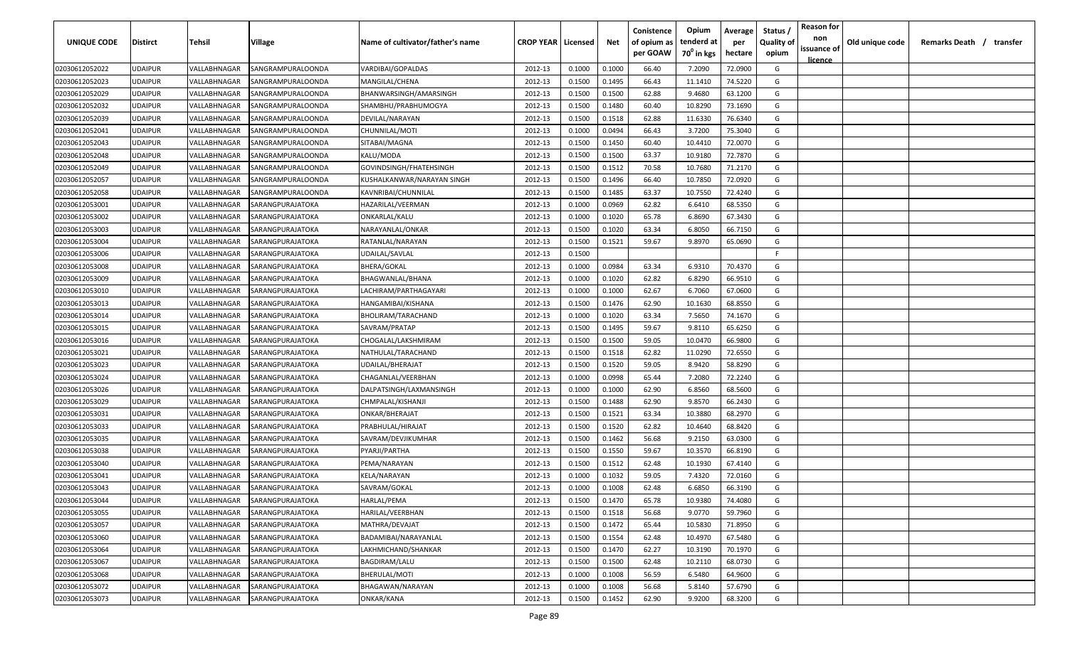| UNIQUE CODE    | Distirct       | Tehsil       | Village           | Name of cultivator/father's name | <b>CROP YEAR   Licensed</b> |        | Net    | Conistence<br>of opium as<br>per GOAW | Opium<br>tenderd at<br>70 <sup>0</sup> in kgs | Average<br>per<br>hectare | Status<br><b>Quality of</b><br>opium | <b>Reason for</b><br>non<br>issuance of<br><u>licence</u> | Old unique code | Remarks Death / | transfer |
|----------------|----------------|--------------|-------------------|----------------------------------|-----------------------------|--------|--------|---------------------------------------|-----------------------------------------------|---------------------------|--------------------------------------|-----------------------------------------------------------|-----------------|-----------------|----------|
| 02030612052022 | UDAIPUR        | VALLABHNAGAR | SANGRAMPURALOONDA | VARDIBAI/GOPALDAS                | 2012-13                     | 0.1000 | 0.1000 | 66.40                                 | 7.2090                                        | 72.0900                   | G                                    |                                                           |                 |                 |          |
| 02030612052023 | UDAIPUR        | VALLABHNAGAR | SANGRAMPURALOONDA | MANGILAL/CHENA                   | 2012-13                     | 0.1500 | 0.1495 | 66.43                                 | 11.1410                                       | 74.5220                   | G                                    |                                                           |                 |                 |          |
| 02030612052029 | UDAIPUR        | VALLABHNAGAR | SANGRAMPURALOONDA | BHANWARSINGH/AMARSINGH           | 2012-13                     | 0.1500 | 0.1500 | 62.88                                 | 9.4680                                        | 63.1200                   | G                                    |                                                           |                 |                 |          |
| 02030612052032 | UDAIPUR        | VALLABHNAGAR | SANGRAMPURALOONDA | SHAMBHU/PRABHUMOGYA              | 2012-13                     | 0.1500 | 0.1480 | 60.40                                 | 10.8290                                       | 73.1690                   | G                                    |                                                           |                 |                 |          |
| 02030612052039 | UDAIPUR        | VALLABHNAGAR | SANGRAMPURALOONDA | DEVILAL/NARAYAN                  | 2012-13                     | 0.1500 | 0.1518 | 62.88                                 | 11.6330                                       | 76.6340                   | G                                    |                                                           |                 |                 |          |
| 02030612052041 | UDAIPUR        | VALLABHNAGAR | SANGRAMPURALOONDA | CHUNNILAL/MOTI                   | 2012-13                     | 0.1000 | 0.0494 | 66.43                                 | 3.7200                                        | 75.3040                   | G                                    |                                                           |                 |                 |          |
| 02030612052043 | UDAIPUR        | VALLABHNAGAR | SANGRAMPURALOONDA | SITABAI/MAGNA                    | 2012-13                     | 0.1500 | 0.1450 | 60.40                                 | 10.4410                                       | 72.0070                   | G                                    |                                                           |                 |                 |          |
| 02030612052048 | UDAIPUR        | VALLABHNAGAR | SANGRAMPURALOONDA | KALU/MODA                        | 2012-13                     | 0.1500 | 0.1500 | 63.37                                 | 10.9180                                       | 72.7870                   | G                                    |                                                           |                 |                 |          |
| 02030612052049 | UDAIPUR        | VALLABHNAGAR | SANGRAMPURALOONDA | GOVINDSINGH/FHATEHSINGH          | 2012-13                     | 0.1500 | 0.1512 | 70.58                                 | 10.7680                                       | 71.2170                   | G                                    |                                                           |                 |                 |          |
| 02030612052057 | UDAIPUR        | VALLABHNAGAR | SANGRAMPURALOONDA | KUSHALKANWAR/NARAYAN SINGH       | 2012-13                     | 0.1500 | 0.1496 | 66.40                                 | 10.7850                                       | 72.0920                   | G                                    |                                                           |                 |                 |          |
| 02030612052058 | UDAIPUR        | VALLABHNAGAR | SANGRAMPURALOONDA | KAVNRIBAI/CHUNNILAL              | 2012-13                     | 0.1500 | 0.1485 | 63.37                                 | 10.7550                                       | 72.4240                   | G                                    |                                                           |                 |                 |          |
| 02030612053001 | UDAIPUR        | VALLABHNAGAR | SARANGPURAJATOKA  | HAZARILAL/VEERMAN                | 2012-13                     | 0.1000 | 0.0969 | 62.82                                 | 6.6410                                        | 68.5350                   | G                                    |                                                           |                 |                 |          |
| 02030612053002 | UDAIPUR        | VALLABHNAGAR | SARANGPURAJATOKA  | ONKARLAL/KALU                    | 2012-13                     | 0.1000 | 0.1020 | 65.78                                 | 6.8690                                        | 67.3430                   | G                                    |                                                           |                 |                 |          |
| 02030612053003 | UDAIPUR        | VALLABHNAGAR | SARANGPURAJATOKA  | NARAYANLAL/ONKAR                 | 2012-13                     | 0.1500 | 0.1020 | 63.34                                 | 6.8050                                        | 66.7150                   | G                                    |                                                           |                 |                 |          |
| 02030612053004 | UDAIPUR        | VALLABHNAGAR | SARANGPURAJATOKA  | RATANLAL/NARAYAN                 | 2012-13                     | 0.1500 | 0.1521 | 59.67                                 | 9.8970                                        | 65.0690                   | G                                    |                                                           |                 |                 |          |
| 02030612053006 | UDAIPUR        | VALLABHNAGAR | SARANGPURAJATOKA  | UDAILAL/SAVLAL                   | 2012-13                     | 0.1500 |        |                                       |                                               |                           | -F.                                  |                                                           |                 |                 |          |
| 02030612053008 | UDAIPUR        | VALLABHNAGAR | SARANGPURAJATOKA  | <b>BHERA/GOKAL</b>               | 2012-13                     | 0.1000 | 0.0984 | 63.34                                 | 6.9310                                        | 70.4370                   | G                                    |                                                           |                 |                 |          |
| 02030612053009 | UDAIPUR        | VALLABHNAGAR | SARANGPURAJATOKA  | BHAGWANLAL/BHANA                 | 2012-13                     | 0.1000 | 0.1020 | 62.82                                 | 6.8290                                        | 66.9510                   | G                                    |                                                           |                 |                 |          |
| 02030612053010 | UDAIPUR        | VALLABHNAGAR | SARANGPURAJATOKA  | LACHIRAM/PARTHAGAYARI            | 2012-13                     | 0.1000 | 0.1000 | 62.67                                 | 6.7060                                        | 67.0600                   | G                                    |                                                           |                 |                 |          |
| 02030612053013 | UDAIPUR        | VALLABHNAGAR | SARANGPURAJATOKA  | HANGAMIBAI/KISHANA               | 2012-13                     | 0.1500 | 0.1476 | 62.90                                 | 10.1630                                       | 68.8550                   | G                                    |                                                           |                 |                 |          |
| 02030612053014 | UDAIPUR        | VALLABHNAGAR | SARANGPURAJATOKA  | <b>BHOLIRAM/TARACHAND</b>        | 2012-13                     | 0.1000 | 0.1020 | 63.34                                 | 7.5650                                        | 74.1670                   | G                                    |                                                           |                 |                 |          |
| 02030612053015 | UDAIPUR        | VALLABHNAGAR | SARANGPURAJATOKA  | SAVRAM/PRATAP                    | 2012-13                     | 0.1500 | 0.1495 | 59.67                                 | 9.8110                                        | 65.6250                   | G                                    |                                                           |                 |                 |          |
| 02030612053016 | UDAIPUR        | VALLABHNAGAR | SARANGPURAJATOKA  | CHOGALAL/LAKSHMIRAM              | 2012-13                     | 0.1500 | 0.1500 | 59.05                                 | 10.0470                                       | 66.9800                   | G                                    |                                                           |                 |                 |          |
| 02030612053021 | UDAIPUR        | VALLABHNAGAR | SARANGPURAJATOKA  | NATHULAL/TARACHAND               | 2012-13                     | 0.1500 | 0.1518 | 62.82                                 | 11.0290                                       | 72.6550                   | G                                    |                                                           |                 |                 |          |
| 02030612053023 | UDAIPUR        | VALLABHNAGAR | SARANGPURAJATOKA  | UDAILAL/BHERAJAT                 | 2012-13                     | 0.1500 | 0.1520 | 59.05                                 | 8.9420                                        | 58.8290                   | G                                    |                                                           |                 |                 |          |
| 02030612053024 | UDAIPUR        | VALLABHNAGAR | SARANGPURAJATOKA  | CHAGANLAL/VEERBHAN               | 2012-13                     | 0.1000 | 0.0998 | 65.44                                 | 7.2080                                        | 72.2240                   | G                                    |                                                           |                 |                 |          |
| 02030612053026 | UDAIPUR        | VALLABHNAGAR | SARANGPURAJATOKA  | DALPATSINGH/LAXMANSINGH          | 2012-13                     | 0.1000 | 0.1000 | 62.90                                 | 6.8560                                        | 68.5600                   | G                                    |                                                           |                 |                 |          |
| 02030612053029 | UDAIPUR        | VALLABHNAGAR | SARANGPURAJATOKA  | CHMPALAL/KISHANJI                | 2012-13                     | 0.1500 | 0.1488 | 62.90                                 | 9.8570                                        | 66.2430                   | G                                    |                                                           |                 |                 |          |
| 02030612053031 | UDAIPUR        | VALLABHNAGAR | SARANGPURAJATOKA  | ONKAR/BHERAJAT                   | 2012-13                     | 0.1500 | 0.1521 | 63.34                                 | 10.3880                                       | 68.2970                   | G                                    |                                                           |                 |                 |          |
| 02030612053033 | UDAIPUR        | VALLABHNAGAR | SARANGPURAJATOKA  | PRABHULAL/HIRAJAT                | 2012-13                     | 0.1500 | 0.1520 | 62.82                                 | 10.4640                                       | 68.8420                   | G                                    |                                                           |                 |                 |          |
| 02030612053035 | UDAIPUR        | VALLABHNAGAR | SARANGPURAJATOKA  | SAVRAM/DEVJIKUMHAR               | 2012-13                     | 0.1500 | 0.1462 | 56.68                                 | 9.2150                                        | 63.0300                   | G                                    |                                                           |                 |                 |          |
| 02030612053038 | <b>JDAIPUR</b> | VALLABHNAGAR | SARANGPURAJATOKA  | PYARJI/PARTHA                    | 2012-13                     | 0.1500 | 0.1550 | 59.67                                 | 10.3570                                       | 66.8190                   | G                                    |                                                           |                 |                 |          |
| 02030612053040 | UDAIPUR        | VALLABHNAGAR | SARANGPURAJATOKA  | PEMA/NARAYAN                     | 2012-13                     | 0.1500 | 0.1512 | 62.48                                 | 10.1930                                       | 67.4140                   | G                                    |                                                           |                 |                 |          |
| 02030612053041 | UDAIPUR        | VALLABHNAGAR | SARANGPURAJATOKA  | KELA/NARAYAN                     | 2012-13                     | 0.1000 | 0.1032 | 59.05                                 | 7.4320                                        | 72.0160                   | G                                    |                                                           |                 |                 |          |
| 02030612053043 | UDAIPUR        | VALLABHNAGAR | SARANGPURAJATOKA  | SAVRAM/GOKAL                     | 2012-13                     | 0.1000 | 0.1008 | 62.48                                 | 6.6850                                        | 66.3190                   | G                                    |                                                           |                 |                 |          |
| 02030612053044 | <b>UDAIPUR</b> | VALLABHNAGAR | SARANGPURAJATOKA  | HARLAL/PEMA                      | 2012-13                     | 0.1500 | 0.1470 | 65.78                                 | 10.9380                                       | 74.4080                   | G                                    |                                                           |                 |                 |          |
| 02030612053055 | UDAIPUR        | VALLABHNAGAR | SARANGPURAJATOKA  | HARILAL/VEERBHAN                 | 2012-13                     | 0.1500 | 0.1518 | 56.68                                 | 9.0770                                        | 59.7960                   | G                                    |                                                           |                 |                 |          |
| 02030612053057 | UDAIPUR        | VALLABHNAGAR | SARANGPURAJATOKA  | MATHRA/DEVAJAT                   | 2012-13                     | 0.1500 | 0.1472 | 65.44                                 | 10.5830                                       | 71.8950                   | G                                    |                                                           |                 |                 |          |
| 02030612053060 | <b>UDAIPUR</b> | VALLABHNAGAR | SARANGPURAJATOKA  | BADAMIBAI/NARAYANLAL             | 2012-13                     | 0.1500 | 0.1554 | 62.48                                 | 10.4970                                       | 67.5480                   | G                                    |                                                           |                 |                 |          |
| 02030612053064 | UDAIPUR        | VALLABHNAGAR | SARANGPURAJATOKA  | LAKHMICHAND/SHANKAR              | 2012-13                     | 0.1500 | 0.1470 | 62.27                                 | 10.3190                                       | 70.1970                   | G                                    |                                                           |                 |                 |          |
| 02030612053067 | UDAIPUR        | VALLABHNAGAR | SARANGPURAJATOKA  | <b>BAGDIRAM/LALU</b>             | 2012-13                     | 0.1500 | 0.1500 | 62.48                                 | 10.2110                                       | 68.0730                   | G                                    |                                                           |                 |                 |          |
| 02030612053068 | UDAIPUR        | VALLABHNAGAR | SARANGPURAJATOKA  | BHERULAL/MOTI                    | 2012-13                     | 0.1000 | 0.1008 | 56.59                                 | 6.5480                                        | 64.9600                   | G                                    |                                                           |                 |                 |          |
| 02030612053072 | UDAIPUR        | VALLABHNAGAR | SARANGPURAJATOKA  | BHAGAWAN/NARAYAN                 | 2012-13                     | 0.1000 | 0.1008 | 56.68                                 | 5.8140                                        | 57.6790                   | G                                    |                                                           |                 |                 |          |
| 02030612053073 | UDAIPUR        | VALLABHNAGAR | SARANGPURAJATOKA  | ONKAR/KANA                       | 2012-13                     | 0.1500 | 0.1452 | 62.90                                 | 9.9200                                        | 68.3200                   | G                                    |                                                           |                 |                 |          |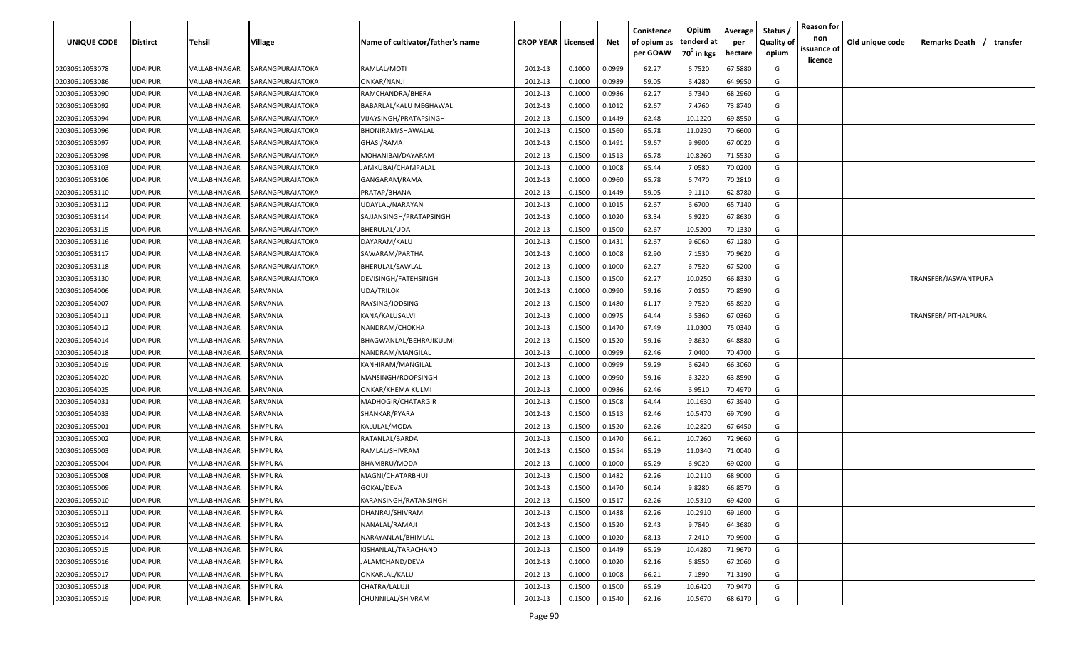| UNIQUE CODE    | <b>Distirct</b> | <b>Tehsil</b>              | Village          | Name of cultivator/father's name | <b>CROP YEAR   Licensed</b> |        | Net    | Conistence<br>of opium as | Opium<br>tenderd at | Average<br>per | Status /<br><b>Quality of</b> | <b>Reason for</b><br>non      | Old unique code | Remarks Death /<br>transfer |
|----------------|-----------------|----------------------------|------------------|----------------------------------|-----------------------------|--------|--------|---------------------------|---------------------|----------------|-------------------------------|-------------------------------|-----------------|-----------------------------|
|                |                 |                            |                  |                                  |                             |        |        | per GOAW                  | $70^0$ in kgs       | hectare        | opium                         | issuance of<br><u>licence</u> |                 |                             |
| 02030612053078 | <b>UDAIPUR</b>  | VALLABHNAGAR               | SARANGPURAJATOKA | RAMLAL/MOTI                      | 2012-13                     | 0.1000 | 0.0999 | 62.27                     | 6.7520              | 67.5880        | G                             |                               |                 |                             |
| 02030612053086 | <b>UDAIPUR</b>  | VALLABHNAGAR               | SARANGPURAJATOKA | ONKAR/NANJI                      | 2012-13                     | 0.1000 | 0.0989 | 59.05                     | 6.4280              | 64.9950        | G                             |                               |                 |                             |
| 02030612053090 | <b>UDAIPUR</b>  | VALLABHNAGAR               | SARANGPURAJATOKA | RAMCHANDRA/BHERA                 | 2012-13                     | 0.1000 | 0.0986 | 62.27                     | 6.7340              | 68.2960        | G                             |                               |                 |                             |
| 02030612053092 | <b>UDAIPUR</b>  | VALLABHNAGAR               | SARANGPURAJATOKA | BABARLAL/KALU MEGHAWAL           | 2012-13                     | 0.1000 | 0.1012 | 62.67                     | 7.4760              | 73.8740        | G                             |                               |                 |                             |
| 02030612053094 | <b>UDAIPUR</b>  | VALLABHNAGAR               | SARANGPURAJATOKA | VIJAYSINGH/PRATAPSINGH           | 2012-13                     | 0.1500 | 0.1449 | 62.48                     | 10.1220             | 69.8550        | G                             |                               |                 |                             |
| 02030612053096 | <b>UDAIPUR</b>  | VALLABHNAGAR               | SARANGPURAJATOKA | BHONIRAM/SHAWALAL                | 2012-13                     | 0.1500 | 0.1560 | 65.78                     | 11.0230             | 70.6600        | G                             |                               |                 |                             |
| 02030612053097 | <b>UDAIPUR</b>  | VALLABHNAGAR               | SARANGPURAJATOKA | GHASI/RAMA                       | 2012-13                     | 0.1500 | 0.1491 | 59.67                     | 9.9900              | 67.0020        | G                             |                               |                 |                             |
| 02030612053098 | <b>UDAIPUR</b>  | VALLABHNAGAR               | SARANGPURAJATOKA | MOHANIBAI/DAYARAM                | 2012-13                     | 0.1500 | 0.1513 | 65.78                     | 10.8260             | 71.5530        | G                             |                               |                 |                             |
| 02030612053103 | <b>UDAIPUR</b>  | VALLABHNAGAR               | SARANGPURAJATOKA | JAMKUBAI/CHAMPALAL               | 2012-13                     | 0.1000 | 0.1008 | 65.44                     | 7.0580              | 70.0200        | G                             |                               |                 |                             |
| 02030612053106 | UDAIPUR         | VALLABHNAGAR               | SARANGPURAJATOKA | GANGARAM/RAMA                    | 2012-13                     | 0.1000 | 0.0960 | 65.78                     | 6.7470              | 70.2810        | G                             |                               |                 |                             |
| 02030612053110 | UDAIPUR         | VALLABHNAGAR               | SARANGPURAJATOKA | PRATAP/BHANA                     | 2012-13                     | 0.1500 | 0.1449 | 59.05                     | 9.1110              | 62.8780        | G                             |                               |                 |                             |
| 02030612053112 | UDAIPUR         | VALLABHNAGAR               | SARANGPURAJATOKA | UDAYLAL/NARAYAN                  | 2012-13                     | 0.1000 | 0.1015 | 62.67                     | 6.6700              | 65.7140        | G                             |                               |                 |                             |
| 02030612053114 | UDAIPUR         | VALLABHNAGAR               | SARANGPURAJATOKA | SAJJANSINGH/PRATAPSINGH          | 2012-13                     | 0.1000 | 0.1020 | 63.34                     | 6.9220              | 67.8630        | G                             |                               |                 |                             |
| 02030612053115 | <b>UDAIPUR</b>  | VALLABHNAGAR               | SARANGPURAJATOKA | BHERULAL/UDA                     | 2012-13                     | 0.1500 | 0.1500 | 62.67                     | 10.5200             | 70.1330        | G                             |                               |                 |                             |
| 02030612053116 | <b>UDAIPUR</b>  | VALLABHNAGAR               | SARANGPURAJATOKA | DAYARAM/KALU                     | 2012-13                     | 0.1500 | 0.1431 | 62.67                     | 9.6060              | 67.1280        | G                             |                               |                 |                             |
| 02030612053117 | <b>UDAIPUR</b>  | <b><i>VALLABHNAGAR</i></b> | SARANGPURAJATOKA | SAWARAM/PARTHA                   | 2012-13                     | 0.1000 | 0.1008 | 62.90                     | 7.1530              | 70.9620        | G                             |                               |                 |                             |
| 02030612053118 | <b>UDAIPUR</b>  | VALLABHNAGAR               | SARANGPURAJATOKA | <b>BHERULAL/SAWLAL</b>           | 2012-13                     | 0.1000 | 0.1000 | 62.27                     | 6.7520              | 67.5200        | G                             |                               |                 |                             |
| 02030612053130 | <b>UDAIPUR</b>  | VALLABHNAGAR               | SARANGPURAJATOKA | DEVISINGH/FATEHSINGH             | 2012-13                     | 0.1500 | 0.1500 | 62.27                     | 10.0250             | 66.8330        | G                             |                               |                 | TRANSFER/JASWANTPURA        |
| 02030612054006 | <b>UDAIPUR</b>  | VALLABHNAGAR               | SARVANIA         | UDA/TRILOK                       | 2012-13                     | 0.1000 | 0.0990 | 59.16                     | 7.0150              | 70.8590        | G                             |                               |                 |                             |
| 02030612054007 | <b>UDAIPUR</b>  | VALLABHNAGAR               | SARVANIA         | RAYSING/JODSING                  | 2012-13                     | 0.1500 | 0.1480 | 61.17                     | 9.7520              | 65.8920        | G                             |                               |                 |                             |
| 02030612054011 | <b>UDAIPUR</b>  | VALLABHNAGAR               | SARVANIA         | KANA/KALUSALVI                   | 2012-13                     | 0.1000 | 0.0975 | 64.44                     | 6.5360              | 67.0360        | G                             |                               |                 | TRANSFER/ PITHALPURA        |
| 02030612054012 | <b>UDAIPUR</b>  | VALLABHNAGAR               | SARVANIA         | NANDRAM/CHOKHA                   | 2012-13                     | 0.1500 | 0.1470 | 67.49                     | 11.0300             | 75.0340        | G                             |                               |                 |                             |
| 02030612054014 | <b>UDAIPUR</b>  | VALLABHNAGAR               | SARVANIA         | BHAGWANLAL/BEHRAJIKULMI          | 2012-13                     | 0.1500 | 0.1520 | 59.16                     | 9.8630              | 64.8880        | G                             |                               |                 |                             |
| 02030612054018 | <b>UDAIPUR</b>  | VALLABHNAGAR               | SARVANIA         | NANDRAM/MANGILAL                 | 2012-13                     | 0.1000 | 0.0999 | 62.46                     | 7.0400              | 70.4700        | G                             |                               |                 |                             |
| 02030612054019 | <b>UDAIPUR</b>  | <b><i>VALLABHNAGAR</i></b> | SARVANIA         | KANHIRAM/MANGILAL                | 2012-13                     | 0.1000 | 0.0999 | 59.29                     | 6.6240              | 66.3060        | G                             |                               |                 |                             |
| 02030612054020 | <b>UDAIPUR</b>  | VALLABHNAGAR               | SARVANIA         | MANSINGH/ROOPSINGH               | 2012-13                     | 0.1000 | 0.0990 | 59.16                     | 6.3220              | 63.8590        | G                             |                               |                 |                             |
| 02030612054025 | UDAIPUR         | VALLABHNAGAR               | SARVANIA         | ONKAR/KHEMA KULMI                | 2012-13                     | 0.1000 | 0.0986 | 62.46                     | 6.9510              | 70.4970        | G                             |                               |                 |                             |
| 02030612054031 | UDAIPUR         | VALLABHNAGAR               | SARVANIA         | MADHOGIR/CHATARGIR               | 2012-13                     | 0.1500 | 0.1508 | 64.44                     | 10.1630             | 67.3940        | G                             |                               |                 |                             |
| 02030612054033 | UDAIPUR         | VALLABHNAGAR               | SARVANIA         | SHANKAR/PYARA                    | 2012-13                     | 0.1500 | 0.1513 | 62.46                     | 10.5470             | 69.7090        | G                             |                               |                 |                             |
| 02030612055001 | <b>UDAIPUR</b>  | VALLABHNAGAR               | <b>SHIVPURA</b>  | KALULAL/MODA                     | 2012-13                     | 0.1500 | 0.1520 | 62.26                     | 10.2820             | 67.6450        | G                             |                               |                 |                             |
| 02030612055002 | <b>UDAIPUR</b>  | <b>VALLABHNAGAR</b>        | <b>SHIVPURA</b>  | RATANLAL/BARDA                   | 2012-13                     | 0.1500 | 0.1470 | 66.21                     | 10.7260             | 72.9660        | G                             |                               |                 |                             |
| 02030612055003 | <b>UDAIPUR</b>  | <b><i>VALLABHNAGAR</i></b> | <b>SHIVPURA</b>  | RAMLAL/SHIVRAM                   | 2012-13                     | 0.1500 | 0.1554 | 65.29                     | 11.0340             | 71.0040        | G                             |                               |                 |                             |
| 02030612055004 | <b>UDAIPUR</b>  | <b><i>VALLABHNAGAR</i></b> | <b>SHIVPURA</b>  | BHAMBRU/MODA                     | 2012-13                     | 0.1000 | 0.1000 | 65.29                     | 6.9020              | 69.0200        | G                             |                               |                 |                             |
| 02030612055008 | <b>UDAIPUR</b>  | VALLABHNAGAR               | <b>SHIVPURA</b>  | MAGNI/CHATARBHUJ                 | 2012-13                     | 0.1500 | 0.1482 | 62.26                     | 10.2110             | 68.9000        | G                             |                               |                 |                             |
| 02030612055009 | <b>UDAIPUR</b>  | VALLABHNAGAR               | <b>SHIVPURA</b>  | GOKAL/DEVA                       | 2012-13                     | 0.1500 | 0.1470 | 60.24                     | 9.8280              | 66.8570        | G                             |                               |                 |                             |
| 02030612055010 | <b>UDAIPUR</b>  | VALLABHNAGAR               | <b>SHIVPURA</b>  | KARANSINGH/RATANSINGH            | 2012-13                     | 0.1500 | 0.1517 | 62.26                     | 10.5310             | 69.4200        | G                             |                               |                 |                             |
| 02030612055011 | <b>UDAIPUR</b>  | VALLABHNAGAR               | <b>SHIVPURA</b>  | DHANRAJ/SHIVRAM                  | 2012-13                     | 0.1500 | 0.1488 | 62.26                     | 10.2910             | 69.1600        | G                             |                               |                 |                             |
| 02030612055012 | <b>UDAIPUR</b>  | VALLABHNAGAR               | <b>SHIVPURA</b>  | NANALAL/RAMAJI                   | 2012-13                     | 0.1500 | 0.1520 | 62.43                     | 9.7840              | 64.3680        | G                             |                               |                 |                             |
| 02030612055014 | <b>UDAIPUR</b>  | VALLABHNAGAR               | <b>SHIVPURA</b>  | NARAYANLAL/BHIMLAL               | 2012-13                     | 0.1000 | 0.1020 | 68.13                     | 7.2410              | 70.9900        | G                             |                               |                 |                             |
| 02030612055015 | <b>UDAIPUR</b>  | VALLABHNAGAR               | <b>SHIVPURA</b>  | KISHANLAL/TARACHAND              | 2012-13                     | 0.1500 | 0.1449 | 65.29                     | 10.4280             | 71.9670        | G                             |                               |                 |                             |
| 02030612055016 | <b>UDAIPUR</b>  | VALLABHNAGAR               | <b>SHIVPURA</b>  | JALAMCHAND/DEVA                  | 2012-13                     | 0.1000 | 0.1020 | 62.16                     | 6.8550              | 67.2060        | G                             |                               |                 |                             |
| 02030612055017 | <b>UDAIPUR</b>  | VALLABHNAGAR               | <b>SHIVPURA</b>  | ONKARLAL/KALU                    | 2012-13                     | 0.1000 | 0.1008 | 66.21                     | 7.1890              | 71.3190        | G                             |                               |                 |                             |
| 02030612055018 | <b>UDAIPUR</b>  | VALLABHNAGAR               | <b>SHIVPURA</b>  | CHATRA/LALUJI                    | 2012-13                     | 0.1500 | 0.1500 | 65.29                     | 10.6420             | 70.9470        | G                             |                               |                 |                             |
| 02030612055019 | <b>UDAIPUR</b>  | VALLABHNAGAR               | <b>SHIVPURA</b>  | CHUNNILAL/SHIVRAM                | 2012-13                     | 0.1500 | 0.1540 | 62.16                     | 10.5670             | 68.6170        | G                             |                               |                 |                             |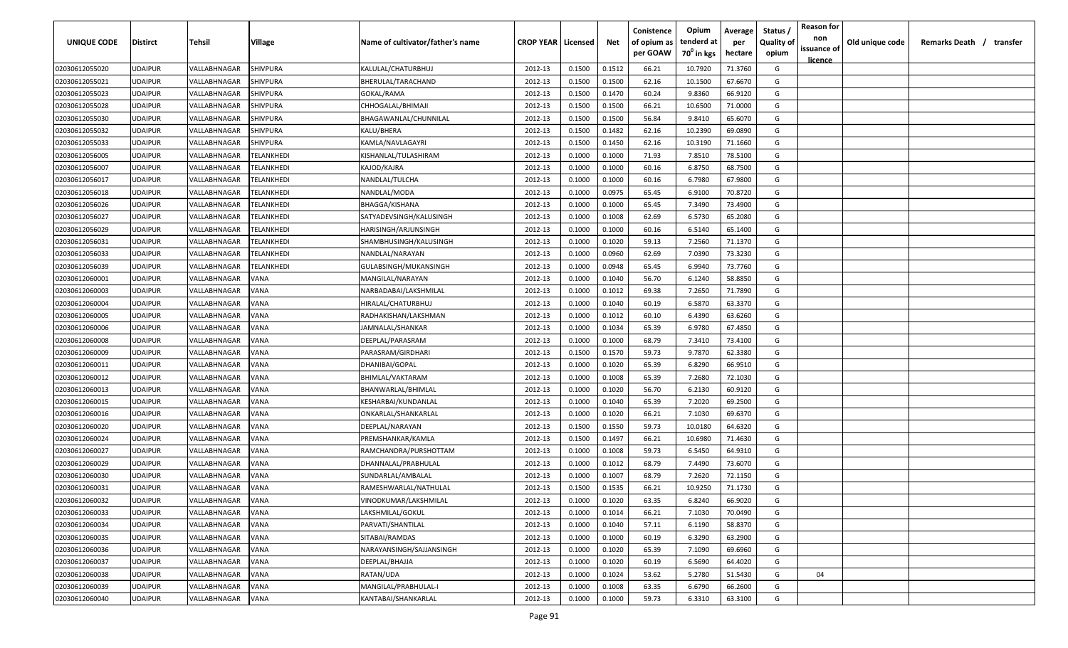| UNIQUE CODE    | <b>Distirct</b> | Tehsil       | Village                  | Name of cultivator/father's name | <b>CROP YEAR   Licensed</b> |        | Net    | Conistence<br>of opium as | Opium<br>tenderd at    | Average<br>per | Status<br><b>Quality of</b> | <b>Reason for</b><br>non<br>issuance of | Old unique code | Remarks Death / transfer |
|----------------|-----------------|--------------|--------------------------|----------------------------------|-----------------------------|--------|--------|---------------------------|------------------------|----------------|-----------------------------|-----------------------------------------|-----------------|--------------------------|
|                |                 |              |                          |                                  |                             |        |        | per GOAW                  | 70 <sup>0</sup> in kgs | hectare        | opium                       | <u>licence</u>                          |                 |                          |
| 02030612055020 | <b>UDAIPUR</b>  | VALLABHNAGAR | SHIVPURA                 | KALULAL/CHATURBHUJ               | 2012-13                     | 0.1500 | 0.1512 | 66.21                     | 10.7920                | 71.3760        | G                           |                                         |                 |                          |
| 02030612055021 | <b>UDAIPUR</b>  | VALLABHNAGAR | <b>SHIVPURA</b>          | BHERULAL/TARACHAND               | 2012-13                     | 0.1500 | 0.1500 | 62.16                     | 10.1500                | 67.6670        | G                           |                                         |                 |                          |
| 02030612055023 | <b>UDAIPUR</b>  | VALLABHNAGAR | SHIVPURA                 | GOKAL/RAMA                       | 2012-13                     | 0.1500 | 0.1470 | 60.24                     | 9.8360                 | 66.9120        | G                           |                                         |                 |                          |
| 02030612055028 | <b>UDAIPUR</b>  | VALLABHNAGAR | SHIVPURA                 | CHHOGALAL/BHIMAJI                | 2012-13                     | 0.1500 | 0.1500 | 66.21                     | 10.6500                | 71.0000        | G                           |                                         |                 |                          |
| 02030612055030 | <b>UDAIPUR</b>  | VALLABHNAGAR | SHIVPURA                 | BHAGAWANLAL/CHUNNILAL            | 2012-13                     | 0.1500 | 0.1500 | 56.84                     | 9.8410                 | 65.6070        | G                           |                                         |                 |                          |
| 02030612055032 | <b>UDAIPUR</b>  | VALLABHNAGAR | SHIVPURA                 | KALU/BHERA                       | 2012-13                     | 0.1500 | 0.1482 | 62.16                     | 10.2390                | 69.0890        | G                           |                                         |                 |                          |
| 02030612055033 | <b>UDAIPUR</b>  | VALLABHNAGAR | SHIVPURA                 | KAMLA/NAVLAGAYRI                 | 2012-13                     | 0.1500 | 0.1450 | 62.16                     | 10.3190                | 71.1660        | G                           |                                         |                 |                          |
| 02030612056005 | <b>UDAIPUR</b>  | VALLABHNAGAR | <b>TELANKHEDI</b>        | KISHANLAL/TULASHIRAM             | 2012-13                     | 0.1000 | 0.1000 | 71.93                     | 7.8510                 | 78.5100        | G                           |                                         |                 |                          |
| 02030612056007 | <b>UDAIPUR</b>  | VALLABHNAGAR | <b>ELANKHEDI</b>         | KAJOD/KAJRA                      | 2012-13                     | 0.1000 | 0.1000 | 60.16                     | 6.8750                 | 68.7500        | G                           |                                         |                 |                          |
| 02030612056017 | <b>UDAIPUR</b>  | VALLABHNAGAR | <b>ELANKHEDI</b>         | NANDLAL/TULCHA                   | 2012-13                     | 0.1000 | 0.1000 | 60.16                     | 6.7980                 | 67.9800        | G                           |                                         |                 |                          |
| 02030612056018 | <b>UDAIPUR</b>  | VALLABHNAGAR | <b>ELANKHEDI</b>         | NANDLAL/MODA                     | 2012-13                     | 0.1000 | 0.0975 | 65.45                     | 6.9100                 | 70.8720        | G                           |                                         |                 |                          |
| 02030612056026 | <b>UDAIPUR</b>  | VALLABHNAGAR | <b><i>FELANKHEDI</i></b> | BHAGGA/KISHANA                   | 2012-13                     | 0.1000 | 0.1000 | 65.45                     | 7.3490                 | 73.4900        | G                           |                                         |                 |                          |
| 02030612056027 | <b>UDAIPUR</b>  | VALLABHNAGAR | <b><i>FELANKHEDI</i></b> | SATYADEVSINGH/KALUSINGH          | 2012-13                     | 0.1000 | 0.1008 | 62.69                     | 6.5730                 | 65.2080        | G                           |                                         |                 |                          |
| 02030612056029 | <b>UDAIPUR</b>  | VALLABHNAGAR | <b><i>FELANKHEDI</i></b> | HARISINGH/ARJUNSINGH             | 2012-13                     | 0.1000 | 0.1000 | 60.16                     | 6.5140                 | 65.1400        | G                           |                                         |                 |                          |
| 02030612056031 | <b>UDAIPUR</b>  | VALLABHNAGAR | <b><i>FELANKHEDI</i></b> | SHAMBHUSINGH/KALUSINGH           | 2012-13                     | 0.1000 | 0.1020 | 59.13                     | 7.2560                 | 71.1370        | G                           |                                         |                 |                          |
| 02030612056033 | <b>UDAIPUR</b>  | VALLABHNAGAR | <b>ELANKHEDI</b>         | NANDLAL/NARAYAN                  | 2012-13                     | 0.1000 | 0.0960 | 62.69                     | 7.0390                 | 73.3230        | G                           |                                         |                 |                          |
| 02030612056039 | <b>UDAIPUR</b>  | VALLABHNAGAR | <b><i>FELANKHEDI</i></b> | GULABSINGH/MUKANSINGH            | 2012-13                     | 0.1000 | 0.0948 | 65.45                     | 6.9940                 | 73.7760        | G                           |                                         |                 |                          |
| 02030612060001 | <b>UDAIPUR</b>  | VALLABHNAGAR | VANA                     | MANGILAL/NARAYAN                 | 2012-13                     | 0.1000 | 0.1040 | 56.70                     | 6.1240                 | 58.8850        | G                           |                                         |                 |                          |
| 02030612060003 | <b>UDAIPUR</b>  | VALLABHNAGAR | VANA                     | NARBADABAI/LAKSHMILAL            | 2012-13                     | 0.1000 | 0.1012 | 69.38                     | 7.2650                 | 71.7890        | G                           |                                         |                 |                          |
| 02030612060004 | <b>UDAIPUR</b>  | VALLABHNAGAR | VANA                     | HIRALAL/CHATURBHUJ               | 2012-13                     | 0.1000 | 0.1040 | 60.19                     | 6.5870                 | 63.3370        | G                           |                                         |                 |                          |
| 02030612060005 | <b>UDAIPUR</b>  | VALLABHNAGAR | VANA                     | RADHAKISHAN/LAKSHMAN             | 2012-13                     | 0.1000 | 0.1012 | 60.10                     | 6.4390                 | 63.6260        | G                           |                                         |                 |                          |
| 02030612060006 | <b>UDAIPUR</b>  | VALLABHNAGAR | VANA                     | JAMNALAL/SHANKAR                 | 2012-13                     | 0.1000 | 0.1034 | 65.39                     | 6.9780                 | 67.4850        | G                           |                                         |                 |                          |
| 02030612060008 | <b>UDAIPUR</b>  | VALLABHNAGAR | <b>JANA</b>              | DEEPLAL/PARASRAM                 | 2012-13                     | 0.1000 | 0.1000 | 68.79                     | 7.3410                 | 73.4100        | G                           |                                         |                 |                          |
| 02030612060009 | <b>UDAIPUR</b>  | VALLABHNAGAR | VANA                     | PARASRAM/GIRDHARI                | 2012-13                     | 0.1500 | 0.1570 | 59.73                     | 9.7870                 | 62.3380        | G                           |                                         |                 |                          |
| 02030612060011 | <b>UDAIPUR</b>  | VALLABHNAGAR | VANA                     | DHANIBAI/GOPAL                   | 2012-13                     | 0.1000 | 0.1020 | 65.39                     | 6.8290                 | 66.9510        | G                           |                                         |                 |                          |
| 02030612060012 | <b>UDAIPUR</b>  | VALLABHNAGAR | VANA                     | BHIMLAL/VAKTARAM                 | 2012-13                     | 0.1000 | 0.1008 | 65.39                     | 7.2680                 | 72.1030        | G                           |                                         |                 |                          |
| 02030612060013 | <b>UDAIPUR</b>  | VALLABHNAGAR | VANA                     | BHANWARLAL/BHIMLAL               | 2012-13                     | 0.1000 | 0.1020 | 56.70                     | 6.2130                 | 60.9120        | G                           |                                         |                 |                          |
| 02030612060015 | <b>UDAIPUR</b>  | VALLABHNAGAR | /ANA                     | KESHARBAI/KUNDANLAL              | 2012-13                     | 0.1000 | 0.1040 | 65.39                     | 7.2020                 | 69.2500        | G                           |                                         |                 |                          |
| 02030612060016 | <b>UDAIPUR</b>  | VALLABHNAGAR | /ANA                     | ONKARLAL/SHANKARLAL              | 2012-13                     | 0.1000 | 0.1020 | 66.21                     | 7.1030                 | 69.6370        | G                           |                                         |                 |                          |
| 02030612060020 | <b>UDAIPUR</b>  | VALLABHNAGAR | VANA                     | DEEPLAL/NARAYAN                  | 2012-13                     | 0.1500 | 0.1550 | 59.73                     | 10.0180                | 64.6320        | G                           |                                         |                 |                          |
| 02030612060024 | <b>UDAIPUR</b>  | VALLABHNAGAR | VANA                     | PREMSHANKAR/KAMLA                | 2012-13                     | 0.1500 | 0.1497 | 66.21                     | 10.6980                | 71.4630        | G                           |                                         |                 |                          |
| 02030612060027 | <b>UDAIPUR</b>  | VALLABHNAGAR | VANA                     | RAMCHANDRA/PURSHOTTAM            | 2012-13                     | 0.1000 | 0.1008 | 59.73                     | 6.5450                 | 64.9310        | G                           |                                         |                 |                          |
| 02030612060029 | <b>UDAIPUR</b>  | VALLABHNAGAR | VANA                     | DHANNALAL/PRABHULAL              | 2012-13                     | 0.1000 | 0.1012 | 68.79                     | 7.4490                 | 73.6070        | G                           |                                         |                 |                          |
| 02030612060030 | <b>UDAIPUR</b>  | VALLABHNAGAR | VANA                     | SUNDARLAL/AMBALAL                | 2012-13                     | 0.1000 | 0.1007 | 68.79                     | 7.2620                 | 72.1150        | G                           |                                         |                 |                          |
| 02030612060031 | <b>UDAIPUR</b>  | VALLABHNAGAR | VANA                     | RAMESHWARLAL/NATHULAL            | 2012-13                     | 0.1500 | 0.1535 | 66.21                     | 10.9250                | 71.1730        | G                           |                                         |                 |                          |
| 02030612060032 | <b>UDAIPUR</b>  | VALLABHNAGAR | <b>VANA</b>              | VINODKUMAR/LAKSHMILAL            | 2012-13                     | 0.1000 | 0.1020 | 63.35                     | 6.8240                 | 66.9020        | G                           |                                         |                 |                          |
| 02030612060033 | <b>UDAIPUR</b>  | VALLABHNAGAR | <b>VANA</b>              | LAKSHMILAL/GOKUL                 | 2012-13                     | 0.1000 | 0.1014 | 66.21                     | 7.1030                 | 70.0490        | G                           |                                         |                 |                          |
| 02030612060034 | <b>UDAIPUR</b>  | VALLABHNAGAR | VANA                     | PARVATI/SHANTILAL                | 2012-13                     | 0.1000 | 0.1040 | 57.11                     | 6.1190                 | 58.8370        | G                           |                                         |                 |                          |
| 02030612060035 | <b>UDAIPUR</b>  | VALLABHNAGAR | VANA                     | SITABAI/RAMDAS                   | 2012-13                     | 0.1000 | 0.1000 | 60.19                     | 6.3290                 | 63.2900        | G                           |                                         |                 |                          |
| 02030612060036 | <b>UDAIPUR</b>  | VALLABHNAGAR | VANA                     | NARAYANSINGH/SAJJANSINGH         | 2012-13                     | 0.1000 | 0.1020 | 65.39                     | 7.1090                 | 69.6960        | G                           |                                         |                 |                          |
| 02030612060037 | <b>UDAIPUR</b>  | VALLABHNAGAR | VANA                     | DEEPLAL/BHAJJA                   | 2012-13                     | 0.1000 | 0.1020 | 60.19                     | 6.5690                 | 64.4020        | G                           |                                         |                 |                          |
| 02030612060038 | <b>UDAIPUR</b>  | VALLABHNAGAR | VANA                     | RATAN/UDA                        | 2012-13                     | 0.1000 | 0.1024 | 53.62                     | 5.2780                 | 51.5430        | G                           | 04                                      |                 |                          |
| 02030612060039 | <b>UDAIPUR</b>  | VALLABHNAGAR | VANA                     | MANGILAL/PRABHULAL-I             | 2012-13                     | 0.1000 | 0.1008 | 63.35                     | 6.6790                 | 66.2600        | G                           |                                         |                 |                          |
| 02030612060040 | <b>UDAIPUR</b>  | VALLABHNAGAR | <b>VANA</b>              | KANTABAI/SHANKARLAL              | 2012-13                     | 0.1000 | 0.1000 | 59.73                     | 6.3310                 | 63.3100        | G                           |                                         |                 |                          |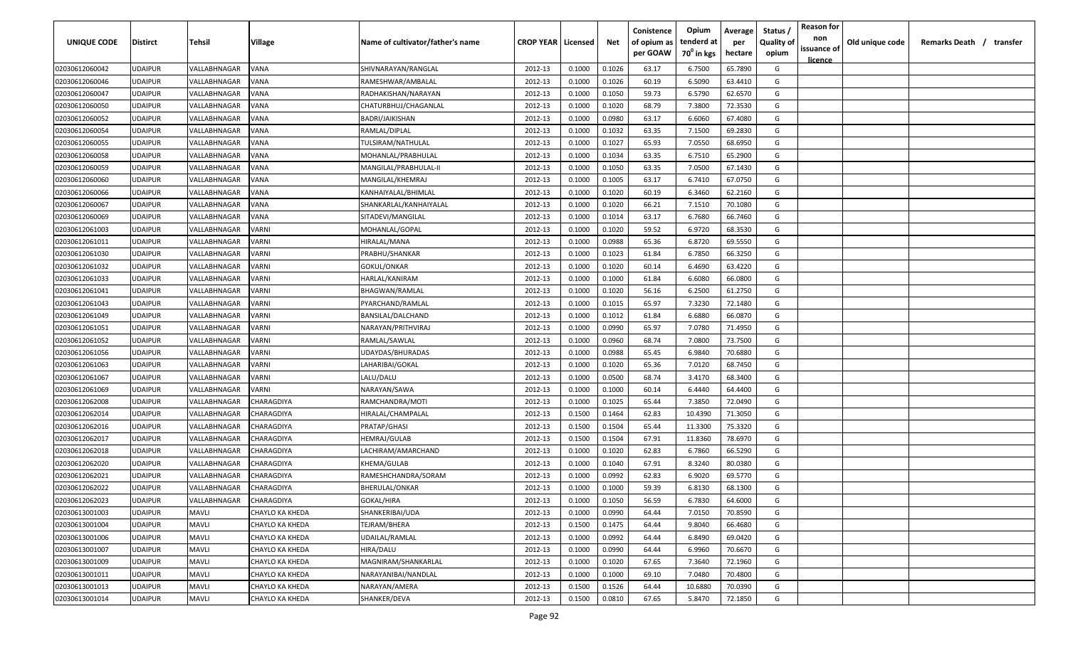| UNIQUE CODE    | Distirct       | Tehsil              | Village         | Name of cultivator/father's name | <b>CROP YEAR   Licensed</b> |        | Net    | Conistence<br>of opium as<br>per GOAW | Opium<br>tenderd at<br>70 <sup>0</sup> in kgs | Average<br>per | Status<br><b>Quality of</b><br>opium | <b>Reason for</b><br>non<br>issuance of | Old unique code | Remarks Death / transfer |  |
|----------------|----------------|---------------------|-----------------|----------------------------------|-----------------------------|--------|--------|---------------------------------------|-----------------------------------------------|----------------|--------------------------------------|-----------------------------------------|-----------------|--------------------------|--|
|                |                |                     |                 |                                  |                             |        |        |                                       |                                               | hectare        |                                      | <u>licence</u>                          |                 |                          |  |
| 02030612060042 | UDAIPUR        | VALLABHNAGAR        | VANA            | SHIVNARAYAN/RANGLAL              | 2012-13                     | 0.1000 | 0.1026 | 63.17                                 | 6.7500                                        | 65.7890        | G                                    |                                         |                 |                          |  |
| 02030612060046 | UDAIPUR        | VALLABHNAGAR        | VANA            | RAMESHWAR/AMBALAL                | 2012-13                     | 0.1000 | 0.1026 | 60.19                                 | 6.5090                                        | 63.4410        | G                                    |                                         |                 |                          |  |
| 02030612060047 | UDAIPUR        | VALLABHNAGAR        | VANA            | RADHAKISHAN/NARAYAN              | 2012-13                     | 0.1000 | 0.1050 | 59.73                                 | 6.5790                                        | 62.6570        | G                                    |                                         |                 |                          |  |
| 02030612060050 | UDAIPUR        | VALLABHNAGAR        | VANA            | CHATURBHUJ/CHAGANLAL             | 2012-13                     | 0.1000 | 0.1020 | 68.79                                 | 7.3800                                        | 72.3530        | G                                    |                                         |                 |                          |  |
| 02030612060052 | UDAIPUR        | VALLABHNAGAR        | VANA            | BADRI/JAIKISHAN                  | 2012-13                     | 0.1000 | 0.0980 | 63.17                                 | 6.6060                                        | 67.4080        | G                                    |                                         |                 |                          |  |
| 02030612060054 | UDAIPUR        | VALLABHNAGAR        | VANA            | RAMLAL/DIPLAL                    | 2012-13                     | 0.1000 | 0.1032 | 63.35                                 | 7.1500                                        | 69.2830        | G                                    |                                         |                 |                          |  |
| 02030612060055 | UDAIPUR        | VALLABHNAGAR        | VANA            | TULSIRAM/NATHULAL                | 2012-13                     | 0.1000 | 0.1027 | 65.93                                 | 7.0550                                        | 68.6950        | G                                    |                                         |                 |                          |  |
| 02030612060058 | UDAIPUR        | VALLABHNAGAR        | VANA            | MOHANLAL/PRABHULAL               | 2012-13                     | 0.1000 | 0.1034 | 63.35                                 | 6.7510                                        | 65.2900        | G                                    |                                         |                 |                          |  |
| 02030612060059 | UDAIPUR        | VALLABHNAGAR        | VANA            | MANGILAL/PRABHULAL-II            | 2012-13                     | 0.1000 | 0.1050 | 63.35                                 | 7.0500                                        | 67.1430        | G                                    |                                         |                 |                          |  |
| 02030612060060 | UDAIPUR        | VALLABHNAGAR        | VANA            | MANGILAL/KHEMRAJ                 | 2012-13                     | 0.1000 | 0.1005 | 63.17                                 | 6.7410                                        | 67.0750        | G                                    |                                         |                 |                          |  |
| 02030612060066 | UDAIPUR        | VALLABHNAGAR        | /ANA            | KANHAIYALAL/BHIMLAL              | 2012-13                     | 0.1000 | 0.1020 | 60.19                                 | 6.3460                                        | 62.2160        | G                                    |                                         |                 |                          |  |
| 02030612060067 | UDAIPUR        | VALLABHNAGAR        | VANA            | SHANKARLAL/KANHAIYALAL           | 2012-13                     | 0.1000 | 0.1020 | 66.21                                 | 7.1510                                        | 70.1080        | G                                    |                                         |                 |                          |  |
| 02030612060069 | UDAIPUR        | VALLABHNAGAR        | VANA            | SITADEVI/MANGILAL                | 2012-13                     | 0.1000 | 0.1014 | 63.17                                 | 6.7680                                        | 66.7460        | G                                    |                                         |                 |                          |  |
| 02030612061003 | UDAIPUR        | VALLABHNAGAR        | VARNI           | MOHANLAL/GOPAL                   | 2012-13                     | 0.1000 | 0.1020 | 59.52                                 | 6.9720                                        | 68.3530        | G                                    |                                         |                 |                          |  |
| 02030612061011 | UDAIPUR        | VALLABHNAGAR        | VARNI           | HIRALAL/MANA                     | 2012-13                     | 0.1000 | 0.0988 | 65.36                                 | 6.8720                                        | 69.5550        | G                                    |                                         |                 |                          |  |
| 02030612061030 | UDAIPUR        | VALLABHNAGAR        | VARNI           | PRABHU/SHANKAR                   | 2012-13                     | 0.1000 | 0.1023 | 61.84                                 | 6.7850                                        | 66.3250        | G                                    |                                         |                 |                          |  |
| 02030612061032 | UDAIPUR        | VALLABHNAGAR        | VARNI           | GOKUL/ONKAR                      | 2012-13                     | 0.1000 | 0.1020 | 60.14                                 | 6.4690                                        | 63.4220        | G                                    |                                         |                 |                          |  |
| 02030612061033 | UDAIPUR        | VALLABHNAGAR        | VARNI           | HARLAL/KANIRAM                   | 2012-13                     | 0.1000 | 0.1000 | 61.84                                 | 6.6080                                        | 66.0800        | G                                    |                                         |                 |                          |  |
| 02030612061041 | UDAIPUR        | VALLABHNAGAR        | /ARNI           | BHAGWAN/RAMLAL                   | 2012-13                     | 0.1000 | 0.1020 | 56.16                                 | 6.2500                                        | 61.2750        | G                                    |                                         |                 |                          |  |
| 02030612061043 | UDAIPUR        | VALLABHNAGAR        | /ARNI           | PYARCHAND/RAMLAL                 | 2012-13                     | 0.1000 | 0.1015 | 65.97                                 | 7.3230                                        | 72.1480        | G                                    |                                         |                 |                          |  |
| 02030612061049 | UDAIPUR        | VALLABHNAGAR        | VARNI           | BANSILAL/DALCHAND                | 2012-13                     | 0.1000 | 0.1012 | 61.84                                 | 6.6880                                        | 66.0870        | G                                    |                                         |                 |                          |  |
| 02030612061051 | <b>UDAIPUR</b> | VALLABHNAGAR        | VARNI           | NARAYAN/PRITHVIRAJ               | 2012-13                     | 0.1000 | 0.0990 | 65.97                                 | 7.0780                                        | 71.4950        | G                                    |                                         |                 |                          |  |
| 02030612061052 | UDAIPUR        | VALLABHNAGAR        | /ARNI           | RAMLAL/SAWLAL                    | 2012-13                     | 0.1000 | 0.0960 | 68.74                                 | 7.0800                                        | 73.7500        | G                                    |                                         |                 |                          |  |
| 02030612061056 | UDAIPUR        | VALLABHNAGAR        | /ARNI           | UDAYDAS/BHURADAS                 | 2012-13                     | 0.1000 | 0.0988 | 65.45                                 | 6.9840                                        | 70.6880        | G                                    |                                         |                 |                          |  |
| 02030612061063 | UDAIPUR        | VALLABHNAGAR        | VARNI           | LAHARIBAI/GOKAL                  | 2012-13                     | 0.1000 | 0.1020 | 65.36                                 | 7.0120                                        | 68.7450        | G                                    |                                         |                 |                          |  |
| 02030612061067 | UDAIPUR        | VALLABHNAGAR        | VARNI           | LALU/DALU                        | 2012-13                     | 0.1000 | 0.0500 | 68.74                                 | 3.4170                                        | 68.3400        | G                                    |                                         |                 |                          |  |
| 02030612061069 | UDAIPUR        | VALLABHNAGAR        | /ARNI           | NARAYAN/SAWA                     | 2012-13                     | 0.1000 | 0.1000 | 60.14                                 | 6.4440                                        | 64.4400        | G                                    |                                         |                 |                          |  |
| 02030612062008 | UDAIPUR        | <b>/ALLABHNAGAR</b> | CHARAGDIYA      | RAMCHANDRA/MOTI                  | 2012-13                     | 0.1000 | 0.1025 | 65.44                                 | 7.3850                                        | 72.0490        | G                                    |                                         |                 |                          |  |
| 02030612062014 | UDAIPUR        | VALLABHNAGAR        | CHARAGDIYA      | HIRALAL/CHAMPALAL                | 2012-13                     | 0.1500 | 0.1464 | 62.83                                 | 10.4390                                       | 71.3050        | G                                    |                                         |                 |                          |  |
| 02030612062016 | UDAIPUR        | VALLABHNAGAR        | CHARAGDIYA      | PRATAP/GHASI                     | 2012-13                     | 0.1500 | 0.1504 | 65.44                                 | 11.3300                                       | 75.3320        | G                                    |                                         |                 |                          |  |
| 02030612062017 | UDAIPUR        | VALLABHNAGAR        | CHARAGDIYA      | <b>HEMRAJ/GULAB</b>              | 2012-13                     | 0.1500 | 0.1504 | 67.91                                 | 11.8360                                       | 78.6970        | G                                    |                                         |                 |                          |  |
| 02030612062018 | UDAIPUR        | VALLABHNAGAR        | CHARAGDIYA      | LACHIRAM/AMARCHAND               | 2012-13                     | 0.1000 | 0.1020 | 62.83                                 | 6.7860                                        | 66.5290        | G                                    |                                         |                 |                          |  |
| 02030612062020 | UDAIPUR        | VALLABHNAGAR        | CHARAGDIYA      | KHEMA/GULAB                      | 2012-13                     | 0.1000 | 0.1040 | 67.91                                 | 8.3240                                        | 80.0380        | G                                    |                                         |                 |                          |  |
| 02030612062021 | UDAIPUR        | VALLABHNAGAR        | CHARAGDIYA      | RAMESHCHANDRA/SORAM              | 2012-13                     | 0.1000 | 0.0992 | 62.83                                 | 6.9020                                        | 69.5770        | G                                    |                                         |                 |                          |  |
| 02030612062022 | UDAIPUR        | VALLABHNAGAR        | CHARAGDIYA      | <b>BHERULAL/ONKAR</b>            | 2012-13                     | 0.1000 | 0.1000 | 59.39                                 | 6.8130                                        | 68.1300        | G                                    |                                         |                 |                          |  |
| 02030612062023 | UDAIPUR        | VALLABHNAGAR        | CHARAGDIYA      | GOKAL/HIRA                       | 2012-13                     | 0.1000 | 0.1050 | 56.59                                 | 6.7830                                        | 64.6000        | G                                    |                                         |                 |                          |  |
| 02030613001003 | <b>UDAIPUR</b> | <b>MAVLI</b>        | CHAYLO KA KHEDA | SHANKERIBAI/UDA                  | 2012-13                     | 0.1000 | 0.0990 | 64.44                                 | 7.0150                                        | 70.8590        | G                                    |                                         |                 |                          |  |
| 02030613001004 | UDAIPUR        | <b>MAVLI</b>        | CHAYLO KA KHEDA | TEJRAM/BHERA                     | 2012-13                     | 0.1500 | 0.1475 | 64.44                                 | 9.8040                                        | 66.4680        | G                                    |                                         |                 |                          |  |
| 02030613001006 | UDAIPUR        | <b>MAVLI</b>        | CHAYLO KA KHEDA | UDAILAL/RAMLAL                   | 2012-13                     | 0.1000 | 0.0992 | 64.44                                 | 6.8490                                        | 69.0420        | G                                    |                                         |                 |                          |  |
| 02030613001007 | UDAIPUR        | <b>MAVLI</b>        | CHAYLO KA KHEDA | HIRA/DALU                        | 2012-13                     | 0.1000 | 0.0990 | 64.44                                 | 6.9960                                        | 70.6670        | G                                    |                                         |                 |                          |  |
| 02030613001009 | UDAIPUR        | <b>MAVLI</b>        | CHAYLO KA KHEDA | MAGNIRAM/SHANKARLAL              | 2012-13                     | 0.1000 | 0.1020 | 67.65                                 | 7.3640                                        | 72.1960        | G                                    |                                         |                 |                          |  |
| 02030613001011 | UDAIPUR        | <b>MAVLI</b>        | CHAYLO KA KHEDA | NARAYANIBAI/NANDLAL              | 2012-13                     | 0.1000 | 0.1000 | 69.10                                 | 7.0480                                        | 70.4800        | G                                    |                                         |                 |                          |  |
| 02030613001013 | UDAIPUR        | <b>MAVLI</b>        | CHAYLO KA KHEDA | NARAYAN/AMERA                    | 2012-13                     | 0.1500 | 0.1526 | 64.44                                 | 10.6880                                       | 70.0390        | G                                    |                                         |                 |                          |  |
| 02030613001014 | UDAIPUR        | <b>MAVLI</b>        | CHAYLO KA KHEDA | SHANKER/DEVA                     | 2012-13                     | 0.1500 | 0.0810 | 67.65                                 | 5.8470                                        | 72.1850        | G                                    |                                         |                 |                          |  |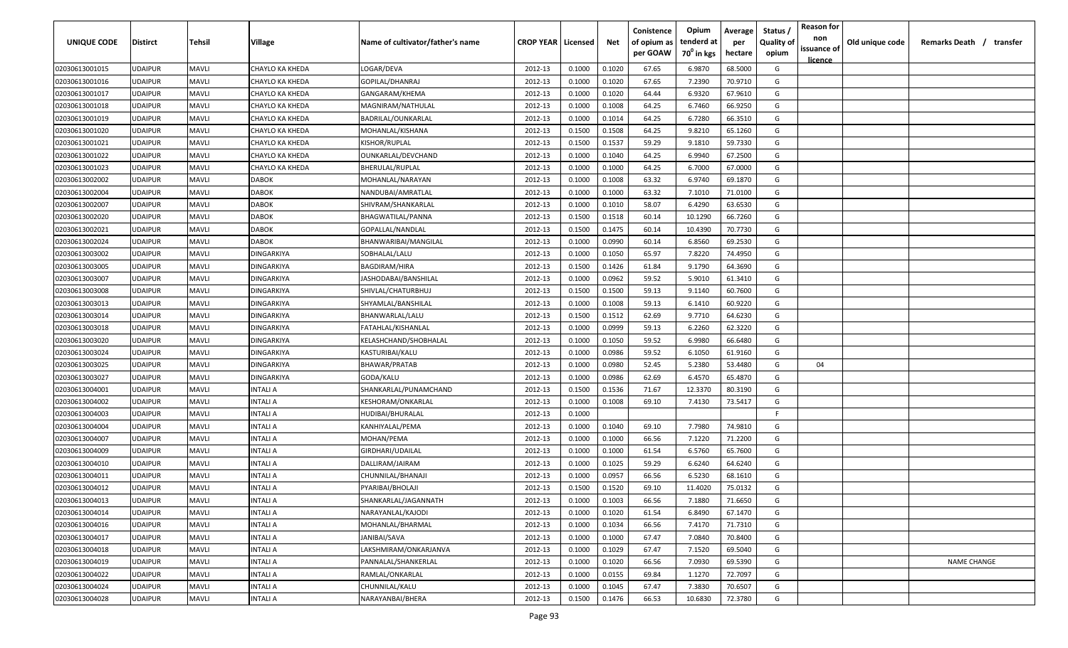| UNIQUE CODE    | <b>Distirct</b> | Tehsil       | Village           | Name of cultivator/father's name | <b>CROP YEAR   Licensed</b> |        | Net    | Conistence<br>of opium as | Opium<br>tenderd at    | Average<br>per | Status<br><b>Quality of</b> | <b>Reason for</b><br>non<br>issuance of | Old unique code | Remarks Death / transfer |
|----------------|-----------------|--------------|-------------------|----------------------------------|-----------------------------|--------|--------|---------------------------|------------------------|----------------|-----------------------------|-----------------------------------------|-----------------|--------------------------|
|                |                 |              |                   |                                  |                             |        |        | per GOAW                  | 70 <sup>0</sup> in kgs | hectare        | opium                       | <u>licence</u>                          |                 |                          |
| 02030613001015 | <b>UDAIPUR</b>  | <b>MAVLI</b> | CHAYLO KA KHEDA   | LOGAR/DEVA                       | 2012-13                     | 0.1000 | 0.1020 | 67.65                     | 6.9870                 | 68.5000        | G                           |                                         |                 |                          |
| 02030613001016 | <b>UDAIPUR</b>  | <b>MAVLI</b> | CHAYLO KA KHEDA   | GOPILAL/DHANRAJ                  | 2012-13                     | 0.1000 | 0.1020 | 67.65                     | 7.2390                 | 70.9710        | G                           |                                         |                 |                          |
| 02030613001017 | <b>UDAIPUR</b>  | <b>MAVLI</b> | CHAYLO KA KHEDA   | GANGARAM/KHEMA                   | 2012-13                     | 0.1000 | 0.1020 | 64.44                     | 6.9320                 | 67.9610        | G                           |                                         |                 |                          |
| 02030613001018 | <b>UDAIPUR</b>  | <b>MAVLI</b> | CHAYLO KA KHEDA   | MAGNIRAM/NATHULAL                | 2012-13                     | 0.1000 | 0.1008 | 64.25                     | 6.7460                 | 66.9250        | G                           |                                         |                 |                          |
| 02030613001019 | <b>UDAIPUR</b>  | <b>MAVLI</b> | CHAYLO KA KHEDA   | BADRILAL/OUNKARLAL               | 2012-13                     | 0.1000 | 0.1014 | 64.25                     | 6.7280                 | 66.3510        | G                           |                                         |                 |                          |
| 02030613001020 | <b>UDAIPUR</b>  | <b>MAVLI</b> | CHAYLO KA KHEDA   | MOHANLAL/KISHANA                 | 2012-13                     | 0.1500 | 0.1508 | 64.25                     | 9.8210                 | 65.1260        | G                           |                                         |                 |                          |
| 02030613001021 | <b>UDAIPUR</b>  | <b>MAVLI</b> | CHAYLO KA KHEDA   | KISHOR/RUPLAL                    | 2012-13                     | 0.1500 | 0.1537 | 59.29                     | 9.1810                 | 59.7330        | G                           |                                         |                 |                          |
| 02030613001022 | <b>UDAIPUR</b>  | <b>MAVLI</b> | CHAYLO KA KHEDA   | OUNKARLAL/DEVCHAND               | 2012-13                     | 0.1000 | 0.1040 | 64.25                     | 6.9940                 | 67.2500        | G                           |                                         |                 |                          |
| 02030613001023 | <b>UDAIPUR</b>  | MAVLI        | CHAYLO KA KHEDA   | BHERULAL/RUPLAL                  | 2012-13                     | 0.1000 | 0.1000 | 64.25                     | 6.7000                 | 67.0000        | G                           |                                         |                 |                          |
| 02030613002002 | <b>UDAIPUR</b>  | MAVLI        | <b>DABOK</b>      | MOHANLAL/NARAYAN                 | 2012-13                     | 0.1000 | 0.1008 | 63.32                     | 6.9740                 | 69.1870        | G                           |                                         |                 |                          |
| 02030613002004 | <b>UDAIPUR</b>  | <b>MAVLI</b> | <b>DABOK</b>      | NANDUBAI/AMRATLAL                | 2012-13                     | 0.1000 | 0.1000 | 63.32                     | 7.1010                 | 71.0100        | G                           |                                         |                 |                          |
| 02030613002007 | <b>UDAIPUR</b>  | <b>MAVLI</b> | <b>DABOK</b>      | SHIVRAM/SHANKARLAL               | 2012-13                     | 0.1000 | 0.1010 | 58.07                     | 6.4290                 | 63.6530        | G                           |                                         |                 |                          |
| 02030613002020 | <b>UDAIPUR</b>  | <b>MAVLI</b> | <b>DABOK</b>      | BHAGWATILAL/PANNA                | 2012-13                     | 0.1500 | 0.1518 | 60.14                     | 10.1290                | 66.7260        | G                           |                                         |                 |                          |
| 02030613002021 | <b>UDAIPUR</b>  | <b>MAVLI</b> | <b>DABOK</b>      | GOPALLAL/NANDLAL                 | 2012-13                     | 0.1500 | 0.1475 | 60.14                     | 10.4390                | 70.7730        | G                           |                                         |                 |                          |
| 02030613002024 | <b>UDAIPUR</b>  | <b>MAVLI</b> | <b>DABOK</b>      | BHANWARIBAI/MANGILAL             | 2012-13                     | 0.1000 | 0.0990 | 60.14                     | 6.8560                 | 69.2530        | G                           |                                         |                 |                          |
| 02030613003002 | <b>UDAIPUR</b>  | <b>MAVLI</b> | <b>DINGARKIYA</b> | SOBHALAL/LALU                    | 2012-13                     | 0.1000 | 0.1050 | 65.97                     | 7.8220                 | 74.4950        | G                           |                                         |                 |                          |
| 02030613003005 | <b>UDAIPUR</b>  | <b>MAVLI</b> | <b>DINGARKIYA</b> | <b>BAGDIRAM/HIRA</b>             | 2012-13                     | 0.1500 | 0.1426 | 61.84                     | 9.1790                 | 64.3690        | G                           |                                         |                 |                          |
| 02030613003007 | <b>UDAIPUR</b>  | <b>MAVLI</b> | <b>DINGARKIYA</b> | JASHODABAI/BANSHILAL             | 2012-13                     | 0.1000 | 0.0962 | 59.52                     | 5.9010                 | 61.3410        | G                           |                                         |                 |                          |
| 02030613003008 | <b>UDAIPUR</b>  | <b>MAVLI</b> | <b>DINGARKIYA</b> | SHIVLAL/CHATURBHUJ               | 2012-13                     | 0.1500 | 0.1500 | 59.13                     | 9.1140                 | 60.7600        | G                           |                                         |                 |                          |
| 02030613003013 | <b>UDAIPUR</b>  | <b>MAVLI</b> | <b>DINGARKIYA</b> | SHYAMLAL/BANSHILAL               | 2012-13                     | 0.1000 | 0.1008 | 59.13                     | 6.1410                 | 60.9220        | G                           |                                         |                 |                          |
| 02030613003014 | <b>UDAIPUR</b>  | <b>MAVLI</b> | <b>DINGARKIYA</b> | BHANWARLAL/LALU                  | 2012-13                     | 0.1500 | 0.1512 | 62.69                     | 9.7710                 | 64.6230        | G                           |                                         |                 |                          |
| 02030613003018 | <b>UDAIPUR</b>  | <b>MAVLI</b> | <b>DINGARKIYA</b> | FATAHLAL/KISHANLAL               | 2012-13                     | 0.1000 | 0.0999 | 59.13                     | 6.2260                 | 62.3220        | G                           |                                         |                 |                          |
| 02030613003020 | <b>UDAIPUR</b>  | <b>MAVLI</b> | <b>DINGARKIYA</b> | KELASHCHAND/SHOBHALAL            | 2012-13                     | 0.1000 | 0.1050 | 59.52                     | 6.9980                 | 66.6480        | G                           |                                         |                 |                          |
| 02030613003024 | <b>UDAIPUR</b>  | <b>MAVLI</b> | <b>DINGARKIYA</b> | KASTURIBAI/KALU                  | 2012-13                     | 0.1000 | 0.0986 | 59.52                     | 6.1050                 | 61.9160        | G                           |                                         |                 |                          |
| 02030613003025 | <b>UDAIPUR</b>  | <b>MAVLI</b> | <b>DINGARKIYA</b> | BHAWAR/PRATAB                    | 2012-13                     | 0.1000 | 0.0980 | 52.45                     | 5.2380                 | 53.4480        | G                           | 04                                      |                 |                          |
| 02030613003027 | <b>UDAIPUR</b>  | MAVLI        | <b>DINGARKIYA</b> | GODA/KALU                        | 2012-13                     | 0.1000 | 0.0986 | 62.69                     | 6.4570                 | 65.4870        | G                           |                                         |                 |                          |
| 02030613004001 | <b>UDAIPUR</b>  | <b>MAVLI</b> | INTALI A          | SHANKARLAL/PUNAMCHAND            | 2012-13                     | 0.1500 | 0.1536 | 71.67                     | 12.3370                | 80.3190        | G                           |                                         |                 |                          |
| 02030613004002 | <b>UDAIPUR</b>  | <b>MAVLI</b> | INTALI A          | KESHORAM/ONKARLAL                | 2012-13                     | 0.1000 | 0.1008 | 69.10                     | 7.4130                 | 73.5417        | G                           |                                         |                 |                          |
| 02030613004003 | <b>UDAIPUR</b>  | <b>MAVLI</b> | INTALI A          | HUDIBAI/BHURALAL                 | 2012-13                     | 0.1000 |        |                           |                        |                | F.                          |                                         |                 |                          |
| 02030613004004 | <b>UDAIPUR</b>  | MAVLI        | INTALI A          | KANHIYALAL/PEMA                  | 2012-13                     | 0.1000 | 0.1040 | 69.10                     | 7.7980                 | 74.9810        | G                           |                                         |                 |                          |
| 02030613004007 | <b>UDAIPUR</b>  | <b>MAVLI</b> | INTALI A          | MOHAN/PEMA                       | 2012-13                     | 0.1000 | 0.1000 | 66.56                     | 7.1220                 | 71.2200        | G                           |                                         |                 |                          |
| 02030613004009 | <b>UDAIPUR</b>  | <b>MAVLI</b> | INTALI A          | GIRDHARI/UDAILAL                 | 2012-13                     | 0.1000 | 0.1000 | 61.54                     | 6.5760                 | 65.7600        | G                           |                                         |                 |                          |
| 02030613004010 | <b>UDAIPUR</b>  | <b>MAVLI</b> | INTALI A          | DALLIRAM/JAIRAM                  | 2012-13                     | 0.1000 | 0.1025 | 59.29                     | 6.6240                 | 64.6240        | G                           |                                         |                 |                          |
| 02030613004011 | <b>UDAIPUR</b>  | <b>MAVLI</b> | INTALI A          | CHUNNILAL/BHANAJI                | 2012-13                     | 0.1000 | 0.0957 | 66.56                     | 6.5230                 | 68.1610        | G                           |                                         |                 |                          |
| 02030613004012 | <b>UDAIPUR</b>  | <b>MAVLI</b> | INTALI A          | PYARIBAI/BHOLAJI                 | 2012-13                     | 0.1500 | 0.1520 | 69.10                     | 11.4020                | 75.0132        | G                           |                                         |                 |                          |
| 02030613004013 | <b>UDAIPUR</b>  | <b>MAVLI</b> | <b>INTALI A</b>   | SHANKARLAL/JAGANNATH             | 2012-13                     | 0.1000 | 0.1003 | 66.56                     | 7.1880                 | 71.6650        | G                           |                                         |                 |                          |
| 02030613004014 | <b>UDAIPUR</b>  | <b>MAVLI</b> | INTALI A          | NARAYANLAL/KAJODI                | 2012-13                     | 0.1000 | 0.1020 | 61.54                     | 6.8490                 | 67.1470        | G                           |                                         |                 |                          |
| 02030613004016 | <b>UDAIPUR</b>  | <b>MAVLI</b> | <b>INTALI A</b>   | MOHANLAL/BHARMAL                 | 2012-13                     | 0.1000 | 0.1034 | 66.56                     | 7.4170                 | 71.7310        | G                           |                                         |                 |                          |
| 02030613004017 | <b>UDAIPUR</b>  | <b>MAVLI</b> | <b>INTALI A</b>   | JANIBAI/SAVA                     | 2012-13                     | 0.1000 | 0.1000 | 67.47                     | 7.0840                 | 70.8400        | G                           |                                         |                 |                          |
| 02030613004018 | <b>UDAIPUR</b>  | <b>MAVLI</b> | INTALI A          | LAKSHMIRAM/ONKARJANVA            | 2012-13                     | 0.1000 | 0.1029 | 67.47                     | 7.1520                 | 69.5040        | G                           |                                         |                 |                          |
| 02030613004019 | <b>UDAIPUR</b>  | <b>MAVLI</b> | INTALI A          | PANNALAL/SHANKERLAL              | 2012-13                     | 0.1000 | 0.1020 | 66.56                     | 7.0930                 | 69.5390        | G                           |                                         |                 | <b>NAME CHANGE</b>       |
| 02030613004022 | <b>UDAIPUR</b>  | <b>MAVLI</b> | INTALI A          | RAMLAL/ONKARLAL                  | 2012-13                     | 0.1000 | 0.0155 | 69.84                     | 1.1270                 | 72.7097        | G                           |                                         |                 |                          |
| 02030613004024 | <b>UDAIPUR</b>  | <b>MAVLI</b> | INTALI A          | CHUNNILAL/KALU                   | 2012-13                     | 0.1000 | 0.1045 | 67.47                     | 7.3830                 | 70.6507        | G                           |                                         |                 |                          |
| 02030613004028 | <b>UDAIPUR</b>  | <b>MAVLI</b> | INTALI A          | NARAYANBAI/BHERA                 | 2012-13                     | 0.1500 | 0.1476 | 66.53                     | 10.6830                | 72.3780        | G                           |                                         |                 |                          |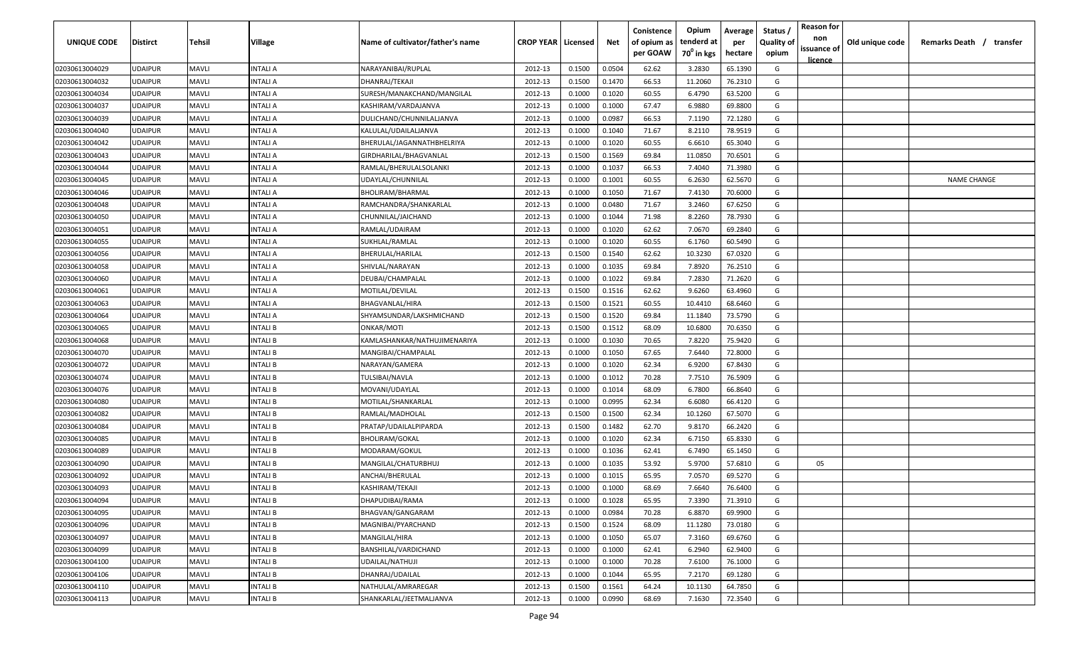| UNIQUE CODE    | <b>Distirct</b> | Tehsil       | Village         | Name of cultivator/father's name | <b>CROP YEAR   Licensed</b> |        | Net    | Conistence<br>of opium as | Opium<br>tenderd at    | Average<br>per | Status /<br><b>Quality of</b> | <b>Reason for</b><br>non      | Old unique code | Remarks Death /<br>transfer |
|----------------|-----------------|--------------|-----------------|----------------------------------|-----------------------------|--------|--------|---------------------------|------------------------|----------------|-------------------------------|-------------------------------|-----------------|-----------------------------|
|                |                 |              |                 |                                  |                             |        |        | per GOAW                  | 70 <sup>0</sup> in kgs | hectare        | opium                         | issuance of<br><u>licence</u> |                 |                             |
| 02030613004029 | <b>UDAIPUR</b>  | <b>MAVLI</b> | <b>INTALI A</b> | NARAYANIBAI/RUPLAL               | 2012-13                     | 0.1500 | 0.0504 | 62.62                     | 3.2830                 | 65.1390        | G                             |                               |                 |                             |
| 02030613004032 | <b>UDAIPUR</b>  | <b>MAVLI</b> | INTALI A        | DHANRAJ/TEKAJI                   | 2012-13                     | 0.1500 | 0.1470 | 66.53                     | 11.2060                | 76.2310        | G                             |                               |                 |                             |
| 02030613004034 | <b>UDAIPUR</b>  | <b>MAVLI</b> | <b>INTALI A</b> | SURESH/MANAKCHAND/MANGILAL       | 2012-13                     | 0.1000 | 0.1020 | 60.55                     | 6.4790                 | 63.5200        | G                             |                               |                 |                             |
| 02030613004037 | <b>UDAIPUR</b>  | <b>MAVLI</b> | <b>INTALIA</b>  | KASHIRAM/VARDAJANVA              | 2012-13                     | 0.1000 | 0.1000 | 67.47                     | 6.9880                 | 69.8800        | G                             |                               |                 |                             |
| 02030613004039 | <b>UDAIPUR</b>  | <b>MAVLI</b> | <b>INTALI A</b> | DULICHAND/CHUNNILALJANVA         | 2012-13                     | 0.1000 | 0.0987 | 66.53                     | 7.1190                 | 72.1280        | G                             |                               |                 |                             |
| 02030613004040 | <b>UDAIPUR</b>  | <b>MAVLI</b> | <b>INTALI A</b> | KALULAL/UDAILALJANVA             | 2012-13                     | 0.1000 | 0.1040 | 71.67                     | 8.2110                 | 78.9519        | G                             |                               |                 |                             |
| 02030613004042 | <b>UDAIPUR</b>  | <b>MAVLI</b> | <b>INTALI A</b> | BHERULAL/JAGANNATHBHELRIYA       | 2012-13                     | 0.1000 | 0.1020 | 60.55                     | 6.6610                 | 65.3040        | G                             |                               |                 |                             |
| 02030613004043 | <b>UDAIPUR</b>  | <b>MAVLI</b> | <b>INTALI A</b> | GIRDHARILAL/BHAGVANLAL           | 2012-13                     | 0.1500 | 0.1569 | 69.84                     | 11.0850                | 70.6501        | G                             |                               |                 |                             |
| 02030613004044 | <b>UDAIPUR</b>  | <b>MAVLI</b> | <b>INTALI A</b> | RAMLAL/BHERULALSOLANKI           | 2012-13                     | 0.1000 | 0.1037 | 66.53                     | 7.4040                 | 71.3980        | G                             |                               |                 |                             |
| 02030613004045 | <b>UDAIPUR</b>  | <b>MAVLI</b> | INTALI A        | UDAYLAL/CHUNNILAL                | 2012-13                     | 0.1000 | 0.1001 | 60.55                     | 6.2630                 | 62.5670        | G                             |                               |                 | <b>NAME CHANGE</b>          |
| 02030613004046 | UDAIPUR         | MAVLI        | INTALI A        | BHOLIRAM/BHARMAL                 | 2012-13                     | 0.1000 | 0.1050 | 71.67                     | 7.4130                 | 70.6000        | G                             |                               |                 |                             |
| 02030613004048 | UDAIPUR         | <b>MAVLI</b> | INTALI A        | RAMCHANDRA/SHANKARLAL            | 2012-13                     | 0.1000 | 0.0480 | 71.67                     | 3.2460                 | 67.6250        | G                             |                               |                 |                             |
| 02030613004050 | <b>UDAIPUR</b>  | <b>MAVLI</b> | INTALI A        | CHUNNILAL/JAICHAND               | 2012-13                     | 0.1000 | 0.1044 | 71.98                     | 8.2260                 | 78.7930        | G                             |                               |                 |                             |
| 02030613004051 | <b>UDAIPUR</b>  | <b>MAVLI</b> | INTALI A        | RAMLAL/UDAIRAM                   | 2012-13                     | 0.1000 | 0.1020 | 62.62                     | 7.0670                 | 69.2840        | G                             |                               |                 |                             |
| 02030613004055 | <b>UDAIPUR</b>  | MAVLI        | <b>INTALI A</b> | SUKHLAL/RAMLAL                   | 2012-13                     | 0.1000 | 0.1020 | 60.55                     | 6.1760                 | 60.5490        | G                             |                               |                 |                             |
| 02030613004056 | <b>UDAIPUR</b>  | <b>MAVLI</b> | <b>INTALI A</b> | BHERULAL/HARILAL                 | 2012-13                     | 0.1500 | 0.1540 | 62.62                     | 10.3230                | 67.0320        | G                             |                               |                 |                             |
| 02030613004058 | <b>UDAIPUR</b>  | <b>MAVLI</b> | <b>INTALI A</b> | SHIVLAL/NARAYAN                  | 2012-13                     | 0.1000 | 0.1035 | 69.84                     | 7.8920                 | 76.2510        | G                             |                               |                 |                             |
| 02030613004060 | <b>UDAIPUR</b>  | <b>MAVLI</b> | <b>INTALI A</b> | DEUBAI/CHAMPALAL                 | 2012-13                     | 0.1000 | 0.1022 | 69.84                     | 7.2830                 | 71.2620        | G                             |                               |                 |                             |
| 02030613004061 | <b>UDAIPUR</b>  | <b>MAVLI</b> | INTALI A        | MOTILAL/DEVILAL                  | 2012-13                     | 0.1500 | 0.1516 | 62.62                     | 9.6260                 | 63.4960        | G                             |                               |                 |                             |
| 02030613004063 | <b>UDAIPUR</b>  | <b>MAVLI</b> | <b>INTALI A</b> | BHAGVANLAL/HIRA                  | 2012-13                     | 0.1500 | 0.1521 | 60.55                     | 10.4410                | 68.6460        | G                             |                               |                 |                             |
| 02030613004064 | <b>UDAIPUR</b>  | <b>MAVLI</b> | <b>INTALI A</b> | SHYAMSUNDAR/LAKSHMICHAND         | 2012-13                     | 0.1500 | 0.1520 | 69.84                     | 11.1840                | 73.5790        | G                             |                               |                 |                             |
| 02030613004065 | <b>UDAIPUR</b>  | <b>MAVLI</b> | <b>INTALIB</b>  | ONKAR/MOTI                       | 2012-13                     | 0.1500 | 0.1512 | 68.09                     | 10.6800                | 70.6350        | G                             |                               |                 |                             |
| 02030613004068 | <b>UDAIPUR</b>  | MAVLI        | INTALI B        | KAMLASHANKAR/NATHUJIMENARIYA     | 2012-13                     | 0.1000 | 0.1030 | 70.65                     | 7.8220                 | 75.9420        | G                             |                               |                 |                             |
| 02030613004070 | <b>UDAIPUR</b>  | <b>MAVLI</b> | <b>INTALIB</b>  | MANGIBAI/CHAMPALAL               | 2012-13                     | 0.1000 | 0.1050 | 67.65                     | 7.6440                 | 72.8000        | G                             |                               |                 |                             |
| 02030613004072 | <b>UDAIPUR</b>  | <b>MAVLI</b> | <b>INTALIB</b>  | NARAYAN/GAMERA                   | 2012-13                     | 0.1000 | 0.1020 | 62.34                     | 6.9200                 | 67.8430        | G                             |                               |                 |                             |
| 02030613004074 | <b>UDAIPUR</b>  | <b>MAVLI</b> | <b>INTALI B</b> | TULSIBAI/NAVLA                   | 2012-13                     | 0.1000 | 0.1012 | 70.28                     | 7.7510                 | 76.5909        | G                             |                               |                 |                             |
| 02030613004076 | <b>UDAIPUR</b>  | MAVLI        | <b>INTALI B</b> | MOVANI/UDAYLAL                   | 2012-13                     | 0.1000 | 0.1014 | 68.09                     | 6.7800                 | 66.8640        | G                             |                               |                 |                             |
| 02030613004080 | UDAIPUR         | MAVLI        | <b>INTALI B</b> | MOTILAL/SHANKARLAL               | 2012-13                     | 0.1000 | 0.0995 | 62.34                     | 6.6080                 | 66.4120        | G                             |                               |                 |                             |
| 02030613004082 | UDAIPUR         | <b>MAVLI</b> | <b>INTALI B</b> | RAMLAL/MADHOLAL                  | 2012-13                     | 0.1500 | 0.1500 | 62.34                     | 10.1260                | 67.5070        | G                             |                               |                 |                             |
| 02030613004084 | <b>UDAIPUR</b>  | <b>MAVLI</b> | <b>INTALI B</b> | PRATAP/UDAILALPIPARDA            | 2012-13                     | 0.1500 | 0.1482 | 62.70                     | 9.8170                 | 66.2420        | G                             |                               |                 |                             |
| 02030613004085 | <b>UDAIPUR</b>  | <b>MAVLI</b> | <b>INTALI B</b> | <b>BHOLIRAM/GOKAL</b>            | 2012-13                     | 0.1000 | 0.1020 | 62.34                     | 6.7150                 | 65.8330        | G                             |                               |                 |                             |
| 02030613004089 | <b>UDAIPUR</b>  | MAVLI        | <b>INTALIB</b>  | MODARAM/GOKUL                    | 2012-13                     | 0.1000 | 0.1036 | 62.41                     | 6.7490                 | 65.1450        | G                             |                               |                 |                             |
| 02030613004090 | <b>UDAIPUR</b>  | <b>MAVLI</b> | <b>INTALIB</b>  | MANGILAL/CHATURBHUJ              | 2012-13                     | 0.1000 | 0.1035 | 53.92                     | 5.9700                 | 57.6810        | G                             | 05                            |                 |                             |
| 02030613004092 | <b>UDAIPUR</b>  | <b>MAVLI</b> | <b>INTALIB</b>  | ANCHAI/BHERULAL                  | 2012-13                     | 0.1000 | 0.1015 | 65.95                     | 7.0570                 | 69.5270        | G                             |                               |                 |                             |
| 02030613004093 | <b>UDAIPUR</b>  | <b>MAVLI</b> | <b>INTALIB</b>  | KASHIRAM/TEKAJI                  | 2012-13                     | 0.1000 | 0.1000 | 68.69                     | 7.6640                 | 76.6400        | G                             |                               |                 |                             |
| 02030613004094 | <b>UDAIPUR</b>  | <b>MAVLI</b> | <b>INTALI B</b> | DHAPUDIBAI/RAMA                  | 2012-13                     | 0.1000 | 0.1028 | 65.95                     | 7.3390                 | 71.3910        | G                             |                               |                 |                             |
| 02030613004095 | <b>UDAIPUR</b>  | <b>MAVLI</b> | <b>INTALI B</b> | BHAGVAN/GANGARAM                 | 2012-13                     | 0.1000 | 0.0984 | 70.28                     | 6.8870                 | 69.9900        | G                             |                               |                 |                             |
| 02030613004096 | <b>UDAIPUR</b>  | <b>MAVLI</b> | <b>INTALI B</b> | MAGNIBAI/PYARCHAND               | 2012-13                     | 0.1500 | 0.1524 | 68.09                     | 11.1280                | 73.0180        | G                             |                               |                 |                             |
| 02030613004097 | <b>UDAIPUR</b>  | <b>MAVLI</b> | <b>INTALI B</b> | MANGILAL/HIRA                    | 2012-13                     | 0.1000 | 0.1050 | 65.07                     | 7.3160                 | 69.6760        | G                             |                               |                 |                             |
| 02030613004099 | <b>UDAIPUR</b>  | <b>MAVLI</b> | <b>INTALI B</b> | BANSHILAL/VARDICHAND             | 2012-13                     | 0.1000 | 0.1000 | 62.41                     | 6.2940                 | 62.9400        | G                             |                               |                 |                             |
| 02030613004100 | <b>UDAIPUR</b>  | <b>MAVLI</b> | <b>INTALI B</b> | UDAILAL/NATHUJI                  | 2012-13                     | 0.1000 | 0.1000 | 70.28                     | 7.6100                 | 76.1000        | G                             |                               |                 |                             |
| 02030613004106 | <b>UDAIPUR</b>  | <b>MAVLI</b> | <b>INTALI B</b> | DHANRAJ/UDAILAL                  | 2012-13                     | 0.1000 | 0.1044 | 65.95                     | 7.2170                 | 69.1280        | G                             |                               |                 |                             |
| 02030613004110 | <b>UDAIPUR</b>  | <b>MAVLI</b> | <b>INTALI B</b> | NATHULAL/AMRAREGAR               | 2012-13                     | 0.1500 | 0.1561 | 64.24                     | 10.1130                | 64.7850        | G                             |                               |                 |                             |
| 02030613004113 | <b>UDAIPUR</b>  | <b>MAVLI</b> | <b>INTALI B</b> | SHANKARLAL/JEETMALJANVA          | 2012-13                     | 0.1000 | 0.0990 | 68.69                     | 7.1630                 | 72.3540        | G                             |                               |                 |                             |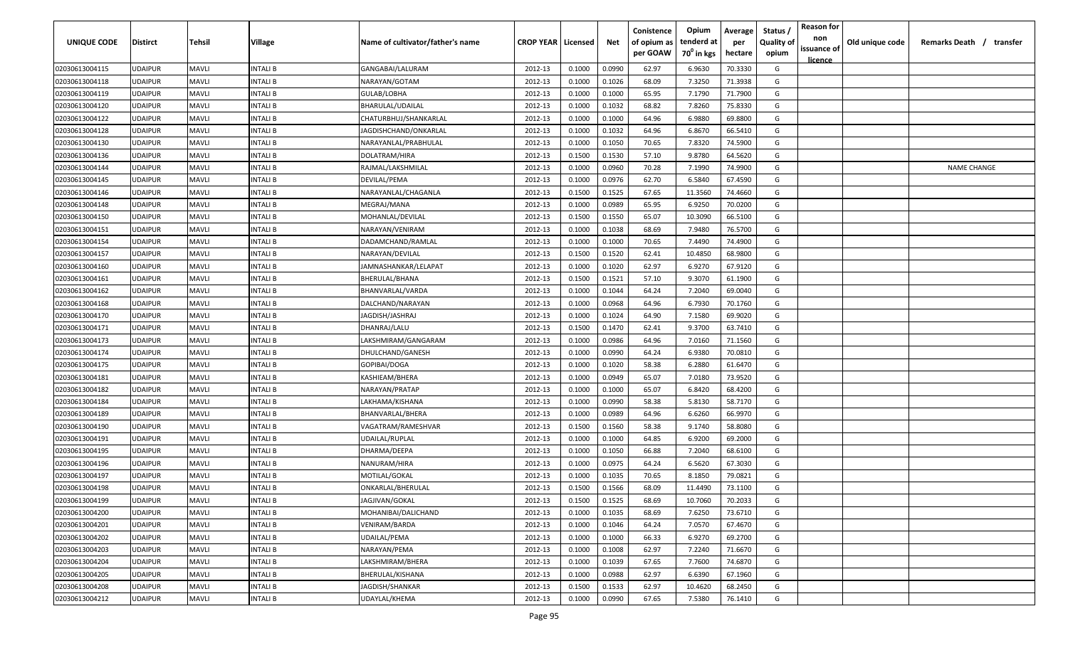| UNIQUE CODE    | Distirct       | Tehsil       | Village        | Name of cultivator/father's name | <b>CROP YEAR   Licensed</b> |        | Net    | Conistence<br>of opium as | Opium<br>tenderd at    | Average<br>per | Status<br><b>Quality of</b> | <b>Reason for</b><br>non<br>issuance of | Old unique code | Remarks Death / transfer |
|----------------|----------------|--------------|----------------|----------------------------------|-----------------------------|--------|--------|---------------------------|------------------------|----------------|-----------------------------|-----------------------------------------|-----------------|--------------------------|
|                |                |              |                |                                  |                             |        |        | per GOAW                  | 70 <sup>0</sup> in kgs | hectare        | opium                       | <u>licence</u>                          |                 |                          |
| 02030613004115 | UDAIPUR        | <b>MAVLI</b> | INTALI B       | GANGABAI/LALURAM                 | 2012-13                     | 0.1000 | 0.0990 | 62.97                     | 6.9630                 | 70.3330        | G                           |                                         |                 |                          |
| 02030613004118 | UDAIPUR        | <b>MAVLI</b> | INTALI B       | NARAYAN/GOTAM                    | 2012-13                     | 0.1000 | 0.1026 | 68.09                     | 7.3250                 | 71.3938        | G                           |                                         |                 |                          |
| 02030613004119 | UDAIPUR        | <b>MAVLI</b> | INTALI B       | GULAB/LOBHA                      | 2012-13                     | 0.1000 | 0.1000 | 65.95                     | 7.1790                 | 71.7900        | G                           |                                         |                 |                          |
| 02030613004120 | UDAIPUR        | <b>MAVLI</b> | INTALI B       | BHARULAL/UDAILAL                 | 2012-13                     | 0.1000 | 0.1032 | 68.82                     | 7.8260                 | 75.8330        | G                           |                                         |                 |                          |
| 02030613004122 | UDAIPUR        | <b>MAVLI</b> | INTALI B       | CHATURBHUJ/SHANKARLAL            | 2012-13                     | 0.1000 | 0.1000 | 64.96                     | 6.9880                 | 69.8800        | G                           |                                         |                 |                          |
| 02030613004128 | UDAIPUR        | <b>MAVLI</b> | INTALI B       | JAGDISHCHAND/ONKARLAL            | 2012-13                     | 0.1000 | 0.1032 | 64.96                     | 6.8670                 | 66.5410        | G                           |                                         |                 |                          |
| 02030613004130 | UDAIPUR        | <b>MAVLI</b> | INTALI B       | NARAYANLAL/PRABHULAL             | 2012-13                     | 0.1000 | 0.1050 | 70.65                     | 7.8320                 | 74.5900        | G                           |                                         |                 |                          |
| 02030613004136 | UDAIPUR        | <b>MAVLI</b> | INTALI B       | DOLATRAM/HIRA                    | 2012-13                     | 0.1500 | 0.1530 | 57.10                     | 9.8780                 | 64.5620        | G                           |                                         |                 |                          |
| 02030613004144 | UDAIPUR        | <b>MAVLI</b> | INTALI B       | RAJMAL/LAKSHMILAL                | 2012-13                     | 0.1000 | 0.0960 | 70.28                     | 7.1990                 | 74.9900        | G                           |                                         |                 | <b>NAME CHANGE</b>       |
| 02030613004145 | JDAIPUR        | <b>MAVLI</b> | INTALI B       | DEVILAL/PEMA                     | 2012-13                     | 0.1000 | 0.0976 | 62.70                     | 6.5840                 | 67.4590        | G                           |                                         |                 |                          |
| 02030613004146 | UDAIPUR        | <b>MAVLI</b> | NTALI B        | NARAYANLAL/CHAGANLA              | 2012-13                     | 0.1500 | 0.1525 | 67.65                     | 11.3560                | 74.4660        | G                           |                                         |                 |                          |
| 02030613004148 | UDAIPUR        | <b>MAVLI</b> | INTALI B       | MEGRAJ/MANA                      | 2012-13                     | 0.1000 | 0.0989 | 65.95                     | 6.9250                 | 70.0200        | G                           |                                         |                 |                          |
| 02030613004150 | UDAIPUR        | <b>MAVLI</b> | INTALI B       | MOHANLAL/DEVILAL                 | 2012-13                     | 0.1500 | 0.1550 | 65.07                     | 10.3090                | 66.5100        | G                           |                                         |                 |                          |
| 02030613004151 | UDAIPUR        | <b>MAVLI</b> | <b>NTALIB</b>  | NARAYAN/VENIRAM                  | 2012-13                     | 0.1000 | 0.1038 | 68.69                     | 7.9480                 | 76.5700        | G                           |                                         |                 |                          |
| 02030613004154 | UDAIPUR        | <b>MAVLI</b> | INTALI B       | DADAMCHAND/RAMLAL                | 2012-13                     | 0.1000 | 0.1000 | 70.65                     | 7.4490                 | 74.4900        | G                           |                                         |                 |                          |
| 02030613004157 | UDAIPUR        | <b>MAVLI</b> | INTALI B       | NARAYAN/DEVILAL                  | 2012-13                     | 0.1500 | 0.1520 | 62.41                     | 10.4850                | 68.9800        | G                           |                                         |                 |                          |
| 02030613004160 | UDAIPUR        | <b>MAVLI</b> | INTALI B       | JAMNASHANKAR/LELAPAT             | 2012-13                     | 0.1000 | 0.1020 | 62.97                     | 6.9270                 | 67.9120        | G                           |                                         |                 |                          |
| 02030613004161 | UDAIPUR        | <b>MAVLI</b> | INTALI B       | <b>BHERULAL/BHANA</b>            | 2012-13                     | 0.1500 | 0.1521 | 57.10                     | 9.3070                 | 61.1900        | G                           |                                         |                 |                          |
| 02030613004162 | UDAIPUR        | <b>MAVLI</b> | INTALI B       | BHANVARLAL/VARDA                 | 2012-13                     | 0.1000 | 0.1044 | 64.24                     | 7.2040                 | 69.0040        | G                           |                                         |                 |                          |
| 02030613004168 | UDAIPUR        | <b>MAVLI</b> | INTALI B       | DALCHAND/NARAYAN                 | 2012-13                     | 0.1000 | 0.0968 | 64.96                     | 6.7930                 | 70.1760        | G                           |                                         |                 |                          |
| 02030613004170 | UDAIPUR        | <b>MAVLI</b> | INTALI B       | JAGDISH/JASHRAJ                  | 2012-13                     | 0.1000 | 0.1024 | 64.90                     | 7.1580                 | 69.9020        | G                           |                                         |                 |                          |
| 02030613004171 | <b>UDAIPUR</b> | <b>MAVLI</b> | INTALI B       | DHANRAJ/LALU                     | 2012-13                     | 0.1500 | 0.1470 | 62.41                     | 9.3700                 | 63.7410        | G                           |                                         |                 |                          |
| 02030613004173 | UDAIPUR        | <b>MAVLI</b> | INTALI B       | LAKSHMIRAM/GANGARAM              | 2012-13                     | 0.1000 | 0.0986 | 64.96                     | 7.0160                 | 71.1560        | G                           |                                         |                 |                          |
| 02030613004174 | UDAIPUR        | <b>MAVLI</b> | INTALI B       | DHULCHAND/GANESH                 | 2012-13                     | 0.1000 | 0.0990 | 64.24                     | 6.9380                 | 70.0810        | G                           |                                         |                 |                          |
| 02030613004175 | UDAIPUR        | <b>MAVLI</b> | INTALI B       | GOPIBAI/DOGA                     | 2012-13                     | 0.1000 | 0.1020 | 58.38                     | 6.2880                 | 61.6470        | G                           |                                         |                 |                          |
| 02030613004181 | UDAIPUR        | <b>MAVLI</b> | INTALI B       | KASHIEAM/BHERA                   | 2012-13                     | 0.1000 | 0.0949 | 65.07                     | 7.0180                 | 73.9520        | G                           |                                         |                 |                          |
| 02030613004182 | UDAIPUR        | <b>MAVLI</b> | INTALI B       | NARAYAN/PRATAP                   | 2012-13                     | 0.1000 | 0.1000 | 65.07                     | 6.8420                 | 68.4200        | G                           |                                         |                 |                          |
| 02030613004184 | UDAIPUR        | <b>MAVLI</b> | NTALI B        | LAKHAMA/KISHANA                  | 2012-13                     | 0.1000 | 0.0990 | 58.38                     | 5.8130                 | 58.7170        | G                           |                                         |                 |                          |
| 02030613004189 | UDAIPUR        | <b>MAVLI</b> | <b>NTALI B</b> | BHANVARLAL/BHERA                 | 2012-13                     | 0.1000 | 0.0989 | 64.96                     | 6.6260                 | 66.9970        | G                           |                                         |                 |                          |
| 02030613004190 | UDAIPUR        | <b>MAVLI</b> | INTALI B       | VAGATRAM/RAMESHVAR               | 2012-13                     | 0.1500 | 0.1560 | 58.38                     | 9.1740                 | 58.8080        | G                           |                                         |                 |                          |
| 02030613004191 | UDAIPUR        | <b>MAVLI</b> | INTALI B       | UDAILAL/RUPLAL                   | 2012-13                     | 0.1000 | 0.1000 | 64.85                     | 6.9200                 | 69.2000        | G                           |                                         |                 |                          |
| 02030613004195 | UDAIPUR        | <b>MAVLI</b> | INTALI B       | DHARMA/DEEPA                     | 2012-13                     | 0.1000 | 0.1050 | 66.88                     | 7.2040                 | 68.6100        | G                           |                                         |                 |                          |
| 02030613004196 | UDAIPUR        | <b>MAVLI</b> | INTALI B       | NANURAM/HIRA                     | 2012-13                     | 0.1000 | 0.0975 | 64.24                     | 6.5620                 | 67.3030        | G                           |                                         |                 |                          |
| 02030613004197 | UDAIPUR        | <b>MAVLI</b> | INTALI B       | MOTILAL/GOKAL                    | 2012-13                     | 0.1000 | 0.1035 | 70.65                     | 8.1850                 | 79.0821        | G                           |                                         |                 |                          |
| 02030613004198 | UDAIPUR        | <b>MAVLI</b> | INTALI B       | ONKARLAL/BHERULAL                | 2012-13                     | 0.1500 | 0.1566 | 68.09                     | 11.4490                | 73.1100        | G                           |                                         |                 |                          |
| 02030613004199 | UDAIPUR        | <b>MAVLI</b> | INTALI B       | JAGJIVAN/GOKAL                   | 2012-13                     | 0.1500 | 0.1525 | 68.69                     | 10.7060                | 70.2033        | G                           |                                         |                 |                          |
| 02030613004200 | <b>UDAIPUR</b> | <b>MAVLI</b> | INTALI B       | MOHANIBAI/DALICHAND              | 2012-13                     | 0.1000 | 0.1035 | 68.69                     | 7.6250                 | 73.6710        | G                           |                                         |                 |                          |
| 02030613004201 | UDAIPUR        | <b>MAVLI</b> | INTALI B       | VENIRAM/BARDA                    | 2012-13                     | 0.1000 | 0.1046 | 64.24                     | 7.0570                 | 67.4670        | G                           |                                         |                 |                          |
| 02030613004202 | UDAIPUR        | <b>MAVLI</b> | INTALI B       | UDAILAL/PEMA                     | 2012-13                     | 0.1000 | 0.1000 | 66.33                     | 6.9270                 | 69.2700        | G                           |                                         |                 |                          |
| 02030613004203 | UDAIPUR        | <b>MAVLI</b> | INTALI B       | NARAYAN/PEMA                     | 2012-13                     | 0.1000 | 0.1008 | 62.97                     | 7.2240                 | 71.6670        | G                           |                                         |                 |                          |
| 02030613004204 | UDAIPUR        | <b>MAVLI</b> | INTALI B       | LAKSHMIRAM/BHERA                 | 2012-13                     | 0.1000 | 0.1039 | 67.65                     | 7.7600                 | 74.6870        | G                           |                                         |                 |                          |
| 02030613004205 | UDAIPUR        | <b>MAVLI</b> | INTALI B       | <b>BHERULAL/KISHANA</b>          | 2012-13                     | 0.1000 | 0.0988 | 62.97                     | 6.6390                 | 67.1960        | G                           |                                         |                 |                          |
| 02030613004208 | UDAIPUR        | <b>MAVLI</b> | INTALI B       | JAGDISH/SHANKAR                  | 2012-13                     | 0.1500 | 0.1533 | 62.97                     | 10.4620                | 68.2450        | G                           |                                         |                 |                          |
| 02030613004212 | UDAIPUR        | <b>MAVLI</b> | INTALI B       | UDAYLAL/KHEMA                    | 2012-13                     | 0.1000 | 0.0990 | 67.65                     | 7.5380                 | 76.1410        | G                           |                                         |                 |                          |